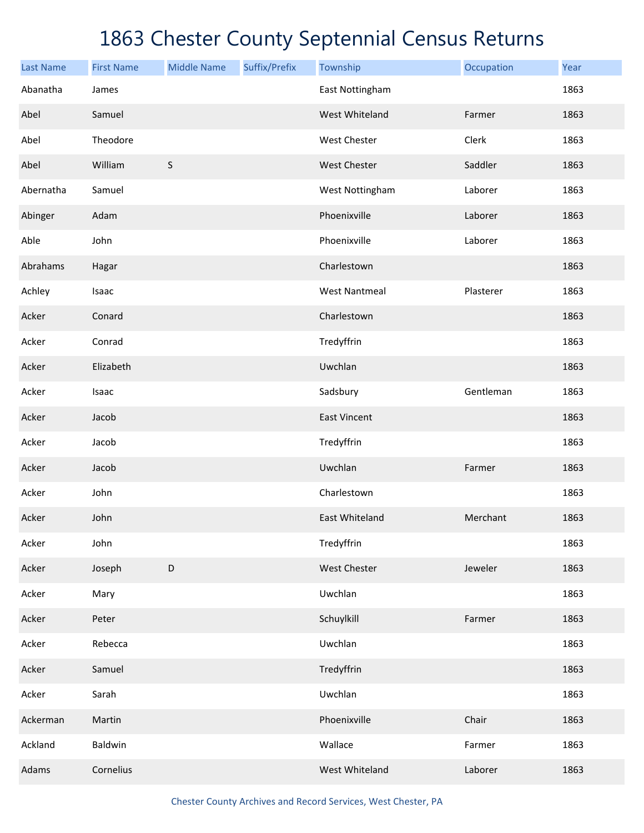| <b>Last Name</b> | <b>First Name</b> | <b>Middle Name</b> | Suffix/Prefix | Township             | Occupation | Year |
|------------------|-------------------|--------------------|---------------|----------------------|------------|------|
| Abanatha         | James             |                    |               | East Nottingham      |            | 1863 |
| Abel             | Samuel            |                    |               | West Whiteland       | Farmer     | 1863 |
| Abel             | Theodore          |                    |               | West Chester         | Clerk      | 1863 |
| Abel             | William           | $\sf S$            |               | West Chester         | Saddler    | 1863 |
| Abernatha        | Samuel            |                    |               | West Nottingham      | Laborer    | 1863 |
| Abinger          | Adam              |                    |               | Phoenixville         | Laborer    | 1863 |
| Able             | John              |                    |               | Phoenixville         | Laborer    | 1863 |
| Abrahams         | Hagar             |                    |               | Charlestown          |            | 1863 |
| Achley           | Isaac             |                    |               | <b>West Nantmeal</b> | Plasterer  | 1863 |
| Acker            | Conard            |                    |               | Charlestown          |            | 1863 |
| Acker            | Conrad            |                    |               | Tredyffrin           |            | 1863 |
| Acker            | Elizabeth         |                    |               | Uwchlan              |            | 1863 |
| Acker            | Isaac             |                    |               | Sadsbury             | Gentleman  | 1863 |
| Acker            | Jacob             |                    |               | <b>East Vincent</b>  |            | 1863 |
| Acker            | Jacob             |                    |               | Tredyffrin           |            | 1863 |
| Acker            | Jacob             |                    |               | Uwchlan              | Farmer     | 1863 |
| Acker            | John              |                    |               | Charlestown          |            | 1863 |
| Acker            | John              |                    |               | East Whiteland       | Merchant   | 1863 |
| Acker            | John              |                    |               | Tredyffrin           |            | 1863 |
| Acker            | Joseph            | $\mathsf D$        |               | West Chester         | Jeweler    | 1863 |
| Acker            | Mary              |                    |               | Uwchlan              |            | 1863 |
| Acker            | Peter             |                    |               | Schuylkill           | Farmer     | 1863 |
| Acker            | Rebecca           |                    |               | Uwchlan              |            | 1863 |
| Acker            | Samuel            |                    |               | Tredyffrin           |            | 1863 |
| Acker            | Sarah             |                    |               | Uwchlan              |            | 1863 |
| Ackerman         | Martin            |                    |               | Phoenixville         | Chair      | 1863 |
| Ackland          | Baldwin           |                    |               | Wallace              | Farmer     | 1863 |
| Adams            | Cornelius         |                    |               | West Whiteland       | Laborer    | 1863 |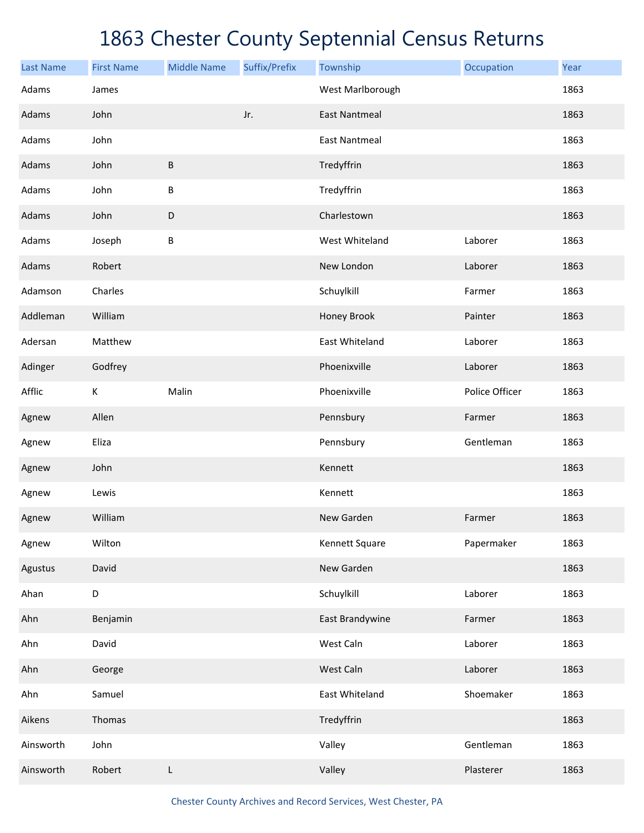| <b>Last Name</b> | <b>First Name</b> | <b>Middle Name</b> | Suffix/Prefix | Township             | Occupation     | Year |
|------------------|-------------------|--------------------|---------------|----------------------|----------------|------|
| Adams            | James             |                    |               | West Marlborough     |                | 1863 |
| Adams            | John              |                    | Jr.           | <b>East Nantmeal</b> |                | 1863 |
| Adams            | John              |                    |               | <b>East Nantmeal</b> |                | 1863 |
| Adams            | John              | $\sf B$            |               | Tredyffrin           |                | 1863 |
| Adams            | John              | $\sf B$            |               | Tredyffrin           |                | 1863 |
| Adams            | John              | $\mathsf D$        |               | Charlestown          |                | 1863 |
| Adams            | Joseph            | $\sf B$            |               | West Whiteland       | Laborer        | 1863 |
| Adams            | Robert            |                    |               | New London           | Laborer        | 1863 |
| Adamson          | Charles           |                    |               | Schuylkill           | Farmer         | 1863 |
| Addleman         | William           |                    |               | Honey Brook          | Painter        | 1863 |
| Adersan          | Matthew           |                    |               | East Whiteland       | Laborer        | 1863 |
| Adinger          | Godfrey           |                    |               | Phoenixville         | Laborer        | 1863 |
| Afflic           | К                 | Malin              |               | Phoenixville         | Police Officer | 1863 |
| Agnew            | Allen             |                    |               | Pennsbury            | Farmer         | 1863 |
| Agnew            | Eliza             |                    |               | Pennsbury            | Gentleman      | 1863 |
| Agnew            | John              |                    |               | Kennett              |                | 1863 |
| Agnew            | Lewis             |                    |               | Kennett              |                | 1863 |
| Agnew            | William           |                    |               | New Garden           | Farmer         | 1863 |
| Agnew            | Wilton            |                    |               | Kennett Square       | Papermaker     | 1863 |
| Agustus          | David             |                    |               | New Garden           |                | 1863 |
| Ahan             | D                 |                    |               | Schuylkill           | Laborer        | 1863 |
| Ahn              | Benjamin          |                    |               | East Brandywine      | Farmer         | 1863 |
| Ahn              | David             |                    |               | West Caln            | Laborer        | 1863 |
| Ahn              | George            |                    |               | West Caln            | Laborer        | 1863 |
| Ahn              | Samuel            |                    |               | East Whiteland       | Shoemaker      | 1863 |
| Aikens           | Thomas            |                    |               | Tredyffrin           |                | 1863 |
| Ainsworth        | John              |                    |               | Valley               | Gentleman      | 1863 |
| Ainsworth        | Robert            | L                  |               | Valley               | Plasterer      | 1863 |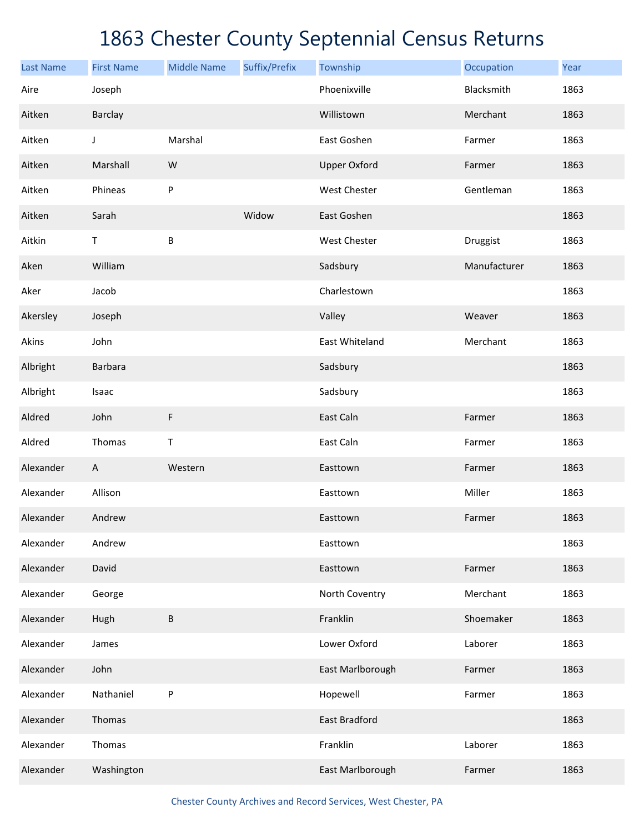| <b>Last Name</b> | <b>First Name</b>         | <b>Middle Name</b> | Suffix/Prefix | Township            | Occupation   | Year |
|------------------|---------------------------|--------------------|---------------|---------------------|--------------|------|
| Aire             | Joseph                    |                    |               | Phoenixville        | Blacksmith   | 1863 |
| Aitken           | <b>Barclay</b>            |                    |               | Willistown          | Merchant     | 1863 |
| Aitken           | J                         | Marshal            |               | East Goshen         | Farmer       | 1863 |
| Aitken           | Marshall                  | W                  |               | <b>Upper Oxford</b> | Farmer       | 1863 |
| Aitken           | Phineas                   | P                  |               | West Chester        | Gentleman    | 1863 |
| Aitken           | Sarah                     |                    | Widow         | East Goshen         |              | 1863 |
| Aitkin           | $\mathsf T$               | B                  |               | West Chester        | Druggist     | 1863 |
| Aken             | William                   |                    |               | Sadsbury            | Manufacturer | 1863 |
| Aker             | Jacob                     |                    |               | Charlestown         |              | 1863 |
| Akersley         | Joseph                    |                    |               | Valley              | Weaver       | 1863 |
| Akins            | John                      |                    |               | East Whiteland      | Merchant     | 1863 |
| Albright         | Barbara                   |                    |               | Sadsbury            |              | 1863 |
| Albright         | Isaac                     |                    |               | Sadsbury            |              | 1863 |
| Aldred           | John                      | F                  |               | East Caln           | Farmer       | 1863 |
| Aldred           | Thomas                    | Т                  |               | East Caln           | Farmer       | 1863 |
| Alexander        | $\boldsymbol{\mathsf{A}}$ | Western            |               | Easttown            | Farmer       | 1863 |
| Alexander        | Allison                   |                    |               | Easttown            | Miller       | 1863 |
| Alexander        | Andrew                    |                    |               | Easttown            | Farmer       | 1863 |
| Alexander        | Andrew                    |                    |               | Easttown            |              | 1863 |
| Alexander        | David                     |                    |               | Easttown            | Farmer       | 1863 |
| Alexander        | George                    |                    |               | North Coventry      | Merchant     | 1863 |
| Alexander        | Hugh                      | B                  |               | Franklin            | Shoemaker    | 1863 |
| Alexander        | James                     |                    |               | Lower Oxford        | Laborer      | 1863 |
| Alexander        | John                      |                    |               | East Marlborough    | Farmer       | 1863 |
| Alexander        | Nathaniel                 | P                  |               | Hopewell            | Farmer       | 1863 |
| Alexander        | Thomas                    |                    |               | East Bradford       |              | 1863 |
| Alexander        | Thomas                    |                    |               | Franklin            | Laborer      | 1863 |
| Alexander        | Washington                |                    |               | East Marlborough    | Farmer       | 1863 |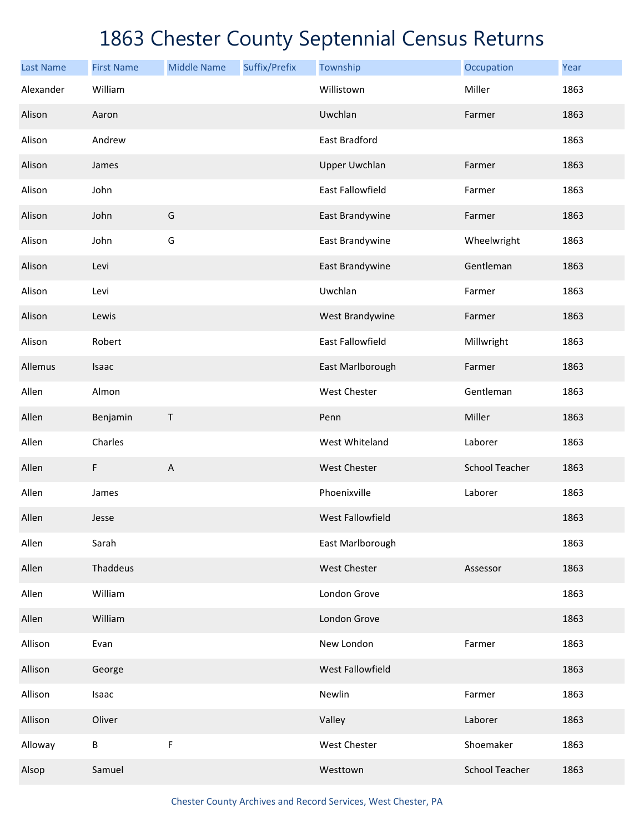| <b>Last Name</b> | <b>First Name</b> | <b>Middle Name</b>        | Suffix/Prefix | Township                | Occupation            | Year |
|------------------|-------------------|---------------------------|---------------|-------------------------|-----------------------|------|
| Alexander        | William           |                           |               | Willistown              | Miller                | 1863 |
| Alison           | Aaron             |                           |               | Uwchlan                 | Farmer                | 1863 |
| Alison           | Andrew            |                           |               | East Bradford           |                       | 1863 |
| Alison           | James             |                           |               | <b>Upper Uwchlan</b>    | Farmer                | 1863 |
| Alison           | John              |                           |               | East Fallowfield        | Farmer                | 1863 |
| Alison           | John              | G                         |               | East Brandywine         | Farmer                | 1863 |
| Alison           | John              | G                         |               | East Brandywine         | Wheelwright           | 1863 |
| Alison           | Levi              |                           |               | East Brandywine         | Gentleman             | 1863 |
| Alison           | Levi              |                           |               | Uwchlan                 | Farmer                | 1863 |
| Alison           | Lewis             |                           |               | West Brandywine         | Farmer                | 1863 |
| Alison           | Robert            |                           |               | East Fallowfield        | Millwright            | 1863 |
| Allemus          | Isaac             |                           |               | East Marlborough        | Farmer                | 1863 |
| Allen            | Almon             |                           |               | West Chester            | Gentleman             | 1863 |
| Allen            | Benjamin          | $\top$                    |               | Penn                    | Miller                | 1863 |
| Allen            | Charles           |                           |               | West Whiteland          | Laborer               | 1863 |
| Allen            | $\mathsf F$       | $\boldsymbol{\mathsf{A}}$ |               | <b>West Chester</b>     | <b>School Teacher</b> | 1863 |
| Allen            | James             |                           |               | Phoenixville            | Laborer               | 1863 |
| Allen            | Jesse             |                           |               | <b>West Fallowfield</b> |                       | 1863 |
| Allen            | Sarah             |                           |               | East Marlborough        |                       | 1863 |
| Allen            | Thaddeus          |                           |               | West Chester            | Assessor              | 1863 |
| Allen            | William           |                           |               | London Grove            |                       | 1863 |
| Allen            | William           |                           |               | London Grove            |                       | 1863 |
| Allison          | Evan              |                           |               | New London              | Farmer                | 1863 |
| Allison          | George            |                           |               | West Fallowfield        |                       | 1863 |
| Allison          | Isaac             |                           |               | Newlin                  | Farmer                | 1863 |
| Allison          | Oliver            |                           |               | Valley                  | Laborer               | 1863 |
| Alloway          | $\sf B$           | F                         |               | West Chester            | Shoemaker             | 1863 |
| Alsop            | Samuel            |                           |               | Westtown                | <b>School Teacher</b> | 1863 |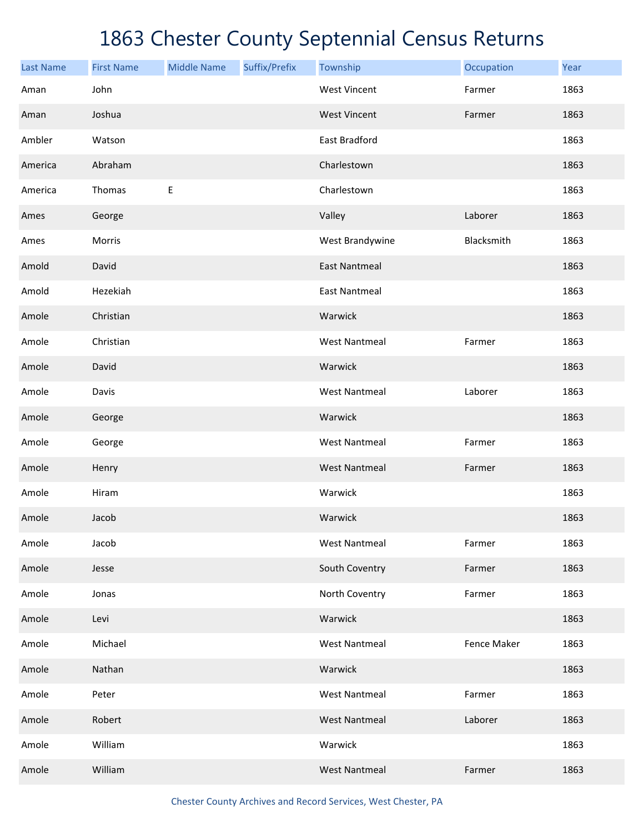| <b>Last Name</b> | <b>First Name</b> | <b>Middle Name</b> | Suffix/Prefix | Township             | Occupation  | Year |
|------------------|-------------------|--------------------|---------------|----------------------|-------------|------|
| Aman             | John              |                    |               | <b>West Vincent</b>  | Farmer      | 1863 |
| Aman             | Joshua            |                    |               | <b>West Vincent</b>  | Farmer      | 1863 |
| Ambler           | Watson            |                    |               | East Bradford        |             | 1863 |
| America          | Abraham           |                    |               | Charlestown          |             | 1863 |
| America          | Thomas            | Е                  |               | Charlestown          |             | 1863 |
| Ames             | George            |                    |               | Valley               | Laborer     | 1863 |
| Ames             | Morris            |                    |               | West Brandywine      | Blacksmith  | 1863 |
| Amold            | David             |                    |               | <b>East Nantmeal</b> |             | 1863 |
| Amold            | Hezekiah          |                    |               | <b>East Nantmeal</b> |             | 1863 |
| Amole            | Christian         |                    |               | Warwick              |             | 1863 |
| Amole            | Christian         |                    |               | <b>West Nantmeal</b> | Farmer      | 1863 |
| Amole            | David             |                    |               | Warwick              |             | 1863 |
| Amole            | Davis             |                    |               | <b>West Nantmeal</b> | Laborer     | 1863 |
| Amole            | George            |                    |               | Warwick              |             | 1863 |
| Amole            | George            |                    |               | <b>West Nantmeal</b> | Farmer      | 1863 |
| Amole            | Henry             |                    |               | <b>West Nantmeal</b> | Farmer      | 1863 |
| Amole            | Hiram             |                    |               | Warwick              |             | 1863 |
| Amole            | Jacob             |                    |               | Warwick              |             | 1863 |
| Amole            | Jacob             |                    |               | <b>West Nantmeal</b> | Farmer      | 1863 |
| Amole            | Jesse             |                    |               | South Coventry       | Farmer      | 1863 |
| Amole            | Jonas             |                    |               | North Coventry       | Farmer      | 1863 |
| Amole            | Levi              |                    |               | Warwick              |             | 1863 |
| Amole            | Michael           |                    |               | <b>West Nantmeal</b> | Fence Maker | 1863 |
| Amole            | Nathan            |                    |               | Warwick              |             | 1863 |
| Amole            | Peter             |                    |               | <b>West Nantmeal</b> | Farmer      | 1863 |
| Amole            | Robert            |                    |               | <b>West Nantmeal</b> | Laborer     | 1863 |
| Amole            | William           |                    |               | Warwick              |             | 1863 |
| Amole            | William           |                    |               | <b>West Nantmeal</b> | Farmer      | 1863 |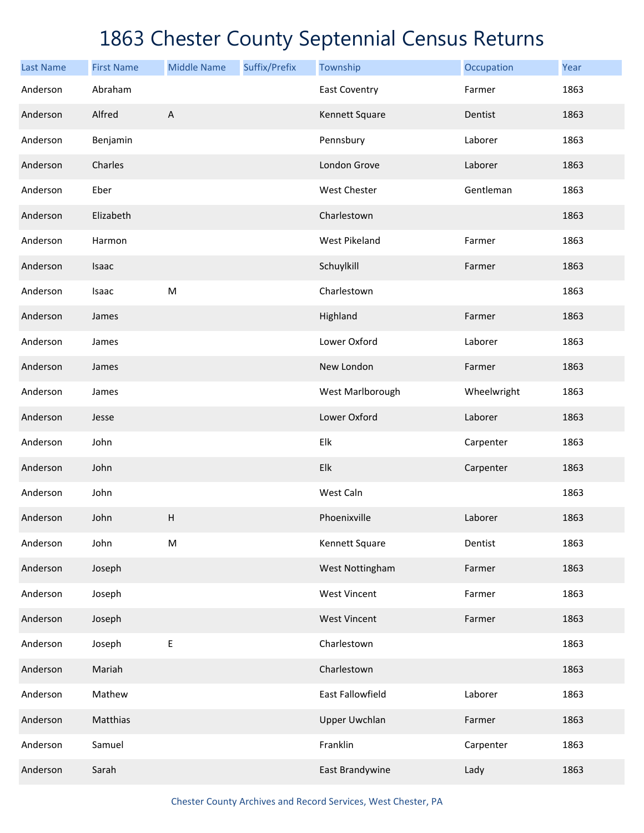| <b>Last Name</b> | <b>First Name</b> | <b>Middle Name</b>        | Suffix/Prefix | Township             | Occupation  | Year |
|------------------|-------------------|---------------------------|---------------|----------------------|-------------|------|
| Anderson         | Abraham           |                           |               | <b>East Coventry</b> | Farmer      | 1863 |
| Anderson         | Alfred            | $\mathsf{A}$              |               | Kennett Square       | Dentist     | 1863 |
| Anderson         | Benjamin          |                           |               | Pennsbury            | Laborer     | 1863 |
| Anderson         | Charles           |                           |               | London Grove         | Laborer     | 1863 |
| Anderson         | Eber              |                           |               | West Chester         | Gentleman   | 1863 |
| Anderson         | Elizabeth         |                           |               | Charlestown          |             | 1863 |
| Anderson         | Harmon            |                           |               | West Pikeland        | Farmer      | 1863 |
| Anderson         | Isaac             |                           |               | Schuylkill           | Farmer      | 1863 |
| Anderson         | Isaac             | ${\sf M}$                 |               | Charlestown          |             | 1863 |
| Anderson         | James             |                           |               | Highland             | Farmer      | 1863 |
| Anderson         | James             |                           |               | Lower Oxford         | Laborer     | 1863 |
| Anderson         | James             |                           |               | New London           | Farmer      | 1863 |
| Anderson         | James             |                           |               | West Marlborough     | Wheelwright | 1863 |
| Anderson         | Jesse             |                           |               | Lower Oxford         | Laborer     | 1863 |
| Anderson         | John              |                           |               | Elk                  | Carpenter   | 1863 |
| Anderson         | John              |                           |               | Elk                  | Carpenter   | 1863 |
| Anderson         | John              |                           |               | West Caln            |             | 1863 |
| Anderson         | John              | $\boldsymbol{\mathsf{H}}$ |               | Phoenixville         | Laborer     | 1863 |
| Anderson         | John              | ${\sf M}$                 |               | Kennett Square       | Dentist     | 1863 |
| Anderson         | Joseph            |                           |               | West Nottingham      | Farmer      | 1863 |
| Anderson         | Joseph            |                           |               | <b>West Vincent</b>  | Farmer      | 1863 |
| Anderson         | Joseph            |                           |               | <b>West Vincent</b>  | Farmer      | 1863 |
| Anderson         | Joseph            | E                         |               | Charlestown          |             | 1863 |
| Anderson         | Mariah            |                           |               | Charlestown          |             | 1863 |
| Anderson         | Mathew            |                           |               | East Fallowfield     | Laborer     | 1863 |
| Anderson         | Matthias          |                           |               | <b>Upper Uwchlan</b> | Farmer      | 1863 |
| Anderson         | Samuel            |                           |               | Franklin             | Carpenter   | 1863 |
| Anderson         | Sarah             |                           |               | East Brandywine      | Lady        | 1863 |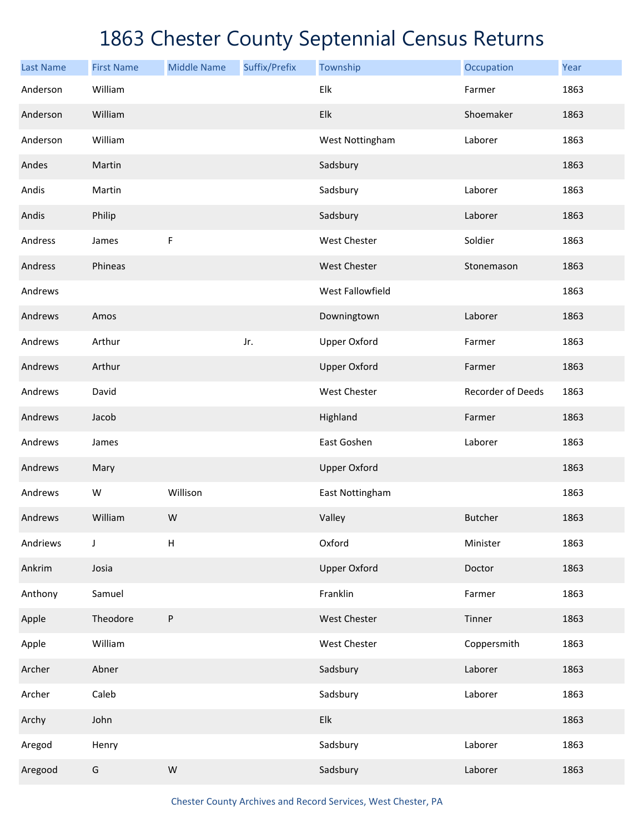| <b>Last Name</b> | <b>First Name</b> | <b>Middle Name</b>        | Suffix/Prefix | Township                  | Occupation        | Year |
|------------------|-------------------|---------------------------|---------------|---------------------------|-------------------|------|
| Anderson         | William           |                           |               | Elk                       | Farmer            | 1863 |
| Anderson         | William           |                           |               | Elk                       | Shoemaker         | 1863 |
| Anderson         | William           |                           |               | West Nottingham           | Laborer           | 1863 |
| Andes            | Martin            |                           |               | Sadsbury                  |                   | 1863 |
| Andis            | Martin            |                           |               | Sadsbury                  | Laborer           | 1863 |
| Andis            | Philip            |                           |               | Sadsbury                  | Laborer           | 1863 |
| Andress          | James             | F                         |               | West Chester              | Soldier           | 1863 |
| Andress          | Phineas           |                           |               | <b>West Chester</b>       | Stonemason        | 1863 |
| Andrews          |                   |                           |               | West Fallowfield          |                   | 1863 |
| Andrews          | Amos              |                           |               | Downingtown               | Laborer           | 1863 |
| Andrews          | Arthur            |                           | Jr.           | <b>Upper Oxford</b>       | Farmer            | 1863 |
| Andrews          | Arthur            |                           |               | <b>Upper Oxford</b>       | Farmer            | 1863 |
| Andrews          | David             |                           |               | West Chester              | Recorder of Deeds | 1863 |
| Andrews          | Jacob             |                           |               | Highland                  | Farmer            | 1863 |
| Andrews          | James             |                           |               | East Goshen               | Laborer           | 1863 |
| Andrews          | Mary              |                           |               | <b>Upper Oxford</b>       |                   | 1863 |
| Andrews          | W                 | Willison                  |               | East Nottingham           |                   | 1863 |
| Andrews          | William           | W                         |               | Valley                    | <b>Butcher</b>    | 1863 |
| Andriews         | J                 | $\boldsymbol{\mathsf{H}}$ |               | Oxford                    | Minister          | 1863 |
| Ankrim           | Josia             |                           |               | <b>Upper Oxford</b>       | Doctor            | 1863 |
| Anthony          | Samuel            |                           |               | Franklin                  | Farmer            | 1863 |
| Apple            | Theodore          | $\sf P$                   |               | West Chester              | Tinner            | 1863 |
| Apple            | William           |                           |               | West Chester              | Coppersmith       | 1863 |
| Archer           | Abner             |                           |               | Sadsbury                  | Laborer           | 1863 |
| Archer           | Caleb             |                           |               | Sadsbury                  | Laborer           | 1863 |
| Archy            | John              |                           |               | ${\sf E} {\sf I} {\sf k}$ |                   | 1863 |
| Aregod           | Henry             |                           |               | Sadsbury                  | Laborer           | 1863 |
| Aregood          | ${\mathsf G}$     | ${\sf W}$                 |               | Sadsbury                  | Laborer           | 1863 |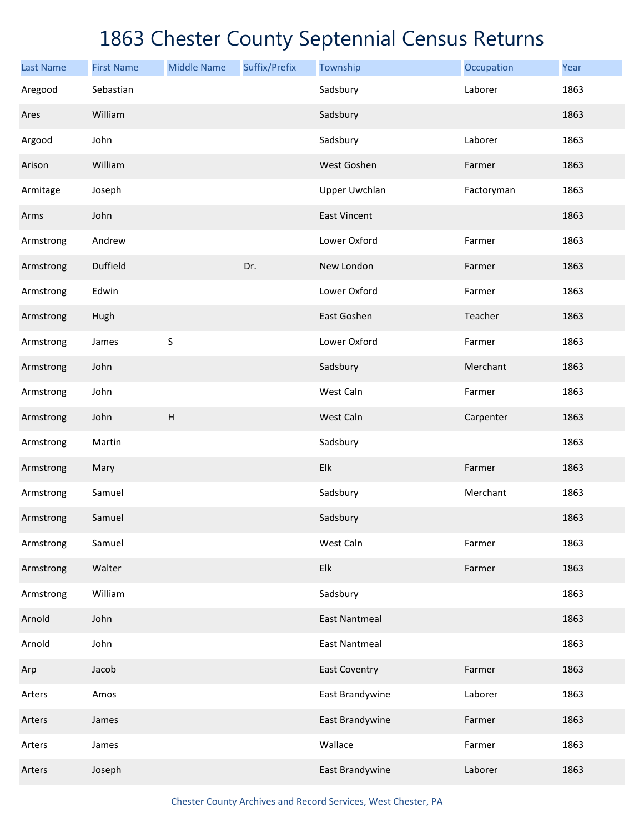| <b>Last Name</b> | <b>First Name</b> | <b>Middle Name</b>        | Suffix/Prefix | Township             | Occupation | Year |
|------------------|-------------------|---------------------------|---------------|----------------------|------------|------|
| Aregood          | Sebastian         |                           |               | Sadsbury             | Laborer    | 1863 |
| Ares             | William           |                           |               | Sadsbury             |            | 1863 |
| Argood           | John              |                           |               | Sadsbury             | Laborer    | 1863 |
| Arison           | William           |                           |               | West Goshen          | Farmer     | 1863 |
| Armitage         | Joseph            |                           |               | <b>Upper Uwchlan</b> | Factoryman | 1863 |
| Arms             | John              |                           |               | <b>East Vincent</b>  |            | 1863 |
| Armstrong        | Andrew            |                           |               | Lower Oxford         | Farmer     | 1863 |
| Armstrong        | Duffield          |                           | Dr.           | New London           | Farmer     | 1863 |
| Armstrong        | Edwin             |                           |               | Lower Oxford         | Farmer     | 1863 |
| Armstrong        | Hugh              |                           |               | East Goshen          | Teacher    | 1863 |
| Armstrong        | James             | $\sf S$                   |               | Lower Oxford         | Farmer     | 1863 |
| Armstrong        | John              |                           |               | Sadsbury             | Merchant   | 1863 |
| Armstrong        | John              |                           |               | West Caln            | Farmer     | 1863 |
| Armstrong        | John              | $\boldsymbol{\mathsf{H}}$ |               | West Caln            | Carpenter  | 1863 |
| Armstrong        | Martin            |                           |               | Sadsbury             |            | 1863 |
| Armstrong        | Mary              |                           |               | Elk                  | Farmer     | 1863 |
| Armstrong        | Samuel            |                           |               | Sadsbury             | Merchant   | 1863 |
| Armstrong        | Samuel            |                           |               | Sadsbury             |            | 1863 |
| Armstrong        | Samuel            |                           |               | West Caln            | Farmer     | 1863 |
| Armstrong        | Walter            |                           |               | Elk                  | Farmer     | 1863 |
| Armstrong        | William           |                           |               | Sadsbury             |            | 1863 |
| Arnold           | John              |                           |               | <b>East Nantmeal</b> |            | 1863 |
| Arnold           | John              |                           |               | <b>East Nantmeal</b> |            | 1863 |
| Arp              | Jacob             |                           |               | <b>East Coventry</b> | Farmer     | 1863 |
| Arters           | Amos              |                           |               | East Brandywine      | Laborer    | 1863 |
| Arters           | James             |                           |               | East Brandywine      | Farmer     | 1863 |
| Arters           | James             |                           |               | Wallace              | Farmer     | 1863 |
| Arters           | Joseph            |                           |               | East Brandywine      | Laborer    | 1863 |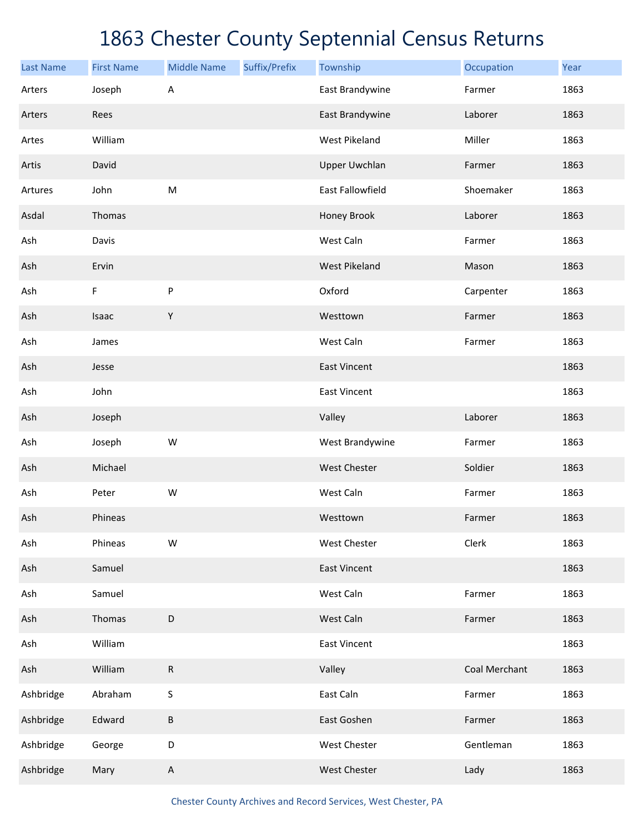| <b>Last Name</b> | <b>First Name</b> | <b>Middle Name</b> | Suffix/Prefix | Township             | Occupation    | Year |
|------------------|-------------------|--------------------|---------------|----------------------|---------------|------|
| Arters           | Joseph            | A                  |               | East Brandywine      | Farmer        | 1863 |
| Arters           | Rees              |                    |               | East Brandywine      | Laborer       | 1863 |
| Artes            | William           |                    |               | <b>West Pikeland</b> | Miller        | 1863 |
| Artis            | David             |                    |               | <b>Upper Uwchlan</b> | Farmer        | 1863 |
| Artures          | John              | ${\sf M}$          |               | East Fallowfield     | Shoemaker     | 1863 |
| Asdal            | Thomas            |                    |               | Honey Brook          | Laborer       | 1863 |
| Ash              | Davis             |                    |               | West Caln            | Farmer        | 1863 |
| Ash              | Ervin             |                    |               | <b>West Pikeland</b> | Mason         | 1863 |
| Ash              | F                 | ${\sf P}$          |               | Oxford               | Carpenter     | 1863 |
| Ash              | Isaac             | Υ                  |               | Westtown             | Farmer        | 1863 |
| Ash              | James             |                    |               | West Caln            | Farmer        | 1863 |
| Ash              | Jesse             |                    |               | <b>East Vincent</b>  |               | 1863 |
| Ash              | John              |                    |               | <b>East Vincent</b>  |               | 1863 |
| Ash              | Joseph            |                    |               | Valley               | Laborer       | 1863 |
| Ash              | Joseph            | W                  |               | West Brandywine      | Farmer        | 1863 |
| Ash              | Michael           |                    |               | West Chester         | Soldier       | 1863 |
| Ash              | Peter             | W                  |               | West Caln            | Farmer        | 1863 |
| Ash              | Phineas           |                    |               | Westtown             | Farmer        | 1863 |
| Ash              | Phineas           | W                  |               | West Chester         | Clerk         | 1863 |
| Ash              | Samuel            |                    |               | <b>East Vincent</b>  |               | 1863 |
| Ash              | Samuel            |                    |               | West Caln            | Farmer        | 1863 |
| Ash              | Thomas            | D                  |               | West Caln            | Farmer        | 1863 |
| Ash              | William           |                    |               | <b>East Vincent</b>  |               | 1863 |
| Ash              | William           | ${\sf R}$          |               | Valley               | Coal Merchant | 1863 |
| Ashbridge        | Abraham           | S                  |               | East Caln            | Farmer        | 1863 |
| Ashbridge        | Edward            | B                  |               | East Goshen          | Farmer        | 1863 |
| Ashbridge        | George            | D                  |               | West Chester         | Gentleman     | 1863 |
| Ashbridge        | Mary              | A                  |               | West Chester         | Lady          | 1863 |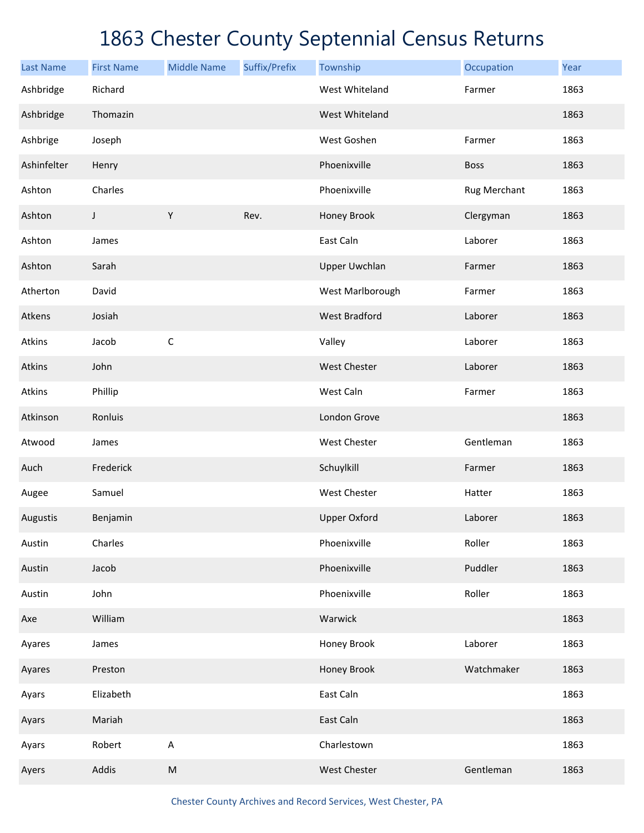| <b>Last Name</b> | <b>First Name</b> | <b>Middle Name</b> | Suffix/Prefix | Township             | Occupation   | Year |
|------------------|-------------------|--------------------|---------------|----------------------|--------------|------|
| Ashbridge        | Richard           |                    |               | West Whiteland       | Farmer       | 1863 |
| Ashbridge        | Thomazin          |                    |               | West Whiteland       |              | 1863 |
| Ashbrige         | Joseph            |                    |               | West Goshen          | Farmer       | 1863 |
| Ashinfelter      | Henry             |                    |               | Phoenixville         | <b>Boss</b>  | 1863 |
| Ashton           | Charles           |                    |               | Phoenixville         | Rug Merchant | 1863 |
| Ashton           | J                 | Υ                  | Rev.          | Honey Brook          | Clergyman    | 1863 |
| Ashton           | James             |                    |               | East Caln            | Laborer      | 1863 |
| Ashton           | Sarah             |                    |               | <b>Upper Uwchlan</b> | Farmer       | 1863 |
| Atherton         | David             |                    |               | West Marlborough     | Farmer       | 1863 |
| Atkens           | Josiah            |                    |               | <b>West Bradford</b> | Laborer      | 1863 |
| Atkins           | Jacob             | $\mathsf C$        |               | Valley               | Laborer      | 1863 |
| Atkins           | John              |                    |               | <b>West Chester</b>  | Laborer      | 1863 |
| Atkins           | Phillip           |                    |               | West Caln            | Farmer       | 1863 |
| Atkinson         | Ronluis           |                    |               | London Grove         |              | 1863 |
| Atwood           | James             |                    |               | West Chester         | Gentleman    | 1863 |
| Auch             | Frederick         |                    |               | Schuylkill           | Farmer       | 1863 |
| Augee            | Samuel            |                    |               | West Chester         | Hatter       | 1863 |
| Augustis         | Benjamin          |                    |               | <b>Upper Oxford</b>  | Laborer      | 1863 |
| Austin           | Charles           |                    |               | Phoenixville         | Roller       | 1863 |
| Austin           | Jacob             |                    |               | Phoenixville         | Puddler      | 1863 |
| Austin           | John              |                    |               | Phoenixville         | Roller       | 1863 |
| Axe              | William           |                    |               | Warwick              |              | 1863 |
| Ayares           | James             |                    |               | Honey Brook          | Laborer      | 1863 |
| Ayares           | Preston           |                    |               | Honey Brook          | Watchmaker   | 1863 |
| Ayars            | Elizabeth         |                    |               | East Caln            |              | 1863 |
| Ayars            | Mariah            |                    |               | East Caln            |              | 1863 |
| Ayars            | Robert            | A                  |               | Charlestown          |              | 1863 |
| Ayers            | Addis             | ${\sf M}$          |               | West Chester         | Gentleman    | 1863 |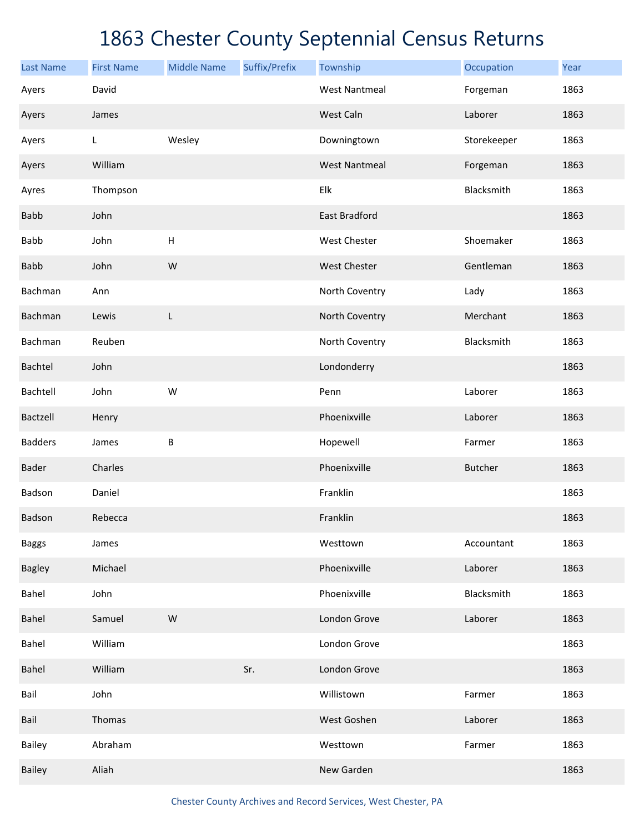| <b>Last Name</b> | <b>First Name</b> | <b>Middle Name</b>        | Suffix/Prefix | Township             | Occupation     | Year |
|------------------|-------------------|---------------------------|---------------|----------------------|----------------|------|
| Ayers            | David             |                           |               | <b>West Nantmeal</b> | Forgeman       | 1863 |
| Ayers            | James             |                           |               | West Caln            | Laborer        | 1863 |
| Ayers            | L                 | Wesley                    |               | Downingtown          | Storekeeper    | 1863 |
| Ayers            | William           |                           |               | <b>West Nantmeal</b> | Forgeman       | 1863 |
| Ayres            | Thompson          |                           |               | Elk                  | Blacksmith     | 1863 |
| <b>Babb</b>      | John              |                           |               | East Bradford        |                | 1863 |
| <b>Babb</b>      | John              | $\boldsymbol{\mathsf{H}}$ |               | West Chester         | Shoemaker      | 1863 |
| <b>Babb</b>      | John              | W                         |               | <b>West Chester</b>  | Gentleman      | 1863 |
| Bachman          | Ann               |                           |               | North Coventry       | Lady           | 1863 |
| Bachman          | Lewis             | L                         |               | North Coventry       | Merchant       | 1863 |
| Bachman          | Reuben            |                           |               | North Coventry       | Blacksmith     | 1863 |
| Bachtel          | John              |                           |               | Londonderry          |                | 1863 |
| Bachtell         | John              | W                         |               | Penn                 | Laborer        | 1863 |
| Bactzell         | Henry             |                           |               | Phoenixville         | Laborer        | 1863 |
| <b>Badders</b>   | James             | B                         |               | Hopewell             | Farmer         | 1863 |
| Bader            | Charles           |                           |               | Phoenixville         | <b>Butcher</b> | 1863 |
| Badson           | Daniel            |                           |               | Franklin             |                | 1863 |
| Badson           | Rebecca           |                           |               | Franklin             |                | 1863 |
| <b>Baggs</b>     | James             |                           |               | Westtown             | Accountant     | 1863 |
| <b>Bagley</b>    | Michael           |                           |               | Phoenixville         | Laborer        | 1863 |
| Bahel            | John              |                           |               | Phoenixville         | Blacksmith     | 1863 |
| Bahel            | Samuel            | W                         |               | London Grove         | Laborer        | 1863 |
| Bahel            | William           |                           |               | London Grove         |                | 1863 |
| Bahel            | William           |                           | Sr.           | London Grove         |                | 1863 |
| Bail             | John              |                           |               | Willistown           | Farmer         | 1863 |
| Bail             | Thomas            |                           |               | West Goshen          | Laborer        | 1863 |
| Bailey           | Abraham           |                           |               | Westtown             | Farmer         | 1863 |
| <b>Bailey</b>    | Aliah             |                           |               | New Garden           |                | 1863 |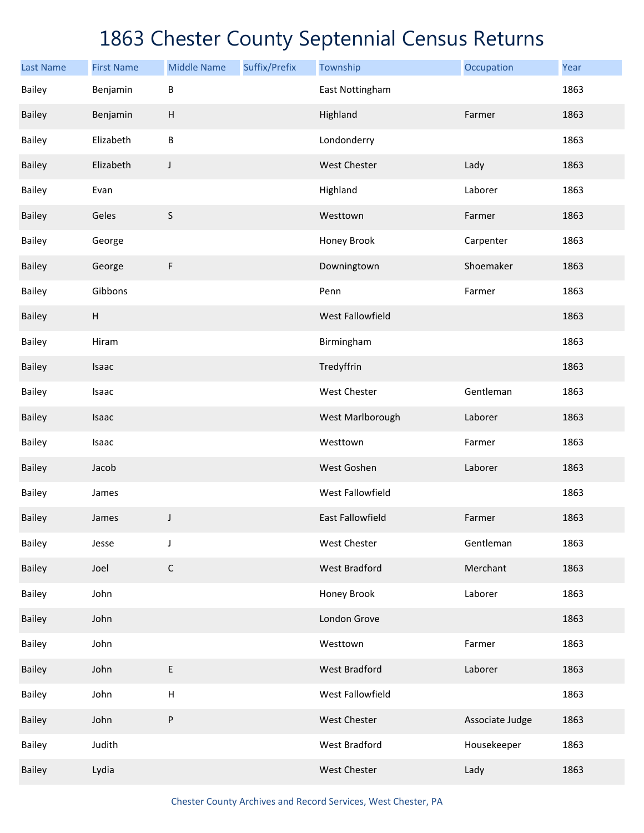| <b>Last Name</b> | <b>First Name</b>         | <b>Middle Name</b> | Suffix/Prefix | Township                | Occupation      | Year |
|------------------|---------------------------|--------------------|---------------|-------------------------|-----------------|------|
| Bailey           | Benjamin                  | B                  |               | East Nottingham         |                 | 1863 |
| <b>Bailey</b>    | Benjamin                  | H                  |               | Highland                | Farmer          | 1863 |
| <b>Bailey</b>    | Elizabeth                 | $\sf B$            |               | Londonderry             |                 | 1863 |
| <b>Bailey</b>    | Elizabeth                 | J                  |               | <b>West Chester</b>     | Lady            | 1863 |
| <b>Bailey</b>    | Evan                      |                    |               | Highland                | Laborer         | 1863 |
| <b>Bailey</b>    | Geles                     | $\sf S$            |               | Westtown                | Farmer          | 1863 |
| <b>Bailey</b>    | George                    |                    |               | Honey Brook             | Carpenter       | 1863 |
| <b>Bailey</b>    | George                    | F                  |               | Downingtown             | Shoemaker       | 1863 |
| <b>Bailey</b>    | Gibbons                   |                    |               | Penn                    | Farmer          | 1863 |
| <b>Bailey</b>    | $\boldsymbol{\mathsf{H}}$ |                    |               | West Fallowfield        |                 | 1863 |
| <b>Bailey</b>    | Hiram                     |                    |               | Birmingham              |                 | 1863 |
| <b>Bailey</b>    | Isaac                     |                    |               | Tredyffrin              |                 | 1863 |
| <b>Bailey</b>    | Isaac                     |                    |               | West Chester            | Gentleman       | 1863 |
| <b>Bailey</b>    | Isaac                     |                    |               | West Marlborough        | Laborer         | 1863 |
| <b>Bailey</b>    | Isaac                     |                    |               | Westtown                | Farmer          | 1863 |
| <b>Bailey</b>    | Jacob                     |                    |               | West Goshen             | Laborer         | 1863 |
| Bailey           | James                     |                    |               | <b>West Fallowfield</b> |                 | 1863 |
| <b>Bailey</b>    | James                     | J                  |               | <b>East Fallowfield</b> | Farmer          | 1863 |
| Bailey           | Jesse                     | J                  |               | West Chester            | Gentleman       | 1863 |
| <b>Bailey</b>    | Joel                      | $\mathsf C$        |               | <b>West Bradford</b>    | Merchant        | 1863 |
| Bailey           | John                      |                    |               | Honey Brook             | Laborer         | 1863 |
| Bailey           | John                      |                    |               | London Grove            |                 | 1863 |
| Bailey           | John                      |                    |               | Westtown                | Farmer          | 1863 |
| Bailey           | John                      | E                  |               | <b>West Bradford</b>    | Laborer         | 1863 |
| Bailey           | John                      | H                  |               | West Fallowfield        |                 | 1863 |
| Bailey           | John                      | ${\sf P}$          |               | West Chester            | Associate Judge | 1863 |
| Bailey           | Judith                    |                    |               | West Bradford           | Housekeeper     | 1863 |
| <b>Bailey</b>    | Lydia                     |                    |               | West Chester            | Lady            | 1863 |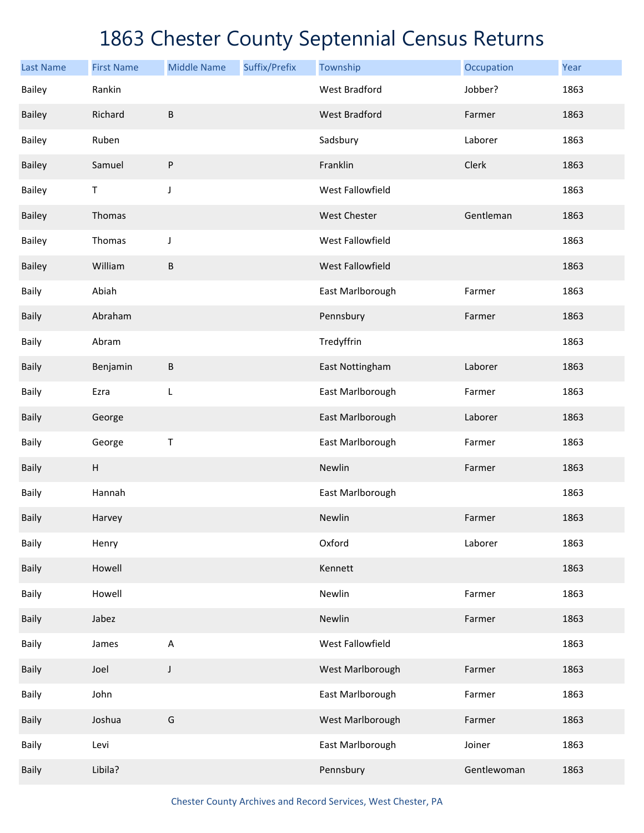| <b>Last Name</b> | <b>First Name</b>         | <b>Middle Name</b> | Suffix/Prefix | Township             | Occupation  | Year |
|------------------|---------------------------|--------------------|---------------|----------------------|-------------|------|
| <b>Bailey</b>    | Rankin                    |                    |               | <b>West Bradford</b> | Jobber?     | 1863 |
| <b>Bailey</b>    | Richard                   | $\sf B$            |               | <b>West Bradford</b> | Farmer      | 1863 |
| <b>Bailey</b>    | Ruben                     |                    |               | Sadsbury             | Laborer     | 1863 |
| <b>Bailey</b>    | Samuel                    | ${\sf P}$          |               | Franklin             | Clerk       | 1863 |
| <b>Bailey</b>    | T                         | J                  |               | West Fallowfield     |             | 1863 |
| <b>Bailey</b>    | Thomas                    |                    |               | West Chester         | Gentleman   | 1863 |
| <b>Bailey</b>    | Thomas                    | J                  |               | West Fallowfield     |             | 1863 |
| <b>Bailey</b>    | William                   | B                  |               | West Fallowfield     |             | 1863 |
| Baily            | Abiah                     |                    |               | East Marlborough     | Farmer      | 1863 |
| Baily            | Abraham                   |                    |               | Pennsbury            | Farmer      | 1863 |
| Baily            | Abram                     |                    |               | Tredyffrin           |             | 1863 |
| Baily            | Benjamin                  | B                  |               | East Nottingham      | Laborer     | 1863 |
| Baily            | Ezra                      | L                  |               | East Marlborough     | Farmer      | 1863 |
| <b>Baily</b>     | George                    |                    |               | East Marlborough     | Laborer     | 1863 |
| Baily            | George                    | Τ                  |               | East Marlborough     | Farmer      | 1863 |
| Baily            | $\boldsymbol{\mathsf{H}}$ |                    |               | Newlin               | Farmer      | 1863 |
| Baily            | Hannah                    |                    |               | East Marlborough     |             | 1863 |
| <b>Baily</b>     | Harvey                    |                    |               | Newlin               | Farmer      | 1863 |
| Baily            | Henry                     |                    |               | Oxford               | Laborer     | 1863 |
| Baily            | Howell                    |                    |               | Kennett              |             | 1863 |
| Baily            | Howell                    |                    |               | Newlin               | Farmer      | 1863 |
| Baily            | Jabez                     |                    |               | Newlin               | Farmer      | 1863 |
| Baily            | James                     | A                  |               | West Fallowfield     |             | 1863 |
| Baily            | Joel                      | J                  |               | West Marlborough     | Farmer      | 1863 |
| Baily            | John                      |                    |               | East Marlborough     | Farmer      | 1863 |
| <b>Baily</b>     | Joshua                    | G                  |               | West Marlborough     | Farmer      | 1863 |
| Baily            | Levi                      |                    |               | East Marlborough     | Joiner      | 1863 |
| Baily            | Libila?                   |                    |               | Pennsbury            | Gentlewoman | 1863 |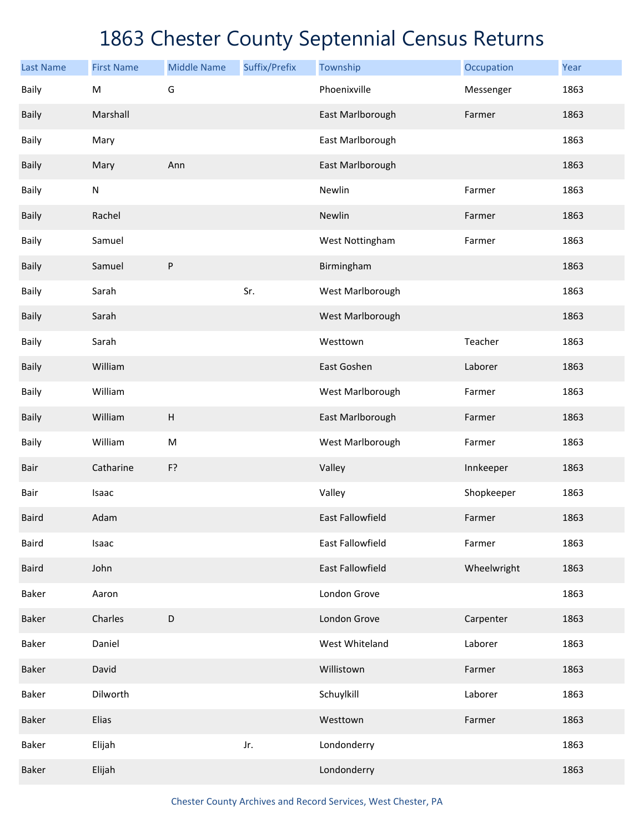| <b>Last Name</b><br><b>Baily</b> | <b>First Name</b><br>${\sf M}$ | <b>Middle Name</b><br>G   | Suffix/Prefix | Township<br>Phoenixville | Occupation<br>Messenger | Year<br>1863 |
|----------------------------------|--------------------------------|---------------------------|---------------|--------------------------|-------------------------|--------------|
|                                  |                                |                           |               |                          |                         |              |
| Baily                            | Marshall                       |                           |               | East Marlborough         | Farmer                  | 1863         |
| Baily                            | Mary                           |                           |               | East Marlborough         |                         | 1863         |
| Baily                            | Mary                           | Ann                       |               | East Marlborough         |                         | 1863         |
| Baily                            | ${\sf N}$                      |                           |               | Newlin                   | Farmer                  | 1863         |
| Baily                            | Rachel                         |                           |               | Newlin                   | Farmer                  | 1863         |
| Baily                            | Samuel                         |                           |               | West Nottingham          | Farmer                  | 1863         |
| <b>Baily</b>                     | Samuel                         | P                         |               | Birmingham               |                         | 1863         |
| Baily                            | Sarah                          |                           | Sr.           | West Marlborough         |                         | 1863         |
| <b>Baily</b>                     | Sarah                          |                           |               | West Marlborough         |                         | 1863         |
| Baily                            | Sarah                          |                           |               | Westtown                 | Teacher                 | 1863         |
| <b>Baily</b>                     | William                        |                           |               | East Goshen              | Laborer                 | 1863         |
| Baily                            | William                        |                           |               | West Marlborough         | Farmer                  | 1863         |
| <b>Baily</b>                     | William                        | $\boldsymbol{\mathsf{H}}$ |               | East Marlborough         | Farmer                  | 1863         |
| Baily                            | William                        | ${\sf M}$                 |               | West Marlborough         | Farmer                  | 1863         |
| Bair                             | Catharine                      | F?                        |               | Valley                   | Innkeeper               | 1863         |
| Bair                             | Isaac                          |                           |               | Valley                   | Shopkeeper              | 1863         |
| <b>Baird</b>                     | Adam                           |                           |               | <b>East Fallowfield</b>  | Farmer                  | 1863         |
| Baird                            | Isaac                          |                           |               | <b>East Fallowfield</b>  | Farmer                  | 1863         |
| <b>Baird</b>                     | John                           |                           |               | East Fallowfield         | Wheelwright             | 1863         |
| Baker                            | Aaron                          |                           |               | London Grove             |                         | 1863         |
| <b>Baker</b>                     | Charles                        | D                         |               | London Grove             | Carpenter               | 1863         |
| Baker                            | Daniel                         |                           |               | West Whiteland           | Laborer                 | 1863         |
| <b>Baker</b>                     | David                          |                           |               | Willistown               | Farmer                  | 1863         |
| Baker                            | Dilworth                       |                           |               | Schuylkill               | Laborer                 | 1863         |
| <b>Baker</b>                     | Elias                          |                           |               | Westtown                 | Farmer                  | 1863         |
| Baker                            | Elijah                         |                           | Jr.           | Londonderry              |                         | 1863         |
| Baker                            | Elijah                         |                           |               | Londonderry              |                         | 1863         |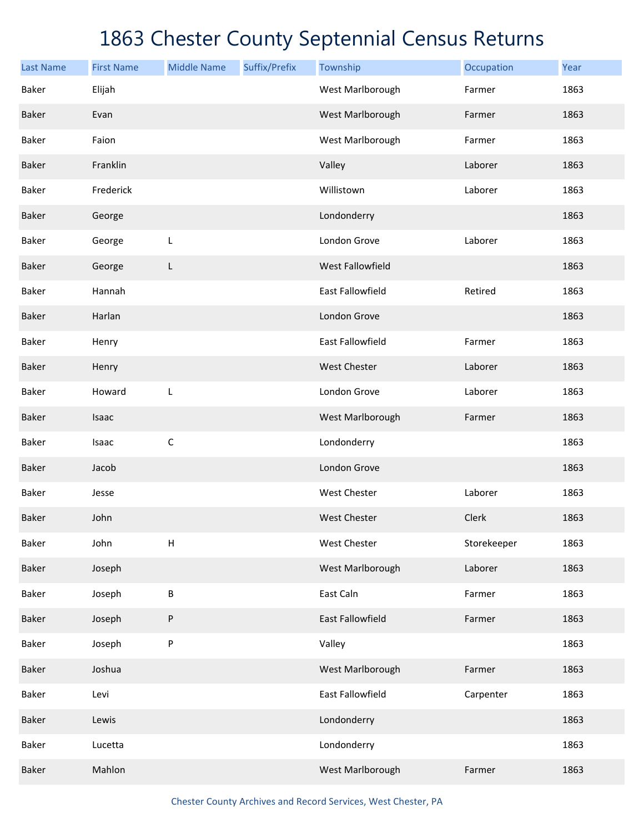| <b>Last Name</b> | <b>First Name</b> | <b>Middle Name</b> | Suffix/Prefix | Township                | Occupation  | Year |
|------------------|-------------------|--------------------|---------------|-------------------------|-------------|------|
| Baker            | Elijah            |                    |               | West Marlborough        | Farmer      | 1863 |
| <b>Baker</b>     | Evan              |                    |               | West Marlborough        | Farmer      | 1863 |
| Baker            | Faion             |                    |               | West Marlborough        | Farmer      | 1863 |
| <b>Baker</b>     | Franklin          |                    |               | Valley                  | Laborer     | 1863 |
| Baker            | Frederick         |                    |               | Willistown              | Laborer     | 1863 |
| <b>Baker</b>     | George            |                    |               | Londonderry             |             | 1863 |
| Baker            | George            | L                  |               | London Grove            | Laborer     | 1863 |
| <b>Baker</b>     | George            | L                  |               | West Fallowfield        |             | 1863 |
| Baker            | Hannah            |                    |               | East Fallowfield        | Retired     | 1863 |
| <b>Baker</b>     | Harlan            |                    |               | London Grove            |             | 1863 |
| Baker            | Henry             |                    |               | <b>East Fallowfield</b> | Farmer      | 1863 |
| <b>Baker</b>     | Henry             |                    |               | West Chester            | Laborer     | 1863 |
| Baker            | Howard            | L                  |               | London Grove            | Laborer     | 1863 |
| <b>Baker</b>     | Isaac             |                    |               | West Marlborough        | Farmer      | 1863 |
| Baker            | Isaac             | $\mathsf C$        |               | Londonderry             |             | 1863 |
| <b>Baker</b>     | Jacob             |                    |               | London Grove            |             | 1863 |
| Baker            | Jesse             |                    |               | West Chester            | Laborer     | 1863 |
| <b>Baker</b>     | John              |                    |               | <b>West Chester</b>     | Clerk       | 1863 |
| Baker            | John              | $\mathsf H$        |               | West Chester            | Storekeeper | 1863 |
| <b>Baker</b>     | Joseph            |                    |               | West Marlborough        | Laborer     | 1863 |
| Baker            | Joseph            | B                  |               | East Caln               | Farmer      | 1863 |
| <b>Baker</b>     | Joseph            | P                  |               | East Fallowfield        | Farmer      | 1863 |
| Baker            | Joseph            | P                  |               | Valley                  |             | 1863 |
| <b>Baker</b>     | Joshua            |                    |               | West Marlborough        | Farmer      | 1863 |
| <b>Baker</b>     | Levi              |                    |               | East Fallowfield        | Carpenter   | 1863 |
| <b>Baker</b>     | Lewis             |                    |               | Londonderry             |             | 1863 |
| Baker            | Lucetta           |                    |               | Londonderry             |             | 1863 |
| <b>Baker</b>     | Mahlon            |                    |               | West Marlborough        | Farmer      | 1863 |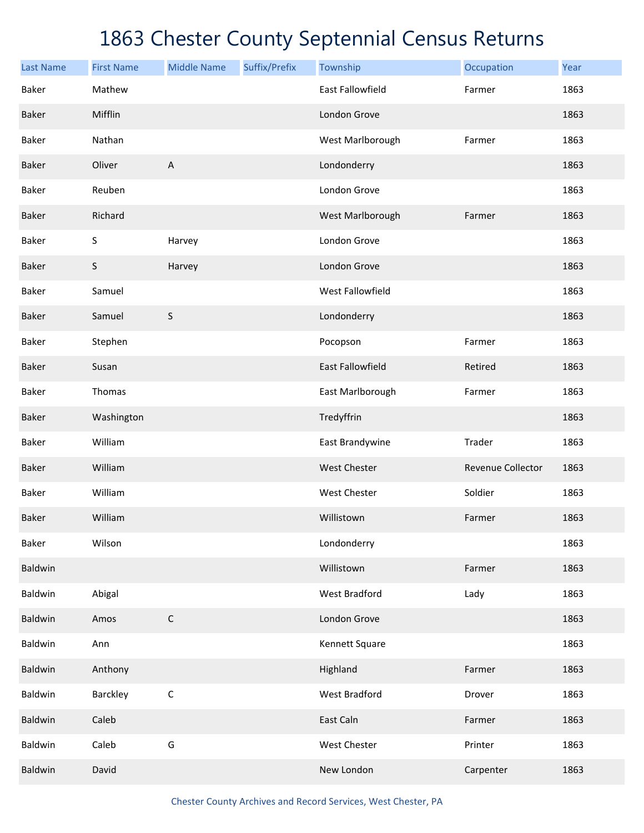| <b>Last Name</b> | <b>First Name</b> | <b>Middle Name</b> | Suffix/Prefix | Township                | Occupation        | Year |
|------------------|-------------------|--------------------|---------------|-------------------------|-------------------|------|
| <b>Baker</b>     | Mathew            |                    |               | <b>East Fallowfield</b> | Farmer            | 1863 |
| <b>Baker</b>     | Mifflin           |                    |               | London Grove            |                   | 1863 |
| Baker            | Nathan            |                    |               | West Marlborough        | Farmer            | 1863 |
| <b>Baker</b>     | Oliver            | A                  |               | Londonderry             |                   | 1863 |
| Baker            | Reuben            |                    |               | London Grove            |                   | 1863 |
| <b>Baker</b>     | Richard           |                    |               | West Marlborough        | Farmer            | 1863 |
| <b>Baker</b>     | S                 | Harvey             |               | London Grove            |                   | 1863 |
| <b>Baker</b>     | $\sf S$           | Harvey             |               | London Grove            |                   | 1863 |
| <b>Baker</b>     | Samuel            |                    |               | West Fallowfield        |                   | 1863 |
| <b>Baker</b>     | Samuel            | $\mathsf S$        |               | Londonderry             |                   | 1863 |
| <b>Baker</b>     | Stephen           |                    |               | Pocopson                | Farmer            | 1863 |
| <b>Baker</b>     | Susan             |                    |               | <b>East Fallowfield</b> | Retired           | 1863 |
| <b>Baker</b>     | Thomas            |                    |               | East Marlborough        | Farmer            | 1863 |
| <b>Baker</b>     | Washington        |                    |               | Tredyffrin              |                   | 1863 |
| <b>Baker</b>     | William           |                    |               | East Brandywine         | Trader            | 1863 |
| <b>Baker</b>     | William           |                    |               | <b>West Chester</b>     | Revenue Collector | 1863 |
| <b>Baker</b>     | William           |                    |               | West Chester            | Soldier           | 1863 |
| Baker            | William           |                    |               | Willistown              | Farmer            | 1863 |
| Baker            | Wilson            |                    |               | Londonderry             |                   | 1863 |
| Baldwin          |                   |                    |               | Willistown              | Farmer            | 1863 |
| Baldwin          | Abigal            |                    |               | West Bradford           | Lady              | 1863 |
| Baldwin          | Amos              | $\mathsf C$        |               | London Grove            |                   | 1863 |
| Baldwin          | Ann               |                    |               | Kennett Square          |                   | 1863 |
| Baldwin          | Anthony           |                    |               | Highland                | Farmer            | 1863 |
| Baldwin          | Barckley          | $\mathsf C$        |               | West Bradford           | Drover            | 1863 |
| Baldwin          | Caleb             |                    |               | East Caln               | Farmer            | 1863 |
| Baldwin          | Caleb             | G                  |               | West Chester            | Printer           | 1863 |
| <b>Baldwin</b>   | David             |                    |               | New London              | Carpenter         | 1863 |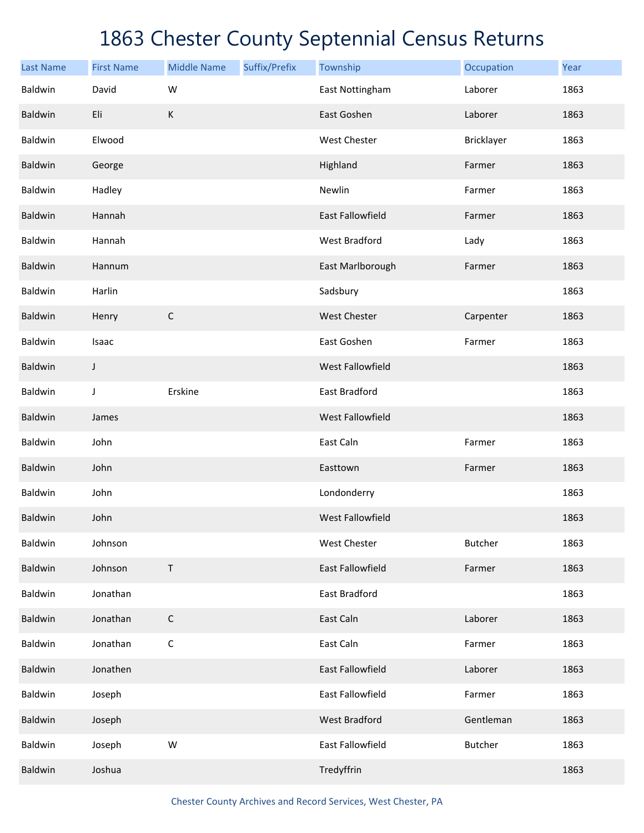| <b>Last Name</b> | <b>First Name</b> | <b>Middle Name</b> | Suffix/Prefix | Township                | Occupation     | Year |
|------------------|-------------------|--------------------|---------------|-------------------------|----------------|------|
| Baldwin          | David             | W                  |               | East Nottingham         | Laborer        | 1863 |
| Baldwin          | Eli               | $\mathsf K$        |               | East Goshen             | Laborer        | 1863 |
| Baldwin          | Elwood            |                    |               | West Chester            | Bricklayer     | 1863 |
| Baldwin          | George            |                    |               | Highland                | Farmer         | 1863 |
| Baldwin          | Hadley            |                    |               | Newlin                  | Farmer         | 1863 |
| <b>Baldwin</b>   | Hannah            |                    |               | <b>East Fallowfield</b> | Farmer         | 1863 |
| Baldwin          | Hannah            |                    |               | <b>West Bradford</b>    | Lady           | 1863 |
| Baldwin          | Hannum            |                    |               | East Marlborough        | Farmer         | 1863 |
| Baldwin          | Harlin            |                    |               | Sadsbury                |                | 1863 |
| Baldwin          | Henry             | $\mathsf C$        |               | <b>West Chester</b>     | Carpenter      | 1863 |
| Baldwin          | Isaac             |                    |               | East Goshen             | Farmer         | 1863 |
| Baldwin          | J                 |                    |               | West Fallowfield        |                | 1863 |
| Baldwin          | J                 | Erskine            |               | East Bradford           |                | 1863 |
| Baldwin          | James             |                    |               | West Fallowfield        |                | 1863 |
| Baldwin          | John              |                    |               | East Caln               | Farmer         | 1863 |
| Baldwin          | John              |                    |               | Easttown                | Farmer         | 1863 |
| Baldwin          | John              |                    |               | Londonderry             |                | 1863 |
| <b>Baldwin</b>   | John              |                    |               | <b>West Fallowfield</b> |                | 1863 |
| Baldwin          | Johnson           |                    |               | West Chester            | <b>Butcher</b> | 1863 |
| Baldwin          | Johnson           | $\mathsf T$        |               | East Fallowfield        | Farmer         | 1863 |
| Baldwin          | Jonathan          |                    |               | East Bradford           |                | 1863 |
| Baldwin          | Jonathan          | $\mathsf C$        |               | East Caln               | Laborer        | 1863 |
| Baldwin          | Jonathan          | $\mathsf C$        |               | East Caln               | Farmer         | 1863 |
| <b>Baldwin</b>   | Jonathen          |                    |               | East Fallowfield        | Laborer        | 1863 |
| Baldwin          | Joseph            |                    |               | East Fallowfield        | Farmer         | 1863 |
| Baldwin          | Joseph            |                    |               | <b>West Bradford</b>    | Gentleman      | 1863 |
| Baldwin          | Joseph            | W                  |               | East Fallowfield        | <b>Butcher</b> | 1863 |
| Baldwin          | Joshua            |                    |               | Tredyffrin              |                | 1863 |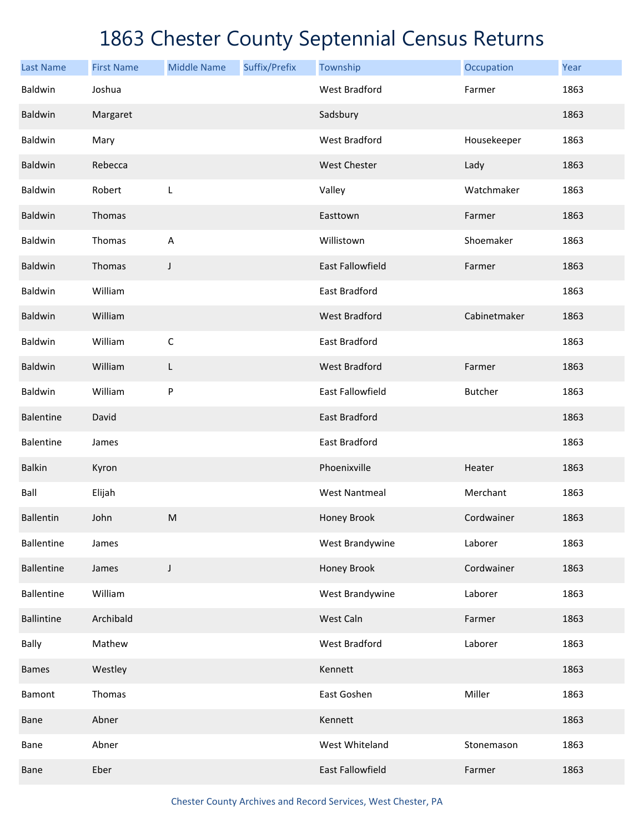| <b>Last Name</b>  | <b>First Name</b> | <b>Middle Name</b> | Suffix/Prefix | Township                | Occupation     | Year |
|-------------------|-------------------|--------------------|---------------|-------------------------|----------------|------|
| <b>Baldwin</b>    | Joshua            |                    |               | <b>West Bradford</b>    | Farmer         | 1863 |
| Baldwin           | Margaret          |                    |               | Sadsbury                |                | 1863 |
| Baldwin           | Mary              |                    |               | <b>West Bradford</b>    | Housekeeper    | 1863 |
| Baldwin           | Rebecca           |                    |               | <b>West Chester</b>     | Lady           | 1863 |
| Baldwin           | Robert            | L                  |               | Valley                  | Watchmaker     | 1863 |
| Baldwin           | Thomas            |                    |               | Easttown                | Farmer         | 1863 |
| Baldwin           | Thomas            | A                  |               | Willistown              | Shoemaker      | 1863 |
| Baldwin           | Thomas            | J                  |               | <b>East Fallowfield</b> | Farmer         | 1863 |
| Baldwin           | William           |                    |               | East Bradford           |                | 1863 |
| Baldwin           | William           |                    |               | <b>West Bradford</b>    | Cabinetmaker   | 1863 |
| Baldwin           | William           | $\mathsf C$        |               | East Bradford           |                | 1863 |
| Baldwin           | William           | L                  |               | <b>West Bradford</b>    | Farmer         | 1863 |
| Baldwin           | William           | P                  |               | <b>East Fallowfield</b> | <b>Butcher</b> | 1863 |
| <b>Balentine</b>  | David             |                    |               | <b>East Bradford</b>    |                | 1863 |
| <b>Balentine</b>  | James             |                    |               | East Bradford           |                | 1863 |
| <b>Balkin</b>     | Kyron             |                    |               | Phoenixville            | Heater         | 1863 |
| Ball              | Elijah            |                    |               | <b>West Nantmeal</b>    | Merchant       | 1863 |
| <b>Ballentin</b>  | John              | ${\sf M}$          |               | Honey Brook             | Cordwainer     | 1863 |
| <b>Ballentine</b> | James             |                    |               | West Brandywine         | Laborer        | 1863 |
| <b>Ballentine</b> | James             | J                  |               | Honey Brook             | Cordwainer     | 1863 |
| <b>Ballentine</b> | William           |                    |               | West Brandywine         | Laborer        | 1863 |
| <b>Ballintine</b> | Archibald         |                    |               | West Caln               | Farmer         | 1863 |
| Bally             | Mathew            |                    |               | <b>West Bradford</b>    | Laborer        | 1863 |
| <b>Bames</b>      | Westley           |                    |               | Kennett                 |                | 1863 |
| <b>Bamont</b>     | Thomas            |                    |               | East Goshen             | Miller         | 1863 |
| Bane              | Abner             |                    |               | Kennett                 |                | 1863 |
| Bane              | Abner             |                    |               | West Whiteland          | Stonemason     | 1863 |
| Bane              | Eber              |                    |               | East Fallowfield        | Farmer         | 1863 |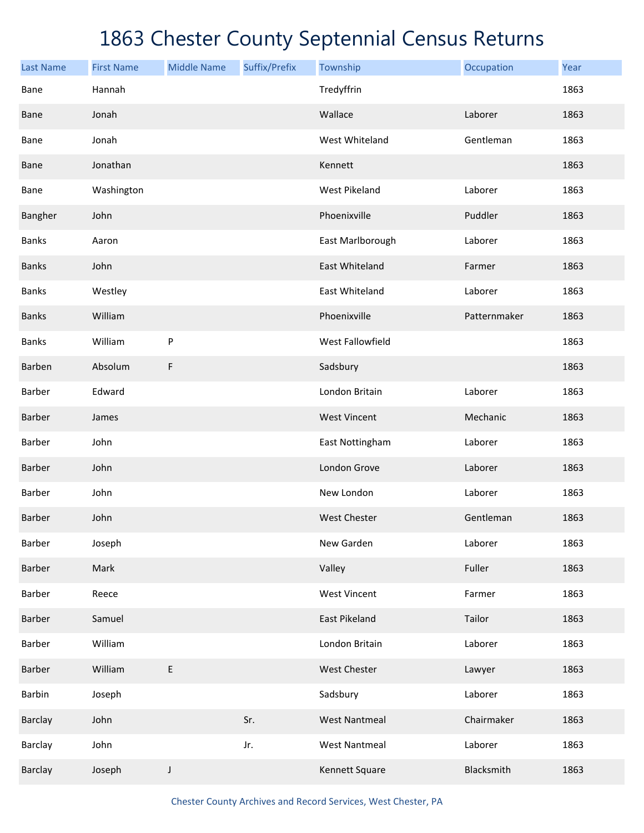| <b>Last Name</b> | <b>First Name</b> | <b>Middle Name</b> | Suffix/Prefix | Township             | Occupation   | Year |
|------------------|-------------------|--------------------|---------------|----------------------|--------------|------|
| Bane             | Hannah            |                    |               | Tredyffrin           |              | 1863 |
| <b>Bane</b>      | Jonah             |                    |               | Wallace              | Laborer      | 1863 |
| Bane             | Jonah             |                    |               | West Whiteland       | Gentleman    | 1863 |
| <b>Bane</b>      | Jonathan          |                    |               | Kennett              |              | 1863 |
| <b>Bane</b>      | Washington        |                    |               | West Pikeland        | Laborer      | 1863 |
| Bangher          | John              |                    |               | Phoenixville         | Puddler      | 1863 |
| <b>Banks</b>     | Aaron             |                    |               | East Marlborough     | Laborer      | 1863 |
| <b>Banks</b>     | John              |                    |               | East Whiteland       | Farmer       | 1863 |
| <b>Banks</b>     | Westley           |                    |               | East Whiteland       | Laborer      | 1863 |
| <b>Banks</b>     | William           |                    |               | Phoenixville         | Patternmaker | 1863 |
| <b>Banks</b>     | William           | P                  |               | West Fallowfield     |              | 1863 |
| Barben           | Absolum           | F                  |               | Sadsbury             |              | 1863 |
| Barber           | Edward            |                    |               | London Britain       | Laborer      | 1863 |
| Barber           | James             |                    |               | <b>West Vincent</b>  | Mechanic     | 1863 |
| Barber           | John              |                    |               | East Nottingham      | Laborer      | 1863 |
| Barber           | John              |                    |               | London Grove         | Laborer      | 1863 |
| Barber           | John              |                    |               | New London           | Laborer      | 1863 |
| <b>Barber</b>    | John              |                    |               | <b>West Chester</b>  | Gentleman    | 1863 |
| Barber           | Joseph            |                    |               | New Garden           | Laborer      | 1863 |
| Barber           | Mark              |                    |               | Valley               | Fuller       | 1863 |
| Barber           | Reece             |                    |               | <b>West Vincent</b>  | Farmer       | 1863 |
| Barber           | Samuel            |                    |               | East Pikeland        | Tailor       | 1863 |
| Barber           | William           |                    |               | London Britain       | Laborer      | 1863 |
| Barber           | William           | E                  |               | West Chester         | Lawyer       | 1863 |
| Barbin           | Joseph            |                    |               | Sadsbury             | Laborer      | 1863 |
| Barclay          | John              |                    | Sr.           | <b>West Nantmeal</b> | Chairmaker   | 1863 |
| Barclay          | John              |                    | Jr.           | <b>West Nantmeal</b> | Laborer      | 1863 |
| Barclay          | Joseph            | J                  |               | Kennett Square       | Blacksmith   | 1863 |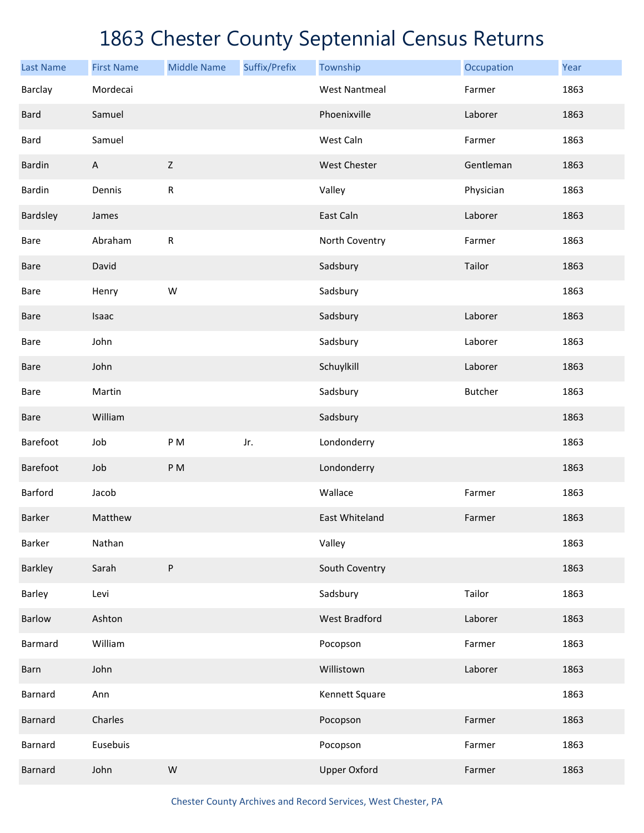| <b>Last Name</b> | <b>First Name</b> | <b>Middle Name</b> | Suffix/Prefix | Township             | Occupation     | Year |
|------------------|-------------------|--------------------|---------------|----------------------|----------------|------|
| Barclay          | Mordecai          |                    |               | <b>West Nantmeal</b> | Farmer         | 1863 |
| <b>Bard</b>      | Samuel            |                    |               | Phoenixville         | Laborer        | 1863 |
| Bard             | Samuel            |                    |               | West Caln            | Farmer         | 1863 |
| Bardin           | $\mathsf{A}$      | Z                  |               | <b>West Chester</b>  | Gentleman      | 1863 |
| Bardin           | Dennis            | ${\sf R}$          |               | Valley               | Physician      | 1863 |
| Bardsley         | James             |                    |               | East Caln            | Laborer        | 1863 |
| Bare             | Abraham           | ${\sf R}$          |               | North Coventry       | Farmer         | 1863 |
| Bare             | David             |                    |               | Sadsbury             | Tailor         | 1863 |
| Bare             | Henry             | W                  |               | Sadsbury             |                | 1863 |
| Bare             | Isaac             |                    |               | Sadsbury             | Laborer        | 1863 |
| Bare             | John              |                    |               | Sadsbury             | Laborer        | 1863 |
| Bare             | John              |                    |               | Schuylkill           | Laborer        | 1863 |
| Bare             | Martin            |                    |               | Sadsbury             | <b>Butcher</b> | 1863 |
| Bare             | William           |                    |               | Sadsbury             |                | 1863 |
| Barefoot         | Job               | P M                | Jr.           | Londonderry          |                | 1863 |
| Barefoot         | Job               | PM                 |               | Londonderry          |                | 1863 |
| Barford          | Jacob             |                    |               | Wallace              | Farmer         | 1863 |
| <b>Barker</b>    | Matthew           |                    |               | East Whiteland       | Farmer         | 1863 |
| Barker           | Nathan            |                    |               | Valley               |                | 1863 |
| Barkley          | Sarah             | P                  |               | South Coventry       |                | 1863 |
| Barley           | Levi              |                    |               | Sadsbury             | Tailor         | 1863 |
| <b>Barlow</b>    | Ashton            |                    |               | <b>West Bradford</b> | Laborer        | 1863 |
| <b>Barmard</b>   | William           |                    |               | Pocopson             | Farmer         | 1863 |
| Barn             | John              |                    |               | Willistown           | Laborer        | 1863 |
| <b>Barnard</b>   | Ann               |                    |               | Kennett Square       |                | 1863 |
| <b>Barnard</b>   | Charles           |                    |               | Pocopson             | Farmer         | 1863 |
| <b>Barnard</b>   | Eusebuis          |                    |               | Pocopson             | Farmer         | 1863 |
| <b>Barnard</b>   | John              | W                  |               | <b>Upper Oxford</b>  | Farmer         | 1863 |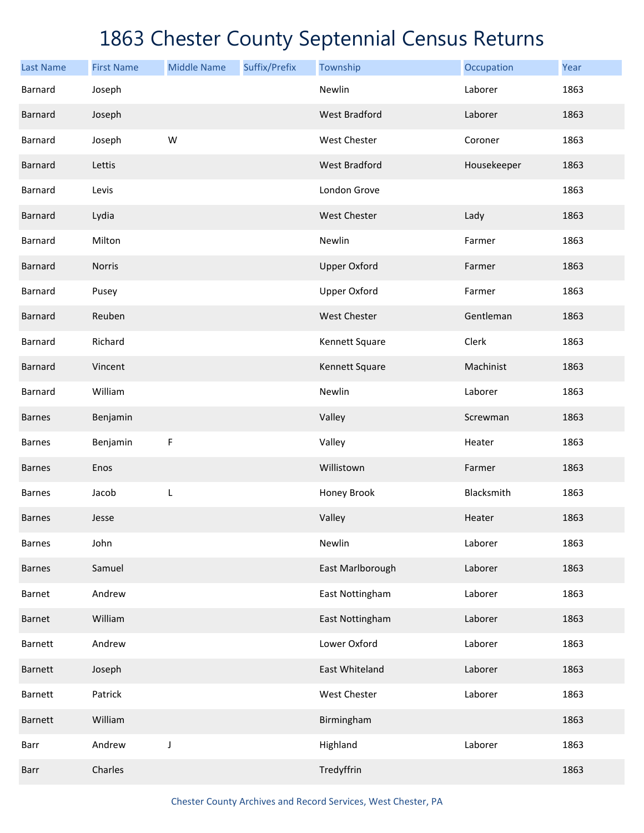| <b>Last Name</b> | <b>First Name</b> | <b>Middle Name</b> | Suffix/Prefix | Township             | Occupation  | Year |
|------------------|-------------------|--------------------|---------------|----------------------|-------------|------|
| Barnard          | Joseph            |                    |               | Newlin               | Laborer     | 1863 |
| <b>Barnard</b>   | Joseph            |                    |               | <b>West Bradford</b> | Laborer     | 1863 |
| Barnard          | Joseph            | W                  |               | West Chester         | Coroner     | 1863 |
| <b>Barnard</b>   | Lettis            |                    |               | <b>West Bradford</b> | Housekeeper | 1863 |
| Barnard          | Levis             |                    |               | London Grove         |             | 1863 |
| <b>Barnard</b>   | Lydia             |                    |               | West Chester         | Lady        | 1863 |
| Barnard          | Milton            |                    |               | Newlin               | Farmer      | 1863 |
| <b>Barnard</b>   | Norris            |                    |               | <b>Upper Oxford</b>  | Farmer      | 1863 |
| Barnard          | Pusey             |                    |               | <b>Upper Oxford</b>  | Farmer      | 1863 |
| <b>Barnard</b>   | Reuben            |                    |               | West Chester         | Gentleman   | 1863 |
| Barnard          | Richard           |                    |               | Kennett Square       | Clerk       | 1863 |
| <b>Barnard</b>   | Vincent           |                    |               | Kennett Square       | Machinist   | 1863 |
| Barnard          | William           |                    |               | Newlin               | Laborer     | 1863 |
| <b>Barnes</b>    | Benjamin          |                    |               | Valley               | Screwman    | 1863 |
| <b>Barnes</b>    | Benjamin          | $\mathsf F$        |               | Valley               | Heater      | 1863 |
| <b>Barnes</b>    | Enos              |                    |               | Willistown           | Farmer      | 1863 |
| <b>Barnes</b>    | Jacob             | L                  |               | Honey Brook          | Blacksmith  | 1863 |
| <b>Barnes</b>    | Jesse             |                    |               | Valley               | Heater      | 1863 |
| <b>Barnes</b>    | John              |                    |               | Newlin               | Laborer     | 1863 |
| <b>Barnes</b>    | Samuel            |                    |               | East Marlborough     | Laborer     | 1863 |
| Barnet           | Andrew            |                    |               | East Nottingham      | Laborer     | 1863 |
| Barnet           | William           |                    |               | East Nottingham      | Laborer     | 1863 |
| <b>Barnett</b>   | Andrew            |                    |               | Lower Oxford         | Laborer     | 1863 |
| Barnett          | Joseph            |                    |               | East Whiteland       | Laborer     | 1863 |
| Barnett          | Patrick           |                    |               | West Chester         | Laborer     | 1863 |
| Barnett          | William           |                    |               | Birmingham           |             | 1863 |
| Barr             | Andrew            | J                  |               | Highland             | Laborer     | 1863 |
| Barr             | Charles           |                    |               | Tredyffrin           |             | 1863 |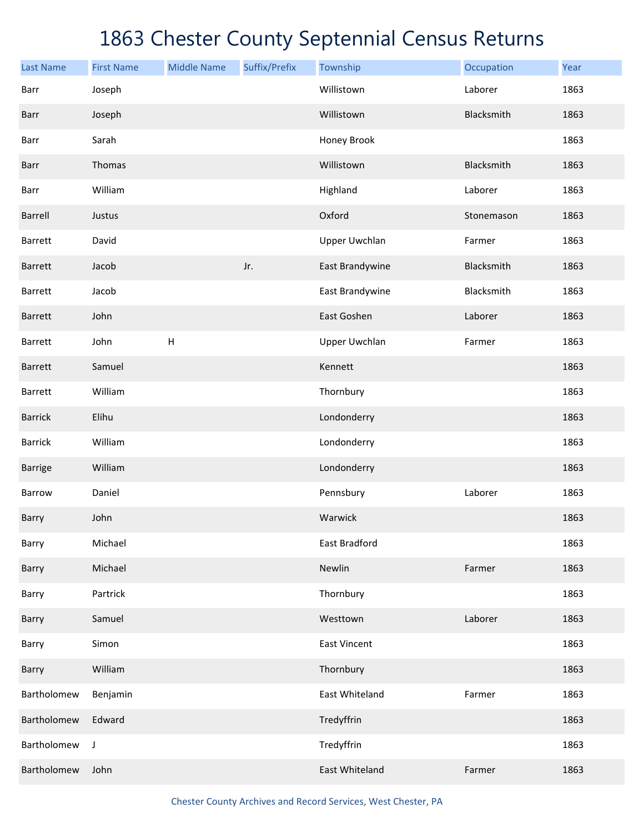| <b>Last Name</b> | <b>First Name</b> | <b>Middle Name</b> | Suffix/Prefix | Township             | Occupation | Year |
|------------------|-------------------|--------------------|---------------|----------------------|------------|------|
| Barr             | Joseph            |                    |               | Willistown           | Laborer    | 1863 |
| Barr             | Joseph            |                    |               | Willistown           | Blacksmith | 1863 |
| Barr             | Sarah             |                    |               | Honey Brook          |            | 1863 |
| Barr             | Thomas            |                    |               | Willistown           | Blacksmith | 1863 |
| Barr             | William           |                    |               | Highland             | Laborer    | 1863 |
| Barrell          | Justus            |                    |               | Oxford               | Stonemason | 1863 |
| Barrett          | David             |                    |               | <b>Upper Uwchlan</b> | Farmer     | 1863 |
| <b>Barrett</b>   | Jacob             |                    | Jr.           | East Brandywine      | Blacksmith | 1863 |
| Barrett          | Jacob             |                    |               | East Brandywine      | Blacksmith | 1863 |
| <b>Barrett</b>   | John              |                    |               | East Goshen          | Laborer    | 1863 |
| Barrett          | John              | $\mathsf H$        |               | <b>Upper Uwchlan</b> | Farmer     | 1863 |
| <b>Barrett</b>   | Samuel            |                    |               | Kennett              |            | 1863 |
| Barrett          | William           |                    |               | Thornbury            |            | 1863 |
| <b>Barrick</b>   | Elihu             |                    |               | Londonderry          |            | 1863 |
| <b>Barrick</b>   | William           |                    |               | Londonderry          |            | 1863 |
| Barrige          | William           |                    |               | Londonderry          |            | 1863 |
| Barrow           | Daniel            |                    |               | Pennsbury            | Laborer    | 1863 |
| Barry            | John              |                    |               | Warwick              |            | 1863 |
| Barry            | Michael           |                    |               | East Bradford        |            | 1863 |
| Barry            | Michael           |                    |               | Newlin               | Farmer     | 1863 |
| Barry            | Partrick          |                    |               | Thornbury            |            | 1863 |
| Barry            | Samuel            |                    |               | Westtown             | Laborer    | 1863 |
| Barry            | Simon             |                    |               | <b>East Vincent</b>  |            | 1863 |
| Barry            | William           |                    |               | Thornbury            |            | 1863 |
| Bartholomew      | Benjamin          |                    |               | East Whiteland       | Farmer     | 1863 |
| Bartholomew      | Edward            |                    |               | Tredyffrin           |            | 1863 |
| Bartholomew      | J                 |                    |               | Tredyffrin           |            | 1863 |
| Bartholomew      | John              |                    |               | East Whiteland       | Farmer     | 1863 |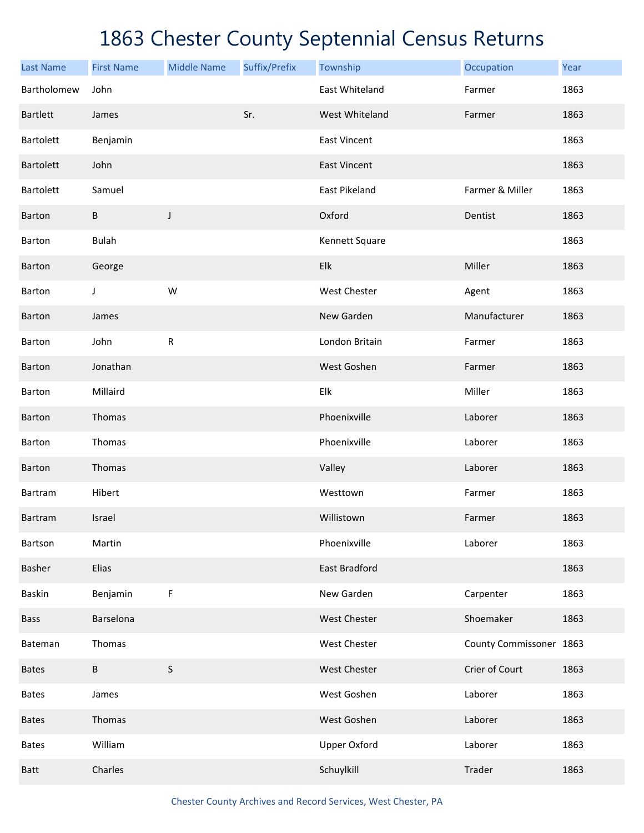| <b>Last Name</b> | <b>First Name</b> | <b>Middle Name</b> | Suffix/Prefix | Township            | Occupation              | Year |
|------------------|-------------------|--------------------|---------------|---------------------|-------------------------|------|
| Bartholomew      | John              |                    |               | East Whiteland      | Farmer                  | 1863 |
| <b>Bartlett</b>  | James             |                    | Sr.           | West Whiteland      | Farmer                  | 1863 |
| <b>Bartolett</b> | Benjamin          |                    |               | <b>East Vincent</b> |                         | 1863 |
| <b>Bartolett</b> | John              |                    |               | <b>East Vincent</b> |                         | 1863 |
| <b>Bartolett</b> | Samuel            |                    |               | East Pikeland       | Farmer & Miller         | 1863 |
| <b>Barton</b>    | B                 | J                  |               | Oxford              | Dentist                 | 1863 |
| Barton           | <b>Bulah</b>      |                    |               | Kennett Square      |                         | 1863 |
| <b>Barton</b>    | George            |                    |               | Elk                 | Miller                  | 1863 |
| Barton           | J                 | W                  |               | West Chester        | Agent                   | 1863 |
| Barton           | James             |                    |               | New Garden          | Manufacturer            | 1863 |
| Barton           | John              | ${\sf R}$          |               | London Britain      | Farmer                  | 1863 |
| <b>Barton</b>    | Jonathan          |                    |               | West Goshen         | Farmer                  | 1863 |
| <b>Barton</b>    | Millaird          |                    |               | Elk                 | Miller                  | 1863 |
| <b>Barton</b>    | Thomas            |                    |               | Phoenixville        | Laborer                 | 1863 |
| <b>Barton</b>    | Thomas            |                    |               | Phoenixville        | Laborer                 | 1863 |
| <b>Barton</b>    | Thomas            |                    |               | Valley              | Laborer                 | 1863 |
| Bartram          | Hibert            |                    |               | Westtown            | Farmer                  | 1863 |
| Bartram          | Israel            |                    |               | Willistown          | Farmer                  | 1863 |
| Bartson          | Martin            |                    |               | Phoenixville        | Laborer                 | 1863 |
| Basher           | Elias             |                    |               | East Bradford       |                         | 1863 |
| <b>Baskin</b>    | Benjamin          | $\mathsf F$        |               | New Garden          | Carpenter               | 1863 |
| <b>Bass</b>      | Barselona         |                    |               | West Chester        | Shoemaker               | 1863 |
| Bateman          | Thomas            |                    |               | West Chester        | County Commissoner 1863 |      |
| <b>Bates</b>     | B                 | $\sf S$            |               | West Chester        | Crier of Court          | 1863 |
| <b>Bates</b>     | James             |                    |               | West Goshen         | Laborer                 | 1863 |
| <b>Bates</b>     | Thomas            |                    |               | West Goshen         | Laborer                 | 1863 |
| <b>Bates</b>     | William           |                    |               | <b>Upper Oxford</b> | Laborer                 | 1863 |
| Batt             | Charles           |                    |               | Schuylkill          | Trader                  | 1863 |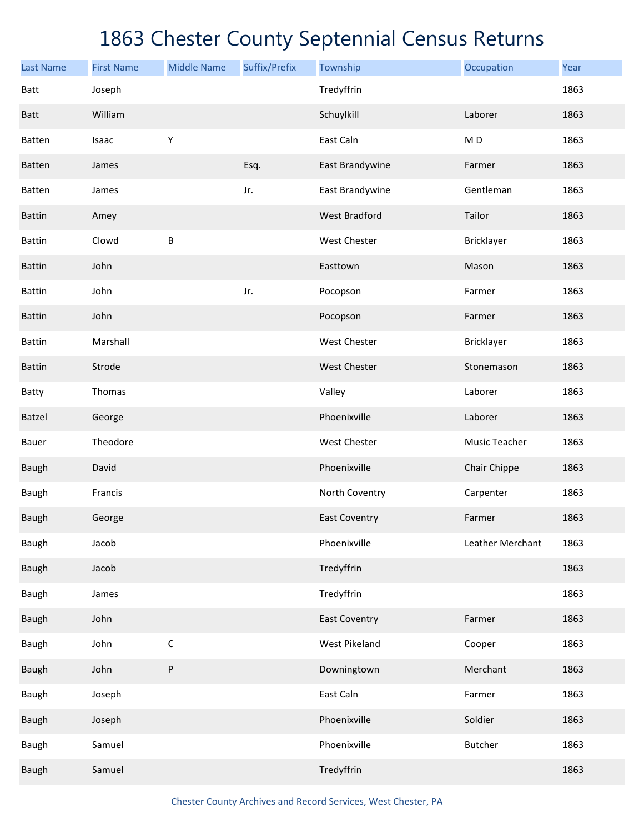| <b>Last Name</b> | <b>First Name</b> | <b>Middle Name</b> | Suffix/Prefix | Township             | Occupation       | Year |
|------------------|-------------------|--------------------|---------------|----------------------|------------------|------|
| Batt             | Joseph            |                    |               | Tredyffrin           |                  | 1863 |
| <b>Batt</b>      | William           |                    |               | Schuylkill           | Laborer          | 1863 |
| Batten           | Isaac             | Υ                  |               | East Caln            | M <sub>D</sub>   | 1863 |
| Batten           | James             |                    | Esq.          | East Brandywine      | Farmer           | 1863 |
| Batten           | James             |                    | Jr.           | East Brandywine      | Gentleman        | 1863 |
| <b>Battin</b>    | Amey              |                    |               | <b>West Bradford</b> | Tailor           | 1863 |
| <b>Battin</b>    | Clowd             | B                  |               | West Chester         | Bricklayer       | 1863 |
| <b>Battin</b>    | John              |                    |               | Easttown             | Mason            | 1863 |
| <b>Battin</b>    | John              |                    | Jr.           | Pocopson             | Farmer           | 1863 |
| <b>Battin</b>    | John              |                    |               | Pocopson             | Farmer           | 1863 |
| <b>Battin</b>    | Marshall          |                    |               | <b>West Chester</b>  | Bricklayer       | 1863 |
| <b>Battin</b>    | Strode            |                    |               | <b>West Chester</b>  | Stonemason       | 1863 |
| Batty            | Thomas            |                    |               | Valley               | Laborer          | 1863 |
| <b>Batzel</b>    | George            |                    |               | Phoenixville         | Laborer          | 1863 |
| Bauer            | Theodore          |                    |               | West Chester         | Music Teacher    | 1863 |
| <b>Baugh</b>     | David             |                    |               | Phoenixville         | Chair Chippe     | 1863 |
| <b>Baugh</b>     | Francis           |                    |               | North Coventry       | Carpenter        | 1863 |
| <b>Baugh</b>     | George            |                    |               | <b>East Coventry</b> | Farmer           | 1863 |
| Baugh            | Jacob             |                    |               | Phoenixville         | Leather Merchant | 1863 |
| Baugh            | Jacob             |                    |               | Tredyffrin           |                  | 1863 |
| Baugh            | James             |                    |               | Tredyffrin           |                  | 1863 |
| Baugh            | John              |                    |               | <b>East Coventry</b> | Farmer           | 1863 |
| Baugh            | John              | $\mathsf C$        |               | West Pikeland        | Cooper           | 1863 |
| Baugh            | John              | ${\sf P}$          |               | Downingtown          | Merchant         | 1863 |
| Baugh            | Joseph            |                    |               | East Caln            | Farmer           | 1863 |
| Baugh            | Joseph            |                    |               | Phoenixville         | Soldier          | 1863 |
| Baugh            | Samuel            |                    |               | Phoenixville         | <b>Butcher</b>   | 1863 |
| Baugh            | Samuel            |                    |               | Tredyffrin           |                  | 1863 |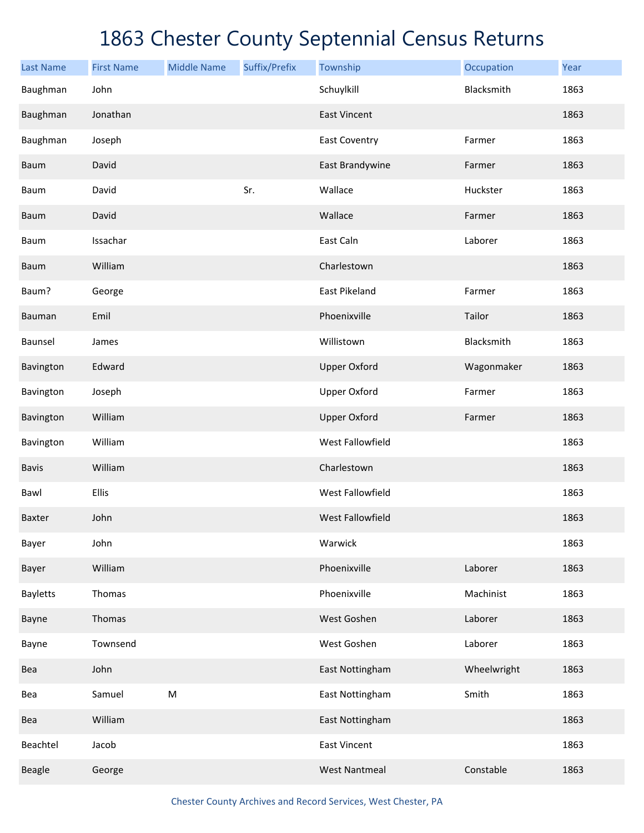| <b>Last Name</b> | <b>First Name</b> | <b>Middle Name</b>                                                                                         | Suffix/Prefix | Township             | Occupation  | Year |
|------------------|-------------------|------------------------------------------------------------------------------------------------------------|---------------|----------------------|-------------|------|
| Baughman         | John              |                                                                                                            |               | Schuylkill           | Blacksmith  | 1863 |
| Baughman         | Jonathan          |                                                                                                            |               | <b>East Vincent</b>  |             | 1863 |
| Baughman         | Joseph            |                                                                                                            |               | East Coventry        | Farmer      | 1863 |
| Baum             | David             |                                                                                                            |               | East Brandywine      | Farmer      | 1863 |
| Baum             | David             |                                                                                                            | Sr.           | Wallace              | Huckster    | 1863 |
| Baum             | David             |                                                                                                            |               | Wallace              | Farmer      | 1863 |
| Baum             | Issachar          |                                                                                                            |               | East Caln            | Laborer     | 1863 |
| Baum             | William           |                                                                                                            |               | Charlestown          |             | 1863 |
| Baum?            | George            |                                                                                                            |               | East Pikeland        | Farmer      | 1863 |
| Bauman           | Emil              |                                                                                                            |               | Phoenixville         | Tailor      | 1863 |
| Baunsel          | James             |                                                                                                            |               | Willistown           | Blacksmith  | 1863 |
| Bavington        | Edward            |                                                                                                            |               | <b>Upper Oxford</b>  | Wagonmaker  | 1863 |
| Bavington        | Joseph            |                                                                                                            |               | <b>Upper Oxford</b>  | Farmer      | 1863 |
| Bavington        | William           |                                                                                                            |               | <b>Upper Oxford</b>  | Farmer      | 1863 |
| Bavington        | William           |                                                                                                            |               | West Fallowfield     |             | 1863 |
| <b>Bavis</b>     | William           |                                                                                                            |               | Charlestown          |             | 1863 |
| Bawl             | Ellis             |                                                                                                            |               | West Fallowfield     |             | 1863 |
| <b>Baxter</b>    | John              |                                                                                                            |               | West Fallowfield     |             | 1863 |
| Bayer            | John              |                                                                                                            |               | Warwick              |             | 1863 |
| Bayer            | William           |                                                                                                            |               | Phoenixville         | Laborer     | 1863 |
| <b>Bayletts</b>  | Thomas            |                                                                                                            |               | Phoenixville         | Machinist   | 1863 |
| Bayne            | Thomas            |                                                                                                            |               | West Goshen          | Laborer     | 1863 |
| Bayne            | Townsend          |                                                                                                            |               | West Goshen          | Laborer     | 1863 |
| Bea              | John              |                                                                                                            |               | East Nottingham      | Wheelwright | 1863 |
| Bea              | Samuel            | $\mathsf{M}% _{T}=\mathsf{M}_{T}\!\left( a,b\right) ,\ \mathsf{M}_{T}=\mathsf{M}_{T}\!\left( a,b\right) ,$ |               | East Nottingham      | Smith       | 1863 |
| Bea              | William           |                                                                                                            |               | East Nottingham      |             | 1863 |
| Beachtel         | Jacob             |                                                                                                            |               | <b>East Vincent</b>  |             | 1863 |
| <b>Beagle</b>    | George            |                                                                                                            |               | <b>West Nantmeal</b> | Constable   | 1863 |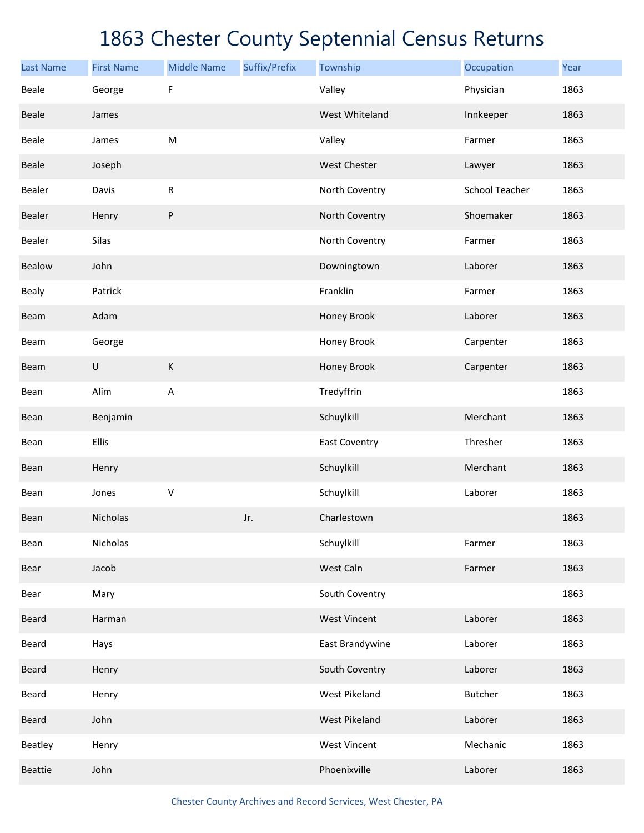| <b>Last Name</b> | <b>First Name</b> | <b>Middle Name</b> | Suffix/Prefix | Township             | Occupation            | Year |
|------------------|-------------------|--------------------|---------------|----------------------|-----------------------|------|
| <b>Beale</b>     | George            | F                  |               | Valley               | Physician             | 1863 |
| Beale            | James             |                    |               | West Whiteland       | Innkeeper             | 1863 |
| Beale            | James             | M                  |               | Valley               | Farmer                | 1863 |
| <b>Beale</b>     | Joseph            |                    |               | <b>West Chester</b>  | Lawyer                | 1863 |
| Bealer           | Davis             | ${\sf R}$          |               | North Coventry       | <b>School Teacher</b> | 1863 |
| Bealer           | Henry             | ${\sf P}$          |               | North Coventry       | Shoemaker             | 1863 |
| Bealer           | Silas             |                    |               | North Coventry       | Farmer                | 1863 |
| Bealow           | John              |                    |               | Downingtown          | Laborer               | 1863 |
| Bealy            | Patrick           |                    |               | Franklin             | Farmer                | 1863 |
| Beam             | Adam              |                    |               | Honey Brook          | Laborer               | 1863 |
| Beam             | George            |                    |               | Honey Brook          | Carpenter             | 1863 |
| Beam             | $\sf U$           | К                  |               | Honey Brook          | Carpenter             | 1863 |
| Bean             | Alim              | A                  |               | Tredyffrin           |                       | 1863 |
| Bean             | Benjamin          |                    |               | Schuylkill           | Merchant              | 1863 |
| Bean             | Ellis             |                    |               | <b>East Coventry</b> | Thresher              | 1863 |
| Bean             | Henry             |                    |               | Schuylkill           | Merchant              | 1863 |
| Bean             | Jones             | $\sf V$            |               | Schuylkill           | Laborer               | 1863 |
| Bean             | Nicholas          |                    | Jr.           | Charlestown          |                       | 1863 |
| Bean             | Nicholas          |                    |               | Schuylkill           | Farmer                | 1863 |
| Bear             | Jacob             |                    |               | West Caln            | Farmer                | 1863 |
| Bear             | Mary              |                    |               | South Coventry       |                       | 1863 |
| <b>Beard</b>     | Harman            |                    |               | <b>West Vincent</b>  | Laborer               | 1863 |
| Beard            | Hays              |                    |               | East Brandywine      | Laborer               | 1863 |
| Beard            | Henry             |                    |               | South Coventry       | Laborer               | 1863 |
| Beard            | Henry             |                    |               | West Pikeland        | Butcher               | 1863 |
| Beard            | John              |                    |               | <b>West Pikeland</b> | Laborer               | 1863 |
| Beatley          | Henry             |                    |               | <b>West Vincent</b>  | Mechanic              | 1863 |
| <b>Beattie</b>   | John              |                    |               | Phoenixville         | Laborer               | 1863 |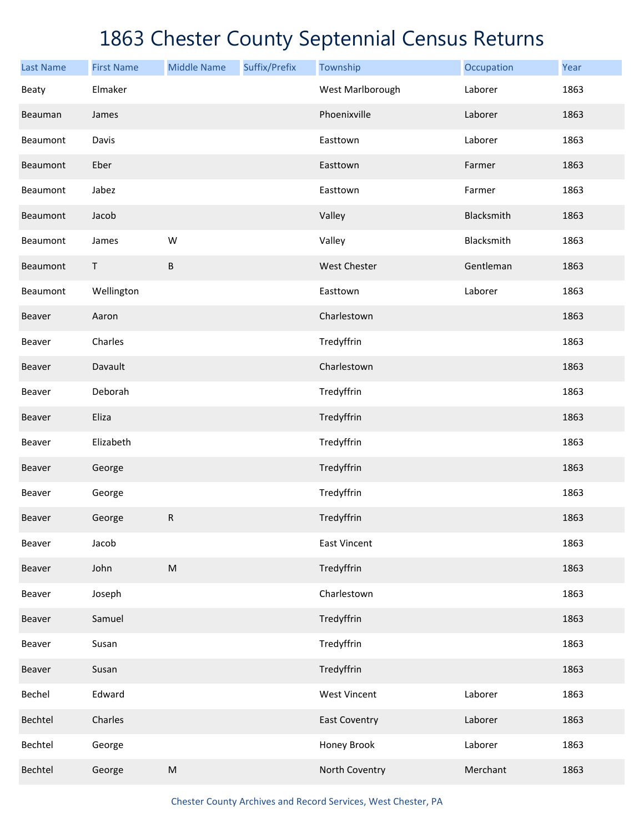| <b>Last Name</b> | <b>First Name</b> | <b>Middle Name</b> | Suffix/Prefix | Township             | Occupation | Year |
|------------------|-------------------|--------------------|---------------|----------------------|------------|------|
| Beaty            | Elmaker           |                    |               | West Marlborough     | Laborer    | 1863 |
| Beauman          | James             |                    |               | Phoenixville         | Laborer    | 1863 |
| Beaumont         | Davis             |                    |               | Easttown             | Laborer    | 1863 |
| Beaumont         | Eber              |                    |               | Easttown             | Farmer     | 1863 |
| Beaumont         | Jabez             |                    |               | Easttown             | Farmer     | 1863 |
| Beaumont         | Jacob             |                    |               | Valley               | Blacksmith | 1863 |
| Beaumont         | James             | W                  |               | Valley               | Blacksmith | 1863 |
| Beaumont         | $\mathsf T$       | B                  |               | West Chester         | Gentleman  | 1863 |
| Beaumont         | Wellington        |                    |               | Easttown             | Laborer    | 1863 |
| Beaver           | Aaron             |                    |               | Charlestown          |            | 1863 |
| Beaver           | Charles           |                    |               | Tredyffrin           |            | 1863 |
| Beaver           | Davault           |                    |               | Charlestown          |            | 1863 |
| Beaver           | Deborah           |                    |               | Tredyffrin           |            | 1863 |
| Beaver           | Eliza             |                    |               | Tredyffrin           |            | 1863 |
| Beaver           | Elizabeth         |                    |               | Tredyffrin           |            | 1863 |
| Beaver           | George            |                    |               | Tredyffrin           |            | 1863 |
| Beaver           | George            |                    |               | Tredyffrin           |            | 1863 |
| Beaver           | George            | ${\sf R}$          |               | Tredyffrin           |            | 1863 |
| Beaver           | Jacob             |                    |               | <b>East Vincent</b>  |            | 1863 |
| Beaver           | John              | ${\sf M}$          |               | Tredyffrin           |            | 1863 |
| Beaver           | Joseph            |                    |               | Charlestown          |            | 1863 |
| Beaver           | Samuel            |                    |               | Tredyffrin           |            | 1863 |
| Beaver           | Susan             |                    |               | Tredyffrin           |            | 1863 |
| Beaver           | Susan             |                    |               | Tredyffrin           |            | 1863 |
| Bechel           | Edward            |                    |               | <b>West Vincent</b>  | Laborer    | 1863 |
| Bechtel          | Charles           |                    |               | <b>East Coventry</b> | Laborer    | 1863 |
| Bechtel          | George            |                    |               | Honey Brook          | Laborer    | 1863 |
| Bechtel          | George            | ${\sf M}$          |               | North Coventry       | Merchant   | 1863 |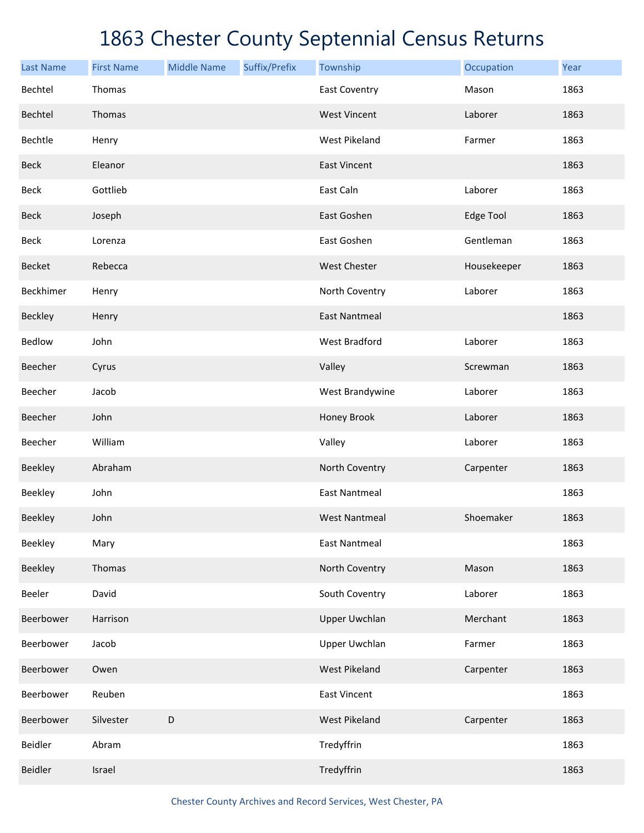| <b>Last Name</b> | <b>First Name</b> | <b>Middle Name</b> | Suffix/Prefix | Township             | Occupation       | Year |
|------------------|-------------------|--------------------|---------------|----------------------|------------------|------|
| Bechtel          | Thomas            |                    |               | <b>East Coventry</b> | Mason            | 1863 |
| Bechtel          | Thomas            |                    |               | <b>West Vincent</b>  | Laborer          | 1863 |
| Bechtle          | Henry             |                    |               | West Pikeland        | Farmer           | 1863 |
| <b>Beck</b>      | Eleanor           |                    |               | <b>East Vincent</b>  |                  | 1863 |
| Beck             | Gottlieb          |                    |               | East Caln            | Laborer          | 1863 |
| <b>Beck</b>      | Joseph            |                    |               | East Goshen          | <b>Edge Tool</b> | 1863 |
| <b>Beck</b>      | Lorenza           |                    |               | East Goshen          | Gentleman        | 1863 |
| <b>Becket</b>    | Rebecca           |                    |               | <b>West Chester</b>  | Housekeeper      | 1863 |
| Beckhimer        | Henry             |                    |               | North Coventry       | Laborer          | 1863 |
| Beckley          | Henry             |                    |               | <b>East Nantmeal</b> |                  | 1863 |
| Bedlow           | John              |                    |               | <b>West Bradford</b> | Laborer          | 1863 |
| Beecher          | Cyrus             |                    |               | Valley               | Screwman         | 1863 |
| Beecher          | Jacob             |                    |               | West Brandywine      | Laborer          | 1863 |
| Beecher          | John              |                    |               | Honey Brook          | Laborer          | 1863 |
| Beecher          | William           |                    |               | Valley               | Laborer          | 1863 |
| Beekley          | Abraham           |                    |               | North Coventry       | Carpenter        | 1863 |
| Beekley          | John              |                    |               | <b>East Nantmeal</b> |                  | 1863 |
| <b>Beekley</b>   | John              |                    |               | <b>West Nantmeal</b> | Shoemaker        | 1863 |
| Beekley          | Mary              |                    |               | <b>East Nantmeal</b> |                  | 1863 |
| Beekley          | Thomas            |                    |               | North Coventry       | Mason            | 1863 |
| Beeler           | David             |                    |               | South Coventry       | Laborer          | 1863 |
| Beerbower        | Harrison          |                    |               | <b>Upper Uwchlan</b> | Merchant         | 1863 |
| Beerbower        | Jacob             |                    |               | <b>Upper Uwchlan</b> | Farmer           | 1863 |
| Beerbower        | Owen              |                    |               | <b>West Pikeland</b> | Carpenter        | 1863 |
| Beerbower        | Reuben            |                    |               | <b>East Vincent</b>  |                  | 1863 |
| Beerbower        | Silvester         | D                  |               | <b>West Pikeland</b> | Carpenter        | 1863 |
| Beidler          | Abram             |                    |               | Tredyffrin           |                  | 1863 |
| Beidler          | Israel            |                    |               | Tredyffrin           |                  | 1863 |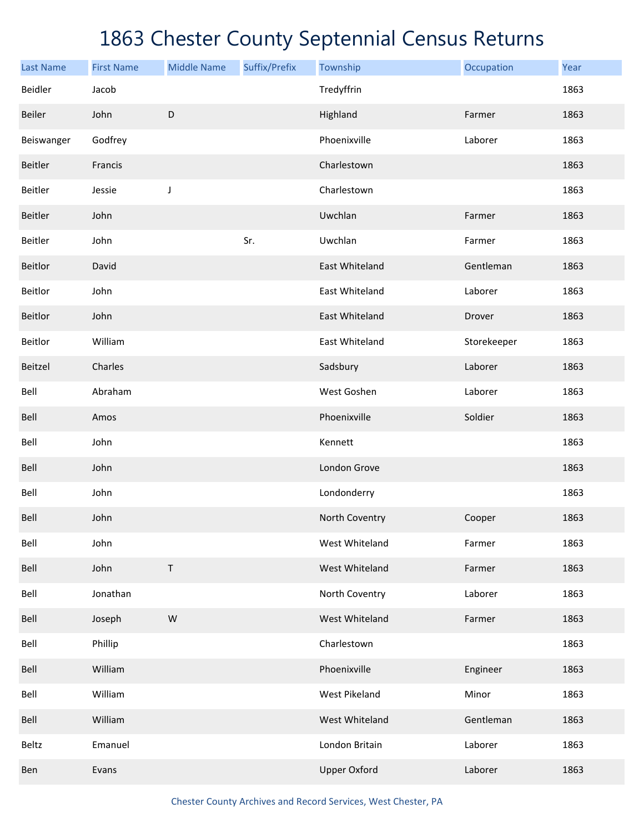| <b>Last Name</b> | <b>First Name</b> | <b>Middle Name</b> | Suffix/Prefix | Township            | Occupation  | Year |
|------------------|-------------------|--------------------|---------------|---------------------|-------------|------|
| Beidler          | Jacob             |                    |               | Tredyffrin          |             | 1863 |
| Beiler           | John              | $\mathsf D$        |               | Highland            | Farmer      | 1863 |
| Beiswanger       | Godfrey           |                    |               | Phoenixville        | Laborer     | 1863 |
| <b>Beitler</b>   | Francis           |                    |               | Charlestown         |             | 1863 |
| Beitler          | Jessie            | J                  |               | Charlestown         |             | 1863 |
| <b>Beitler</b>   | John              |                    |               | Uwchlan             | Farmer      | 1863 |
| Beitler          | John              |                    | Sr.           | Uwchlan             | Farmer      | 1863 |
| Beitlor          | David             |                    |               | East Whiteland      | Gentleman   | 1863 |
| Beitlor          | John              |                    |               | East Whiteland      | Laborer     | 1863 |
| Beitlor          | John              |                    |               | East Whiteland      | Drover      | 1863 |
| Beitlor          | William           |                    |               | East Whiteland      | Storekeeper | 1863 |
| Beitzel          | Charles           |                    |               | Sadsbury            | Laborer     | 1863 |
| Bell             | Abraham           |                    |               | West Goshen         | Laborer     | 1863 |
| Bell             | Amos              |                    |               | Phoenixville        | Soldier     | 1863 |
| Bell             | John              |                    |               | Kennett             |             | 1863 |
| Bell             | John              |                    |               | London Grove        |             | 1863 |
| Bell             | John              |                    |               | Londonderry         |             | 1863 |
| Bell             | John              |                    |               | North Coventry      | Cooper      | 1863 |
| Bell             | John              |                    |               | West Whiteland      | Farmer      | 1863 |
| Bell             | John              | $\mathsf T$        |               | West Whiteland      | Farmer      | 1863 |
| Bell             | Jonathan          |                    |               | North Coventry      | Laborer     | 1863 |
| Bell             | Joseph            | ${\sf W}$          |               | West Whiteland      | Farmer      | 1863 |
| Bell             | Phillip           |                    |               | Charlestown         |             | 1863 |
| Bell             | William           |                    |               | Phoenixville        | Engineer    | 1863 |
| Bell             | William           |                    |               | West Pikeland       | Minor       | 1863 |
| Bell             | William           |                    |               | West Whiteland      | Gentleman   | 1863 |
| Beltz            | Emanuel           |                    |               | London Britain      | Laborer     | 1863 |
| Ben              | Evans             |                    |               | <b>Upper Oxford</b> | Laborer     | 1863 |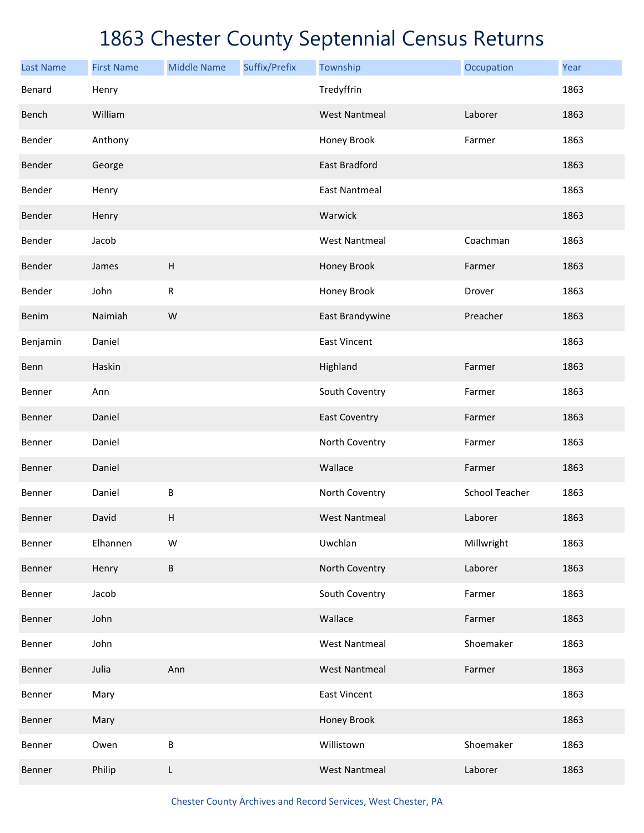| <b>Last Name</b> | <b>First Name</b> | <b>Middle Name</b>        | Suffix/Prefix | Township             | Occupation     | Year |
|------------------|-------------------|---------------------------|---------------|----------------------|----------------|------|
| Benard           | Henry             |                           |               | Tredyffrin           |                | 1863 |
| Bench            | William           |                           |               | <b>West Nantmeal</b> | Laborer        | 1863 |
| Bender           | Anthony           |                           |               | Honey Brook          | Farmer         | 1863 |
| Bender           | George            |                           |               | East Bradford        |                | 1863 |
| Bender           | Henry             |                           |               | <b>East Nantmeal</b> |                | 1863 |
| Bender           | Henry             |                           |               | Warwick              |                | 1863 |
| Bender           | Jacob             |                           |               | <b>West Nantmeal</b> | Coachman       | 1863 |
| Bender           | James             | $\boldsymbol{\mathsf{H}}$ |               | Honey Brook          | Farmer         | 1863 |
| Bender           | John              | ${\sf R}$                 |               | Honey Brook          | Drover         | 1863 |
| Benim            | Naimiah           | W                         |               | East Brandywine      | Preacher       | 1863 |
| Benjamin         | Daniel            |                           |               | <b>East Vincent</b>  |                | 1863 |
| Benn             | Haskin            |                           |               | Highland             | Farmer         | 1863 |
| Benner           | Ann               |                           |               | South Coventry       | Farmer         | 1863 |
| Benner           | Daniel            |                           |               | <b>East Coventry</b> | Farmer         | 1863 |
| Benner           | Daniel            |                           |               | North Coventry       | Farmer         | 1863 |
| Benner           | Daniel            |                           |               | Wallace              | Farmer         | 1863 |
| Benner           | Daniel            | B                         |               | North Coventry       | School Teacher | 1863 |
| <b>Benner</b>    | David             | $\boldsymbol{\mathsf{H}}$ |               | <b>West Nantmeal</b> | Laborer        | 1863 |
| Benner           | Elhannen          | W                         |               | Uwchlan              | Millwright     | 1863 |
| Benner           | Henry             | B                         |               | North Coventry       | Laborer        | 1863 |
| Benner           | Jacob             |                           |               | South Coventry       | Farmer         | 1863 |
| Benner           | John              |                           |               | Wallace              | Farmer         | 1863 |
| Benner           | John              |                           |               | <b>West Nantmeal</b> | Shoemaker      | 1863 |
| Benner           | Julia             | Ann                       |               | <b>West Nantmeal</b> | Farmer         | 1863 |
| Benner           | Mary              |                           |               | <b>East Vincent</b>  |                | 1863 |
| Benner           | Mary              |                           |               | Honey Brook          |                | 1863 |
| Benner           | Owen              | B                         |               | Willistown           | Shoemaker      | 1863 |
| Benner           | Philip            | L                         |               | <b>West Nantmeal</b> | Laborer        | 1863 |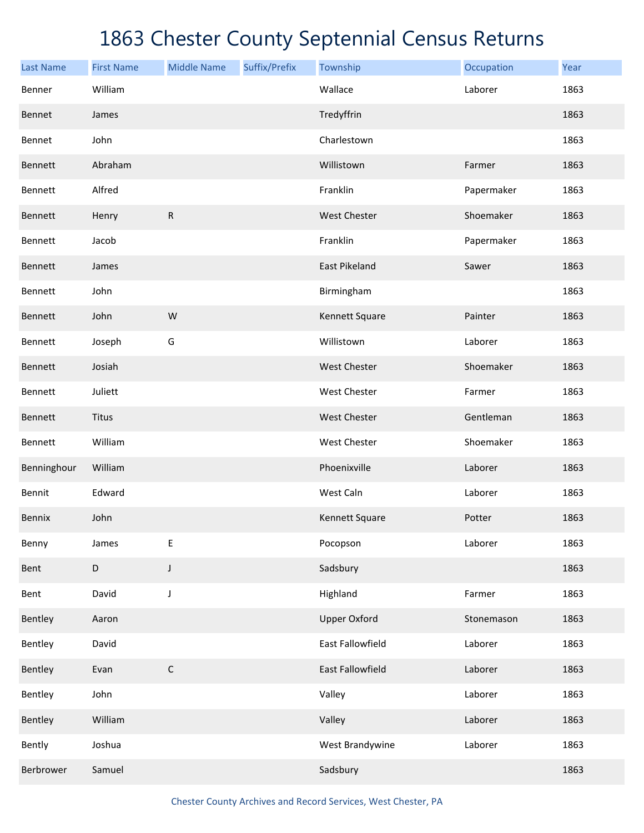| <b>Last Name</b> | <b>First Name</b> | <b>Middle Name</b> | Suffix/Prefix | Township             | Occupation | Year |
|------------------|-------------------|--------------------|---------------|----------------------|------------|------|
| Benner           | William           |                    |               | Wallace              | Laborer    | 1863 |
| Bennet           | James             |                    |               | Tredyffrin           |            | 1863 |
| Bennet           | John              |                    |               | Charlestown          |            | 1863 |
| Bennett          | Abraham           |                    |               | Willistown           | Farmer     | 1863 |
| Bennett          | Alfred            |                    |               | Franklin             | Papermaker | 1863 |
| Bennett          | Henry             | ${\sf R}$          |               | West Chester         | Shoemaker  | 1863 |
| <b>Bennett</b>   | Jacob             |                    |               | Franklin             | Papermaker | 1863 |
| Bennett          | James             |                    |               | <b>East Pikeland</b> | Sawer      | 1863 |
| Bennett          | John              |                    |               | Birmingham           |            | 1863 |
| Bennett          | John              | W                  |               | Kennett Square       | Painter    | 1863 |
| Bennett          | Joseph            | G                  |               | Willistown           | Laborer    | 1863 |
| Bennett          | Josiah            |                    |               | West Chester         | Shoemaker  | 1863 |
| <b>Bennett</b>   | Juliett           |                    |               | West Chester         | Farmer     | 1863 |
| Bennett          | Titus             |                    |               | West Chester         | Gentleman  | 1863 |
| Bennett          | William           |                    |               | West Chester         | Shoemaker  | 1863 |
| Benninghour      | William           |                    |               | Phoenixville         | Laborer    | 1863 |
| Bennit           | Edward            |                    |               | West Caln            | Laborer    | 1863 |
| <b>Bennix</b>    | John              |                    |               | Kennett Square       | Potter     | 1863 |
| Benny            | James             | E                  |               | Pocopson             | Laborer    | 1863 |
| Bent             | $\mathsf D$       | J                  |               | Sadsbury             |            | 1863 |
| Bent             | David             | J                  |               | Highland             | Farmer     | 1863 |
| Bentley          | Aaron             |                    |               | <b>Upper Oxford</b>  | Stonemason | 1863 |
| Bentley          | David             |                    |               | East Fallowfield     | Laborer    | 1863 |
| Bentley          | Evan              | $\mathsf C$        |               | East Fallowfield     | Laborer    | 1863 |
| Bentley          | John              |                    |               | Valley               | Laborer    | 1863 |
| Bentley          | William           |                    |               | Valley               | Laborer    | 1863 |
| Bently           | Joshua            |                    |               | West Brandywine      | Laborer    | 1863 |
| Berbrower        | Samuel            |                    |               | Sadsbury             |            | 1863 |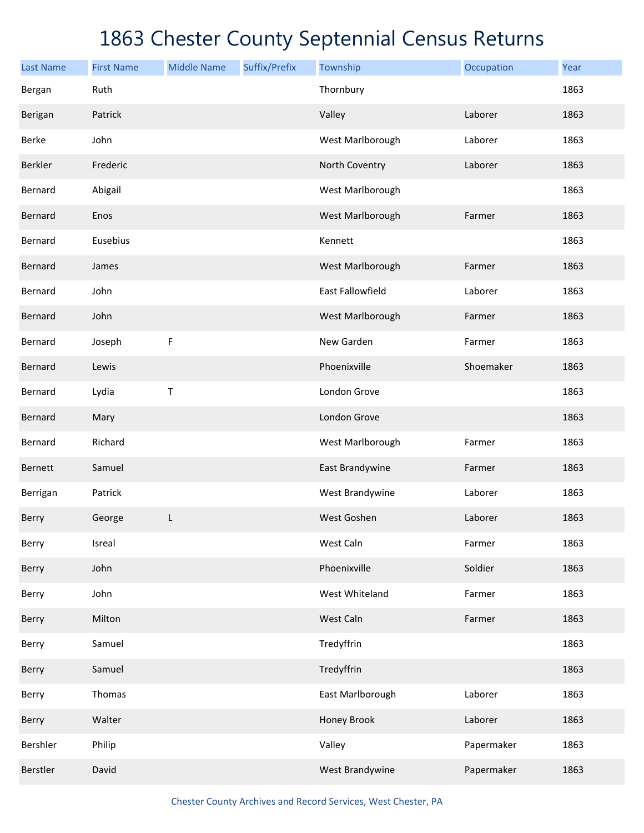| <b>Last Name</b> | <b>First Name</b> | <b>Middle Name</b> | Suffix/Prefix | Township         | Occupation | Year |
|------------------|-------------------|--------------------|---------------|------------------|------------|------|
| Bergan           | Ruth              |                    |               | Thornbury        |            | 1863 |
| Berigan          | Patrick           |                    |               | Valley           | Laborer    | 1863 |
| Berke            | John              |                    |               | West Marlborough | Laborer    | 1863 |
| Berkler          | Frederic          |                    |               | North Coventry   | Laborer    | 1863 |
| Bernard          | Abigail           |                    |               | West Marlborough |            | 1863 |
| Bernard          | Enos              |                    |               | West Marlborough | Farmer     | 1863 |
| Bernard          | Eusebius          |                    |               | Kennett          |            | 1863 |
| Bernard          | James             |                    |               | West Marlborough | Farmer     | 1863 |
| Bernard          | John              |                    |               | East Fallowfield | Laborer    | 1863 |
| Bernard          | John              |                    |               | West Marlborough | Farmer     | 1863 |
| Bernard          | Joseph            | F                  |               | New Garden       | Farmer     | 1863 |
| Bernard          | Lewis             |                    |               | Phoenixville     | Shoemaker  | 1863 |
| Bernard          | Lydia             | $\mathsf T$        |               | London Grove     |            | 1863 |
| Bernard          | Mary              |                    |               | London Grove     |            | 1863 |
| Bernard          | Richard           |                    |               | West Marlborough | Farmer     | 1863 |
| Bernett          | Samuel            |                    |               | East Brandywine  | Farmer     | 1863 |
| Berrigan         | Patrick           |                    |               | West Brandywine  | Laborer    | 1863 |
| Berry            | George            | L                  |               | West Goshen      | Laborer    | 1863 |
| Berry            | Isreal            |                    |               | West Caln        | Farmer     | 1863 |
| Berry            | John              |                    |               | Phoenixville     | Soldier    | 1863 |
| Berry            | John              |                    |               | West Whiteland   | Farmer     | 1863 |
| Berry            | Milton            |                    |               | West Caln        | Farmer     | 1863 |
| Berry            | Samuel            |                    |               | Tredyffrin       |            | 1863 |
| Berry            | Samuel            |                    |               | Tredyffrin       |            | 1863 |
| Berry            | Thomas            |                    |               | East Marlborough | Laborer    | 1863 |
| Berry            | Walter            |                    |               | Honey Brook      | Laborer    | 1863 |
| Bershler         | Philip            |                    |               | Valley           | Papermaker | 1863 |
| Berstler         | David             |                    |               | West Brandywine  | Papermaker | 1863 |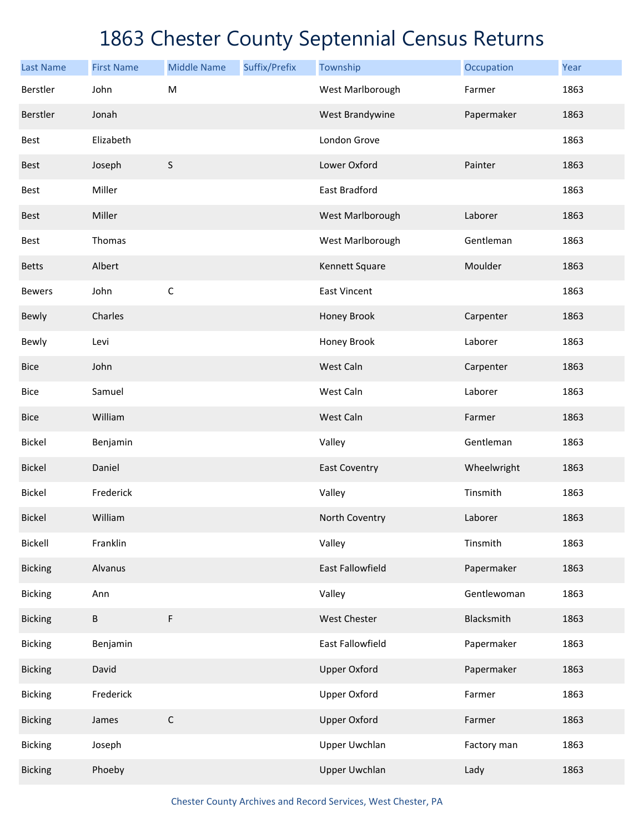| <b>Last Name</b> | <b>First Name</b> | <b>Middle Name</b> | Suffix/Prefix | Township             | Occupation  | Year |
|------------------|-------------------|--------------------|---------------|----------------------|-------------|------|
| Berstler         | John              | ${\sf M}$          |               | West Marlborough     | Farmer      | 1863 |
| Berstler         | Jonah             |                    |               | West Brandywine      | Papermaker  | 1863 |
| Best             | Elizabeth         |                    |               | London Grove         |             | 1863 |
| <b>Best</b>      | Joseph            | S                  |               | Lower Oxford         | Painter     | 1863 |
| Best             | Miller            |                    |               | East Bradford        |             | 1863 |
| <b>Best</b>      | Miller            |                    |               | West Marlborough     | Laborer     | 1863 |
| Best             | Thomas            |                    |               | West Marlborough     | Gentleman   | 1863 |
| <b>Betts</b>     | Albert            |                    |               | Kennett Square       | Moulder     | 1863 |
| <b>Bewers</b>    | John              | $\mathsf C$        |               | <b>East Vincent</b>  |             | 1863 |
| <b>Bewly</b>     | Charles           |                    |               | Honey Brook          | Carpenter   | 1863 |
| Bewly            | Levi              |                    |               | Honey Brook          | Laborer     | 1863 |
| <b>Bice</b>      | John              |                    |               | West Caln            | Carpenter   | 1863 |
| <b>Bice</b>      | Samuel            |                    |               | West Caln            | Laborer     | 1863 |
| <b>Bice</b>      | William           |                    |               | West Caln            | Farmer      | 1863 |
| <b>Bickel</b>    | Benjamin          |                    |               | Valley               | Gentleman   | 1863 |
| <b>Bickel</b>    | Daniel            |                    |               | <b>East Coventry</b> | Wheelwright | 1863 |
| <b>Bickel</b>    | Frederick         |                    |               | Valley               | Tinsmith    | 1863 |
| <b>Bickel</b>    | William           |                    |               | North Coventry       | Laborer     | 1863 |
| Bickell          | Franklin          |                    |               | Valley               | Tinsmith    | 1863 |
| <b>Bicking</b>   | Alvanus           |                    |               | East Fallowfield     | Papermaker  | 1863 |
| <b>Bicking</b>   | Ann               |                    |               | Valley               | Gentlewoman | 1863 |
| <b>Bicking</b>   | $\sf B$           | F                  |               | West Chester         | Blacksmith  | 1863 |
| <b>Bicking</b>   | Benjamin          |                    |               | East Fallowfield     | Papermaker  | 1863 |
| <b>Bicking</b>   | David             |                    |               | <b>Upper Oxford</b>  | Papermaker  | 1863 |
| <b>Bicking</b>   | Frederick         |                    |               | <b>Upper Oxford</b>  | Farmer      | 1863 |
| <b>Bicking</b>   | James             | $\mathsf C$        |               | <b>Upper Oxford</b>  | Farmer      | 1863 |
| <b>Bicking</b>   | Joseph            |                    |               | Upper Uwchlan        | Factory man | 1863 |
| <b>Bicking</b>   | Phoeby            |                    |               | <b>Upper Uwchlan</b> | Lady        | 1863 |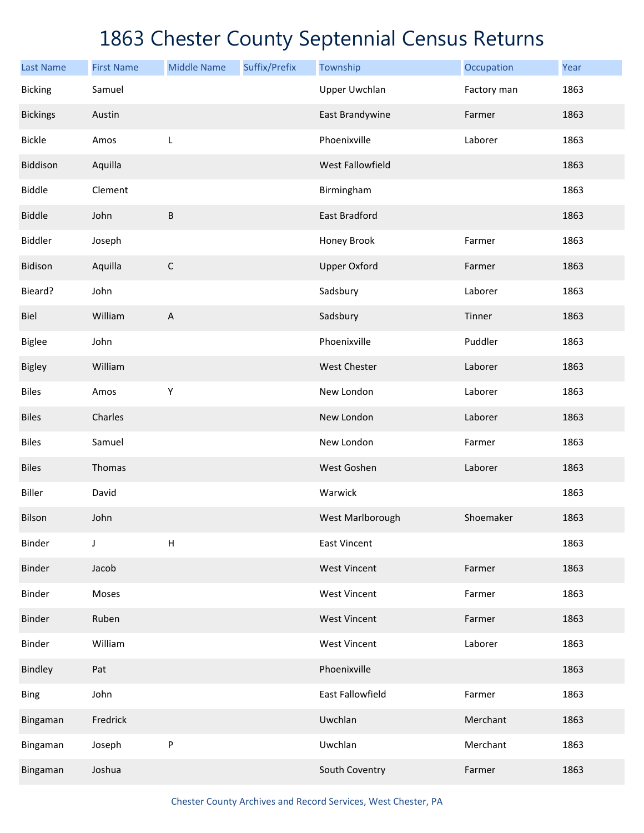| <b>Last Name</b> | <b>First Name</b> | <b>Middle Name</b>        | Suffix/Prefix | Township             | Occupation  | Year |
|------------------|-------------------|---------------------------|---------------|----------------------|-------------|------|
| <b>Bicking</b>   | Samuel            |                           |               | <b>Upper Uwchlan</b> | Factory man | 1863 |
| <b>Bickings</b>  | Austin            |                           |               | East Brandywine      | Farmer      | 1863 |
| <b>Bickle</b>    | Amos              | L                         |               | Phoenixville         | Laborer     | 1863 |
| Biddison         | Aquilla           |                           |               | West Fallowfield     |             | 1863 |
| <b>Biddle</b>    | Clement           |                           |               | Birmingham           |             | 1863 |
| <b>Biddle</b>    | John              | B                         |               | East Bradford        |             | 1863 |
| Biddler          | Joseph            |                           |               | Honey Brook          | Farmer      | 1863 |
| Bidison          | Aquilla           | $\mathsf C$               |               | <b>Upper Oxford</b>  | Farmer      | 1863 |
| Bieard?          | John              |                           |               | Sadsbury             | Laborer     | 1863 |
| Biel             | William           | $\boldsymbol{\mathsf{A}}$ |               | Sadsbury             | Tinner      | 1863 |
| <b>Biglee</b>    | John              |                           |               | Phoenixville         | Puddler     | 1863 |
| Bigley           | William           |                           |               | <b>West Chester</b>  | Laborer     | 1863 |
| <b>Biles</b>     | Amos              | $\mathsf Y$               |               | New London           | Laborer     | 1863 |
| <b>Biles</b>     | Charles           |                           |               | New London           | Laborer     | 1863 |
| <b>Biles</b>     | Samuel            |                           |               | New London           | Farmer      | 1863 |
| <b>Biles</b>     | Thomas            |                           |               | West Goshen          | Laborer     | 1863 |
| <b>Biller</b>    | David             |                           |               | Warwick              |             | 1863 |
| Bilson           | John              |                           |               | West Marlborough     | Shoemaker   | 1863 |
| Binder           | J                 | Н                         |               | East Vincent         |             | 1863 |
| Binder           | Jacob             |                           |               | <b>West Vincent</b>  | Farmer      | 1863 |
| Binder           | Moses             |                           |               | <b>West Vincent</b>  | Farmer      | 1863 |
| Binder           | Ruben             |                           |               | <b>West Vincent</b>  | Farmer      | 1863 |
| Binder           | William           |                           |               | <b>West Vincent</b>  | Laborer     | 1863 |
| Bindley          | Pat               |                           |               | Phoenixville         |             | 1863 |
| <b>Bing</b>      | John              |                           |               | East Fallowfield     | Farmer      | 1863 |
| Bingaman         | Fredrick          |                           |               | Uwchlan              | Merchant    | 1863 |
| Bingaman         | Joseph            | P                         |               | Uwchlan              | Merchant    | 1863 |
| Bingaman         | Joshua            |                           |               | South Coventry       | Farmer      | 1863 |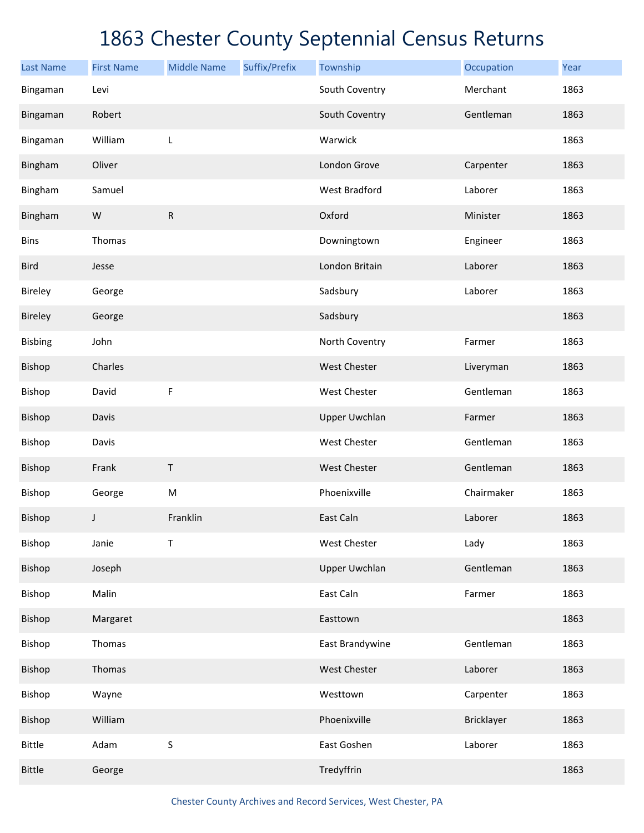| <b>Last Name</b> | <b>First Name</b> | <b>Middle Name</b> | Suffix/Prefix | Township             | Occupation | Year |
|------------------|-------------------|--------------------|---------------|----------------------|------------|------|
| Bingaman         | Levi              |                    |               | South Coventry       | Merchant   | 1863 |
| Bingaman         | Robert            |                    |               | South Coventry       | Gentleman  | 1863 |
| Bingaman         | William           | L                  |               | Warwick              |            | 1863 |
| Bingham          | Oliver            |                    |               | London Grove         | Carpenter  | 1863 |
| Bingham          | Samuel            |                    |               | West Bradford        | Laborer    | 1863 |
| Bingham          | W                 | ${\sf R}$          |               | Oxford               | Minister   | 1863 |
| <b>Bins</b>      | Thomas            |                    |               | Downingtown          | Engineer   | 1863 |
| <b>Bird</b>      | Jesse             |                    |               | London Britain       | Laborer    | 1863 |
| Bireley          | George            |                    |               | Sadsbury             | Laborer    | 1863 |
| Bireley          | George            |                    |               | Sadsbury             |            | 1863 |
| <b>Bisbing</b>   | John              |                    |               | North Coventry       | Farmer     | 1863 |
| Bishop           | Charles           |                    |               | West Chester         | Liveryman  | 1863 |
| Bishop           | David             | F                  |               | West Chester         | Gentleman  | 1863 |
| Bishop           | Davis             |                    |               | <b>Upper Uwchlan</b> | Farmer     | 1863 |
| Bishop           | Davis             |                    |               | West Chester         | Gentleman  | 1863 |
| Bishop           | Frank             | T                  |               | West Chester         | Gentleman  | 1863 |
| Bishop           | George            | ${\sf M}$          |               | Phoenixville         | Chairmaker | 1863 |
| Bishop           | $\mathsf J$       | Franklin           |               | East Caln            | Laborer    | 1863 |
| Bishop           | Janie             | Т                  |               | West Chester         | Lady       | 1863 |
| Bishop           | Joseph            |                    |               | <b>Upper Uwchlan</b> | Gentleman  | 1863 |
| Bishop           | Malin             |                    |               | East Caln            | Farmer     | 1863 |
| Bishop           | Margaret          |                    |               | Easttown             |            | 1863 |
| Bishop           | Thomas            |                    |               | East Brandywine      | Gentleman  | 1863 |
| Bishop           | Thomas            |                    |               | West Chester         | Laborer    | 1863 |
| Bishop           | Wayne             |                    |               | Westtown             | Carpenter  | 1863 |
| Bishop           | William           |                    |               | Phoenixville         | Bricklayer | 1863 |
| <b>Bittle</b>    | Adam              | $\sf S$            |               | East Goshen          | Laborer    | 1863 |
| <b>Bittle</b>    | George            |                    |               | Tredyffrin           |            | 1863 |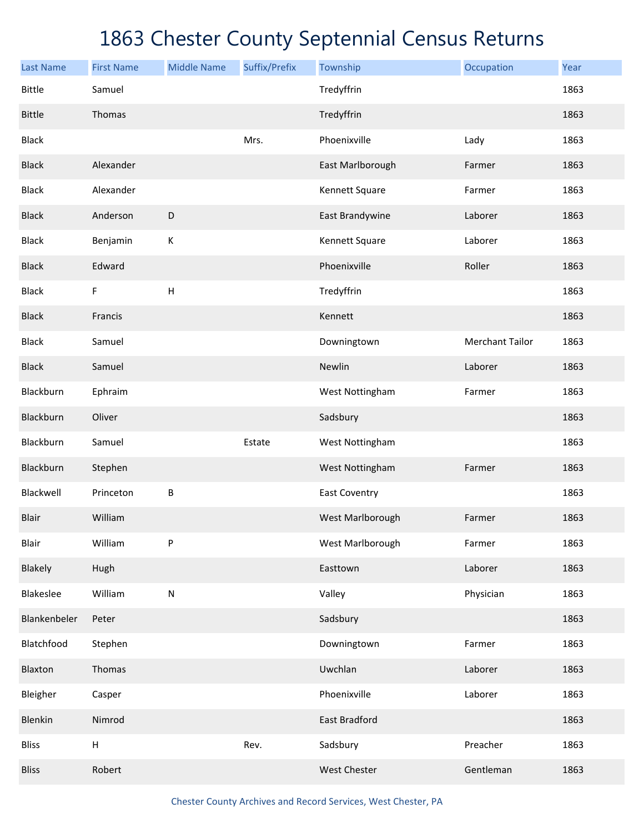| <b>Last Name</b> | <b>First Name</b>         | <b>Middle Name</b> | Suffix/Prefix | Township             | Occupation             | Year |
|------------------|---------------------------|--------------------|---------------|----------------------|------------------------|------|
| <b>Bittle</b>    | Samuel                    |                    |               | Tredyffrin           |                        | 1863 |
| <b>Bittle</b>    | Thomas                    |                    |               | Tredyffrin           |                        | 1863 |
| <b>Black</b>     |                           |                    | Mrs.          | Phoenixville         | Lady                   | 1863 |
| <b>Black</b>     | Alexander                 |                    |               | East Marlborough     | Farmer                 | 1863 |
| <b>Black</b>     | Alexander                 |                    |               | Kennett Square       | Farmer                 | 1863 |
| <b>Black</b>     | Anderson                  | D                  |               | East Brandywine      | Laborer                | 1863 |
| <b>Black</b>     | Benjamin                  | К                  |               | Kennett Square       | Laborer                | 1863 |
| <b>Black</b>     | Edward                    |                    |               | Phoenixville         | Roller                 | 1863 |
| <b>Black</b>     | F                         | H                  |               | Tredyffrin           |                        | 1863 |
| <b>Black</b>     | Francis                   |                    |               | Kennett              |                        | 1863 |
| <b>Black</b>     | Samuel                    |                    |               | Downingtown          | <b>Merchant Tailor</b> | 1863 |
| <b>Black</b>     | Samuel                    |                    |               | Newlin               | Laborer                | 1863 |
| Blackburn        | Ephraim                   |                    |               | West Nottingham      | Farmer                 | 1863 |
| Blackburn        | Oliver                    |                    |               | Sadsbury             |                        | 1863 |
| Blackburn        | Samuel                    |                    | Estate        | West Nottingham      |                        | 1863 |
| Blackburn        | Stephen                   |                    |               | West Nottingham      | Farmer                 | 1863 |
| Blackwell        | Princeton                 | В                  |               | <b>East Coventry</b> |                        | 1863 |
| <b>Blair</b>     | William                   |                    |               | West Marlborough     | Farmer                 | 1863 |
| Blair            | William                   | P                  |               | West Marlborough     | Farmer                 | 1863 |
| Blakely          | Hugh                      |                    |               | Easttown             | Laborer                | 1863 |
| Blakeslee        | William                   | ${\sf N}$          |               | Valley               | Physician              | 1863 |
| Blankenbeler     | Peter                     |                    |               | Sadsbury             |                        | 1863 |
| Blatchfood       | Stephen                   |                    |               | Downingtown          | Farmer                 | 1863 |
| Blaxton          | Thomas                    |                    |               | Uwchlan              | Laborer                | 1863 |
| Bleigher         | Casper                    |                    |               | Phoenixville         | Laborer                | 1863 |
| Blenkin          | Nimrod                    |                    |               | East Bradford        |                        | 1863 |
| <b>Bliss</b>     | $\boldsymbol{\mathsf{H}}$ |                    | Rev.          | Sadsbury             | Preacher               | 1863 |
| <b>Bliss</b>     | Robert                    |                    |               | West Chester         | Gentleman              | 1863 |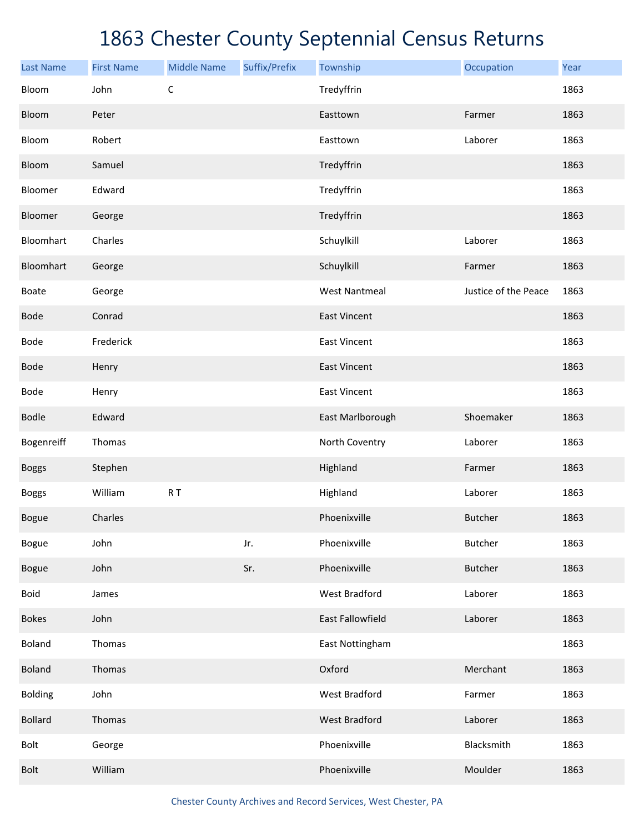| <b>Last Name</b> | <b>First Name</b> | <b>Middle Name</b> | Suffix/Prefix | Township                | Occupation           | Year |
|------------------|-------------------|--------------------|---------------|-------------------------|----------------------|------|
| Bloom            | John              | $\mathsf C$        |               | Tredyffrin              |                      | 1863 |
| Bloom            | Peter             |                    |               | Easttown                | Farmer               | 1863 |
| Bloom            | Robert            |                    |               | Easttown                | Laborer              | 1863 |
| Bloom            | Samuel            |                    |               | Tredyffrin              |                      | 1863 |
| Bloomer          | Edward            |                    |               | Tredyffrin              |                      | 1863 |
| Bloomer          | George            |                    |               | Tredyffrin              |                      | 1863 |
| Bloomhart        | Charles           |                    |               | Schuylkill              | Laborer              | 1863 |
| Bloomhart        | George            |                    |               | Schuylkill              | Farmer               | 1863 |
| <b>Boate</b>     | George            |                    |               | <b>West Nantmeal</b>    | Justice of the Peace | 1863 |
| <b>Bode</b>      | Conrad            |                    |               | <b>East Vincent</b>     |                      | 1863 |
| Bode             | Frederick         |                    |               | <b>East Vincent</b>     |                      | 1863 |
| <b>Bode</b>      | Henry             |                    |               | <b>East Vincent</b>     |                      | 1863 |
| Bode             | Henry             |                    |               | <b>East Vincent</b>     |                      | 1863 |
| <b>Bodle</b>     | Edward            |                    |               | East Marlborough        | Shoemaker            | 1863 |
| Bogenreiff       | Thomas            |                    |               | North Coventry          | Laborer              | 1863 |
| <b>Boggs</b>     | Stephen           |                    |               | Highland                | Farmer               | 1863 |
| <b>Boggs</b>     | William           | $R$ T              |               | Highland                | Laborer              | 1863 |
| <b>Bogue</b>     | Charles           |                    |               | Phoenixville            | <b>Butcher</b>       | 1863 |
| <b>Bogue</b>     | John              |                    | Jr.           | Phoenixville            | Butcher              | 1863 |
| <b>Bogue</b>     | John              |                    | Sr.           | Phoenixville            | <b>Butcher</b>       | 1863 |
| <b>Boid</b>      | James             |                    |               | West Bradford           | Laborer              | 1863 |
| <b>Bokes</b>     | John              |                    |               | <b>East Fallowfield</b> | Laborer              | 1863 |
| Boland           | Thomas            |                    |               | East Nottingham         |                      | 1863 |
| <b>Boland</b>    | Thomas            |                    |               | Oxford                  | Merchant             | 1863 |
| <b>Bolding</b>   | John              |                    |               | West Bradford           | Farmer               | 1863 |
| <b>Bollard</b>   | Thomas            |                    |               | <b>West Bradford</b>    | Laborer              | 1863 |
| Bolt             | George            |                    |               | Phoenixville            | Blacksmith           | 1863 |
| <b>Bolt</b>      | William           |                    |               | Phoenixville            | Moulder              | 1863 |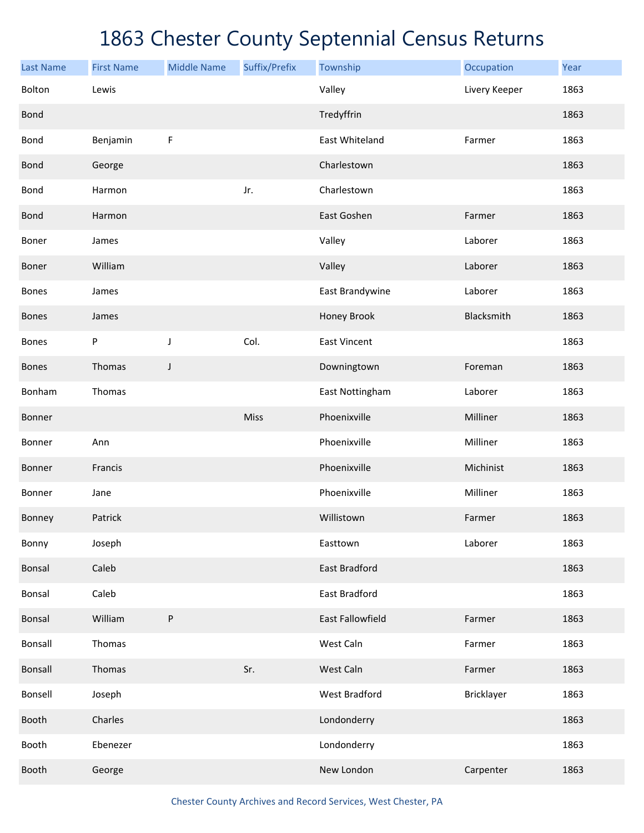| <b>Last Name</b> | <b>First Name</b> | <b>Middle Name</b> | Suffix/Prefix | Township                | Occupation    | Year |
|------------------|-------------------|--------------------|---------------|-------------------------|---------------|------|
| Bolton           | Lewis             |                    |               | Valley                  | Livery Keeper | 1863 |
| <b>Bond</b>      |                   |                    |               | Tredyffrin              |               | 1863 |
| <b>Bond</b>      | Benjamin          | $\mathsf F$        |               | East Whiteland          | Farmer        | 1863 |
| <b>Bond</b>      | George            |                    |               | Charlestown             |               | 1863 |
| <b>Bond</b>      | Harmon            |                    | Jr.           | Charlestown             |               | 1863 |
| <b>Bond</b>      | Harmon            |                    |               | East Goshen             | Farmer        | 1863 |
| Boner            | James             |                    |               | Valley                  | Laborer       | 1863 |
| Boner            | William           |                    |               | Valley                  | Laborer       | 1863 |
| <b>Bones</b>     | James             |                    |               | East Brandywine         | Laborer       | 1863 |
| <b>Bones</b>     | James             |                    |               | Honey Brook             | Blacksmith    | 1863 |
| <b>Bones</b>     | $\sf P$           | J                  | Col.          | <b>East Vincent</b>     |               | 1863 |
| <b>Bones</b>     | Thomas            | J                  |               | Downingtown             | Foreman       | 1863 |
| Bonham           | Thomas            |                    |               | East Nottingham         | Laborer       | 1863 |
| Bonner           |                   |                    | Miss          | Phoenixville            | Milliner      | 1863 |
| Bonner           | Ann               |                    |               | Phoenixville            | Milliner      | 1863 |
| Bonner           | Francis           |                    |               | Phoenixville            | Michinist     | 1863 |
| Bonner           | Jane              |                    |               | Phoenixville            | Milliner      | 1863 |
| Bonney           | Patrick           |                    |               | Willistown              | Farmer        | 1863 |
| Bonny            | Joseph            |                    |               | Easttown                | Laborer       | 1863 |
| Bonsal           | Caleb             |                    |               | East Bradford           |               | 1863 |
| Bonsal           | Caleb             |                    |               | East Bradford           |               | 1863 |
| Bonsal           | William           | ${\sf P}$          |               | <b>East Fallowfield</b> | Farmer        | 1863 |
| Bonsall          | Thomas            |                    |               | West Caln               | Farmer        | 1863 |
| Bonsall          | Thomas            |                    | Sr.           | West Caln               | Farmer        | 1863 |
| Bonsell          | Joseph            |                    |               | <b>West Bradford</b>    | Bricklayer    | 1863 |
| Booth            | Charles           |                    |               | Londonderry             |               | 1863 |
| Booth            | Ebenezer          |                    |               | Londonderry             |               | 1863 |
| Booth            | George            |                    |               | New London              | Carpenter     | 1863 |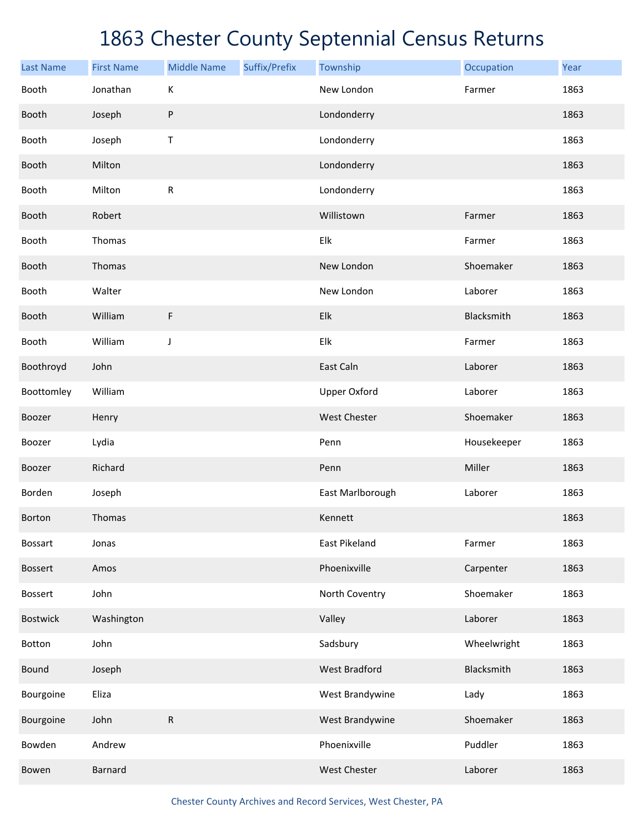| <b>Last Name</b> | <b>First Name</b> | <b>Middle Name</b> | Suffix/Prefix | Township             | Occupation  | Year |
|------------------|-------------------|--------------------|---------------|----------------------|-------------|------|
| Booth            | Jonathan          | К                  |               | New London           | Farmer      | 1863 |
| Booth            | Joseph            | ${\sf P}$          |               | Londonderry          |             | 1863 |
| Booth            | Joseph            | Τ                  |               | Londonderry          |             | 1863 |
| Booth            | Milton            |                    |               | Londonderry          |             | 1863 |
| Booth            | Milton            | R                  |               | Londonderry          |             | 1863 |
| Booth            | Robert            |                    |               | Willistown           | Farmer      | 1863 |
| Booth            | Thomas            |                    |               | Elk                  | Farmer      | 1863 |
| Booth            | Thomas            |                    |               | New London           | Shoemaker   | 1863 |
| Booth            | Walter            |                    |               | New London           | Laborer     | 1863 |
| Booth            | William           | F                  |               | Elk                  | Blacksmith  | 1863 |
| Booth            | William           | J                  |               | Elk                  | Farmer      | 1863 |
| Boothroyd        | John              |                    |               | East Caln            | Laborer     | 1863 |
| Boottomley       | William           |                    |               | <b>Upper Oxford</b>  | Laborer     | 1863 |
| Boozer           | Henry             |                    |               | <b>West Chester</b>  | Shoemaker   | 1863 |
| Boozer           | Lydia             |                    |               | Penn                 | Housekeeper | 1863 |
| Boozer           | Richard           |                    |               | Penn                 | Miller      | 1863 |
| Borden           | Joseph            |                    |               | East Marlborough     | Laborer     | 1863 |
| Borton           | Thomas            |                    |               | Kennett              |             | 1863 |
| Bossart          | Jonas             |                    |               | East Pikeland        | Farmer      | 1863 |
| <b>Bossert</b>   | Amos              |                    |               | Phoenixville         | Carpenter   | 1863 |
| <b>Bossert</b>   | John              |                    |               | North Coventry       | Shoemaker   | 1863 |
| <b>Bostwick</b>  | Washington        |                    |               | Valley               | Laborer     | 1863 |
| Botton           | John              |                    |               | Sadsbury             | Wheelwright | 1863 |
| Bound            | Joseph            |                    |               | <b>West Bradford</b> | Blacksmith  | 1863 |
| Bourgoine        | Eliza             |                    |               | West Brandywine      | Lady        | 1863 |
| Bourgoine        | John              | ${\sf R}$          |               | West Brandywine      | Shoemaker   | 1863 |
| Bowden           | Andrew            |                    |               | Phoenixville         | Puddler     | 1863 |
| Bowen            | Barnard           |                    |               | West Chester         | Laborer     | 1863 |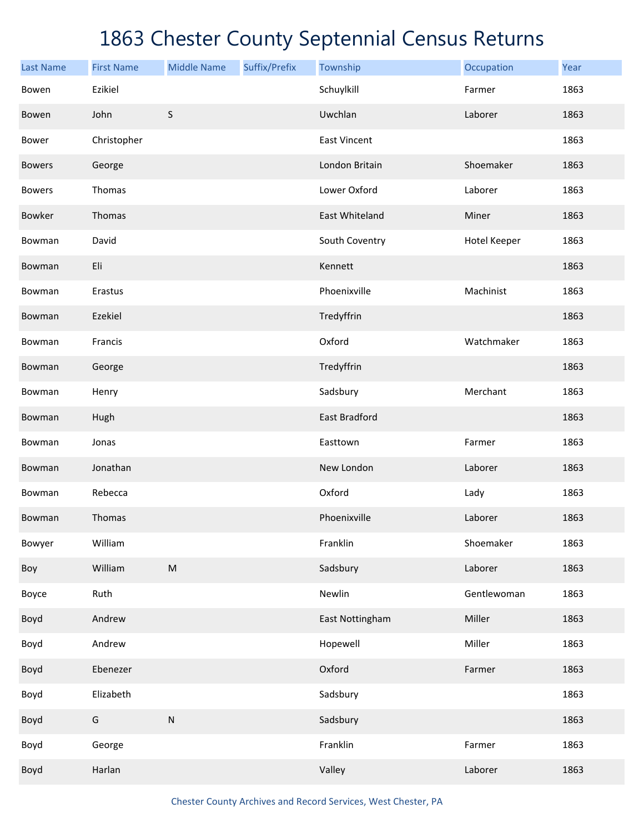| <b>Last Name</b> | <b>First Name</b> | <b>Middle Name</b>                                                                                         | Suffix/Prefix | Township            | Occupation   | Year |
|------------------|-------------------|------------------------------------------------------------------------------------------------------------|---------------|---------------------|--------------|------|
| Bowen            | Ezikiel           |                                                                                                            |               | Schuylkill          | Farmer       | 1863 |
| Bowen            | John              | $\sf S$                                                                                                    |               | Uwchlan             | Laborer      | 1863 |
| Bower            | Christopher       |                                                                                                            |               | <b>East Vincent</b> |              | 1863 |
| <b>Bowers</b>    | George            |                                                                                                            |               | London Britain      | Shoemaker    | 1863 |
| <b>Bowers</b>    | Thomas            |                                                                                                            |               | Lower Oxford        | Laborer      | 1863 |
| Bowker           | Thomas            |                                                                                                            |               | East Whiteland      | Miner        | 1863 |
| Bowman           | David             |                                                                                                            |               | South Coventry      | Hotel Keeper | 1863 |
| Bowman           | Eli               |                                                                                                            |               | Kennett             |              | 1863 |
| Bowman           | Erastus           |                                                                                                            |               | Phoenixville        | Machinist    | 1863 |
| Bowman           | Ezekiel           |                                                                                                            |               | Tredyffrin          |              | 1863 |
| Bowman           | Francis           |                                                                                                            |               | Oxford              | Watchmaker   | 1863 |
| Bowman           | George            |                                                                                                            |               | Tredyffrin          |              | 1863 |
| Bowman           | Henry             |                                                                                                            |               | Sadsbury            | Merchant     | 1863 |
| Bowman           | Hugh              |                                                                                                            |               | East Bradford       |              | 1863 |
| Bowman           | Jonas             |                                                                                                            |               | Easttown            | Farmer       | 1863 |
| Bowman           | Jonathan          |                                                                                                            |               | New London          | Laborer      | 1863 |
| Bowman           | Rebecca           |                                                                                                            |               | Oxford              | Lady         | 1863 |
| Bowman           | Thomas            |                                                                                                            |               | Phoenixville        | Laborer      | 1863 |
| Bowyer           | William           |                                                                                                            |               | Franklin            | Shoemaker    | 1863 |
| Boy              | William           | $\mathsf{M}% _{T}=\mathsf{M}_{T}\!\left( a,b\right) ,\ \mathsf{M}_{T}=\mathsf{M}_{T}\!\left( a,b\right) ,$ |               | Sadsbury            | Laborer      | 1863 |
| Boyce            | Ruth              |                                                                                                            |               | Newlin              | Gentlewoman  | 1863 |
| Boyd             | Andrew            |                                                                                                            |               | East Nottingham     | Miller       | 1863 |
| Boyd             | Andrew            |                                                                                                            |               | Hopewell            | Miller       | 1863 |
| Boyd             | Ebenezer          |                                                                                                            |               | Oxford              | Farmer       | 1863 |
| Boyd             | Elizabeth         |                                                                                                            |               | Sadsbury            |              | 1863 |
| Boyd             | G                 | ${\sf N}$                                                                                                  |               | Sadsbury            |              | 1863 |
| Boyd             | George            |                                                                                                            |               | Franklin            | Farmer       | 1863 |
| Boyd             | Harlan            |                                                                                                            |               | Valley              | Laborer      | 1863 |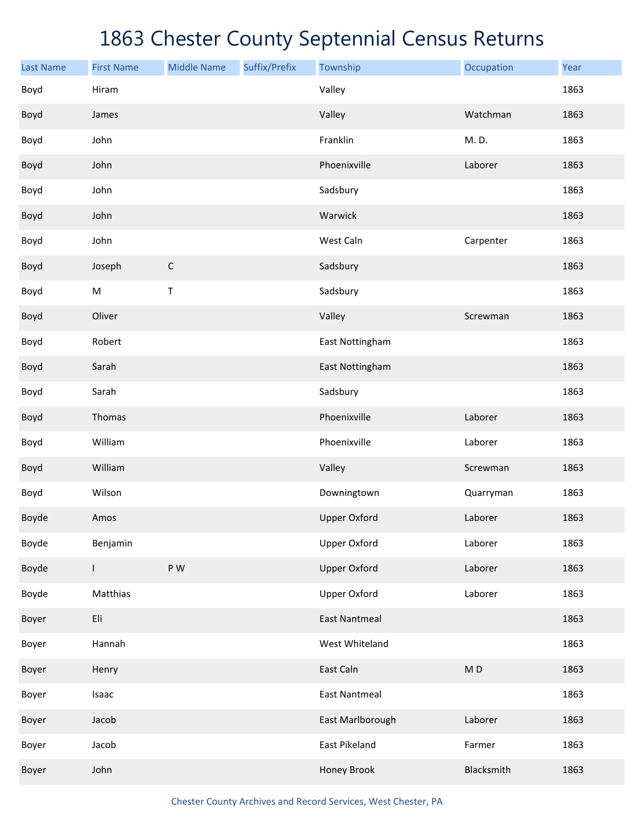| <b>Last Name</b> | <b>First Name</b> | <b>Middle Name</b> | Suffix/Prefix | Township             | Occupation     | Year |
|------------------|-------------------|--------------------|---------------|----------------------|----------------|------|
| Boyd             | Hiram             |                    |               | Valley               |                | 1863 |
| Boyd             | James             |                    |               | Valley               | Watchman       | 1863 |
| Boyd             | John              |                    |               | Franklin             | M. D.          | 1863 |
| Boyd             | John              |                    |               | Phoenixville         | Laborer        | 1863 |
| Boyd             | John              |                    |               | Sadsbury             |                | 1863 |
| Boyd             | John              |                    |               | Warwick              |                | 1863 |
| Boyd             | John              |                    |               | West Caln            | Carpenter      | 1863 |
| Boyd             | Joseph            | $\mathsf C$        |               | Sadsbury             |                | 1863 |
| Boyd             | M                 | Τ                  |               | Sadsbury             |                | 1863 |
| Boyd             | Oliver            |                    |               | Valley               | Screwman       | 1863 |
| Boyd             | Robert            |                    |               | East Nottingham      |                | 1863 |
| Boyd             | Sarah             |                    |               | East Nottingham      |                | 1863 |
| Boyd             | Sarah             |                    |               | Sadsbury             |                | 1863 |
| Boyd             | Thomas            |                    |               | Phoenixville         | Laborer        | 1863 |
| Boyd             | William           |                    |               | Phoenixville         | Laborer        | 1863 |
| Boyd             | William           |                    |               | Valley               | Screwman       | 1863 |
| Boyd             | Wilson            |                    |               | Downingtown          | Quarryman      | 1863 |
| Boyde            | Amos              |                    |               | <b>Upper Oxford</b>  | Laborer        | 1863 |
| Boyde            | Benjamin          |                    |               | <b>Upper Oxford</b>  | Laborer        | 1863 |
| Boyde            | $\mathsf{L}$      | P W                |               | <b>Upper Oxford</b>  | Laborer        | 1863 |
| Boyde            | Matthias          |                    |               | <b>Upper Oxford</b>  | Laborer        | 1863 |
| Boyer            | Eli               |                    |               | <b>East Nantmeal</b> |                | 1863 |
| Boyer            | Hannah            |                    |               | West Whiteland       |                | 1863 |
| Boyer            | Henry             |                    |               | East Caln            | M <sub>D</sub> | 1863 |
| Boyer            | Isaac             |                    |               | <b>East Nantmeal</b> |                | 1863 |
| Boyer            | Jacob             |                    |               | East Marlborough     | Laborer        | 1863 |
| Boyer            | Jacob             |                    |               | East Pikeland        | Farmer         | 1863 |
| Boyer            | John              |                    |               | Honey Brook          | Blacksmith     | 1863 |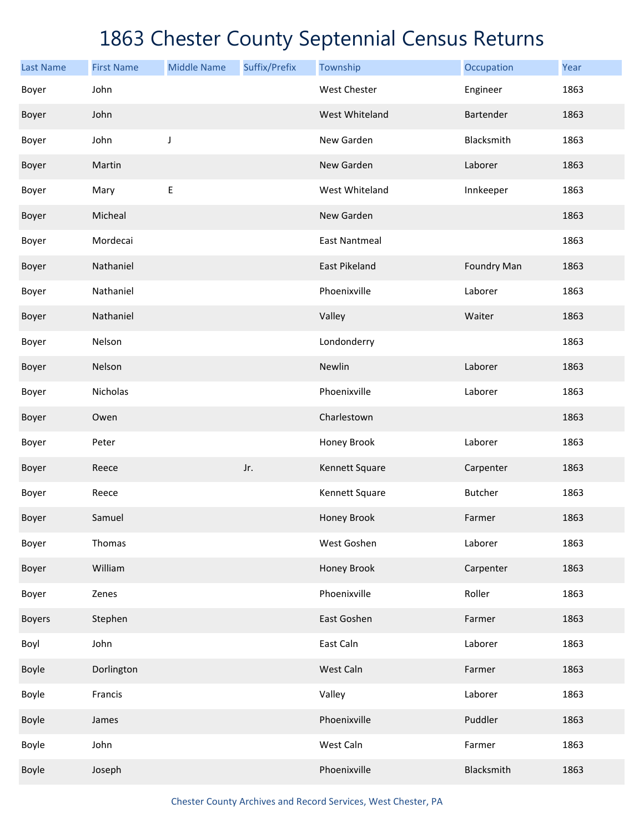| <b>Last Name</b> | <b>First Name</b> | <b>Middle Name</b> | Suffix/Prefix | Township             | Occupation     | Year |
|------------------|-------------------|--------------------|---------------|----------------------|----------------|------|
| Boyer            | John              |                    |               | <b>West Chester</b>  | Engineer       | 1863 |
| Boyer            | John              |                    |               | West Whiteland       | Bartender      | 1863 |
| Boyer            | John              | J                  |               | New Garden           | Blacksmith     | 1863 |
| Boyer            | Martin            |                    |               | New Garden           | Laborer        | 1863 |
| Boyer            | Mary              | Е                  |               | West Whiteland       | Innkeeper      | 1863 |
| Boyer            | Micheal           |                    |               | New Garden           |                | 1863 |
| Boyer            | Mordecai          |                    |               | <b>East Nantmeal</b> |                | 1863 |
| Boyer            | Nathaniel         |                    |               | <b>East Pikeland</b> | Foundry Man    | 1863 |
| Boyer            | Nathaniel         |                    |               | Phoenixville         | Laborer        | 1863 |
| Boyer            | Nathaniel         |                    |               | Valley               | Waiter         | 1863 |
| Boyer            | Nelson            |                    |               | Londonderry          |                | 1863 |
| Boyer            | Nelson            |                    |               | Newlin               | Laborer        | 1863 |
| Boyer            | Nicholas          |                    |               | Phoenixville         | Laborer        | 1863 |
| Boyer            | Owen              |                    |               | Charlestown          |                | 1863 |
| Boyer            | Peter             |                    |               | Honey Brook          | Laborer        | 1863 |
| Boyer            | Reece             |                    | Jr.           | Kennett Square       | Carpenter      | 1863 |
| Boyer            | Reece             |                    |               | Kennett Square       | <b>Butcher</b> | 1863 |
| Boyer            | Samuel            |                    |               | Honey Brook          | Farmer         | 1863 |
| Boyer            | Thomas            |                    |               | West Goshen          | Laborer        | 1863 |
| Boyer            | William           |                    |               | Honey Brook          | Carpenter      | 1863 |
| Boyer            | Zenes             |                    |               | Phoenixville         | Roller         | 1863 |
| <b>Boyers</b>    | Stephen           |                    |               | East Goshen          | Farmer         | 1863 |
| Boyl             | John              |                    |               | East Caln            | Laborer        | 1863 |
| Boyle            | Dorlington        |                    |               | West Caln            | Farmer         | 1863 |
| Boyle            | Francis           |                    |               | Valley               | Laborer        | 1863 |
| Boyle            | James             |                    |               | Phoenixville         | Puddler        | 1863 |
| Boyle            | John              |                    |               | West Caln            | Farmer         | 1863 |
| Boyle            | Joseph            |                    |               | Phoenixville         | Blacksmith     | 1863 |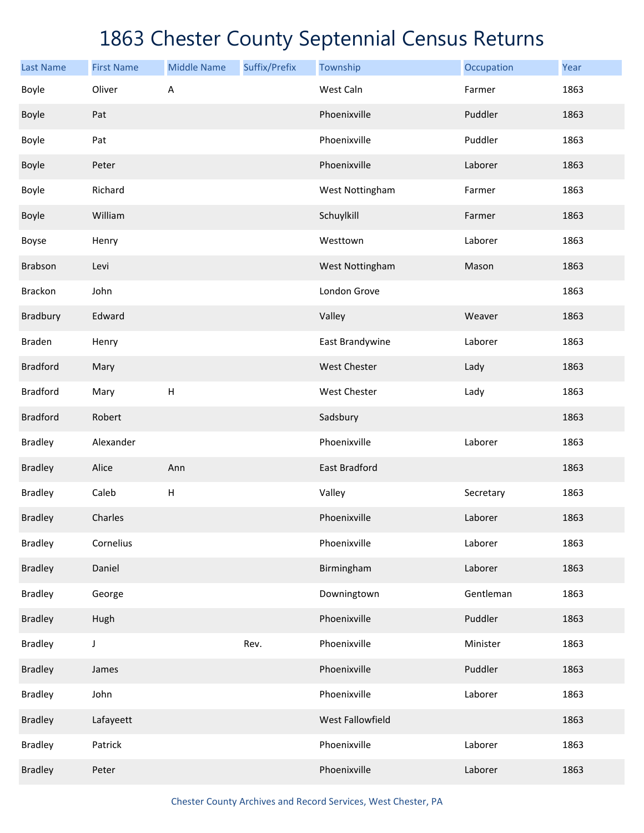| <b>Last Name</b> | <b>First Name</b> | <b>Middle Name</b>        | Suffix/Prefix | Township         | Occupation | Year |
|------------------|-------------------|---------------------------|---------------|------------------|------------|------|
| Boyle            | Oliver            | Α                         |               | West Caln        | Farmer     | 1863 |
| Boyle            | Pat               |                           |               | Phoenixville     | Puddler    | 1863 |
| Boyle            | Pat               |                           |               | Phoenixville     | Puddler    | 1863 |
| Boyle            | Peter             |                           |               | Phoenixville     | Laborer    | 1863 |
| Boyle            | Richard           |                           |               | West Nottingham  | Farmer     | 1863 |
| Boyle            | William           |                           |               | Schuylkill       | Farmer     | 1863 |
| Boyse            | Henry             |                           |               | Westtown         | Laborer    | 1863 |
| Brabson          | Levi              |                           |               | West Nottingham  | Mason      | 1863 |
| <b>Brackon</b>   | John              |                           |               | London Grove     |            | 1863 |
| Bradbury         | Edward            |                           |               | Valley           | Weaver     | 1863 |
| Braden           | Henry             |                           |               | East Brandywine  | Laborer    | 1863 |
| <b>Bradford</b>  | Mary              |                           |               | West Chester     | Lady       | 1863 |
| <b>Bradford</b>  | Mary              | $\boldsymbol{\mathsf{H}}$ |               | West Chester     | Lady       | 1863 |
| <b>Bradford</b>  | Robert            |                           |               | Sadsbury         |            | 1863 |
| <b>Bradley</b>   | Alexander         |                           |               | Phoenixville     | Laborer    | 1863 |
| <b>Bradley</b>   | Alice             | Ann                       |               | East Bradford    |            | 1863 |
| <b>Bradley</b>   | Caleb             | Н                         |               | Valley           | Secretary  | 1863 |
| <b>Bradley</b>   | Charles           |                           |               | Phoenixville     | Laborer    | 1863 |
| <b>Bradley</b>   | Cornelius         |                           |               | Phoenixville     | Laborer    | 1863 |
| <b>Bradley</b>   | Daniel            |                           |               | Birmingham       | Laborer    | 1863 |
| <b>Bradley</b>   | George            |                           |               | Downingtown      | Gentleman  | 1863 |
| <b>Bradley</b>   | Hugh              |                           |               | Phoenixville     | Puddler    | 1863 |
| <b>Bradley</b>   | $\mathsf J$       |                           | Rev.          | Phoenixville     | Minister   | 1863 |
| <b>Bradley</b>   | James             |                           |               | Phoenixville     | Puddler    | 1863 |
| <b>Bradley</b>   | John              |                           |               | Phoenixville     | Laborer    | 1863 |
| <b>Bradley</b>   | Lafayeett         |                           |               | West Fallowfield |            | 1863 |
| <b>Bradley</b>   | Patrick           |                           |               | Phoenixville     | Laborer    | 1863 |
| <b>Bradley</b>   | Peter             |                           |               | Phoenixville     | Laborer    | 1863 |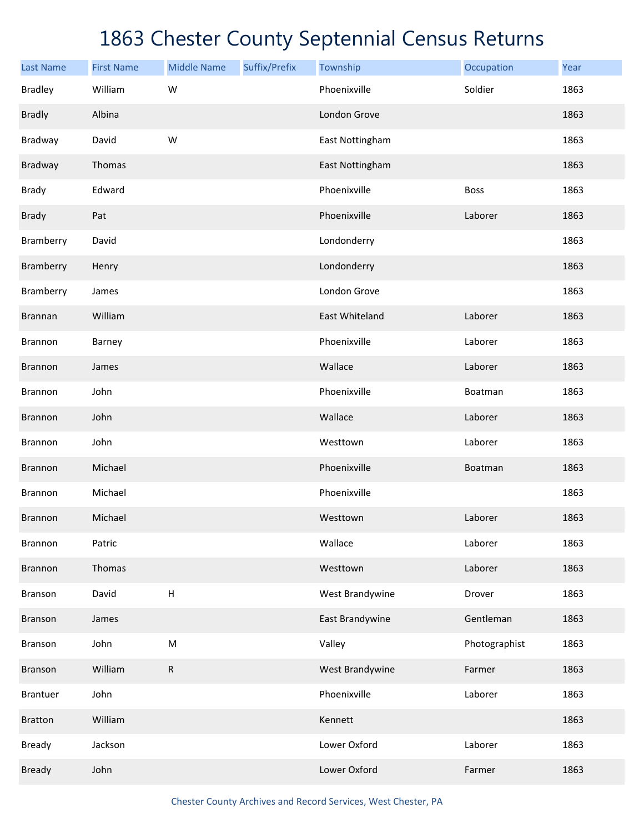| <b>Last Name</b> | <b>First Name</b> | <b>Middle Name</b>        | Suffix/Prefix | Township        | Occupation    | Year |
|------------------|-------------------|---------------------------|---------------|-----------------|---------------|------|
| <b>Bradley</b>   | William           | W                         |               | Phoenixville    | Soldier       | 1863 |
| <b>Bradly</b>    | Albina            |                           |               | London Grove    |               | 1863 |
| Bradway          | David             | W                         |               | East Nottingham |               | 1863 |
| Bradway          | Thomas            |                           |               | East Nottingham |               | 1863 |
| <b>Brady</b>     | Edward            |                           |               | Phoenixville    | <b>Boss</b>   | 1863 |
| <b>Brady</b>     | Pat               |                           |               | Phoenixville    | Laborer       | 1863 |
| Bramberry        | David             |                           |               | Londonderry     |               | 1863 |
| Bramberry        | Henry             |                           |               | Londonderry     |               | 1863 |
| Bramberry        | James             |                           |               | London Grove    |               | 1863 |
| <b>Brannan</b>   | William           |                           |               | East Whiteland  | Laborer       | 1863 |
| <b>Brannon</b>   | Barney            |                           |               | Phoenixville    | Laborer       | 1863 |
| <b>Brannon</b>   | James             |                           |               | Wallace         | Laborer       | 1863 |
| <b>Brannon</b>   | John              |                           |               | Phoenixville    | Boatman       | 1863 |
| <b>Brannon</b>   | John              |                           |               | Wallace         | Laborer       | 1863 |
| <b>Brannon</b>   | John              |                           |               | Westtown        | Laborer       | 1863 |
| <b>Brannon</b>   | Michael           |                           |               | Phoenixville    | Boatman       | 1863 |
| <b>Brannon</b>   | Michael           |                           |               | Phoenixville    |               | 1863 |
| <b>Brannon</b>   | Michael           |                           |               | Westtown        | Laborer       | 1863 |
| Brannon          | Patric            |                           |               | Wallace         | Laborer       | 1863 |
| Brannon          | Thomas            |                           |               | Westtown        | Laborer       | 1863 |
| Branson          | David             | $\boldsymbol{\mathsf{H}}$ |               | West Brandywine | Drover        | 1863 |
| Branson          | James             |                           |               | East Brandywine | Gentleman     | 1863 |
| Branson          | John              | ${\sf M}$                 |               | Valley          | Photographist | 1863 |
| Branson          | William           | ${\sf R}$                 |               | West Brandywine | Farmer        | 1863 |
| <b>Brantuer</b>  | John              |                           |               | Phoenixville    | Laborer       | 1863 |
| <b>Bratton</b>   | William           |                           |               | Kennett         |               | 1863 |
| <b>Bready</b>    | Jackson           |                           |               | Lower Oxford    | Laborer       | 1863 |
| <b>Bready</b>    | John              |                           |               | Lower Oxford    | Farmer        | 1863 |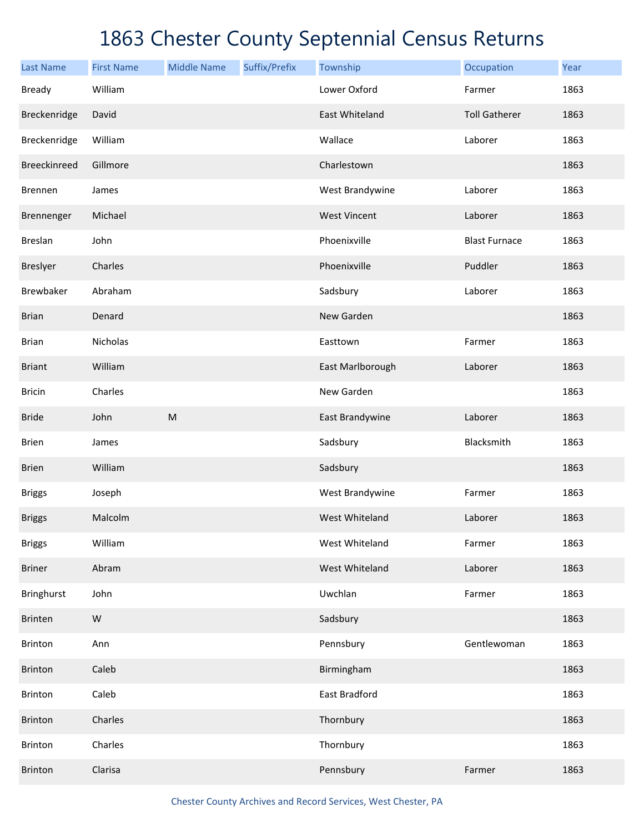| <b>Last Name</b>    | <b>First Name</b> | <b>Middle Name</b>                                                                                         | Suffix/Prefix | Township              | Occupation           | Year |
|---------------------|-------------------|------------------------------------------------------------------------------------------------------------|---------------|-----------------------|----------------------|------|
| <b>Bready</b>       | William           |                                                                                                            |               | Lower Oxford          | Farmer               | 1863 |
| Breckenridge        | David             |                                                                                                            |               | <b>East Whiteland</b> | <b>Toll Gatherer</b> | 1863 |
| Breckenridge        | William           |                                                                                                            |               | Wallace               | Laborer              | 1863 |
| <b>Breeckinreed</b> | Gillmore          |                                                                                                            |               | Charlestown           |                      | 1863 |
| <b>Brennen</b>      | James             |                                                                                                            |               | West Brandywine       | Laborer              | 1863 |
| Brennenger          | Michael           |                                                                                                            |               | <b>West Vincent</b>   | Laborer              | 1863 |
| <b>Breslan</b>      | John              |                                                                                                            |               | Phoenixville          | <b>Blast Furnace</b> | 1863 |
| <b>Breslyer</b>     | Charles           |                                                                                                            |               | Phoenixville          | Puddler              | 1863 |
| Brewbaker           | Abraham           |                                                                                                            |               | Sadsbury              | Laborer              | 1863 |
| <b>Brian</b>        | Denard            |                                                                                                            |               | New Garden            |                      | 1863 |
| <b>Brian</b>        | Nicholas          |                                                                                                            |               | Easttown              | Farmer               | 1863 |
| <b>Briant</b>       | William           |                                                                                                            |               | East Marlborough      | Laborer              | 1863 |
| <b>Bricin</b>       | Charles           |                                                                                                            |               | New Garden            |                      | 1863 |
| <b>Bride</b>        | John              | $\mathsf{M}% _{T}=\mathsf{M}_{T}\!\left( a,b\right) ,\ \mathsf{M}_{T}=\mathsf{M}_{T}\!\left( a,b\right) ,$ |               | East Brandywine       | Laborer              | 1863 |
| <b>Brien</b>        | James             |                                                                                                            |               | Sadsbury              | Blacksmith           | 1863 |
| <b>Brien</b>        | William           |                                                                                                            |               | Sadsbury              |                      | 1863 |
| <b>Briggs</b>       | Joseph            |                                                                                                            |               | West Brandywine       | Farmer               | 1863 |
| <b>Briggs</b>       | Malcolm           |                                                                                                            |               | West Whiteland        | Laborer              | 1863 |
| <b>Briggs</b>       | William           |                                                                                                            |               | West Whiteland        | Farmer               | 1863 |
| <b>Briner</b>       | Abram             |                                                                                                            |               | West Whiteland        | Laborer              | 1863 |
| <b>Bringhurst</b>   | John              |                                                                                                            |               | Uwchlan               | Farmer               | 1863 |
| Brinten             | ${\sf W}$         |                                                                                                            |               | Sadsbury              |                      | 1863 |
| <b>Brinton</b>      | Ann               |                                                                                                            |               | Pennsbury             | Gentlewoman          | 1863 |
| <b>Brinton</b>      | Caleb             |                                                                                                            |               | Birmingham            |                      | 1863 |
| <b>Brinton</b>      | Caleb             |                                                                                                            |               | East Bradford         |                      | 1863 |
| <b>Brinton</b>      | Charles           |                                                                                                            |               | Thornbury             |                      | 1863 |
| <b>Brinton</b>      | Charles           |                                                                                                            |               | Thornbury             |                      | 1863 |
| <b>Brinton</b>      | Clarisa           |                                                                                                            |               | Pennsbury             | Farmer               | 1863 |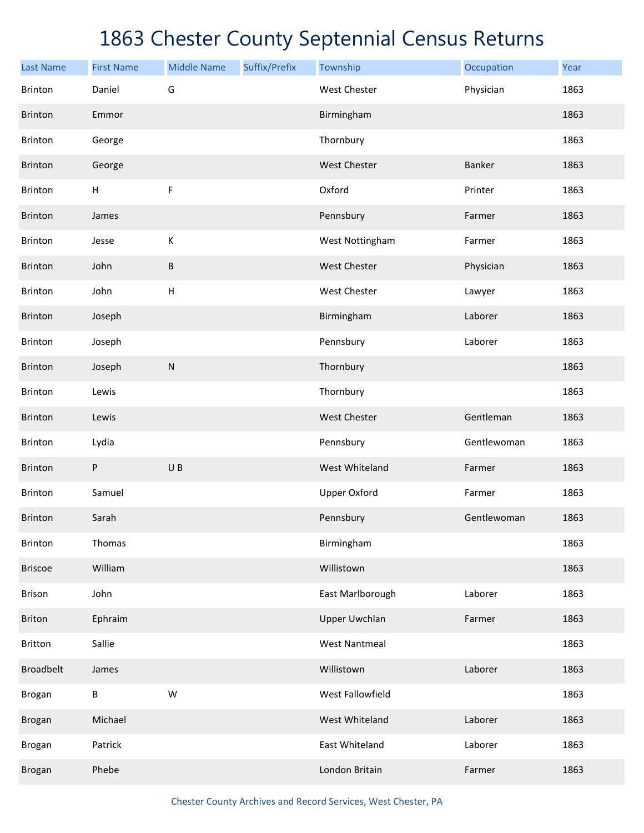| <b>Last Name</b> | <b>First Name</b> | <b>Middle Name</b>        | Suffix/Prefix | Township             | Occupation    | Year |
|------------------|-------------------|---------------------------|---------------|----------------------|---------------|------|
| <b>Brinton</b>   | Daniel            | G                         |               | <b>West Chester</b>  | Physician     | 1863 |
| Brinton          | Emmor             |                           |               | Birmingham           |               | 1863 |
| Brinton          | George            |                           |               | Thornbury            |               | 1863 |
| Brinton          | George            |                           |               | West Chester         | <b>Banker</b> | 1863 |
| Brinton          | H                 | F                         |               | Oxford               | Printer       | 1863 |
| Brinton          | James             |                           |               | Pennsbury            | Farmer        | 1863 |
| Brinton          | Jesse             | К                         |               | West Nottingham      | Farmer        | 1863 |
| Brinton          | John              | $\sf B$                   |               | West Chester         | Physician     | 1863 |
| Brinton          | John              | $\boldsymbol{\mathsf{H}}$ |               | West Chester         | Lawyer        | 1863 |
| Brinton          | Joseph            |                           |               | Birmingham           | Laborer       | 1863 |
| Brinton          | Joseph            |                           |               | Pennsbury            | Laborer       | 1863 |
| Brinton          | Joseph            | ${\sf N}$                 |               | Thornbury            |               | 1863 |
| Brinton          | Lewis             |                           |               | Thornbury            |               | 1863 |
| Brinton          | Lewis             |                           |               | West Chester         | Gentleman     | 1863 |
| Brinton          | Lydia             |                           |               | Pennsbury            | Gentlewoman   | 1863 |
| Brinton          | P                 | UB                        |               | West Whiteland       | Farmer        | 1863 |
| <b>Brinton</b>   | Samuel            |                           |               | <b>Upper Oxford</b>  | Farmer        | 1863 |
| <b>Brinton</b>   | Sarah             |                           |               | Pennsbury            | Gentlewoman   | 1863 |
| Brinton          | Thomas            |                           |               | Birmingham           |               | 1863 |
| <b>Briscoe</b>   | William           |                           |               | Willistown           |               | 1863 |
| Brison           | John              |                           |               | East Marlborough     | Laborer       | 1863 |
| <b>Briton</b>    | Ephraim           |                           |               | <b>Upper Uwchlan</b> | Farmer        | 1863 |
| <b>Britton</b>   | Sallie            |                           |               | <b>West Nantmeal</b> |               | 1863 |
| <b>Broadbelt</b> | James             |                           |               | Willistown           | Laborer       | 1863 |
| Brogan           | B                 | ${\sf W}$                 |               | West Fallowfield     |               | 1863 |
| <b>Brogan</b>    | Michael           |                           |               | West Whiteland       | Laborer       | 1863 |
| Brogan           | Patrick           |                           |               | East Whiteland       | Laborer       | 1863 |
| Brogan           | Phebe             |                           |               | London Britain       | Farmer        | 1863 |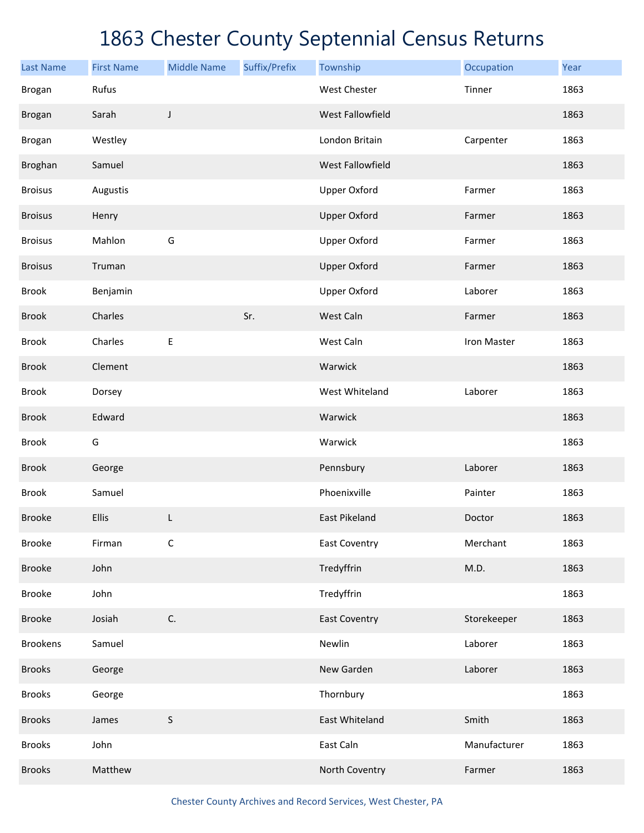| <b>Last Name</b> | <b>First Name</b> | <b>Middle Name</b> | Suffix/Prefix | Township             | Occupation   | Year |
|------------------|-------------------|--------------------|---------------|----------------------|--------------|------|
| <b>Brogan</b>    | Rufus             |                    |               | <b>West Chester</b>  | Tinner       | 1863 |
| <b>Brogan</b>    | Sarah             | J                  |               | West Fallowfield     |              | 1863 |
| Brogan           | Westley           |                    |               | London Britain       | Carpenter    | 1863 |
| Broghan          | Samuel            |                    |               | West Fallowfield     |              | 1863 |
| <b>Broisus</b>   | Augustis          |                    |               | <b>Upper Oxford</b>  | Farmer       | 1863 |
| <b>Broisus</b>   | Henry             |                    |               | <b>Upper Oxford</b>  | Farmer       | 1863 |
| <b>Broisus</b>   | Mahlon            | G                  |               | <b>Upper Oxford</b>  | Farmer       | 1863 |
| <b>Broisus</b>   | Truman            |                    |               | <b>Upper Oxford</b>  | Farmer       | 1863 |
| <b>Brook</b>     | Benjamin          |                    |               | <b>Upper Oxford</b>  | Laborer      | 1863 |
| <b>Brook</b>     | Charles           |                    | Sr.           | West Caln            | Farmer       | 1863 |
| <b>Brook</b>     | Charles           | $\mathsf E$        |               | West Caln            | Iron Master  | 1863 |
| <b>Brook</b>     | Clement           |                    |               | Warwick              |              | 1863 |
| <b>Brook</b>     | Dorsey            |                    |               | West Whiteland       | Laborer      | 1863 |
| <b>Brook</b>     | Edward            |                    |               | Warwick              |              | 1863 |
| <b>Brook</b>     | G                 |                    |               | Warwick              |              | 1863 |
| <b>Brook</b>     | George            |                    |               | Pennsbury            | Laborer      | 1863 |
| <b>Brook</b>     | Samuel            |                    |               | Phoenixville         | Painter      | 1863 |
| <b>Brooke</b>    | Ellis             | L                  |               | <b>East Pikeland</b> | Doctor       | 1863 |
| <b>Brooke</b>    | Firman            | $\mathsf C$        |               | <b>East Coventry</b> | Merchant     | 1863 |
| <b>Brooke</b>    | John              |                    |               | Tredyffrin           | M.D.         | 1863 |
| <b>Brooke</b>    | John              |                    |               | Tredyffrin           |              | 1863 |
| <b>Brooke</b>    | Josiah            | C.                 |               | <b>East Coventry</b> | Storekeeper  | 1863 |
| <b>Brookens</b>  | Samuel            |                    |               | Newlin               | Laborer      | 1863 |
| <b>Brooks</b>    | George            |                    |               | New Garden           | Laborer      | 1863 |
| <b>Brooks</b>    | George            |                    |               | Thornbury            |              | 1863 |
| <b>Brooks</b>    | James             | $\sf S$            |               | East Whiteland       | Smith        | 1863 |
| <b>Brooks</b>    | John              |                    |               | East Caln            | Manufacturer | 1863 |
| <b>Brooks</b>    | Matthew           |                    |               | North Coventry       | Farmer       | 1863 |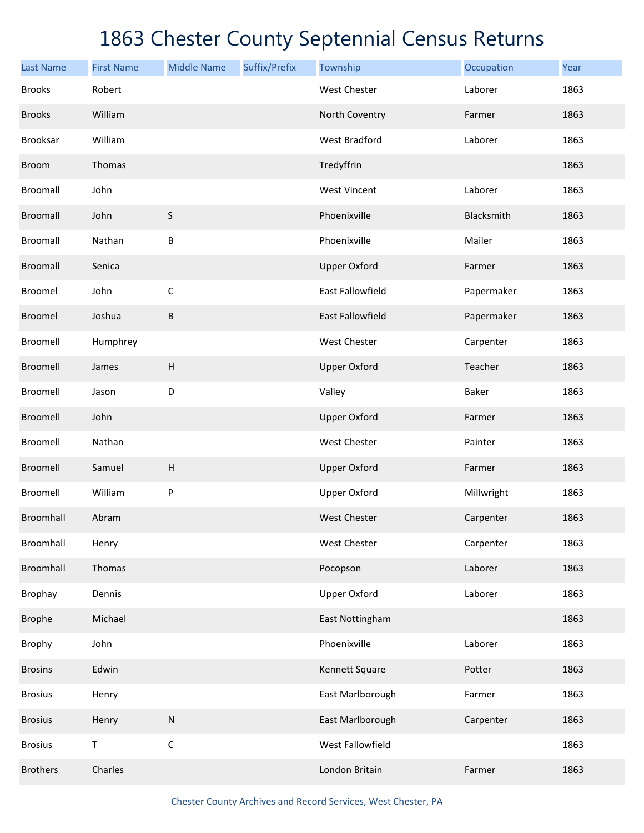| <b>Last Name</b> | <b>First Name</b> | <b>Middle Name</b>        | Suffix/Prefix | Township                | Occupation | Year |
|------------------|-------------------|---------------------------|---------------|-------------------------|------------|------|
| <b>Brooks</b>    | Robert            |                           |               | <b>West Chester</b>     | Laborer    | 1863 |
| <b>Brooks</b>    | William           |                           |               | North Coventry          | Farmer     | 1863 |
| Brooksar         | William           |                           |               | <b>West Bradford</b>    | Laborer    | 1863 |
| <b>Broom</b>     | Thomas            |                           |               | Tredyffrin              |            | 1863 |
| Broomall         | John              |                           |               | <b>West Vincent</b>     | Laborer    | 1863 |
| Broomall         | John              | S                         |               | Phoenixville            | Blacksmith | 1863 |
| Broomall         | Nathan            | B                         |               | Phoenixville            | Mailer     | 1863 |
| Broomall         | Senica            |                           |               | <b>Upper Oxford</b>     | Farmer     | 1863 |
| Broomel          | John              | $\mathsf C$               |               | East Fallowfield        | Papermaker | 1863 |
| Broomel          | Joshua            | B                         |               | <b>East Fallowfield</b> | Papermaker | 1863 |
| Broomell         | Humphrey          |                           |               | <b>West Chester</b>     | Carpenter  | 1863 |
| Broomell         | James             | $\boldsymbol{\mathsf{H}}$ |               | <b>Upper Oxford</b>     | Teacher    | 1863 |
| Broomell         | Jason             | D                         |               | Valley                  | Baker      | 1863 |
| Broomell         | John              |                           |               | <b>Upper Oxford</b>     | Farmer     | 1863 |
| Broomell         | Nathan            |                           |               | West Chester            | Painter    | 1863 |
| Broomell         | Samuel            | $\boldsymbol{\mathsf{H}}$ |               | <b>Upper Oxford</b>     | Farmer     | 1863 |
| Broomell         | William           | P                         |               | <b>Upper Oxford</b>     | Millwright | 1863 |
| Broomhall        | Abram             |                           |               | <b>West Chester</b>     | Carpenter  | 1863 |
| Broomhall        | Henry             |                           |               | <b>West Chester</b>     | Carpenter  | 1863 |
| Broomhall        | Thomas            |                           |               | Pocopson                | Laborer    | 1863 |
| Brophay          | Dennis            |                           |               | <b>Upper Oxford</b>     | Laborer    | 1863 |
| <b>Brophe</b>    | Michael           |                           |               | East Nottingham         |            | 1863 |
| Brophy           | John              |                           |               | Phoenixville            | Laborer    | 1863 |
| <b>Brosins</b>   | Edwin             |                           |               | Kennett Square          | Potter     | 1863 |
| <b>Brosius</b>   | Henry             |                           |               | East Marlborough        | Farmer     | 1863 |
| <b>Brosius</b>   | Henry             | ${\sf N}$                 |               | East Marlborough        | Carpenter  | 1863 |
| <b>Brosius</b>   | $\sf T$           | $\mathsf C$               |               | West Fallowfield        |            | 1863 |
| <b>Brothers</b>  | Charles           |                           |               | London Britain          | Farmer     | 1863 |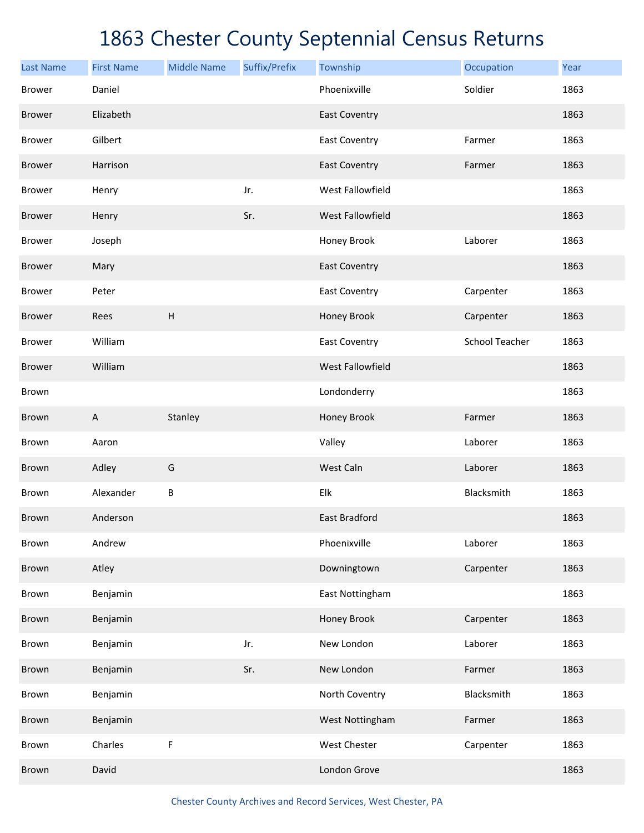| <b>Last Name</b> | <b>First Name</b> | <b>Middle Name</b> | Suffix/Prefix | Township                | Occupation            | Year |
|------------------|-------------------|--------------------|---------------|-------------------------|-----------------------|------|
| <b>Brower</b>    | Daniel            |                    |               | Phoenixville            | Soldier               | 1863 |
| <b>Brower</b>    | Elizabeth         |                    |               | <b>East Coventry</b>    |                       | 1863 |
| <b>Brower</b>    | Gilbert           |                    |               | <b>East Coventry</b>    | Farmer                | 1863 |
| <b>Brower</b>    | Harrison          |                    |               | <b>East Coventry</b>    | Farmer                | 1863 |
| <b>Brower</b>    | Henry             |                    | Jr.           | <b>West Fallowfield</b> |                       | 1863 |
| <b>Brower</b>    | Henry             |                    | Sr.           | West Fallowfield        |                       | 1863 |
| <b>Brower</b>    | Joseph            |                    |               | Honey Brook             | Laborer               | 1863 |
| <b>Brower</b>    | Mary              |                    |               | <b>East Coventry</b>    |                       | 1863 |
| <b>Brower</b>    | Peter             |                    |               | <b>East Coventry</b>    | Carpenter             | 1863 |
| <b>Brower</b>    | Rees              | H                  |               | Honey Brook             | Carpenter             | 1863 |
| <b>Brower</b>    | William           |                    |               | <b>East Coventry</b>    | <b>School Teacher</b> | 1863 |
| <b>Brower</b>    | William           |                    |               | West Fallowfield        |                       | 1863 |
| Brown            |                   |                    |               | Londonderry             |                       | 1863 |
| Brown            | $\overline{A}$    | Stanley            |               | Honey Brook             | Farmer                | 1863 |
| Brown            | Aaron             |                    |               | Valley                  | Laborer               | 1863 |
| Brown            | Adley             | G                  |               | West Caln               | Laborer               | 1863 |
| Brown            | Alexander         | $\sf B$            |               | Elk                     | Blacksmith            | 1863 |
| Brown            | Anderson          |                    |               | East Bradford           |                       | 1863 |
| Brown            | Andrew            |                    |               | Phoenixville            | Laborer               | 1863 |
| Brown            | Atley             |                    |               | Downingtown             | Carpenter             | 1863 |
| Brown            | Benjamin          |                    |               | East Nottingham         |                       | 1863 |
| Brown            | Benjamin          |                    |               | Honey Brook             | Carpenter             | 1863 |
| Brown            | Benjamin          |                    | Jr.           | New London              | Laborer               | 1863 |
| Brown            | Benjamin          |                    | Sr.           | New London              | Farmer                | 1863 |
| Brown            | Benjamin          |                    |               | North Coventry          | Blacksmith            | 1863 |
| Brown            | Benjamin          |                    |               | West Nottingham         | Farmer                | 1863 |
| Brown            | Charles           | $\mathsf F$        |               | West Chester            | Carpenter             | 1863 |
| Brown            | David             |                    |               | London Grove            |                       | 1863 |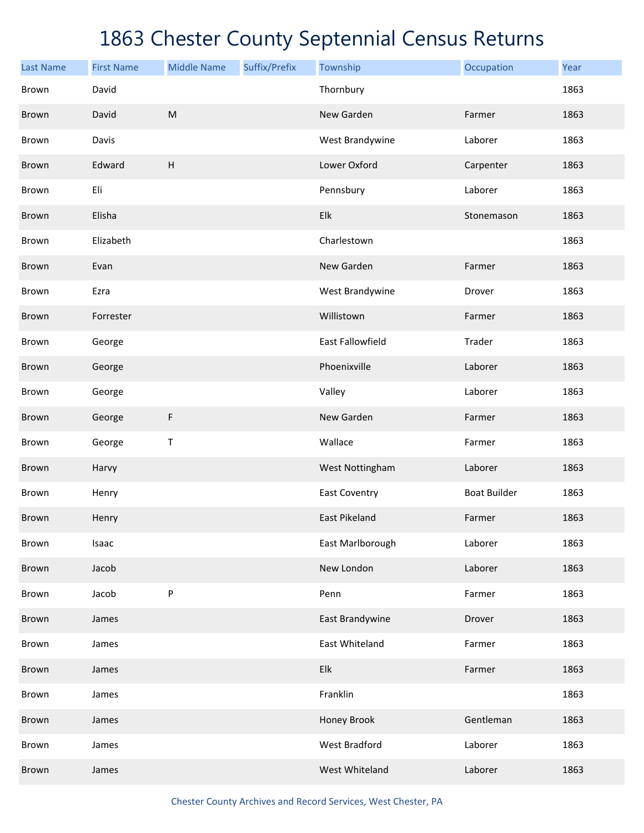| <b>Last Name</b> | <b>First Name</b> | <b>Middle Name</b> | Suffix/Prefix | Township                | Occupation          | Year |
|------------------|-------------------|--------------------|---------------|-------------------------|---------------------|------|
| Brown            | David             |                    |               | Thornbury               |                     | 1863 |
| Brown            | David             | ${\sf M}$          |               | New Garden              | Farmer              | 1863 |
| Brown            | Davis             |                    |               | West Brandywine         | Laborer             | 1863 |
| Brown            | Edward            | H                  |               | Lower Oxford            | Carpenter           | 1863 |
| Brown            | Eli               |                    |               | Pennsbury               | Laborer             | 1863 |
| Brown            | Elisha            |                    |               | Elk                     | Stonemason          | 1863 |
| Brown            | Elizabeth         |                    |               | Charlestown             |                     | 1863 |
| Brown            | Evan              |                    |               | New Garden              | Farmer              | 1863 |
| Brown            | Ezra              |                    |               | West Brandywine         | Drover              | 1863 |
| Brown            | Forrester         |                    |               | Willistown              | Farmer              | 1863 |
| Brown            | George            |                    |               | <b>East Fallowfield</b> | Trader              | 1863 |
| Brown            | George            |                    |               | Phoenixville            | Laborer             | 1863 |
| Brown            | George            |                    |               | Valley                  | Laborer             | 1863 |
| Brown            | George            | F                  |               | New Garden              | Farmer              | 1863 |
| Brown            | George            | T                  |               | Wallace                 | Farmer              | 1863 |
| Brown            | Harvy             |                    |               | West Nottingham         | Laborer             | 1863 |
| Brown            | Henry             |                    |               | <b>East Coventry</b>    | <b>Boat Builder</b> | 1863 |
| Brown            | Henry             |                    |               | East Pikeland           | Farmer              | 1863 |
| Brown            | Isaac             |                    |               | East Marlborough        | Laborer             | 1863 |
| Brown            | Jacob             |                    |               | New London              | Laborer             | 1863 |
| Brown            | Jacob             | P                  |               | Penn                    | Farmer              | 1863 |
| Brown            | James             |                    |               | East Brandywine         | Drover              | 1863 |
| Brown            | James             |                    |               | East Whiteland          | Farmer              | 1863 |
| Brown            | James             |                    |               | Elk                     | Farmer              | 1863 |
| Brown            | James             |                    |               | Franklin                |                     | 1863 |
| Brown            | James             |                    |               | Honey Brook             | Gentleman           | 1863 |
| Brown            | James             |                    |               | West Bradford           | Laborer             | 1863 |
| Brown            | James             |                    |               | West Whiteland          | Laborer             | 1863 |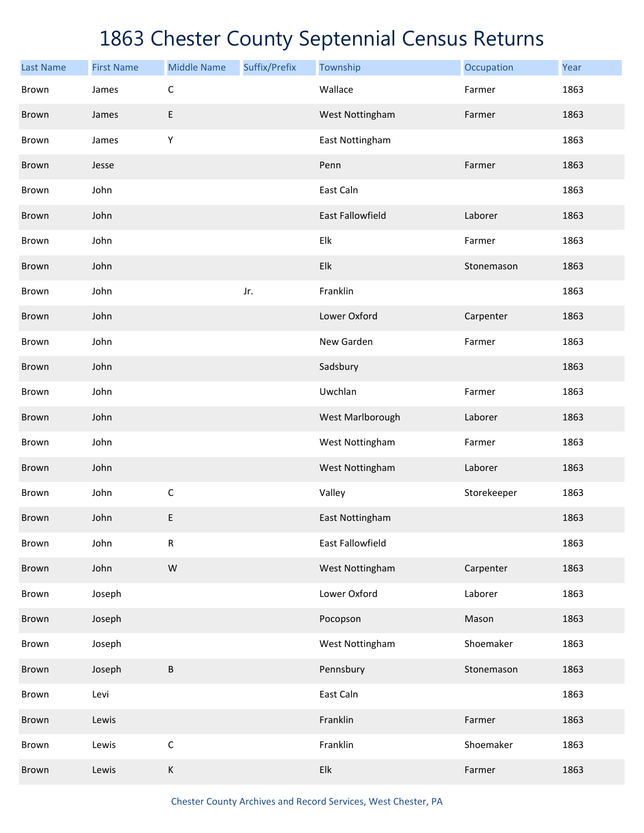| <b>Last Name</b> | <b>First Name</b> | <b>Middle Name</b> | Suffix/Prefix | Township                  | Occupation  | Year |
|------------------|-------------------|--------------------|---------------|---------------------------|-------------|------|
| Brown            | James             | $\mathsf C$        |               | Wallace                   | Farmer      | 1863 |
| Brown            | James             | E                  |               | West Nottingham           | Farmer      | 1863 |
| Brown            | James             | Υ                  |               | East Nottingham           |             | 1863 |
| Brown            | Jesse             |                    |               | Penn                      | Farmer      | 1863 |
| Brown            | John              |                    |               | East Caln                 |             | 1863 |
| Brown            | John              |                    |               | <b>East Fallowfield</b>   | Laborer     | 1863 |
| Brown            | John              |                    |               | Elk                       | Farmer      | 1863 |
| Brown            | John              |                    |               | Elk                       | Stonemason  | 1863 |
| Brown            | John              |                    | Jr.           | Franklin                  |             | 1863 |
| Brown            | John              |                    |               | Lower Oxford              | Carpenter   | 1863 |
| Brown            | John              |                    |               | New Garden                | Farmer      | 1863 |
| Brown            | John              |                    |               | Sadsbury                  |             | 1863 |
| Brown            | John              |                    |               | Uwchlan                   | Farmer      | 1863 |
| Brown            | John              |                    |               | West Marlborough          | Laborer     | 1863 |
| Brown            | John              |                    |               | West Nottingham           | Farmer      | 1863 |
| Brown            | John              |                    |               | West Nottingham           | Laborer     | 1863 |
| Brown            | John              | $\mathsf C$        |               | Valley                    | Storekeeper | 1863 |
| <b>Brown</b>     | John              | E                  |               | East Nottingham           |             | 1863 |
| Brown            | John              | ${\sf R}$          |               | East Fallowfield          |             | 1863 |
| Brown            | John              | W                  |               | West Nottingham           | Carpenter   | 1863 |
| Brown            | Joseph            |                    |               | Lower Oxford              | Laborer     | 1863 |
| Brown            | Joseph            |                    |               | Pocopson                  | Mason       | 1863 |
| Brown            | Joseph            |                    |               | West Nottingham           | Shoemaker   | 1863 |
| Brown            | Joseph            | B                  |               | Pennsbury                 | Stonemason  | 1863 |
| Brown            | Levi              |                    |               | East Caln                 |             | 1863 |
| Brown            | Lewis             |                    |               | Franklin                  | Farmer      | 1863 |
| Brown            | Lewis             | $\mathsf C$        |               | Franklin                  | Shoemaker   | 1863 |
| Brown            | Lewis             | $\mathsf K$        |               | ${\sf E} {\sf I} {\sf k}$ | Farmer      | 1863 |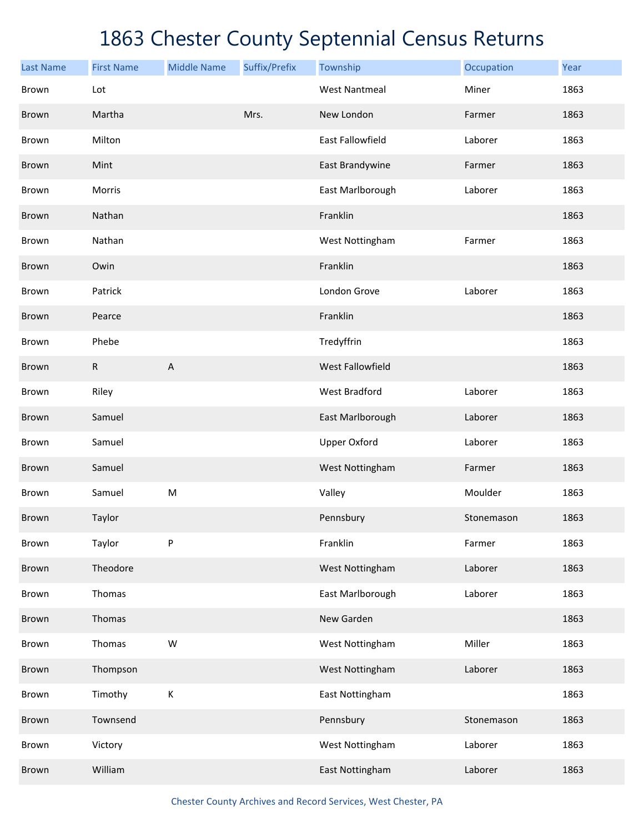| <b>Last Name</b> | <b>First Name</b> | <b>Middle Name</b> | Suffix/Prefix | Township                | Occupation | Year |
|------------------|-------------------|--------------------|---------------|-------------------------|------------|------|
| Brown            | Lot               |                    |               | <b>West Nantmeal</b>    | Miner      | 1863 |
| Brown            | Martha            |                    | Mrs.          | New London              | Farmer     | 1863 |
| Brown            | Milton            |                    |               | <b>East Fallowfield</b> | Laborer    | 1863 |
| Brown            | Mint              |                    |               | East Brandywine         | Farmer     | 1863 |
| Brown            | Morris            |                    |               | East Marlborough        | Laborer    | 1863 |
| Brown            | Nathan            |                    |               | Franklin                |            | 1863 |
| Brown            | Nathan            |                    |               | West Nottingham         | Farmer     | 1863 |
| Brown            | Owin              |                    |               | Franklin                |            | 1863 |
| Brown            | Patrick           |                    |               | London Grove            | Laborer    | 1863 |
| Brown            | Pearce            |                    |               | Franklin                |            | 1863 |
| Brown            | Phebe             |                    |               | Tredyffrin              |            | 1863 |
| Brown            | R                 | A                  |               | West Fallowfield        |            | 1863 |
| Brown            | Riley             |                    |               | <b>West Bradford</b>    | Laborer    | 1863 |
| Brown            | Samuel            |                    |               | East Marlborough        | Laborer    | 1863 |
| Brown            | Samuel            |                    |               | <b>Upper Oxford</b>     | Laborer    | 1863 |
| Brown            | Samuel            |                    |               | West Nottingham         | Farmer     | 1863 |
| Brown            | Samuel            | ${\sf M}$          |               | Valley                  | Moulder    | 1863 |
| Brown            | Taylor            |                    |               | Pennsbury               | Stonemason | 1863 |
| Brown            | Taylor            | P                  |               | Franklin                | Farmer     | 1863 |
| Brown            | Theodore          |                    |               | West Nottingham         | Laborer    | 1863 |
| Brown            | Thomas            |                    |               | East Marlborough        | Laborer    | 1863 |
| Brown            | Thomas            |                    |               | New Garden              |            | 1863 |
| Brown            | Thomas            | W                  |               | West Nottingham         | Miller     | 1863 |
| Brown            | Thompson          |                    |               | West Nottingham         | Laborer    | 1863 |
| Brown            | Timothy           | $\sf K$            |               | East Nottingham         |            | 1863 |
| Brown            | Townsend          |                    |               | Pennsbury               | Stonemason | 1863 |
| Brown            | Victory           |                    |               | West Nottingham         | Laborer    | 1863 |
| Brown            | William           |                    |               | East Nottingham         | Laborer    | 1863 |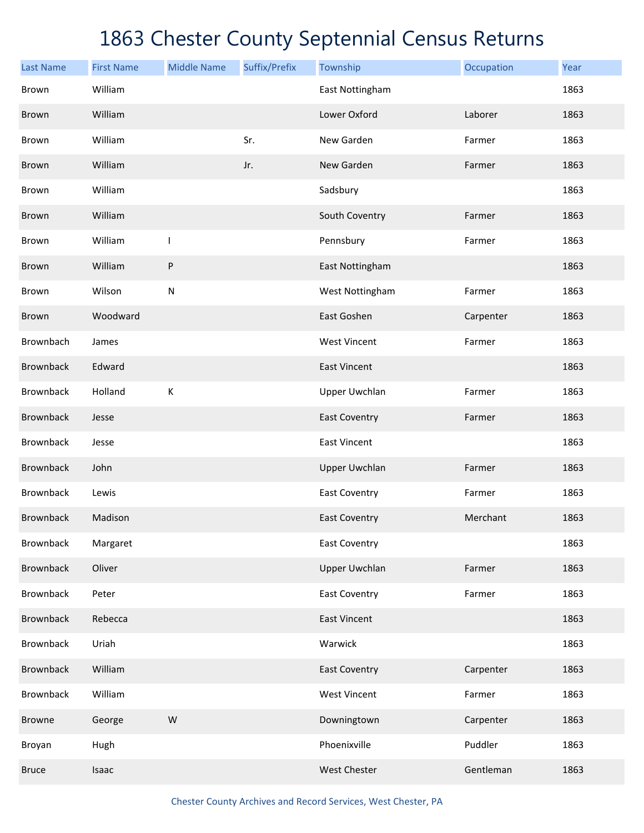| <b>Last Name</b> | <b>First Name</b> | <b>Middle Name</b> | Suffix/Prefix | Township             | Occupation | Year |
|------------------|-------------------|--------------------|---------------|----------------------|------------|------|
| <b>Brown</b>     | William           |                    |               | East Nottingham      |            | 1863 |
| Brown            | William           |                    |               | Lower Oxford         | Laborer    | 1863 |
| Brown            | William           |                    | Sr.           | New Garden           | Farmer     | 1863 |
| Brown            | William           |                    | Jr.           | New Garden           | Farmer     | 1863 |
| Brown            | William           |                    |               | Sadsbury             |            | 1863 |
| Brown            | William           |                    |               | South Coventry       | Farmer     | 1863 |
| Brown            | William           | $\mathbf{I}$       |               | Pennsbury            | Farmer     | 1863 |
| Brown            | William           | P                  |               | East Nottingham      |            | 1863 |
| Brown            | Wilson            | ${\sf N}$          |               | West Nottingham      | Farmer     | 1863 |
| Brown            | Woodward          |                    |               | East Goshen          | Carpenter  | 1863 |
| Brownbach        | James             |                    |               | <b>West Vincent</b>  | Farmer     | 1863 |
| Brownback        | Edward            |                    |               | <b>East Vincent</b>  |            | 1863 |
| <b>Brownback</b> | Holland           | К                  |               | <b>Upper Uwchlan</b> | Farmer     | 1863 |
| <b>Brownback</b> | Jesse             |                    |               | <b>East Coventry</b> | Farmer     | 1863 |
| <b>Brownback</b> | Jesse             |                    |               | <b>East Vincent</b>  |            | 1863 |
| <b>Brownback</b> | John              |                    |               | <b>Upper Uwchlan</b> | Farmer     | 1863 |
| <b>Brownback</b> | Lewis             |                    |               | <b>East Coventry</b> | Farmer     | 1863 |
| <b>Brownback</b> | Madison           |                    |               | <b>East Coventry</b> | Merchant   | 1863 |
| <b>Brownback</b> | Margaret          |                    |               | <b>East Coventry</b> |            | 1863 |
| <b>Brownback</b> | Oliver            |                    |               | <b>Upper Uwchlan</b> | Farmer     | 1863 |
| <b>Brownback</b> | Peter             |                    |               | <b>East Coventry</b> | Farmer     | 1863 |
| <b>Brownback</b> | Rebecca           |                    |               | <b>East Vincent</b>  |            | 1863 |
| <b>Brownback</b> | Uriah             |                    |               | Warwick              |            | 1863 |
| <b>Brownback</b> | William           |                    |               | <b>East Coventry</b> | Carpenter  | 1863 |
| <b>Brownback</b> | William           |                    |               | <b>West Vincent</b>  | Farmer     | 1863 |
| <b>Browne</b>    | George            | ${\sf W}$          |               | Downingtown          | Carpenter  | 1863 |
| Broyan           | Hugh              |                    |               | Phoenixville         | Puddler    | 1863 |
| <b>Bruce</b>     | Isaac             |                    |               | <b>West Chester</b>  | Gentleman  | 1863 |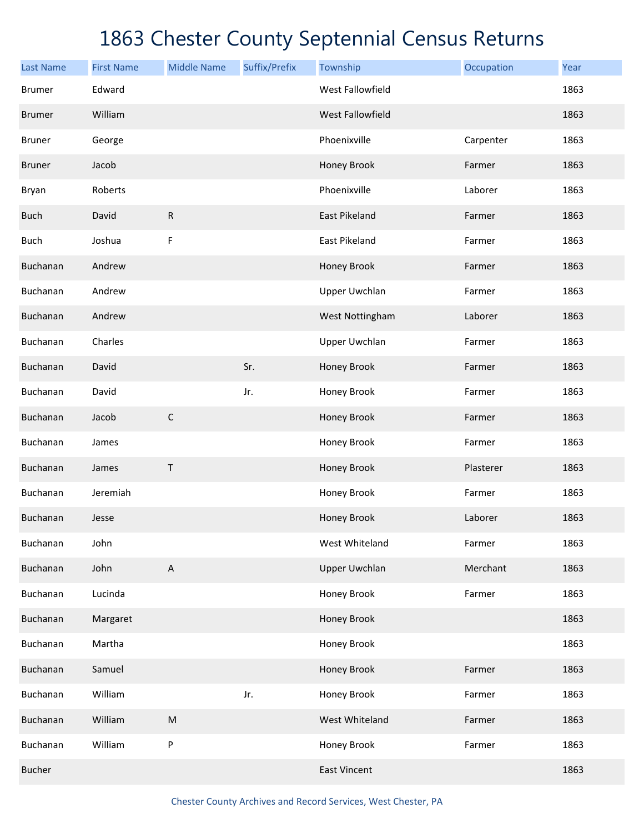| <b>Last Name</b> | <b>First Name</b> | <b>Middle Name</b>        | Suffix/Prefix | Township                | Occupation | Year |
|------------------|-------------------|---------------------------|---------------|-------------------------|------------|------|
| <b>Brumer</b>    | Edward            |                           |               | <b>West Fallowfield</b> |            | 1863 |
| <b>Brumer</b>    | William           |                           |               | West Fallowfield        |            | 1863 |
| <b>Bruner</b>    | George            |                           |               | Phoenixville            | Carpenter  | 1863 |
| <b>Bruner</b>    | Jacob             |                           |               | Honey Brook             | Farmer     | 1863 |
| Bryan            | Roberts           |                           |               | Phoenixville            | Laborer    | 1863 |
| <b>Buch</b>      | David             | $\mathsf{R}$              |               | <b>East Pikeland</b>    | Farmer     | 1863 |
| <b>Buch</b>      | Joshua            | $\mathsf F$               |               | East Pikeland           | Farmer     | 1863 |
| Buchanan         | Andrew            |                           |               | Honey Brook             | Farmer     | 1863 |
| Buchanan         | Andrew            |                           |               | <b>Upper Uwchlan</b>    | Farmer     | 1863 |
| Buchanan         | Andrew            |                           |               | West Nottingham         | Laborer    | 1863 |
| Buchanan         | Charles           |                           |               | <b>Upper Uwchlan</b>    | Farmer     | 1863 |
| Buchanan         | David             |                           | Sr.           | Honey Brook             | Farmer     | 1863 |
| Buchanan         | David             |                           | Jr.           | Honey Brook             | Farmer     | 1863 |
| Buchanan         | Jacob             | $\mathsf C$               |               | Honey Brook             | Farmer     | 1863 |
| Buchanan         | James             |                           |               | Honey Brook             | Farmer     | 1863 |
| Buchanan         | James             | Τ                         |               | Honey Brook             | Plasterer  | 1863 |
| Buchanan         | Jeremiah          |                           |               | Honey Brook             | Farmer     | 1863 |
| Buchanan         | Jesse             |                           |               | Honey Brook             | Laborer    | 1863 |
| Buchanan         | John              |                           |               | West Whiteland          | Farmer     | 1863 |
| Buchanan         | John              | $\boldsymbol{\mathsf{A}}$ |               | <b>Upper Uwchlan</b>    | Merchant   | 1863 |
| Buchanan         | Lucinda           |                           |               | Honey Brook             | Farmer     | 1863 |
| Buchanan         | Margaret          |                           |               | Honey Brook             |            | 1863 |
| Buchanan         | Martha            |                           |               | Honey Brook             |            | 1863 |
| Buchanan         | Samuel            |                           |               | Honey Brook             | Farmer     | 1863 |
| Buchanan         | William           |                           | Jr.           | Honey Brook             | Farmer     | 1863 |
| Buchanan         | William           | ${\sf M}$                 |               | West Whiteland          | Farmer     | 1863 |
| Buchanan         | William           | P                         |               | Honey Brook             | Farmer     | 1863 |
| <b>Bucher</b>    |                   |                           |               | <b>East Vincent</b>     |            | 1863 |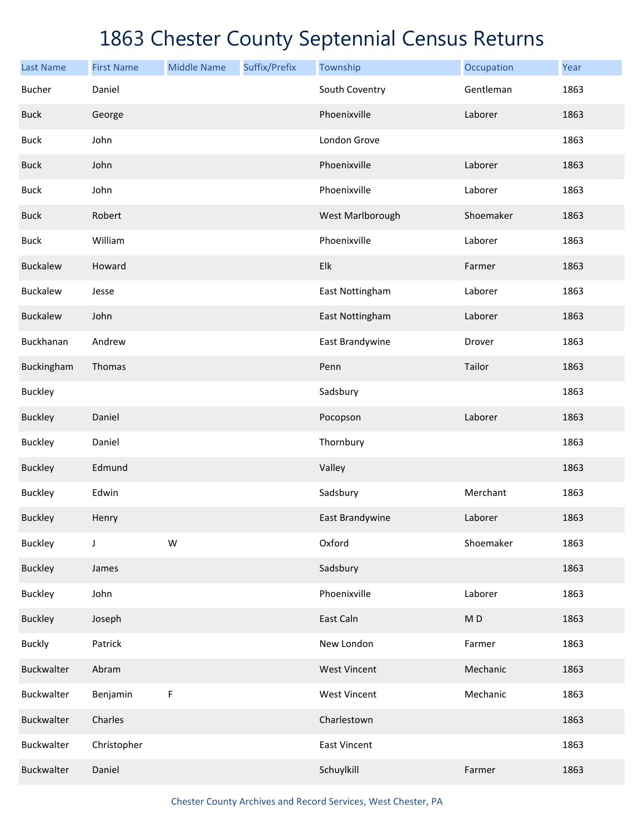| <b>Last Name</b> | <b>First Name</b> | <b>Middle Name</b> | Suffix/Prefix | Township            | Occupation     | Year |
|------------------|-------------------|--------------------|---------------|---------------------|----------------|------|
| <b>Bucher</b>    | Daniel            |                    |               | South Coventry      | Gentleman      | 1863 |
| <b>Buck</b>      | George            |                    |               | Phoenixville        | Laborer        | 1863 |
| <b>Buck</b>      | John              |                    |               | London Grove        |                | 1863 |
| <b>Buck</b>      | John              |                    |               | Phoenixville        | Laborer        | 1863 |
| <b>Buck</b>      | John              |                    |               | Phoenixville        | Laborer        | 1863 |
| <b>Buck</b>      | Robert            |                    |               | West Marlborough    | Shoemaker      | 1863 |
| <b>Buck</b>      | William           |                    |               | Phoenixville        | Laborer        | 1863 |
| <b>Buckalew</b>  | Howard            |                    |               | Elk                 | Farmer         | 1863 |
| <b>Buckalew</b>  | Jesse             |                    |               | East Nottingham     | Laborer        | 1863 |
| <b>Buckalew</b>  | John              |                    |               | East Nottingham     | Laborer        | 1863 |
| Buckhanan        | Andrew            |                    |               | East Brandywine     | Drover         | 1863 |
| Buckingham       | Thomas            |                    |               | Penn                | Tailor         | 1863 |
| <b>Buckley</b>   |                   |                    |               | Sadsbury            |                | 1863 |
| <b>Buckley</b>   | Daniel            |                    |               | Pocopson            | Laborer        | 1863 |
| <b>Buckley</b>   | Daniel            |                    |               | Thornbury           |                | 1863 |
| <b>Buckley</b>   | Edmund            |                    |               | Valley              |                | 1863 |
| <b>Buckley</b>   | Edwin             |                    |               | Sadsbury            | Merchant       | 1863 |
| <b>Buckley</b>   | Henry             |                    |               | East Brandywine     | Laborer        | 1863 |
| <b>Buckley</b>   | J                 | W                  |               | Oxford              | Shoemaker      | 1863 |
| <b>Buckley</b>   | James             |                    |               | Sadsbury            |                | 1863 |
| <b>Buckley</b>   | John              |                    |               | Phoenixville        | Laborer        | 1863 |
| <b>Buckley</b>   | Joseph            |                    |               | East Caln           | M <sub>D</sub> | 1863 |
| <b>Buckly</b>    | Patrick           |                    |               | New London          | Farmer         | 1863 |
| Buckwalter       | Abram             |                    |               | <b>West Vincent</b> | Mechanic       | 1863 |
| Buckwalter       | Benjamin          | F                  |               | <b>West Vincent</b> | Mechanic       | 1863 |
| Buckwalter       | Charles           |                    |               | Charlestown         |                | 1863 |
| Buckwalter       | Christopher       |                    |               | East Vincent        |                | 1863 |
| Buckwalter       | Daniel            |                    |               | Schuylkill          | Farmer         | 1863 |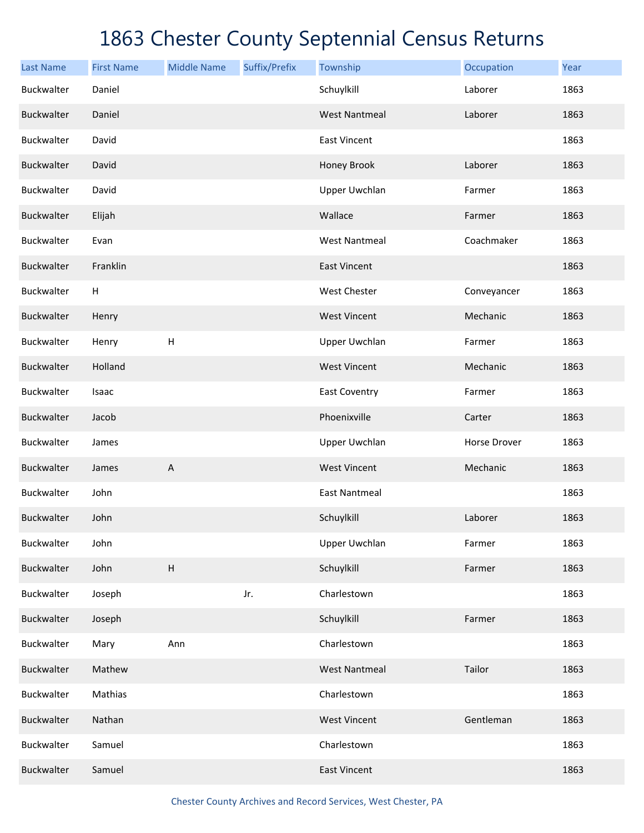| <b>Last Name</b>  | <b>First Name</b> | <b>Middle Name</b>        | Suffix/Prefix | Township             | Occupation   | Year |
|-------------------|-------------------|---------------------------|---------------|----------------------|--------------|------|
| Buckwalter        | Daniel            |                           |               | Schuylkill           | Laborer      | 1863 |
| Buckwalter        | Daniel            |                           |               | <b>West Nantmeal</b> | Laborer      | 1863 |
| Buckwalter        | David             |                           |               | <b>East Vincent</b>  |              | 1863 |
| Buckwalter        | David             |                           |               | Honey Brook          | Laborer      | 1863 |
| Buckwalter        | David             |                           |               | <b>Upper Uwchlan</b> | Farmer       | 1863 |
| Buckwalter        | Elijah            |                           |               | Wallace              | Farmer       | 1863 |
| Buckwalter        | Evan              |                           |               | <b>West Nantmeal</b> | Coachmaker   | 1863 |
| Buckwalter        | Franklin          |                           |               | <b>East Vincent</b>  |              | 1863 |
| Buckwalter        | H                 |                           |               | West Chester         | Conveyancer  | 1863 |
| Buckwalter        | Henry             |                           |               | <b>West Vincent</b>  | Mechanic     | 1863 |
| Buckwalter        | Henry             | $\sf H$                   |               | <b>Upper Uwchlan</b> | Farmer       | 1863 |
| Buckwalter        | Holland           |                           |               | <b>West Vincent</b>  | Mechanic     | 1863 |
| Buckwalter        | Isaac             |                           |               | <b>East Coventry</b> | Farmer       | 1863 |
| Buckwalter        | Jacob             |                           |               | Phoenixville         | Carter       | 1863 |
| Buckwalter        | James             |                           |               | <b>Upper Uwchlan</b> | Horse Drover | 1863 |
| <b>Buckwalter</b> | James             | $\boldsymbol{\mathsf{A}}$ |               | <b>West Vincent</b>  | Mechanic     | 1863 |
| Buckwalter        | John              |                           |               | <b>East Nantmeal</b> |              | 1863 |
| Buckwalter        | John              |                           |               | Schuylkill           | Laborer      | 1863 |
| Buckwalter        | John              |                           |               | <b>Upper Uwchlan</b> | Farmer       | 1863 |
| Buckwalter        | John              | $\boldsymbol{\mathsf{H}}$ |               | Schuylkill           | Farmer       | 1863 |
| Buckwalter        | Joseph            |                           | Jr.           | Charlestown          |              | 1863 |
| Buckwalter        | Joseph            |                           |               | Schuylkill           | Farmer       | 1863 |
| <b>Buckwalter</b> | Mary              | Ann                       |               | Charlestown          |              | 1863 |
| Buckwalter        | Mathew            |                           |               | <b>West Nantmeal</b> | Tailor       | 1863 |
| Buckwalter        | Mathias           |                           |               | Charlestown          |              | 1863 |
| Buckwalter        | Nathan            |                           |               | <b>West Vincent</b>  | Gentleman    | 1863 |
| Buckwalter        | Samuel            |                           |               | Charlestown          |              | 1863 |
| Buckwalter        | Samuel            |                           |               | <b>East Vincent</b>  |              | 1863 |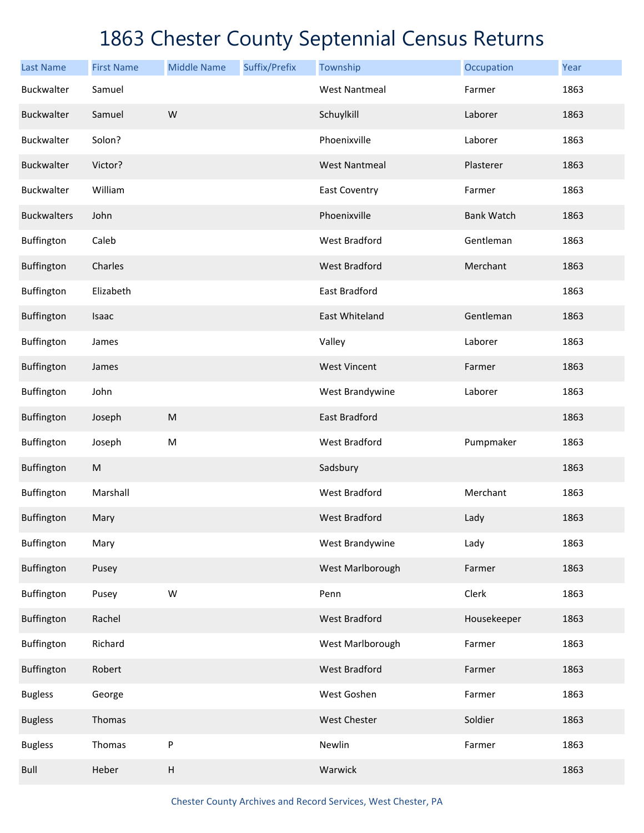| <b>Last Name</b>   | <b>First Name</b> | <b>Middle Name</b> | Suffix/Prefix | Township             | Occupation        | Year |
|--------------------|-------------------|--------------------|---------------|----------------------|-------------------|------|
| Buckwalter         | Samuel            |                    |               | <b>West Nantmeal</b> | Farmer            | 1863 |
| Buckwalter         | Samuel            | W                  |               | Schuylkill           | Laborer           | 1863 |
| Buckwalter         | Solon?            |                    |               | Phoenixville         | Laborer           | 1863 |
| Buckwalter         | Victor?           |                    |               | <b>West Nantmeal</b> | Plasterer         | 1863 |
| Buckwalter         | William           |                    |               | <b>East Coventry</b> | Farmer            | 1863 |
| <b>Buckwalters</b> | John              |                    |               | Phoenixville         | <b>Bank Watch</b> | 1863 |
| Buffington         | Caleb             |                    |               | <b>West Bradford</b> | Gentleman         | 1863 |
| Buffington         | Charles           |                    |               | <b>West Bradford</b> | Merchant          | 1863 |
| Buffington         | Elizabeth         |                    |               | <b>East Bradford</b> |                   | 1863 |
| Buffington         | Isaac             |                    |               | East Whiteland       | Gentleman         | 1863 |
| Buffington         | James             |                    |               | Valley               | Laborer           | 1863 |
| Buffington         | James             |                    |               | <b>West Vincent</b>  | Farmer            | 1863 |
| Buffington         | John              |                    |               | West Brandywine      | Laborer           | 1863 |
| <b>Buffington</b>  | Joseph            | ${\sf M}$          |               | East Bradford        |                   | 1863 |
| Buffington         | Joseph            | ${\sf M}$          |               | <b>West Bradford</b> | Pumpmaker         | 1863 |
| <b>Buffington</b>  | ${\sf M}$         |                    |               | Sadsbury             |                   | 1863 |
| Buffington         | Marshall          |                    |               | <b>West Bradford</b> | Merchant          | 1863 |
| Buffington         | Mary              |                    |               | <b>West Bradford</b> | Lady              | 1863 |
| Buffington         | Mary              |                    |               | West Brandywine      | Lady              | 1863 |
| Buffington         | Pusey             |                    |               | West Marlborough     | Farmer            | 1863 |
| Buffington         | Pusey             | W                  |               | Penn                 | Clerk             | 1863 |
| Buffington         | Rachel            |                    |               | <b>West Bradford</b> | Housekeeper       | 1863 |
| Buffington         | Richard           |                    |               | West Marlborough     | Farmer            | 1863 |
| Buffington         | Robert            |                    |               | <b>West Bradford</b> | Farmer            | 1863 |
| <b>Bugless</b>     | George            |                    |               | West Goshen          | Farmer            | 1863 |
| <b>Bugless</b>     | Thomas            |                    |               | West Chester         | Soldier           | 1863 |
| <b>Bugless</b>     | Thomas            | P                  |               | Newlin               | Farmer            | 1863 |
| Bull               | Heber             | $\sf H$            |               | Warwick              |                   | 1863 |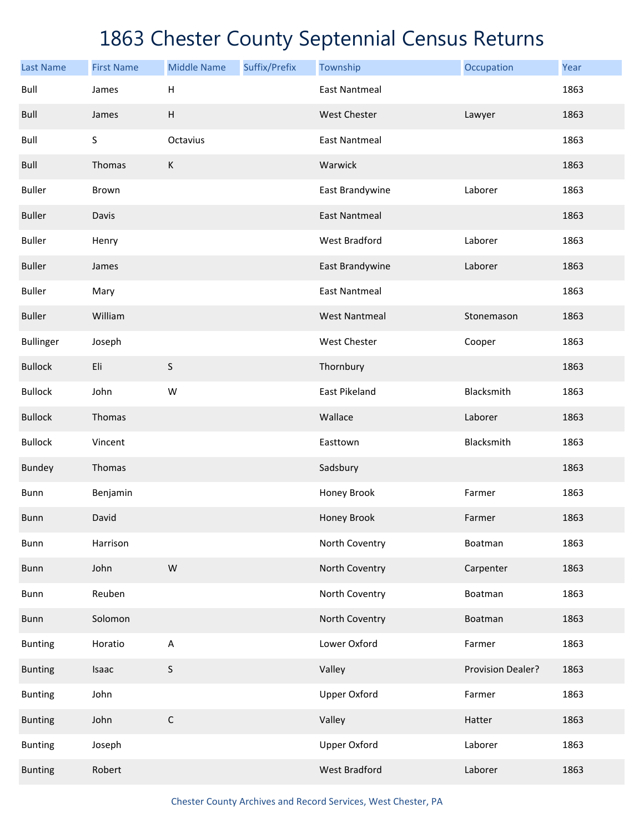| <b>Last Name</b> | <b>First Name</b> | <b>Middle Name</b> | Suffix/Prefix | Township             | Occupation        | Year |
|------------------|-------------------|--------------------|---------------|----------------------|-------------------|------|
| Bull             | James             | Н                  |               | <b>East Nantmeal</b> |                   | 1863 |
| Bull             | James             | Н                  |               | <b>West Chester</b>  | Lawyer            | 1863 |
| Bull             | S                 | Octavius           |               | <b>East Nantmeal</b> |                   | 1863 |
| Bull             | Thomas            | $\sf K$            |               | Warwick              |                   | 1863 |
| <b>Buller</b>    | Brown             |                    |               | East Brandywine      | Laborer           | 1863 |
| <b>Buller</b>    | Davis             |                    |               | <b>East Nantmeal</b> |                   | 1863 |
| <b>Buller</b>    | Henry             |                    |               | West Bradford        | Laborer           | 1863 |
| <b>Buller</b>    | James             |                    |               | East Brandywine      | Laborer           | 1863 |
| <b>Buller</b>    | Mary              |                    |               | <b>East Nantmeal</b> |                   | 1863 |
| <b>Buller</b>    | William           |                    |               | <b>West Nantmeal</b> | Stonemason        | 1863 |
| <b>Bullinger</b> | Joseph            |                    |               | West Chester         | Cooper            | 1863 |
| <b>Bullock</b>   | Eli               | S                  |               | Thornbury            |                   | 1863 |
| <b>Bullock</b>   | John              | W                  |               | East Pikeland        | Blacksmith        | 1863 |
| <b>Bullock</b>   | Thomas            |                    |               | Wallace              | Laborer           | 1863 |
| <b>Bullock</b>   | Vincent           |                    |               | Easttown             | Blacksmith        | 1863 |
| <b>Bundey</b>    | Thomas            |                    |               | Sadsbury             |                   | 1863 |
| Bunn             | Benjamin          |                    |               | Honey Brook          | Farmer            | 1863 |
| Bunn             | David             |                    |               | Honey Brook          | Farmer            | 1863 |
| <b>Bunn</b>      | Harrison          |                    |               | North Coventry       | Boatman           | 1863 |
| <b>Bunn</b>      | John              | ${\sf W}$          |               | North Coventry       | Carpenter         | 1863 |
| Bunn             | Reuben            |                    |               | North Coventry       | Boatman           | 1863 |
| <b>Bunn</b>      | Solomon           |                    |               | North Coventry       | Boatman           | 1863 |
| <b>Bunting</b>   | Horatio           | A                  |               | Lower Oxford         | Farmer            | 1863 |
| <b>Bunting</b>   | Isaac             | S                  |               | Valley               | Provision Dealer? | 1863 |
| <b>Bunting</b>   | John              |                    |               | <b>Upper Oxford</b>  | Farmer            | 1863 |
| <b>Bunting</b>   | John              | $\mathsf C$        |               | Valley               | Hatter            | 1863 |
| <b>Bunting</b>   | Joseph            |                    |               | <b>Upper Oxford</b>  | Laborer           | 1863 |
| <b>Bunting</b>   | Robert            |                    |               | <b>West Bradford</b> | Laborer           | 1863 |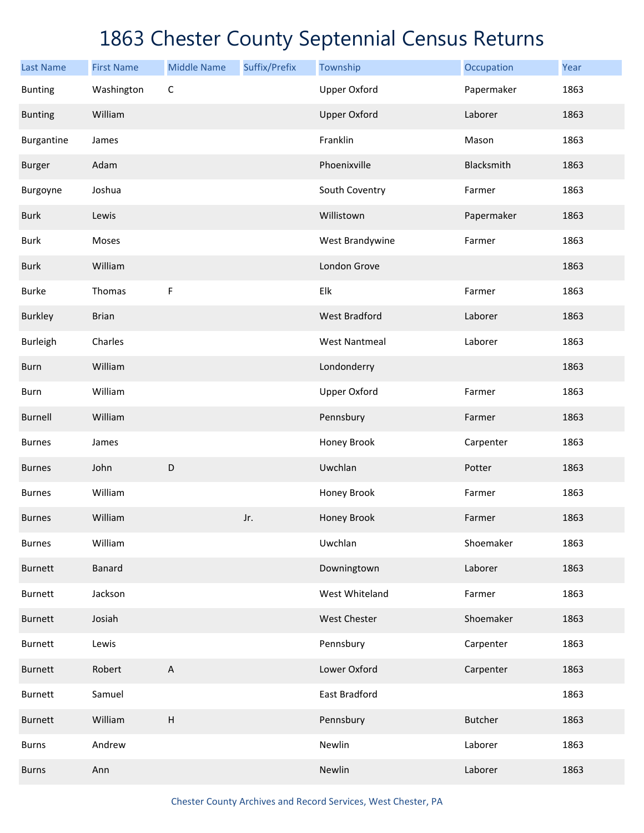| <b>Last Name</b> | <b>First Name</b> | <b>Middle Name</b>        | Suffix/Prefix | Township             | Occupation     | Year |
|------------------|-------------------|---------------------------|---------------|----------------------|----------------|------|
| <b>Bunting</b>   | Washington        | $\mathsf C$               |               | <b>Upper Oxford</b>  | Papermaker     | 1863 |
| <b>Bunting</b>   | William           |                           |               | <b>Upper Oxford</b>  | Laborer        | 1863 |
| Burgantine       | James             |                           |               | Franklin             | Mason          | 1863 |
| <b>Burger</b>    | Adam              |                           |               | Phoenixville         | Blacksmith     | 1863 |
| Burgoyne         | Joshua            |                           |               | South Coventry       | Farmer         | 1863 |
| <b>Burk</b>      | Lewis             |                           |               | Willistown           | Papermaker     | 1863 |
| <b>Burk</b>      | Moses             |                           |               | West Brandywine      | Farmer         | 1863 |
| <b>Burk</b>      | William           |                           |               | London Grove         |                | 1863 |
| <b>Burke</b>     | Thomas            | F                         |               | Elk                  | Farmer         | 1863 |
| <b>Burkley</b>   | <b>Brian</b>      |                           |               | <b>West Bradford</b> | Laborer        | 1863 |
| Burleigh         | Charles           |                           |               | <b>West Nantmeal</b> | Laborer        | 1863 |
| Burn             | William           |                           |               | Londonderry          |                | 1863 |
| Burn             | William           |                           |               | <b>Upper Oxford</b>  | Farmer         | 1863 |
| <b>Burnell</b>   | William           |                           |               | Pennsbury            | Farmer         | 1863 |
| <b>Burnes</b>    | James             |                           |               | Honey Brook          | Carpenter      | 1863 |
| <b>Burnes</b>    | John              | D                         |               | Uwchlan              | Potter         | 1863 |
| <b>Burnes</b>    | William           |                           |               | Honey Brook          | Farmer         | 1863 |
| <b>Burnes</b>    | William           |                           | Jr.           | Honey Brook          | Farmer         | 1863 |
| <b>Burnes</b>    | William           |                           |               | Uwchlan              | Shoemaker      | 1863 |
| <b>Burnett</b>   | Banard            |                           |               | Downingtown          | Laborer        | 1863 |
| <b>Burnett</b>   | Jackson           |                           |               | West Whiteland       | Farmer         | 1863 |
| <b>Burnett</b>   | Josiah            |                           |               | West Chester         | Shoemaker      | 1863 |
| <b>Burnett</b>   | Lewis             |                           |               | Pennsbury            | Carpenter      | 1863 |
| Burnett          | Robert            | $\boldsymbol{\mathsf{A}}$ |               | Lower Oxford         | Carpenter      | 1863 |
| Burnett          | Samuel            |                           |               | East Bradford        |                | 1863 |
| <b>Burnett</b>   | William           | $\boldsymbol{\mathsf{H}}$ |               | Pennsbury            | <b>Butcher</b> | 1863 |
| <b>Burns</b>     | Andrew            |                           |               | Newlin               | Laborer        | 1863 |
| <b>Burns</b>     | Ann               |                           |               | Newlin               | Laborer        | 1863 |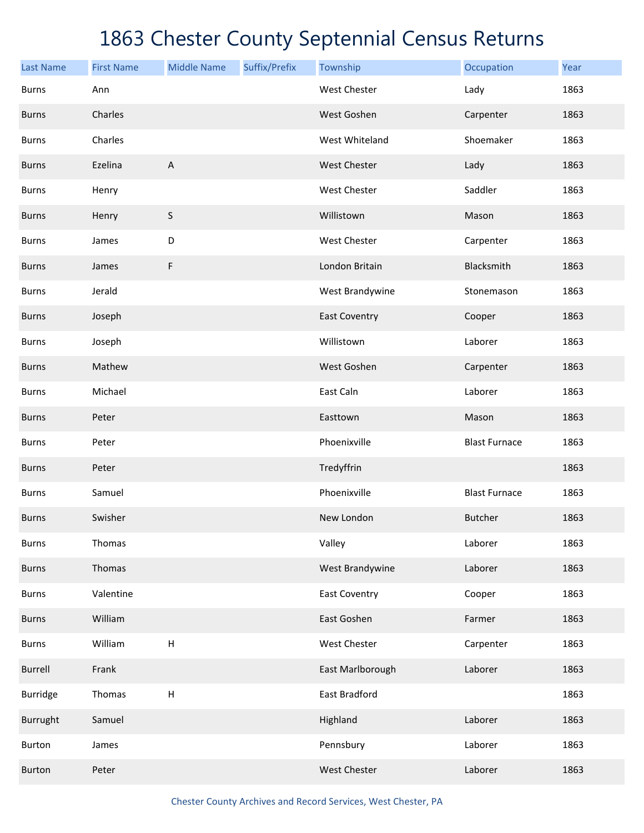| <b>Last Name</b> | <b>First Name</b> | <b>Middle Name</b>        | Suffix/Prefix | Township             | Occupation           | Year |
|------------------|-------------------|---------------------------|---------------|----------------------|----------------------|------|
| <b>Burns</b>     | Ann               |                           |               | <b>West Chester</b>  | Lady                 | 1863 |
| <b>Burns</b>     | Charles           |                           |               | West Goshen          | Carpenter            | 1863 |
| <b>Burns</b>     | Charles           |                           |               | West Whiteland       | Shoemaker            | 1863 |
| <b>Burns</b>     | Ezelina           | A                         |               | <b>West Chester</b>  | Lady                 | 1863 |
| <b>Burns</b>     | Henry             |                           |               | <b>West Chester</b>  | Saddler              | 1863 |
| <b>Burns</b>     | Henry             | S                         |               | Willistown           | Mason                | 1863 |
| <b>Burns</b>     | James             | D                         |               | West Chester         | Carpenter            | 1863 |
| <b>Burns</b>     | James             | F                         |               | London Britain       | Blacksmith           | 1863 |
| <b>Burns</b>     | Jerald            |                           |               | West Brandywine      | Stonemason           | 1863 |
| <b>Burns</b>     | Joseph            |                           |               | <b>East Coventry</b> | Cooper               | 1863 |
| <b>Burns</b>     | Joseph            |                           |               | Willistown           | Laborer              | 1863 |
| <b>Burns</b>     | Mathew            |                           |               | West Goshen          | Carpenter            | 1863 |
| <b>Burns</b>     | Michael           |                           |               | East Caln            | Laborer              | 1863 |
| <b>Burns</b>     | Peter             |                           |               | Easttown             | Mason                | 1863 |
| <b>Burns</b>     | Peter             |                           |               | Phoenixville         | <b>Blast Furnace</b> | 1863 |
| <b>Burns</b>     | Peter             |                           |               | Tredyffrin           |                      | 1863 |
| <b>Burns</b>     | Samuel            |                           |               | Phoenixville         | <b>Blast Furnace</b> | 1863 |
| <b>Burns</b>     | Swisher           |                           |               | New London           | <b>Butcher</b>       | 1863 |
| <b>Burns</b>     | Thomas            |                           |               | Valley               | Laborer              | 1863 |
| <b>Burns</b>     | Thomas            |                           |               | West Brandywine      | Laborer              | 1863 |
| <b>Burns</b>     | Valentine         |                           |               | <b>East Coventry</b> | Cooper               | 1863 |
| <b>Burns</b>     | William           |                           |               | East Goshen          | Farmer               | 1863 |
| <b>Burns</b>     | William           | $\sf H$                   |               | West Chester         | Carpenter            | 1863 |
| Burrell          | Frank             |                           |               | East Marlborough     | Laborer              | 1863 |
| <b>Burridge</b>  | Thomas            | $\boldsymbol{\mathsf{H}}$ |               | East Bradford        |                      | 1863 |
| Burrught         | Samuel            |                           |               | Highland             | Laborer              | 1863 |
| Burton           | James             |                           |               | Pennsbury            | Laborer              | 1863 |
| <b>Burton</b>    | Peter             |                           |               | West Chester         | Laborer              | 1863 |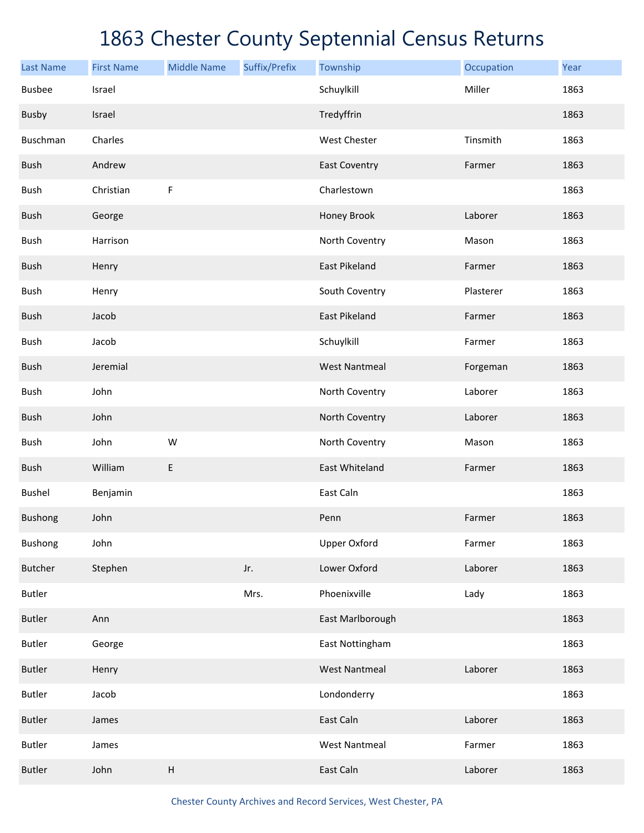| <b>Last Name</b> | <b>First Name</b> | <b>Middle Name</b> | Suffix/Prefix | Township             | Occupation | Year |
|------------------|-------------------|--------------------|---------------|----------------------|------------|------|
| <b>Busbee</b>    | Israel            |                    |               | Schuylkill           | Miller     | 1863 |
| <b>Busby</b>     | Israel            |                    |               | Tredyffrin           |            | 1863 |
| Buschman         | Charles           |                    |               | <b>West Chester</b>  | Tinsmith   | 1863 |
| Bush             | Andrew            |                    |               | <b>East Coventry</b> | Farmer     | 1863 |
| Bush             | Christian         | $\mathsf F$        |               | Charlestown          |            | 1863 |
| Bush             | George            |                    |               | Honey Brook          | Laborer    | 1863 |
| Bush             | Harrison          |                    |               | North Coventry       | Mason      | 1863 |
| Bush             | Henry             |                    |               | <b>East Pikeland</b> | Farmer     | 1863 |
| Bush             | Henry             |                    |               | South Coventry       | Plasterer  | 1863 |
| Bush             | Jacob             |                    |               | <b>East Pikeland</b> | Farmer     | 1863 |
| Bush             | Jacob             |                    |               | Schuylkill           | Farmer     | 1863 |
| Bush             | Jeremial          |                    |               | <b>West Nantmeal</b> | Forgeman   | 1863 |
| Bush             | John              |                    |               | North Coventry       | Laborer    | 1863 |
| Bush             | John              |                    |               | North Coventry       | Laborer    | 1863 |
| Bush             | John              | W                  |               | North Coventry       | Mason      | 1863 |
| <b>Bush</b>      | William           | E                  |               | East Whiteland       | Farmer     | 1863 |
| <b>Bushel</b>    | Benjamin          |                    |               | East Caln            |            | 1863 |
| <b>Bushong</b>   | John              |                    |               | Penn                 | Farmer     | 1863 |
| <b>Bushong</b>   | John              |                    |               | <b>Upper Oxford</b>  | Farmer     | 1863 |
| <b>Butcher</b>   | Stephen           |                    | Jr.           | Lower Oxford         | Laborer    | 1863 |
| <b>Butler</b>    |                   |                    | Mrs.          | Phoenixville         | Lady       | 1863 |
| <b>Butler</b>    | Ann               |                    |               | East Marlborough     |            | 1863 |
| <b>Butler</b>    | George            |                    |               | East Nottingham      |            | 1863 |
| <b>Butler</b>    | Henry             |                    |               | <b>West Nantmeal</b> | Laborer    | 1863 |
| <b>Butler</b>    | Jacob             |                    |               | Londonderry          |            | 1863 |
| <b>Butler</b>    | James             |                    |               | East Caln            | Laborer    | 1863 |
| <b>Butler</b>    | James             |                    |               | <b>West Nantmeal</b> | Farmer     | 1863 |
| <b>Butler</b>    | John              | $\sf H$            |               | East Caln            | Laborer    | 1863 |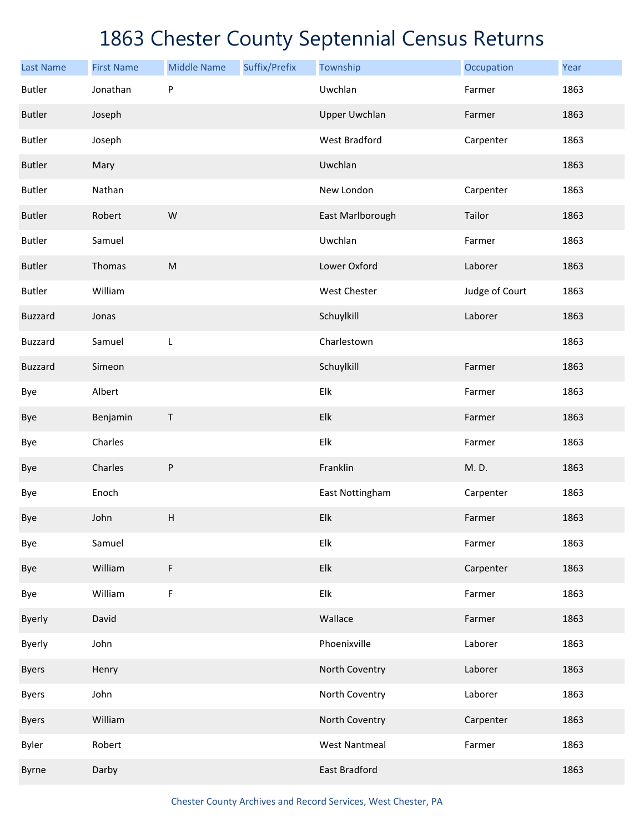| <b>Last Name</b> | <b>First Name</b> | <b>Middle Name</b> | Suffix/Prefix | Township             | Occupation     | Year |
|------------------|-------------------|--------------------|---------------|----------------------|----------------|------|
| <b>Butler</b>    | Jonathan          | P                  |               | Uwchlan              | Farmer         | 1863 |
| <b>Butler</b>    | Joseph            |                    |               | <b>Upper Uwchlan</b> | Farmer         | 1863 |
| <b>Butler</b>    | Joseph            |                    |               | <b>West Bradford</b> | Carpenter      | 1863 |
| <b>Butler</b>    | Mary              |                    |               | Uwchlan              |                | 1863 |
| <b>Butler</b>    | Nathan            |                    |               | New London           | Carpenter      | 1863 |
| <b>Butler</b>    | Robert            | W                  |               | East Marlborough     | Tailor         | 1863 |
| <b>Butler</b>    | Samuel            |                    |               | Uwchlan              | Farmer         | 1863 |
| <b>Butler</b>    | Thomas            | ${\sf M}$          |               | Lower Oxford         | Laborer        | 1863 |
| <b>Butler</b>    | William           |                    |               | West Chester         | Judge of Court | 1863 |
| <b>Buzzard</b>   | Jonas             |                    |               | Schuylkill           | Laborer        | 1863 |
| <b>Buzzard</b>   | Samuel            | $\mathsf{L}%$      |               | Charlestown          |                | 1863 |
| <b>Buzzard</b>   | Simeon            |                    |               | Schuylkill           | Farmer         | 1863 |
| Bye              | Albert            |                    |               | Elk                  | Farmer         | 1863 |
| Bye              | Benjamin          | $\mathsf{T}$       |               | Elk                  | Farmer         | 1863 |
| Bye              | Charles           |                    |               | Elk                  | Farmer         | 1863 |
| Bye              | Charles           | P                  |               | Franklin             | M.D.           | 1863 |
| Bye              | Enoch             |                    |               | East Nottingham      | Carpenter      | 1863 |
| Bye              | John              | Н                  |               | Elk                  | Farmer         | 1863 |
| Bye              | Samuel            |                    |               | Elk                  | Farmer         | 1863 |
| Bye              | William           | $\mathsf F$        |               | Elk                  | Carpenter      | 1863 |
| Bye              | William           | $\mathsf F$        |               | Elk                  | Farmer         | 1863 |
| <b>Byerly</b>    | David             |                    |               | Wallace              | Farmer         | 1863 |
| <b>Byerly</b>    | John              |                    |               | Phoenixville         | Laborer        | 1863 |
| <b>Byers</b>     | Henry             |                    |               | North Coventry       | Laborer        | 1863 |
| <b>Byers</b>     | John              |                    |               | North Coventry       | Laborer        | 1863 |
| <b>Byers</b>     | William           |                    |               | North Coventry       | Carpenter      | 1863 |
| Byler            | Robert            |                    |               | <b>West Nantmeal</b> | Farmer         | 1863 |
| Byrne            | Darby             |                    |               | <b>East Bradford</b> |                | 1863 |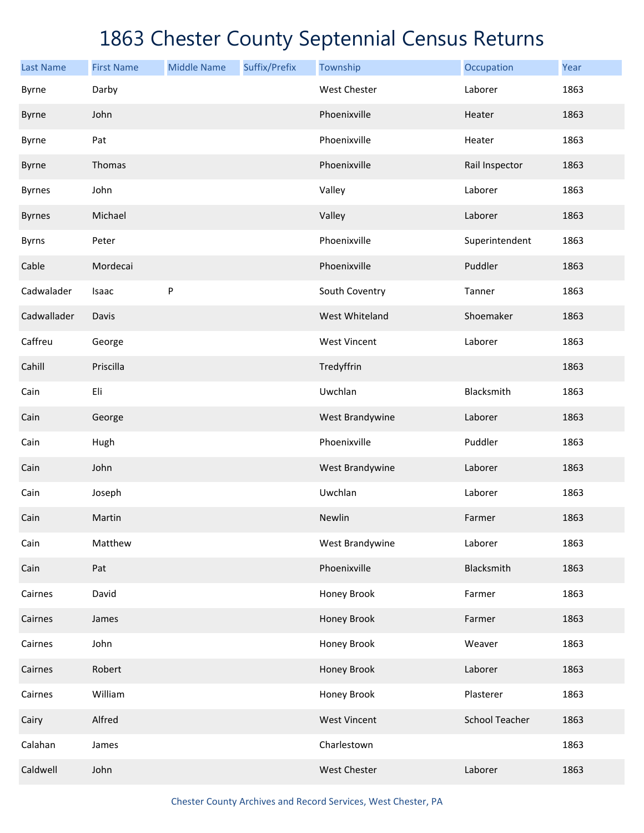| <b>Last Name</b> | <b>First Name</b> | <b>Middle Name</b> | Suffix/Prefix | Township            | Occupation            | Year |
|------------------|-------------------|--------------------|---------------|---------------------|-----------------------|------|
| Byrne            | Darby             |                    |               | <b>West Chester</b> | Laborer               | 1863 |
| Byrne            | John              |                    |               | Phoenixville        | Heater                | 1863 |
| Byrne            | Pat               |                    |               | Phoenixville        | Heater                | 1863 |
| Byrne            | Thomas            |                    |               | Phoenixville        | Rail Inspector        | 1863 |
| <b>Byrnes</b>    | John              |                    |               | Valley              | Laborer               | 1863 |
| <b>Byrnes</b>    | Michael           |                    |               | Valley              | Laborer               | 1863 |
| <b>Byrns</b>     | Peter             |                    |               | Phoenixville        | Superintendent        | 1863 |
| Cable            | Mordecai          |                    |               | Phoenixville        | Puddler               | 1863 |
| Cadwalader       | Isaac             | ${\sf P}$          |               | South Coventry      | Tanner                | 1863 |
| Cadwallader      | Davis             |                    |               | West Whiteland      | Shoemaker             | 1863 |
| Caffreu          | George            |                    |               | <b>West Vincent</b> | Laborer               | 1863 |
| Cahill           | Priscilla         |                    |               | Tredyffrin          |                       | 1863 |
| Cain             | Eli               |                    |               | Uwchlan             | Blacksmith            | 1863 |
| Cain             | George            |                    |               | West Brandywine     | Laborer               | 1863 |
| Cain             | Hugh              |                    |               | Phoenixville        | Puddler               | 1863 |
| Cain             | John              |                    |               | West Brandywine     | Laborer               | 1863 |
| Cain             | Joseph            |                    |               | Uwchlan             | Laborer               | 1863 |
| Cain             | Martin            |                    |               | Newlin              | Farmer                | 1863 |
| Cain             | Matthew           |                    |               | West Brandywine     | Laborer               | 1863 |
| Cain             | Pat               |                    |               | Phoenixville        | Blacksmith            | 1863 |
| Cairnes          | David             |                    |               | Honey Brook         | Farmer                | 1863 |
| Cairnes          | James             |                    |               | Honey Brook         | Farmer                | 1863 |
| Cairnes          | John              |                    |               | Honey Brook         | Weaver                | 1863 |
| Cairnes          | Robert            |                    |               | Honey Brook         | Laborer               | 1863 |
| Cairnes          | William           |                    |               | Honey Brook         | Plasterer             | 1863 |
| Cairy            | Alfred            |                    |               | <b>West Vincent</b> | <b>School Teacher</b> | 1863 |
| Calahan          | James             |                    |               | Charlestown         |                       | 1863 |
| Caldwell         | John              |                    |               | West Chester        | Laborer               | 1863 |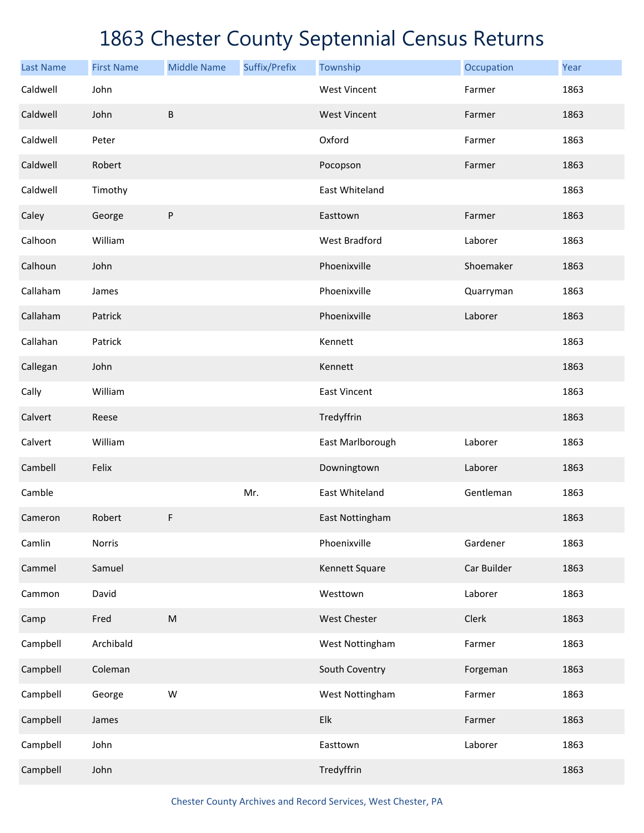| <b>Last Name</b> | <b>First Name</b> | <b>Middle Name</b>                                                                                         | Suffix/Prefix | Township             | Occupation  | Year |
|------------------|-------------------|------------------------------------------------------------------------------------------------------------|---------------|----------------------|-------------|------|
| Caldwell         | John              |                                                                                                            |               | <b>West Vincent</b>  | Farmer      | 1863 |
| Caldwell         | John              | $\sf B$                                                                                                    |               | <b>West Vincent</b>  | Farmer      | 1863 |
| Caldwell         | Peter             |                                                                                                            |               | Oxford               | Farmer      | 1863 |
| Caldwell         | Robert            |                                                                                                            |               | Pocopson             | Farmer      | 1863 |
| Caldwell         | Timothy           |                                                                                                            |               | East Whiteland       |             | 1863 |
| Caley            | George            | ${\sf P}$                                                                                                  |               | Easttown             | Farmer      | 1863 |
| Calhoon          | William           |                                                                                                            |               | <b>West Bradford</b> | Laborer     | 1863 |
| Calhoun          | John              |                                                                                                            |               | Phoenixville         | Shoemaker   | 1863 |
| Callaham         | James             |                                                                                                            |               | Phoenixville         | Quarryman   | 1863 |
| Callaham         | Patrick           |                                                                                                            |               | Phoenixville         | Laborer     | 1863 |
| Callahan         | Patrick           |                                                                                                            |               | Kennett              |             | 1863 |
| Callegan         | John              |                                                                                                            |               | Kennett              |             | 1863 |
| Cally            | William           |                                                                                                            |               | <b>East Vincent</b>  |             | 1863 |
| Calvert          | Reese             |                                                                                                            |               | Tredyffrin           |             | 1863 |
| Calvert          | William           |                                                                                                            |               | East Marlborough     | Laborer     | 1863 |
| Cambell          | Felix             |                                                                                                            |               | Downingtown          | Laborer     | 1863 |
| Camble           |                   |                                                                                                            | Mr.           | East Whiteland       | Gentleman   | 1863 |
| Cameron          | Robert            | F                                                                                                          |               | East Nottingham      |             | 1863 |
| Camlin           | Norris            |                                                                                                            |               | Phoenixville         | Gardener    | 1863 |
| Cammel           | Samuel            |                                                                                                            |               | Kennett Square       | Car Builder | 1863 |
| Cammon           | David             |                                                                                                            |               | Westtown             | Laborer     | 1863 |
| Camp             | Fred              | $\mathsf{M}% _{T}=\mathsf{M}_{T}\!\left( a,b\right) ,\ \mathsf{M}_{T}=\mathsf{M}_{T}\!\left( a,b\right) ,$ |               | West Chester         | Clerk       | 1863 |
| Campbell         | Archibald         |                                                                                                            |               | West Nottingham      | Farmer      | 1863 |
| Campbell         | Coleman           |                                                                                                            |               | South Coventry       | Forgeman    | 1863 |
| Campbell         | George            | W                                                                                                          |               | West Nottingham      | Farmer      | 1863 |
| Campbell         | James             |                                                                                                            |               | Elk                  | Farmer      | 1863 |
| Campbell         | John              |                                                                                                            |               | Easttown             | Laborer     | 1863 |
| Campbell         | John              |                                                                                                            |               | Tredyffrin           |             | 1863 |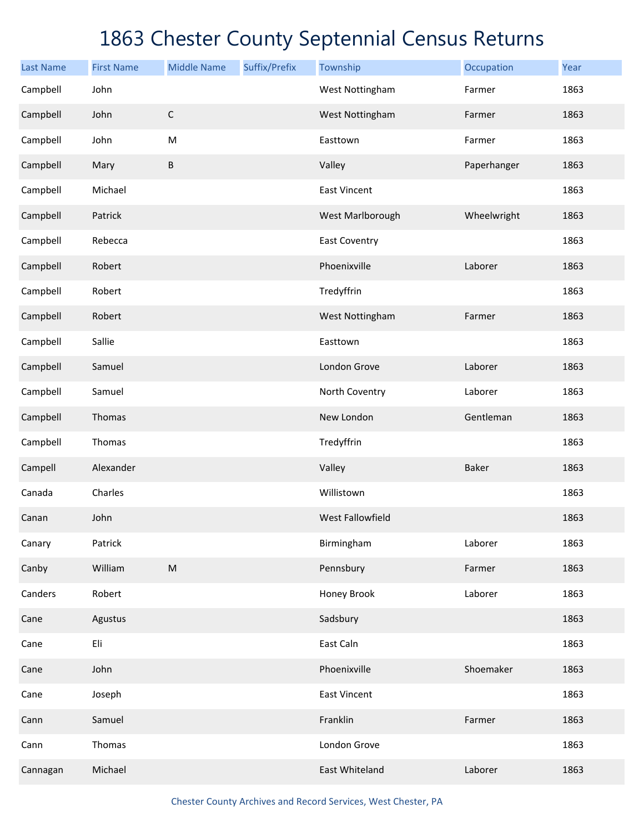| <b>Last Name</b> | <b>First Name</b> | <b>Middle Name</b>                                                                                         | Suffix/Prefix | Township             | Occupation   | Year |
|------------------|-------------------|------------------------------------------------------------------------------------------------------------|---------------|----------------------|--------------|------|
| Campbell         | John              |                                                                                                            |               | West Nottingham      | Farmer       | 1863 |
| Campbell         | John              | $\mathsf C$                                                                                                |               | West Nottingham      | Farmer       | 1863 |
| Campbell         | John              | ${\sf M}$                                                                                                  |               | Easttown             | Farmer       | 1863 |
| Campbell         | Mary              | B                                                                                                          |               | Valley               | Paperhanger  | 1863 |
| Campbell         | Michael           |                                                                                                            |               | <b>East Vincent</b>  |              | 1863 |
| Campbell         | Patrick           |                                                                                                            |               | West Marlborough     | Wheelwright  | 1863 |
| Campbell         | Rebecca           |                                                                                                            |               | <b>East Coventry</b> |              | 1863 |
| Campbell         | Robert            |                                                                                                            |               | Phoenixville         | Laborer      | 1863 |
| Campbell         | Robert            |                                                                                                            |               | Tredyffrin           |              | 1863 |
| Campbell         | Robert            |                                                                                                            |               | West Nottingham      | Farmer       | 1863 |
| Campbell         | Sallie            |                                                                                                            |               | Easttown             |              | 1863 |
| Campbell         | Samuel            |                                                                                                            |               | London Grove         | Laborer      | 1863 |
| Campbell         | Samuel            |                                                                                                            |               | North Coventry       | Laborer      | 1863 |
| Campbell         | Thomas            |                                                                                                            |               | New London           | Gentleman    | 1863 |
| Campbell         | Thomas            |                                                                                                            |               | Tredyffrin           |              | 1863 |
| Campell          | Alexander         |                                                                                                            |               | Valley               | <b>Baker</b> | 1863 |
| Canada           | Charles           |                                                                                                            |               | Willistown           |              | 1863 |
| Canan            | John              |                                                                                                            |               | West Fallowfield     |              | 1863 |
| Canary           | Patrick           |                                                                                                            |               | Birmingham           | Laborer      | 1863 |
| Canby            | William           | $\mathsf{M}% _{T}=\mathsf{M}_{T}\!\left( a,b\right) ,\ \mathsf{M}_{T}=\mathsf{M}_{T}\!\left( a,b\right) ,$ |               | Pennsbury            | Farmer       | 1863 |
| Canders          | Robert            |                                                                                                            |               | Honey Brook          | Laborer      | 1863 |
| Cane             | Agustus           |                                                                                                            |               | Sadsbury             |              | 1863 |
| Cane             | Eli               |                                                                                                            |               | East Caln            |              | 1863 |
| Cane             | John              |                                                                                                            |               | Phoenixville         | Shoemaker    | 1863 |
| Cane             | Joseph            |                                                                                                            |               | <b>East Vincent</b>  |              | 1863 |
| Cann             | Samuel            |                                                                                                            |               | Franklin             | Farmer       | 1863 |
| Cann             | Thomas            |                                                                                                            |               | London Grove         |              | 1863 |
| Cannagan         | Michael           |                                                                                                            |               | East Whiteland       | Laborer      | 1863 |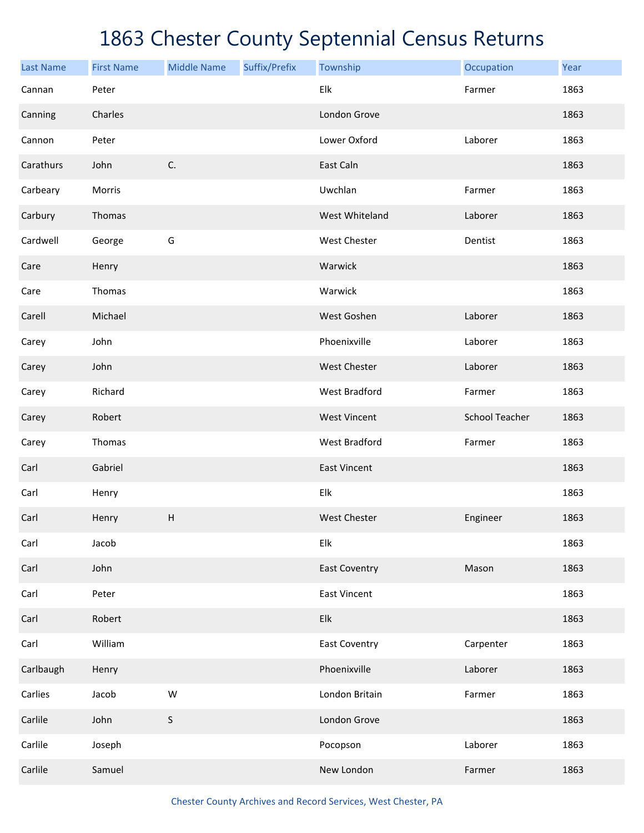| <b>Last Name</b> | <b>First Name</b> | <b>Middle Name</b>        | Suffix/Prefix | Township             | Occupation            | Year |
|------------------|-------------------|---------------------------|---------------|----------------------|-----------------------|------|
| Cannan           | Peter             |                           |               | Elk                  | Farmer                | 1863 |
| Canning          | Charles           |                           |               | London Grove         |                       | 1863 |
| Cannon           | Peter             |                           |               | Lower Oxford         | Laborer               | 1863 |
| Carathurs        | John              | C.                        |               | East Caln            |                       | 1863 |
| Carbeary         | Morris            |                           |               | Uwchlan              | Farmer                | 1863 |
| Carbury          | Thomas            |                           |               | West Whiteland       | Laborer               | 1863 |
| Cardwell         | George            | G                         |               | West Chester         | Dentist               | 1863 |
| Care             | Henry             |                           |               | Warwick              |                       | 1863 |
| Care             | Thomas            |                           |               | Warwick              |                       | 1863 |
| Carell           | Michael           |                           |               | West Goshen          | Laborer               | 1863 |
| Carey            | John              |                           |               | Phoenixville         | Laborer               | 1863 |
| Carey            | John              |                           |               | <b>West Chester</b>  | Laborer               | 1863 |
| Carey            | Richard           |                           |               | West Bradford        | Farmer                | 1863 |
| Carey            | Robert            |                           |               | <b>West Vincent</b>  | <b>School Teacher</b> | 1863 |
| Carey            | Thomas            |                           |               | West Bradford        | Farmer                | 1863 |
| Carl             | Gabriel           |                           |               | <b>East Vincent</b>  |                       | 1863 |
| Carl             | Henry             |                           |               | Elk                  |                       | 1863 |
| Carl             | Henry             | $\boldsymbol{\mathsf{H}}$ |               | <b>West Chester</b>  | Engineer              | 1863 |
| Carl             | Jacob             |                           |               | Elk                  |                       | 1863 |
| Carl             | John              |                           |               | <b>East Coventry</b> | Mason                 | 1863 |
| Carl             | Peter             |                           |               | <b>East Vincent</b>  |                       | 1863 |
| Carl             | Robert            |                           |               | Elk                  |                       | 1863 |
| Carl             | William           |                           |               | <b>East Coventry</b> | Carpenter             | 1863 |
| Carlbaugh        | Henry             |                           |               | Phoenixville         | Laborer               | 1863 |
| Carlies          | Jacob             | W                         |               | London Britain       | Farmer                | 1863 |
| Carlile          | John              | S                         |               | London Grove         |                       | 1863 |
| Carlile          | Joseph            |                           |               | Pocopson             | Laborer               | 1863 |
| Carlile          | Samuel            |                           |               | New London           | Farmer                | 1863 |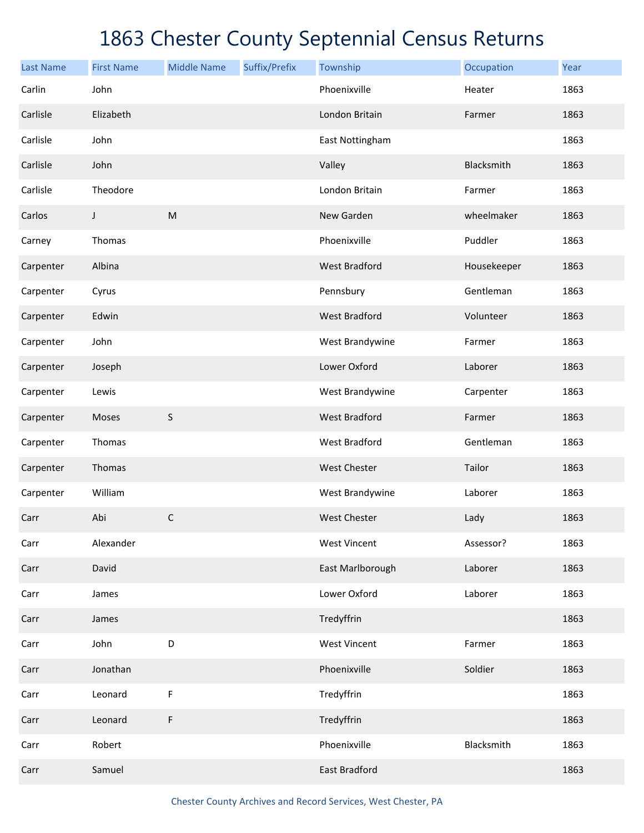| <b>Last Name</b> | <b>First Name</b> | <b>Middle Name</b> | Suffix/Prefix | Township             | Occupation  | Year |
|------------------|-------------------|--------------------|---------------|----------------------|-------------|------|
| Carlin           | John              |                    |               | Phoenixville         | Heater      | 1863 |
| Carlisle         | Elizabeth         |                    |               | London Britain       | Farmer      | 1863 |
| Carlisle         | John              |                    |               | East Nottingham      |             | 1863 |
| Carlisle         | John              |                    |               | Valley               | Blacksmith  | 1863 |
| Carlisle         | Theodore          |                    |               | London Britain       | Farmer      | 1863 |
| Carlos           | J                 | ${\sf M}$          |               | New Garden           | wheelmaker  | 1863 |
| Carney           | Thomas            |                    |               | Phoenixville         | Puddler     | 1863 |
| Carpenter        | Albina            |                    |               | <b>West Bradford</b> | Housekeeper | 1863 |
| Carpenter        | Cyrus             |                    |               | Pennsbury            | Gentleman   | 1863 |
| Carpenter        | Edwin             |                    |               | <b>West Bradford</b> | Volunteer   | 1863 |
| Carpenter        | John              |                    |               | West Brandywine      | Farmer      | 1863 |
| Carpenter        | Joseph            |                    |               | Lower Oxford         | Laborer     | 1863 |
| Carpenter        | Lewis             |                    |               | West Brandywine      | Carpenter   | 1863 |
| Carpenter        | Moses             | S                  |               | <b>West Bradford</b> | Farmer      | 1863 |
| Carpenter        | Thomas            |                    |               | <b>West Bradford</b> | Gentleman   | 1863 |
| Carpenter        | Thomas            |                    |               | <b>West Chester</b>  | Tailor      | 1863 |
| Carpenter        | William           |                    |               | West Brandywine      | Laborer     | 1863 |
| Carr             | Abi               | $\mathsf C$        |               | <b>West Chester</b>  | Lady        | 1863 |
| Carr             | Alexander         |                    |               | <b>West Vincent</b>  | Assessor?   | 1863 |
| Carr             | David             |                    |               | East Marlborough     | Laborer     | 1863 |
| Carr             | James             |                    |               | Lower Oxford         | Laborer     | 1863 |
| Carr             | James             |                    |               | Tredyffrin           |             | 1863 |
| Carr             | John              | D                  |               | <b>West Vincent</b>  | Farmer      | 1863 |
| Carr             | Jonathan          |                    |               | Phoenixville         | Soldier     | 1863 |
| Carr             | Leonard           | F                  |               | Tredyffrin           |             | 1863 |
| Carr             | Leonard           | F                  |               | Tredyffrin           |             | 1863 |
| Carr             | Robert            |                    |               | Phoenixville         | Blacksmith  | 1863 |
| Carr             | Samuel            |                    |               | East Bradford        |             | 1863 |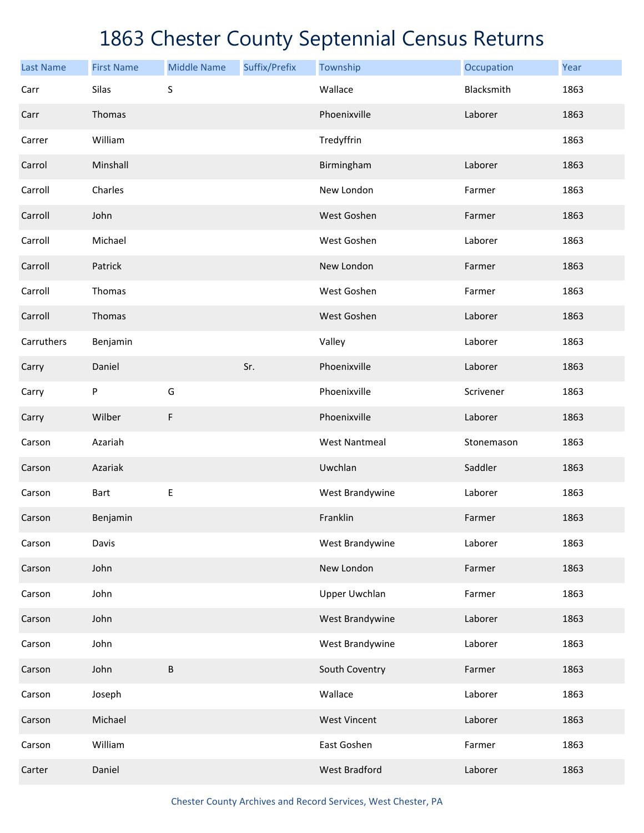| <b>Last Name</b> | <b>First Name</b> | <b>Middle Name</b> | Suffix/Prefix | Township             | Occupation | Year |
|------------------|-------------------|--------------------|---------------|----------------------|------------|------|
| Carr             | Silas             | S                  |               | Wallace              | Blacksmith | 1863 |
| Carr             | Thomas            |                    |               | Phoenixville         | Laborer    | 1863 |
| Carrer           | William           |                    |               | Tredyffrin           |            | 1863 |
| Carrol           | Minshall          |                    |               | Birmingham           | Laborer    | 1863 |
| Carroll          | Charles           |                    |               | New London           | Farmer     | 1863 |
| Carroll          | John              |                    |               | West Goshen          | Farmer     | 1863 |
| Carroll          | Michael           |                    |               | West Goshen          | Laborer    | 1863 |
| Carroll          | Patrick           |                    |               | New London           | Farmer     | 1863 |
| Carroll          | Thomas            |                    |               | West Goshen          | Farmer     | 1863 |
| Carroll          | Thomas            |                    |               | West Goshen          | Laborer    | 1863 |
| Carruthers       | Benjamin          |                    |               | Valley               | Laborer    | 1863 |
| Carry            | Daniel            |                    | Sr.           | Phoenixville         | Laborer    | 1863 |
| Carry            | ${\sf P}$         | G                  |               | Phoenixville         | Scrivener  | 1863 |
| Carry            | Wilber            | F                  |               | Phoenixville         | Laborer    | 1863 |
| Carson           | Azariah           |                    |               | <b>West Nantmeal</b> | Stonemason | 1863 |
| Carson           | Azariak           |                    |               | Uwchlan              | Saddler    | 1863 |
| Carson           | <b>Bart</b>       | E                  |               | West Brandywine      | Laborer    | 1863 |
| Carson           | Benjamin          |                    |               | Franklin             | Farmer     | 1863 |
| Carson           | Davis             |                    |               | West Brandywine      | Laborer    | 1863 |
| Carson           | John              |                    |               | New London           | Farmer     | 1863 |
| Carson           | John              |                    |               | <b>Upper Uwchlan</b> | Farmer     | 1863 |
| Carson           | John              |                    |               | West Brandywine      | Laborer    | 1863 |
| Carson           | John              |                    |               | West Brandywine      | Laborer    | 1863 |
| Carson           | John              | B                  |               | South Coventry       | Farmer     | 1863 |
| Carson           | Joseph            |                    |               | Wallace              | Laborer    | 1863 |
| Carson           | Michael           |                    |               | <b>West Vincent</b>  | Laborer    | 1863 |
| Carson           | William           |                    |               | East Goshen          | Farmer     | 1863 |
| Carter           | Daniel            |                    |               | <b>West Bradford</b> | Laborer    | 1863 |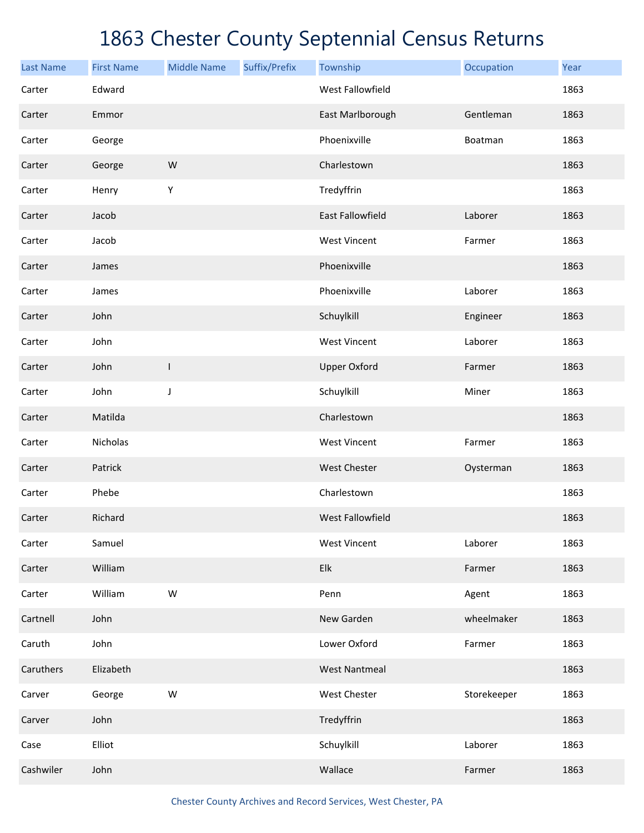| <b>Last Name</b> | <b>First Name</b> | <b>Middle Name</b> | Suffix/Prefix | Township                | Occupation  | Year |
|------------------|-------------------|--------------------|---------------|-------------------------|-------------|------|
| Carter           | Edward            |                    |               | <b>West Fallowfield</b> |             | 1863 |
| Carter           | Emmor             |                    |               | East Marlborough        | Gentleman   | 1863 |
| Carter           | George            |                    |               | Phoenixville            | Boatman     | 1863 |
| Carter           | George            | W                  |               | Charlestown             |             | 1863 |
| Carter           | Henry             | Υ                  |               | Tredyffrin              |             | 1863 |
| Carter           | Jacob             |                    |               | <b>East Fallowfield</b> | Laborer     | 1863 |
| Carter           | Jacob             |                    |               | <b>West Vincent</b>     | Farmer      | 1863 |
| Carter           | James             |                    |               | Phoenixville            |             | 1863 |
| Carter           | James             |                    |               | Phoenixville            | Laborer     | 1863 |
| Carter           | John              |                    |               | Schuylkill              | Engineer    | 1863 |
| Carter           | John              |                    |               | <b>West Vincent</b>     | Laborer     | 1863 |
| Carter           | John              | $\mathsf{l}$       |               | <b>Upper Oxford</b>     | Farmer      | 1863 |
| Carter           | John              | J                  |               | Schuylkill              | Miner       | 1863 |
| Carter           | Matilda           |                    |               | Charlestown             |             | 1863 |
| Carter           | Nicholas          |                    |               | <b>West Vincent</b>     | Farmer      | 1863 |
| Carter           | Patrick           |                    |               | <b>West Chester</b>     | Oysterman   | 1863 |
| Carter           | Phebe             |                    |               | Charlestown             |             | 1863 |
| Carter           | Richard           |                    |               | <b>West Fallowfield</b> |             | 1863 |
| Carter           | Samuel            |                    |               | <b>West Vincent</b>     | Laborer     | 1863 |
| Carter           | William           |                    |               | Elk                     | Farmer      | 1863 |
| Carter           | William           | W                  |               | Penn                    | Agent       | 1863 |
| Cartnell         | John              |                    |               | New Garden              | wheelmaker  | 1863 |
| Caruth           | John              |                    |               | Lower Oxford            | Farmer      | 1863 |
| Caruthers        | Elizabeth         |                    |               | <b>West Nantmeal</b>    |             | 1863 |
| Carver           | George            | ${\sf W}$          |               | West Chester            | Storekeeper | 1863 |
| Carver           | John              |                    |               | Tredyffrin              |             | 1863 |
| Case             | Elliot            |                    |               | Schuylkill              | Laborer     | 1863 |
| Cashwiler        | John              |                    |               | Wallace                 | Farmer      | 1863 |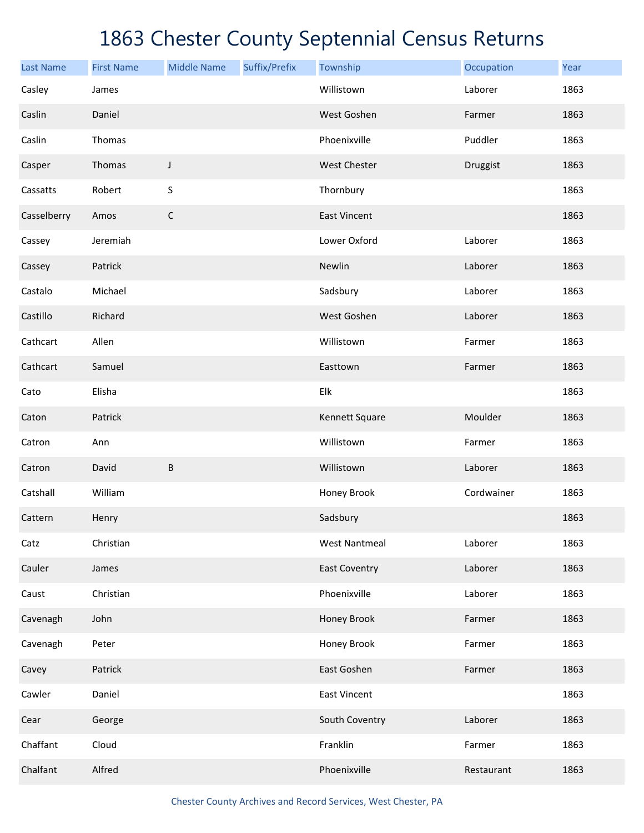| <b>Last Name</b> | <b>First Name</b> | <b>Middle Name</b> | Suffix/Prefix | Township             | Occupation | Year |
|------------------|-------------------|--------------------|---------------|----------------------|------------|------|
| Casley           | James             |                    |               | Willistown           | Laborer    | 1863 |
| Caslin           | Daniel            |                    |               | West Goshen          | Farmer     | 1863 |
| Caslin           | Thomas            |                    |               | Phoenixville         | Puddler    | 1863 |
| Casper           | Thomas            | J                  |               | West Chester         | Druggist   | 1863 |
| Cassatts         | Robert            | $\sf S$            |               | Thornbury            |            | 1863 |
| Casselberry      | Amos              | $\mathsf C$        |               | <b>East Vincent</b>  |            | 1863 |
| Cassey           | Jeremiah          |                    |               | Lower Oxford         | Laborer    | 1863 |
| Cassey           | Patrick           |                    |               | Newlin               | Laborer    | 1863 |
| Castalo          | Michael           |                    |               | Sadsbury             | Laborer    | 1863 |
| Castillo         | Richard           |                    |               | West Goshen          | Laborer    | 1863 |
| Cathcart         | Allen             |                    |               | Willistown           | Farmer     | 1863 |
| Cathcart         | Samuel            |                    |               | Easttown             | Farmer     | 1863 |
| Cato             | Elisha            |                    |               | Elk                  |            | 1863 |
| Caton            | Patrick           |                    |               | Kennett Square       | Moulder    | 1863 |
| Catron           | Ann               |                    |               | Willistown           | Farmer     | 1863 |
| Catron           | David             | B                  |               | Willistown           | Laborer    | 1863 |
| Catshall         | William           |                    |               | Honey Brook          | Cordwainer | 1863 |
| Cattern          | Henry             |                    |               | Sadsbury             |            | 1863 |
| Catz             | Christian         |                    |               | <b>West Nantmeal</b> | Laborer    | 1863 |
| Cauler           | James             |                    |               | <b>East Coventry</b> | Laborer    | 1863 |
| Caust            | Christian         |                    |               | Phoenixville         | Laborer    | 1863 |
| Cavenagh         | John              |                    |               | Honey Brook          | Farmer     | 1863 |
| Cavenagh         | Peter             |                    |               | Honey Brook          | Farmer     | 1863 |
| Cavey            | Patrick           |                    |               | East Goshen          | Farmer     | 1863 |
| Cawler           | Daniel            |                    |               | <b>East Vincent</b>  |            | 1863 |
| Cear             | George            |                    |               | South Coventry       | Laborer    | 1863 |
| Chaffant         | Cloud             |                    |               | Franklin             | Farmer     | 1863 |
| Chalfant         | Alfred            |                    |               | Phoenixville         | Restaurant | 1863 |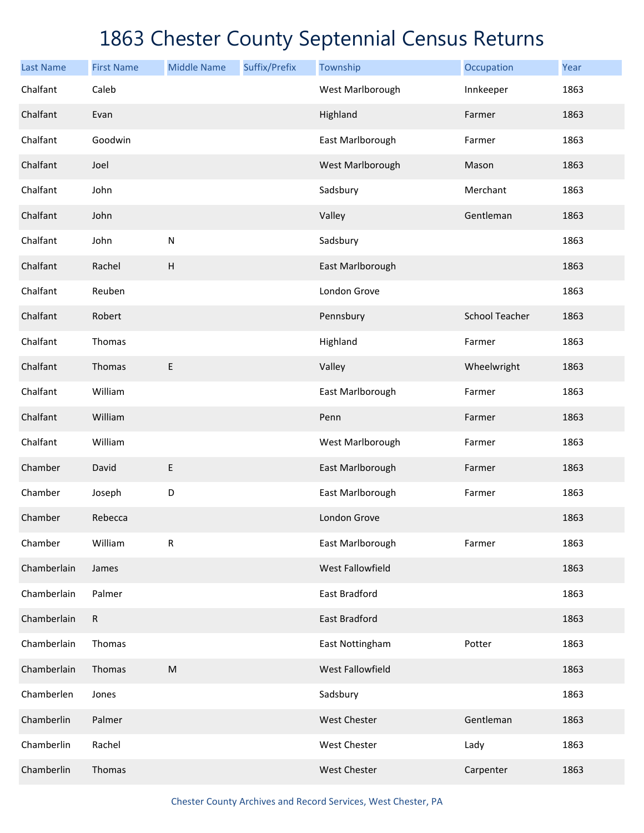| <b>Last Name</b> | <b>First Name</b> | <b>Middle Name</b> | Suffix/Prefix | Township             | Occupation            | Year |
|------------------|-------------------|--------------------|---------------|----------------------|-----------------------|------|
| Chalfant         | Caleb             |                    |               | West Marlborough     | Innkeeper             | 1863 |
| Chalfant         | Evan              |                    |               | Highland             | Farmer                | 1863 |
| Chalfant         | Goodwin           |                    |               | East Marlborough     | Farmer                | 1863 |
| Chalfant         | Joel              |                    |               | West Marlborough     | Mason                 | 1863 |
| Chalfant         | John              |                    |               | Sadsbury             | Merchant              | 1863 |
| Chalfant         | John              |                    |               | Valley               | Gentleman             | 1863 |
| Chalfant         | John              | $\mathsf{N}$       |               | Sadsbury             |                       | 1863 |
| Chalfant         | Rachel            | H                  |               | East Marlborough     |                       | 1863 |
| Chalfant         | Reuben            |                    |               | London Grove         |                       | 1863 |
| Chalfant         | Robert            |                    |               | Pennsbury            | <b>School Teacher</b> | 1863 |
| Chalfant         | Thomas            |                    |               | Highland             | Farmer                | 1863 |
| Chalfant         | Thomas            | E                  |               | Valley               | Wheelwright           | 1863 |
| Chalfant         | William           |                    |               | East Marlborough     | Farmer                | 1863 |
| Chalfant         | William           |                    |               | Penn                 | Farmer                | 1863 |
| Chalfant         | William           |                    |               | West Marlborough     | Farmer                | 1863 |
| Chamber          | David             | E                  |               | East Marlborough     | Farmer                | 1863 |
| Chamber          | Joseph            | D                  |               | East Marlborough     | Farmer                | 1863 |
| Chamber          | Rebecca           |                    |               | London Grove         |                       | 1863 |
| Chamber          | William           | ${\sf R}$          |               | East Marlborough     | Farmer                | 1863 |
| Chamberlain      | James             |                    |               | West Fallowfield     |                       | 1863 |
| Chamberlain      | Palmer            |                    |               | <b>East Bradford</b> |                       | 1863 |
| Chamberlain      | $\mathsf{R}$      |                    |               | <b>East Bradford</b> |                       | 1863 |
| Chamberlain      | Thomas            |                    |               | East Nottingham      | Potter                | 1863 |
| Chamberlain      | Thomas            | ${\sf M}$          |               | West Fallowfield     |                       | 1863 |
| Chamberlen       | Jones             |                    |               | Sadsbury             |                       | 1863 |
| Chamberlin       | Palmer            |                    |               | West Chester         | Gentleman             | 1863 |
| Chamberlin       | Rachel            |                    |               | West Chester         | Lady                  | 1863 |
| Chamberlin       | Thomas            |                    |               | West Chester         | Carpenter             | 1863 |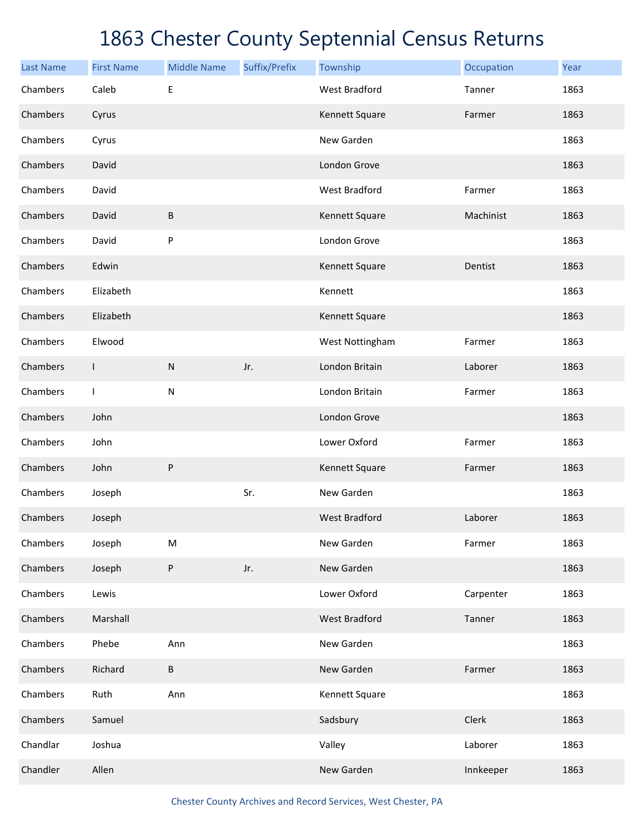| <b>Last Name</b> | <b>First Name</b> | <b>Middle Name</b> | Suffix/Prefix | Township             | Occupation | Year |
|------------------|-------------------|--------------------|---------------|----------------------|------------|------|
| Chambers         | Caleb             | $\mathsf E$        |               | <b>West Bradford</b> | Tanner     | 1863 |
| Chambers         | Cyrus             |                    |               | Kennett Square       | Farmer     | 1863 |
| Chambers         | Cyrus             |                    |               | New Garden           |            | 1863 |
| Chambers         | David             |                    |               | London Grove         |            | 1863 |
| Chambers         | David             |                    |               | <b>West Bradford</b> | Farmer     | 1863 |
| Chambers         | David             | $\sf B$            |               | Kennett Square       | Machinist  | 1863 |
| Chambers         | David             | ${\sf P}$          |               | London Grove         |            | 1863 |
| Chambers         | Edwin             |                    |               | Kennett Square       | Dentist    | 1863 |
| Chambers         | Elizabeth         |                    |               | Kennett              |            | 1863 |
| Chambers         | Elizabeth         |                    |               | Kennett Square       |            | 1863 |
| Chambers         | Elwood            |                    |               | West Nottingham      | Farmer     | 1863 |
| Chambers         | $\mathsf{I}$      | ${\sf N}$          | Jr.           | London Britain       | Laborer    | 1863 |
| Chambers         | $\mathbf{I}$      | ${\sf N}$          |               | London Britain       | Farmer     | 1863 |
| Chambers         | John              |                    |               | London Grove         |            | 1863 |
| Chambers         | John              |                    |               | Lower Oxford         | Farmer     | 1863 |
| Chambers         | John              | ${\sf P}$          |               | Kennett Square       | Farmer     | 1863 |
| Chambers         | Joseph            |                    | Sr.           | New Garden           |            | 1863 |
| Chambers         | Joseph            |                    |               | <b>West Bradford</b> | Laborer    | 1863 |
| Chambers         | Joseph            | ${\sf M}$          |               | New Garden           | Farmer     | 1863 |
| Chambers         | Joseph            | $\sf P$            | Jr.           | New Garden           |            | 1863 |
| Chambers         | Lewis             |                    |               | Lower Oxford         | Carpenter  | 1863 |
| Chambers         | Marshall          |                    |               | <b>West Bradford</b> | Tanner     | 1863 |
| Chambers         | Phebe             | Ann                |               | New Garden           |            | 1863 |
| Chambers         | Richard           | $\sf B$            |               | New Garden           | Farmer     | 1863 |
| Chambers         | Ruth              | Ann                |               | Kennett Square       |            | 1863 |
| Chambers         | Samuel            |                    |               | Sadsbury             | Clerk      | 1863 |
| Chandlar         | Joshua            |                    |               | Valley               | Laborer    | 1863 |
| Chandler         | Allen             |                    |               | New Garden           | Innkeeper  | 1863 |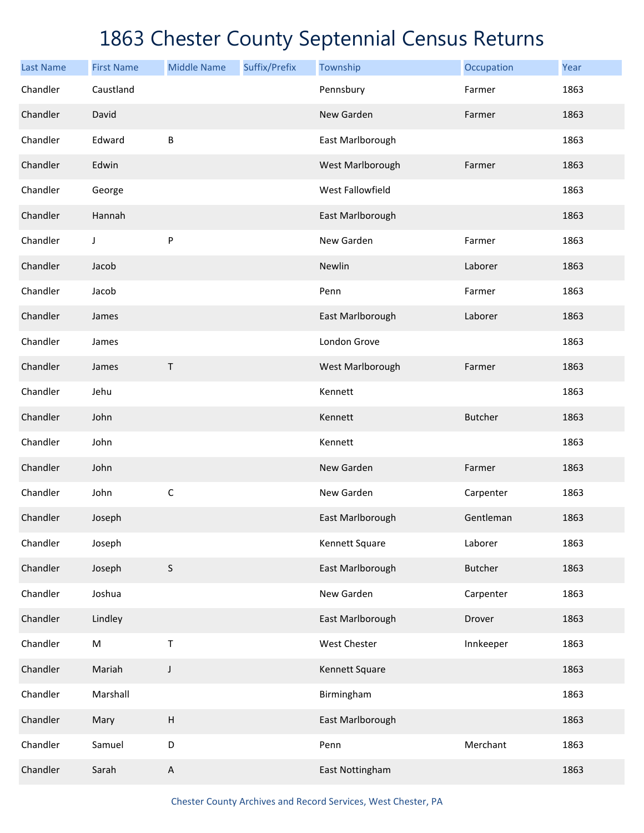| <b>Last Name</b> | <b>First Name</b> | <b>Middle Name</b> | Suffix/Prefix | Township         | Occupation     | Year |
|------------------|-------------------|--------------------|---------------|------------------|----------------|------|
| Chandler         | Caustland         |                    |               | Pennsbury        | Farmer         | 1863 |
| Chandler         | David             |                    |               | New Garden       | Farmer         | 1863 |
| Chandler         | Edward            | B                  |               | East Marlborough |                | 1863 |
| Chandler         | Edwin             |                    |               | West Marlborough | Farmer         | 1863 |
| Chandler         | George            |                    |               | West Fallowfield |                | 1863 |
| Chandler         | Hannah            |                    |               | East Marlborough |                | 1863 |
| Chandler         | J                 | P                  |               | New Garden       | Farmer         | 1863 |
| Chandler         | Jacob             |                    |               | Newlin           | Laborer        | 1863 |
| Chandler         | Jacob             |                    |               | Penn             | Farmer         | 1863 |
| Chandler         | James             |                    |               | East Marlborough | Laborer        | 1863 |
| Chandler         | James             |                    |               | London Grove     |                | 1863 |
| Chandler         | James             | Τ                  |               | West Marlborough | Farmer         | 1863 |
| Chandler         | Jehu              |                    |               | Kennett          |                | 1863 |
| Chandler         | John              |                    |               | Kennett          | <b>Butcher</b> | 1863 |
| Chandler         | John              |                    |               | Kennett          |                | 1863 |
| Chandler         | John              |                    |               | New Garden       | Farmer         | 1863 |
| Chandler         | John              | $\mathsf C$        |               | New Garden       | Carpenter      | 1863 |
| Chandler         | Joseph            |                    |               | East Marlborough | Gentleman      | 1863 |
| Chandler         | Joseph            |                    |               | Kennett Square   | Laborer        | 1863 |
| Chandler         | Joseph            | $\sf S$            |               | East Marlborough | <b>Butcher</b> | 1863 |
| Chandler         | Joshua            |                    |               | New Garden       | Carpenter      | 1863 |
| Chandler         | Lindley           |                    |               | East Marlborough | Drover         | 1863 |
| Chandler         | ${\sf M}$         | $\mathsf T$        |               | West Chester     | Innkeeper      | 1863 |
| Chandler         | Mariah            | J                  |               | Kennett Square   |                | 1863 |
| Chandler         | Marshall          |                    |               | Birmingham       |                | 1863 |
| Chandler         | Mary              | $\sf H$            |               | East Marlborough |                | 1863 |
| Chandler         | Samuel            | D                  |               | Penn             | Merchant       | 1863 |
| Chandler         | Sarah             | $\mathsf A$        |               | East Nottingham  |                | 1863 |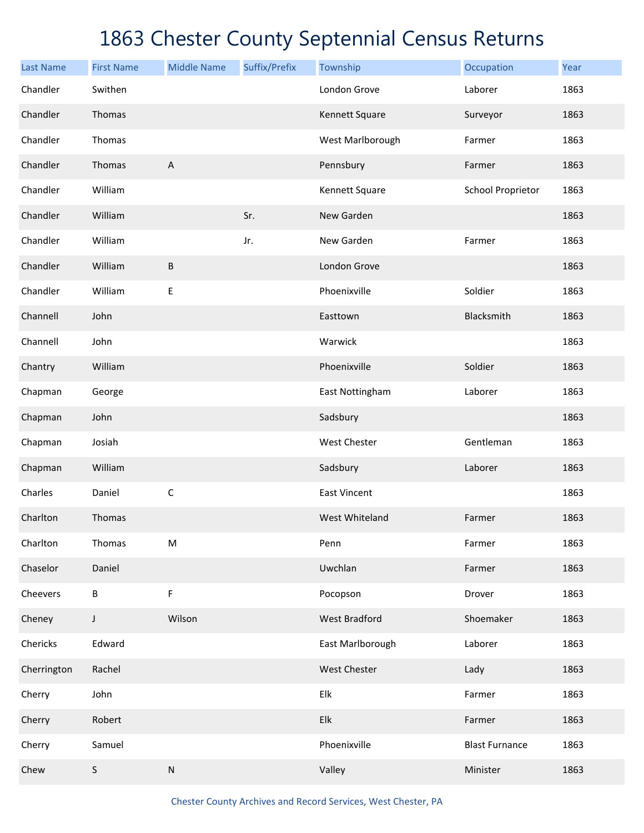| <b>Last Name</b> | <b>First Name</b> | <b>Middle Name</b> | Suffix/Prefix | Township             | Occupation               | Year |
|------------------|-------------------|--------------------|---------------|----------------------|--------------------------|------|
| Chandler         | Swithen           |                    |               | London Grove         | Laborer                  | 1863 |
| Chandler         | Thomas            |                    |               | Kennett Square       | Surveyor                 | 1863 |
| Chandler         | Thomas            |                    |               | West Marlborough     | Farmer                   | 1863 |
| Chandler         | Thomas            | A                  |               | Pennsbury            | Farmer                   | 1863 |
| Chandler         | William           |                    |               | Kennett Square       | <b>School Proprietor</b> | 1863 |
| Chandler         | William           |                    | Sr.           | New Garden           |                          | 1863 |
| Chandler         | William           |                    | Jr.           | New Garden           | Farmer                   | 1863 |
| Chandler         | William           | B                  |               | London Grove         |                          | 1863 |
| Chandler         | William           | $\mathsf E$        |               | Phoenixville         | Soldier                  | 1863 |
| Channell         | John              |                    |               | Easttown             | Blacksmith               | 1863 |
| Channell         | John              |                    |               | Warwick              |                          | 1863 |
| Chantry          | William           |                    |               | Phoenixville         | Soldier                  | 1863 |
| Chapman          | George            |                    |               | East Nottingham      | Laborer                  | 1863 |
| Chapman          | John              |                    |               | Sadsbury             |                          | 1863 |
| Chapman          | Josiah            |                    |               | <b>West Chester</b>  | Gentleman                | 1863 |
| Chapman          | William           |                    |               | Sadsbury             | Laborer                  | 1863 |
| Charles          | Daniel            | $\mathsf C$        |               | <b>East Vincent</b>  |                          | 1863 |
| Charlton         | Thomas            |                    |               | West Whiteland       | Farmer                   | 1863 |
| Charlton         | Thomas            | ${\sf M}$          |               | Penn                 | Farmer                   | 1863 |
| Chaselor         | Daniel            |                    |               | Uwchlan              | Farmer                   | 1863 |
| Cheevers         | В                 | F                  |               | Pocopson             | Drover                   | 1863 |
| Cheney           | J                 | Wilson             |               | <b>West Bradford</b> | Shoemaker                | 1863 |
| Chericks         | Edward            |                    |               | East Marlborough     | Laborer                  | 1863 |
| Cherrington      | Rachel            |                    |               | <b>West Chester</b>  | Lady                     | 1863 |
| Cherry           | John              |                    |               | Elk                  | Farmer                   | 1863 |
| Cherry           | Robert            |                    |               | Elk                  | Farmer                   | 1863 |
| Cherry           | Samuel            |                    |               | Phoenixville         | <b>Blast Furnance</b>    | 1863 |
| Chew             | $\sf S$           | ${\sf N}$          |               | Valley               | Minister                 | 1863 |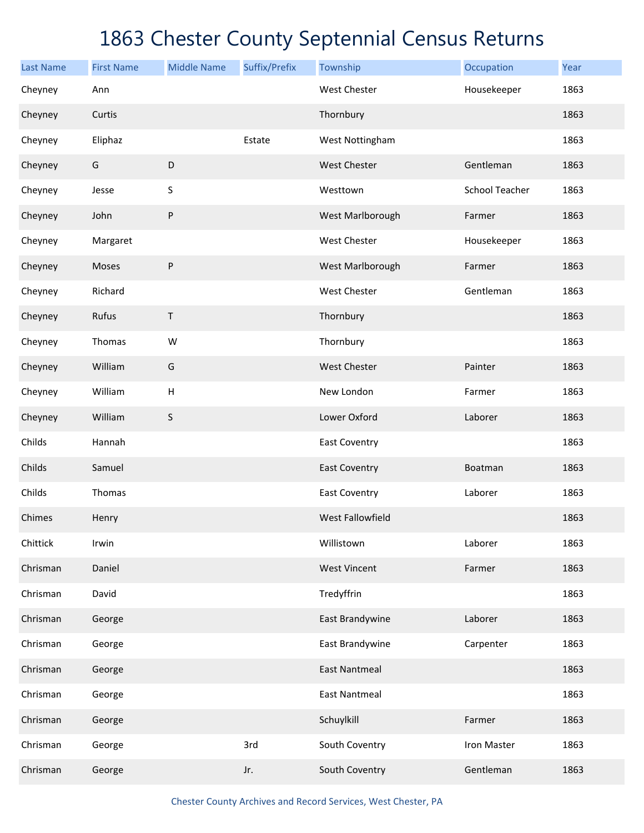| <b>Last Name</b> | <b>First Name</b> | <b>Middle Name</b> | Suffix/Prefix | Township             | Occupation            | Year |
|------------------|-------------------|--------------------|---------------|----------------------|-----------------------|------|
| Cheyney          | Ann               |                    |               | <b>West Chester</b>  | Housekeeper           | 1863 |
| Cheyney          | Curtis            |                    |               | Thornbury            |                       | 1863 |
| Cheyney          | Eliphaz           |                    | Estate        | West Nottingham      |                       | 1863 |
| Cheyney          | G                 | $\mathsf D$        |               | <b>West Chester</b>  | Gentleman             | 1863 |
| Cheyney          | Jesse             | $\sf S$            |               | Westtown             | <b>School Teacher</b> | 1863 |
| Cheyney          | John              | $\sf P$            |               | West Marlborough     | Farmer                | 1863 |
| Cheyney          | Margaret          |                    |               | <b>West Chester</b>  | Housekeeper           | 1863 |
| Cheyney          | Moses             | $\sf P$            |               | West Marlborough     | Farmer                | 1863 |
| Cheyney          | Richard           |                    |               | <b>West Chester</b>  | Gentleman             | 1863 |
| Cheyney          | Rufus             | $\mathsf T$        |               | Thornbury            |                       | 1863 |
| Cheyney          | Thomas            | W                  |               | Thornbury            |                       | 1863 |
| Cheyney          | William           | G                  |               | <b>West Chester</b>  | Painter               | 1863 |
| Cheyney          | William           | $\mathsf H$        |               | New London           | Farmer                | 1863 |
| Cheyney          | William           | S                  |               | Lower Oxford         | Laborer               | 1863 |
| Childs           | Hannah            |                    |               | <b>East Coventry</b> |                       | 1863 |
| Childs           | Samuel            |                    |               | <b>East Coventry</b> | Boatman               | 1863 |
| Childs           | Thomas            |                    |               | <b>East Coventry</b> | Laborer               | 1863 |
| Chimes           | Henry             |                    |               | West Fallowfield     |                       | 1863 |
| Chittick         | Irwin             |                    |               | Willistown           | Laborer               | 1863 |
| Chrisman         | Daniel            |                    |               | <b>West Vincent</b>  | Farmer                | 1863 |
| Chrisman         | David             |                    |               | Tredyffrin           |                       | 1863 |
| Chrisman         | George            |                    |               | East Brandywine      | Laborer               | 1863 |
| Chrisman         | George            |                    |               | East Brandywine      | Carpenter             | 1863 |
| Chrisman         | George            |                    |               | <b>East Nantmeal</b> |                       | 1863 |
| Chrisman         | George            |                    |               | <b>East Nantmeal</b> |                       | 1863 |
| Chrisman         | George            |                    |               | Schuylkill           | Farmer                | 1863 |
| Chrisman         | George            |                    | 3rd           | South Coventry       | Iron Master           | 1863 |
| Chrisman         | George            |                    | Jr.           | South Coventry       | Gentleman             | 1863 |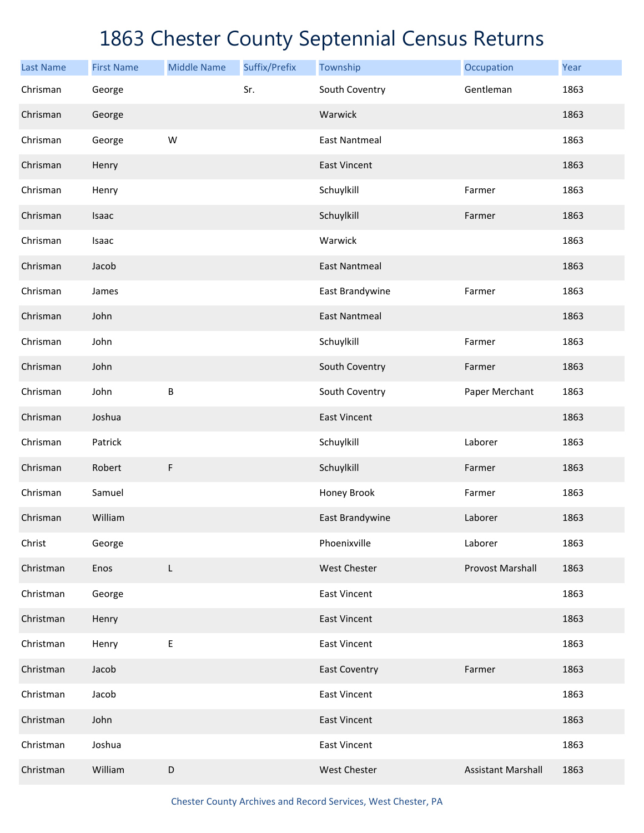| <b>Last Name</b> | <b>First Name</b> | <b>Middle Name</b> | Suffix/Prefix | Township             | Occupation                | Year |
|------------------|-------------------|--------------------|---------------|----------------------|---------------------------|------|
| Chrisman         | George            |                    | Sr.           | South Coventry       | Gentleman                 | 1863 |
| Chrisman         | George            |                    |               | Warwick              |                           | 1863 |
| Chrisman         | George            | W                  |               | <b>East Nantmeal</b> |                           | 1863 |
| Chrisman         | Henry             |                    |               | <b>East Vincent</b>  |                           | 1863 |
| Chrisman         | Henry             |                    |               | Schuylkill           | Farmer                    | 1863 |
| Chrisman         | Isaac             |                    |               | Schuylkill           | Farmer                    | 1863 |
| Chrisman         | Isaac             |                    |               | Warwick              |                           | 1863 |
| Chrisman         | Jacob             |                    |               | <b>East Nantmeal</b> |                           | 1863 |
| Chrisman         | James             |                    |               | East Brandywine      | Farmer                    | 1863 |
| Chrisman         | John              |                    |               | <b>East Nantmeal</b> |                           | 1863 |
| Chrisman         | John              |                    |               | Schuylkill           | Farmer                    | 1863 |
| Chrisman         | John              |                    |               | South Coventry       | Farmer                    | 1863 |
| Chrisman         | John              | $\sf B$            |               | South Coventry       | Paper Merchant            | 1863 |
| Chrisman         | Joshua            |                    |               | <b>East Vincent</b>  |                           | 1863 |
| Chrisman         | Patrick           |                    |               | Schuylkill           | Laborer                   | 1863 |
| Chrisman         | Robert            | F                  |               | Schuylkill           | Farmer                    | 1863 |
| Chrisman         | Samuel            |                    |               | Honey Brook          | Farmer                    | 1863 |
| Chrisman         | William           |                    |               | East Brandywine      | Laborer                   | 1863 |
| Christ           | George            |                    |               | Phoenixville         | Laborer                   | 1863 |
| Christman        | Enos              | L                  |               | West Chester         | <b>Provost Marshall</b>   | 1863 |
| Christman        | George            |                    |               | <b>East Vincent</b>  |                           | 1863 |
| Christman        | Henry             |                    |               | <b>East Vincent</b>  |                           | 1863 |
| Christman        | Henry             | Е                  |               | <b>East Vincent</b>  |                           | 1863 |
| Christman        | Jacob             |                    |               | <b>East Coventry</b> | Farmer                    | 1863 |
| Christman        | Jacob             |                    |               | <b>East Vincent</b>  |                           | 1863 |
| Christman        | John              |                    |               | <b>East Vincent</b>  |                           | 1863 |
| Christman        | Joshua            |                    |               | <b>East Vincent</b>  |                           | 1863 |
| Christman        | William           | $\mathsf D$        |               | West Chester         | <b>Assistant Marshall</b> | 1863 |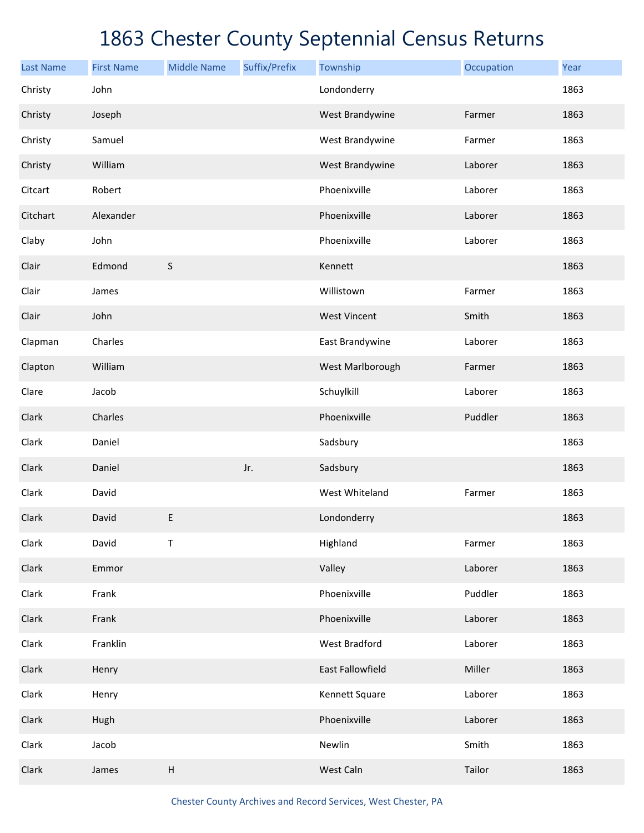| <b>Last Name</b> | <b>First Name</b> | <b>Middle Name</b> | Suffix/Prefix | Township             | Occupation | Year |
|------------------|-------------------|--------------------|---------------|----------------------|------------|------|
| Christy          | John              |                    |               | Londonderry          |            | 1863 |
| Christy          | Joseph            |                    |               | West Brandywine      | Farmer     | 1863 |
| Christy          | Samuel            |                    |               | West Brandywine      | Farmer     | 1863 |
| Christy          | William           |                    |               | West Brandywine      | Laborer    | 1863 |
| Citcart          | Robert            |                    |               | Phoenixville         | Laborer    | 1863 |
| Citchart         | Alexander         |                    |               | Phoenixville         | Laborer    | 1863 |
| Claby            | John              |                    |               | Phoenixville         | Laborer    | 1863 |
| Clair            | Edmond            | $\sf S$            |               | Kennett              |            | 1863 |
| Clair            | James             |                    |               | Willistown           | Farmer     | 1863 |
| Clair            | John              |                    |               | <b>West Vincent</b>  | Smith      | 1863 |
| Clapman          | Charles           |                    |               | East Brandywine      | Laborer    | 1863 |
| Clapton          | William           |                    |               | West Marlborough     | Farmer     | 1863 |
| Clare            | Jacob             |                    |               | Schuylkill           | Laborer    | 1863 |
| Clark            | Charles           |                    |               | Phoenixville         | Puddler    | 1863 |
| Clark            | Daniel            |                    |               | Sadsbury             |            | 1863 |
| Clark            | Daniel            |                    | Jr.           | Sadsbury             |            | 1863 |
| Clark            | David             |                    |               | West Whiteland       | Farmer     | 1863 |
| Clark            | David             | $\mathsf E$        |               | Londonderry          |            | 1863 |
| Clark            | David             | Τ                  |               | Highland             | Farmer     | 1863 |
| Clark            | Emmor             |                    |               | Valley               | Laborer    | 1863 |
| Clark            | Frank             |                    |               | Phoenixville         | Puddler    | 1863 |
| Clark            | Frank             |                    |               | Phoenixville         | Laborer    | 1863 |
| Clark            | Franklin          |                    |               | <b>West Bradford</b> | Laborer    | 1863 |
| Clark            | Henry             |                    |               | East Fallowfield     | Miller     | 1863 |
| Clark            | Henry             |                    |               | Kennett Square       | Laborer    | 1863 |
| Clark            | Hugh              |                    |               | Phoenixville         | Laborer    | 1863 |
| Clark            | Jacob             |                    |               | Newlin               | Smith      | 1863 |
| Clark            | James             | $\sf H$            |               | West Caln            | Tailor     | 1863 |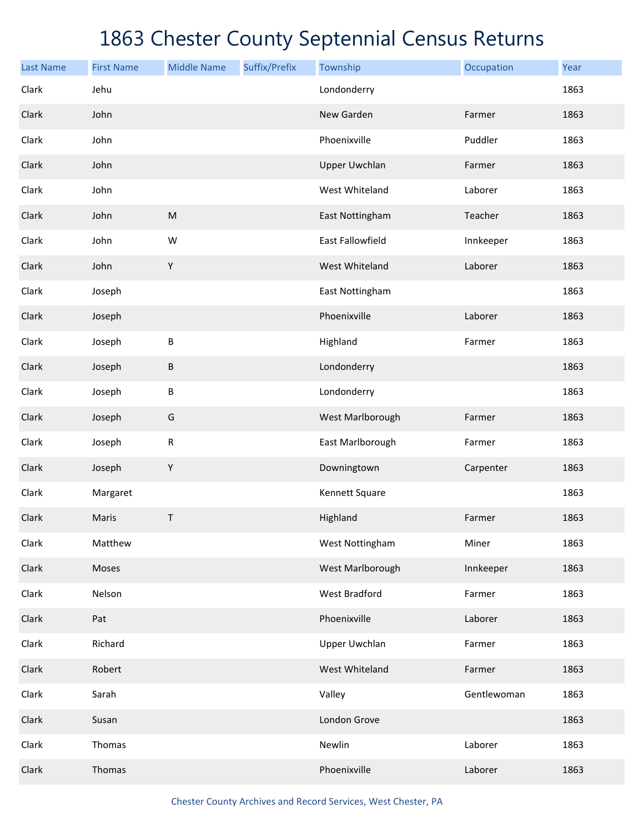| <b>Last Name</b> | <b>First Name</b> | <b>Middle Name</b> | Suffix/Prefix | Township                | Occupation  | Year |
|------------------|-------------------|--------------------|---------------|-------------------------|-------------|------|
| Clark            | Jehu              |                    |               | Londonderry             |             | 1863 |
| Clark            | John              |                    |               | New Garden              | Farmer      | 1863 |
| Clark            | John              |                    |               | Phoenixville            | Puddler     | 1863 |
| Clark            | John              |                    |               | <b>Upper Uwchlan</b>    | Farmer      | 1863 |
| Clark            | John              |                    |               | West Whiteland          | Laborer     | 1863 |
| Clark            | John              | ${\sf M}$          |               | East Nottingham         | Teacher     | 1863 |
| Clark            | John              | W                  |               | <b>East Fallowfield</b> | Innkeeper   | 1863 |
| Clark            | John              | $\mathsf Y$        |               | West Whiteland          | Laborer     | 1863 |
| Clark            | Joseph            |                    |               | East Nottingham         |             | 1863 |
| Clark            | Joseph            |                    |               | Phoenixville            | Laborer     | 1863 |
| Clark            | Joseph            | B                  |               | Highland                | Farmer      | 1863 |
| Clark            | Joseph            | B                  |               | Londonderry             |             | 1863 |
| Clark            | Joseph            | B                  |               | Londonderry             |             | 1863 |
| Clark            | Joseph            | G                  |               | West Marlborough        | Farmer      | 1863 |
| Clark            | Joseph            | ${\sf R}$          |               | East Marlborough        | Farmer      | 1863 |
| Clark            | Joseph            | $\mathsf Y$        |               | Downingtown             | Carpenter   | 1863 |
| Clark            | Margaret          |                    |               | Kennett Square          |             | 1863 |
| Clark            | Maris             | T                  |               | Highland                | Farmer      | 1863 |
| Clark            | Matthew           |                    |               | West Nottingham         | Miner       | 1863 |
| Clark            | Moses             |                    |               | West Marlborough        | Innkeeper   | 1863 |
| Clark            | Nelson            |                    |               | West Bradford           | Farmer      | 1863 |
| Clark            | Pat               |                    |               | Phoenixville            | Laborer     | 1863 |
| Clark            | Richard           |                    |               | Upper Uwchlan           | Farmer      | 1863 |
| Clark            | Robert            |                    |               | West Whiteland          | Farmer      | 1863 |
| Clark            | Sarah             |                    |               | Valley                  | Gentlewoman | 1863 |
| Clark            | Susan             |                    |               | London Grove            |             | 1863 |
| Clark            | Thomas            |                    |               | Newlin                  | Laborer     | 1863 |
| Clark            | Thomas            |                    |               | Phoenixville            | Laborer     | 1863 |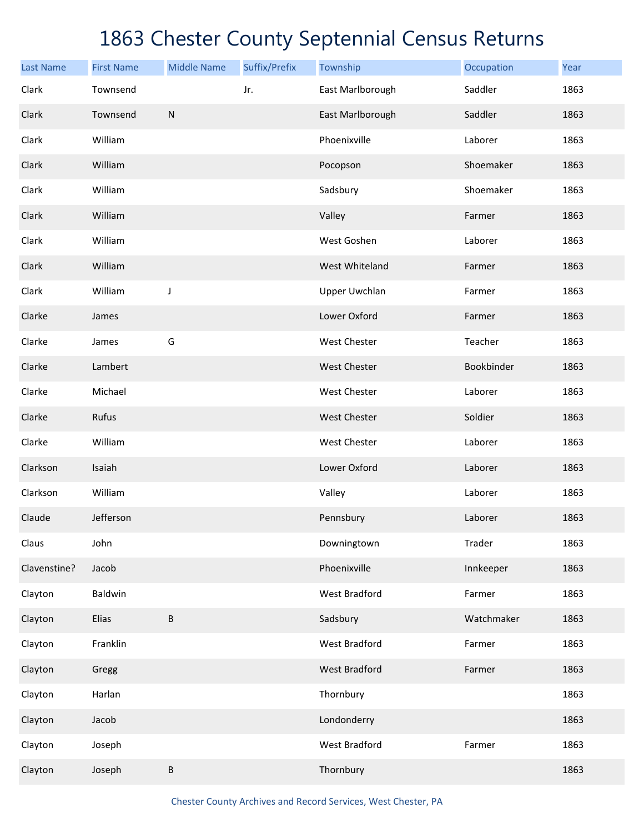| <b>Last Name</b> | <b>First Name</b> | <b>Middle Name</b> | Suffix/Prefix | Township             | Occupation | Year |
|------------------|-------------------|--------------------|---------------|----------------------|------------|------|
| Clark            | Townsend          |                    | Jr.           | East Marlborough     | Saddler    | 1863 |
| Clark            | Townsend          | ${\sf N}$          |               | East Marlborough     | Saddler    | 1863 |
| Clark            | William           |                    |               | Phoenixville         | Laborer    | 1863 |
| Clark            | William           |                    |               | Pocopson             | Shoemaker  | 1863 |
| Clark            | William           |                    |               | Sadsbury             | Shoemaker  | 1863 |
| Clark            | William           |                    |               | Valley               | Farmer     | 1863 |
| Clark            | William           |                    |               | West Goshen          | Laborer    | 1863 |
| Clark            | William           |                    |               | West Whiteland       | Farmer     | 1863 |
| Clark            | William           | J                  |               | <b>Upper Uwchlan</b> | Farmer     | 1863 |
| Clarke           | James             |                    |               | Lower Oxford         | Farmer     | 1863 |
| Clarke           | James             | G                  |               | West Chester         | Teacher    | 1863 |
| Clarke           | Lambert           |                    |               | <b>West Chester</b>  | Bookbinder | 1863 |
| Clarke           | Michael           |                    |               | West Chester         | Laborer    | 1863 |
| Clarke           | Rufus             |                    |               | <b>West Chester</b>  | Soldier    | 1863 |
| Clarke           | William           |                    |               | <b>West Chester</b>  | Laborer    | 1863 |
| Clarkson         | Isaiah            |                    |               | Lower Oxford         | Laborer    | 1863 |
| Clarkson         | William           |                    |               | Valley               | Laborer    | 1863 |
| Claude           | Jefferson         |                    |               | Pennsbury            | Laborer    | 1863 |
| Claus            | John              |                    |               | Downingtown          | Trader     | 1863 |
| Clavenstine?     | Jacob             |                    |               | Phoenixville         | Innkeeper  | 1863 |
| Clayton          | Baldwin           |                    |               | <b>West Bradford</b> | Farmer     | 1863 |
| Clayton          | Elias             | B                  |               | Sadsbury             | Watchmaker | 1863 |
| Clayton          | Franklin          |                    |               | <b>West Bradford</b> | Farmer     | 1863 |
| Clayton          | Gregg             |                    |               | <b>West Bradford</b> | Farmer     | 1863 |
| Clayton          | Harlan            |                    |               | Thornbury            |            | 1863 |
| Clayton          | Jacob             |                    |               | Londonderry          |            | 1863 |
| Clayton          | Joseph            |                    |               | <b>West Bradford</b> | Farmer     | 1863 |
| Clayton          | Joseph            | B                  |               | Thornbury            |            | 1863 |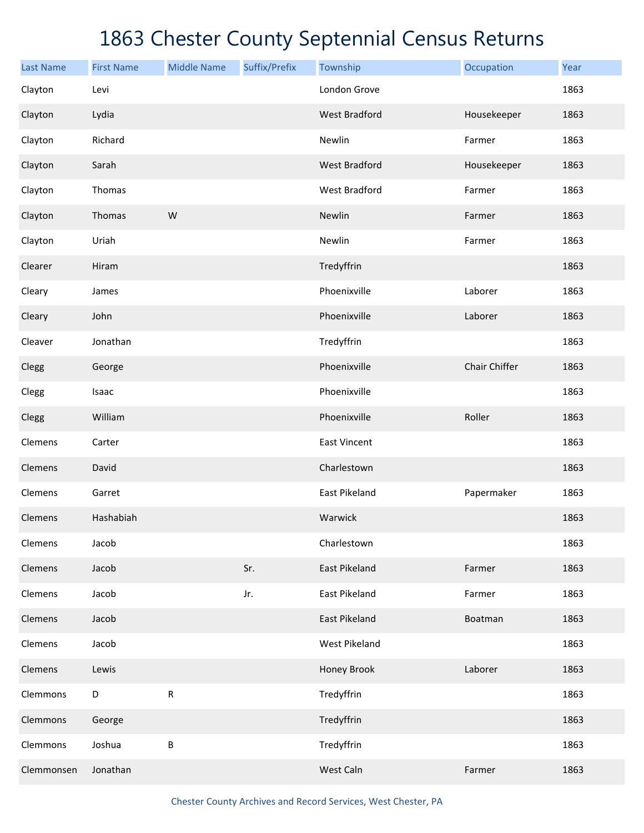| <b>Last Name</b> | <b>First Name</b> | <b>Middle Name</b> | Suffix/Prefix | Township             | Occupation    | Year |
|------------------|-------------------|--------------------|---------------|----------------------|---------------|------|
| Clayton          | Levi              |                    |               | London Grove         |               | 1863 |
| Clayton          | Lydia             |                    |               | <b>West Bradford</b> | Housekeeper   | 1863 |
| Clayton          | Richard           |                    |               | Newlin               | Farmer        | 1863 |
| Clayton          | Sarah             |                    |               | <b>West Bradford</b> | Housekeeper   | 1863 |
| Clayton          | Thomas            |                    |               | <b>West Bradford</b> | Farmer        | 1863 |
| Clayton          | Thomas            | W                  |               | Newlin               | Farmer        | 1863 |
| Clayton          | Uriah             |                    |               | Newlin               | Farmer        | 1863 |
| Clearer          | Hiram             |                    |               | Tredyffrin           |               | 1863 |
| Cleary           | James             |                    |               | Phoenixville         | Laborer       | 1863 |
| Cleary           | John              |                    |               | Phoenixville         | Laborer       | 1863 |
| Cleaver          | Jonathan          |                    |               | Tredyffrin           |               | 1863 |
| Clegg            | George            |                    |               | Phoenixville         | Chair Chiffer | 1863 |
| Clegg            | Isaac             |                    |               | Phoenixville         |               | 1863 |
| Clegg            | William           |                    |               | Phoenixville         | Roller        | 1863 |
| Clemens          | Carter            |                    |               | <b>East Vincent</b>  |               | 1863 |
| Clemens          | David             |                    |               | Charlestown          |               | 1863 |
| Clemens          | Garret            |                    |               | East Pikeland        | Papermaker    | 1863 |
| Clemens          | Hashabiah         |                    |               | Warwick              |               | 1863 |
| Clemens          | Jacob             |                    |               | Charlestown          |               | 1863 |
| Clemens          | Jacob             |                    | Sr.           | East Pikeland        | Farmer        | 1863 |
| Clemens          | Jacob             |                    | Jr.           | <b>East Pikeland</b> | Farmer        | 1863 |
| Clemens          | Jacob             |                    |               | East Pikeland        | Boatman       | 1863 |
| Clemens          | Jacob             |                    |               | <b>West Pikeland</b> |               | 1863 |
| Clemens          | Lewis             |                    |               | Honey Brook          | Laborer       | 1863 |
| Clemmons         | D                 | ${\sf R}$          |               | Tredyffrin           |               | 1863 |
| Clemmons         | George            |                    |               | Tredyffrin           |               | 1863 |
| Clemmons         | Joshua            | $\sf B$            |               | Tredyffrin           |               | 1863 |
| Clemmonsen       | Jonathan          |                    |               | West Caln            | Farmer        | 1863 |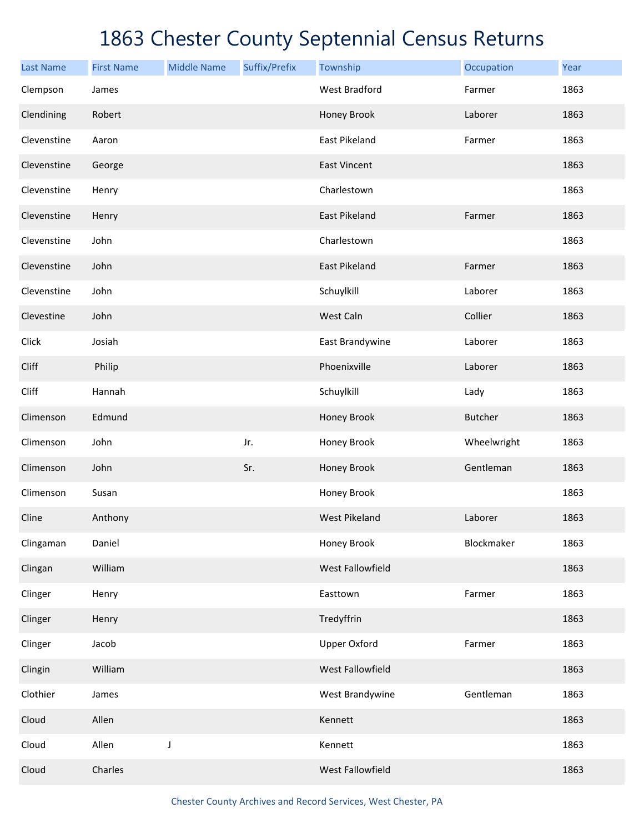| <b>Last Name</b> | <b>First Name</b> | <b>Middle Name</b> | Suffix/Prefix | Township             | Occupation     | Year |
|------------------|-------------------|--------------------|---------------|----------------------|----------------|------|
| Clempson         | James             |                    |               | <b>West Bradford</b> | Farmer         | 1863 |
| Clendining       | Robert            |                    |               | Honey Brook          | Laborer        | 1863 |
| Clevenstine      | Aaron             |                    |               | East Pikeland        | Farmer         | 1863 |
| Clevenstine      | George            |                    |               | <b>East Vincent</b>  |                | 1863 |
| Clevenstine      | Henry             |                    |               | Charlestown          |                | 1863 |
| Clevenstine      | Henry             |                    |               | East Pikeland        | Farmer         | 1863 |
| Clevenstine      | John              |                    |               | Charlestown          |                | 1863 |
| Clevenstine      | John              |                    |               | East Pikeland        | Farmer         | 1863 |
| Clevenstine      | John              |                    |               | Schuylkill           | Laborer        | 1863 |
| Clevestine       | John              |                    |               | West Caln            | Collier        | 1863 |
| Click            | Josiah            |                    |               | East Brandywine      | Laborer        | 1863 |
| Cliff            | Philip            |                    |               | Phoenixville         | Laborer        | 1863 |
| Cliff            | Hannah            |                    |               | Schuylkill           | Lady           | 1863 |
| Climenson        | Edmund            |                    |               | Honey Brook          | <b>Butcher</b> | 1863 |
| Climenson        | John              |                    | Jr.           | Honey Brook          | Wheelwright    | 1863 |
| Climenson        | John              |                    | Sr.           | Honey Brook          | Gentleman      | 1863 |
| Climenson        | Susan             |                    |               | Honey Brook          |                | 1863 |
| Cline            | Anthony           |                    |               | <b>West Pikeland</b> | Laborer        | 1863 |
| Clingaman        | Daniel            |                    |               | Honey Brook          | Blockmaker     | 1863 |
| Clingan          | William           |                    |               | West Fallowfield     |                | 1863 |
| Clinger          | Henry             |                    |               | Easttown             | Farmer         | 1863 |
| Clinger          | Henry             |                    |               | Tredyffrin           |                | 1863 |
| Clinger          | Jacob             |                    |               | <b>Upper Oxford</b>  | Farmer         | 1863 |
| Clingin          | William           |                    |               | West Fallowfield     |                | 1863 |
| Clothier         | James             |                    |               | West Brandywine      | Gentleman      | 1863 |
| Cloud            | Allen             |                    |               | Kennett              |                | 1863 |
| Cloud            | Allen             | J                  |               | Kennett              |                | 1863 |
| Cloud            | Charles           |                    |               | West Fallowfield     |                | 1863 |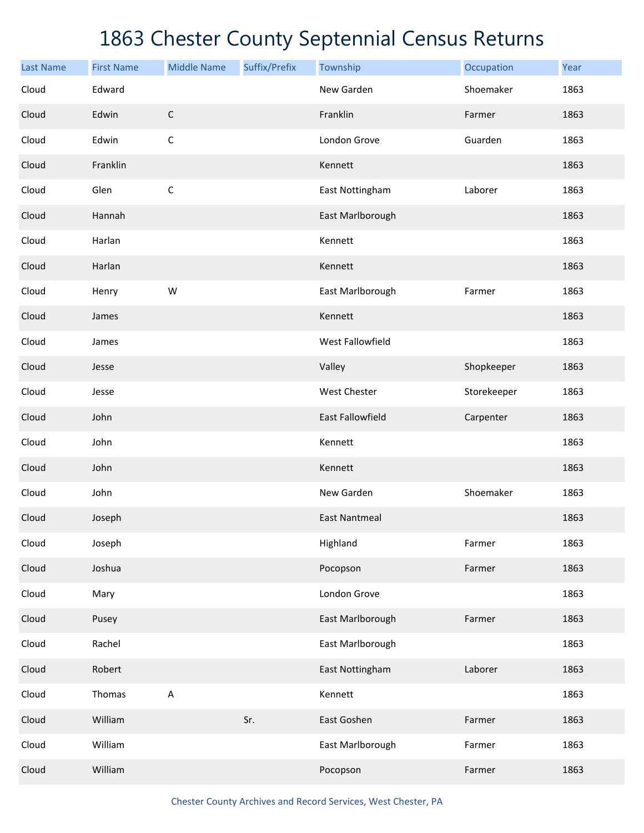| <b>Last Name</b> | <b>First Name</b> | <b>Middle Name</b> | Suffix/Prefix | Township             | Occupation  | Year |
|------------------|-------------------|--------------------|---------------|----------------------|-------------|------|
| Cloud            | Edward            |                    |               | New Garden           | Shoemaker   | 1863 |
| Cloud            | Edwin             | $\mathsf C$        |               | Franklin             | Farmer      | 1863 |
| Cloud            | Edwin             | $\mathsf C$        |               | London Grove         | Guarden     | 1863 |
| Cloud            | Franklin          |                    |               | Kennett              |             | 1863 |
| Cloud            | Glen              | $\mathsf C$        |               | East Nottingham      | Laborer     | 1863 |
| Cloud            | Hannah            |                    |               | East Marlborough     |             | 1863 |
| Cloud            | Harlan            |                    |               | Kennett              |             | 1863 |
| Cloud            | Harlan            |                    |               | Kennett              |             | 1863 |
| Cloud            | Henry             | W                  |               | East Marlborough     | Farmer      | 1863 |
| Cloud            | James             |                    |               | Kennett              |             | 1863 |
| Cloud            | James             |                    |               | West Fallowfield     |             | 1863 |
| Cloud            | Jesse             |                    |               | Valley               | Shopkeeper  | 1863 |
| Cloud            | Jesse             |                    |               | West Chester         | Storekeeper | 1863 |
| Cloud            | John              |                    |               | East Fallowfield     | Carpenter   | 1863 |
| Cloud            | John              |                    |               | Kennett              |             | 1863 |
| Cloud            | John              |                    |               | Kennett              |             | 1863 |
| Cloud            | John              |                    |               | New Garden           | Shoemaker   | 1863 |
| Cloud            | Joseph            |                    |               | <b>East Nantmeal</b> |             | 1863 |
| Cloud            | Joseph            |                    |               | Highland             | Farmer      | 1863 |
| Cloud            | Joshua            |                    |               | Pocopson             | Farmer      | 1863 |
| Cloud            | Mary              |                    |               | London Grove         |             | 1863 |
| Cloud            | Pusey             |                    |               | East Marlborough     | Farmer      | 1863 |
| Cloud            | Rachel            |                    |               | East Marlborough     |             | 1863 |
| Cloud            | Robert            |                    |               | East Nottingham      | Laborer     | 1863 |
| Cloud            | Thomas            | $\sf A$            |               | Kennett              |             | 1863 |
| Cloud            | William           |                    | Sr.           | East Goshen          | Farmer      | 1863 |
| Cloud            | William           |                    |               | East Marlborough     | Farmer      | 1863 |
| Cloud            | William           |                    |               | Pocopson             | Farmer      | 1863 |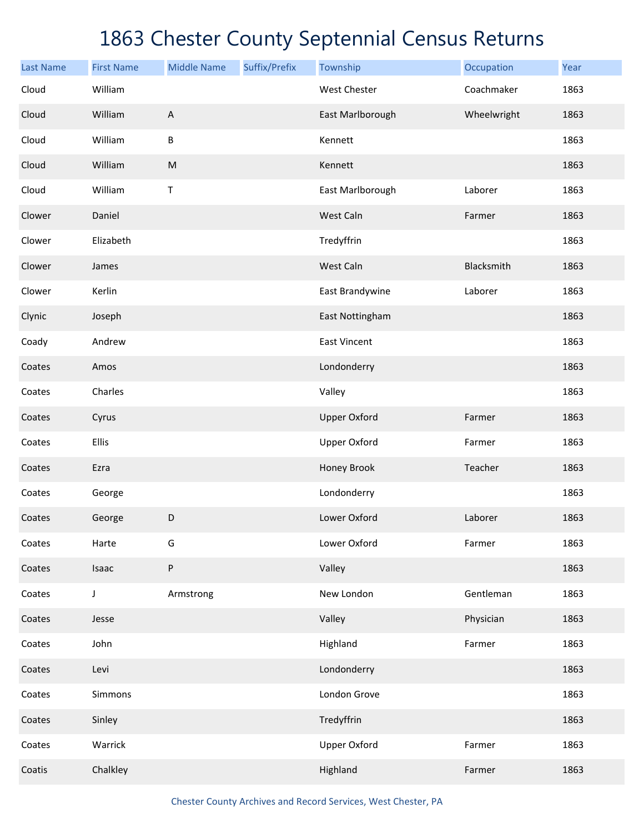| <b>Last Name</b> | <b>First Name</b> | <b>Middle Name</b>        | Suffix/Prefix | Township            | Occupation  | Year |
|------------------|-------------------|---------------------------|---------------|---------------------|-------------|------|
| Cloud            | William           |                           |               | <b>West Chester</b> | Coachmaker  | 1863 |
| Cloud            | William           | $\boldsymbol{\mathsf{A}}$ |               | East Marlborough    | Wheelwright | 1863 |
| Cloud            | William           | B                         |               | Kennett             |             | 1863 |
| Cloud            | William           | ${\sf M}$                 |               | Kennett             |             | 1863 |
| Cloud            | William           | Τ                         |               | East Marlborough    | Laborer     | 1863 |
| Clower           | Daniel            |                           |               | West Caln           | Farmer      | 1863 |
| Clower           | Elizabeth         |                           |               | Tredyffrin          |             | 1863 |
| Clower           | James             |                           |               | West Caln           | Blacksmith  | 1863 |
| Clower           | Kerlin            |                           |               | East Brandywine     | Laborer     | 1863 |
| Clynic           | Joseph            |                           |               | East Nottingham     |             | 1863 |
| Coady            | Andrew            |                           |               | <b>East Vincent</b> |             | 1863 |
| Coates           | Amos              |                           |               | Londonderry         |             | 1863 |
| Coates           | Charles           |                           |               | Valley              |             | 1863 |
| Coates           | Cyrus             |                           |               | <b>Upper Oxford</b> | Farmer      | 1863 |
| Coates           | Ellis             |                           |               | <b>Upper Oxford</b> | Farmer      | 1863 |
| Coates           | Ezra              |                           |               | Honey Brook         | Teacher     | 1863 |
| Coates           | George            |                           |               | Londonderry         |             | 1863 |
| Coates           | George            | D                         |               | Lower Oxford        | Laborer     | 1863 |
| Coates           | Harte             | G                         |               | Lower Oxford        | Farmer      | 1863 |
| Coates           | Isaac             | P                         |               | Valley              |             | 1863 |
| Coates           | J                 | Armstrong                 |               | New London          | Gentleman   | 1863 |
| Coates           | Jesse             |                           |               | Valley              | Physician   | 1863 |
| Coates           | John              |                           |               | Highland            | Farmer      | 1863 |
| Coates           | Levi              |                           |               | Londonderry         |             | 1863 |
| Coates           | Simmons           |                           |               | London Grove        |             | 1863 |
| Coates           | Sinley            |                           |               | Tredyffrin          |             | 1863 |
| Coates           | Warrick           |                           |               | <b>Upper Oxford</b> | Farmer      | 1863 |
| Coatis           | Chalkley          |                           |               | Highland            | Farmer      | 1863 |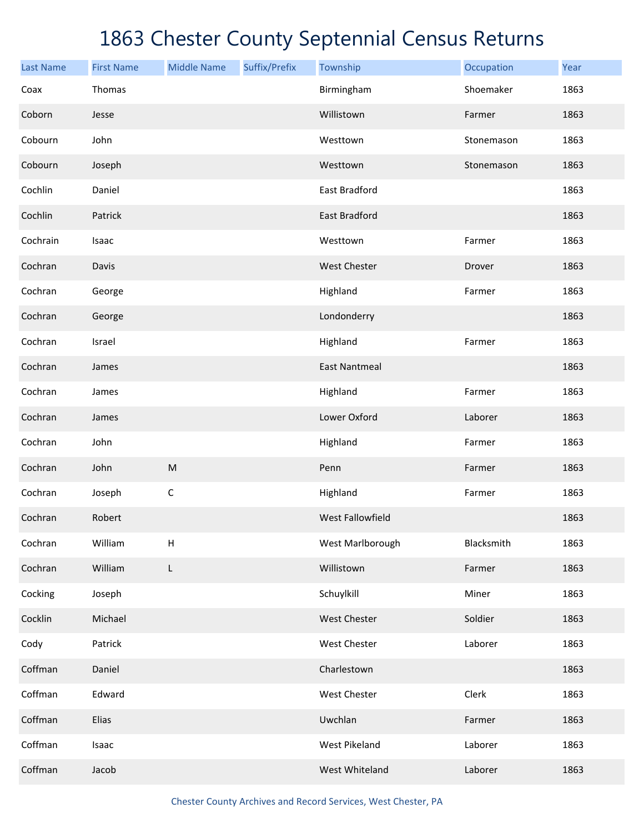| <b>Last Name</b> | <b>First Name</b> | <b>Middle Name</b> | Suffix/Prefix | Township             | Occupation | Year |
|------------------|-------------------|--------------------|---------------|----------------------|------------|------|
| Coax             | Thomas            |                    |               | Birmingham           | Shoemaker  | 1863 |
| Coborn           | Jesse             |                    |               | Willistown           | Farmer     | 1863 |
| Cobourn          | John              |                    |               | Westtown             | Stonemason | 1863 |
| Cobourn          | Joseph            |                    |               | Westtown             | Stonemason | 1863 |
| Cochlin          | Daniel            |                    |               | <b>East Bradford</b> |            | 1863 |
| Cochlin          | Patrick           |                    |               | East Bradford        |            | 1863 |
| Cochrain         | Isaac             |                    |               | Westtown             | Farmer     | 1863 |
| Cochran          | Davis             |                    |               | West Chester         | Drover     | 1863 |
| Cochran          | George            |                    |               | Highland             | Farmer     | 1863 |
| Cochran          | George            |                    |               | Londonderry          |            | 1863 |
| Cochran          | Israel            |                    |               | Highland             | Farmer     | 1863 |
| Cochran          | James             |                    |               | <b>East Nantmeal</b> |            | 1863 |
| Cochran          | James             |                    |               | Highland             | Farmer     | 1863 |
| Cochran          | James             |                    |               | Lower Oxford         | Laborer    | 1863 |
| Cochran          | John              |                    |               | Highland             | Farmer     | 1863 |
| Cochran          | John              | ${\sf M}$          |               | Penn                 | Farmer     | 1863 |
| Cochran          | Joseph            | $\mathsf C$        |               | Highland             | Farmer     | 1863 |
| Cochran          | Robert            |                    |               | West Fallowfield     |            | 1863 |
| Cochran          | William           | H                  |               | West Marlborough     | Blacksmith | 1863 |
| Cochran          | William           | L                  |               | Willistown           | Farmer     | 1863 |
| Cocking          | Joseph            |                    |               | Schuylkill           | Miner      | 1863 |
| Cocklin          | Michael           |                    |               | West Chester         | Soldier    | 1863 |
| Cody             | Patrick           |                    |               | West Chester         | Laborer    | 1863 |
| Coffman          | Daniel            |                    |               | Charlestown          |            | 1863 |
| Coffman          | Edward            |                    |               | West Chester         | Clerk      | 1863 |
| Coffman          | Elias             |                    |               | Uwchlan              | Farmer     | 1863 |
| Coffman          | Isaac             |                    |               | <b>West Pikeland</b> | Laborer    | 1863 |
| Coffman          | Jacob             |                    |               | West Whiteland       | Laborer    | 1863 |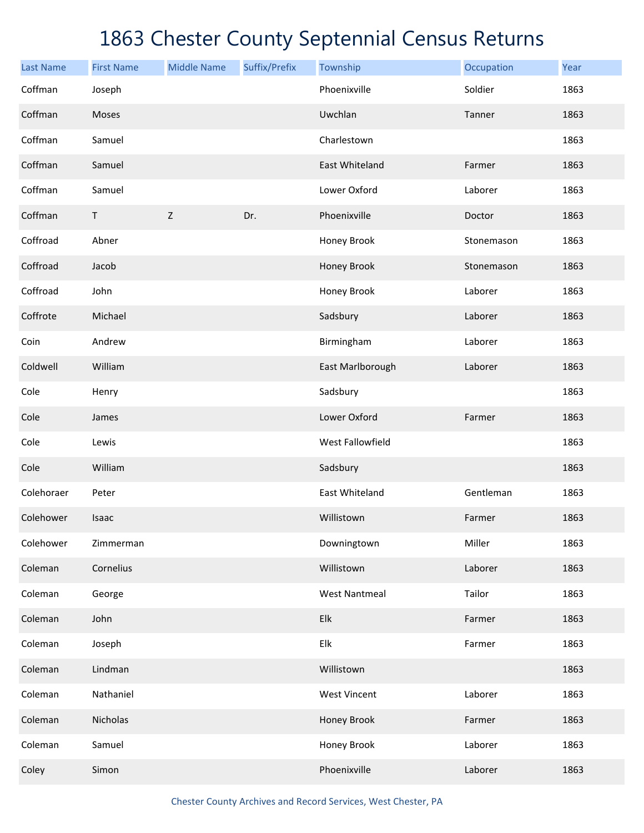| <b>Last Name</b> | <b>First Name</b> | <b>Middle Name</b> | Suffix/Prefix | Township             | Occupation | Year |
|------------------|-------------------|--------------------|---------------|----------------------|------------|------|
| Coffman          | Joseph            |                    |               | Phoenixville         | Soldier    | 1863 |
| Coffman          | Moses             |                    |               | Uwchlan              | Tanner     | 1863 |
| Coffman          | Samuel            |                    |               | Charlestown          |            | 1863 |
| Coffman          | Samuel            |                    |               | East Whiteland       | Farmer     | 1863 |
| Coffman          | Samuel            |                    |               | Lower Oxford         | Laborer    | 1863 |
| Coffman          | $\mathsf T$       | Z                  | Dr.           | Phoenixville         | Doctor     | 1863 |
| Coffroad         | Abner             |                    |               | Honey Brook          | Stonemason | 1863 |
| Coffroad         | Jacob             |                    |               | Honey Brook          | Stonemason | 1863 |
| Coffroad         | John              |                    |               | Honey Brook          | Laborer    | 1863 |
| Coffrote         | Michael           |                    |               | Sadsbury             | Laborer    | 1863 |
| Coin             | Andrew            |                    |               | Birmingham           | Laborer    | 1863 |
| Coldwell         | William           |                    |               | East Marlborough     | Laborer    | 1863 |
| Cole             | Henry             |                    |               | Sadsbury             |            | 1863 |
| Cole             | James             |                    |               | Lower Oxford         | Farmer     | 1863 |
| Cole             | Lewis             |                    |               | West Fallowfield     |            | 1863 |
| Cole             | William           |                    |               | Sadsbury             |            | 1863 |
| Colehoraer       | Peter             |                    |               | East Whiteland       | Gentleman  | 1863 |
| Colehower        | Isaac             |                    |               | Willistown           | Farmer     | 1863 |
| Colehower        | Zimmerman         |                    |               | Downingtown          | Miller     | 1863 |
| Coleman          | Cornelius         |                    |               | Willistown           | Laborer    | 1863 |
| Coleman          | George            |                    |               | <b>West Nantmeal</b> | Tailor     | 1863 |
| Coleman          | John              |                    |               | Elk                  | Farmer     | 1863 |
| Coleman          | Joseph            |                    |               | Elk                  | Farmer     | 1863 |
| Coleman          | Lindman           |                    |               | Willistown           |            | 1863 |
| Coleman          | Nathaniel         |                    |               | <b>West Vincent</b>  | Laborer    | 1863 |
| Coleman          | Nicholas          |                    |               | Honey Brook          | Farmer     | 1863 |
| Coleman          | Samuel            |                    |               | Honey Brook          | Laborer    | 1863 |
| Coley            | Simon             |                    |               | Phoenixville         | Laborer    | 1863 |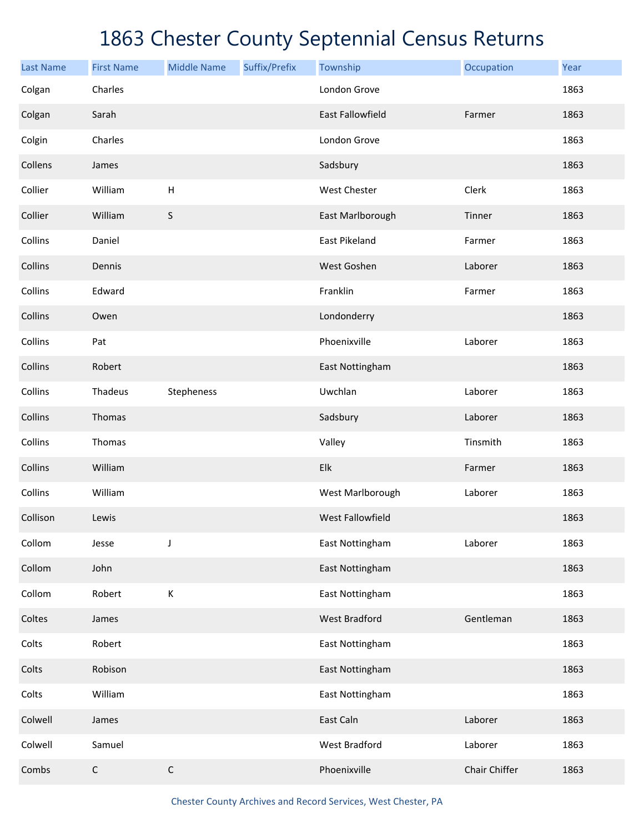| <b>Last Name</b> | <b>First Name</b> | <b>Middle Name</b> | Suffix/Prefix | Township                | Occupation    | Year |
|------------------|-------------------|--------------------|---------------|-------------------------|---------------|------|
| Colgan           | Charles           |                    |               | London Grove            |               | 1863 |
| Colgan           | Sarah             |                    |               | <b>East Fallowfield</b> | Farmer        | 1863 |
| Colgin           | Charles           |                    |               | London Grove            |               | 1863 |
| Collens          | James             |                    |               | Sadsbury                |               | 1863 |
| Collier          | William           | $\mathsf H$        |               | <b>West Chester</b>     | Clerk         | 1863 |
| Collier          | William           | $\sf S$            |               | East Marlborough        | Tinner        | 1863 |
| Collins          | Daniel            |                    |               | East Pikeland           | Farmer        | 1863 |
| Collins          | Dennis            |                    |               | West Goshen             | Laborer       | 1863 |
| Collins          | Edward            |                    |               | Franklin                | Farmer        | 1863 |
| Collins          | Owen              |                    |               | Londonderry             |               | 1863 |
| Collins          | Pat               |                    |               | Phoenixville            | Laborer       | 1863 |
| Collins          | Robert            |                    |               | East Nottingham         |               | 1863 |
| Collins          | Thadeus           | Stepheness         |               | Uwchlan                 | Laborer       | 1863 |
| Collins          | Thomas            |                    |               | Sadsbury                | Laborer       | 1863 |
| Collins          | Thomas            |                    |               | Valley                  | Tinsmith      | 1863 |
| Collins          | William           |                    |               | Elk                     | Farmer        | 1863 |
| Collins          | William           |                    |               | West Marlborough        | Laborer       | 1863 |
| Collison         | Lewis             |                    |               | West Fallowfield        |               | 1863 |
| Collom           | Jesse             | J                  |               | East Nottingham         | Laborer       | 1863 |
| Collom           | John              |                    |               | East Nottingham         |               | 1863 |
| Collom           | Robert            | $\mathsf K$        |               | East Nottingham         |               | 1863 |
| Coltes           | James             |                    |               | <b>West Bradford</b>    | Gentleman     | 1863 |
| Colts            | Robert            |                    |               | East Nottingham         |               | 1863 |
| Colts            | Robison           |                    |               | East Nottingham         |               | 1863 |
| Colts            | William           |                    |               | East Nottingham         |               | 1863 |
| Colwell          | James             |                    |               | East Caln               | Laborer       | 1863 |
| Colwell          | Samuel            |                    |               | West Bradford           | Laborer       | 1863 |
| Combs            | $\mathsf C$       | $\mathsf C$        |               | Phoenixville            | Chair Chiffer | 1863 |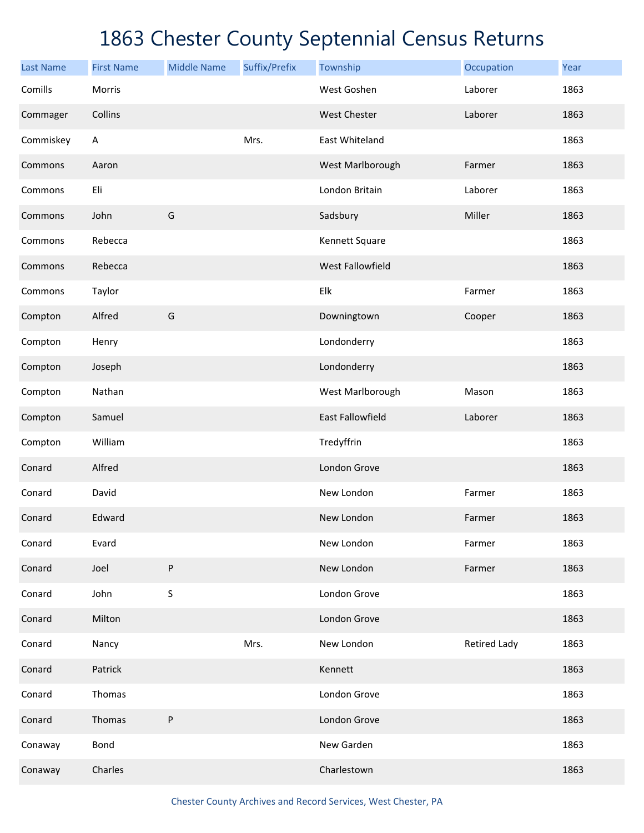| <b>Last Name</b> | <b>First Name</b> | <b>Middle Name</b> | Suffix/Prefix | Township                | Occupation          | Year |
|------------------|-------------------|--------------------|---------------|-------------------------|---------------------|------|
| Comills          | Morris            |                    |               | West Goshen             | Laborer             | 1863 |
| Commager         | Collins           |                    |               | West Chester            | Laborer             | 1863 |
| Commiskey        | A                 |                    | Mrs.          | East Whiteland          |                     | 1863 |
| Commons          | Aaron             |                    |               | West Marlborough        | Farmer              | 1863 |
| Commons          | Eli               |                    |               | London Britain          | Laborer             | 1863 |
| Commons          | John              | G                  |               | Sadsbury                | Miller              | 1863 |
| Commons          | Rebecca           |                    |               | Kennett Square          |                     | 1863 |
| Commons          | Rebecca           |                    |               | West Fallowfield        |                     | 1863 |
| Commons          | Taylor            |                    |               | Elk                     | Farmer              | 1863 |
| Compton          | Alfred            | G                  |               | Downingtown             | Cooper              | 1863 |
| Compton          | Henry             |                    |               | Londonderry             |                     | 1863 |
| Compton          | Joseph            |                    |               | Londonderry             |                     | 1863 |
| Compton          | Nathan            |                    |               | West Marlborough        | Mason               | 1863 |
| Compton          | Samuel            |                    |               | <b>East Fallowfield</b> | Laborer             | 1863 |
| Compton          | William           |                    |               | Tredyffrin              |                     | 1863 |
| Conard           | Alfred            |                    |               | London Grove            |                     | 1863 |
| Conard           | David             |                    |               | New London              | Farmer              | 1863 |
| Conard           | Edward            |                    |               | New London              | Farmer              | 1863 |
| Conard           | Evard             |                    |               | New London              | Farmer              | 1863 |
| Conard           | Joel              | P                  |               | New London              | Farmer              | 1863 |
| Conard           | John              | S                  |               | London Grove            |                     | 1863 |
| Conard           | Milton            |                    |               | London Grove            |                     | 1863 |
| Conard           | Nancy             |                    | Mrs.          | New London              | <b>Retired Lady</b> | 1863 |
| Conard           | Patrick           |                    |               | Kennett                 |                     | 1863 |
| Conard           | Thomas            |                    |               | London Grove            |                     | 1863 |
| Conard           | Thomas            | P                  |               | London Grove            |                     | 1863 |
| Conaway          | Bond              |                    |               | New Garden              |                     | 1863 |
| Conaway          | Charles           |                    |               | Charlestown             |                     | 1863 |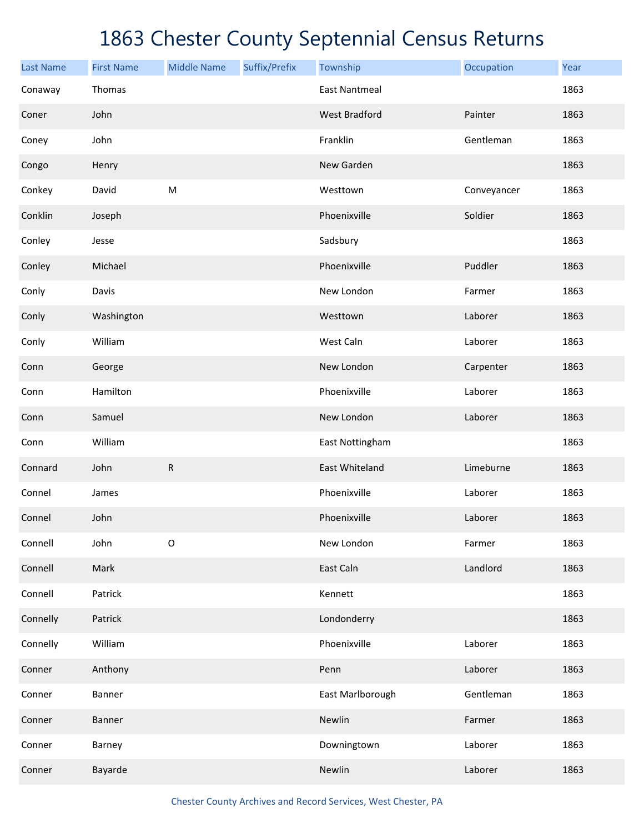| <b>Last Name</b> | <b>First Name</b> | <b>Middle Name</b> | Suffix/Prefix | Township             | Occupation  | Year |
|------------------|-------------------|--------------------|---------------|----------------------|-------------|------|
| Conaway          | Thomas            |                    |               | <b>East Nantmeal</b> |             | 1863 |
| Coner            | John              |                    |               | <b>West Bradford</b> | Painter     | 1863 |
| Coney            | John              |                    |               | Franklin             | Gentleman   | 1863 |
| Congo            | Henry             |                    |               | New Garden           |             | 1863 |
| Conkey           | David             | ${\sf M}$          |               | Westtown             | Conveyancer | 1863 |
| Conklin          | Joseph            |                    |               | Phoenixville         | Soldier     | 1863 |
| Conley           | Jesse             |                    |               | Sadsbury             |             | 1863 |
| Conley           | Michael           |                    |               | Phoenixville         | Puddler     | 1863 |
| Conly            | Davis             |                    |               | New London           | Farmer      | 1863 |
| Conly            | Washington        |                    |               | Westtown             | Laborer     | 1863 |
| Conly            | William           |                    |               | West Caln            | Laborer     | 1863 |
| Conn             | George            |                    |               | New London           | Carpenter   | 1863 |
| Conn             | Hamilton          |                    |               | Phoenixville         | Laborer     | 1863 |
| Conn             | Samuel            |                    |               | New London           | Laborer     | 1863 |
| Conn             | William           |                    |               | East Nottingham      |             | 1863 |
| Connard          | John              | ${\sf R}$          |               | East Whiteland       | Limeburne   | 1863 |
| Connel           | James             |                    |               | Phoenixville         | Laborer     | 1863 |
| Connel           | John              |                    |               | Phoenixville         | Laborer     | 1863 |
| Connell          | John              | $\mathsf O$        |               | New London           | Farmer      | 1863 |
| Connell          | Mark              |                    |               | East Caln            | Landlord    | 1863 |
| Connell          | Patrick           |                    |               | Kennett              |             | 1863 |
| Connelly         | Patrick           |                    |               | Londonderry          |             | 1863 |
| Connelly         | William           |                    |               | Phoenixville         | Laborer     | 1863 |
| Conner           | Anthony           |                    |               | Penn                 | Laborer     | 1863 |
| Conner           | Banner            |                    |               | East Marlborough     | Gentleman   | 1863 |
| Conner           | Banner            |                    |               | Newlin               | Farmer      | 1863 |
| Conner           | Barney            |                    |               | Downingtown          | Laborer     | 1863 |
| Conner           | Bayarde           |                    |               | Newlin               | Laborer     | 1863 |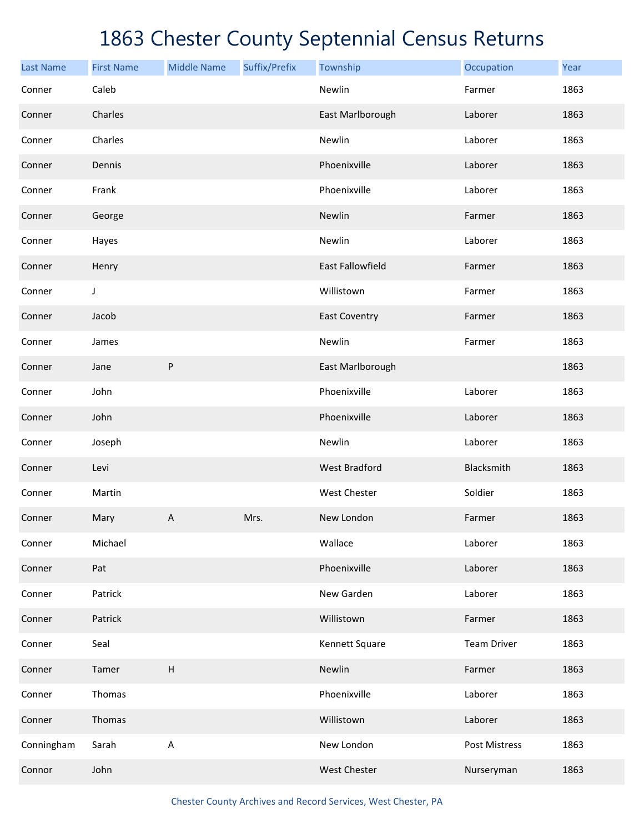| <b>Last Name</b> | <b>First Name</b> | <b>Middle Name</b>        | Suffix/Prefix | Township                | Occupation         | Year |
|------------------|-------------------|---------------------------|---------------|-------------------------|--------------------|------|
| Conner           | Caleb             |                           |               | Newlin                  | Farmer             | 1863 |
| Conner           | Charles           |                           |               | East Marlborough        | Laborer            | 1863 |
| Conner           | Charles           |                           |               | Newlin                  | Laborer            | 1863 |
| Conner           | Dennis            |                           |               | Phoenixville            | Laborer            | 1863 |
| Conner           | Frank             |                           |               | Phoenixville            | Laborer            | 1863 |
| Conner           | George            |                           |               | Newlin                  | Farmer             | 1863 |
| Conner           | Hayes             |                           |               | Newlin                  | Laborer            | 1863 |
| Conner           | Henry             |                           |               | <b>East Fallowfield</b> | Farmer             | 1863 |
| Conner           | J                 |                           |               | Willistown              | Farmer             | 1863 |
| Conner           | Jacob             |                           |               | <b>East Coventry</b>    | Farmer             | 1863 |
| Conner           | James             |                           |               | Newlin                  | Farmer             | 1863 |
| Conner           | Jane              | ${\sf P}$                 |               | East Marlborough        |                    | 1863 |
| Conner           | John              |                           |               | Phoenixville            | Laborer            | 1863 |
| Conner           | John              |                           |               | Phoenixville            | Laborer            | 1863 |
| Conner           | Joseph            |                           |               | Newlin                  | Laborer            | 1863 |
| Conner           | Levi              |                           |               | <b>West Bradford</b>    | Blacksmith         | 1863 |
| Conner           | Martin            |                           |               | West Chester            | Soldier            | 1863 |
| Conner           | Mary              | A                         | Mrs.          | New London              | Farmer             | 1863 |
| Conner           | Michael           |                           |               | Wallace                 | Laborer            | 1863 |
| Conner           | Pat               |                           |               | Phoenixville            | Laborer            | 1863 |
| Conner           | Patrick           |                           |               | New Garden              | Laborer            | 1863 |
| Conner           | Patrick           |                           |               | Willistown              | Farmer             | 1863 |
| Conner           | Seal              |                           |               | Kennett Square          | <b>Team Driver</b> | 1863 |
| Conner           | Tamer             | $\boldsymbol{\mathsf{H}}$ |               | Newlin                  | Farmer             | 1863 |
| Conner           | Thomas            |                           |               | Phoenixville            | Laborer            | 1863 |
| Conner           | Thomas            |                           |               | Willistown              | Laborer            | 1863 |
| Conningham       | Sarah             | А                         |               | New London              | Post Mistress      | 1863 |
| Connor           | John              |                           |               | West Chester            | Nurseryman         | 1863 |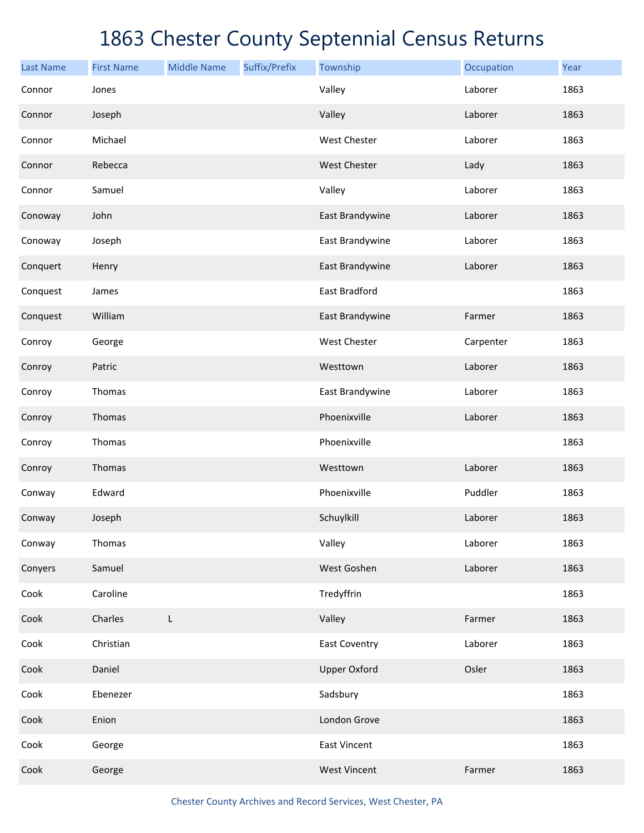| <b>Last Name</b> | <b>First Name</b> | <b>Middle Name</b> | Suffix/Prefix | Township             | Occupation | Year |
|------------------|-------------------|--------------------|---------------|----------------------|------------|------|
| Connor           | Jones             |                    |               | Valley               | Laborer    | 1863 |
| Connor           | Joseph            |                    |               | Valley               | Laborer    | 1863 |
| Connor           | Michael           |                    |               | West Chester         | Laborer    | 1863 |
| Connor           | Rebecca           |                    |               | West Chester         | Lady       | 1863 |
| Connor           | Samuel            |                    |               | Valley               | Laborer    | 1863 |
| Conoway          | John              |                    |               | East Brandywine      | Laborer    | 1863 |
| Conoway          | Joseph            |                    |               | East Brandywine      | Laborer    | 1863 |
| Conquert         | Henry             |                    |               | East Brandywine      | Laborer    | 1863 |
| Conquest         | James             |                    |               | East Bradford        |            | 1863 |
| Conquest         | William           |                    |               | East Brandywine      | Farmer     | 1863 |
| Conroy           | George            |                    |               | West Chester         | Carpenter  | 1863 |
| Conroy           | Patric            |                    |               | Westtown             | Laborer    | 1863 |
| Conroy           | Thomas            |                    |               | East Brandywine      | Laborer    | 1863 |
| Conroy           | Thomas            |                    |               | Phoenixville         | Laborer    | 1863 |
| Conroy           | Thomas            |                    |               | Phoenixville         |            | 1863 |
| Conroy           | Thomas            |                    |               | Westtown             | Laborer    | 1863 |
| Conway           | Edward            |                    |               | Phoenixville         | Puddler    | 1863 |
| Conway           | Joseph            |                    |               | Schuylkill           | Laborer    | 1863 |
| Conway           | Thomas            |                    |               | Valley               | Laborer    | 1863 |
| Conyers          | Samuel            |                    |               | West Goshen          | Laborer    | 1863 |
| Cook             | Caroline          |                    |               | Tredyffrin           |            | 1863 |
| Cook             | Charles           | L                  |               | Valley               | Farmer     | 1863 |
| Cook             | Christian         |                    |               | <b>East Coventry</b> | Laborer    | 1863 |
| Cook             | Daniel            |                    |               | <b>Upper Oxford</b>  | Osler      | 1863 |
| Cook             | Ebenezer          |                    |               | Sadsbury             |            | 1863 |
| Cook             | Enion             |                    |               | London Grove         |            | 1863 |
| Cook             | George            |                    |               | <b>East Vincent</b>  |            | 1863 |
| Cook             | George            |                    |               | <b>West Vincent</b>  | Farmer     | 1863 |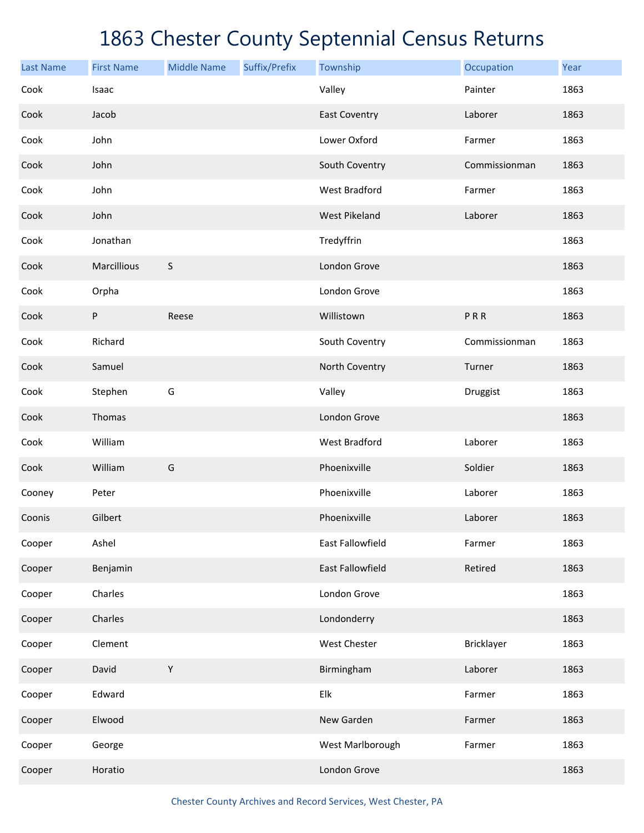| <b>Last Name</b> | <b>First Name</b> | <b>Middle Name</b> | Suffix/Prefix | Township                  | Occupation    | Year |
|------------------|-------------------|--------------------|---------------|---------------------------|---------------|------|
| Cook             | Isaac             |                    |               | Valley                    | Painter       | 1863 |
| Cook             | Jacob             |                    |               | <b>East Coventry</b>      | Laborer       | 1863 |
| Cook             | John              |                    |               | Lower Oxford              | Farmer        | 1863 |
| Cook             | John              |                    |               | South Coventry            | Commissionman | 1863 |
| Cook             | John              |                    |               | <b>West Bradford</b>      | Farmer        | 1863 |
| Cook             | John              |                    |               | <b>West Pikeland</b>      | Laborer       | 1863 |
| Cook             | Jonathan          |                    |               | Tredyffrin                |               | 1863 |
| Cook             | Marcillious       | $\sf S$            |               | London Grove              |               | 1863 |
| Cook             | Orpha             |                    |               | London Grove              |               | 1863 |
| Cook             | P                 | Reese              |               | Willistown                | PRR           | 1863 |
| Cook             | Richard           |                    |               | South Coventry            | Commissionman | 1863 |
| Cook             | Samuel            |                    |               | North Coventry            | Turner        | 1863 |
| Cook             | Stephen           | G                  |               | Valley                    | Druggist      | 1863 |
| Cook             | Thomas            |                    |               | London Grove              |               | 1863 |
| Cook             | William           |                    |               | <b>West Bradford</b>      | Laborer       | 1863 |
| Cook             | William           | G                  |               | Phoenixville              | Soldier       | 1863 |
| Cooney           | Peter             |                    |               | Phoenixville              | Laborer       | 1863 |
| Coonis           | Gilbert           |                    |               | Phoenixville              | Laborer       | 1863 |
| Cooper           | Ashel             |                    |               | East Fallowfield          | Farmer        | 1863 |
| Cooper           | Benjamin          |                    |               | East Fallowfield          | Retired       | 1863 |
| Cooper           | Charles           |                    |               | London Grove              |               | 1863 |
| Cooper           | Charles           |                    |               | Londonderry               |               | 1863 |
| Cooper           | Clement           |                    |               | West Chester              | Bricklayer    | 1863 |
| Cooper           | David             | $\mathsf Y$        |               | Birmingham                | Laborer       | 1863 |
| Cooper           | Edward            |                    |               | ${\sf E} {\sf I} {\sf k}$ | Farmer        | 1863 |
| Cooper           | Elwood            |                    |               | New Garden                | Farmer        | 1863 |
| Cooper           | George            |                    |               | West Marlborough          | Farmer        | 1863 |
| Cooper           | Horatio           |                    |               | London Grove              |               | 1863 |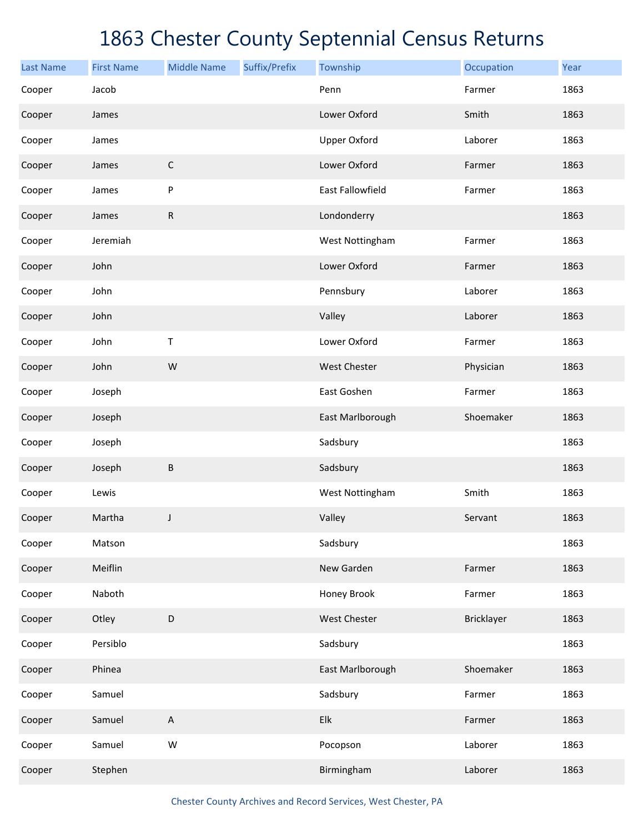| <b>Last Name</b> | <b>First Name</b> | <b>Middle Name</b>        | Suffix/Prefix | Township            | Occupation        | Year |
|------------------|-------------------|---------------------------|---------------|---------------------|-------------------|------|
| Cooper           | Jacob             |                           |               | Penn                | Farmer            | 1863 |
| Cooper           | James             |                           |               | Lower Oxford        | Smith             | 1863 |
| Cooper           | James             |                           |               | <b>Upper Oxford</b> | Laborer           | 1863 |
| Cooper           | James             | $\mathsf C$               |               | Lower Oxford        | Farmer            | 1863 |
| Cooper           | James             | P                         |               | East Fallowfield    | Farmer            | 1863 |
| Cooper           | James             | ${\sf R}$                 |               | Londonderry         |                   | 1863 |
| Cooper           | Jeremiah          |                           |               | West Nottingham     | Farmer            | 1863 |
| Cooper           | John              |                           |               | Lower Oxford        | Farmer            | 1863 |
| Cooper           | John              |                           |               | Pennsbury           | Laborer           | 1863 |
| Cooper           | John              |                           |               | Valley              | Laborer           | 1863 |
| Cooper           | John              | Τ                         |               | Lower Oxford        | Farmer            | 1863 |
| Cooper           | John              | W                         |               | <b>West Chester</b> | Physician         | 1863 |
| Cooper           | Joseph            |                           |               | East Goshen         | Farmer            | 1863 |
| Cooper           | Joseph            |                           |               | East Marlborough    | Shoemaker         | 1863 |
| Cooper           | Joseph            |                           |               | Sadsbury            |                   | 1863 |
| Cooper           | Joseph            | $\sf B$                   |               | Sadsbury            |                   | 1863 |
| Cooper           | Lewis             |                           |               | West Nottingham     | Smith             | 1863 |
| Cooper           | Martha            | J                         |               | Valley              | Servant           | 1863 |
| Cooper           | Matson            |                           |               | Sadsbury            |                   | 1863 |
| Cooper           | Meiflin           |                           |               | New Garden          | Farmer            | 1863 |
| Cooper           | Naboth            |                           |               | Honey Brook         | Farmer            | 1863 |
| Cooper           | Otley             | $\mathsf D$               |               | West Chester        | <b>Bricklayer</b> | 1863 |
| Cooper           | Persiblo          |                           |               | Sadsbury            |                   | 1863 |
| Cooper           | Phinea            |                           |               | East Marlborough    | Shoemaker         | 1863 |
| Cooper           | Samuel            |                           |               | Sadsbury            | Farmer            | 1863 |
| Cooper           | Samuel            | $\boldsymbol{\mathsf{A}}$ |               | Elk                 | Farmer            | 1863 |
| Cooper           | Samuel            | ${\sf W}$                 |               | Pocopson            | Laborer           | 1863 |
| Cooper           | Stephen           |                           |               | Birmingham          | Laborer           | 1863 |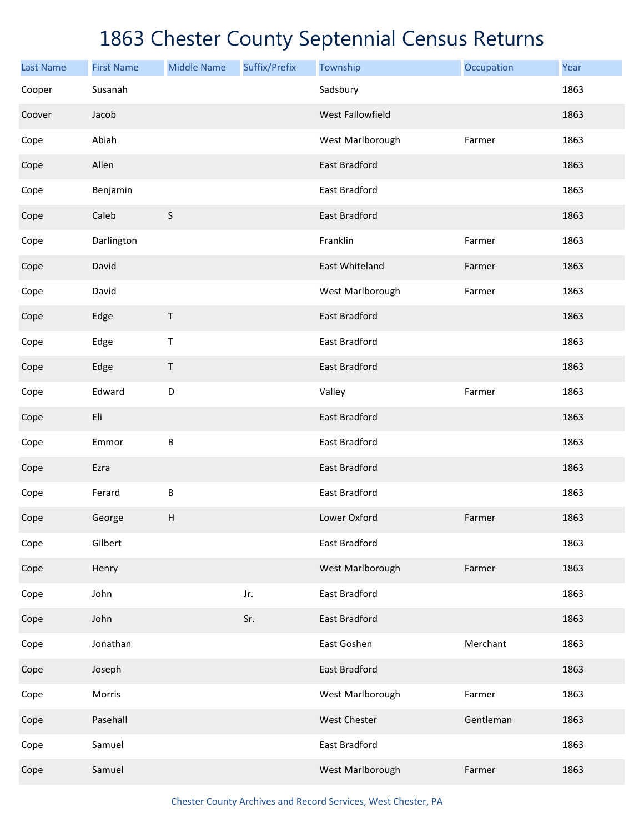| <b>Last Name</b> | <b>First Name</b> | <b>Middle Name</b> | Suffix/Prefix | Township                | Occupation | Year |
|------------------|-------------------|--------------------|---------------|-------------------------|------------|------|
| Cooper           | Susanah           |                    |               | Sadsbury                |            | 1863 |
| Coover           | Jacob             |                    |               | <b>West Fallowfield</b> |            | 1863 |
| Cope             | Abiah             |                    |               | West Marlborough        | Farmer     | 1863 |
| Cope             | Allen             |                    |               | East Bradford           |            | 1863 |
| Cope             | Benjamin          |                    |               | East Bradford           |            | 1863 |
| Cope             | Caleb             | $\mathsf S$        |               | East Bradford           |            | 1863 |
| Cope             | Darlington        |                    |               | Franklin                | Farmer     | 1863 |
| Cope             | David             |                    |               | East Whiteland          | Farmer     | 1863 |
| Cope             | David             |                    |               | West Marlborough        | Farmer     | 1863 |
| Cope             | Edge              | $\top$             |               | East Bradford           |            | 1863 |
| Cope             | Edge              | $\sf T$            |               | East Bradford           |            | 1863 |
| Cope             | Edge              | $\mathsf{T}$       |               | East Bradford           |            | 1863 |
| Cope             | Edward            | $\mathsf D$        |               | Valley                  | Farmer     | 1863 |
| Cope             | Eli               |                    |               | East Bradford           |            | 1863 |
| Cope             | Emmor             | B                  |               | East Bradford           |            | 1863 |
| Cope             | Ezra              |                    |               | East Bradford           |            | 1863 |
| Cope             | Ferard            | B                  |               | East Bradford           |            | 1863 |
| Cope             | George            | Н                  |               | Lower Oxford            | Farmer     | 1863 |
| Cope             | Gilbert           |                    |               | East Bradford           |            | 1863 |
| Cope             | Henry             |                    |               | West Marlborough        | Farmer     | 1863 |
| Cope             | John              |                    | Jr.           | East Bradford           |            | 1863 |
| Cope             | John              |                    | Sr.           | East Bradford           |            | 1863 |
| Cope             | Jonathan          |                    |               | East Goshen             | Merchant   | 1863 |
| Cope             | Joseph            |                    |               | East Bradford           |            | 1863 |
| Cope             | Morris            |                    |               | West Marlborough        | Farmer     | 1863 |
| Cope             | Pasehall          |                    |               | <b>West Chester</b>     | Gentleman  | 1863 |
| Cope             | Samuel            |                    |               | East Bradford           |            | 1863 |
| Cope             | Samuel            |                    |               | West Marlborough        | Farmer     | 1863 |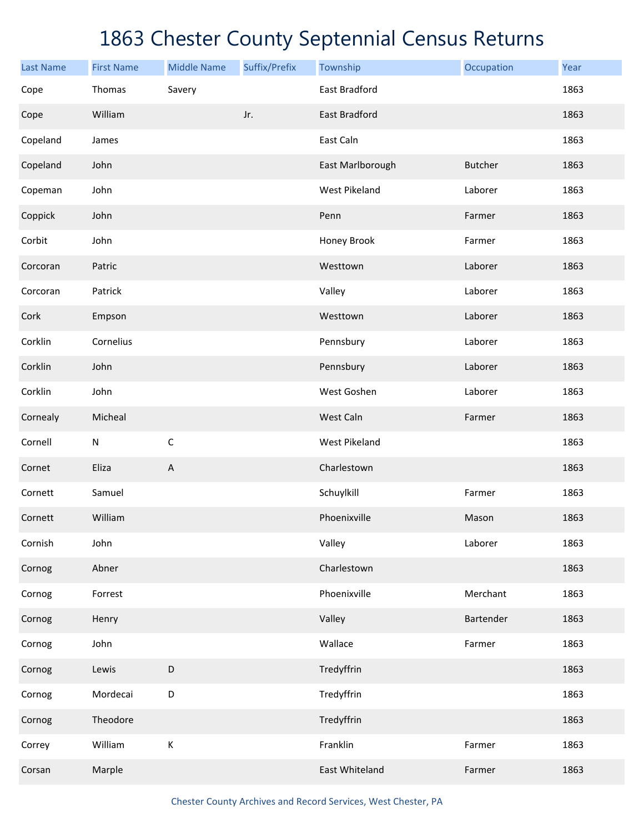| <b>Last Name</b> | <b>First Name</b> | <b>Middle Name</b>        | Suffix/Prefix | Township             | Occupation     | Year |
|------------------|-------------------|---------------------------|---------------|----------------------|----------------|------|
| Cope             | Thomas            | Savery                    |               | East Bradford        |                | 1863 |
| Cope             | William           |                           | Jr.           | East Bradford        |                | 1863 |
| Copeland         | James             |                           |               | East Caln            |                | 1863 |
| Copeland         | John              |                           |               | East Marlborough     | <b>Butcher</b> | 1863 |
| Copeman          | John              |                           |               | <b>West Pikeland</b> | Laborer        | 1863 |
| Coppick          | John              |                           |               | Penn                 | Farmer         | 1863 |
| Corbit           | John              |                           |               | Honey Brook          | Farmer         | 1863 |
| Corcoran         | Patric            |                           |               | Westtown             | Laborer        | 1863 |
| Corcoran         | Patrick           |                           |               | Valley               | Laborer        | 1863 |
| Cork             | Empson            |                           |               | Westtown             | Laborer        | 1863 |
| Corklin          | Cornelius         |                           |               | Pennsbury            | Laborer        | 1863 |
| Corklin          | John              |                           |               | Pennsbury            | Laborer        | 1863 |
| Corklin          | John              |                           |               | West Goshen          | Laborer        | 1863 |
| Cornealy         | Micheal           |                           |               | West Caln            | Farmer         | 1863 |
| Cornell          | ${\sf N}$         | $\mathsf C$               |               | <b>West Pikeland</b> |                | 1863 |
| Cornet           | Eliza             | $\boldsymbol{\mathsf{A}}$ |               | Charlestown          |                | 1863 |
| Cornett          | Samuel            |                           |               | Schuylkill           | Farmer         | 1863 |
| Cornett          | William           |                           |               | Phoenixville         | Mason          | 1863 |
| Cornish          | John              |                           |               | Valley               | Laborer        | 1863 |
| Cornog           | Abner             |                           |               | Charlestown          |                | 1863 |
| Cornog           | Forrest           |                           |               | Phoenixville         | Merchant       | 1863 |
| Cornog           | Henry             |                           |               | Valley               | Bartender      | 1863 |
| Cornog           | John              |                           |               | Wallace              | Farmer         | 1863 |
| Cornog           | Lewis             | $\mathsf D$               |               | Tredyffrin           |                | 1863 |
| Cornog           | Mordecai          | D                         |               | Tredyffrin           |                | 1863 |
| Cornog           | Theodore          |                           |               | Tredyffrin           |                | 1863 |
| Correy           | William           | $\sf K$                   |               | Franklin             | Farmer         | 1863 |
| Corsan           | Marple            |                           |               | East Whiteland       | Farmer         | 1863 |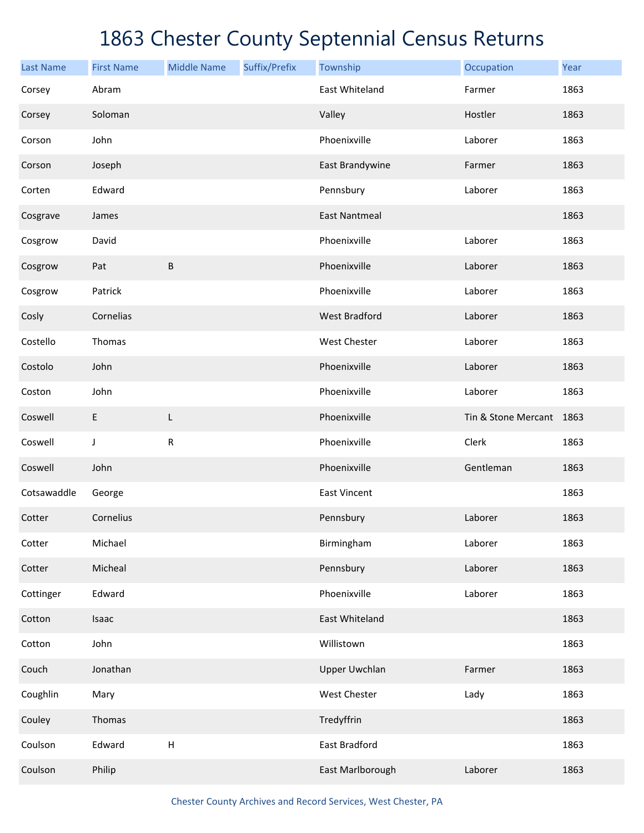| <b>Last Name</b> | <b>First Name</b> | <b>Middle Name</b>        | Suffix/Prefix | Township             | Occupation               | Year |
|------------------|-------------------|---------------------------|---------------|----------------------|--------------------------|------|
| Corsey           | Abram             |                           |               | East Whiteland       | Farmer                   | 1863 |
| Corsey           | Soloman           |                           |               | Valley               | Hostler                  | 1863 |
| Corson           | John              |                           |               | Phoenixville         | Laborer                  | 1863 |
| Corson           | Joseph            |                           |               | East Brandywine      | Farmer                   | 1863 |
| Corten           | Edward            |                           |               | Pennsbury            | Laborer                  | 1863 |
| Cosgrave         | James             |                           |               | <b>East Nantmeal</b> |                          | 1863 |
| Cosgrow          | David             |                           |               | Phoenixville         | Laborer                  | 1863 |
| Cosgrow          | Pat               | $\sf B$                   |               | Phoenixville         | Laborer                  | 1863 |
| Cosgrow          | Patrick           |                           |               | Phoenixville         | Laborer                  | 1863 |
| Cosly            | Cornelias         |                           |               | <b>West Bradford</b> | Laborer                  | 1863 |
| Costello         | Thomas            |                           |               | West Chester         | Laborer                  | 1863 |
| Costolo          | John              |                           |               | Phoenixville         | Laborer                  | 1863 |
| Coston           | John              |                           |               | Phoenixville         | Laborer                  | 1863 |
| Coswell          | E                 | L                         |               | Phoenixville         | Tin & Stone Mercant 1863 |      |
| Coswell          | J                 | ${\sf R}$                 |               | Phoenixville         | Clerk                    | 1863 |
| Coswell          | John              |                           |               | Phoenixville         | Gentleman                | 1863 |
| Cotsawaddle      | George            |                           |               | <b>East Vincent</b>  |                          | 1863 |
| Cotter           | Cornelius         |                           |               | Pennsbury            | Laborer                  | 1863 |
| Cotter           | Michael           |                           |               | Birmingham           | Laborer                  | 1863 |
| Cotter           | Micheal           |                           |               | Pennsbury            | Laborer                  | 1863 |
| Cottinger        | Edward            |                           |               | Phoenixville         | Laborer                  | 1863 |
| Cotton           | Isaac             |                           |               | East Whiteland       |                          | 1863 |
| Cotton           | John              |                           |               | Willistown           |                          | 1863 |
| Couch            | Jonathan          |                           |               | <b>Upper Uwchlan</b> | Farmer                   | 1863 |
| Coughlin         | Mary              |                           |               | West Chester         | Lady                     | 1863 |
| Couley           | Thomas            |                           |               | Tredyffrin           |                          | 1863 |
| Coulson          | Edward            | $\boldsymbol{\mathsf{H}}$ |               | East Bradford        |                          | 1863 |
| Coulson          | Philip            |                           |               | East Marlborough     | Laborer                  | 1863 |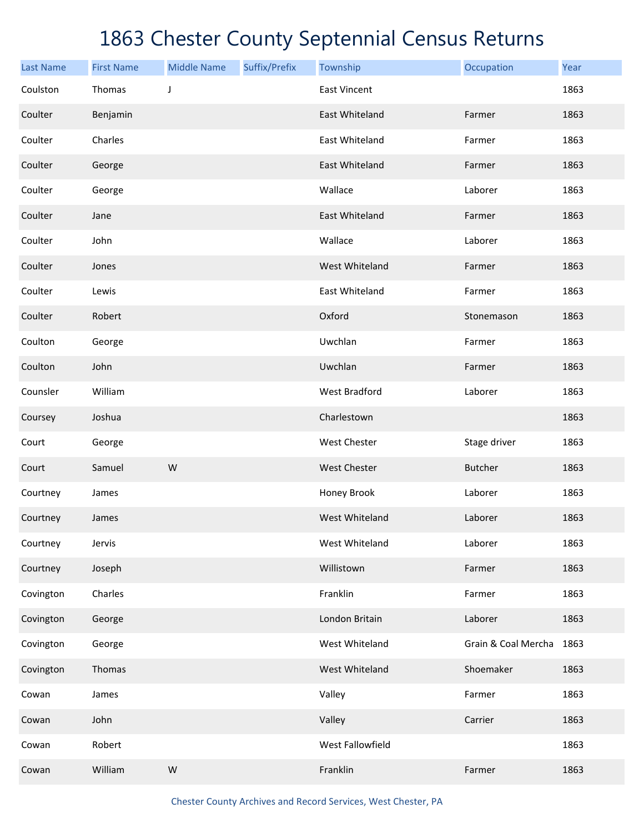| <b>Last Name</b> | <b>First Name</b> | <b>Middle Name</b> | Suffix/Prefix | Township             | Occupation               | Year |
|------------------|-------------------|--------------------|---------------|----------------------|--------------------------|------|
| Coulston         | Thomas            | J                  |               | <b>East Vincent</b>  |                          | 1863 |
| Coulter          | Benjamin          |                    |               | East Whiteland       | Farmer                   | 1863 |
| Coulter          | Charles           |                    |               | East Whiteland       | Farmer                   | 1863 |
| Coulter          | George            |                    |               | East Whiteland       | Farmer                   | 1863 |
| Coulter          | George            |                    |               | Wallace              | Laborer                  | 1863 |
| Coulter          | Jane              |                    |               | East Whiteland       | Farmer                   | 1863 |
| Coulter          | John              |                    |               | Wallace              | Laborer                  | 1863 |
| Coulter          | Jones             |                    |               | West Whiteland       | Farmer                   | 1863 |
| Coulter          | Lewis             |                    |               | East Whiteland       | Farmer                   | 1863 |
| Coulter          | Robert            |                    |               | Oxford               | Stonemason               | 1863 |
| Coulton          | George            |                    |               | Uwchlan              | Farmer                   | 1863 |
| Coulton          | John              |                    |               | Uwchlan              | Farmer                   | 1863 |
| Counsler         | William           |                    |               | <b>West Bradford</b> | Laborer                  | 1863 |
| Coursey          | Joshua            |                    |               | Charlestown          |                          | 1863 |
| Court            | George            |                    |               | West Chester         | Stage driver             | 1863 |
| Court            | Samuel            | ${\sf W}$          |               | <b>West Chester</b>  | <b>Butcher</b>           | 1863 |
| Courtney         | James             |                    |               | Honey Brook          | Laborer                  | 1863 |
| Courtney         | James             |                    |               | West Whiteland       | Laborer                  | 1863 |
| Courtney         | Jervis            |                    |               | West Whiteland       | Laborer                  | 1863 |
| Courtney         | Joseph            |                    |               | Willistown           | Farmer                   | 1863 |
| Covington        | Charles           |                    |               | Franklin             | Farmer                   | 1863 |
| Covington        | George            |                    |               | London Britain       | Laborer                  | 1863 |
| Covington        | George            |                    |               | West Whiteland       | Grain & Coal Mercha 1863 |      |
| Covington        | Thomas            |                    |               | West Whiteland       | Shoemaker                | 1863 |
| Cowan            | James             |                    |               | Valley               | Farmer                   | 1863 |
| Cowan            | John              |                    |               | Valley               | Carrier                  | 1863 |
| Cowan            | Robert            |                    |               | West Fallowfield     |                          | 1863 |
| Cowan            | William           | ${\sf W}$          |               | Franklin             | Farmer                   | 1863 |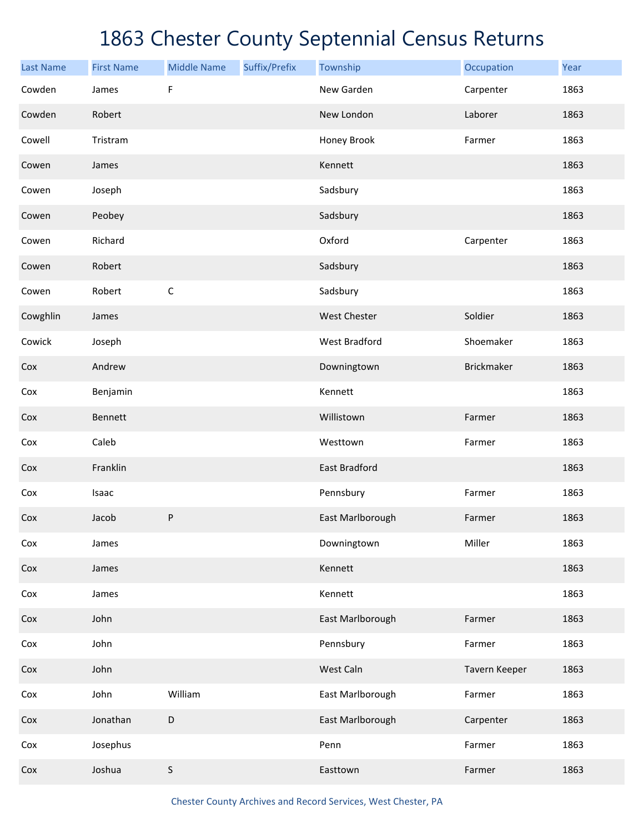| <b>Last Name</b> | <b>First Name</b> | <b>Middle Name</b> | Suffix/Prefix | Township             | Occupation        | Year |
|------------------|-------------------|--------------------|---------------|----------------------|-------------------|------|
| Cowden           | James             | F                  |               | New Garden           | Carpenter         | 1863 |
| Cowden           | Robert            |                    |               | New London           | Laborer           | 1863 |
| Cowell           | Tristram          |                    |               | Honey Brook          | Farmer            | 1863 |
| Cowen            | James             |                    |               | Kennett              |                   | 1863 |
| Cowen            | Joseph            |                    |               | Sadsbury             |                   | 1863 |
| Cowen            | Peobey            |                    |               | Sadsbury             |                   | 1863 |
| Cowen            | Richard           |                    |               | Oxford               | Carpenter         | 1863 |
| Cowen            | Robert            |                    |               | Sadsbury             |                   | 1863 |
| Cowen            | Robert            | $\mathsf C$        |               | Sadsbury             |                   | 1863 |
| Cowghlin         | James             |                    |               | West Chester         | Soldier           | 1863 |
| Cowick           | Joseph            |                    |               | <b>West Bradford</b> | Shoemaker         | 1863 |
| Cox              | Andrew            |                    |               | Downingtown          | <b>Brickmaker</b> | 1863 |
| Cox              | Benjamin          |                    |               | Kennett              |                   | 1863 |
| Cox              | Bennett           |                    |               | Willistown           | Farmer            | 1863 |
| Cox              | Caleb             |                    |               | Westtown             | Farmer            | 1863 |
| Cox              | Franklin          |                    |               | East Bradford        |                   | 1863 |
| Cox              | Isaac             |                    |               | Pennsbury            | Farmer            | 1863 |
| Cox              | Jacob             | ${\sf P}$          |               | East Marlborough     | Farmer            | 1863 |
| Cox              | James             |                    |               | Downingtown          | Miller            | 1863 |
| Cox              | James             |                    |               | Kennett              |                   | 1863 |
| Cox              | James             |                    |               | Kennett              |                   | 1863 |
| Cox              | John              |                    |               | East Marlborough     | Farmer            | 1863 |
| Cox              | John              |                    |               | Pennsbury            | Farmer            | 1863 |
| Cox              | John              |                    |               | West Caln            | Tavern Keeper     | 1863 |
| Cox              | John              | William            |               | East Marlborough     | Farmer            | 1863 |
| Cox              | Jonathan          | D                  |               | East Marlborough     | Carpenter         | 1863 |
| Cox              | Josephus          |                    |               | Penn                 | Farmer            | 1863 |
| Cox              | Joshua            | S                  |               | Easttown             | Farmer            | 1863 |

Chester County Archives and Record Services, West Chester, PA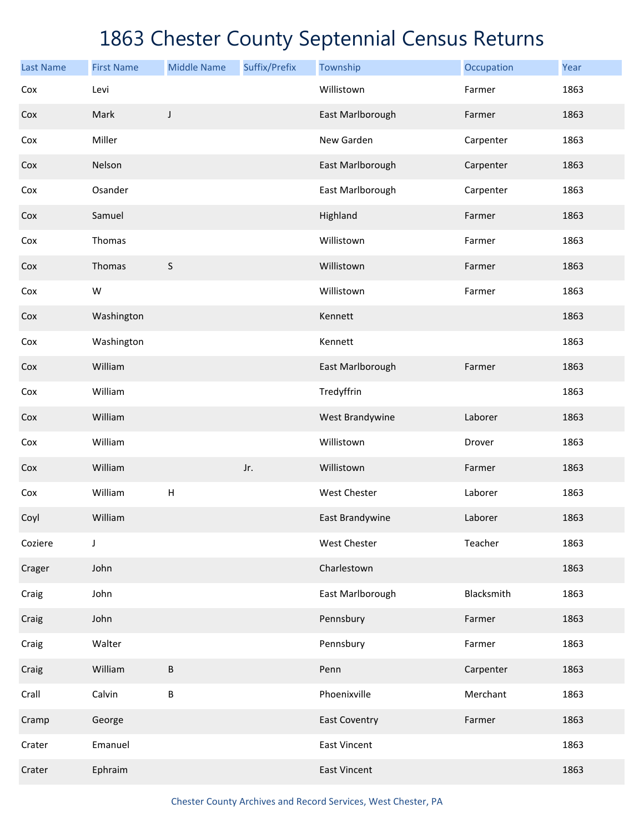| <b>Last Name</b> | <b>First Name</b> | <b>Middle Name</b> | Suffix/Prefix | Township             | Occupation | Year |
|------------------|-------------------|--------------------|---------------|----------------------|------------|------|
| Cox              | Levi              |                    |               | Willistown           | Farmer     | 1863 |
| Cox              | Mark              | J                  |               | East Marlborough     | Farmer     | 1863 |
| Cox              | Miller            |                    |               | New Garden           | Carpenter  | 1863 |
| Cox              | Nelson            |                    |               | East Marlborough     | Carpenter  | 1863 |
| Cox              | Osander           |                    |               | East Marlborough     | Carpenter  | 1863 |
| Cox              | Samuel            |                    |               | Highland             | Farmer     | 1863 |
| Cox              | Thomas            |                    |               | Willistown           | Farmer     | 1863 |
| Cox              | Thomas            | S                  |               | Willistown           | Farmer     | 1863 |
| Cox              | W                 |                    |               | Willistown           | Farmer     | 1863 |
| Cox              | Washington        |                    |               | Kennett              |            | 1863 |
| Cox              | Washington        |                    |               | Kennett              |            | 1863 |
| Cox              | William           |                    |               | East Marlborough     | Farmer     | 1863 |
| Cox              | William           |                    |               | Tredyffrin           |            | 1863 |
| Cox              | William           |                    |               | West Brandywine      | Laborer    | 1863 |
| Cox              | William           |                    |               | Willistown           | Drover     | 1863 |
| Cox              | William           |                    | Jr.           | Willistown           | Farmer     | 1863 |
| Cox              | William           | Н                  |               | West Chester         | Laborer    | 1863 |
| Coyl             | William           |                    |               | East Brandywine      | Laborer    | 1863 |
| Coziere          | J                 |                    |               | West Chester         | Teacher    | 1863 |
| Crager           | John              |                    |               | Charlestown          |            | 1863 |
| Craig            | John              |                    |               | East Marlborough     | Blacksmith | 1863 |
| Craig            | John              |                    |               | Pennsbury            | Farmer     | 1863 |
| Craig            | Walter            |                    |               | Pennsbury            | Farmer     | 1863 |
| Craig            | William           | B                  |               | Penn                 | Carpenter  | 1863 |
| Crall            | Calvin            | B                  |               | Phoenixville         | Merchant   | 1863 |
| Cramp            | George            |                    |               | <b>East Coventry</b> | Farmer     | 1863 |
| Crater           | Emanuel           |                    |               | <b>East Vincent</b>  |            | 1863 |
| Crater           | Ephraim           |                    |               | <b>East Vincent</b>  |            | 1863 |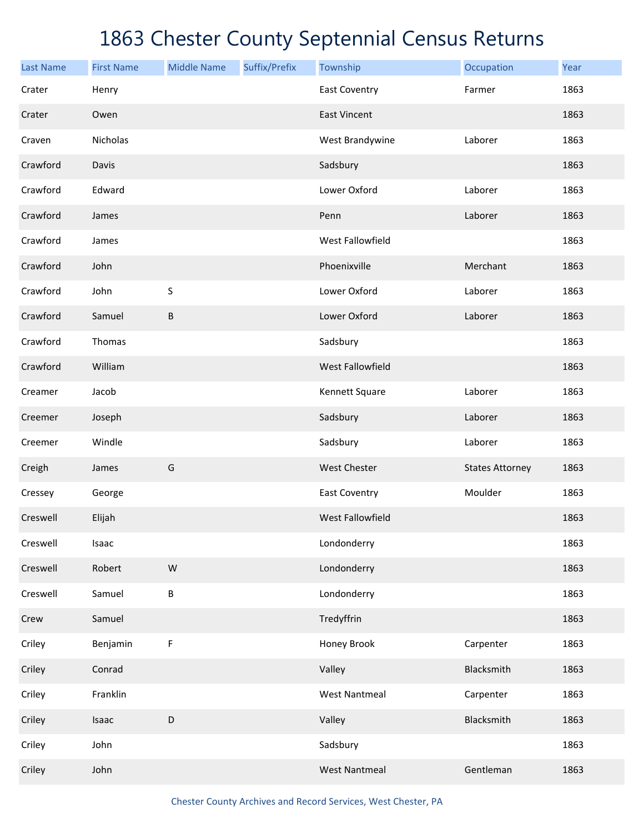| <b>Last Name</b> | <b>First Name</b> | <b>Middle Name</b> | Suffix/Prefix | Township                | Occupation             | Year |
|------------------|-------------------|--------------------|---------------|-------------------------|------------------------|------|
| Crater           | Henry             |                    |               | <b>East Coventry</b>    | Farmer                 | 1863 |
| Crater           | Owen              |                    |               | <b>East Vincent</b>     |                        | 1863 |
| Craven           | Nicholas          |                    |               | West Brandywine         | Laborer                | 1863 |
| Crawford         | Davis             |                    |               | Sadsbury                |                        | 1863 |
| Crawford         | Edward            |                    |               | Lower Oxford            | Laborer                | 1863 |
| Crawford         | James             |                    |               | Penn                    | Laborer                | 1863 |
| Crawford         | James             |                    |               | West Fallowfield        |                        | 1863 |
| Crawford         | John              |                    |               | Phoenixville            | Merchant               | 1863 |
| Crawford         | John              | S                  |               | Lower Oxford            | Laborer                | 1863 |
| Crawford         | Samuel            | $\sf B$            |               | Lower Oxford            | Laborer                | 1863 |
| Crawford         | Thomas            |                    |               | Sadsbury                |                        | 1863 |
| Crawford         | William           |                    |               | <b>West Fallowfield</b> |                        | 1863 |
| Creamer          | Jacob             |                    |               | Kennett Square          | Laborer                | 1863 |
| Creemer          | Joseph            |                    |               | Sadsbury                | Laborer                | 1863 |
| Creemer          | Windle            |                    |               | Sadsbury                | Laborer                | 1863 |
| Creigh           | James             | G                  |               | <b>West Chester</b>     | <b>States Attorney</b> | 1863 |
| Cressey          | George            |                    |               | East Coventry           | Moulder                | 1863 |
| Creswell         | Elijah            |                    |               | West Fallowfield        |                        | 1863 |
| Creswell         | Isaac             |                    |               | Londonderry             |                        | 1863 |
| Creswell         | Robert            | ${\sf W}$          |               | Londonderry             |                        | 1863 |
| Creswell         | Samuel            | $\sf B$            |               | Londonderry             |                        | 1863 |
| Crew             | Samuel            |                    |               | Tredyffrin              |                        | 1863 |
| Criley           | Benjamin          | F                  |               | Honey Brook             | Carpenter              | 1863 |
| Criley           | Conrad            |                    |               | Valley                  | Blacksmith             | 1863 |
| Criley           | Franklin          |                    |               | <b>West Nantmeal</b>    | Carpenter              | 1863 |
| Criley           | Isaac             | $\mathsf D$        |               | Valley                  | Blacksmith             | 1863 |
| Criley           | John              |                    |               | Sadsbury                |                        | 1863 |
| Criley           | John              |                    |               | <b>West Nantmeal</b>    | Gentleman              | 1863 |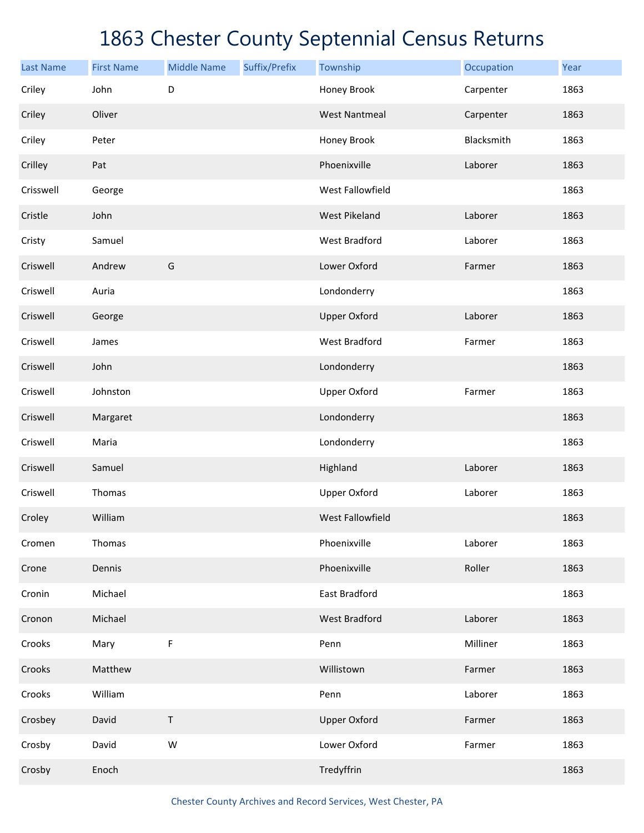| <b>Last Name</b> | <b>First Name</b> | <b>Middle Name</b> | Suffix/Prefix | Township             | Occupation | Year |
|------------------|-------------------|--------------------|---------------|----------------------|------------|------|
| Criley           | John              | D                  |               | Honey Brook          | Carpenter  | 1863 |
| Criley           | Oliver            |                    |               | <b>West Nantmeal</b> | Carpenter  | 1863 |
| Criley           | Peter             |                    |               | Honey Brook          | Blacksmith | 1863 |
| Crilley          | Pat               |                    |               | Phoenixville         | Laborer    | 1863 |
| Crisswell        | George            |                    |               | West Fallowfield     |            | 1863 |
| Cristle          | John              |                    |               | <b>West Pikeland</b> | Laborer    | 1863 |
| Cristy           | Samuel            |                    |               | <b>West Bradford</b> | Laborer    | 1863 |
| Criswell         | Andrew            | G                  |               | Lower Oxford         | Farmer     | 1863 |
| Criswell         | Auria             |                    |               | Londonderry          |            | 1863 |
| Criswell         | George            |                    |               | <b>Upper Oxford</b>  | Laborer    | 1863 |
| Criswell         | James             |                    |               | <b>West Bradford</b> | Farmer     | 1863 |
| Criswell         | John              |                    |               | Londonderry          |            | 1863 |
| Criswell         | Johnston          |                    |               | <b>Upper Oxford</b>  | Farmer     | 1863 |
| Criswell         | Margaret          |                    |               | Londonderry          |            | 1863 |
| Criswell         | Maria             |                    |               | Londonderry          |            | 1863 |
| Criswell         | Samuel            |                    |               | Highland             | Laborer    | 1863 |
| Criswell         | Thomas            |                    |               | <b>Upper Oxford</b>  | Laborer    | 1863 |
| Croley           | William           |                    |               | West Fallowfield     |            | 1863 |
| Cromen           | Thomas            |                    |               | Phoenixville         | Laborer    | 1863 |
| Crone            | Dennis            |                    |               | Phoenixville         | Roller     | 1863 |
| Cronin           | Michael           |                    |               | East Bradford        |            | 1863 |
| Cronon           | Michael           |                    |               | <b>West Bradford</b> | Laborer    | 1863 |
| Crooks           | Mary              | F                  |               | Penn                 | Milliner   | 1863 |
| Crooks           | Matthew           |                    |               | Willistown           | Farmer     | 1863 |
| Crooks           | William           |                    |               | Penn                 | Laborer    | 1863 |
| Crosbey          | David             | $\sf T$            |               | <b>Upper Oxford</b>  | Farmer     | 1863 |
| Crosby           | David             | ${\sf W}$          |               | Lower Oxford         | Farmer     | 1863 |
| Crosby           | Enoch             |                    |               | Tredyffrin           |            | 1863 |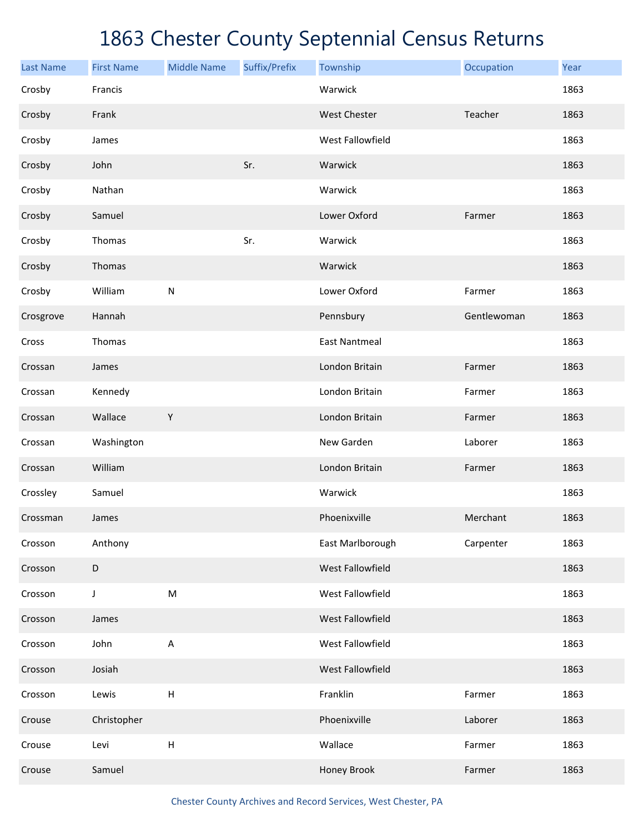| <b>Last Name</b> | <b>First Name</b> | <b>Middle Name</b>        | Suffix/Prefix | Township             | Occupation  | Year |
|------------------|-------------------|---------------------------|---------------|----------------------|-------------|------|
| Crosby           | Francis           |                           |               | Warwick              |             | 1863 |
| Crosby           | Frank             |                           |               | <b>West Chester</b>  | Teacher     | 1863 |
| Crosby           | James             |                           |               | West Fallowfield     |             | 1863 |
| Crosby           | John              |                           | Sr.           | Warwick              |             | 1863 |
| Crosby           | Nathan            |                           |               | Warwick              |             | 1863 |
| Crosby           | Samuel            |                           |               | Lower Oxford         | Farmer      | 1863 |
| Crosby           | Thomas            |                           | Sr.           | Warwick              |             | 1863 |
| Crosby           | Thomas            |                           |               | Warwick              |             | 1863 |
| Crosby           | William           | ${\sf N}$                 |               | Lower Oxford         | Farmer      | 1863 |
| Crosgrove        | Hannah            |                           |               | Pennsbury            | Gentlewoman | 1863 |
| Cross            | Thomas            |                           |               | <b>East Nantmeal</b> |             | 1863 |
| Crossan          | James             |                           |               | London Britain       | Farmer      | 1863 |
| Crossan          | Kennedy           |                           |               | London Britain       | Farmer      | 1863 |
| Crossan          | Wallace           | $\mathsf Y$               |               | London Britain       | Farmer      | 1863 |
| Crossan          | Washington        |                           |               | New Garden           | Laborer     | 1863 |
| Crossan          | William           |                           |               | London Britain       | Farmer      | 1863 |
| Crossley         | Samuel            |                           |               | Warwick              |             | 1863 |
| Crossman         | James             |                           |               | Phoenixville         | Merchant    | 1863 |
| Crosson          | Anthony           |                           |               | East Marlborough     | Carpenter   | 1863 |
| Crosson          | $\mathsf D$       |                           |               | West Fallowfield     |             | 1863 |
| Crosson          | $\mathsf J$       | ${\sf M}$                 |               | West Fallowfield     |             | 1863 |
| Crosson          | James             |                           |               | West Fallowfield     |             | 1863 |
| Crosson          | John              | $\mathsf A$               |               | West Fallowfield     |             | 1863 |
| Crosson          | Josiah            |                           |               | West Fallowfield     |             | 1863 |
| Crosson          | Lewis             | $\boldsymbol{\mathsf{H}}$ |               | Franklin             | Farmer      | 1863 |
| Crouse           | Christopher       |                           |               | Phoenixville         | Laborer     | 1863 |
| Crouse           | Levi              | $\boldsymbol{\mathsf{H}}$ |               | Wallace              | Farmer      | 1863 |
| Crouse           | Samuel            |                           |               | Honey Brook          | Farmer      | 1863 |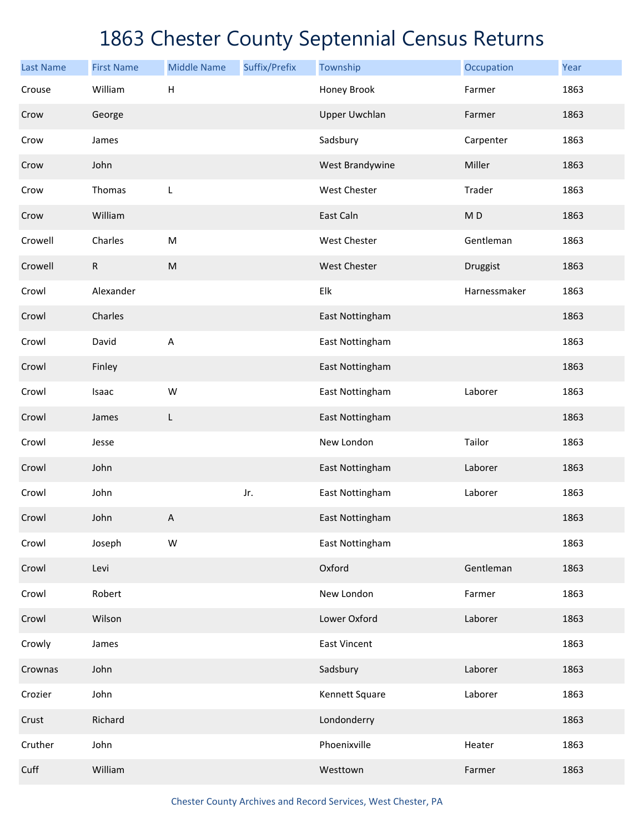| <b>Last Name</b> | <b>First Name</b> | <b>Middle Name</b> | Suffix/Prefix | Township             | Occupation     | Year |
|------------------|-------------------|--------------------|---------------|----------------------|----------------|------|
| Crouse           | William           | H                  |               | Honey Brook          | Farmer         | 1863 |
| Crow             | George            |                    |               | <b>Upper Uwchlan</b> | Farmer         | 1863 |
| Crow             | James             |                    |               | Sadsbury             | Carpenter      | 1863 |
| Crow             | John              |                    |               | West Brandywine      | Miller         | 1863 |
| Crow             | Thomas            | L                  |               | West Chester         | Trader         | 1863 |
| Crow             | William           |                    |               | East Caln            | M <sub>D</sub> | 1863 |
| Crowell          | Charles           | M                  |               | West Chester         | Gentleman      | 1863 |
| Crowell          | ${\sf R}$         | ${\sf M}$          |               | <b>West Chester</b>  | Druggist       | 1863 |
| Crowl            | Alexander         |                    |               | Elk                  | Harnessmaker   | 1863 |
| Crowl            | Charles           |                    |               | East Nottingham      |                | 1863 |
| Crowl            | David             | A                  |               | East Nottingham      |                | 1863 |
| Crowl            | Finley            |                    |               | East Nottingham      |                | 1863 |
| Crowl            | Isaac             | W                  |               | East Nottingham      | Laborer        | 1863 |
| Crowl            | James             | L                  |               | East Nottingham      |                | 1863 |
| Crowl            | Jesse             |                    |               | New London           | Tailor         | 1863 |
| Crowl            | John              |                    |               | East Nottingham      | Laborer        | 1863 |
| Crowl            | John              |                    | Jr.           | East Nottingham      | Laborer        | 1863 |
| Crowl            | John              | A                  |               | East Nottingham      |                | 1863 |
| Crowl            | Joseph            | W                  |               | East Nottingham      |                | 1863 |
| Crowl            | Levi              |                    |               | Oxford               | Gentleman      | 1863 |
| Crowl            | Robert            |                    |               | New London           | Farmer         | 1863 |
| Crowl            | Wilson            |                    |               | Lower Oxford         | Laborer        | 1863 |
| Crowly           | James             |                    |               | <b>East Vincent</b>  |                | 1863 |
| Crownas          | John              |                    |               | Sadsbury             | Laborer        | 1863 |
| Crozier          | John              |                    |               | Kennett Square       | Laborer        | 1863 |
| Crust            | Richard           |                    |               | Londonderry          |                | 1863 |
| Cruther          | John              |                    |               | Phoenixville         | Heater         | 1863 |
| Cuff             | William           |                    |               | Westtown             | Farmer         | 1863 |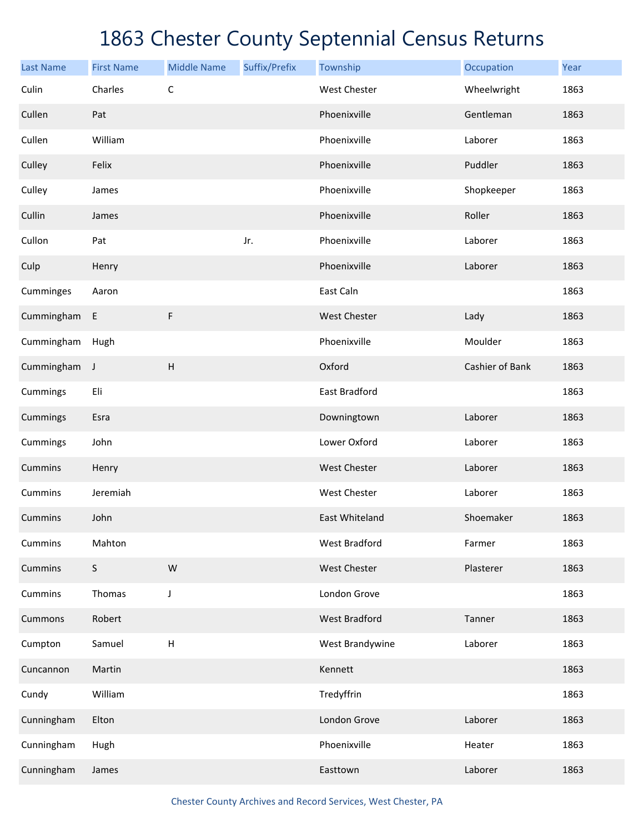| <b>Last Name</b> | <b>First Name</b> | <b>Middle Name</b>        | Suffix/Prefix | Township             | Occupation      | Year |
|------------------|-------------------|---------------------------|---------------|----------------------|-----------------|------|
| Culin            | Charles           | $\mathsf C$               |               | <b>West Chester</b>  | Wheelwright     | 1863 |
| Cullen           | Pat               |                           |               | Phoenixville         | Gentleman       | 1863 |
| Cullen           | William           |                           |               | Phoenixville         | Laborer         | 1863 |
| Culley           | Felix             |                           |               | Phoenixville         | Puddler         | 1863 |
| Culley           | James             |                           |               | Phoenixville         | Shopkeeper      | 1863 |
| Cullin           | James             |                           |               | Phoenixville         | Roller          | 1863 |
| Cullon           | Pat               |                           | Jr.           | Phoenixville         | Laborer         | 1863 |
| Culp             | Henry             |                           |               | Phoenixville         | Laborer         | 1863 |
| Cumminges        | Aaron             |                           |               | East Caln            |                 | 1863 |
| Cummingham       | E                 | F                         |               | <b>West Chester</b>  | Lady            | 1863 |
| Cummingham       | Hugh              |                           |               | Phoenixville         | Moulder         | 1863 |
| Cummingham       | J                 | $\boldsymbol{\mathsf{H}}$ |               | Oxford               | Cashier of Bank | 1863 |
| Cummings         | Eli               |                           |               | East Bradford        |                 | 1863 |
| Cummings         | Esra              |                           |               | Downingtown          | Laborer         | 1863 |
| Cummings         | John              |                           |               | Lower Oxford         | Laborer         | 1863 |
| Cummins          | Henry             |                           |               | <b>West Chester</b>  | Laborer         | 1863 |
| Cummins          | Jeremiah          |                           |               | West Chester         | Laborer         | 1863 |
| <b>Cummins</b>   | John              |                           |               | East Whiteland       | Shoemaker       | 1863 |
| Cummins          | Mahton            |                           |               | West Bradford        | Farmer          | 1863 |
| Cummins          | S                 | ${\sf W}$                 |               | West Chester         | Plasterer       | 1863 |
| Cummins          | Thomas            | J                         |               | London Grove         |                 | 1863 |
| Cummons          | Robert            |                           |               | <b>West Bradford</b> | Tanner          | 1863 |
| Cumpton          | Samuel            | $\sf H$                   |               | West Brandywine      | Laborer         | 1863 |
| Cuncannon        | Martin            |                           |               | Kennett              |                 | 1863 |
| Cundy            | William           |                           |               | Tredyffrin           |                 | 1863 |
| Cunningham       | Elton             |                           |               | London Grove         | Laborer         | 1863 |
| Cunningham       | Hugh              |                           |               | Phoenixville         | Heater          | 1863 |
| Cunningham       | James             |                           |               | Easttown             | Laborer         | 1863 |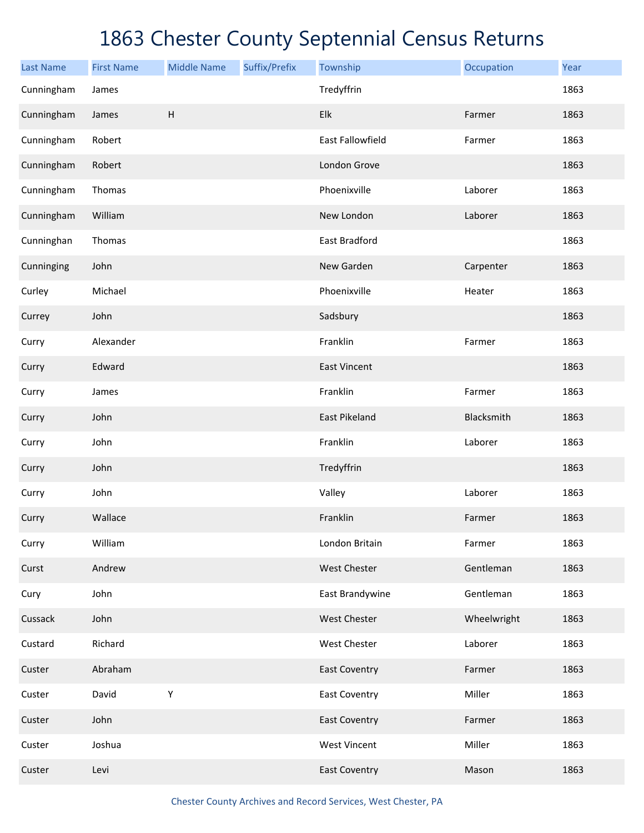| <b>Last Name</b> | <b>First Name</b> | <b>Middle Name</b>        | Suffix/Prefix | Township             | Occupation  | Year |
|------------------|-------------------|---------------------------|---------------|----------------------|-------------|------|
| Cunningham       | James             |                           |               | Tredyffrin           |             | 1863 |
| Cunningham       | James             | $\boldsymbol{\mathsf{H}}$ |               | Elk                  | Farmer      | 1863 |
| Cunningham       | Robert            |                           |               | East Fallowfield     | Farmer      | 1863 |
| Cunningham       | Robert            |                           |               | London Grove         |             | 1863 |
| Cunningham       | Thomas            |                           |               | Phoenixville         | Laborer     | 1863 |
| Cunningham       | William           |                           |               | New London           | Laborer     | 1863 |
| Cunninghan       | Thomas            |                           |               | East Bradford        |             | 1863 |
| Cunninging       | John              |                           |               | New Garden           | Carpenter   | 1863 |
| Curley           | Michael           |                           |               | Phoenixville         | Heater      | 1863 |
| Currey           | John              |                           |               | Sadsbury             |             | 1863 |
| Curry            | Alexander         |                           |               | Franklin             | Farmer      | 1863 |
| Curry            | Edward            |                           |               | <b>East Vincent</b>  |             | 1863 |
| Curry            | James             |                           |               | Franklin             | Farmer      | 1863 |
| Curry            | John              |                           |               | East Pikeland        | Blacksmith  | 1863 |
| Curry            | John              |                           |               | Franklin             | Laborer     | 1863 |
| Curry            | John              |                           |               | Tredyffrin           |             | 1863 |
| Curry            | John              |                           |               | Valley               | Laborer     | 1863 |
| Curry            | Wallace           |                           |               | Franklin             | Farmer      | 1863 |
| Curry            | William           |                           |               | London Britain       | Farmer      | 1863 |
| Curst            | Andrew            |                           |               | West Chester         | Gentleman   | 1863 |
| Cury             | John              |                           |               | East Brandywine      | Gentleman   | 1863 |
| Cussack          | John              |                           |               | West Chester         | Wheelwright | 1863 |
| Custard          | Richard           |                           |               | West Chester         | Laborer     | 1863 |
| Custer           | Abraham           |                           |               | <b>East Coventry</b> | Farmer      | 1863 |
| Custer           | David             | Υ                         |               | <b>East Coventry</b> | Miller      | 1863 |
| Custer           | John              |                           |               | <b>East Coventry</b> | Farmer      | 1863 |
| Custer           | Joshua            |                           |               | <b>West Vincent</b>  | Miller      | 1863 |
| Custer           | Levi              |                           |               | <b>East Coventry</b> | Mason       | 1863 |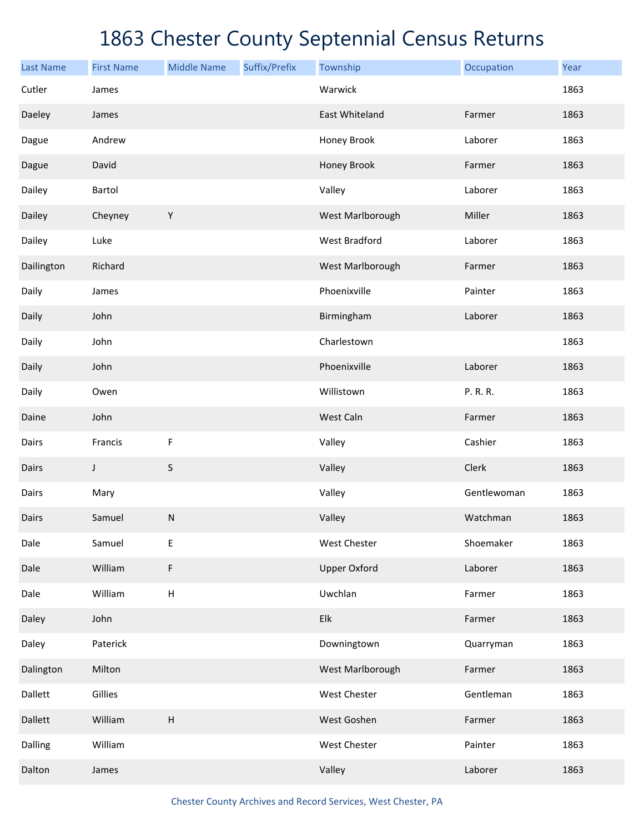| <b>Last Name</b> | <b>First Name</b> | <b>Middle Name</b> | Suffix/Prefix | Township             | Occupation  | Year |
|------------------|-------------------|--------------------|---------------|----------------------|-------------|------|
| Cutler           | James             |                    |               | Warwick              |             | 1863 |
| Daeley           | James             |                    |               | East Whiteland       | Farmer      | 1863 |
| Dague            | Andrew            |                    |               | Honey Brook          | Laborer     | 1863 |
| Dague            | David             |                    |               | Honey Brook          | Farmer      | 1863 |
| Dailey           | Bartol            |                    |               | Valley               | Laborer     | 1863 |
| Dailey           | Cheyney           | $\mathsf Y$        |               | West Marlborough     | Miller      | 1863 |
| Dailey           | Luke              |                    |               | <b>West Bradford</b> | Laborer     | 1863 |
| Dailington       | Richard           |                    |               | West Marlborough     | Farmer      | 1863 |
| Daily            | James             |                    |               | Phoenixville         | Painter     | 1863 |
| Daily            | John              |                    |               | Birmingham           | Laborer     | 1863 |
| Daily            | John              |                    |               | Charlestown          |             | 1863 |
| Daily            | John              |                    |               | Phoenixville         | Laborer     | 1863 |
| Daily            | Owen              |                    |               | Willistown           | P. R. R.    | 1863 |
| Daine            | John              |                    |               | West Caln            | Farmer      | 1863 |
| Dairs            | Francis           | F                  |               | Valley               | Cashier     | 1863 |
| Dairs            | J                 | S                  |               | Valley               | Clerk       | 1863 |
| Dairs            | Mary              |                    |               | Valley               | Gentlewoman | 1863 |
| Dairs            | Samuel            | ${\sf N}$          |               | Valley               | Watchman    | 1863 |
| Dale             | Samuel            | Ε                  |               | West Chester         | Shoemaker   | 1863 |
| Dale             | William           | F                  |               | <b>Upper Oxford</b>  | Laborer     | 1863 |
| Dale             | William           | $\sf H$            |               | Uwchlan              | Farmer      | 1863 |
| Daley            | John              |                    |               | Elk                  | Farmer      | 1863 |
| Daley            | Paterick          |                    |               | Downingtown          | Quarryman   | 1863 |
| Dalington        | Milton            |                    |               | West Marlborough     | Farmer      | 1863 |
| Dallett          | Gillies           |                    |               | West Chester         | Gentleman   | 1863 |
| Dallett          | William           | $\sf H$            |               | West Goshen          | Farmer      | 1863 |
| Dalling          | William           |                    |               | West Chester         | Painter     | 1863 |
| Dalton           | James             |                    |               | Valley               | Laborer     | 1863 |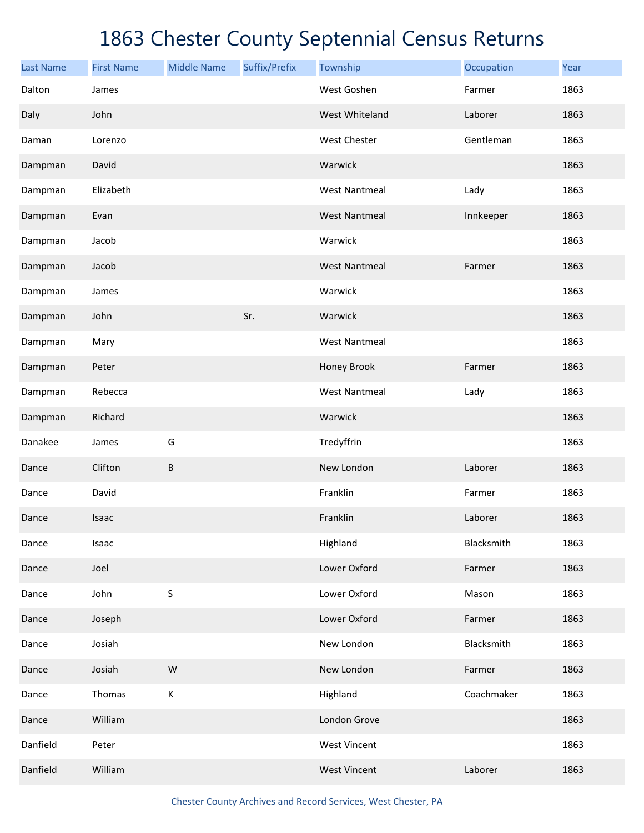| <b>Last Name</b> | <b>First Name</b> | <b>Middle Name</b> | Suffix/Prefix | Township             | Occupation | Year |
|------------------|-------------------|--------------------|---------------|----------------------|------------|------|
| Dalton           | James             |                    |               | West Goshen          | Farmer     | 1863 |
| Daly             | John              |                    |               | West Whiteland       | Laborer    | 1863 |
| Daman            | Lorenzo           |                    |               | West Chester         | Gentleman  | 1863 |
| Dampman          | David             |                    |               | Warwick              |            | 1863 |
| Dampman          | Elizabeth         |                    |               | <b>West Nantmeal</b> | Lady       | 1863 |
| Dampman          | Evan              |                    |               | <b>West Nantmeal</b> | Innkeeper  | 1863 |
| Dampman          | Jacob             |                    |               | Warwick              |            | 1863 |
| Dampman          | Jacob             |                    |               | <b>West Nantmeal</b> | Farmer     | 1863 |
| Dampman          | James             |                    |               | Warwick              |            | 1863 |
| Dampman          | John              |                    | Sr.           | Warwick              |            | 1863 |
| Dampman          | Mary              |                    |               | <b>West Nantmeal</b> |            | 1863 |
| Dampman          | Peter             |                    |               | Honey Brook          | Farmer     | 1863 |
| Dampman          | Rebecca           |                    |               | <b>West Nantmeal</b> | Lady       | 1863 |
| Dampman          | Richard           |                    |               | Warwick              |            | 1863 |
| Danakee          | James             | G                  |               | Tredyffrin           |            | 1863 |
| Dance            | Clifton           | B                  |               | New London           | Laborer    | 1863 |
| Dance            | David             |                    |               | Franklin             | Farmer     | 1863 |
| Dance            | Isaac             |                    |               | Franklin             | Laborer    | 1863 |
| Dance            | Isaac             |                    |               | Highland             | Blacksmith | 1863 |
| Dance            | Joel              |                    |               | Lower Oxford         | Farmer     | 1863 |
| Dance            | John              | $\sf S$            |               | Lower Oxford         | Mason      | 1863 |
| Dance            | Joseph            |                    |               | Lower Oxford         | Farmer     | 1863 |
| Dance            | Josiah            |                    |               | New London           | Blacksmith | 1863 |
| Dance            | Josiah            | W                  |               | New London           | Farmer     | 1863 |
| Dance            | Thomas            | К                  |               | Highland             | Coachmaker | 1863 |
| Dance            | William           |                    |               | London Grove         |            | 1863 |
| Danfield         | Peter             |                    |               | <b>West Vincent</b>  |            | 1863 |
| Danfield         | William           |                    |               | <b>West Vincent</b>  | Laborer    | 1863 |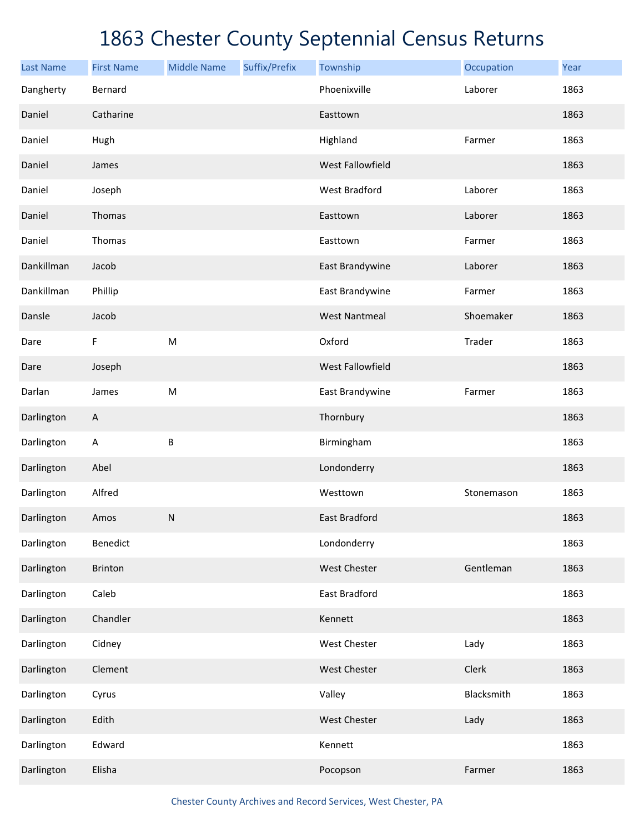| <b>Last Name</b> | <b>First Name</b>         | <b>Middle Name</b> | Suffix/Prefix | Township             | Occupation | Year |
|------------------|---------------------------|--------------------|---------------|----------------------|------------|------|
| Dangherty        | Bernard                   |                    |               | Phoenixville         | Laborer    | 1863 |
| Daniel           | Catharine                 |                    |               | Easttown             |            | 1863 |
| Daniel           | Hugh                      |                    |               | Highland             | Farmer     | 1863 |
| Daniel           | James                     |                    |               | West Fallowfield     |            | 1863 |
| Daniel           | Joseph                    |                    |               | <b>West Bradford</b> | Laborer    | 1863 |
| Daniel           | Thomas                    |                    |               | Easttown             | Laborer    | 1863 |
| Daniel           | Thomas                    |                    |               | Easttown             | Farmer     | 1863 |
| Dankillman       | Jacob                     |                    |               | East Brandywine      | Laborer    | 1863 |
| Dankillman       | Phillip                   |                    |               | East Brandywine      | Farmer     | 1863 |
| Dansle           | Jacob                     |                    |               | <b>West Nantmeal</b> | Shoemaker  | 1863 |
| Dare             | F                         | ${\sf M}$          |               | Oxford               | Trader     | 1863 |
| Dare             | Joseph                    |                    |               | West Fallowfield     |            | 1863 |
| Darlan           | James                     | ${\sf M}$          |               | East Brandywine      | Farmer     | 1863 |
| Darlington       | $\boldsymbol{\mathsf{A}}$ |                    |               | Thornbury            |            | 1863 |
| Darlington       | $\boldsymbol{\mathsf{A}}$ | B                  |               | Birmingham           |            | 1863 |
| Darlington       | Abel                      |                    |               | Londonderry          |            | 1863 |
| Darlington       | Alfred                    |                    |               | Westtown             | Stonemason | 1863 |
| Darlington       | Amos                      | ${\sf N}$          |               | <b>East Bradford</b> |            | 1863 |
| Darlington       | Benedict                  |                    |               | Londonderry          |            | 1863 |
| Darlington       | Brinton                   |                    |               | West Chester         | Gentleman  | 1863 |
| Darlington       | Caleb                     |                    |               | East Bradford        |            | 1863 |
| Darlington       | Chandler                  |                    |               | Kennett              |            | 1863 |
| Darlington       | Cidney                    |                    |               | West Chester         | Lady       | 1863 |
| Darlington       | Clement                   |                    |               | West Chester         | Clerk      | 1863 |
| Darlington       | Cyrus                     |                    |               | Valley               | Blacksmith | 1863 |
| Darlington       | Edith                     |                    |               | West Chester         | Lady       | 1863 |
| Darlington       | Edward                    |                    |               | Kennett              |            | 1863 |
| Darlington       | Elisha                    |                    |               | Pocopson             | Farmer     | 1863 |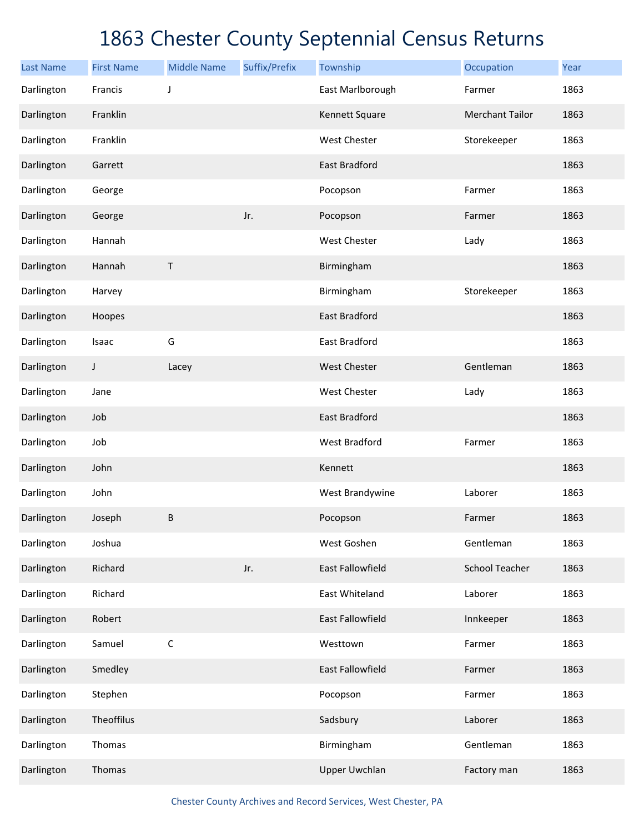| <b>Last Name</b> | <b>First Name</b> | <b>Middle Name</b> | Suffix/Prefix | Township             | Occupation             | Year |
|------------------|-------------------|--------------------|---------------|----------------------|------------------------|------|
| Darlington       | Francis           | J                  |               | East Marlborough     | Farmer                 | 1863 |
| Darlington       | Franklin          |                    |               | Kennett Square       | <b>Merchant Tailor</b> | 1863 |
| Darlington       | Franklin          |                    |               | West Chester         | Storekeeper            | 1863 |
| Darlington       | Garrett           |                    |               | East Bradford        |                        | 1863 |
| Darlington       | George            |                    |               | Pocopson             | Farmer                 | 1863 |
| Darlington       | George            |                    | Jr.           | Pocopson             | Farmer                 | 1863 |
| Darlington       | Hannah            |                    |               | West Chester         | Lady                   | 1863 |
| Darlington       | Hannah            | $\sf T$            |               | Birmingham           |                        | 1863 |
| Darlington       | Harvey            |                    |               | Birmingham           | Storekeeper            | 1863 |
| Darlington       | Hoopes            |                    |               | <b>East Bradford</b> |                        | 1863 |
| Darlington       | Isaac             | G                  |               | East Bradford        |                        | 1863 |
| Darlington       | J                 | Lacey              |               | <b>West Chester</b>  | Gentleman              | 1863 |
| Darlington       | Jane              |                    |               | West Chester         | Lady                   | 1863 |
| Darlington       | Job               |                    |               | <b>East Bradford</b> |                        | 1863 |
| Darlington       | Job               |                    |               | <b>West Bradford</b> | Farmer                 | 1863 |
| Darlington       | John              |                    |               | Kennett              |                        | 1863 |
| Darlington       | John              |                    |               | West Brandywine      | Laborer                | 1863 |
| Darlington       | Joseph            | $\sf B$            |               | Pocopson             | Farmer                 | 1863 |
| Darlington       | Joshua            |                    |               | West Goshen          | Gentleman              | 1863 |
| Darlington       | Richard           |                    | Jr.           | East Fallowfield     | <b>School Teacher</b>  | 1863 |
| Darlington       | Richard           |                    |               | East Whiteland       | Laborer                | 1863 |
| Darlington       | Robert            |                    |               | East Fallowfield     | Innkeeper              | 1863 |
| Darlington       | Samuel            | $\mathsf C$        |               | Westtown             | Farmer                 | 1863 |
| Darlington       | Smedley           |                    |               | East Fallowfield     | Farmer                 | 1863 |
| Darlington       | Stephen           |                    |               | Pocopson             | Farmer                 | 1863 |
| Darlington       | Theoffilus        |                    |               | Sadsbury             | Laborer                | 1863 |
| Darlington       | Thomas            |                    |               | Birmingham           | Gentleman              | 1863 |
| Darlington       | Thomas            |                    |               | <b>Upper Uwchlan</b> | Factory man            | 1863 |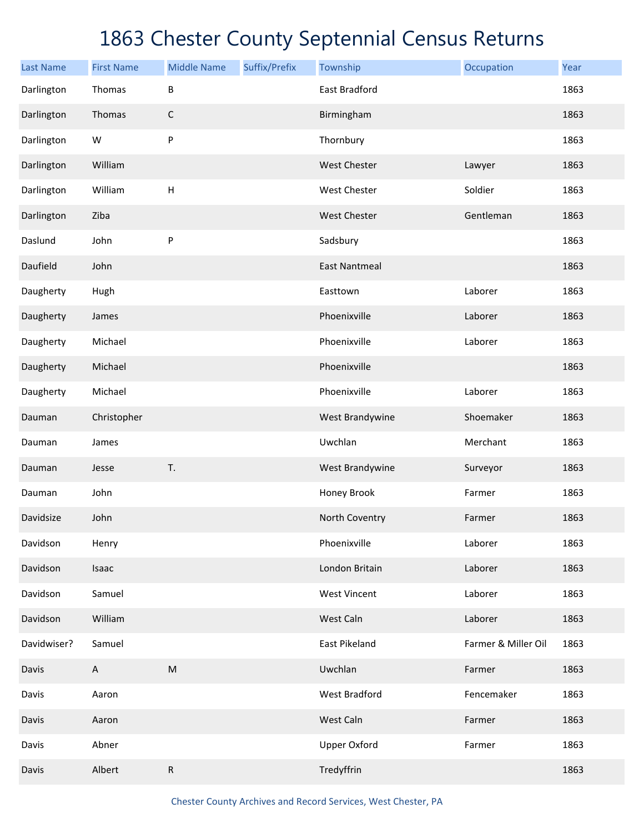| <b>Last Name</b> | <b>First Name</b> | <b>Middle Name</b>        | Suffix/Prefix | Township             | Occupation          | Year |
|------------------|-------------------|---------------------------|---------------|----------------------|---------------------|------|
| Darlington       | Thomas            | B                         |               | East Bradford        |                     | 1863 |
| Darlington       | Thomas            | $\mathsf C$               |               | Birmingham           |                     | 1863 |
| Darlington       | W                 | ${\sf P}$                 |               | Thornbury            |                     | 1863 |
| Darlington       | William           |                           |               | West Chester         | Lawyer              | 1863 |
| Darlington       | William           | $\boldsymbol{\mathsf{H}}$ |               | West Chester         | Soldier             | 1863 |
| Darlington       | Ziba              |                           |               | <b>West Chester</b>  | Gentleman           | 1863 |
| Daslund          | John              | ${\sf P}$                 |               | Sadsbury             |                     | 1863 |
| Daufield         | John              |                           |               | <b>East Nantmeal</b> |                     | 1863 |
| Daugherty        | Hugh              |                           |               | Easttown             | Laborer             | 1863 |
| Daugherty        | James             |                           |               | Phoenixville         | Laborer             | 1863 |
| Daugherty        | Michael           |                           |               | Phoenixville         | Laborer             | 1863 |
| Daugherty        | Michael           |                           |               | Phoenixville         |                     | 1863 |
| Daugherty        | Michael           |                           |               | Phoenixville         | Laborer             | 1863 |
| Dauman           | Christopher       |                           |               | West Brandywine      | Shoemaker           | 1863 |
| Dauman           | James             |                           |               | Uwchlan              | Merchant            | 1863 |
| Dauman           | Jesse             | T.                        |               | West Brandywine      | Surveyor            | 1863 |
| Dauman           | John              |                           |               | Honey Brook          | Farmer              | 1863 |
| Davidsize        | John              |                           |               | North Coventry       | Farmer              | 1863 |
| Davidson         | Henry             |                           |               | Phoenixville         | Laborer             | 1863 |
| Davidson         | Isaac             |                           |               | London Britain       | Laborer             | 1863 |
| Davidson         | Samuel            |                           |               | <b>West Vincent</b>  | Laborer             | 1863 |
| Davidson         | William           |                           |               | West Caln            | Laborer             | 1863 |
| Davidwiser?      | Samuel            |                           |               | East Pikeland        | Farmer & Miller Oil | 1863 |
| Davis            | A                 | ${\sf M}$                 |               | Uwchlan              | Farmer              | 1863 |
| Davis            | Aaron             |                           |               | West Bradford        | Fencemaker          | 1863 |
| Davis            | Aaron             |                           |               | West Caln            | Farmer              | 1863 |
| Davis            | Abner             |                           |               | <b>Upper Oxford</b>  | Farmer              | 1863 |
| Davis            | Albert            | ${\sf R}$                 |               | Tredyffrin           |                     | 1863 |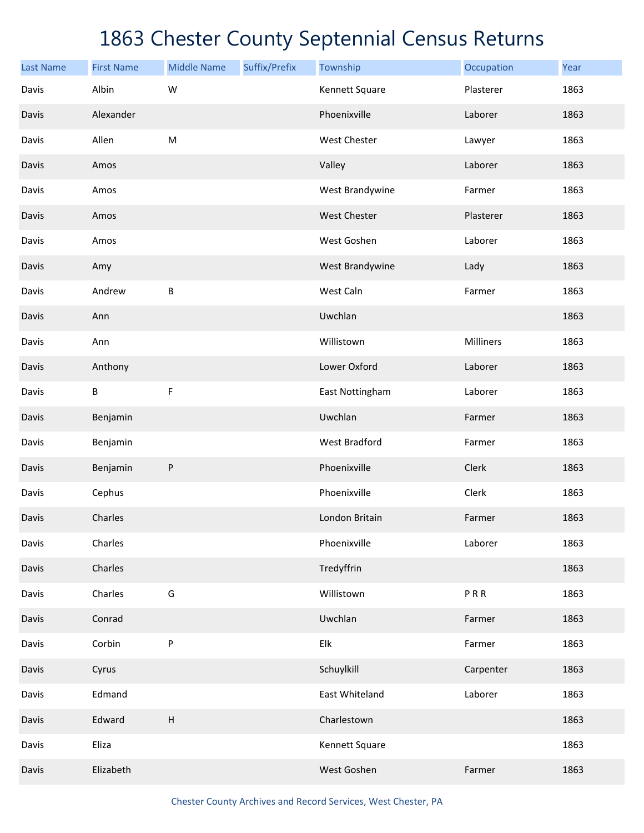| <b>Last Name</b> | <b>First Name</b> | <b>Middle Name</b>        | Suffix/Prefix | Township            | Occupation | Year |
|------------------|-------------------|---------------------------|---------------|---------------------|------------|------|
| Davis            | Albin             | W                         |               | Kennett Square      | Plasterer  | 1863 |
| Davis            | Alexander         |                           |               | Phoenixville        | Laborer    | 1863 |
| Davis            | Allen             | M                         |               | West Chester        | Lawyer     | 1863 |
| Davis            | Amos              |                           |               | Valley              | Laborer    | 1863 |
| Davis            | Amos              |                           |               | West Brandywine     | Farmer     | 1863 |
| Davis            | Amos              |                           |               | <b>West Chester</b> | Plasterer  | 1863 |
| Davis            | Amos              |                           |               | West Goshen         | Laborer    | 1863 |
| Davis            | Amy               |                           |               | West Brandywine     | Lady       | 1863 |
| Davis            | Andrew            | B                         |               | West Caln           | Farmer     | 1863 |
| Davis            | Ann               |                           |               | Uwchlan             |            | 1863 |
| Davis            | Ann               |                           |               | Willistown          | Milliners  | 1863 |
| Davis            | Anthony           |                           |               | Lower Oxford        | Laborer    | 1863 |
| Davis            | $\sf B$           | F                         |               | East Nottingham     | Laborer    | 1863 |
| Davis            | Benjamin          |                           |               | Uwchlan             | Farmer     | 1863 |
| Davis            | Benjamin          |                           |               | West Bradford       | Farmer     | 1863 |
| Davis            | Benjamin          | P                         |               | Phoenixville        | Clerk      | 1863 |
| Davis            | Cephus            |                           |               | Phoenixville        | Clerk      | 1863 |
| Davis            | Charles           |                           |               | London Britain      | Farmer     | 1863 |
| Davis            | Charles           |                           |               | Phoenixville        | Laborer    | 1863 |
| Davis            | Charles           |                           |               | Tredyffrin          |            | 1863 |
| Davis            | Charles           | G                         |               | Willistown          | PRR        | 1863 |
| Davis            | Conrad            |                           |               | Uwchlan             | Farmer     | 1863 |
| Davis            | Corbin            | P                         |               | Elk                 | Farmer     | 1863 |
| Davis            | Cyrus             |                           |               | Schuylkill          | Carpenter  | 1863 |
| Davis            | Edmand            |                           |               | East Whiteland      | Laborer    | 1863 |
| Davis            | Edward            | $\boldsymbol{\mathsf{H}}$ |               | Charlestown         |            | 1863 |
| Davis            | Eliza             |                           |               | Kennett Square      |            | 1863 |
| Davis            | Elizabeth         |                           |               | West Goshen         | Farmer     | 1863 |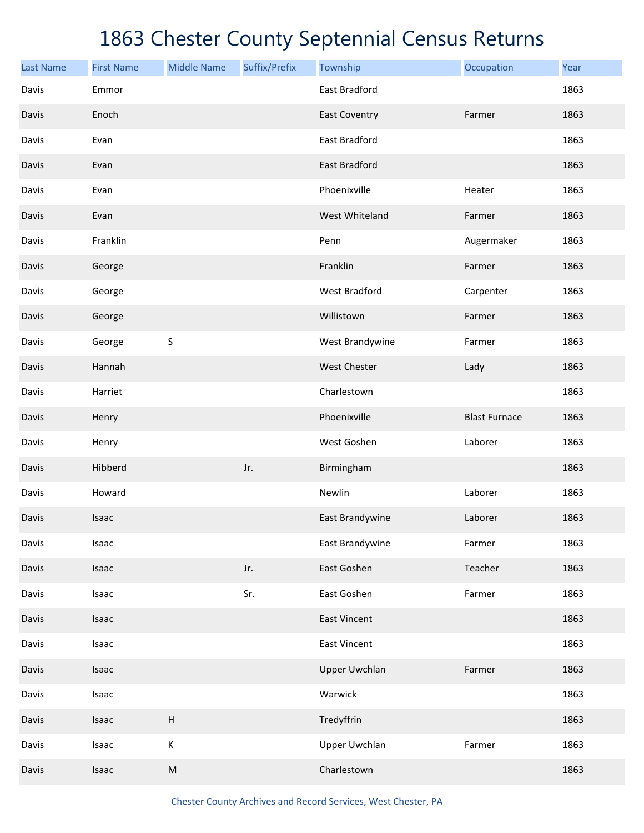| <b>Last Name</b> | <b>First Name</b> | <b>Middle Name</b> | Suffix/Prefix | Township             | Occupation           | Year |
|------------------|-------------------|--------------------|---------------|----------------------|----------------------|------|
| Davis            | Emmor             |                    |               | East Bradford        |                      | 1863 |
| Davis            | Enoch             |                    |               | <b>East Coventry</b> | Farmer               | 1863 |
| Davis            | Evan              |                    |               | East Bradford        |                      | 1863 |
| Davis            | Evan              |                    |               | East Bradford        |                      | 1863 |
| Davis            | Evan              |                    |               | Phoenixville         | Heater               | 1863 |
| Davis            | Evan              |                    |               | West Whiteland       | Farmer               | 1863 |
| Davis            | Franklin          |                    |               | Penn                 | Augermaker           | 1863 |
| Davis            | George            |                    |               | Franklin             | Farmer               | 1863 |
| Davis            | George            |                    |               | <b>West Bradford</b> | Carpenter            | 1863 |
| Davis            | George            |                    |               | Willistown           | Farmer               | 1863 |
| Davis            | George            | S                  |               | West Brandywine      | Farmer               | 1863 |
| Davis            | Hannah            |                    |               | <b>West Chester</b>  | Lady                 | 1863 |
| Davis            | Harriet           |                    |               | Charlestown          |                      | 1863 |
| Davis            | Henry             |                    |               | Phoenixville         | <b>Blast Furnace</b> | 1863 |
| Davis            | Henry             |                    |               | West Goshen          | Laborer              | 1863 |
| Davis            | Hibberd           |                    | Jr.           | Birmingham           |                      | 1863 |
| Davis            | Howard            |                    |               | Newlin               | Laborer              | 1863 |
| Davis            | Isaac             |                    |               | East Brandywine      | Laborer              | 1863 |
| Davis            | Isaac             |                    |               | East Brandywine      | Farmer               | 1863 |
| Davis            | Isaac             |                    | Jr.           | East Goshen          | Teacher              | 1863 |
| Davis            | Isaac             |                    | Sr.           | East Goshen          | Farmer               | 1863 |
| Davis            | Isaac             |                    |               | <b>East Vincent</b>  |                      | 1863 |
| Davis            | Isaac             |                    |               | <b>East Vincent</b>  |                      | 1863 |
| Davis            | Isaac             |                    |               | <b>Upper Uwchlan</b> | Farmer               | 1863 |
| Davis            | Isaac             |                    |               | Warwick              |                      | 1863 |
| Davis            | Isaac             | $\sf H$            |               | Tredyffrin           |                      | 1863 |
| Davis            | Isaac             | $\mathsf K$        |               | <b>Upper Uwchlan</b> | Farmer               | 1863 |
| Davis            | Isaac             | ${\sf M}$          |               | Charlestown          |                      | 1863 |

Chester County Archives and Record Services, West Chester, PA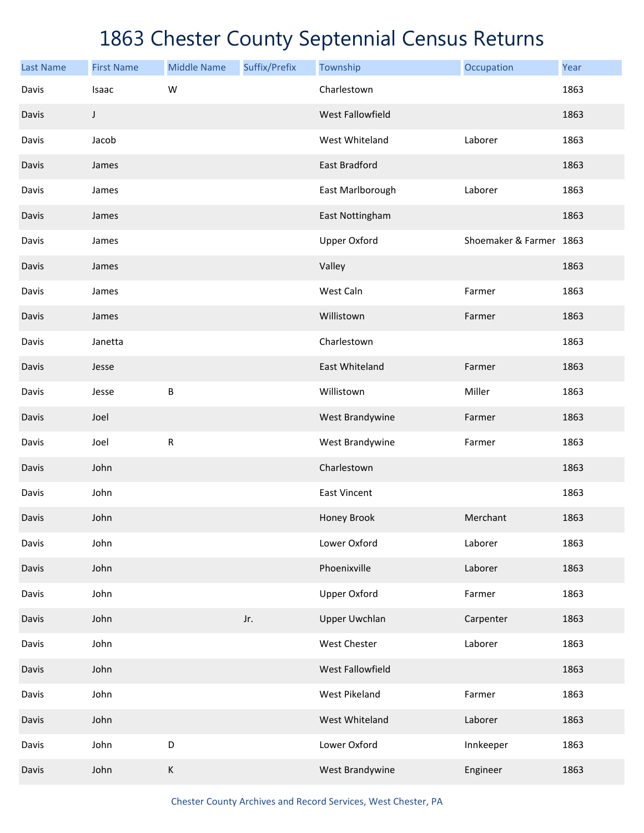| <b>Last Name</b> | <b>First Name</b> | <b>Middle Name</b> | Suffix/Prefix | Township             | Occupation              | Year |
|------------------|-------------------|--------------------|---------------|----------------------|-------------------------|------|
| Davis            | Isaac             | W                  |               | Charlestown          |                         | 1863 |
| Davis            | J                 |                    |               | West Fallowfield     |                         | 1863 |
| Davis            | Jacob             |                    |               | West Whiteland       | Laborer                 | 1863 |
| Davis            | James             |                    |               | East Bradford        |                         | 1863 |
| Davis            | James             |                    |               | East Marlborough     | Laborer                 | 1863 |
| Davis            | James             |                    |               | East Nottingham      |                         | 1863 |
| Davis            | James             |                    |               | <b>Upper Oxford</b>  | Shoemaker & Farmer 1863 |      |
| Davis            | James             |                    |               | Valley               |                         | 1863 |
| Davis            | James             |                    |               | West Caln            | Farmer                  | 1863 |
| Davis            | James             |                    |               | Willistown           | Farmer                  | 1863 |
| Davis            | Janetta           |                    |               | Charlestown          |                         | 1863 |
| Davis            | Jesse             |                    |               | East Whiteland       | Farmer                  | 1863 |
| Davis            | Jesse             | В                  |               | Willistown           | Miller                  | 1863 |
| Davis            | Joel              |                    |               | West Brandywine      | Farmer                  | 1863 |
| Davis            | Joel              | ${\sf R}$          |               | West Brandywine      | Farmer                  | 1863 |
| Davis            | John              |                    |               | Charlestown          |                         | 1863 |
| Davis            | John              |                    |               | <b>East Vincent</b>  |                         | 1863 |
| Davis            | John              |                    |               | Honey Brook          | Merchant                | 1863 |
| Davis            | John              |                    |               | Lower Oxford         | Laborer                 | 1863 |
| Davis            | John              |                    |               | Phoenixville         | Laborer                 | 1863 |
| Davis            | John              |                    |               | <b>Upper Oxford</b>  | Farmer                  | 1863 |
| Davis            | John              |                    | Jr.           | <b>Upper Uwchlan</b> | Carpenter               | 1863 |
| Davis            | John              |                    |               | <b>West Chester</b>  | Laborer                 | 1863 |
| Davis            | John              |                    |               | West Fallowfield     |                         | 1863 |
| Davis            | John              |                    |               | West Pikeland        | Farmer                  | 1863 |
| Davis            | John              |                    |               | West Whiteland       | Laborer                 | 1863 |
| Davis            | John              | D                  |               | Lower Oxford         | Innkeeper               | 1863 |
| Davis            | John              | $\sf K$            |               | West Brandywine      | Engineer                | 1863 |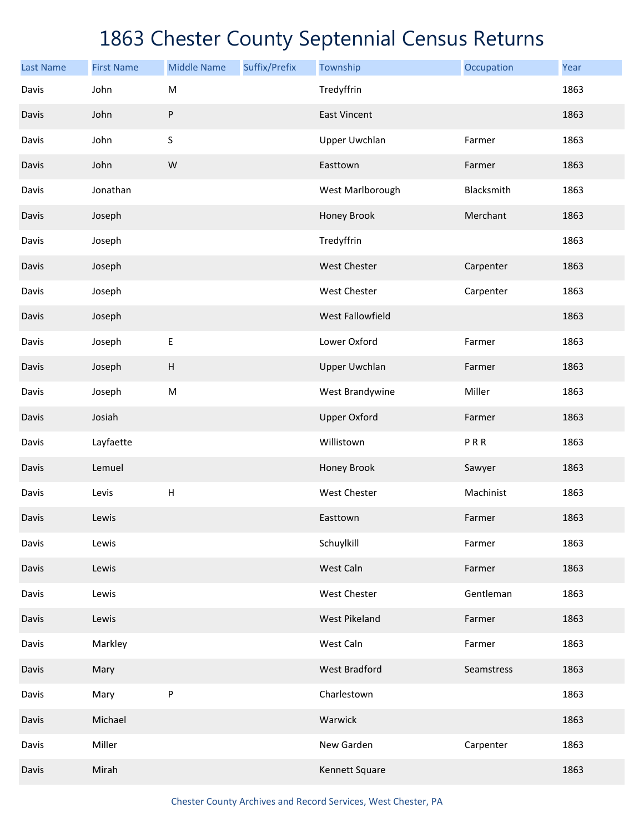| <b>Last Name</b> | <b>First Name</b> | <b>Middle Name</b> | Suffix/Prefix | Township                | Occupation | Year |
|------------------|-------------------|--------------------|---------------|-------------------------|------------|------|
| Davis            | John              | M                  |               | Tredyffrin              |            | 1863 |
| Davis            | John              | ${\sf P}$          |               | <b>East Vincent</b>     |            | 1863 |
| Davis            | John              | S                  |               | <b>Upper Uwchlan</b>    | Farmer     | 1863 |
| Davis            | John              | W                  |               | Easttown                | Farmer     | 1863 |
| Davis            | Jonathan          |                    |               | West Marlborough        | Blacksmith | 1863 |
| Davis            | Joseph            |                    |               | Honey Brook             | Merchant   | 1863 |
| Davis            | Joseph            |                    |               | Tredyffrin              |            | 1863 |
| Davis            | Joseph            |                    |               | <b>West Chester</b>     | Carpenter  | 1863 |
| Davis            | Joseph            |                    |               | West Chester            | Carpenter  | 1863 |
| Davis            | Joseph            |                    |               | <b>West Fallowfield</b> |            | 1863 |
| Davis            | Joseph            | E                  |               | Lower Oxford            | Farmer     | 1863 |
| Davis            | Joseph            | $\sf H$            |               | <b>Upper Uwchlan</b>    | Farmer     | 1863 |
| Davis            | Joseph            | ${\sf M}$          |               | West Brandywine         | Miller     | 1863 |
| Davis            | Josiah            |                    |               | <b>Upper Oxford</b>     | Farmer     | 1863 |
| Davis            | Layfaette         |                    |               | Willistown              | PRR        | 1863 |
| Davis            | Lemuel            |                    |               | Honey Brook             | Sawyer     | 1863 |
| Davis            | Levis             | Н                  |               | West Chester            | Machinist  | 1863 |
| Davis            | Lewis             |                    |               | Easttown                | Farmer     | 1863 |
| Davis            | Lewis             |                    |               | Schuylkill              | Farmer     | 1863 |
| Davis            | Lewis             |                    |               | West Caln               | Farmer     | 1863 |
| Davis            | Lewis             |                    |               | West Chester            | Gentleman  | 1863 |
| Davis            | Lewis             |                    |               | <b>West Pikeland</b>    | Farmer     | 1863 |
| Davis            | Markley           |                    |               | West Caln               | Farmer     | 1863 |
| Davis            | Mary              |                    |               | <b>West Bradford</b>    | Seamstress | 1863 |
| Davis            | Mary              | ${\sf P}$          |               | Charlestown             |            | 1863 |
| Davis            | Michael           |                    |               | Warwick                 |            | 1863 |
| Davis            | Miller            |                    |               | New Garden              | Carpenter  | 1863 |
| Davis            | Mirah             |                    |               | Kennett Square          |            | 1863 |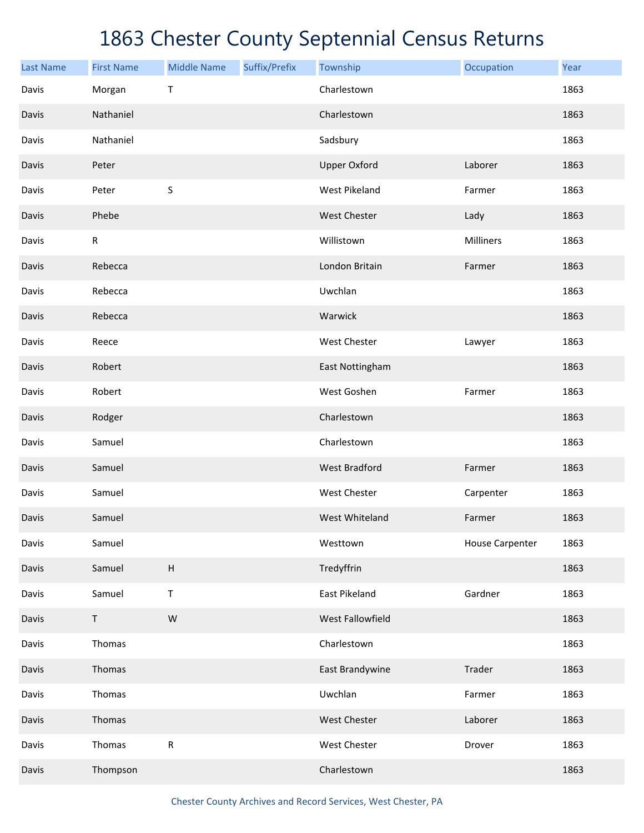| <b>Last Name</b> | <b>First Name</b> | <b>Middle Name</b>        | Suffix/Prefix | Township             | Occupation             | Year |
|------------------|-------------------|---------------------------|---------------|----------------------|------------------------|------|
| Davis            | Morgan            | Τ                         |               | Charlestown          |                        | 1863 |
| Davis            | Nathaniel         |                           |               | Charlestown          |                        | 1863 |
| Davis            | Nathaniel         |                           |               | Sadsbury             |                        | 1863 |
| Davis            | Peter             |                           |               | <b>Upper Oxford</b>  | Laborer                | 1863 |
| Davis            | Peter             | S                         |               | <b>West Pikeland</b> | Farmer                 | 1863 |
| Davis            | Phebe             |                           |               | <b>West Chester</b>  | Lady                   | 1863 |
| Davis            | $\mathsf R$       |                           |               | Willistown           | Milliners              | 1863 |
| Davis            | Rebecca           |                           |               | London Britain       | Farmer                 | 1863 |
| Davis            | Rebecca           |                           |               | Uwchlan              |                        | 1863 |
| Davis            | Rebecca           |                           |               | Warwick              |                        | 1863 |
| Davis            | Reece             |                           |               | West Chester         | Lawyer                 | 1863 |
| Davis            | Robert            |                           |               | East Nottingham      |                        | 1863 |
| Davis            | Robert            |                           |               | West Goshen          | Farmer                 | 1863 |
| Davis            | Rodger            |                           |               | Charlestown          |                        | 1863 |
| Davis            | Samuel            |                           |               | Charlestown          |                        | 1863 |
| Davis            | Samuel            |                           |               | <b>West Bradford</b> | Farmer                 | 1863 |
| Davis            | Samuel            |                           |               | West Chester         | Carpenter              | 1863 |
| Davis            | Samuel            |                           |               | West Whiteland       | Farmer                 | 1863 |
| Davis            | Samuel            |                           |               | Westtown             | <b>House Carpenter</b> | 1863 |
| Davis            | Samuel            | $\boldsymbol{\mathsf{H}}$ |               | Tredyffrin           |                        | 1863 |
| Davis            | Samuel            | $\sf T$                   |               | East Pikeland        | Gardner                | 1863 |
| Davis            | $\mathsf T$       | ${\sf W}$                 |               | West Fallowfield     |                        | 1863 |
| Davis            | Thomas            |                           |               | Charlestown          |                        | 1863 |
| Davis            | Thomas            |                           |               | East Brandywine      | Trader                 | 1863 |
| Davis            | Thomas            |                           |               | Uwchlan              | Farmer                 | 1863 |
| Davis            | Thomas            |                           |               | West Chester         | Laborer                | 1863 |
| Davis            | Thomas            | ${\sf R}$                 |               | West Chester         | Drover                 | 1863 |
| Davis            | Thompson          |                           |               | Charlestown          |                        | 1863 |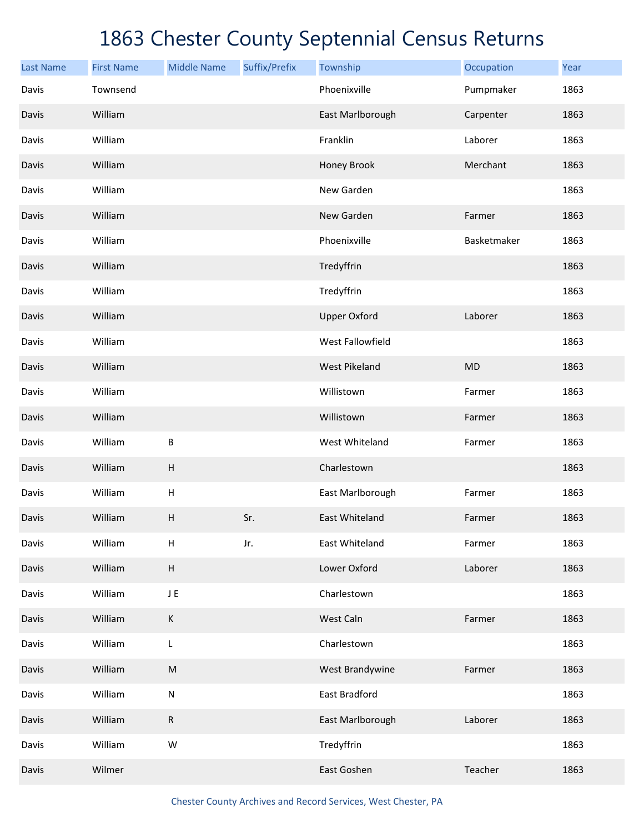| <b>Last Name</b> | <b>First Name</b> | <b>Middle Name</b>        | Suffix/Prefix | Township             | Occupation  | Year |
|------------------|-------------------|---------------------------|---------------|----------------------|-------------|------|
| Davis            | Townsend          |                           |               | Phoenixville         | Pumpmaker   | 1863 |
| Davis            | William           |                           |               | East Marlborough     | Carpenter   | 1863 |
| Davis            | William           |                           |               | Franklin             | Laborer     | 1863 |
| Davis            | William           |                           |               | Honey Brook          | Merchant    | 1863 |
| Davis            | William           |                           |               | New Garden           |             | 1863 |
| Davis            | William           |                           |               | New Garden           | Farmer      | 1863 |
| Davis            | William           |                           |               | Phoenixville         | Basketmaker | 1863 |
| Davis            | William           |                           |               | Tredyffrin           |             | 1863 |
| Davis            | William           |                           |               | Tredyffrin           |             | 1863 |
| Davis            | William           |                           |               | <b>Upper Oxford</b>  | Laborer     | 1863 |
| Davis            | William           |                           |               | West Fallowfield     |             | 1863 |
| Davis            | William           |                           |               | <b>West Pikeland</b> | <b>MD</b>   | 1863 |
| Davis            | William           |                           |               | Willistown           | Farmer      | 1863 |
| Davis            | William           |                           |               | Willistown           | Farmer      | 1863 |
| Davis            | William           | B                         |               | West Whiteland       | Farmer      | 1863 |
| Davis            | William           | $\sf H$                   |               | Charlestown          |             | 1863 |
| Davis            | William           | Н                         |               | East Marlborough     | Farmer      | 1863 |
| Davis            | William           | Н                         | Sr.           | East Whiteland       | Farmer      | 1863 |
| Davis            | William           | $\boldsymbol{\mathsf{H}}$ | Jr.           | East Whiteland       | Farmer      | 1863 |
| Davis            | William           | H                         |               | Lower Oxford         | Laborer     | 1863 |
| Davis            | William           | JE                        |               | Charlestown          |             | 1863 |
| Davis            | William           | К                         |               | West Caln            | Farmer      | 1863 |
| Davis            | William           | $\mathsf L$               |               | Charlestown          |             | 1863 |
| Davis            | William           | M                         |               | West Brandywine      | Farmer      | 1863 |
| Davis            | William           | ${\sf N}$                 |               | East Bradford        |             | 1863 |
| Davis            | William           | ${\sf R}$                 |               | East Marlborough     | Laborer     | 1863 |
| Davis            | William           | W                         |               | Tredyffrin           |             | 1863 |
| Davis            | Wilmer            |                           |               | East Goshen          | Teacher     | 1863 |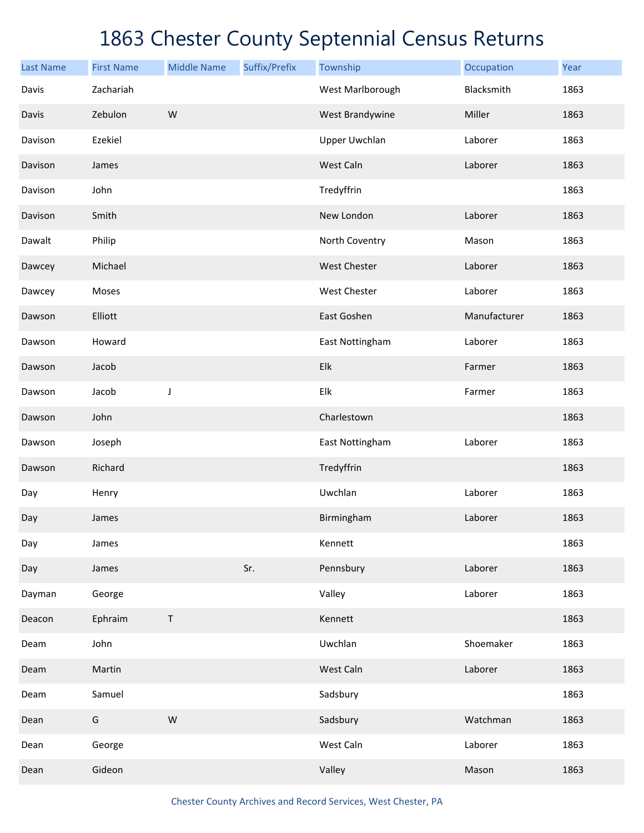| <b>Last Name</b> | <b>First Name</b> | <b>Middle Name</b> | Suffix/Prefix | Township             | Occupation   | Year |
|------------------|-------------------|--------------------|---------------|----------------------|--------------|------|
| Davis            | Zachariah         |                    |               | West Marlborough     | Blacksmith   | 1863 |
| Davis            | Zebulon           | ${\sf W}$          |               | West Brandywine      | Miller       | 1863 |
| Davison          | Ezekiel           |                    |               | <b>Upper Uwchlan</b> | Laborer      | 1863 |
| Davison          | James             |                    |               | West Caln            | Laborer      | 1863 |
| Davison          | John              |                    |               | Tredyffrin           |              | 1863 |
| Davison          | Smith             |                    |               | New London           | Laborer      | 1863 |
| Dawalt           | Philip            |                    |               | North Coventry       | Mason        | 1863 |
| Dawcey           | Michael           |                    |               | West Chester         | Laborer      | 1863 |
| Dawcey           | Moses             |                    |               | West Chester         | Laborer      | 1863 |
| Dawson           | Elliott           |                    |               | East Goshen          | Manufacturer | 1863 |
| Dawson           | Howard            |                    |               | East Nottingham      | Laborer      | 1863 |
| Dawson           | Jacob             |                    |               | Elk                  | Farmer       | 1863 |
| Dawson           | Jacob             | J                  |               | Elk                  | Farmer       | 1863 |
| Dawson           | John              |                    |               | Charlestown          |              | 1863 |
| Dawson           | Joseph            |                    |               | East Nottingham      | Laborer      | 1863 |
| Dawson           | Richard           |                    |               | Tredyffrin           |              | 1863 |
| Day              | Henry             |                    |               | Uwchlan              | Laborer      | 1863 |
| Day              | James             |                    |               | Birmingham           | Laborer      | 1863 |
| Day              | James             |                    |               | Kennett              |              | 1863 |
| Day              | James             |                    | Sr.           | Pennsbury            | Laborer      | 1863 |
| Dayman           | George            |                    |               | Valley               | Laborer      | 1863 |
| Deacon           | Ephraim           | $\mathsf{T}$       |               | Kennett              |              | 1863 |
| Deam             | John              |                    |               | Uwchlan              | Shoemaker    | 1863 |
| Deam             | Martin            |                    |               | West Caln            | Laborer      | 1863 |
| Deam             | Samuel            |                    |               | Sadsbury             |              | 1863 |
| Dean             | G                 | ${\sf W}$          |               | Sadsbury             | Watchman     | 1863 |
| Dean             | George            |                    |               | West Caln            | Laborer      | 1863 |
| Dean             | Gideon            |                    |               | Valley               | Mason        | 1863 |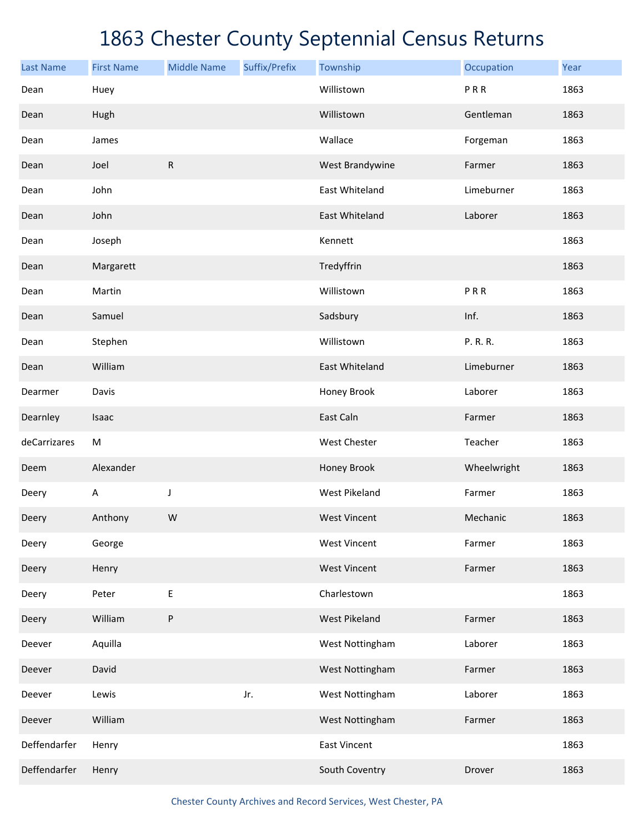| <b>Last Name</b> | <b>First Name</b> | <b>Middle Name</b> | Suffix/Prefix | Township              | Occupation  | Year |
|------------------|-------------------|--------------------|---------------|-----------------------|-------------|------|
| Dean             | Huey              |                    |               | Willistown            | PRR         | 1863 |
| Dean             | Hugh              |                    |               | Willistown            | Gentleman   | 1863 |
| Dean             | James             |                    |               | Wallace               | Forgeman    | 1863 |
| Dean             | Joel              | ${\sf R}$          |               | West Brandywine       | Farmer      | 1863 |
| Dean             | John              |                    |               | East Whiteland        | Limeburner  | 1863 |
| Dean             | John              |                    |               | <b>East Whiteland</b> | Laborer     | 1863 |
| Dean             | Joseph            |                    |               | Kennett               |             | 1863 |
| Dean             | Margarett         |                    |               | Tredyffrin            |             | 1863 |
| Dean             | Martin            |                    |               | Willistown            | PRR         | 1863 |
| Dean             | Samuel            |                    |               | Sadsbury              | Inf.        | 1863 |
| Dean             | Stephen           |                    |               | Willistown            | P. R. R.    | 1863 |
| Dean             | William           |                    |               | East Whiteland        | Limeburner  | 1863 |
| Dearmer          | Davis             |                    |               | Honey Brook           | Laborer     | 1863 |
| Dearnley         | Isaac             |                    |               | East Caln             | Farmer      | 1863 |
| deCarrizares     | M                 |                    |               | West Chester          | Teacher     | 1863 |
| Deem             | Alexander         |                    |               | Honey Brook           | Wheelwright | 1863 |
| Deery            | A                 | J                  |               | <b>West Pikeland</b>  | Farmer      | 1863 |
| Deery            | Anthony           | W                  |               | <b>West Vincent</b>   | Mechanic    | 1863 |
| Deery            | George            |                    |               | <b>West Vincent</b>   | Farmer      | 1863 |
| Deery            | Henry             |                    |               | <b>West Vincent</b>   | Farmer      | 1863 |
| Deery            | Peter             | Ε                  |               | Charlestown           |             | 1863 |
| Deery            | William           | P                  |               | West Pikeland         | Farmer      | 1863 |
| Deever           | Aquilla           |                    |               | West Nottingham       | Laborer     | 1863 |
| Deever           | David             |                    |               | West Nottingham       | Farmer      | 1863 |
| Deever           | Lewis             |                    | Jr.           | West Nottingham       | Laborer     | 1863 |
| Deever           | William           |                    |               | West Nottingham       | Farmer      | 1863 |
| Deffendarfer     | Henry             |                    |               | <b>East Vincent</b>   |             | 1863 |
| Deffendarfer     | Henry             |                    |               | South Coventry        | Drover      | 1863 |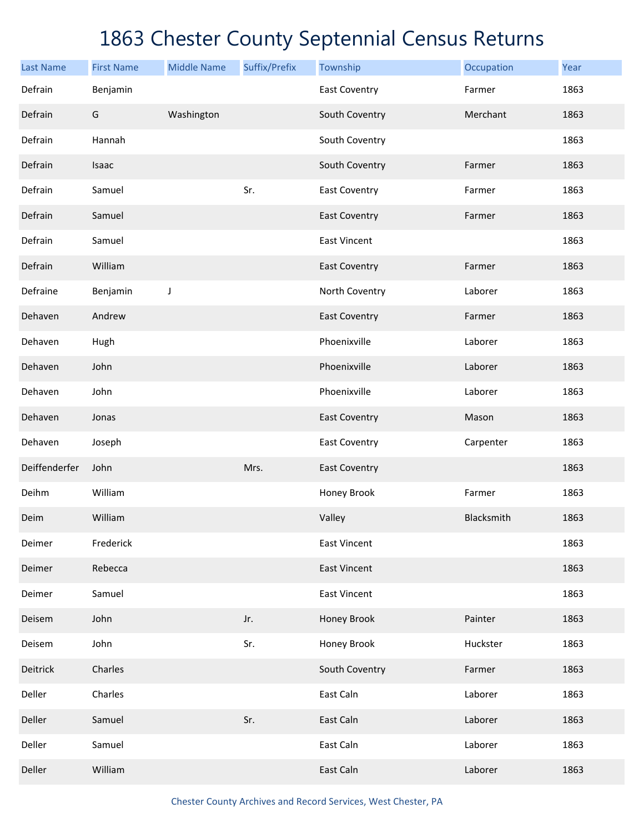| <b>Last Name</b> | <b>First Name</b> | <b>Middle Name</b> | Suffix/Prefix | Township             | Occupation | Year |
|------------------|-------------------|--------------------|---------------|----------------------|------------|------|
| Defrain          | Benjamin          |                    |               | <b>East Coventry</b> | Farmer     | 1863 |
| Defrain          | G                 | Washington         |               | South Coventry       | Merchant   | 1863 |
| Defrain          | Hannah            |                    |               | South Coventry       |            | 1863 |
| Defrain          | Isaac             |                    |               | South Coventry       | Farmer     | 1863 |
| Defrain          | Samuel            |                    | Sr.           | <b>East Coventry</b> | Farmer     | 1863 |
| Defrain          | Samuel            |                    |               | <b>East Coventry</b> | Farmer     | 1863 |
| Defrain          | Samuel            |                    |               | <b>East Vincent</b>  |            | 1863 |
| Defrain          | William           |                    |               | <b>East Coventry</b> | Farmer     | 1863 |
| Defraine         | Benjamin          | J                  |               | North Coventry       | Laborer    | 1863 |
| Dehaven          | Andrew            |                    |               | <b>East Coventry</b> | Farmer     | 1863 |
| Dehaven          | Hugh              |                    |               | Phoenixville         | Laborer    | 1863 |
| Dehaven          | John              |                    |               | Phoenixville         | Laborer    | 1863 |
| Dehaven          | John              |                    |               | Phoenixville         | Laborer    | 1863 |
| Dehaven          | Jonas             |                    |               | <b>East Coventry</b> | Mason      | 1863 |
| Dehaven          | Joseph            |                    |               | <b>East Coventry</b> | Carpenter  | 1863 |
| Deiffenderfer    | John              |                    | Mrs.          | <b>East Coventry</b> |            | 1863 |
| Deihm            | William           |                    |               | Honey Brook          | Farmer     | 1863 |
| Deim             | William           |                    |               | Valley               | Blacksmith | 1863 |
| Deimer           | Frederick         |                    |               | <b>East Vincent</b>  |            | 1863 |
| Deimer           | Rebecca           |                    |               | <b>East Vincent</b>  |            | 1863 |
| Deimer           | Samuel            |                    |               | <b>East Vincent</b>  |            | 1863 |
| Deisem           | John              |                    | Jr.           | Honey Brook          | Painter    | 1863 |
| Deisem           | John              |                    | Sr.           | Honey Brook          | Huckster   | 1863 |
| Deitrick         | Charles           |                    |               | South Coventry       | Farmer     | 1863 |
| Deller           | Charles           |                    |               | East Caln            | Laborer    | 1863 |
| Deller           | Samuel            |                    | Sr.           | East Caln            | Laborer    | 1863 |
| Deller           | Samuel            |                    |               | East Caln            | Laborer    | 1863 |
| Deller           | William           |                    |               | East Caln            | Laborer    | 1863 |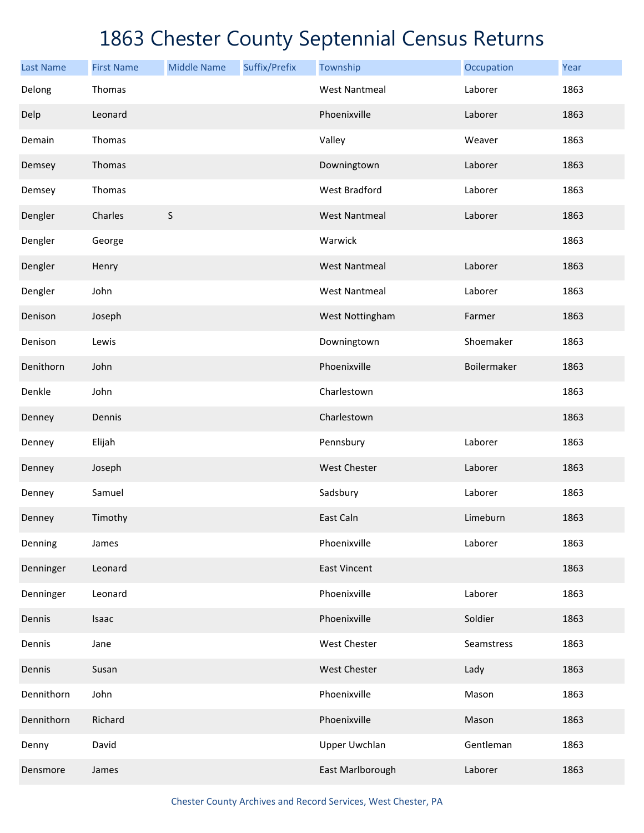| <b>Last Name</b> | <b>First Name</b> | <b>Middle Name</b> | Suffix/Prefix | Township             | Occupation  | Year |
|------------------|-------------------|--------------------|---------------|----------------------|-------------|------|
| Delong           | Thomas            |                    |               | <b>West Nantmeal</b> | Laborer     | 1863 |
| Delp             | Leonard           |                    |               | Phoenixville         | Laborer     | 1863 |
| Demain           | Thomas            |                    |               | Valley               | Weaver      | 1863 |
| Demsey           | Thomas            |                    |               | Downingtown          | Laborer     | 1863 |
| Demsey           | Thomas            |                    |               | <b>West Bradford</b> | Laborer     | 1863 |
| Dengler          | Charles           | $\sf S$            |               | <b>West Nantmeal</b> | Laborer     | 1863 |
| Dengler          | George            |                    |               | Warwick              |             | 1863 |
| Dengler          | Henry             |                    |               | <b>West Nantmeal</b> | Laborer     | 1863 |
| Dengler          | John              |                    |               | <b>West Nantmeal</b> | Laborer     | 1863 |
| Denison          | Joseph            |                    |               | West Nottingham      | Farmer      | 1863 |
| Denison          | Lewis             |                    |               | Downingtown          | Shoemaker   | 1863 |
| Denithorn        | John              |                    |               | Phoenixville         | Boilermaker | 1863 |
| Denkle           | John              |                    |               | Charlestown          |             | 1863 |
| Denney           | Dennis            |                    |               | Charlestown          |             | 1863 |
| Denney           | Elijah            |                    |               | Pennsbury            | Laborer     | 1863 |
| Denney           | Joseph            |                    |               | <b>West Chester</b>  | Laborer     | 1863 |
| Denney           | Samuel            |                    |               | Sadsbury             | Laborer     | 1863 |
| Denney           | Timothy           |                    |               | East Caln            | Limeburn    | 1863 |
| Denning          | James             |                    |               | Phoenixville         | Laborer     | 1863 |
| Denninger        | Leonard           |                    |               | <b>East Vincent</b>  |             | 1863 |
| Denninger        | Leonard           |                    |               | Phoenixville         | Laborer     | 1863 |
| Dennis           | Isaac             |                    |               | Phoenixville         | Soldier     | 1863 |
| Dennis           | Jane              |                    |               | West Chester         | Seamstress  | 1863 |
| Dennis           | Susan             |                    |               | West Chester         | Lady        | 1863 |
| Dennithorn       | John              |                    |               | Phoenixville         | Mason       | 1863 |
| Dennithorn       | Richard           |                    |               | Phoenixville         | Mason       | 1863 |
| Denny            | David             |                    |               | <b>Upper Uwchlan</b> | Gentleman   | 1863 |
| Densmore         | James             |                    |               | East Marlborough     | Laborer     | 1863 |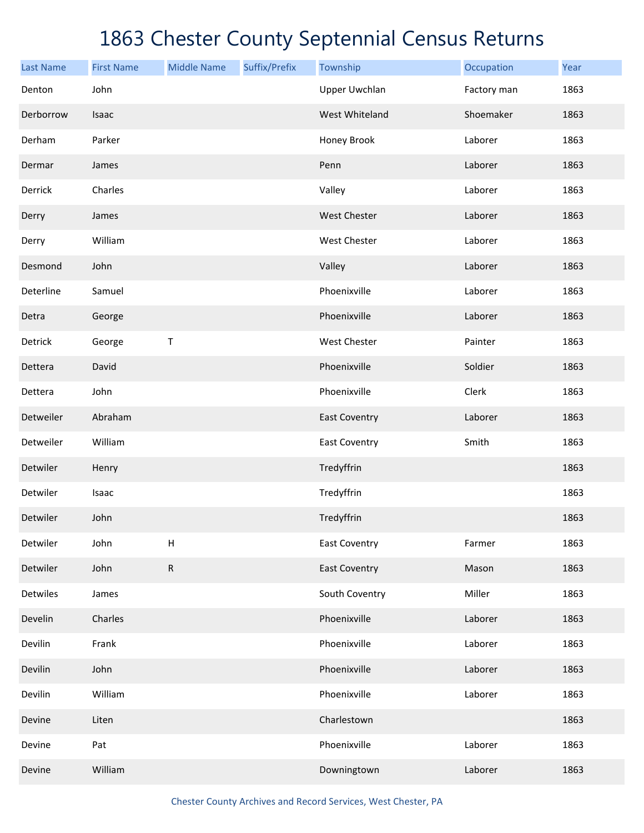| <b>Last Name</b> | <b>First Name</b> | <b>Middle Name</b> | Suffix/Prefix | Township             | Occupation  | Year |
|------------------|-------------------|--------------------|---------------|----------------------|-------------|------|
| Denton           | John              |                    |               | <b>Upper Uwchlan</b> | Factory man | 1863 |
| Derborrow        | Isaac             |                    |               | West Whiteland       | Shoemaker   | 1863 |
| Derham           | Parker            |                    |               | Honey Brook          | Laborer     | 1863 |
| Dermar           | James             |                    |               | Penn                 | Laborer     | 1863 |
| Derrick          | Charles           |                    |               | Valley               | Laborer     | 1863 |
| Derry            | James             |                    |               | <b>West Chester</b>  | Laborer     | 1863 |
| Derry            | William           |                    |               | West Chester         | Laborer     | 1863 |
| Desmond          | John              |                    |               | Valley               | Laborer     | 1863 |
| Deterline        | Samuel            |                    |               | Phoenixville         | Laborer     | 1863 |
| Detra            | George            |                    |               | Phoenixville         | Laborer     | 1863 |
| Detrick          | George            | Τ                  |               | <b>West Chester</b>  | Painter     | 1863 |
| Dettera          | David             |                    |               | Phoenixville         | Soldier     | 1863 |
| Dettera          | John              |                    |               | Phoenixville         | Clerk       | 1863 |
| Detweiler        | Abraham           |                    |               | <b>East Coventry</b> | Laborer     | 1863 |
| Detweiler        | William           |                    |               | <b>East Coventry</b> | Smith       | 1863 |
| Detwiler         | Henry             |                    |               | Tredyffrin           |             | 1863 |
| Detwiler         | Isaac             |                    |               | Tredyffrin           |             | 1863 |
| Detwiler         | John              |                    |               | Tredyffrin           |             | 1863 |
| Detwiler         | John              | $\mathsf H$        |               | <b>East Coventry</b> | Farmer      | 1863 |
| Detwiler         | John              | ${\sf R}$          |               | <b>East Coventry</b> | Mason       | 1863 |
| Detwiles         | James             |                    |               | South Coventry       | Miller      | 1863 |
| Develin          | Charles           |                    |               | Phoenixville         | Laborer     | 1863 |
| Devilin          | Frank             |                    |               | Phoenixville         | Laborer     | 1863 |
| Devilin          | John              |                    |               | Phoenixville         | Laborer     | 1863 |
| Devilin          | William           |                    |               | Phoenixville         | Laborer     | 1863 |
| Devine           | Liten             |                    |               | Charlestown          |             | 1863 |
| Devine           | Pat               |                    |               | Phoenixville         | Laborer     | 1863 |
| Devine           | William           |                    |               | Downingtown          | Laborer     | 1863 |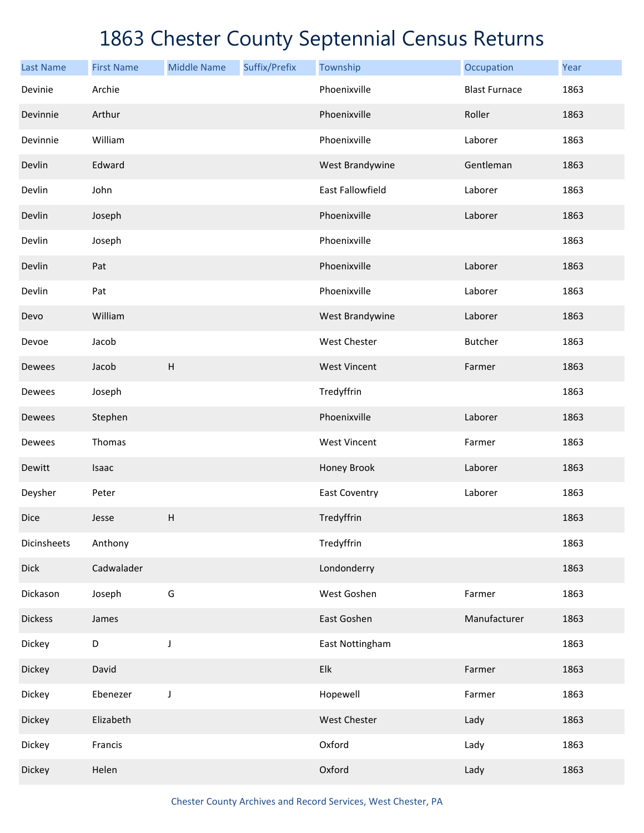| <b>Last Name</b> | <b>First Name</b> | <b>Middle Name</b>        | Suffix/Prefix | Township                  | Occupation           | Year |
|------------------|-------------------|---------------------------|---------------|---------------------------|----------------------|------|
| Devinie          | Archie            |                           |               | Phoenixville              | <b>Blast Furnace</b> | 1863 |
| Devinnie         | Arthur            |                           |               | Phoenixville              | Roller               | 1863 |
| Devinnie         | William           |                           |               | Phoenixville              | Laborer              | 1863 |
| Devlin           | Edward            |                           |               | West Brandywine           | Gentleman            | 1863 |
| Devlin           | John              |                           |               | East Fallowfield          | Laborer              | 1863 |
| Devlin           | Joseph            |                           |               | Phoenixville              | Laborer              | 1863 |
| Devlin           | Joseph            |                           |               | Phoenixville              |                      | 1863 |
| Devlin           | Pat               |                           |               | Phoenixville              | Laborer              | 1863 |
| Devlin           | Pat               |                           |               | Phoenixville              | Laborer              | 1863 |
| Devo             | William           |                           |               | West Brandywine           | Laborer              | 1863 |
| Devoe            | Jacob             |                           |               | West Chester              | <b>Butcher</b>       | 1863 |
| Dewees           | Jacob             | $\boldsymbol{\mathsf{H}}$ |               | <b>West Vincent</b>       | Farmer               | 1863 |
| Dewees           | Joseph            |                           |               | Tredyffrin                |                      | 1863 |
| Dewees           | Stephen           |                           |               | Phoenixville              | Laborer              | 1863 |
| Dewees           | Thomas            |                           |               | <b>West Vincent</b>       | Farmer               | 1863 |
| Dewitt           | Isaac             |                           |               | Honey Brook               | Laborer              | 1863 |
| Deysher          | Peter             |                           |               | <b>East Coventry</b>      | Laborer              | 1863 |
| <b>Dice</b>      | Jesse             | $\sf H$                   |               | Tredyffrin                |                      | 1863 |
| Dicinsheets      | Anthony           |                           |               | Tredyffrin                |                      | 1863 |
| Dick             | Cadwalader        |                           |               | Londonderry               |                      | 1863 |
| Dickason         | Joseph            | G                         |               | West Goshen               | Farmer               | 1863 |
| <b>Dickess</b>   | James             |                           |               | East Goshen               | Manufacturer         | 1863 |
| Dickey           | $\mathsf D$       | J                         |               | East Nottingham           |                      | 1863 |
| Dickey           | David             |                           |               | ${\sf E} {\sf I} {\sf k}$ | Farmer               | 1863 |
| Dickey           | Ebenezer          | J                         |               | Hopewell                  | Farmer               | 1863 |
| Dickey           | Elizabeth         |                           |               | West Chester              | Lady                 | 1863 |
| Dickey           | Francis           |                           |               | Oxford                    | Lady                 | 1863 |
| Dickey           | Helen             |                           |               | Oxford                    | Lady                 | 1863 |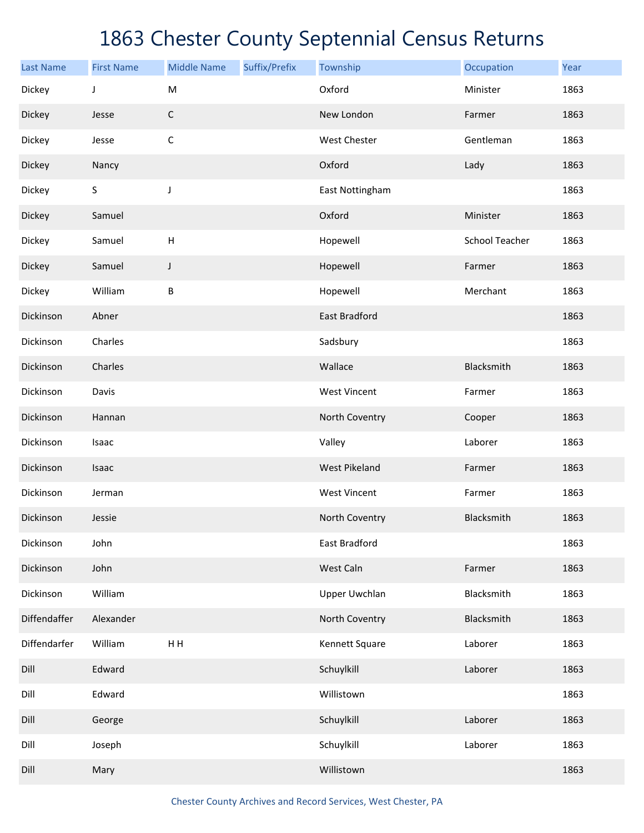| <b>Last Name</b> | <b>First Name</b> | <b>Middle Name</b> | Suffix/Prefix | Township             | Occupation            | Year |
|------------------|-------------------|--------------------|---------------|----------------------|-----------------------|------|
| Dickey           | J                 | ${\sf M}$          |               | Oxford               | Minister              | 1863 |
| Dickey           | Jesse             | $\mathsf C$        |               | New London           | Farmer                | 1863 |
| Dickey           | Jesse             | $\mathsf C$        |               | West Chester         | Gentleman             | 1863 |
| Dickey           | Nancy             |                    |               | Oxford               | Lady                  | 1863 |
| Dickey           | $\sf S$           | J                  |               | East Nottingham      |                       | 1863 |
| Dickey           | Samuel            |                    |               | Oxford               | Minister              | 1863 |
| Dickey           | Samuel            | H                  |               | Hopewell             | <b>School Teacher</b> | 1863 |
| Dickey           | Samuel            | J                  |               | Hopewell             | Farmer                | 1863 |
| Dickey           | William           | B                  |               | Hopewell             | Merchant              | 1863 |
| Dickinson        | Abner             |                    |               | <b>East Bradford</b> |                       | 1863 |
| Dickinson        | Charles           |                    |               | Sadsbury             |                       | 1863 |
| Dickinson        | Charles           |                    |               | Wallace              | Blacksmith            | 1863 |
| Dickinson        | Davis             |                    |               | <b>West Vincent</b>  | Farmer                | 1863 |
| Dickinson        | Hannan            |                    |               | North Coventry       | Cooper                | 1863 |
| Dickinson        | Isaac             |                    |               | Valley               | Laborer               | 1863 |
| Dickinson        | Isaac             |                    |               | <b>West Pikeland</b> | Farmer                | 1863 |
| Dickinson        | Jerman            |                    |               | <b>West Vincent</b>  | Farmer                | 1863 |
| Dickinson        | Jessie            |                    |               | North Coventry       | Blacksmith            | 1863 |
| Dickinson        | John              |                    |               | East Bradford        |                       | 1863 |
| Dickinson        | John              |                    |               | West Caln            | Farmer                | 1863 |
| Dickinson        | William           |                    |               | <b>Upper Uwchlan</b> | Blacksmith            | 1863 |
| Diffendaffer     | Alexander         |                    |               | North Coventry       | Blacksmith            | 1863 |
| Diffendarfer     | William           | HH                 |               | Kennett Square       | Laborer               | 1863 |
| Dill             | Edward            |                    |               | Schuylkill           | Laborer               | 1863 |
| Dill             | Edward            |                    |               | Willistown           |                       | 1863 |
| Dill             | George            |                    |               | Schuylkill           | Laborer               | 1863 |
| Dill             | Joseph            |                    |               | Schuylkill           | Laborer               | 1863 |
| Dill             | Mary              |                    |               | Willistown           |                       | 1863 |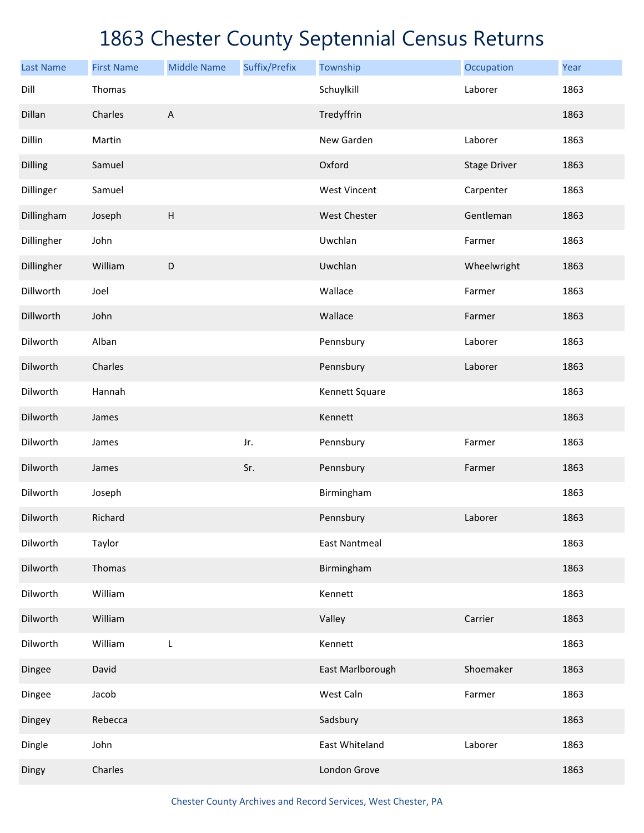| <b>Last Name</b> | <b>First Name</b> | <b>Middle Name</b>        | Suffix/Prefix | Township             | Occupation          | Year |
|------------------|-------------------|---------------------------|---------------|----------------------|---------------------|------|
| Dill             | Thomas            |                           |               | Schuylkill           | Laborer             | 1863 |
| Dillan           | Charles           | $\boldsymbol{\mathsf{A}}$ |               | Tredyffrin           |                     | 1863 |
| Dillin           | Martin            |                           |               | New Garden           | Laborer             | 1863 |
| Dilling          | Samuel            |                           |               | Oxford               | <b>Stage Driver</b> | 1863 |
| Dillinger        | Samuel            |                           |               | <b>West Vincent</b>  | Carpenter           | 1863 |
| Dillingham       | Joseph            | $\boldsymbol{\mathsf{H}}$ |               | <b>West Chester</b>  | Gentleman           | 1863 |
| Dillingher       | John              |                           |               | Uwchlan              | Farmer              | 1863 |
| Dillingher       | William           | $\mathsf D$               |               | Uwchlan              | Wheelwright         | 1863 |
| Dillworth        | Joel              |                           |               | Wallace              | Farmer              | 1863 |
| Dillworth        | John              |                           |               | Wallace              | Farmer              | 1863 |
| Dilworth         | Alban             |                           |               | Pennsbury            | Laborer             | 1863 |
| Dilworth         | Charles           |                           |               | Pennsbury            | Laborer             | 1863 |
| Dilworth         | Hannah            |                           |               | Kennett Square       |                     | 1863 |
| Dilworth         | James             |                           |               | Kennett              |                     | 1863 |
| Dilworth         | James             |                           | Jr.           | Pennsbury            | Farmer              | 1863 |
| Dilworth         | James             |                           | Sr.           | Pennsbury            | Farmer              | 1863 |
| Dilworth         | Joseph            |                           |               | Birmingham           |                     | 1863 |
| Dilworth         | Richard           |                           |               | Pennsbury            | Laborer             | 1863 |
| Dilworth         | Taylor            |                           |               | <b>East Nantmeal</b> |                     | 1863 |
| Dilworth         | Thomas            |                           |               | Birmingham           |                     | 1863 |
| Dilworth         | William           |                           |               | Kennett              |                     | 1863 |
| Dilworth         | William           |                           |               | Valley               | Carrier             | 1863 |
| Dilworth         | William           | L                         |               | Kennett              |                     | 1863 |
| Dingee           | David             |                           |               | East Marlborough     | Shoemaker           | 1863 |
| Dingee           | Jacob             |                           |               | West Caln            | Farmer              | 1863 |
| Dingey           | Rebecca           |                           |               | Sadsbury             |                     | 1863 |
| Dingle           | John              |                           |               | East Whiteland       | Laborer             | 1863 |
| Dingy            | Charles           |                           |               | London Grove         |                     | 1863 |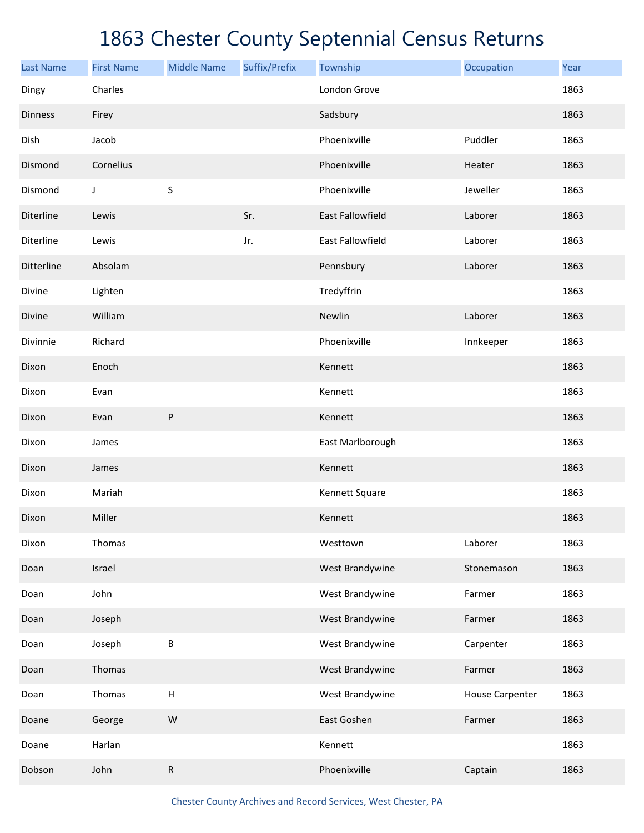| <b>Last Name</b> | <b>First Name</b> | <b>Middle Name</b>        | Suffix/Prefix | Township         | Occupation             | Year |
|------------------|-------------------|---------------------------|---------------|------------------|------------------------|------|
| Dingy            | Charles           |                           |               | London Grove     |                        | 1863 |
| Dinness          | Firey             |                           |               | Sadsbury         |                        | 1863 |
| Dish             | Jacob             |                           |               | Phoenixville     | Puddler                | 1863 |
| Dismond          | Cornelius         |                           |               | Phoenixville     | Heater                 | 1863 |
| Dismond          | J                 | S                         |               | Phoenixville     | Jeweller               | 1863 |
| Diterline        | Lewis             |                           | Sr.           | East Fallowfield | Laborer                | 1863 |
| Diterline        | Lewis             |                           | Jr.           | East Fallowfield | Laborer                | 1863 |
| Ditterline       | Absolam           |                           |               | Pennsbury        | Laborer                | 1863 |
| Divine           | Lighten           |                           |               | Tredyffrin       |                        | 1863 |
| Divine           | William           |                           |               | Newlin           | Laborer                | 1863 |
| Divinnie         | Richard           |                           |               | Phoenixville     | Innkeeper              | 1863 |
| Dixon            | Enoch             |                           |               | Kennett          |                        | 1863 |
| Dixon            | Evan              |                           |               | Kennett          |                        | 1863 |
| Dixon            | Evan              | P                         |               | Kennett          |                        | 1863 |
| Dixon            | James             |                           |               | East Marlborough |                        | 1863 |
| Dixon            | James             |                           |               | Kennett          |                        | 1863 |
| Dixon            | Mariah            |                           |               | Kennett Square   |                        | 1863 |
| Dixon            | Miller            |                           |               | Kennett          |                        | 1863 |
| Dixon            | Thomas            |                           |               | Westtown         | Laborer                | 1863 |
| Doan             | Israel            |                           |               | West Brandywine  | Stonemason             | 1863 |
| Doan             | John              |                           |               | West Brandywine  | Farmer                 | 1863 |
| Doan             | Joseph            |                           |               | West Brandywine  | Farmer                 | 1863 |
| Doan             | Joseph            | $\sf B$                   |               | West Brandywine  | Carpenter              | 1863 |
| Doan             | Thomas            |                           |               | West Brandywine  | Farmer                 | 1863 |
| Doan             | Thomas            | $\boldsymbol{\mathsf{H}}$ |               | West Brandywine  | <b>House Carpenter</b> | 1863 |
| Doane            | George            | W                         |               | East Goshen      | Farmer                 | 1863 |
| Doane            | Harlan            |                           |               | Kennett          |                        | 1863 |
| Dobson           | John              | $\mathsf R$               |               | Phoenixville     | Captain                | 1863 |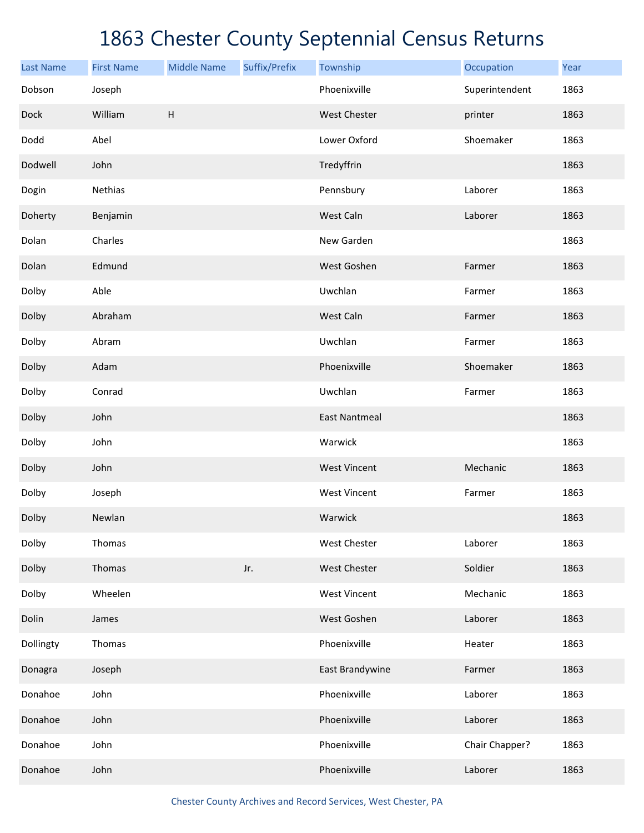| <b>Last Name</b> | <b>First Name</b> | <b>Middle Name</b>        | Suffix/Prefix | Township             | Occupation     | Year |
|------------------|-------------------|---------------------------|---------------|----------------------|----------------|------|
| Dobson           | Joseph            |                           |               | Phoenixville         | Superintendent | 1863 |
| Dock             | William           | $\boldsymbol{\mathsf{H}}$ |               | West Chester         | printer        | 1863 |
| Dodd             | Abel              |                           |               | Lower Oxford         | Shoemaker      | 1863 |
| Dodwell          | John              |                           |               | Tredyffrin           |                | 1863 |
| Dogin            | Nethias           |                           |               | Pennsbury            | Laborer        | 1863 |
| Doherty          | Benjamin          |                           |               | West Caln            | Laborer        | 1863 |
| Dolan            | Charles           |                           |               | New Garden           |                | 1863 |
| Dolan            | Edmund            |                           |               | West Goshen          | Farmer         | 1863 |
| Dolby            | Able              |                           |               | Uwchlan              | Farmer         | 1863 |
| Dolby            | Abraham           |                           |               | West Caln            | Farmer         | 1863 |
| Dolby            | Abram             |                           |               | Uwchlan              | Farmer         | 1863 |
| Dolby            | Adam              |                           |               | Phoenixville         | Shoemaker      | 1863 |
| Dolby            | Conrad            |                           |               | Uwchlan              | Farmer         | 1863 |
| Dolby            | John              |                           |               | <b>East Nantmeal</b> |                | 1863 |
| Dolby            | John              |                           |               | Warwick              |                | 1863 |
| Dolby            | John              |                           |               | <b>West Vincent</b>  | Mechanic       | 1863 |
| Dolby            | Joseph            |                           |               | <b>West Vincent</b>  | Farmer         | 1863 |
| Dolby            | Newlan            |                           |               | Warwick              |                | 1863 |
| Dolby            | Thomas            |                           |               | West Chester         | Laborer        | 1863 |
| Dolby            | Thomas            |                           | Jr.           | West Chester         | Soldier        | 1863 |
| Dolby            | Wheelen           |                           |               | <b>West Vincent</b>  | Mechanic       | 1863 |
| Dolin            | James             |                           |               | West Goshen          | Laborer        | 1863 |
| Dollingty        | Thomas            |                           |               | Phoenixville         | Heater         | 1863 |
| Donagra          | Joseph            |                           |               | East Brandywine      | Farmer         | 1863 |
| Donahoe          | John              |                           |               | Phoenixville         | Laborer        | 1863 |
| Donahoe          | John              |                           |               | Phoenixville         | Laborer        | 1863 |
| Donahoe          | John              |                           |               | Phoenixville         | Chair Chapper? | 1863 |
| Donahoe          | John              |                           |               | Phoenixville         | Laborer        | 1863 |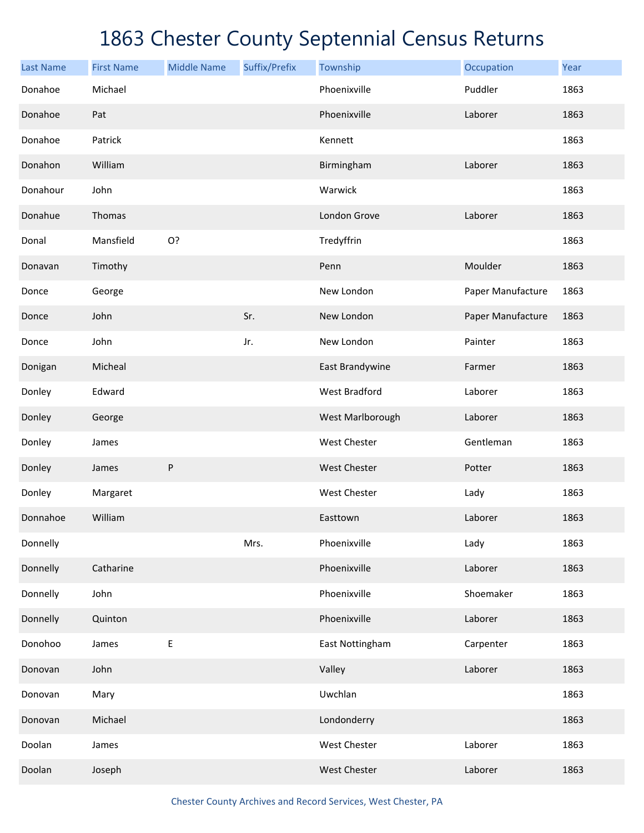| <b>Last Name</b> | <b>First Name</b> | <b>Middle Name</b> | Suffix/Prefix | Township             | Occupation        | Year |
|------------------|-------------------|--------------------|---------------|----------------------|-------------------|------|
| Donahoe          | Michael           |                    |               | Phoenixville         | Puddler           | 1863 |
| Donahoe          | Pat               |                    |               | Phoenixville         | Laborer           | 1863 |
| Donahoe          | Patrick           |                    |               | Kennett              |                   | 1863 |
| Donahon          | William           |                    |               | Birmingham           | Laborer           | 1863 |
| Donahour         | John              |                    |               | Warwick              |                   | 1863 |
| Donahue          | Thomas            |                    |               | London Grove         | Laborer           | 1863 |
| Donal            | Mansfield         | O?                 |               | Tredyffrin           |                   | 1863 |
| Donavan          | Timothy           |                    |               | Penn                 | Moulder           | 1863 |
| Donce            | George            |                    |               | New London           | Paper Manufacture | 1863 |
| Donce            | John              |                    | Sr.           | New London           | Paper Manufacture | 1863 |
| Donce            | John              |                    | Jr.           | New London           | Painter           | 1863 |
| Donigan          | Micheal           |                    |               | East Brandywine      | Farmer            | 1863 |
| Donley           | Edward            |                    |               | <b>West Bradford</b> | Laborer           | 1863 |
| Donley           | George            |                    |               | West Marlborough     | Laborer           | 1863 |
| Donley           | James             |                    |               | West Chester         | Gentleman         | 1863 |
| Donley           | James             | ${\sf P}$          |               | <b>West Chester</b>  | Potter            | 1863 |
| Donley           | Margaret          |                    |               | West Chester         | Lady              | 1863 |
| Donnahoe         | William           |                    |               | Easttown             | Laborer           | 1863 |
| Donnelly         |                   |                    | Mrs.          | Phoenixville         | Lady              | 1863 |
| Donnelly         | Catharine         |                    |               | Phoenixville         | Laborer           | 1863 |
| Donnelly         | John              |                    |               | Phoenixville         | Shoemaker         | 1863 |
| Donnelly         | Quinton           |                    |               | Phoenixville         | Laborer           | 1863 |
| Donohoo          | James             | $\sf E$            |               | East Nottingham      | Carpenter         | 1863 |
| Donovan          | John              |                    |               | Valley               | Laborer           | 1863 |
| Donovan          | Mary              |                    |               | Uwchlan              |                   | 1863 |
| Donovan          | Michael           |                    |               | Londonderry          |                   | 1863 |
| Doolan           | James             |                    |               | West Chester         | Laborer           | 1863 |
| Doolan           | Joseph            |                    |               | West Chester         | Laborer           | 1863 |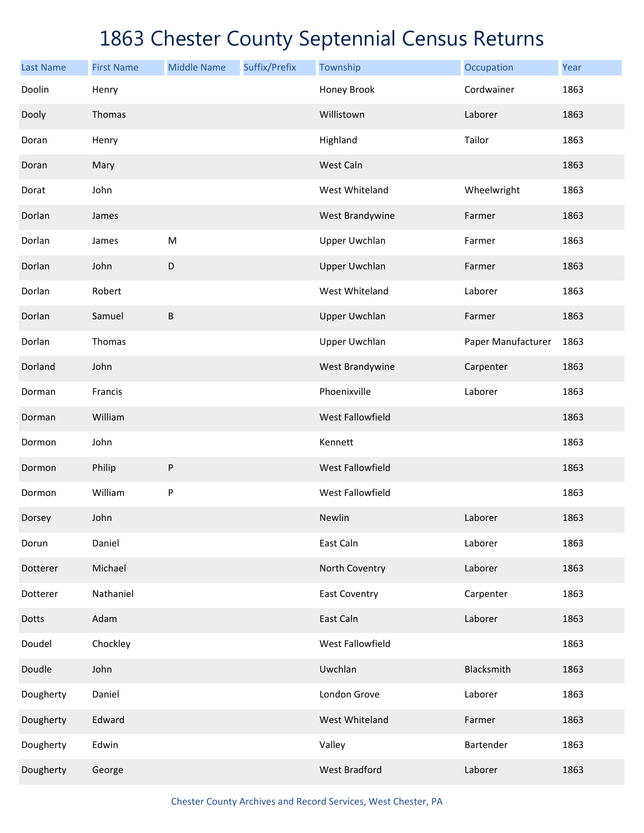| <b>Last Name</b> | <b>First Name</b> | <b>Middle Name</b> | Suffix/Prefix | Township             | Occupation         | Year |
|------------------|-------------------|--------------------|---------------|----------------------|--------------------|------|
| Doolin           | Henry             |                    |               | Honey Brook          | Cordwainer         | 1863 |
| Dooly            | Thomas            |                    |               | Willistown           | Laborer            | 1863 |
| Doran            | Henry             |                    |               | Highland             | Tailor             | 1863 |
| Doran            | Mary              |                    |               | West Caln            |                    | 1863 |
| Dorat            | John              |                    |               | West Whiteland       | Wheelwright        | 1863 |
| Dorlan           | James             |                    |               | West Brandywine      | Farmer             | 1863 |
| Dorlan           | James             | M                  |               | <b>Upper Uwchlan</b> | Farmer             | 1863 |
| Dorlan           | John              | $\mathsf D$        |               | <b>Upper Uwchlan</b> | Farmer             | 1863 |
| Dorlan           | Robert            |                    |               | West Whiteland       | Laborer            | 1863 |
| Dorlan           | Samuel            | B                  |               | <b>Upper Uwchlan</b> | Farmer             | 1863 |
| Dorlan           | Thomas            |                    |               | <b>Upper Uwchlan</b> | Paper Manufacturer | 1863 |
| Dorland          | John              |                    |               | West Brandywine      | Carpenter          | 1863 |
| Dorman           | Francis           |                    |               | Phoenixville         | Laborer            | 1863 |
| Dorman           | William           |                    |               | West Fallowfield     |                    | 1863 |
| Dormon           | John              |                    |               | Kennett              |                    | 1863 |
| Dormon           | Philip            | ${\sf P}$          |               | West Fallowfield     |                    | 1863 |
| Dormon           | William           | P                  |               | West Fallowfield     |                    | 1863 |
| Dorsey           | John              |                    |               | Newlin               | Laborer            | 1863 |
| Dorun            | Daniel            |                    |               | East Caln            | Laborer            | 1863 |
| Dotterer         | Michael           |                    |               | North Coventry       | Laborer            | 1863 |
| Dotterer         | Nathaniel         |                    |               | <b>East Coventry</b> | Carpenter          | 1863 |
| Dotts            | Adam              |                    |               | East Caln            | Laborer            | 1863 |
| Doudel           | Chockley          |                    |               | West Fallowfield     |                    | 1863 |
| Doudle           | John              |                    |               | Uwchlan              | Blacksmith         | 1863 |
| Dougherty        | Daniel            |                    |               | London Grove         | Laborer            | 1863 |
| Dougherty        | Edward            |                    |               | West Whiteland       | Farmer             | 1863 |
| Dougherty        | Edwin             |                    |               | Valley               | Bartender          | 1863 |
| Dougherty        | George            |                    |               | <b>West Bradford</b> | Laborer            | 1863 |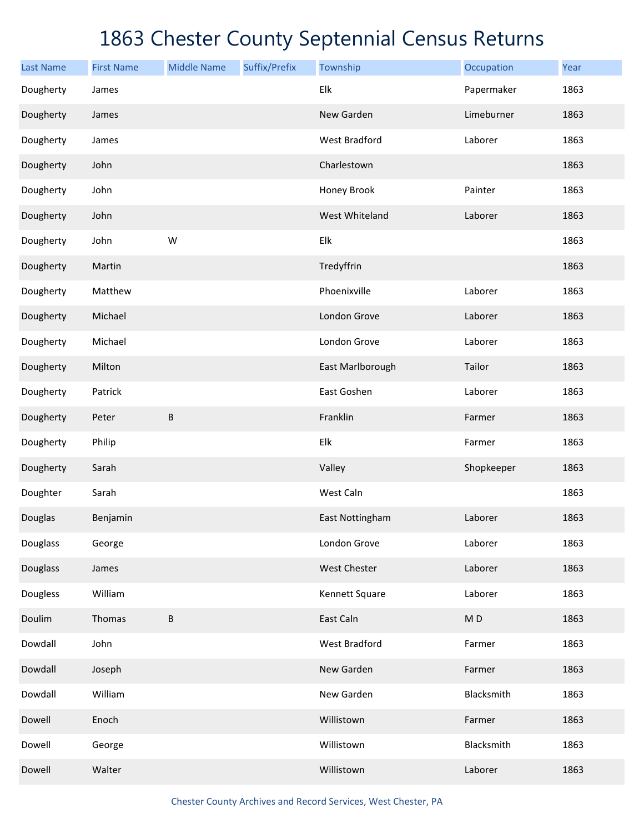| <b>Last Name</b> | <b>First Name</b> | <b>Middle Name</b> | Suffix/Prefix | Township             | Occupation               | Year |
|------------------|-------------------|--------------------|---------------|----------------------|--------------------------|------|
| Dougherty        | James             |                    |               | Elk                  | Papermaker               | 1863 |
| Dougherty        | James             |                    |               | New Garden           | Limeburner               | 1863 |
| Dougherty        | James             |                    |               | <b>West Bradford</b> | Laborer                  | 1863 |
| Dougherty        | John              |                    |               | Charlestown          |                          | 1863 |
| Dougherty        | John              |                    |               | Honey Brook          | Painter                  | 1863 |
| Dougherty        | John              |                    |               | West Whiteland       | Laborer                  | 1863 |
| Dougherty        | John              | W                  |               | Elk                  |                          | 1863 |
| Dougherty        | Martin            |                    |               | Tredyffrin           |                          | 1863 |
| Dougherty        | Matthew           |                    |               | Phoenixville         | Laborer                  | 1863 |
| Dougherty        | Michael           |                    |               | London Grove         | Laborer                  | 1863 |
| Dougherty        | Michael           |                    |               | London Grove         | Laborer                  | 1863 |
| Dougherty        | Milton            |                    |               | East Marlborough     | Tailor                   | 1863 |
| Dougherty        | Patrick           |                    |               | East Goshen          | Laborer                  | 1863 |
| Dougherty        | Peter             | $\sf B$            |               | Franklin             | Farmer                   | 1863 |
| Dougherty        | Philip            |                    |               | Elk                  | Farmer                   | 1863 |
| Dougherty        | Sarah             |                    |               | Valley               | Shopkeeper               | 1863 |
| Doughter         | Sarah             |                    |               | West Caln            |                          | 1863 |
| Douglas          | Benjamin          |                    |               | East Nottingham      | Laborer                  | 1863 |
| Douglass         | George            |                    |               | London Grove         | Laborer                  | 1863 |
| Douglass         | James             |                    |               | West Chester         | Laborer                  | 1863 |
| <b>Dougless</b>  | William           |                    |               | Kennett Square       | Laborer                  | 1863 |
| Doulim           | Thomas            | $\sf B$            |               | East Caln            | $\mathsf{M}\,\mathsf{D}$ | 1863 |
| Dowdall          | John              |                    |               | <b>West Bradford</b> | Farmer                   | 1863 |
| Dowdall          | Joseph            |                    |               | New Garden           | Farmer                   | 1863 |
| Dowdall          | William           |                    |               | New Garden           | Blacksmith               | 1863 |
| Dowell           | Enoch             |                    |               | Willistown           | Farmer                   | 1863 |
| Dowell           | George            |                    |               | Willistown           | Blacksmith               | 1863 |
| Dowell           | Walter            |                    |               | Willistown           | Laborer                  | 1863 |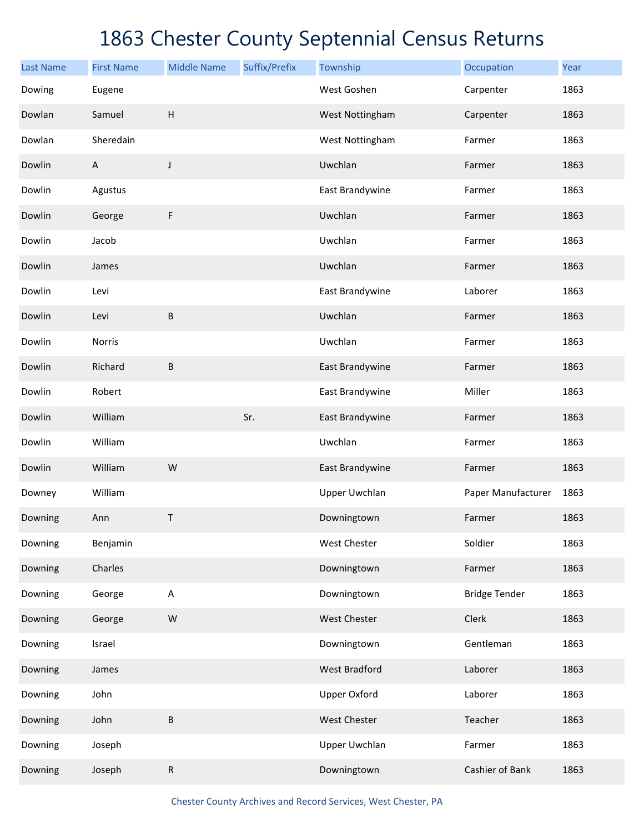| <b>Last Name</b> | <b>First Name</b> | <b>Middle Name</b> | Suffix/Prefix | Township             | Occupation           | Year |
|------------------|-------------------|--------------------|---------------|----------------------|----------------------|------|
| Dowing           | Eugene            |                    |               | West Goshen          | Carpenter            | 1863 |
| Dowlan           | Samuel            | H                  |               | West Nottingham      | Carpenter            | 1863 |
| Dowlan           | Sheredain         |                    |               | West Nottingham      | Farmer               | 1863 |
| Dowlin           | $\overline{A}$    | J                  |               | Uwchlan              | Farmer               | 1863 |
| Dowlin           | Agustus           |                    |               | East Brandywine      | Farmer               | 1863 |
| Dowlin           | George            | F                  |               | Uwchlan              | Farmer               | 1863 |
| Dowlin           | Jacob             |                    |               | Uwchlan              | Farmer               | 1863 |
| Dowlin           | James             |                    |               | Uwchlan              | Farmer               | 1863 |
| Dowlin           | Levi              |                    |               | East Brandywine      | Laborer              | 1863 |
| Dowlin           | Levi              | $\sf B$            |               | Uwchlan              | Farmer               | 1863 |
| Dowlin           | Norris            |                    |               | Uwchlan              | Farmer               | 1863 |
| Dowlin           | Richard           | B                  |               | East Brandywine      | Farmer               | 1863 |
| Dowlin           | Robert            |                    |               | East Brandywine      | Miller               | 1863 |
| Dowlin           | William           |                    | Sr.           | East Brandywine      | Farmer               | 1863 |
| Dowlin           | William           |                    |               | Uwchlan              | Farmer               | 1863 |
| Dowlin           | William           | W                  |               | East Brandywine      | Farmer               | 1863 |
| Downey           | William           |                    |               | <b>Upper Uwchlan</b> | Paper Manufacturer   | 1863 |
| Downing          | Ann               | $\mathsf{T}$       |               | Downingtown          | Farmer               | 1863 |
| Downing          | Benjamin          |                    |               | West Chester         | Soldier              | 1863 |
| Downing          | Charles           |                    |               | Downingtown          | Farmer               | 1863 |
| Downing          | George            | A                  |               | Downingtown          | <b>Bridge Tender</b> | 1863 |
| Downing          | George            | W                  |               | West Chester         | Clerk                | 1863 |
| Downing          | Israel            |                    |               | Downingtown          | Gentleman            | 1863 |
| Downing          | James             |                    |               | <b>West Bradford</b> | Laborer              | 1863 |
| Downing          | John              |                    |               | <b>Upper Oxford</b>  | Laborer              | 1863 |
| Downing          | John              | B                  |               | West Chester         | Teacher              | 1863 |
| Downing          | Joseph            |                    |               | Upper Uwchlan        | Farmer               | 1863 |
| Downing          | Joseph            | ${\sf R}$          |               | Downingtown          | Cashier of Bank      | 1863 |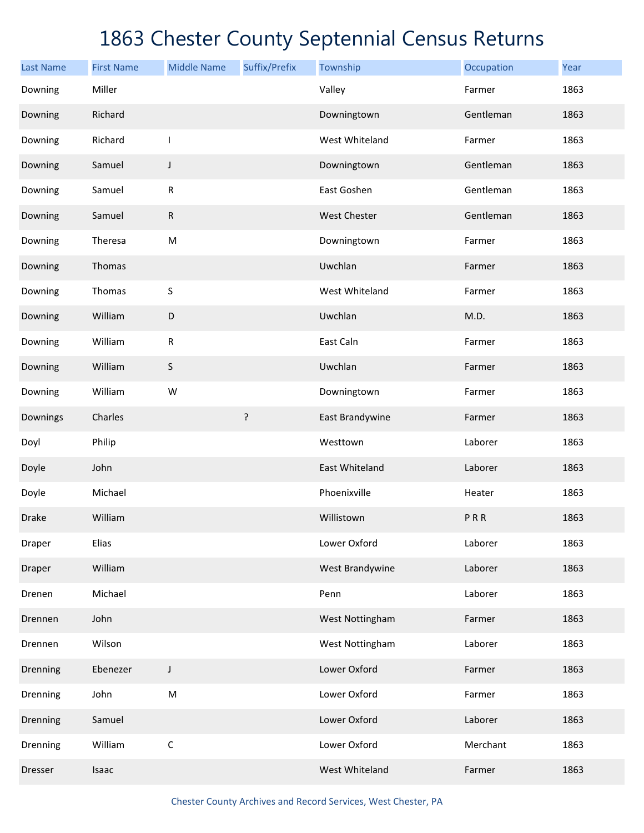| <b>Last Name</b> | <b>First Name</b> | <b>Middle Name</b> | Suffix/Prefix | Township            | Occupation | Year |
|------------------|-------------------|--------------------|---------------|---------------------|------------|------|
| Downing          | Miller            |                    |               | Valley              | Farmer     | 1863 |
| Downing          | Richard           |                    |               | Downingtown         | Gentleman  | 1863 |
| Downing          | Richard           | T                  |               | West Whiteland      | Farmer     | 1863 |
| Downing          | Samuel            | J                  |               | Downingtown         | Gentleman  | 1863 |
| Downing          | Samuel            | ${\sf R}$          |               | East Goshen         | Gentleman  | 1863 |
| Downing          | Samuel            | ${\sf R}$          |               | <b>West Chester</b> | Gentleman  | 1863 |
| Downing          | Theresa           | ${\sf M}$          |               | Downingtown         | Farmer     | 1863 |
| Downing          | Thomas            |                    |               | Uwchlan             | Farmer     | 1863 |
| Downing          | Thomas            | S                  |               | West Whiteland      | Farmer     | 1863 |
| Downing          | William           | $\mathsf D$        |               | Uwchlan             | M.D.       | 1863 |
| Downing          | William           | ${\sf R}$          |               | East Caln           | Farmer     | 1863 |
| Downing          | William           | S                  |               | Uwchlan             | Farmer     | 1863 |
| Downing          | William           | W                  |               | Downingtown         | Farmer     | 1863 |
| Downings         | Charles           |                    | ?             | East Brandywine     | Farmer     | 1863 |
| Doyl             | Philip            |                    |               | Westtown            | Laborer    | 1863 |
| Doyle            | John              |                    |               | East Whiteland      | Laborer    | 1863 |
| Doyle            | Michael           |                    |               | Phoenixville        | Heater     | 1863 |
| <b>Drake</b>     | William           |                    |               | Willistown          | PRR        | 1863 |
| Draper           | Elias             |                    |               | Lower Oxford        | Laborer    | 1863 |
| Draper           | William           |                    |               | West Brandywine     | Laborer    | 1863 |
| Drenen           | Michael           |                    |               | Penn                | Laborer    | 1863 |
| Drennen          | John              |                    |               | West Nottingham     | Farmer     | 1863 |
| Drennen          | Wilson            |                    |               | West Nottingham     | Laborer    | 1863 |
| Drenning         | Ebenezer          | J                  |               | Lower Oxford        | Farmer     | 1863 |
| Drenning         | John              | ${\sf M}$          |               | Lower Oxford        | Farmer     | 1863 |
| Drenning         | Samuel            |                    |               | Lower Oxford        | Laborer    | 1863 |
| Drenning         | William           | $\mathsf C$        |               | Lower Oxford        | Merchant   | 1863 |
| Dresser          | Isaac             |                    |               | West Whiteland      | Farmer     | 1863 |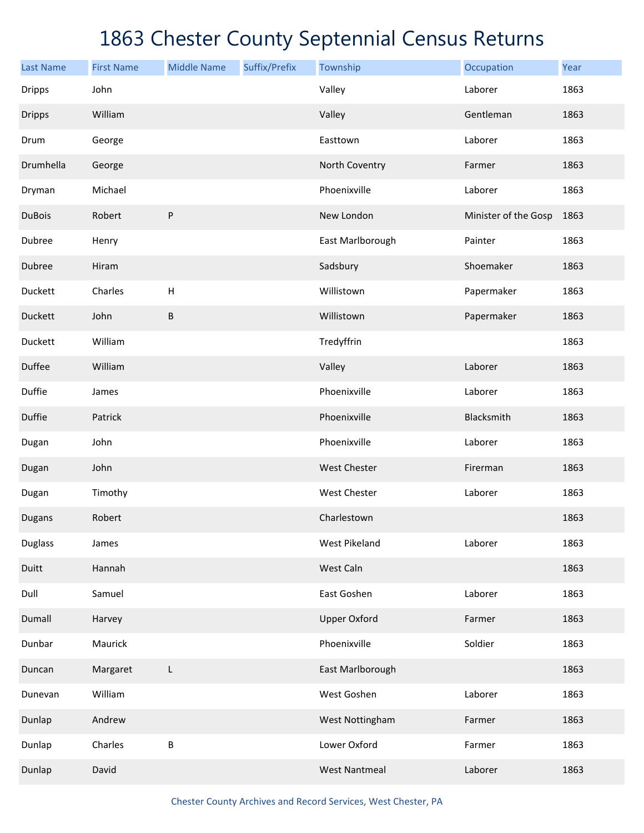| <b>Last Name</b> | <b>First Name</b> | <b>Middle Name</b> | Suffix/Prefix | Township             | Occupation           | Year |
|------------------|-------------------|--------------------|---------------|----------------------|----------------------|------|
| <b>Dripps</b>    | John              |                    |               | Valley               | Laborer              | 1863 |
| <b>Dripps</b>    | William           |                    |               | Valley               | Gentleman            | 1863 |
| Drum             | George            |                    |               | Easttown             | Laborer              | 1863 |
| Drumhella        | George            |                    |               | North Coventry       | Farmer               | 1863 |
| Dryman           | Michael           |                    |               | Phoenixville         | Laborer              | 1863 |
| <b>DuBois</b>    | Robert            | ${\sf P}$          |               | New London           | Minister of the Gosp | 1863 |
| Dubree           | Henry             |                    |               | East Marlborough     | Painter              | 1863 |
| Dubree           | Hiram             |                    |               | Sadsbury             | Shoemaker            | 1863 |
| Duckett          | Charles           | $\mathsf H$        |               | Willistown           | Papermaker           | 1863 |
| Duckett          | John              | B                  |               | Willistown           | Papermaker           | 1863 |
| Duckett          | William           |                    |               | Tredyffrin           |                      | 1863 |
| Duffee           | William           |                    |               | Valley               | Laborer              | 1863 |
| Duffie           | James             |                    |               | Phoenixville         | Laborer              | 1863 |
| Duffie           | Patrick           |                    |               | Phoenixville         | Blacksmith           | 1863 |
| Dugan            | John              |                    |               | Phoenixville         | Laborer              | 1863 |
| Dugan            | John              |                    |               | West Chester         | Firerman             | 1863 |
| Dugan            | Timothy           |                    |               | West Chester         | Laborer              | 1863 |
| Dugans           | Robert            |                    |               | Charlestown          |                      | 1863 |
| <b>Duglass</b>   | James             |                    |               | <b>West Pikeland</b> | Laborer              | 1863 |
| Duitt            | Hannah            |                    |               | West Caln            |                      | 1863 |
| Dull             | Samuel            |                    |               | East Goshen          | Laborer              | 1863 |
| Dumall           | Harvey            |                    |               | <b>Upper Oxford</b>  | Farmer               | 1863 |
| Dunbar           | Maurick           |                    |               | Phoenixville         | Soldier              | 1863 |
| Duncan           | Margaret          | L                  |               | East Marlborough     |                      | 1863 |
| Dunevan          | William           |                    |               | West Goshen          | Laborer              | 1863 |
| Dunlap           | Andrew            |                    |               | West Nottingham      | Farmer               | 1863 |
| Dunlap           | Charles           | $\sf B$            |               | Lower Oxford         | Farmer               | 1863 |
| Dunlap           | David             |                    |               | <b>West Nantmeal</b> | Laborer              | 1863 |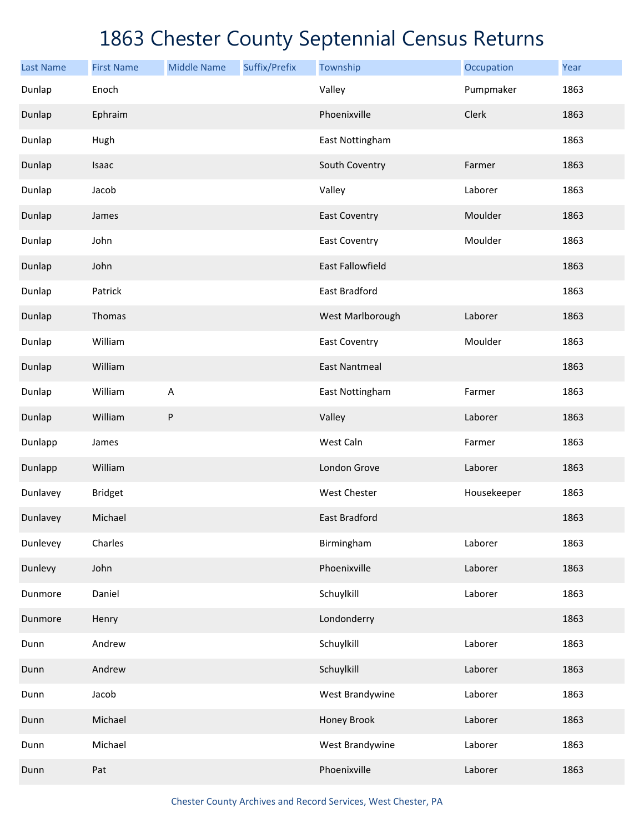| <b>Last Name</b> | <b>First Name</b> | <b>Middle Name</b> | Suffix/Prefix | Township                | Occupation  | Year |
|------------------|-------------------|--------------------|---------------|-------------------------|-------------|------|
| Dunlap           | Enoch             |                    |               | Valley                  | Pumpmaker   | 1863 |
| Dunlap           | Ephraim           |                    |               | Phoenixville            | Clerk       | 1863 |
| Dunlap           | Hugh              |                    |               | East Nottingham         |             | 1863 |
| Dunlap           | Isaac             |                    |               | South Coventry          | Farmer      | 1863 |
| Dunlap           | Jacob             |                    |               | Valley                  | Laborer     | 1863 |
| Dunlap           | James             |                    |               | <b>East Coventry</b>    | Moulder     | 1863 |
| Dunlap           | John              |                    |               | <b>East Coventry</b>    | Moulder     | 1863 |
| Dunlap           | John              |                    |               | <b>East Fallowfield</b> |             | 1863 |
| Dunlap           | Patrick           |                    |               | East Bradford           |             | 1863 |
| Dunlap           | Thomas            |                    |               | West Marlborough        | Laborer     | 1863 |
| Dunlap           | William           |                    |               | <b>East Coventry</b>    | Moulder     | 1863 |
| Dunlap           | William           |                    |               | <b>East Nantmeal</b>    |             | 1863 |
| Dunlap           | William           | A                  |               | East Nottingham         | Farmer      | 1863 |
| Dunlap           | William           | ${\sf P}$          |               | Valley                  | Laborer     | 1863 |
| Dunlapp          | James             |                    |               | West Caln               | Farmer      | 1863 |
| Dunlapp          | William           |                    |               | London Grove            | Laborer     | 1863 |
| Dunlavey         | <b>Bridget</b>    |                    |               | <b>West Chester</b>     | Housekeeper | 1863 |
| Dunlavey         | Michael           |                    |               | <b>East Bradford</b>    |             | 1863 |
| Dunlevey         | Charles           |                    |               | Birmingham              | Laborer     | 1863 |
| Dunlevy          | John              |                    |               | Phoenixville            | Laborer     | 1863 |
| Dunmore          | Daniel            |                    |               | Schuylkill              | Laborer     | 1863 |
| Dunmore          | Henry             |                    |               | Londonderry             |             | 1863 |
| Dunn             | Andrew            |                    |               | Schuylkill              | Laborer     | 1863 |
| Dunn             | Andrew            |                    |               | Schuylkill              | Laborer     | 1863 |
| Dunn             | Jacob             |                    |               | West Brandywine         | Laborer     | 1863 |
| Dunn             | Michael           |                    |               | Honey Brook             | Laborer     | 1863 |
| Dunn             | Michael           |                    |               | West Brandywine         | Laborer     | 1863 |
| Dunn             | Pat               |                    |               | Phoenixville            | Laborer     | 1863 |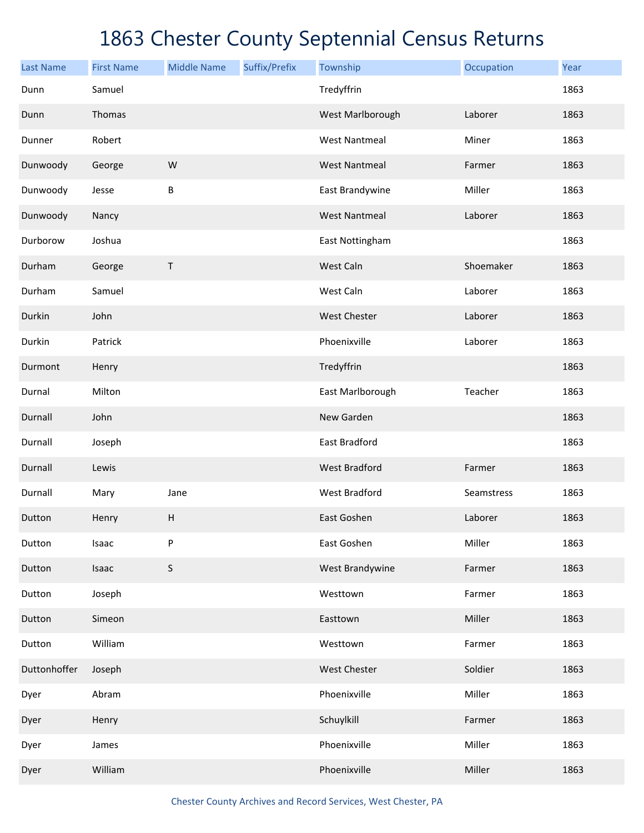| <b>Last Name</b> | <b>First Name</b> | <b>Middle Name</b>        | Suffix/Prefix | Township             | Occupation | Year |
|------------------|-------------------|---------------------------|---------------|----------------------|------------|------|
| Dunn             | Samuel            |                           |               | Tredyffrin           |            | 1863 |
| Dunn             | Thomas            |                           |               | West Marlborough     | Laborer    | 1863 |
| Dunner           | Robert            |                           |               | <b>West Nantmeal</b> | Miner      | 1863 |
| Dunwoody         | George            | W                         |               | <b>West Nantmeal</b> | Farmer     | 1863 |
| Dunwoody         | Jesse             | $\sf B$                   |               | East Brandywine      | Miller     | 1863 |
| Dunwoody         | Nancy             |                           |               | <b>West Nantmeal</b> | Laborer    | 1863 |
| Durborow         | Joshua            |                           |               | East Nottingham      |            | 1863 |
| Durham           | George            | Τ                         |               | West Caln            | Shoemaker  | 1863 |
| Durham           | Samuel            |                           |               | West Caln            | Laborer    | 1863 |
| Durkin           | John              |                           |               | <b>West Chester</b>  | Laborer    | 1863 |
| Durkin           | Patrick           |                           |               | Phoenixville         | Laborer    | 1863 |
| Durmont          | Henry             |                           |               | Tredyffrin           |            | 1863 |
| Durnal           | Milton            |                           |               | East Marlborough     | Teacher    | 1863 |
| Durnall          | John              |                           |               | New Garden           |            | 1863 |
| Durnall          | Joseph            |                           |               | East Bradford        |            | 1863 |
| Durnall          | Lewis             |                           |               | <b>West Bradford</b> | Farmer     | 1863 |
| Durnall          | Mary              | Jane                      |               | <b>West Bradford</b> | Seamstress | 1863 |
| Dutton           | Henry             | $\boldsymbol{\mathsf{H}}$ |               | East Goshen          | Laborer    | 1863 |
| Dutton           | Isaac             | ${\sf P}$                 |               | East Goshen          | Miller     | 1863 |
| Dutton           | Isaac             | $\mathsf S$               |               | West Brandywine      | Farmer     | 1863 |
| Dutton           | Joseph            |                           |               | Westtown             | Farmer     | 1863 |
| Dutton           | Simeon            |                           |               | Easttown             | Miller     | 1863 |
| Dutton           | William           |                           |               | Westtown             | Farmer     | 1863 |
| Duttonhoffer     | Joseph            |                           |               | West Chester         | Soldier    | 1863 |
| Dyer             | Abram             |                           |               | Phoenixville         | Miller     | 1863 |
| Dyer             | Henry             |                           |               | Schuylkill           | Farmer     | 1863 |
| Dyer             | James             |                           |               | Phoenixville         | Miller     | 1863 |
| Dyer             | William           |                           |               | Phoenixville         | Miller     | 1863 |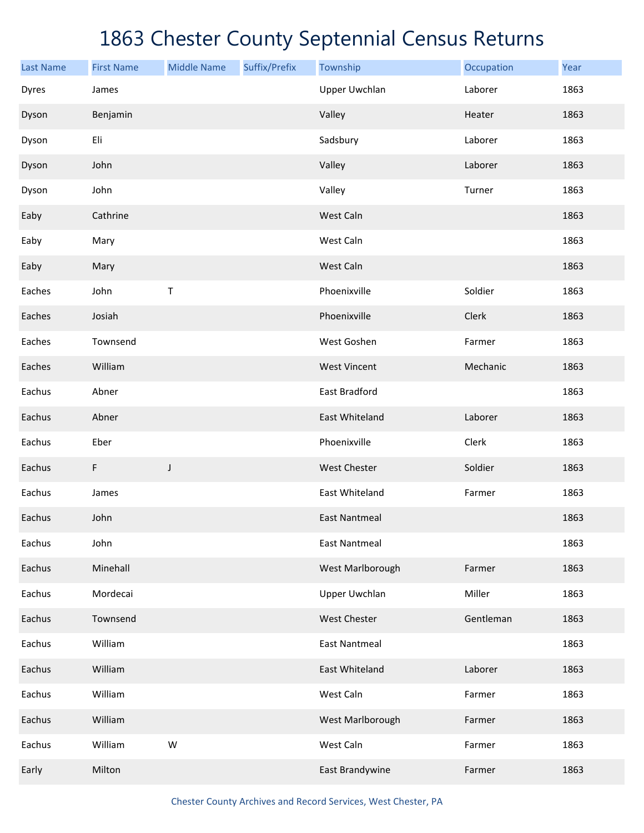| <b>Last Name</b> | <b>First Name</b> | <b>Middle Name</b> | Suffix/Prefix | Township             | Occupation | Year |
|------------------|-------------------|--------------------|---------------|----------------------|------------|------|
| Dyres            | James             |                    |               | <b>Upper Uwchlan</b> | Laborer    | 1863 |
| Dyson            | Benjamin          |                    |               | Valley               | Heater     | 1863 |
| Dyson            | Eli               |                    |               | Sadsbury             | Laborer    | 1863 |
| Dyson            | John              |                    |               | Valley               | Laborer    | 1863 |
| Dyson            | John              |                    |               | Valley               | Turner     | 1863 |
| Eaby             | Cathrine          |                    |               | West Caln            |            | 1863 |
| Eaby             | Mary              |                    |               | West Caln            |            | 1863 |
| Eaby             | Mary              |                    |               | West Caln            |            | 1863 |
| Eaches           | John              | Τ                  |               | Phoenixville         | Soldier    | 1863 |
| Eaches           | Josiah            |                    |               | Phoenixville         | Clerk      | 1863 |
| Eaches           | Townsend          |                    |               | West Goshen          | Farmer     | 1863 |
| Eaches           | William           |                    |               | <b>West Vincent</b>  | Mechanic   | 1863 |
| Eachus           | Abner             |                    |               | East Bradford        |            | 1863 |
| Eachus           | Abner             |                    |               | East Whiteland       | Laborer    | 1863 |
| Eachus           | Eber              |                    |               | Phoenixville         | Clerk      | 1863 |
| Eachus           | F                 | J                  |               | West Chester         | Soldier    | 1863 |
| Eachus           | James             |                    |               | East Whiteland       | Farmer     | 1863 |
| Eachus           | John              |                    |               | <b>East Nantmeal</b> |            | 1863 |
| Eachus           | John              |                    |               | <b>East Nantmeal</b> |            | 1863 |
| Eachus           | Minehall          |                    |               | West Marlborough     | Farmer     | 1863 |
| Eachus           | Mordecai          |                    |               | <b>Upper Uwchlan</b> | Miller     | 1863 |
| Eachus           | Townsend          |                    |               | West Chester         | Gentleman  | 1863 |
| Eachus           | William           |                    |               | <b>East Nantmeal</b> |            | 1863 |
| Eachus           | William           |                    |               | East Whiteland       | Laborer    | 1863 |
| Eachus           | William           |                    |               | West Caln            | Farmer     | 1863 |
| Eachus           | William           |                    |               | West Marlborough     | Farmer     | 1863 |
| Eachus           | William           | W                  |               | West Caln            | Farmer     | 1863 |
| Early            | Milton            |                    |               | East Brandywine      | Farmer     | 1863 |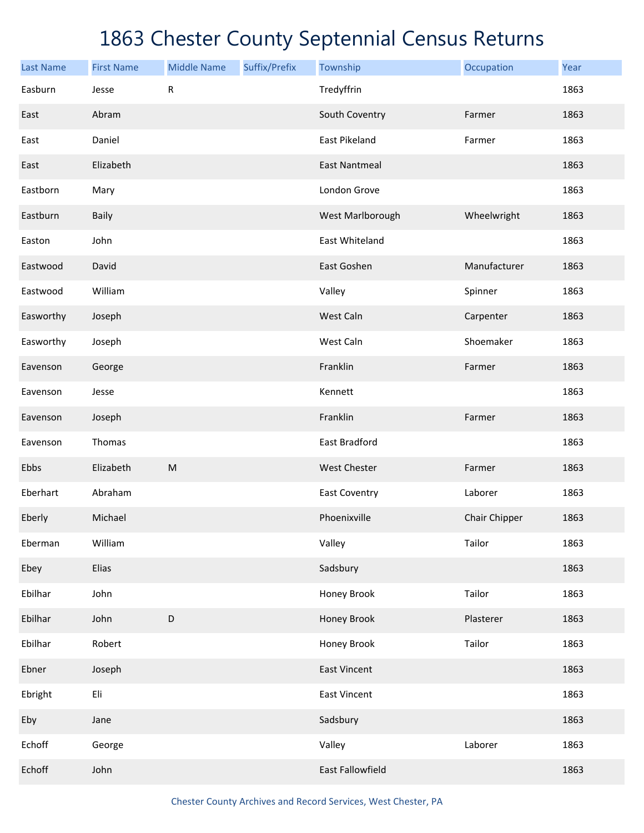| <b>Last Name</b> | <b>First Name</b> | <b>Middle Name</b> | Suffix/Prefix | Township             | Occupation    | Year |
|------------------|-------------------|--------------------|---------------|----------------------|---------------|------|
| Easburn          | Jesse             | ${\sf R}$          |               | Tredyffrin           |               | 1863 |
| East             | Abram             |                    |               | South Coventry       | Farmer        | 1863 |
| East             | Daniel            |                    |               | East Pikeland        | Farmer        | 1863 |
| East             | Elizabeth         |                    |               | <b>East Nantmeal</b> |               | 1863 |
| Eastborn         | Mary              |                    |               | London Grove         |               | 1863 |
| Eastburn         | <b>Baily</b>      |                    |               | West Marlborough     | Wheelwright   | 1863 |
| Easton           | John              |                    |               | East Whiteland       |               | 1863 |
| Eastwood         | David             |                    |               | East Goshen          | Manufacturer  | 1863 |
| Eastwood         | William           |                    |               | Valley               | Spinner       | 1863 |
| Easworthy        | Joseph            |                    |               | West Caln            | Carpenter     | 1863 |
| Easworthy        | Joseph            |                    |               | West Caln            | Shoemaker     | 1863 |
| Eavenson         | George            |                    |               | Franklin             | Farmer        | 1863 |
| Eavenson         | Jesse             |                    |               | Kennett              |               | 1863 |
| Eavenson         | Joseph            |                    |               | Franklin             | Farmer        | 1863 |
| Eavenson         | Thomas            |                    |               | East Bradford        |               | 1863 |
| Ebbs             | Elizabeth         | ${\sf M}$          |               | <b>West Chester</b>  | Farmer        | 1863 |
| Eberhart         | Abraham           |                    |               | <b>East Coventry</b> | Laborer       | 1863 |
| Eberly           | Michael           |                    |               | Phoenixville         | Chair Chipper | 1863 |
| Eberman          | William           |                    |               | Valley               | Tailor        | 1863 |
| Ebey             | Elias             |                    |               | Sadsbury             |               | 1863 |
| Ebilhar          | John              |                    |               | Honey Brook          | Tailor        | 1863 |
| Ebilhar          | John              | D                  |               | Honey Brook          | Plasterer     | 1863 |
| Ebilhar          | Robert            |                    |               | Honey Brook          | Tailor        | 1863 |
| Ebner            | Joseph            |                    |               | <b>East Vincent</b>  |               | 1863 |
| Ebright          | Eli               |                    |               | <b>East Vincent</b>  |               | 1863 |
| Eby              | Jane              |                    |               | Sadsbury             |               | 1863 |
| Echoff           | George            |                    |               | Valley               | Laborer       | 1863 |
| Echoff           | John              |                    |               | East Fallowfield     |               | 1863 |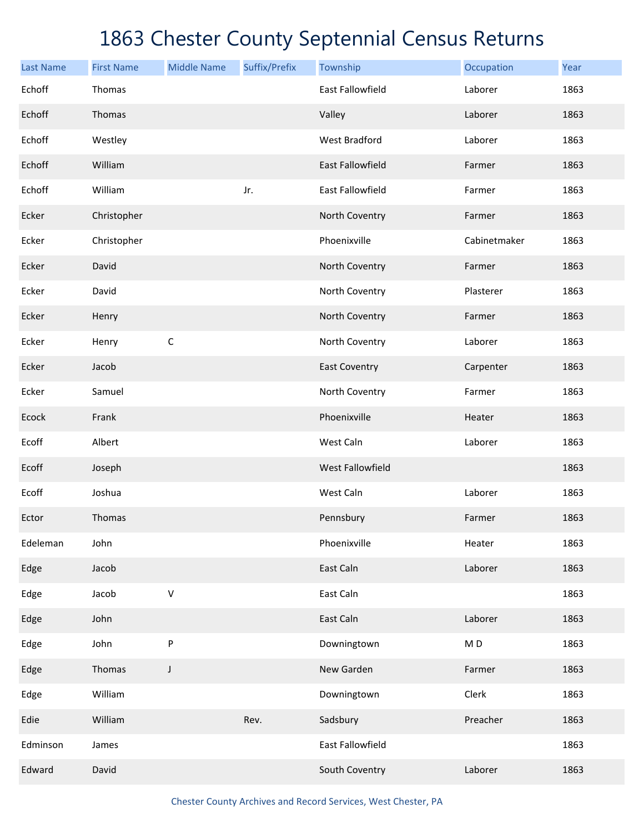| <b>Last Name</b> | <b>First Name</b> | <b>Middle Name</b> | Suffix/Prefix | Township                | Occupation               | Year |
|------------------|-------------------|--------------------|---------------|-------------------------|--------------------------|------|
| Echoff           | Thomas            |                    |               | <b>East Fallowfield</b> | Laborer                  | 1863 |
| Echoff           | Thomas            |                    |               | Valley                  | Laborer                  | 1863 |
| Echoff           | Westley           |                    |               | <b>West Bradford</b>    | Laborer                  | 1863 |
| Echoff           | William           |                    |               | <b>East Fallowfield</b> | Farmer                   | 1863 |
| Echoff           | William           |                    | Jr.           | <b>East Fallowfield</b> | Farmer                   | 1863 |
| Ecker            | Christopher       |                    |               | North Coventry          | Farmer                   | 1863 |
| Ecker            | Christopher       |                    |               | Phoenixville            | Cabinetmaker             | 1863 |
| Ecker            | David             |                    |               | North Coventry          | Farmer                   | 1863 |
| Ecker            | David             |                    |               | North Coventry          | Plasterer                | 1863 |
| Ecker            | Henry             |                    |               | North Coventry          | Farmer                   | 1863 |
| Ecker            | Henry             | $\mathsf C$        |               | North Coventry          | Laborer                  | 1863 |
| Ecker            | Jacob             |                    |               | <b>East Coventry</b>    | Carpenter                | 1863 |
| Ecker            | Samuel            |                    |               | North Coventry          | Farmer                   | 1863 |
| Ecock            | Frank             |                    |               | Phoenixville            | Heater                   | 1863 |
| Ecoff            | Albert            |                    |               | West Caln               | Laborer                  | 1863 |
| Ecoff            | Joseph            |                    |               | <b>West Fallowfield</b> |                          | 1863 |
| Ecoff            | Joshua            |                    |               | West Caln               | Laborer                  | 1863 |
| Ector            | Thomas            |                    |               | Pennsbury               | Farmer                   | 1863 |
| Edeleman         | John              |                    |               | Phoenixville            | Heater                   | 1863 |
| Edge             | Jacob             |                    |               | East Caln               | Laborer                  | 1863 |
| Edge             | Jacob             | $\vee$             |               | East Caln               |                          | 1863 |
| Edge             | John              |                    |               | East Caln               | Laborer                  | 1863 |
| Edge             | John              | P                  |               | Downingtown             | $\mathsf{M}\,\mathsf{D}$ | 1863 |
| Edge             | Thomas            | $\mathsf J$        |               | New Garden              | Farmer                   | 1863 |
| Edge             | William           |                    |               | Downingtown             | Clerk                    | 1863 |
| Edie             | William           |                    | Rev.          | Sadsbury                | Preacher                 | 1863 |
| Edminson         | James             |                    |               | East Fallowfield        |                          | 1863 |
| Edward           | David             |                    |               | South Coventry          | Laborer                  | 1863 |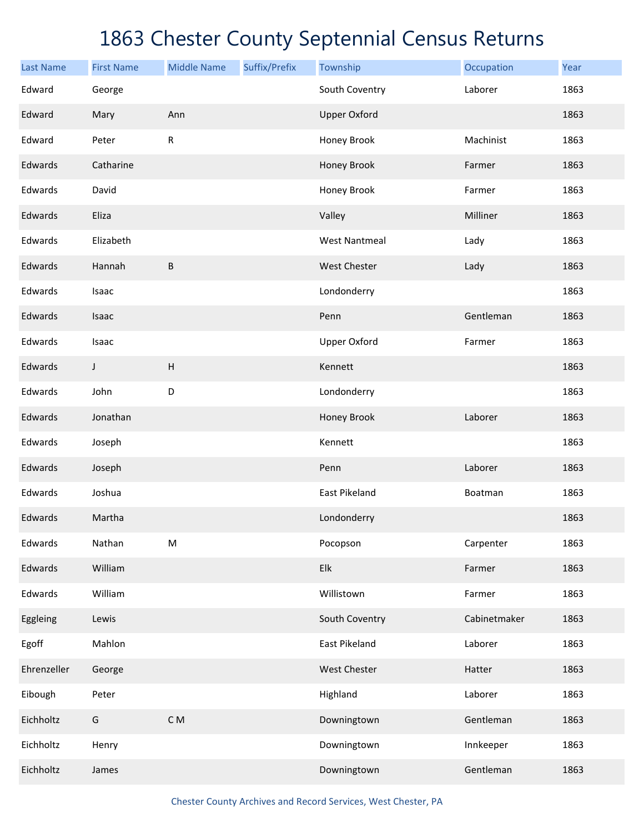| <b>Last Name</b> | <b>First Name</b> | <b>Middle Name</b>        | Suffix/Prefix | Township                  | Occupation   | Year |
|------------------|-------------------|---------------------------|---------------|---------------------------|--------------|------|
| Edward           | George            |                           |               | South Coventry            | Laborer      | 1863 |
| Edward           | Mary              | Ann                       |               | <b>Upper Oxford</b>       |              | 1863 |
| Edward           | Peter             | ${\sf R}$                 |               | Honey Brook               | Machinist    | 1863 |
| Edwards          | Catharine         |                           |               | Honey Brook               | Farmer       | 1863 |
| Edwards          | David             |                           |               | Honey Brook               | Farmer       | 1863 |
| Edwards          | Eliza             |                           |               | Valley                    | Milliner     | 1863 |
| Edwards          | Elizabeth         |                           |               | <b>West Nantmeal</b>      | Lady         | 1863 |
| Edwards          | Hannah            | $\sf B$                   |               | <b>West Chester</b>       | Lady         | 1863 |
| Edwards          | Isaac             |                           |               | Londonderry               |              | 1863 |
| Edwards          | Isaac             |                           |               | Penn                      | Gentleman    | 1863 |
| Edwards          | Isaac             |                           |               | <b>Upper Oxford</b>       | Farmer       | 1863 |
| Edwards          | J                 | $\boldsymbol{\mathsf{H}}$ |               | Kennett                   |              | 1863 |
| Edwards          | John              | D                         |               | Londonderry               |              | 1863 |
| Edwards          | Jonathan          |                           |               | Honey Brook               | Laborer      | 1863 |
| Edwards          | Joseph            |                           |               | Kennett                   |              | 1863 |
| Edwards          | Joseph            |                           |               | Penn                      | Laborer      | 1863 |
| Edwards          | Joshua            |                           |               | East Pikeland             | Boatman      | 1863 |
| Edwards          | Martha            |                           |               | Londonderry               |              | 1863 |
| Edwards          | Nathan            | ${\sf M}$                 |               | Pocopson                  | Carpenter    | 1863 |
| Edwards          | William           |                           |               | ${\sf E} {\sf I} {\sf k}$ | Farmer       | 1863 |
| Edwards          | William           |                           |               | Willistown                | Farmer       | 1863 |
| Eggleing         | Lewis             |                           |               | South Coventry            | Cabinetmaker | 1863 |
| Egoff            | Mahlon            |                           |               | <b>East Pikeland</b>      | Laborer      | 1863 |
| Ehrenzeller      | George            |                           |               | West Chester              | Hatter       | 1863 |
| Eibough          | Peter             |                           |               | Highland                  | Laborer      | 1863 |
| Eichholtz        | G                 | $\mathsf C$ M             |               | Downingtown               | Gentleman    | 1863 |
| Eichholtz        | Henry             |                           |               | Downingtown               | Innkeeper    | 1863 |
| Eichholtz        | James             |                           |               | Downingtown               | Gentleman    | 1863 |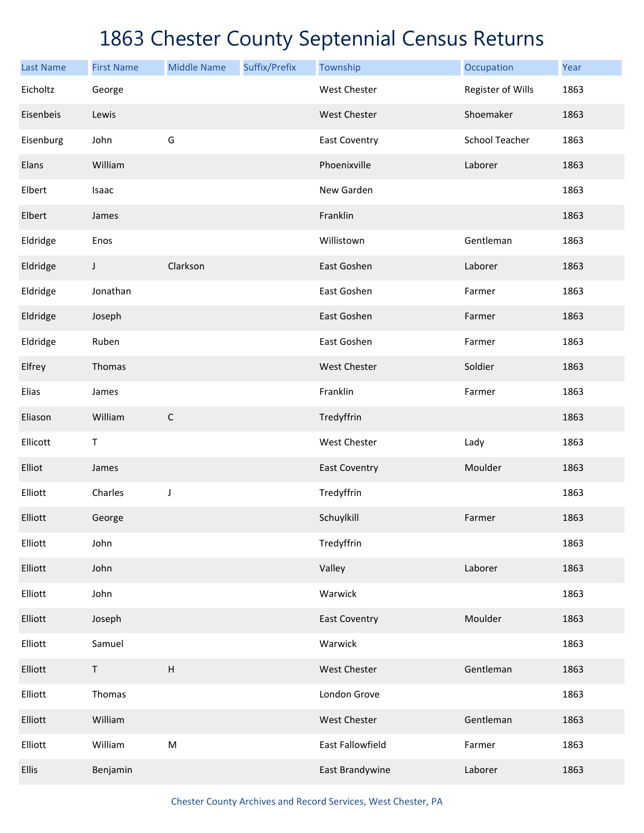| <b>Last Name</b> | <b>First Name</b> | <b>Middle Name</b>        | Suffix/Prefix | Township             | Occupation            | Year |
|------------------|-------------------|---------------------------|---------------|----------------------|-----------------------|------|
| Eicholtz         | George            |                           |               | <b>West Chester</b>  | Register of Wills     | 1863 |
| Eisenbeis        | Lewis             |                           |               | West Chester         | Shoemaker             | 1863 |
| Eisenburg        | John              | G                         |               | <b>East Coventry</b> | <b>School Teacher</b> | 1863 |
| Elans            | William           |                           |               | Phoenixville         | Laborer               | 1863 |
| Elbert           | Isaac             |                           |               | New Garden           |                       | 1863 |
| Elbert           | James             |                           |               | Franklin             |                       | 1863 |
| Eldridge         | Enos              |                           |               | Willistown           | Gentleman             | 1863 |
| Eldridge         | J                 | Clarkson                  |               | East Goshen          | Laborer               | 1863 |
| Eldridge         | Jonathan          |                           |               | East Goshen          | Farmer                | 1863 |
| Eldridge         | Joseph            |                           |               | East Goshen          | Farmer                | 1863 |
| Eldridge         | Ruben             |                           |               | East Goshen          | Farmer                | 1863 |
| Elfrey           | Thomas            |                           |               | <b>West Chester</b>  | Soldier               | 1863 |
| Elias            | James             |                           |               | Franklin             | Farmer                | 1863 |
| Eliason          | William           | $\mathsf C$               |               | Tredyffrin           |                       | 1863 |
| Ellicott         | $\mathsf T$       |                           |               | West Chester         | Lady                  | 1863 |
| Elliot           | James             |                           |               | <b>East Coventry</b> | Moulder               | 1863 |
| Elliott          | Charles           | J                         |               | Tredyffrin           |                       | 1863 |
| Elliott          | George            |                           |               | Schuylkill           | Farmer                | 1863 |
| Elliott          | John              |                           |               | Tredyffrin           |                       | 1863 |
| Elliott          | John              |                           |               | Valley               | Laborer               | 1863 |
| Elliott          | John              |                           |               | Warwick              |                       | 1863 |
| Elliott          | Joseph            |                           |               | <b>East Coventry</b> | Moulder               | 1863 |
| Elliott          | Samuel            |                           |               | Warwick              |                       | 1863 |
| Elliott          | $\sf T$           | $\boldsymbol{\mathsf{H}}$ |               | West Chester         | Gentleman             | 1863 |
| Elliott          | Thomas            |                           |               | London Grove         |                       | 1863 |
| Elliott          | William           |                           |               | West Chester         | Gentleman             | 1863 |
| Elliott          | William           | ${\sf M}$                 |               | East Fallowfield     | Farmer                | 1863 |
| Ellis            | Benjamin          |                           |               | East Brandywine      | Laborer               | 1863 |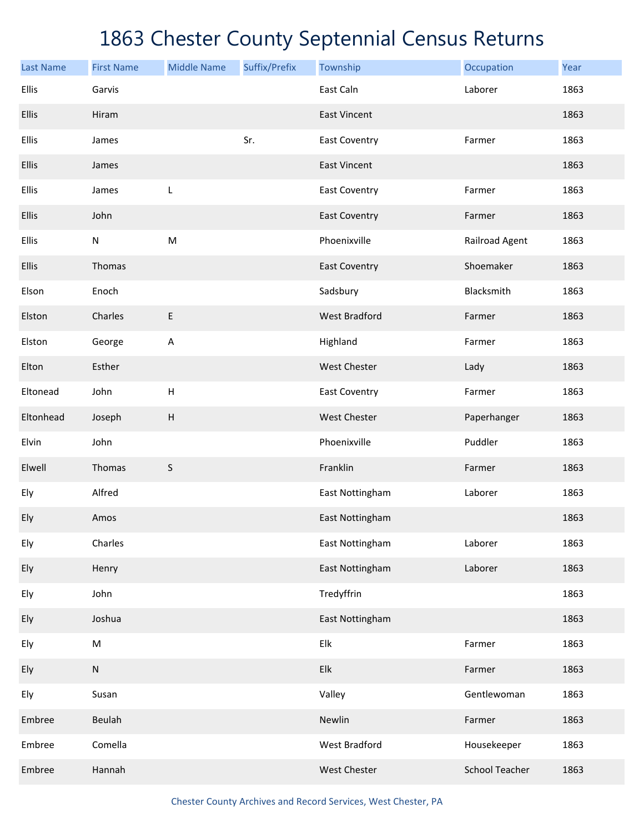| <b>Last Name</b> | <b>First Name</b> | <b>Middle Name</b>                                                                                         | Suffix/Prefix | Township             | Occupation            | Year |
|------------------|-------------------|------------------------------------------------------------------------------------------------------------|---------------|----------------------|-----------------------|------|
| Ellis            | Garvis            |                                                                                                            |               | East Caln            | Laborer               | 1863 |
| Ellis            | Hiram             |                                                                                                            |               | <b>East Vincent</b>  |                       | 1863 |
| Ellis            | James             |                                                                                                            | Sr.           | <b>East Coventry</b> | Farmer                | 1863 |
| Ellis            | James             |                                                                                                            |               | <b>East Vincent</b>  |                       | 1863 |
| Ellis            | James             | L                                                                                                          |               | <b>East Coventry</b> | Farmer                | 1863 |
| Ellis            | John              |                                                                                                            |               | <b>East Coventry</b> | Farmer                | 1863 |
| Ellis            | ${\sf N}$         | $\mathsf{M}% _{T}=\mathsf{M}_{T}\!\left( a,b\right) ,\ \mathsf{M}_{T}=\mathsf{M}_{T}\!\left( a,b\right) ,$ |               | Phoenixville         | Railroad Agent        | 1863 |
| Ellis            | Thomas            |                                                                                                            |               | <b>East Coventry</b> | Shoemaker             | 1863 |
| Elson            | Enoch             |                                                                                                            |               | Sadsbury             | Blacksmith            | 1863 |
| Elston           | Charles           | E                                                                                                          |               | <b>West Bradford</b> | Farmer                | 1863 |
| Elston           | George            | A                                                                                                          |               | Highland             | Farmer                | 1863 |
| Elton            | Esther            |                                                                                                            |               | <b>West Chester</b>  | Lady                  | 1863 |
| Eltonead         | John              | $\sf H$                                                                                                    |               | <b>East Coventry</b> | Farmer                | 1863 |
| Eltonhead        | Joseph            | $\boldsymbol{\mathsf{H}}$                                                                                  |               | <b>West Chester</b>  | Paperhanger           | 1863 |
| Elvin            | John              |                                                                                                            |               | Phoenixville         | Puddler               | 1863 |
| Elwell           | Thomas            | S                                                                                                          |               | Franklin             | Farmer                | 1863 |
| Ely              | Alfred            |                                                                                                            |               | East Nottingham      | Laborer               | 1863 |
| Ely              | Amos              |                                                                                                            |               | East Nottingham      |                       | 1863 |
| Ely              | Charles           |                                                                                                            |               | East Nottingham      | Laborer               | 1863 |
| Ely              | Henry             |                                                                                                            |               | East Nottingham      | Laborer               | 1863 |
| Ely              | John              |                                                                                                            |               | Tredyffrin           |                       | 1863 |
| Ely              | Joshua            |                                                                                                            |               | East Nottingham      |                       | 1863 |
| Ely              | M                 |                                                                                                            |               | Elk                  | Farmer                | 1863 |
| Ely              | ${\sf N}$         |                                                                                                            |               | Elk                  | Farmer                | 1863 |
| Ely              | Susan             |                                                                                                            |               | Valley               | Gentlewoman           | 1863 |
| Embree           | Beulah            |                                                                                                            |               | Newlin               | Farmer                | 1863 |
| Embree           | Comella           |                                                                                                            |               | West Bradford        | Housekeeper           | 1863 |
| Embree           | Hannah            |                                                                                                            |               | West Chester         | <b>School Teacher</b> | 1863 |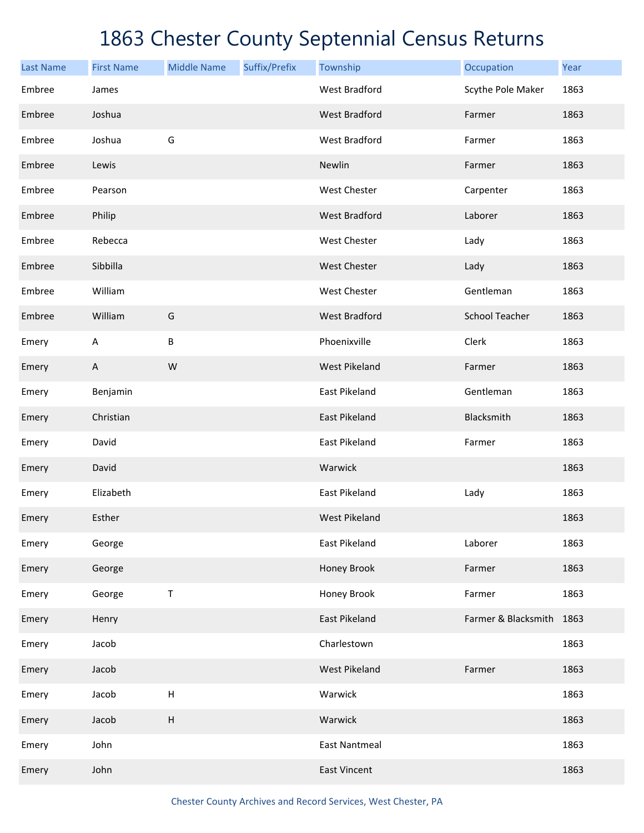| <b>Last Name</b> | <b>First Name</b> | <b>Middle Name</b> | Suffix/Prefix | Township             | Occupation               | Year |
|------------------|-------------------|--------------------|---------------|----------------------|--------------------------|------|
| Embree           | James             |                    |               | <b>West Bradford</b> | Scythe Pole Maker        | 1863 |
| Embree           | Joshua            |                    |               | <b>West Bradford</b> | Farmer                   | 1863 |
| Embree           | Joshua            | G                  |               | <b>West Bradford</b> | Farmer                   | 1863 |
| Embree           | Lewis             |                    |               | Newlin               | Farmer                   | 1863 |
| Embree           | Pearson           |                    |               | West Chester         | Carpenter                | 1863 |
| Embree           | Philip            |                    |               | <b>West Bradford</b> | Laborer                  | 1863 |
| Embree           | Rebecca           |                    |               | West Chester         | Lady                     | 1863 |
| Embree           | Sibbilla          |                    |               | <b>West Chester</b>  | Lady                     | 1863 |
| Embree           | William           |                    |               | West Chester         | Gentleman                | 1863 |
| Embree           | William           | G                  |               | <b>West Bradford</b> | <b>School Teacher</b>    | 1863 |
| Emery            | A                 | $\sf B$            |               | Phoenixville         | Clerk                    | 1863 |
| Emery            | $\mathsf{A}$      | W                  |               | <b>West Pikeland</b> | Farmer                   | 1863 |
| Emery            | Benjamin          |                    |               | <b>East Pikeland</b> | Gentleman                | 1863 |
| Emery            | Christian         |                    |               | East Pikeland        | Blacksmith               | 1863 |
| Emery            | David             |                    |               | East Pikeland        | Farmer                   | 1863 |
| Emery            | David             |                    |               | Warwick              |                          | 1863 |
| Emery            | Elizabeth         |                    |               | East Pikeland        | Lady                     | 1863 |
| Emery            | Esther            |                    |               | <b>West Pikeland</b> |                          | 1863 |
| Emery            | George            |                    |               | East Pikeland        | Laborer                  | 1863 |
| Emery            | George            |                    |               | Honey Brook          | Farmer                   | 1863 |
| Emery            | George            | T                  |               | Honey Brook          | Farmer                   | 1863 |
| Emery            | Henry             |                    |               | East Pikeland        | Farmer & Blacksmith 1863 |      |
| Emery            | Jacob             |                    |               | Charlestown          |                          | 1863 |
| Emery            | Jacob             |                    |               | West Pikeland        | Farmer                   | 1863 |
| Emery            | Jacob             | $\sf H$            |               | Warwick              |                          | 1863 |
| Emery            | Jacob             | $\sf H$            |               | Warwick              |                          | 1863 |
| Emery            | John              |                    |               | <b>East Nantmeal</b> |                          | 1863 |
| Emery            | John              |                    |               | <b>East Vincent</b>  |                          | 1863 |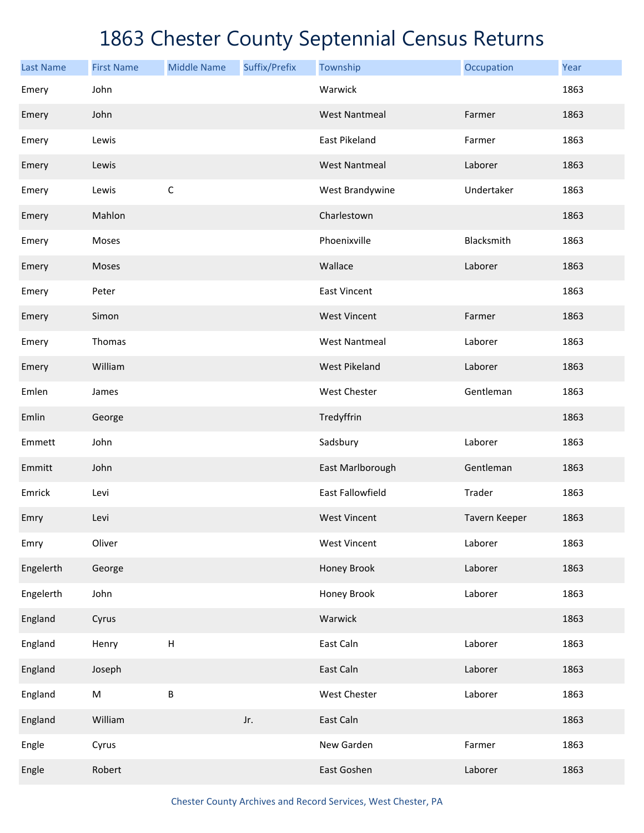| <b>Last Name</b> | <b>First Name</b> | <b>Middle Name</b> | Suffix/Prefix | Township                | Occupation    | Year |
|------------------|-------------------|--------------------|---------------|-------------------------|---------------|------|
| Emery            | John              |                    |               | Warwick                 |               | 1863 |
| Emery            | John              |                    |               | <b>West Nantmeal</b>    | Farmer        | 1863 |
| Emery            | Lewis             |                    |               | East Pikeland           | Farmer        | 1863 |
| Emery            | Lewis             |                    |               | <b>West Nantmeal</b>    | Laborer       | 1863 |
| Emery            | Lewis             | $\mathsf C$        |               | West Brandywine         | Undertaker    | 1863 |
| Emery            | Mahlon            |                    |               | Charlestown             |               | 1863 |
| Emery            | Moses             |                    |               | Phoenixville            | Blacksmith    | 1863 |
| Emery            | Moses             |                    |               | Wallace                 | Laborer       | 1863 |
| Emery            | Peter             |                    |               | <b>East Vincent</b>     |               | 1863 |
| Emery            | Simon             |                    |               | <b>West Vincent</b>     | Farmer        | 1863 |
| Emery            | Thomas            |                    |               | <b>West Nantmeal</b>    | Laborer       | 1863 |
| Emery            | William           |                    |               | <b>West Pikeland</b>    | Laborer       | 1863 |
| Emlen            | James             |                    |               | West Chester            | Gentleman     | 1863 |
| Emlin            | George            |                    |               | Tredyffrin              |               | 1863 |
| Emmett           | John              |                    |               | Sadsbury                | Laborer       | 1863 |
| Emmitt           | John              |                    |               | East Marlborough        | Gentleman     | 1863 |
| Emrick           | Levi              |                    |               | <b>East Fallowfield</b> | Trader        | 1863 |
| Emry             | Levi              |                    |               | <b>West Vincent</b>     | Tavern Keeper | 1863 |
| Emry             | Oliver            |                    |               | <b>West Vincent</b>     | Laborer       | 1863 |
| Engelerth        | George            |                    |               | Honey Brook             | Laborer       | 1863 |
| Engelerth        | John              |                    |               | Honey Brook             | Laborer       | 1863 |
| England          | Cyrus             |                    |               | Warwick                 |               | 1863 |
| England          | Henry             | $\sf H$            |               | East Caln               | Laborer       | 1863 |
| England          | Joseph            |                    |               | East Caln               | Laborer       | 1863 |
| England          | ${\sf M}$         | $\sf B$            |               | West Chester            | Laborer       | 1863 |
| England          | William           |                    | Jr.           | East Caln               |               | 1863 |
| Engle            | Cyrus             |                    |               | New Garden              | Farmer        | 1863 |
| Engle            | Robert            |                    |               | East Goshen             | Laborer       | 1863 |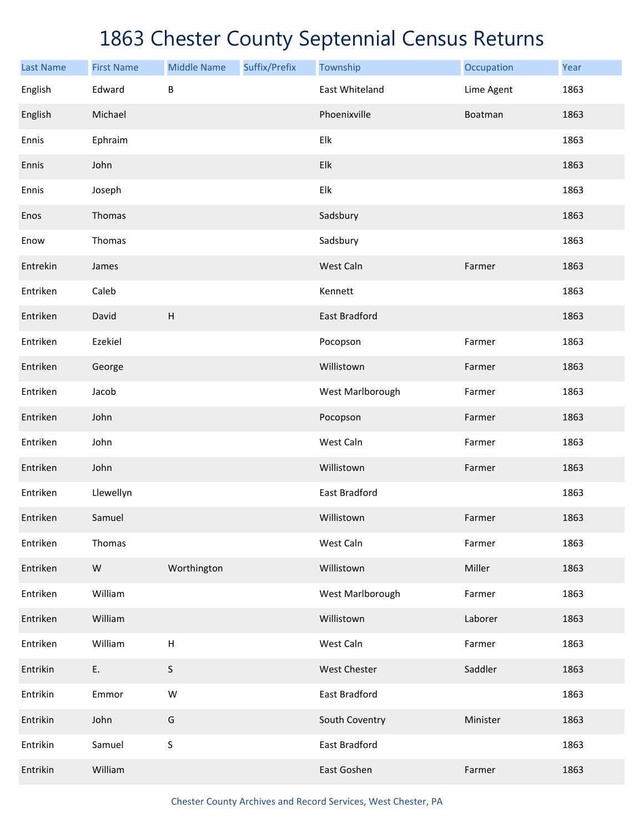| <b>Last Name</b> | <b>First Name</b> | <b>Middle Name</b> | Suffix/Prefix | Township             | Occupation | Year |
|------------------|-------------------|--------------------|---------------|----------------------|------------|------|
| English          | Edward            | B                  |               | East Whiteland       | Lime Agent | 1863 |
| English          | Michael           |                    |               | Phoenixville         | Boatman    | 1863 |
| Ennis            | Ephraim           |                    |               | Elk                  |            | 1863 |
| Ennis            | John              |                    |               | Elk                  |            | 1863 |
| Ennis            | Joseph            |                    |               | Elk                  |            | 1863 |
| Enos             | Thomas            |                    |               | Sadsbury             |            | 1863 |
| Enow             | Thomas            |                    |               | Sadsbury             |            | 1863 |
| Entrekin         | James             |                    |               | West Caln            | Farmer     | 1863 |
| Entriken         | Caleb             |                    |               | Kennett              |            | 1863 |
| Entriken         | David             | H                  |               | <b>East Bradford</b> |            | 1863 |
| Entriken         | Ezekiel           |                    |               | Pocopson             | Farmer     | 1863 |
| Entriken         | George            |                    |               | Willistown           | Farmer     | 1863 |
| Entriken         | Jacob             |                    |               | West Marlborough     | Farmer     | 1863 |
| Entriken         | John              |                    |               | Pocopson             | Farmer     | 1863 |
| Entriken         | John              |                    |               | West Caln            | Farmer     | 1863 |
| Entriken         | John              |                    |               | Willistown           | Farmer     | 1863 |
| Entriken         | Llewellyn         |                    |               | East Bradford        |            | 1863 |
| Entriken         | Samuel            |                    |               | Willistown           | Farmer     | 1863 |
| Entriken         | Thomas            |                    |               | West Caln            | Farmer     | 1863 |
| Entriken         | ${\sf W}$         | Worthington        |               | Willistown           | Miller     | 1863 |
| Entriken         | William           |                    |               | West Marlborough     | Farmer     | 1863 |
| Entriken         | William           |                    |               | Willistown           | Laborer    | 1863 |
| Entriken         | William           | $\mathsf H$        |               | West Caln            | Farmer     | 1863 |
| Entrikin         | Ε.                | $\sf S$            |               | West Chester         | Saddler    | 1863 |
| Entrikin         | Emmor             | ${\sf W}$          |               | East Bradford        |            | 1863 |
| Entrikin         | John              | G                  |               | South Coventry       | Minister   | 1863 |
| Entrikin         | Samuel            | $\sf S$            |               | East Bradford        |            | 1863 |
| Entrikin         | William           |                    |               | East Goshen          | Farmer     | 1863 |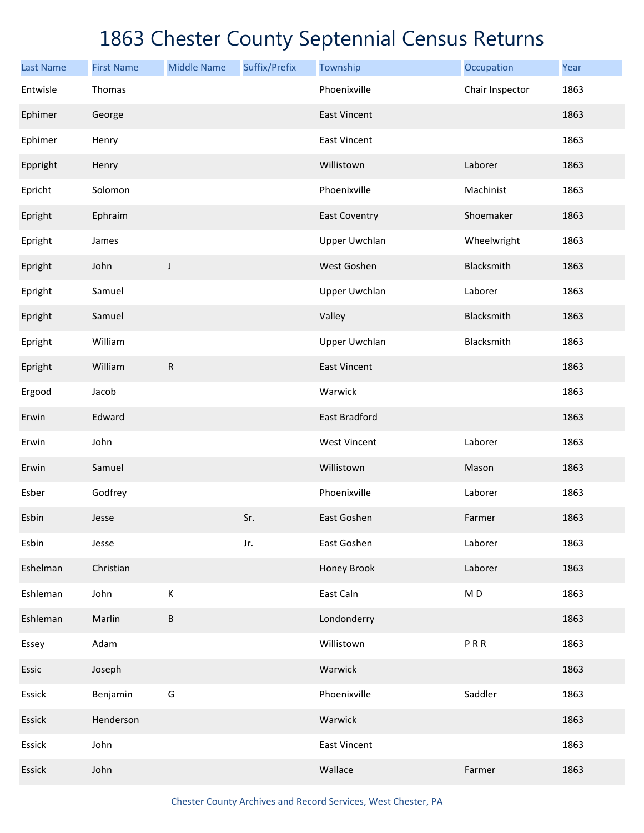| <b>Last Name</b> | <b>First Name</b> | <b>Middle Name</b> | Suffix/Prefix | Township             | Occupation               | Year |
|------------------|-------------------|--------------------|---------------|----------------------|--------------------------|------|
| Entwisle         | Thomas            |                    |               | Phoenixville         | Chair Inspector          | 1863 |
| Ephimer          | George            |                    |               | <b>East Vincent</b>  |                          | 1863 |
| Ephimer          | Henry             |                    |               | <b>East Vincent</b>  |                          | 1863 |
| Eppright         | Henry             |                    |               | Willistown           | Laborer                  | 1863 |
| Epricht          | Solomon           |                    |               | Phoenixville         | Machinist                | 1863 |
| Epright          | Ephraim           |                    |               | <b>East Coventry</b> | Shoemaker                | 1863 |
| Epright          | James             |                    |               | <b>Upper Uwchlan</b> | Wheelwright              | 1863 |
| Epright          | John              | J                  |               | West Goshen          | Blacksmith               | 1863 |
| Epright          | Samuel            |                    |               | Upper Uwchlan        | Laborer                  | 1863 |
| Epright          | Samuel            |                    |               | Valley               | Blacksmith               | 1863 |
| Epright          | William           |                    |               | <b>Upper Uwchlan</b> | Blacksmith               | 1863 |
| Epright          | William           | ${\sf R}$          |               | <b>East Vincent</b>  |                          | 1863 |
| Ergood           | Jacob             |                    |               | Warwick              |                          | 1863 |
| Erwin            | Edward            |                    |               | <b>East Bradford</b> |                          | 1863 |
| Erwin            | John              |                    |               | <b>West Vincent</b>  | Laborer                  | 1863 |
| Erwin            | Samuel            |                    |               | Willistown           | Mason                    | 1863 |
| Esber            | Godfrey           |                    |               | Phoenixville         | Laborer                  | 1863 |
| Esbin            | Jesse             |                    | Sr.           | East Goshen          | Farmer                   | 1863 |
| Esbin            | Jesse             |                    | Jr.           | East Goshen          | Laborer                  | 1863 |
| Eshelman         | Christian         |                    |               | Honey Brook          | Laborer                  | 1863 |
| Eshleman         | John              | К                  |               | East Caln            | $\mathsf{M}\,\mathsf{D}$ | 1863 |
| Eshleman         | Marlin            | $\sf B$            |               | Londonderry          |                          | 1863 |
| Essey            | Adam              |                    |               | Willistown           | PRR                      | 1863 |
| Essic            | Joseph            |                    |               | Warwick              |                          | 1863 |
| Essick           | Benjamin          | G                  |               | Phoenixville         | Saddler                  | 1863 |
| Essick           | Henderson         |                    |               | Warwick              |                          | 1863 |
| Essick           | John              |                    |               | <b>East Vincent</b>  |                          | 1863 |
| Essick           | John              |                    |               | Wallace              | Farmer                   | 1863 |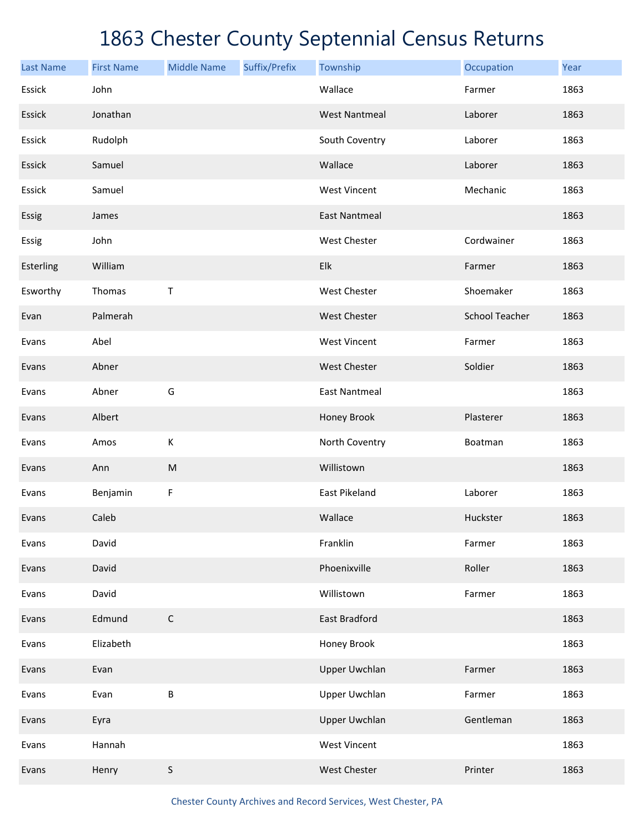| <b>Last Name</b> | <b>First Name</b> | <b>Middle Name</b> | Suffix/Prefix | Township             | Occupation            | Year |
|------------------|-------------------|--------------------|---------------|----------------------|-----------------------|------|
| Essick           | John              |                    |               | Wallace              | Farmer                | 1863 |
| Essick           | Jonathan          |                    |               | <b>West Nantmeal</b> | Laborer               | 1863 |
| Essick           | Rudolph           |                    |               | South Coventry       | Laborer               | 1863 |
| Essick           | Samuel            |                    |               | Wallace              | Laborer               | 1863 |
| Essick           | Samuel            |                    |               | <b>West Vincent</b>  | Mechanic              | 1863 |
| Essig            | James             |                    |               | <b>East Nantmeal</b> |                       | 1863 |
| Essig            | John              |                    |               | West Chester         | Cordwainer            | 1863 |
| Esterling        | William           |                    |               | Elk                  | Farmer                | 1863 |
| Esworthy         | Thomas            | Τ                  |               | West Chester         | Shoemaker             | 1863 |
| Evan             | Palmerah          |                    |               | West Chester         | <b>School Teacher</b> | 1863 |
| Evans            | Abel              |                    |               | <b>West Vincent</b>  | Farmer                | 1863 |
| Evans            | Abner             |                    |               | West Chester         | Soldier               | 1863 |
| Evans            | Abner             | G                  |               | <b>East Nantmeal</b> |                       | 1863 |
| Evans            | Albert            |                    |               | Honey Brook          | Plasterer             | 1863 |
| Evans            | Amos              | К                  |               | North Coventry       | Boatman               | 1863 |
| Evans            | Ann               | ${\sf M}$          |               | Willistown           |                       | 1863 |
| Evans            | Benjamin          | F                  |               | East Pikeland        | Laborer               | 1863 |
| Evans            | Caleb             |                    |               | Wallace              | Huckster              | 1863 |
| Evans            | David             |                    |               | Franklin             | Farmer                | 1863 |
| Evans            | David             |                    |               | Phoenixville         | Roller                | 1863 |
| Evans            | David             |                    |               | Willistown           | Farmer                | 1863 |
| Evans            | Edmund            | $\mathsf C$        |               | East Bradford        |                       | 1863 |
| Evans            | Elizabeth         |                    |               | Honey Brook          |                       | 1863 |
| Evans            | Evan              |                    |               | <b>Upper Uwchlan</b> | Farmer                | 1863 |
| Evans            | Evan              | B                  |               | <b>Upper Uwchlan</b> | Farmer                | 1863 |
| Evans            | Eyra              |                    |               | <b>Upper Uwchlan</b> | Gentleman             | 1863 |
| Evans            | Hannah            |                    |               | <b>West Vincent</b>  |                       | 1863 |
| Evans            | Henry             | S                  |               | West Chester         | Printer               | 1863 |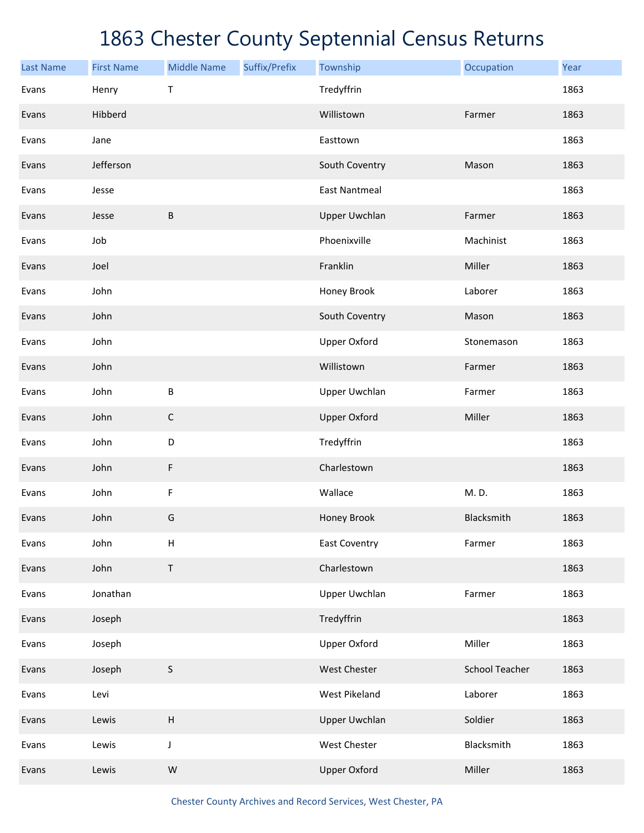| <b>Last Name</b> | <b>First Name</b> | <b>Middle Name</b> | Suffix/Prefix | Township             | Occupation            | Year |
|------------------|-------------------|--------------------|---------------|----------------------|-----------------------|------|
| Evans            | Henry             | Τ                  |               | Tredyffrin           |                       | 1863 |
| Evans            | Hibberd           |                    |               | Willistown           | Farmer                | 1863 |
| Evans            | Jane              |                    |               | Easttown             |                       | 1863 |
| Evans            | Jefferson         |                    |               | South Coventry       | Mason                 | 1863 |
| Evans            | Jesse             |                    |               | <b>East Nantmeal</b> |                       | 1863 |
| Evans            | Jesse             | $\sf B$            |               | <b>Upper Uwchlan</b> | Farmer                | 1863 |
| Evans            | Job               |                    |               | Phoenixville         | Machinist             | 1863 |
| Evans            | Joel              |                    |               | Franklin             | Miller                | 1863 |
| Evans            | John              |                    |               | Honey Brook          | Laborer               | 1863 |
| Evans            | John              |                    |               | South Coventry       | Mason                 | 1863 |
| Evans            | John              |                    |               | <b>Upper Oxford</b>  | Stonemason            | 1863 |
| Evans            | John              |                    |               | Willistown           | Farmer                | 1863 |
| Evans            | John              | $\sf B$            |               | <b>Upper Uwchlan</b> | Farmer                | 1863 |
| Evans            | John              | $\mathsf C$        |               | <b>Upper Oxford</b>  | Miller                | 1863 |
| Evans            | John              | D                  |               | Tredyffrin           |                       | 1863 |
| Evans            | John              | F                  |               | Charlestown          |                       | 1863 |
| Evans            | John              | F                  |               | Wallace              | M. D.                 | 1863 |
| Evans            | John              | G                  |               | Honey Brook          | Blacksmith            | 1863 |
| Evans            | John              | $\sf H$            |               | <b>East Coventry</b> | Farmer                | 1863 |
| Evans            | John              | $\sf T$            |               | Charlestown          |                       | 1863 |
| Evans            | Jonathan          |                    |               | Upper Uwchlan        | Farmer                | 1863 |
| Evans            | Joseph            |                    |               | Tredyffrin           |                       | 1863 |
| Evans            | Joseph            |                    |               | <b>Upper Oxford</b>  | Miller                | 1863 |
| Evans            | Joseph            | $\sf S$            |               | West Chester         | <b>School Teacher</b> | 1863 |
| Evans            | Levi              |                    |               | West Pikeland        | Laborer               | 1863 |
| Evans            | Lewis             | $\sf H$            |               | <b>Upper Uwchlan</b> | Soldier               | 1863 |
| Evans            | Lewis             | J                  |               | West Chester         | Blacksmith            | 1863 |
| Evans            | Lewis             | ${\sf W}$          |               | <b>Upper Oxford</b>  | Miller                | 1863 |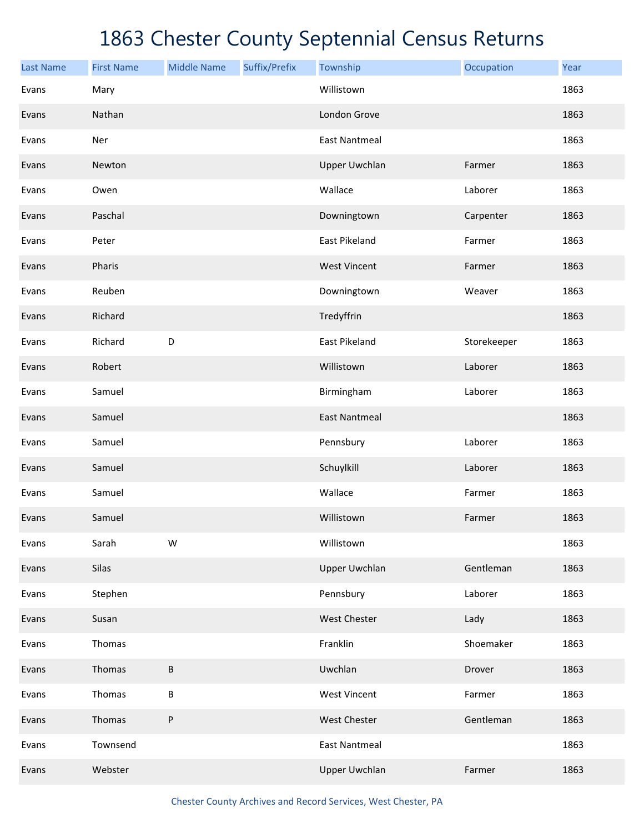| <b>Last Name</b> | <b>First Name</b> | <b>Middle Name</b> | Suffix/Prefix | Township             | Occupation  | Year |
|------------------|-------------------|--------------------|---------------|----------------------|-------------|------|
| Evans            | Mary              |                    |               | Willistown           |             | 1863 |
| Evans            | Nathan            |                    |               | London Grove         |             | 1863 |
| Evans            | Ner               |                    |               | <b>East Nantmeal</b> |             | 1863 |
| Evans            | Newton            |                    |               | <b>Upper Uwchlan</b> | Farmer      | 1863 |
| Evans            | Owen              |                    |               | Wallace              | Laborer     | 1863 |
| Evans            | Paschal           |                    |               | Downingtown          | Carpenter   | 1863 |
| Evans            | Peter             |                    |               | East Pikeland        | Farmer      | 1863 |
| Evans            | Pharis            |                    |               | <b>West Vincent</b>  | Farmer      | 1863 |
| Evans            | Reuben            |                    |               | Downingtown          | Weaver      | 1863 |
| Evans            | Richard           |                    |               | Tredyffrin           |             | 1863 |
| Evans            | Richard           | D                  |               | East Pikeland        | Storekeeper | 1863 |
| Evans            | Robert            |                    |               | Willistown           | Laborer     | 1863 |
| Evans            | Samuel            |                    |               | Birmingham           | Laborer     | 1863 |
| Evans            | Samuel            |                    |               | <b>East Nantmeal</b> |             | 1863 |
| Evans            | Samuel            |                    |               | Pennsbury            | Laborer     | 1863 |
| Evans            | Samuel            |                    |               | Schuylkill           | Laborer     | 1863 |
| Evans            | Samuel            |                    |               | Wallace              | Farmer      | 1863 |
| Evans            | Samuel            |                    |               | Willistown           | Farmer      | 1863 |
| Evans            | Sarah             | W                  |               | Willistown           |             | 1863 |
| Evans            | Silas             |                    |               | <b>Upper Uwchlan</b> | Gentleman   | 1863 |
| Evans            | Stephen           |                    |               | Pennsbury            | Laborer     | 1863 |
| Evans            | Susan             |                    |               | <b>West Chester</b>  | Lady        | 1863 |
| Evans            | Thomas            |                    |               | Franklin             | Shoemaker   | 1863 |
| Evans            | Thomas            | В                  |               | Uwchlan              | Drover      | 1863 |
| Evans            | Thomas            | B                  |               | <b>West Vincent</b>  | Farmer      | 1863 |
| Evans            | Thomas            | P                  |               | West Chester         | Gentleman   | 1863 |
| Evans            | Townsend          |                    |               | <b>East Nantmeal</b> |             | 1863 |
| Evans            | Webster           |                    |               | <b>Upper Uwchlan</b> | Farmer      | 1863 |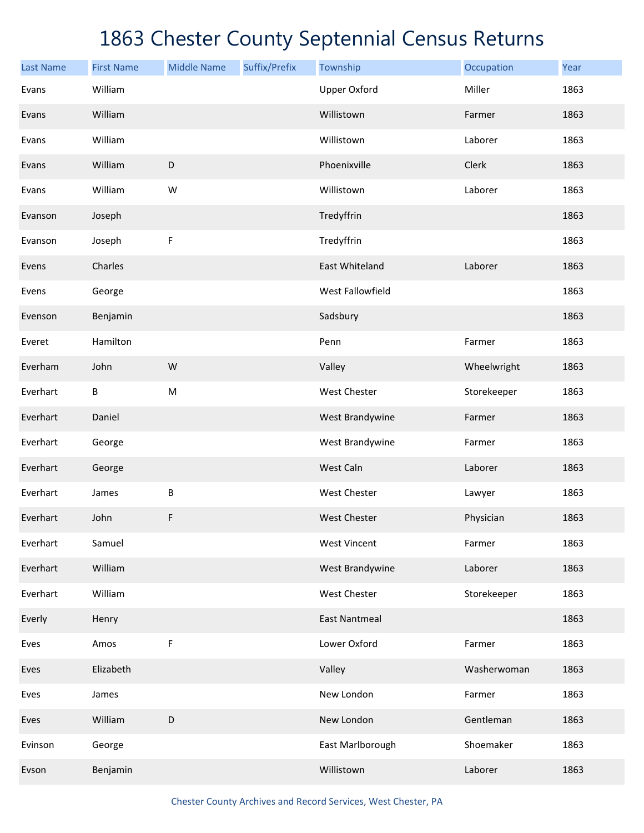| <b>Last Name</b> | <b>First Name</b> | <b>Middle Name</b> | Suffix/Prefix | Township             | Occupation  | Year |
|------------------|-------------------|--------------------|---------------|----------------------|-------------|------|
| Evans            | William           |                    |               | <b>Upper Oxford</b>  | Miller      | 1863 |
| Evans            | William           |                    |               | Willistown           | Farmer      | 1863 |
| Evans            | William           |                    |               | Willistown           | Laborer     | 1863 |
| Evans            | William           | D                  |               | Phoenixville         | Clerk       | 1863 |
| Evans            | William           | W                  |               | Willistown           | Laborer     | 1863 |
| Evanson          | Joseph            |                    |               | Tredyffrin           |             | 1863 |
| Evanson          | Joseph            | $\mathsf F$        |               | Tredyffrin           |             | 1863 |
| Evens            | Charles           |                    |               | East Whiteland       | Laborer     | 1863 |
| Evens            | George            |                    |               | West Fallowfield     |             | 1863 |
| Evenson          | Benjamin          |                    |               | Sadsbury             |             | 1863 |
| Everet           | Hamilton          |                    |               | Penn                 | Farmer      | 1863 |
| Everham          | John              | W                  |               | Valley               | Wheelwright | 1863 |
| Everhart         | В                 | M                  |               | West Chester         | Storekeeper | 1863 |
| Everhart         | Daniel            |                    |               | West Brandywine      | Farmer      | 1863 |
| Everhart         | George            |                    |               | West Brandywine      | Farmer      | 1863 |
| Everhart         | George            |                    |               | West Caln            | Laborer     | 1863 |
| Everhart         | James             | B                  |               | West Chester         | Lawyer      | 1863 |
| Everhart         | John              | F                  |               | <b>West Chester</b>  | Physician   | 1863 |
| Everhart         | Samuel            |                    |               | <b>West Vincent</b>  | Farmer      | 1863 |
| Everhart         | William           |                    |               | West Brandywine      | Laborer     | 1863 |
| Everhart         | William           |                    |               | West Chester         | Storekeeper | 1863 |
| Everly           | Henry             |                    |               | <b>East Nantmeal</b> |             | 1863 |
| Eves             | Amos              | F                  |               | Lower Oxford         | Farmer      | 1863 |
| Eves             | Elizabeth         |                    |               | Valley               | Washerwoman | 1863 |
| Eves             | James             |                    |               | New London           | Farmer      | 1863 |
| Eves             | William           | $\mathsf D$        |               | New London           | Gentleman   | 1863 |
| Evinson          | George            |                    |               | East Marlborough     | Shoemaker   | 1863 |
| Evson            | Benjamin          |                    |               | Willistown           | Laborer     | 1863 |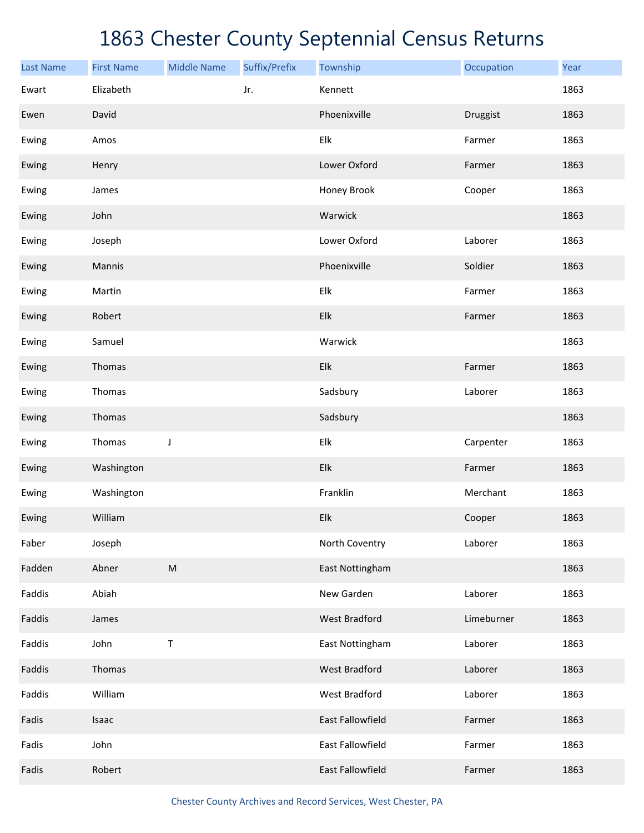| <b>Last Name</b> | <b>First Name</b> | <b>Middle Name</b> | Suffix/Prefix | Township             | Occupation | Year |
|------------------|-------------------|--------------------|---------------|----------------------|------------|------|
| Ewart            | Elizabeth         |                    | Jr.           | Kennett              |            | 1863 |
| Ewen             | David             |                    |               | Phoenixville         | Druggist   | 1863 |
| Ewing            | Amos              |                    |               | Elk                  | Farmer     | 1863 |
| Ewing            | Henry             |                    |               | Lower Oxford         | Farmer     | 1863 |
| Ewing            | James             |                    |               | Honey Brook          | Cooper     | 1863 |
| Ewing            | John              |                    |               | Warwick              |            | 1863 |
| Ewing            | Joseph            |                    |               | Lower Oxford         | Laborer    | 1863 |
| Ewing            | Mannis            |                    |               | Phoenixville         | Soldier    | 1863 |
| Ewing            | Martin            |                    |               | Elk                  | Farmer     | 1863 |
| Ewing            | Robert            |                    |               | Elk                  | Farmer     | 1863 |
| Ewing            | Samuel            |                    |               | Warwick              |            | 1863 |
| Ewing            | Thomas            |                    |               | Elk                  | Farmer     | 1863 |
| Ewing            | Thomas            |                    |               | Sadsbury             | Laborer    | 1863 |
| Ewing            | Thomas            |                    |               | Sadsbury             |            | 1863 |
| Ewing            | Thomas            | J                  |               | Elk                  | Carpenter  | 1863 |
| Ewing            | Washington        |                    |               | Elk                  | Farmer     | 1863 |
| Ewing            | Washington        |                    |               | Franklin             | Merchant   | 1863 |
| Ewing            | William           |                    |               | Elk                  | Cooper     | 1863 |
| Faber            | Joseph            |                    |               | North Coventry       | Laborer    | 1863 |
| Fadden           | Abner             | ${\sf M}$          |               | East Nottingham      |            | 1863 |
| Faddis           | Abiah             |                    |               | New Garden           | Laborer    | 1863 |
| Faddis           | James             |                    |               | <b>West Bradford</b> | Limeburner | 1863 |
| Faddis           | John              | $\sf T$            |               | East Nottingham      | Laborer    | 1863 |
| Faddis           | Thomas            |                    |               | <b>West Bradford</b> | Laborer    | 1863 |
| Faddis           | William           |                    |               | <b>West Bradford</b> | Laborer    | 1863 |
| Fadis            | Isaac             |                    |               | East Fallowfield     | Farmer     | 1863 |
| Fadis            | John              |                    |               | East Fallowfield     | Farmer     | 1863 |
| Fadis            | Robert            |                    |               | East Fallowfield     | Farmer     | 1863 |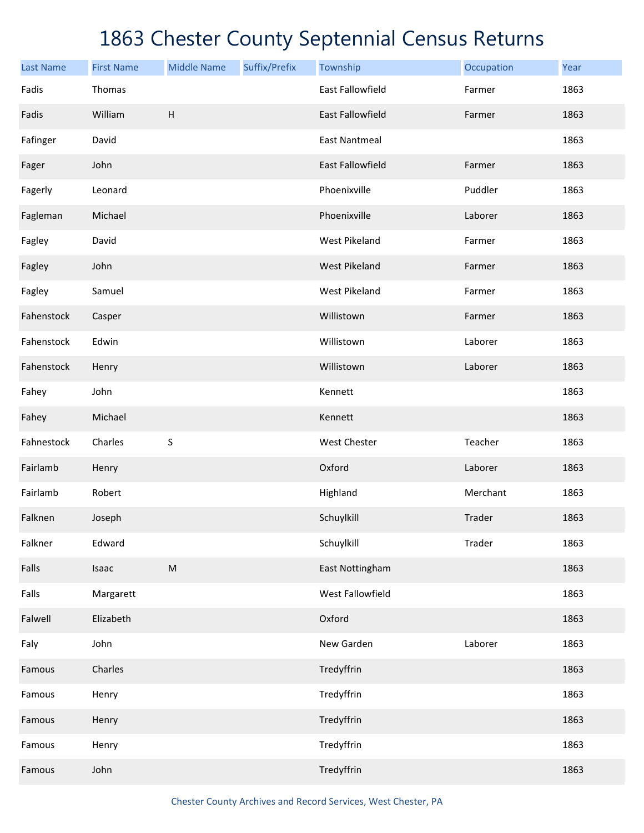| <b>Last Name</b> | <b>First Name</b> | <b>Middle Name</b> | Suffix/Prefix | Township             | Occupation | Year |
|------------------|-------------------|--------------------|---------------|----------------------|------------|------|
| Fadis            | Thomas            |                    |               | East Fallowfield     | Farmer     | 1863 |
| Fadis            | William           | $\mathsf H$        |               | East Fallowfield     | Farmer     | 1863 |
| Fafinger         | David             |                    |               | <b>East Nantmeal</b> |            | 1863 |
| Fager            | John              |                    |               | East Fallowfield     | Farmer     | 1863 |
| Fagerly          | Leonard           |                    |               | Phoenixville         | Puddler    | 1863 |
| Fagleman         | Michael           |                    |               | Phoenixville         | Laborer    | 1863 |
| Fagley           | David             |                    |               | West Pikeland        | Farmer     | 1863 |
| Fagley           | John              |                    |               | <b>West Pikeland</b> | Farmer     | 1863 |
| Fagley           | Samuel            |                    |               | West Pikeland        | Farmer     | 1863 |
| Fahenstock       | Casper            |                    |               | Willistown           | Farmer     | 1863 |
| Fahenstock       | Edwin             |                    |               | Willistown           | Laborer    | 1863 |
| Fahenstock       | Henry             |                    |               | Willistown           | Laborer    | 1863 |
| Fahey            | John              |                    |               | Kennett              |            | 1863 |
| Fahey            | Michael           |                    |               | Kennett              |            | 1863 |
| Fahnestock       | Charles           | S                  |               | West Chester         | Teacher    | 1863 |
| Fairlamb         | Henry             |                    |               | Oxford               | Laborer    | 1863 |
| Fairlamb         | Robert            |                    |               | Highland             | Merchant   | 1863 |
| Falknen          | Joseph            |                    |               | Schuylkill           | Trader     | 1863 |
| Falkner          | Edward            |                    |               | Schuylkill           | Trader     | 1863 |
| Falls            | Isaac             | ${\sf M}$          |               | East Nottingham      |            | 1863 |
| Falls            | Margarett         |                    |               | West Fallowfield     |            | 1863 |
| Falwell          | Elizabeth         |                    |               | Oxford               |            | 1863 |
| Faly             | John              |                    |               | New Garden           | Laborer    | 1863 |
| Famous           | Charles           |                    |               | Tredyffrin           |            | 1863 |
| Famous           | Henry             |                    |               | Tredyffrin           |            | 1863 |
| Famous           | Henry             |                    |               | Tredyffrin           |            | 1863 |
| Famous           | Henry             |                    |               | Tredyffrin           |            | 1863 |
| Famous           | John              |                    |               | Tredyffrin           |            | 1863 |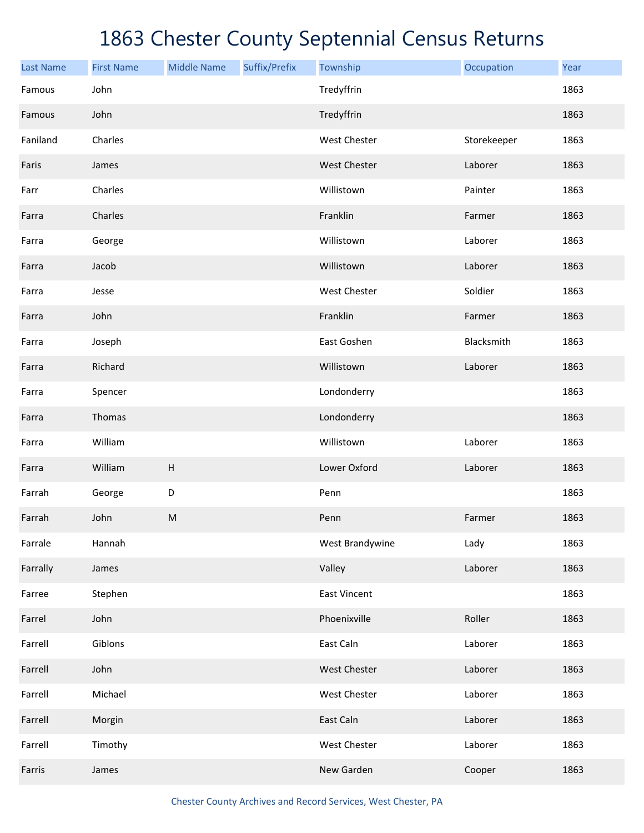| <b>Last Name</b> | <b>First Name</b> | <b>Middle Name</b>        | Suffix/Prefix | Township            | Occupation  | Year |
|------------------|-------------------|---------------------------|---------------|---------------------|-------------|------|
| Famous           | John              |                           |               | Tredyffrin          |             | 1863 |
| Famous           | John              |                           |               | Tredyffrin          |             | 1863 |
| Faniland         | Charles           |                           |               | <b>West Chester</b> | Storekeeper | 1863 |
| Faris            | James             |                           |               | West Chester        | Laborer     | 1863 |
| Farr             | Charles           |                           |               | Willistown          | Painter     | 1863 |
| Farra            | Charles           |                           |               | Franklin            | Farmer      | 1863 |
| Farra            | George            |                           |               | Willistown          | Laborer     | 1863 |
| Farra            | Jacob             |                           |               | Willistown          | Laborer     | 1863 |
| Farra            | Jesse             |                           |               | West Chester        | Soldier     | 1863 |
| Farra            | John              |                           |               | Franklin            | Farmer      | 1863 |
| Farra            | Joseph            |                           |               | East Goshen         | Blacksmith  | 1863 |
| Farra            | Richard           |                           |               | Willistown          | Laborer     | 1863 |
| Farra            | Spencer           |                           |               | Londonderry         |             | 1863 |
| Farra            | Thomas            |                           |               | Londonderry         |             | 1863 |
| Farra            | William           |                           |               | Willistown          | Laborer     | 1863 |
| Farra            | William           | $\boldsymbol{\mathsf{H}}$ |               | Lower Oxford        | Laborer     | 1863 |
| Farrah           | George            | D                         |               | Penn                |             | 1863 |
| Farrah           | John              | ${\sf M}$                 |               | Penn                | Farmer      | 1863 |
| Farrale          | Hannah            |                           |               | West Brandywine     | Lady        | 1863 |
| Farrally         | James             |                           |               | Valley              | Laborer     | 1863 |
| Farree           | Stephen           |                           |               | <b>East Vincent</b> |             | 1863 |
| Farrel           | John              |                           |               | Phoenixville        | Roller      | 1863 |
| Farrell          | Giblons           |                           |               | East Caln           | Laborer     | 1863 |
| Farrell          | John              |                           |               | West Chester        | Laborer     | 1863 |
| Farrell          | Michael           |                           |               | West Chester        | Laborer     | 1863 |
| Farrell          | Morgin            |                           |               | East Caln           | Laborer     | 1863 |
| Farrell          | Timothy           |                           |               | West Chester        | Laborer     | 1863 |
| Farris           | James             |                           |               | New Garden          | Cooper      | 1863 |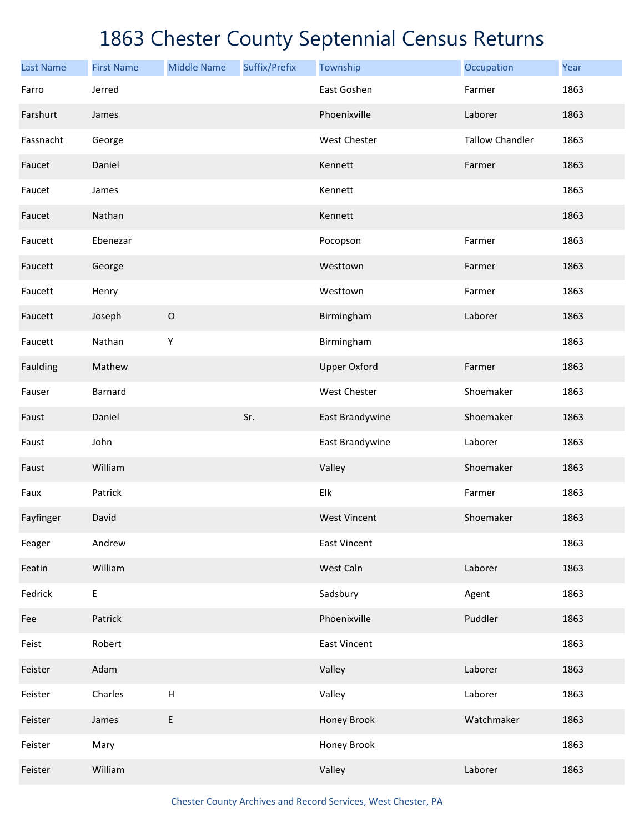| <b>Last Name</b> | <b>First Name</b> | <b>Middle Name</b>        | Suffix/Prefix | Township            | Occupation             | Year |
|------------------|-------------------|---------------------------|---------------|---------------------|------------------------|------|
| Farro            | Jerred            |                           |               | East Goshen         | Farmer                 | 1863 |
| Farshurt         | James             |                           |               | Phoenixville        | Laborer                | 1863 |
| Fassnacht        | George            |                           |               | West Chester        | <b>Tallow Chandler</b> | 1863 |
| Faucet           | Daniel            |                           |               | Kennett             | Farmer                 | 1863 |
| Faucet           | James             |                           |               | Kennett             |                        | 1863 |
| Faucet           | Nathan            |                           |               | Kennett             |                        | 1863 |
| Faucett          | Ebenezar          |                           |               | Pocopson            | Farmer                 | 1863 |
| Faucett          | George            |                           |               | Westtown            | Farmer                 | 1863 |
| Faucett          | Henry             |                           |               | Westtown            | Farmer                 | 1863 |
| Faucett          | Joseph            | $\mathsf O$               |               | Birmingham          | Laborer                | 1863 |
| Faucett          | Nathan            | Υ                         |               | Birmingham          |                        | 1863 |
| Faulding         | Mathew            |                           |               | <b>Upper Oxford</b> | Farmer                 | 1863 |
| Fauser           | <b>Barnard</b>    |                           |               | West Chester        | Shoemaker              | 1863 |
| Faust            | Daniel            |                           | Sr.           | East Brandywine     | Shoemaker              | 1863 |
| Faust            | John              |                           |               | East Brandywine     | Laborer                | 1863 |
| Faust            | William           |                           |               | Valley              | Shoemaker              | 1863 |
| Faux             | Patrick           |                           |               | Elk                 | Farmer                 | 1863 |
| Fayfinger        | David             |                           |               | <b>West Vincent</b> | Shoemaker              | 1863 |
| Feager           | Andrew            |                           |               | <b>East Vincent</b> |                        | 1863 |
| Featin           | William           |                           |               | West Caln           | Laborer                | 1863 |
| Fedrick          | E                 |                           |               | Sadsbury            | Agent                  | 1863 |
| Fee              | Patrick           |                           |               | Phoenixville        | Puddler                | 1863 |
| Feist            | Robert            |                           |               | <b>East Vincent</b> |                        | 1863 |
| Feister          | Adam              |                           |               | Valley              | Laborer                | 1863 |
| Feister          | Charles           | $\boldsymbol{\mathsf{H}}$ |               | Valley              | Laborer                | 1863 |
| Feister          | James             | E                         |               | Honey Brook         | Watchmaker             | 1863 |
| Feister          | Mary              |                           |               | Honey Brook         |                        | 1863 |
| Feister          | William           |                           |               | Valley              | Laborer                | 1863 |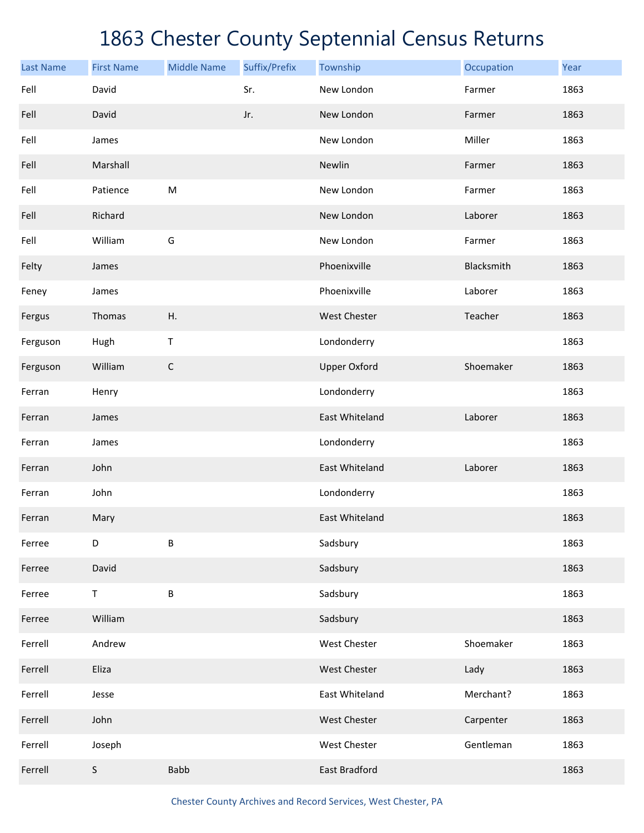| <b>Last Name</b> | <b>First Name</b> | <b>Middle Name</b> | Suffix/Prefix | Township            | Occupation | Year |
|------------------|-------------------|--------------------|---------------|---------------------|------------|------|
| Fell             | David             |                    | Sr.           | New London          | Farmer     | 1863 |
| Fell             | David             |                    | Jr.           | New London          | Farmer     | 1863 |
| Fell             | James             |                    |               | New London          | Miller     | 1863 |
| Fell             | Marshall          |                    |               | Newlin              | Farmer     | 1863 |
| Fell             | Patience          | ${\sf M}$          |               | New London          | Farmer     | 1863 |
| Fell             | Richard           |                    |               | New London          | Laborer    | 1863 |
| Fell             | William           | G                  |               | New London          | Farmer     | 1863 |
| Felty            | James             |                    |               | Phoenixville        | Blacksmith | 1863 |
| Feney            | James             |                    |               | Phoenixville        | Laborer    | 1863 |
| Fergus           | Thomas            | Η.                 |               | West Chester        | Teacher    | 1863 |
| Ferguson         | Hugh              | $\sf T$            |               | Londonderry         |            | 1863 |
| Ferguson         | William           | $\mathsf C$        |               | <b>Upper Oxford</b> | Shoemaker  | 1863 |
| Ferran           | Henry             |                    |               | Londonderry         |            | 1863 |
| Ferran           | James             |                    |               | East Whiteland      | Laborer    | 1863 |
| Ferran           | James             |                    |               | Londonderry         |            | 1863 |
| Ferran           | John              |                    |               | East Whiteland      | Laborer    | 1863 |
| Ferran           | John              |                    |               | Londonderry         |            | 1863 |
| Ferran           | Mary              |                    |               | East Whiteland      |            | 1863 |
| Ferree           | D                 | B                  |               | Sadsbury            |            | 1863 |
| Ferree           | David             |                    |               | Sadsbury            |            | 1863 |
| Ferree           | $\mathsf T$       | B                  |               | Sadsbury            |            | 1863 |
| Ferree           | William           |                    |               | Sadsbury            |            | 1863 |
| Ferrell          | Andrew            |                    |               | West Chester        | Shoemaker  | 1863 |
| Ferrell          | Eliza             |                    |               | West Chester        | Lady       | 1863 |
| Ferrell          | Jesse             |                    |               | East Whiteland      | Merchant?  | 1863 |
| Ferrell          | John              |                    |               | West Chester        | Carpenter  | 1863 |
| Ferrell          | Joseph            |                    |               | West Chester        | Gentleman  | 1863 |
| Ferrell          | $\mathsf S$       | <b>Babb</b>        |               | East Bradford       |            | 1863 |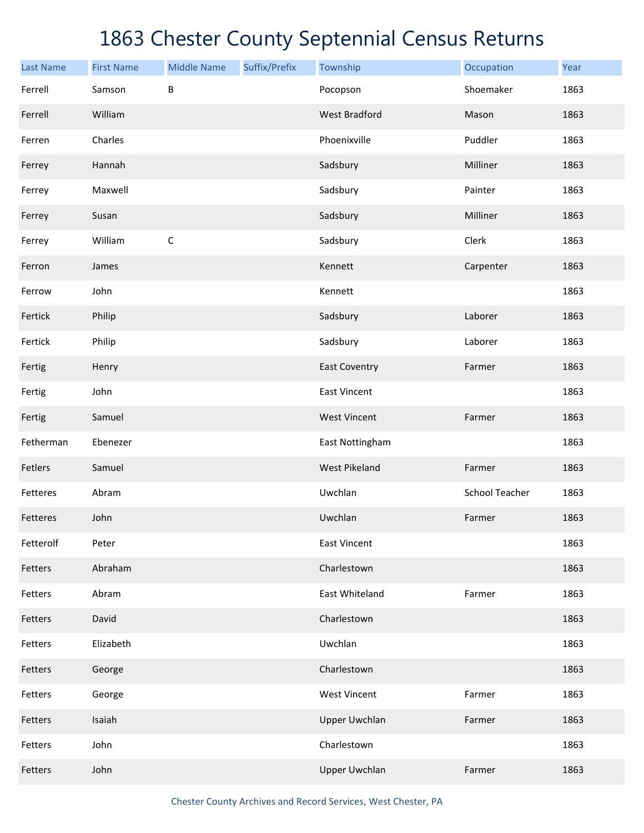| <b>Last Name</b> | <b>First Name</b> | <b>Middle Name</b> | Suffix/Prefix | Township             | Occupation            | Year |
|------------------|-------------------|--------------------|---------------|----------------------|-----------------------|------|
| Ferrell          | Samson            | B                  |               | Pocopson             | Shoemaker             | 1863 |
| Ferrell          | William           |                    |               | <b>West Bradford</b> | Mason                 | 1863 |
| Ferren           | Charles           |                    |               | Phoenixville         | Puddler               | 1863 |
| Ferrey           | Hannah            |                    |               | Sadsbury             | Milliner              | 1863 |
| Ferrey           | Maxwell           |                    |               | Sadsbury             | Painter               | 1863 |
| Ferrey           | Susan             |                    |               | Sadsbury             | Milliner              | 1863 |
| Ferrey           | William           | $\mathsf C$        |               | Sadsbury             | Clerk                 | 1863 |
| Ferron           | James             |                    |               | Kennett              | Carpenter             | 1863 |
| Ferrow           | John              |                    |               | Kennett              |                       | 1863 |
| Fertick          | Philip            |                    |               | Sadsbury             | Laborer               | 1863 |
| Fertick          | Philip            |                    |               | Sadsbury             | Laborer               | 1863 |
| Fertig           | Henry             |                    |               | <b>East Coventry</b> | Farmer                | 1863 |
| Fertig           | John              |                    |               | <b>East Vincent</b>  |                       | 1863 |
| Fertig           | Samuel            |                    |               | <b>West Vincent</b>  | Farmer                | 1863 |
| Fetherman        | Ebenezer          |                    |               | East Nottingham      |                       | 1863 |
| Fetlers          | Samuel            |                    |               | <b>West Pikeland</b> | Farmer                | 1863 |
| Fetteres         | Abram             |                    |               | Uwchlan              | <b>School Teacher</b> | 1863 |
| Fetteres         | John              |                    |               | Uwchlan              | Farmer                | 1863 |
| Fetterolf        | Peter             |                    |               | <b>East Vincent</b>  |                       | 1863 |
| Fetters          | Abraham           |                    |               | Charlestown          |                       | 1863 |
| Fetters          | Abram             |                    |               | East Whiteland       | Farmer                | 1863 |
| Fetters          | David             |                    |               | Charlestown          |                       | 1863 |
| Fetters          | Elizabeth         |                    |               | Uwchlan              |                       | 1863 |
| Fetters          | George            |                    |               | Charlestown          |                       | 1863 |
| Fetters          | George            |                    |               | <b>West Vincent</b>  | Farmer                | 1863 |
| Fetters          | Isaiah            |                    |               | <b>Upper Uwchlan</b> | Farmer                | 1863 |
| Fetters          | John              |                    |               | Charlestown          |                       | 1863 |
| Fetters          | John              |                    |               | <b>Upper Uwchlan</b> | Farmer                | 1863 |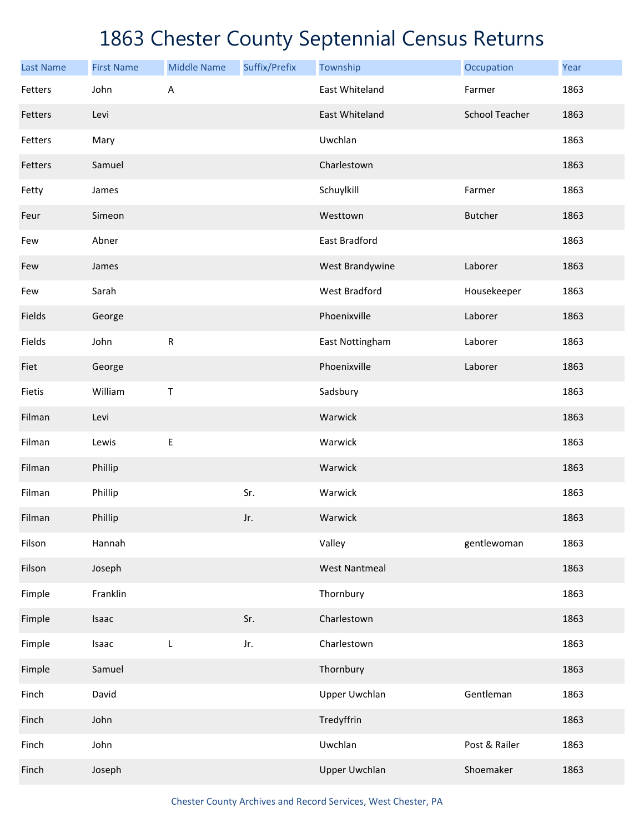| <b>Last Name</b> | <b>First Name</b> | <b>Middle Name</b> | Suffix/Prefix | Township             | Occupation            | Year |
|------------------|-------------------|--------------------|---------------|----------------------|-----------------------|------|
| Fetters          | John              | Α                  |               | East Whiteland       | Farmer                | 1863 |
| Fetters          | Levi              |                    |               | East Whiteland       | <b>School Teacher</b> | 1863 |
| Fetters          | Mary              |                    |               | Uwchlan              |                       | 1863 |
| Fetters          | Samuel            |                    |               | Charlestown          |                       | 1863 |
| Fetty            | James             |                    |               | Schuylkill           | Farmer                | 1863 |
| Feur             | Simeon            |                    |               | Westtown             | Butcher               | 1863 |
| Few              | Abner             |                    |               | East Bradford        |                       | 1863 |
| Few              | James             |                    |               | West Brandywine      | Laborer               | 1863 |
| Few              | Sarah             |                    |               | <b>West Bradford</b> | Housekeeper           | 1863 |
| Fields           | George            |                    |               | Phoenixville         | Laborer               | 1863 |
| Fields           | John              | ${\sf R}$          |               | East Nottingham      | Laborer               | 1863 |
| Fiet             | George            |                    |               | Phoenixville         | Laborer               | 1863 |
| Fietis           | William           | Τ                  |               | Sadsbury             |                       | 1863 |
| Filman           | Levi              |                    |               | Warwick              |                       | 1863 |
| Filman           | Lewis             | $\mathsf E$        |               | Warwick              |                       | 1863 |
| Filman           | Phillip           |                    |               | Warwick              |                       | 1863 |
| Filman           | Phillip           |                    | Sr.           | Warwick              |                       | 1863 |
| Filman           | Phillip           |                    | Jr.           | Warwick              |                       | 1863 |
| Filson           | Hannah            |                    |               | Valley               | gentlewoman           | 1863 |
| Filson           | Joseph            |                    |               | <b>West Nantmeal</b> |                       | 1863 |
| Fimple           | Franklin          |                    |               | Thornbury            |                       | 1863 |
| Fimple           | Isaac             |                    | Sr.           | Charlestown          |                       | 1863 |
| Fimple           | Isaac             | L                  | Jr.           | Charlestown          |                       | 1863 |
| Fimple           | Samuel            |                    |               | Thornbury            |                       | 1863 |
| Finch            | David             |                    |               | <b>Upper Uwchlan</b> | Gentleman             | 1863 |
| Finch            | John              |                    |               | Tredyffrin           |                       | 1863 |
| Finch            | John              |                    |               | Uwchlan              | Post & Railer         | 1863 |
| Finch            | Joseph            |                    |               | <b>Upper Uwchlan</b> | Shoemaker             | 1863 |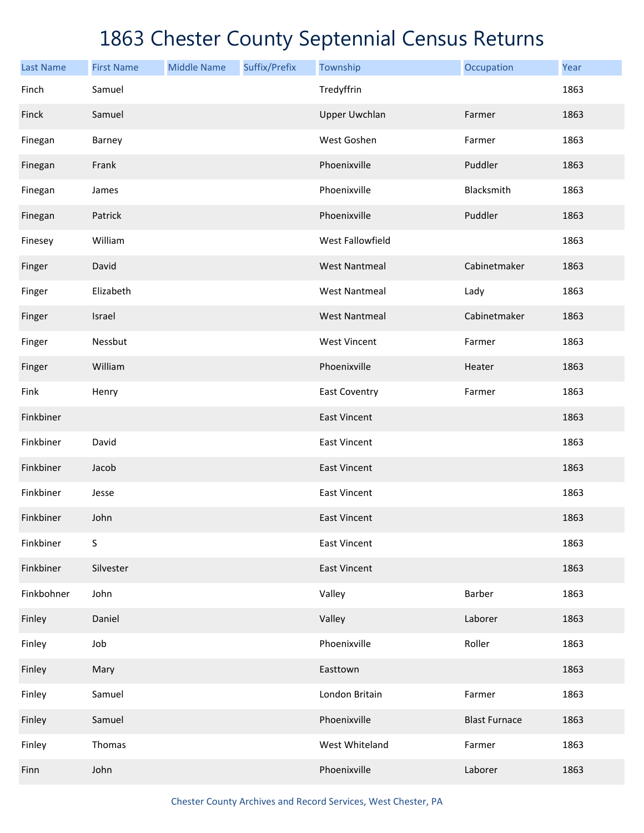| <b>Last Name</b> | <b>First Name</b> | <b>Middle Name</b> | Suffix/Prefix | Township             | Occupation           | Year |
|------------------|-------------------|--------------------|---------------|----------------------|----------------------|------|
| Finch            | Samuel            |                    |               | Tredyffrin           |                      | 1863 |
| Finck            | Samuel            |                    |               | <b>Upper Uwchlan</b> | Farmer               | 1863 |
| Finegan          | Barney            |                    |               | West Goshen          | Farmer               | 1863 |
| Finegan          | Frank             |                    |               | Phoenixville         | Puddler              | 1863 |
| Finegan          | James             |                    |               | Phoenixville         | Blacksmith           | 1863 |
| Finegan          | Patrick           |                    |               | Phoenixville         | Puddler              | 1863 |
| Finesey          | William           |                    |               | West Fallowfield     |                      | 1863 |
| Finger           | David             |                    |               | <b>West Nantmeal</b> | Cabinetmaker         | 1863 |
| Finger           | Elizabeth         |                    |               | <b>West Nantmeal</b> | Lady                 | 1863 |
| Finger           | Israel            |                    |               | <b>West Nantmeal</b> | Cabinetmaker         | 1863 |
| Finger           | Nessbut           |                    |               | <b>West Vincent</b>  | Farmer               | 1863 |
| Finger           | William           |                    |               | Phoenixville         | Heater               | 1863 |
| Fink             | Henry             |                    |               | East Coventry        | Farmer               | 1863 |
| Finkbiner        |                   |                    |               | <b>East Vincent</b>  |                      | 1863 |
| Finkbiner        | David             |                    |               | <b>East Vincent</b>  |                      | 1863 |
| Finkbiner        | Jacob             |                    |               | <b>East Vincent</b>  |                      | 1863 |
| Finkbiner        | Jesse             |                    |               | <b>East Vincent</b>  |                      | 1863 |
| Finkbiner        | John              |                    |               | <b>East Vincent</b>  |                      | 1863 |
| Finkbiner        | $\mathsf S$       |                    |               | <b>East Vincent</b>  |                      | 1863 |
| Finkbiner        | Silvester         |                    |               | <b>East Vincent</b>  |                      | 1863 |
| Finkbohner       | John              |                    |               | Valley               | Barber               | 1863 |
| Finley           | Daniel            |                    |               | Valley               | Laborer              | 1863 |
| Finley           | Job               |                    |               | Phoenixville         | Roller               | 1863 |
| Finley           | Mary              |                    |               | Easttown             |                      | 1863 |
| Finley           | Samuel            |                    |               | London Britain       | Farmer               | 1863 |
| Finley           | Samuel            |                    |               | Phoenixville         | <b>Blast Furnace</b> | 1863 |
| Finley           | Thomas            |                    |               | West Whiteland       | Farmer               | 1863 |
| Finn             | John              |                    |               | Phoenixville         | Laborer              | 1863 |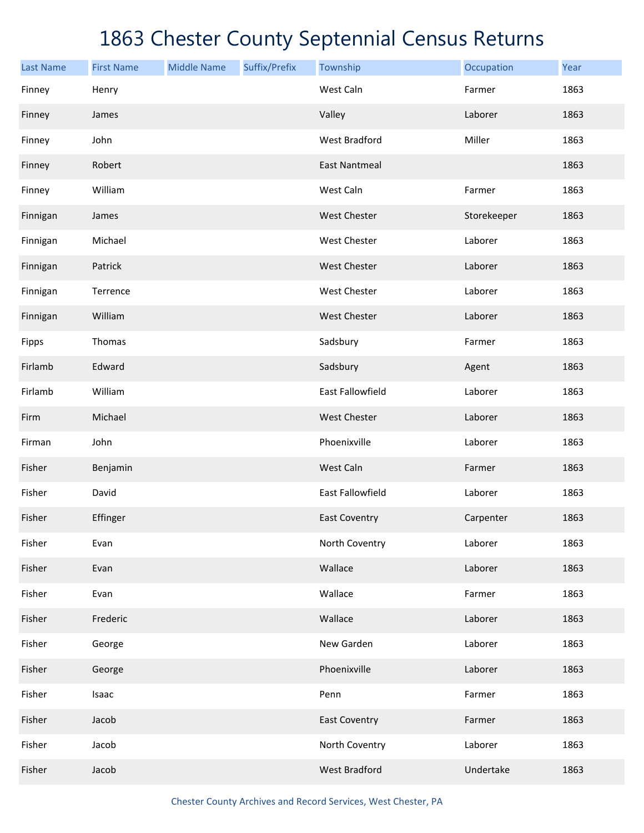| <b>Last Name</b> | <b>First Name</b> | <b>Middle Name</b> | Suffix/Prefix | Township             | Occupation  | Year |
|------------------|-------------------|--------------------|---------------|----------------------|-------------|------|
| Finney           | Henry             |                    |               | West Caln            | Farmer      | 1863 |
| Finney           | James             |                    |               | Valley               | Laborer     | 1863 |
| Finney           | John              |                    |               | <b>West Bradford</b> | Miller      | 1863 |
| Finney           | Robert            |                    |               | <b>East Nantmeal</b> |             | 1863 |
| Finney           | William           |                    |               | West Caln            | Farmer      | 1863 |
| Finnigan         | James             |                    |               | <b>West Chester</b>  | Storekeeper | 1863 |
| Finnigan         | Michael           |                    |               | <b>West Chester</b>  | Laborer     | 1863 |
| Finnigan         | Patrick           |                    |               | <b>West Chester</b>  | Laborer     | 1863 |
| Finnigan         | Terrence          |                    |               | <b>West Chester</b>  | Laborer     | 1863 |
| Finnigan         | William           |                    |               | <b>West Chester</b>  | Laborer     | 1863 |
| Fipps            | Thomas            |                    |               | Sadsbury             | Farmer      | 1863 |
| Firlamb          | Edward            |                    |               | Sadsbury             | Agent       | 1863 |
| Firlamb          | William           |                    |               | East Fallowfield     | Laborer     | 1863 |
| Firm             | Michael           |                    |               | West Chester         | Laborer     | 1863 |
| Firman           | John              |                    |               | Phoenixville         | Laborer     | 1863 |
| Fisher           | Benjamin          |                    |               | West Caln            | Farmer      | 1863 |
| Fisher           | David             |                    |               | East Fallowfield     | Laborer     | 1863 |
| Fisher           | Effinger          |                    |               | <b>East Coventry</b> | Carpenter   | 1863 |
| Fisher           | Evan              |                    |               | North Coventry       | Laborer     | 1863 |
| Fisher           | Evan              |                    |               | Wallace              | Laborer     | 1863 |
| Fisher           | Evan              |                    |               | Wallace              | Farmer      | 1863 |
| Fisher           | Frederic          |                    |               | Wallace              | Laborer     | 1863 |
| Fisher           | George            |                    |               | New Garden           | Laborer     | 1863 |
| Fisher           | George            |                    |               | Phoenixville         | Laborer     | 1863 |
| Fisher           | Isaac             |                    |               | Penn                 | Farmer      | 1863 |
| Fisher           | Jacob             |                    |               | <b>East Coventry</b> | Farmer      | 1863 |
| Fisher           | Jacob             |                    |               | North Coventry       | Laborer     | 1863 |
| Fisher           | Jacob             |                    |               | <b>West Bradford</b> | Undertake   | 1863 |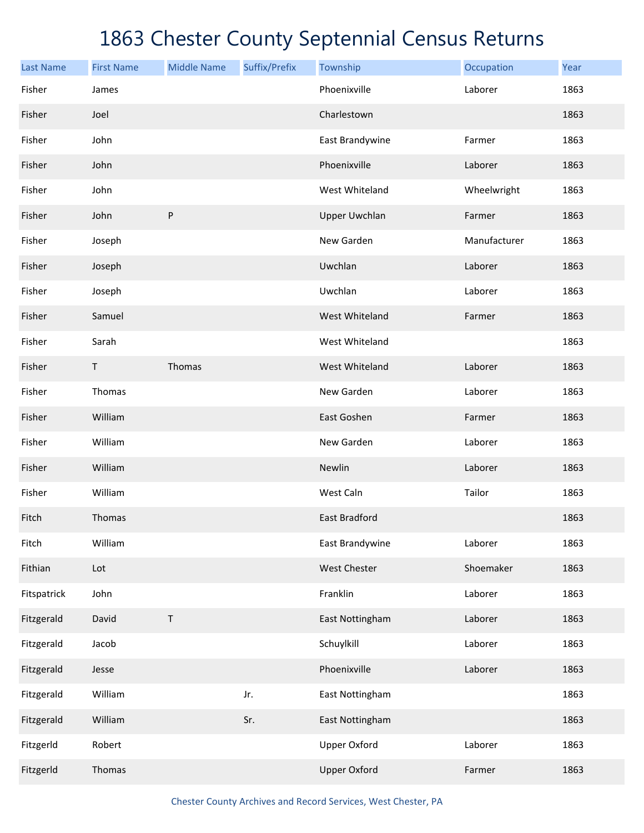| <b>Last Name</b> | <b>First Name</b> | <b>Middle Name</b> | Suffix/Prefix | Township             | Occupation   | Year |
|------------------|-------------------|--------------------|---------------|----------------------|--------------|------|
| Fisher           | James             |                    |               | Phoenixville         | Laborer      | 1863 |
| Fisher           | Joel              |                    |               | Charlestown          |              | 1863 |
| Fisher           | John              |                    |               | East Brandywine      | Farmer       | 1863 |
| Fisher           | John              |                    |               | Phoenixville         | Laborer      | 1863 |
| Fisher           | John              |                    |               | West Whiteland       | Wheelwright  | 1863 |
| Fisher           | John              | ${\sf P}$          |               | <b>Upper Uwchlan</b> | Farmer       | 1863 |
| Fisher           | Joseph            |                    |               | New Garden           | Manufacturer | 1863 |
| Fisher           | Joseph            |                    |               | Uwchlan              | Laborer      | 1863 |
| Fisher           | Joseph            |                    |               | Uwchlan              | Laborer      | 1863 |
| Fisher           | Samuel            |                    |               | West Whiteland       | Farmer       | 1863 |
| Fisher           | Sarah             |                    |               | West Whiteland       |              | 1863 |
| Fisher           | $\mathsf T$       | Thomas             |               | West Whiteland       | Laborer      | 1863 |
| Fisher           | Thomas            |                    |               | New Garden           | Laborer      | 1863 |
| Fisher           | William           |                    |               | East Goshen          | Farmer       | 1863 |
| Fisher           | William           |                    |               | New Garden           | Laborer      | 1863 |
| Fisher           | William           |                    |               | Newlin               | Laborer      | 1863 |
| Fisher           | William           |                    |               | West Caln            | Tailor       | 1863 |
| Fitch            | Thomas            |                    |               | East Bradford        |              | 1863 |
| Fitch            | William           |                    |               | East Brandywine      | Laborer      | 1863 |
| Fithian          | Lot               |                    |               | West Chester         | Shoemaker    | 1863 |
| Fitspatrick      | John              |                    |               | Franklin             | Laborer      | 1863 |
| Fitzgerald       | David             | $\sf T$            |               | East Nottingham      | Laborer      | 1863 |
| Fitzgerald       | Jacob             |                    |               | Schuylkill           | Laborer      | 1863 |
| Fitzgerald       | Jesse             |                    |               | Phoenixville         | Laborer      | 1863 |
| Fitzgerald       | William           |                    | Jr.           | East Nottingham      |              | 1863 |
| Fitzgerald       | William           |                    | Sr.           | East Nottingham      |              | 1863 |
| Fitzgerld        | Robert            |                    |               | <b>Upper Oxford</b>  | Laborer      | 1863 |
| Fitzgerld        | Thomas            |                    |               | <b>Upper Oxford</b>  | Farmer       | 1863 |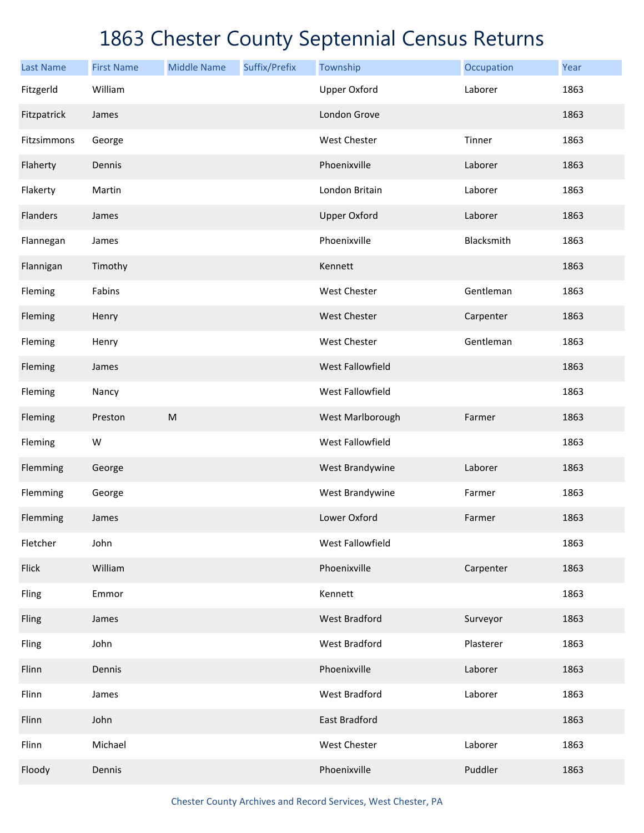| <b>Last Name</b> | <b>First Name</b> | <b>Middle Name</b> | Suffix/Prefix | Township             | Occupation | Year |
|------------------|-------------------|--------------------|---------------|----------------------|------------|------|
| Fitzgerld        | William           |                    |               | <b>Upper Oxford</b>  | Laborer    | 1863 |
| Fitzpatrick      | James             |                    |               | London Grove         |            | 1863 |
| Fitzsimmons      | George            |                    |               | West Chester         | Tinner     | 1863 |
| Flaherty         | Dennis            |                    |               | Phoenixville         | Laborer    | 1863 |
| Flakerty         | Martin            |                    |               | London Britain       | Laborer    | 1863 |
| Flanders         | James             |                    |               | <b>Upper Oxford</b>  | Laborer    | 1863 |
| Flannegan        | James             |                    |               | Phoenixville         | Blacksmith | 1863 |
| Flannigan        | Timothy           |                    |               | Kennett              |            | 1863 |
| Fleming          | Fabins            |                    |               | West Chester         | Gentleman  | 1863 |
| Fleming          | Henry             |                    |               | <b>West Chester</b>  | Carpenter  | 1863 |
| Fleming          | Henry             |                    |               | West Chester         | Gentleman  | 1863 |
| Fleming          | James             |                    |               | West Fallowfield     |            | 1863 |
| Fleming          | Nancy             |                    |               | West Fallowfield     |            | 1863 |
| Fleming          | Preston           | ${\sf M}$          |               | West Marlborough     | Farmer     | 1863 |
| Fleming          | W                 |                    |               | West Fallowfield     |            | 1863 |
| Flemming         | George            |                    |               | West Brandywine      | Laborer    | 1863 |
| Flemming         | George            |                    |               | West Brandywine      | Farmer     | 1863 |
| Flemming         | James             |                    |               | Lower Oxford         | Farmer     | 1863 |
| Fletcher         | John              |                    |               | West Fallowfield     |            | 1863 |
| Flick            | William           |                    |               | Phoenixville         | Carpenter  | 1863 |
| Fling            | Emmor             |                    |               | Kennett              |            | 1863 |
| Fling            | James             |                    |               | <b>West Bradford</b> | Surveyor   | 1863 |
| Fling            | John              |                    |               | West Bradford        | Plasterer  | 1863 |
| Flinn            | Dennis            |                    |               | Phoenixville         | Laborer    | 1863 |
| Flinn            | James             |                    |               | West Bradford        | Laborer    | 1863 |
| Flinn            | John              |                    |               | East Bradford        |            | 1863 |
| Flinn            | Michael           |                    |               | West Chester         | Laborer    | 1863 |
| Floody           | Dennis            |                    |               | Phoenixville         | Puddler    | 1863 |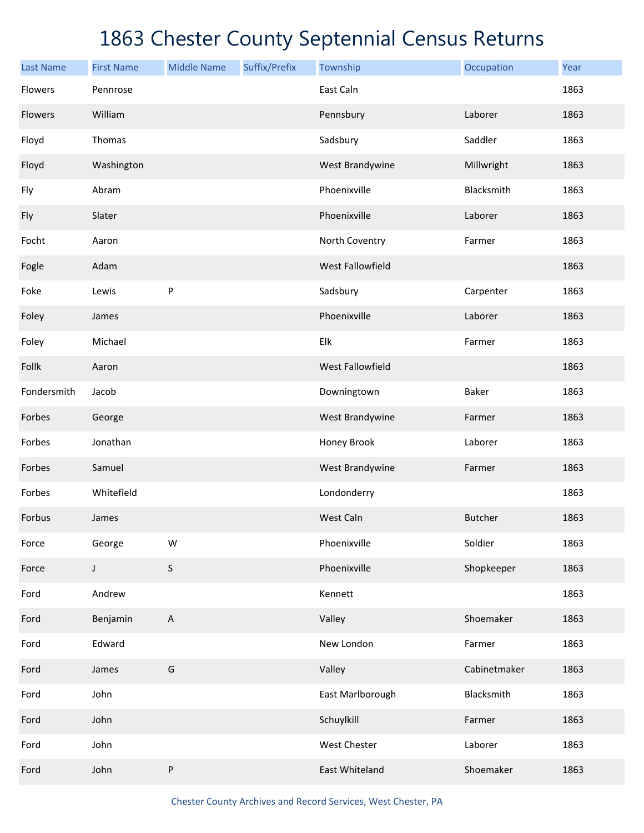| <b>Last Name</b> | <b>First Name</b> | <b>Middle Name</b> | Suffix/Prefix | Township         | Occupation     | Year |
|------------------|-------------------|--------------------|---------------|------------------|----------------|------|
| Flowers          | Pennrose          |                    |               | East Caln        |                | 1863 |
| Flowers          | William           |                    |               | Pennsbury        | Laborer        | 1863 |
| Floyd            | Thomas            |                    |               | Sadsbury         | Saddler        | 1863 |
| Floyd            | Washington        |                    |               | West Brandywine  | Millwright     | 1863 |
| Fly              | Abram             |                    |               | Phoenixville     | Blacksmith     | 1863 |
| Fly              | Slater            |                    |               | Phoenixville     | Laborer        | 1863 |
| Focht            | Aaron             |                    |               | North Coventry   | Farmer         | 1863 |
| Fogle            | Adam              |                    |               | West Fallowfield |                | 1863 |
| Foke             | Lewis             | ${\sf P}$          |               | Sadsbury         | Carpenter      | 1863 |
| Foley            | James             |                    |               | Phoenixville     | Laborer        | 1863 |
| Foley            | Michael           |                    |               | Elk              | Farmer         | 1863 |
| Follk            | Aaron             |                    |               | West Fallowfield |                | 1863 |
| Fondersmith      | Jacob             |                    |               | Downingtown      | Baker          | 1863 |
| Forbes           | George            |                    |               | West Brandywine  | Farmer         | 1863 |
| Forbes           | Jonathan          |                    |               | Honey Brook      | Laborer        | 1863 |
| Forbes           | Samuel            |                    |               | West Brandywine  | Farmer         | 1863 |
| Forbes           | Whitefield        |                    |               | Londonderry      |                | 1863 |
| Forbus           | James             |                    |               | West Caln        | <b>Butcher</b> | 1863 |
| Force            | George            | W                  |               | Phoenixville     | Soldier        | 1863 |
| Force            | J                 | $\sf S$            |               | Phoenixville     | Shopkeeper     | 1863 |
| Ford             | Andrew            |                    |               | Kennett          |                | 1863 |
| Ford             | Benjamin          | $\mathsf{A}$       |               | Valley           | Shoemaker      | 1863 |
| Ford             | Edward            |                    |               | New London       | Farmer         | 1863 |
| Ford             | James             | G                  |               | Valley           | Cabinetmaker   | 1863 |
| Ford             | John              |                    |               | East Marlborough | Blacksmith     | 1863 |
| Ford             | John              |                    |               | Schuylkill       | Farmer         | 1863 |
| Ford             | John              |                    |               | West Chester     | Laborer        | 1863 |
| Ford             | John              | P                  |               | East Whiteland   | Shoemaker      | 1863 |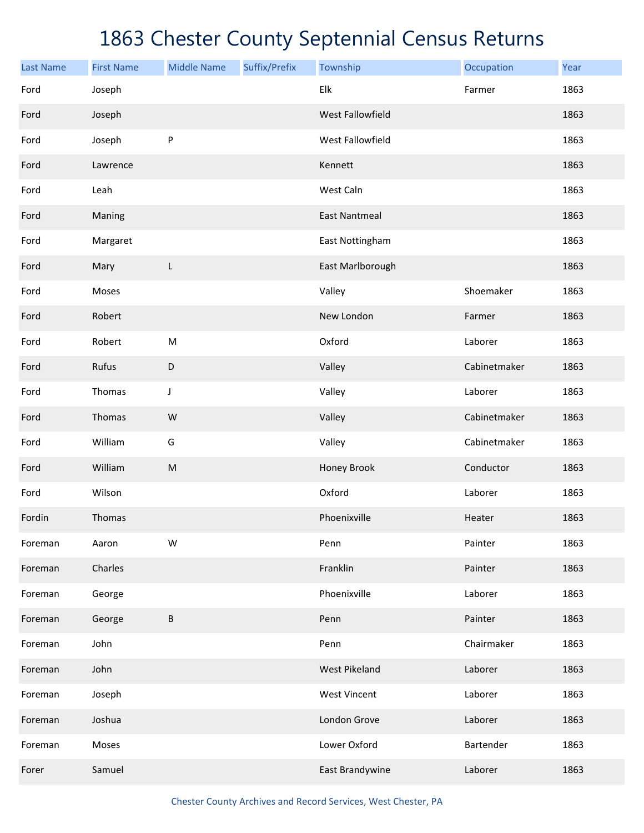| <b>Last Name</b> | <b>First Name</b> | <b>Middle Name</b> | Suffix/Prefix | Township             | Occupation   | Year |
|------------------|-------------------|--------------------|---------------|----------------------|--------------|------|
| Ford             | Joseph            |                    |               | Elk                  | Farmer       | 1863 |
| Ford             | Joseph            |                    |               | West Fallowfield     |              | 1863 |
| Ford             | Joseph            | ${\sf P}$          |               | West Fallowfield     |              | 1863 |
| Ford             | Lawrence          |                    |               | Kennett              |              | 1863 |
| Ford             | Leah              |                    |               | West Caln            |              | 1863 |
| Ford             | Maning            |                    |               | <b>East Nantmeal</b> |              | 1863 |
| Ford             | Margaret          |                    |               | East Nottingham      |              | 1863 |
| Ford             | Mary              | L                  |               | East Marlborough     |              | 1863 |
| Ford             | Moses             |                    |               | Valley               | Shoemaker    | 1863 |
| Ford             | Robert            |                    |               | New London           | Farmer       | 1863 |
| Ford             | Robert            | ${\sf M}$          |               | Oxford               | Laborer      | 1863 |
| Ford             | Rufus             | $\mathsf D$        |               | Valley               | Cabinetmaker | 1863 |
| Ford             | Thomas            | J                  |               | Valley               | Laborer      | 1863 |
| Ford             | Thomas            | W                  |               | Valley               | Cabinetmaker | 1863 |
| Ford             | William           | G                  |               | Valley               | Cabinetmaker | 1863 |
| Ford             | William           | ${\sf M}$          |               | Honey Brook          | Conductor    | 1863 |
| Ford             | Wilson            |                    |               | Oxford               | Laborer      | 1863 |
| Fordin           | Thomas            |                    |               | Phoenixville         | Heater       | 1863 |
| Foreman          | Aaron             | W                  |               | Penn                 | Painter      | 1863 |
| Foreman          | Charles           |                    |               | Franklin             | Painter      | 1863 |
| Foreman          | George            |                    |               | Phoenixville         | Laborer      | 1863 |
| Foreman          | George            | B                  |               | Penn                 | Painter      | 1863 |
| Foreman          | John              |                    |               | Penn                 | Chairmaker   | 1863 |
| Foreman          | John              |                    |               | <b>West Pikeland</b> | Laborer      | 1863 |
| Foreman          | Joseph            |                    |               | <b>West Vincent</b>  | Laborer      | 1863 |
| Foreman          | Joshua            |                    |               | London Grove         | Laborer      | 1863 |
| Foreman          | Moses             |                    |               | Lower Oxford         | Bartender    | 1863 |
| Forer            | Samuel            |                    |               | East Brandywine      | Laborer      | 1863 |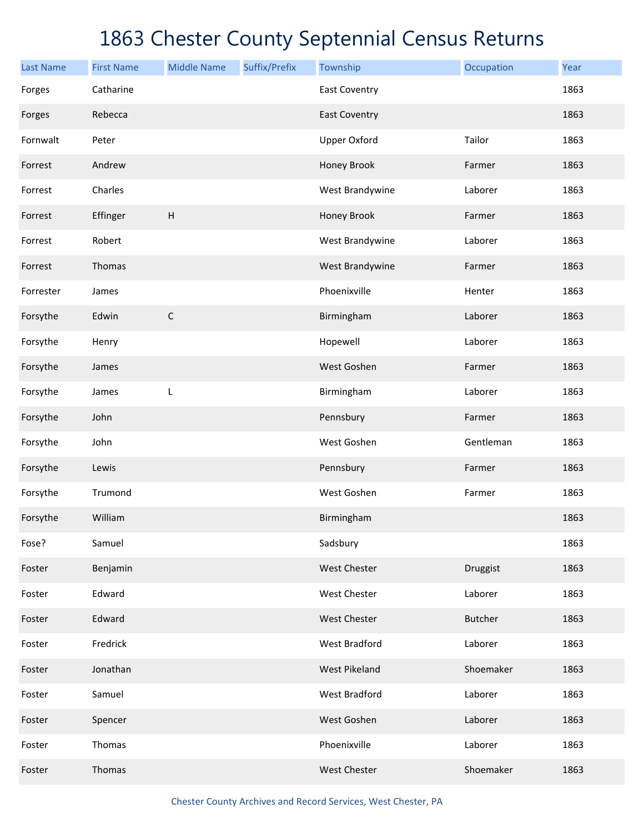| <b>Last Name</b> | <b>First Name</b> | <b>Middle Name</b> | Suffix/Prefix | Township             | Occupation     | Year |
|------------------|-------------------|--------------------|---------------|----------------------|----------------|------|
| Forges           | Catharine         |                    |               | <b>East Coventry</b> |                | 1863 |
| Forges           | Rebecca           |                    |               | <b>East Coventry</b> |                | 1863 |
| Fornwalt         | Peter             |                    |               | <b>Upper Oxford</b>  | Tailor         | 1863 |
| Forrest          | Andrew            |                    |               | Honey Brook          | Farmer         | 1863 |
| Forrest          | Charles           |                    |               | West Brandywine      | Laborer        | 1863 |
| Forrest          | Effinger          | H                  |               | Honey Brook          | Farmer         | 1863 |
| Forrest          | Robert            |                    |               | West Brandywine      | Laborer        | 1863 |
| Forrest          | Thomas            |                    |               | West Brandywine      | Farmer         | 1863 |
| Forrester        | James             |                    |               | Phoenixville         | Henter         | 1863 |
| Forsythe         | Edwin             | $\mathsf C$        |               | Birmingham           | Laborer        | 1863 |
| Forsythe         | Henry             |                    |               | Hopewell             | Laborer        | 1863 |
| Forsythe         | James             |                    |               | West Goshen          | Farmer         | 1863 |
| Forsythe         | James             | L                  |               | Birmingham           | Laborer        | 1863 |
| Forsythe         | John              |                    |               | Pennsbury            | Farmer         | 1863 |
| Forsythe         | John              |                    |               | West Goshen          | Gentleman      | 1863 |
| Forsythe         | Lewis             |                    |               | Pennsbury            | Farmer         | 1863 |
| Forsythe         | Trumond           |                    |               | West Goshen          | Farmer         | 1863 |
| Forsythe         | William           |                    |               | Birmingham           |                | 1863 |
| Fose?            | Samuel            |                    |               | Sadsbury             |                | 1863 |
| Foster           | Benjamin          |                    |               | <b>West Chester</b>  | Druggist       | 1863 |
| Foster           | Edward            |                    |               | West Chester         | Laborer        | 1863 |
| Foster           | Edward            |                    |               | West Chester         | <b>Butcher</b> | 1863 |
| Foster           | Fredrick          |                    |               | <b>West Bradford</b> | Laborer        | 1863 |
| Foster           | Jonathan          |                    |               | <b>West Pikeland</b> | Shoemaker      | 1863 |
| Foster           | Samuel            |                    |               | <b>West Bradford</b> | Laborer        | 1863 |
| Foster           | Spencer           |                    |               | West Goshen          | Laborer        | 1863 |
| Foster           | Thomas            |                    |               | Phoenixville         | Laborer        | 1863 |
| Foster           | Thomas            |                    |               | West Chester         | Shoemaker      | 1863 |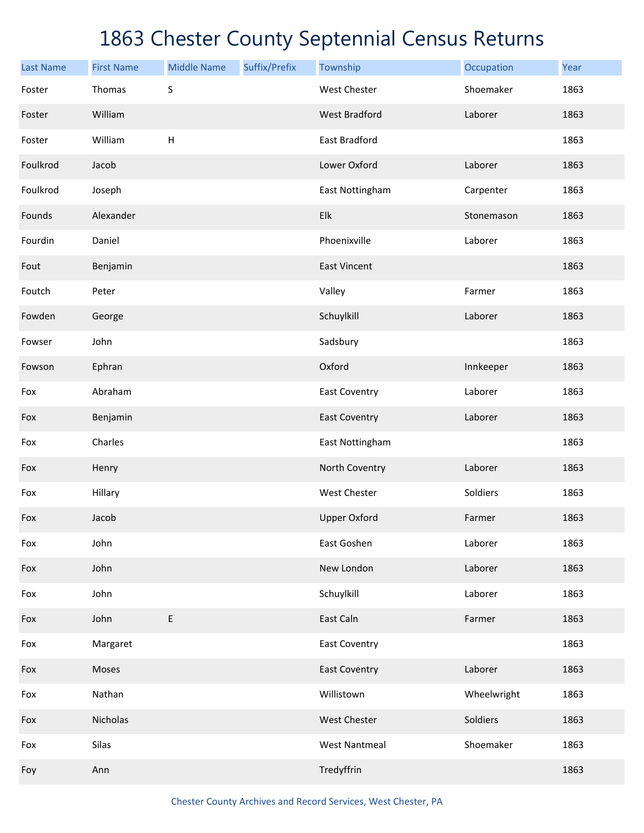| <b>Last Name</b> | <b>First Name</b> | <b>Middle Name</b> | Suffix/Prefix | Township             | Occupation  | Year |
|------------------|-------------------|--------------------|---------------|----------------------|-------------|------|
| Foster           | Thomas            | S                  |               | <b>West Chester</b>  | Shoemaker   | 1863 |
| Foster           | William           |                    |               | <b>West Bradford</b> | Laborer     | 1863 |
| Foster           | William           | $\sf H$            |               | East Bradford        |             | 1863 |
| Foulkrod         | Jacob             |                    |               | Lower Oxford         | Laborer     | 1863 |
| Foulkrod         | Joseph            |                    |               | East Nottingham      | Carpenter   | 1863 |
| Founds           | Alexander         |                    |               | Elk                  | Stonemason  | 1863 |
| Fourdin          | Daniel            |                    |               | Phoenixville         | Laborer     | 1863 |
| Fout             | Benjamin          |                    |               | <b>East Vincent</b>  |             | 1863 |
| Foutch           | Peter             |                    |               | Valley               | Farmer      | 1863 |
| Fowden           | George            |                    |               | Schuylkill           | Laborer     | 1863 |
| Fowser           | John              |                    |               | Sadsbury             |             | 1863 |
| Fowson           | Ephran            |                    |               | Oxford               | Innkeeper   | 1863 |
| Fox              | Abraham           |                    |               | East Coventry        | Laborer     | 1863 |
| Fox              | Benjamin          |                    |               | <b>East Coventry</b> | Laborer     | 1863 |
| Fox              | Charles           |                    |               | East Nottingham      |             | 1863 |
| Fox              | Henry             |                    |               | North Coventry       | Laborer     | 1863 |
| Fox              | Hillary           |                    |               | West Chester         | Soldiers    | 1863 |
| Fox              | Jacob             |                    |               | <b>Upper Oxford</b>  | Farmer      | 1863 |
| Fox              | John              |                    |               | East Goshen          | Laborer     | 1863 |
| Fox              | John              |                    |               | New London           | Laborer     | 1863 |
| Fox              | John              |                    |               | Schuylkill           | Laborer     | 1863 |
| Fox              | John              | $\mathsf E$        |               | East Caln            | Farmer      | 1863 |
| Fox              | Margaret          |                    |               | <b>East Coventry</b> |             | 1863 |
| Fox              | Moses             |                    |               | <b>East Coventry</b> | Laborer     | 1863 |
| Fox              | Nathan            |                    |               | Willistown           | Wheelwright | 1863 |
| Fox              | Nicholas          |                    |               | West Chester         | Soldiers    | 1863 |
| Fox              | Silas             |                    |               | <b>West Nantmeal</b> | Shoemaker   | 1863 |
| Foy              | Ann               |                    |               | Tredyffrin           |             | 1863 |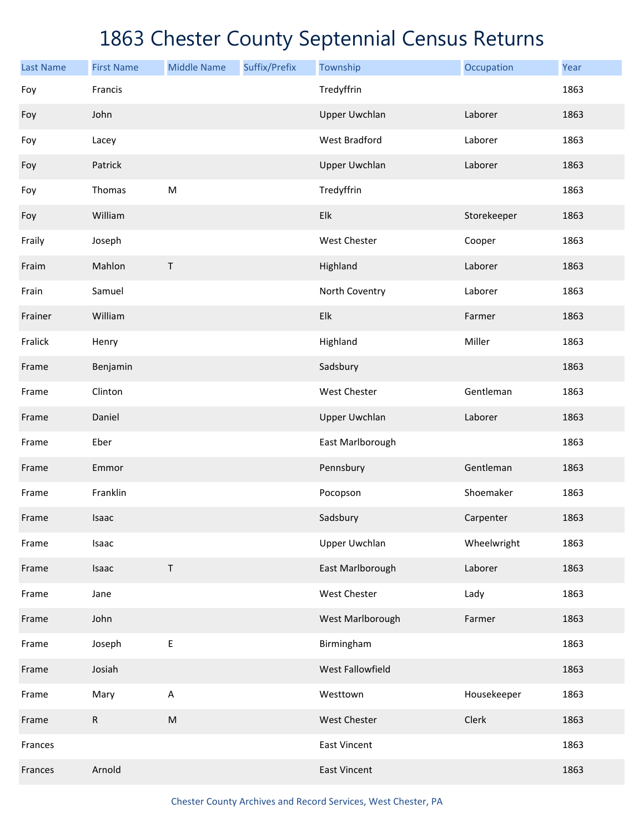| <b>Last Name</b> | <b>First Name</b> | <b>Middle Name</b> | Suffix/Prefix | Township             | Occupation  | Year |
|------------------|-------------------|--------------------|---------------|----------------------|-------------|------|
| Foy              | Francis           |                    |               | Tredyffrin           |             | 1863 |
| Foy              | John              |                    |               | <b>Upper Uwchlan</b> | Laborer     | 1863 |
| Foy              | Lacey             |                    |               | <b>West Bradford</b> | Laborer     | 1863 |
| Foy              | Patrick           |                    |               | <b>Upper Uwchlan</b> | Laborer     | 1863 |
| Foy              | Thomas            | ${\sf M}$          |               | Tredyffrin           |             | 1863 |
| Foy              | William           |                    |               | Elk                  | Storekeeper | 1863 |
| Fraily           | Joseph            |                    |               | West Chester         | Cooper      | 1863 |
| Fraim            | Mahlon            | $\sf T$            |               | Highland             | Laborer     | 1863 |
| Frain            | Samuel            |                    |               | North Coventry       | Laborer     | 1863 |
| Frainer          | William           |                    |               | Elk                  | Farmer      | 1863 |
| Fralick          | Henry             |                    |               | Highland             | Miller      | 1863 |
| Frame            | Benjamin          |                    |               | Sadsbury             |             | 1863 |
| Frame            | Clinton           |                    |               | West Chester         | Gentleman   | 1863 |
| Frame            | Daniel            |                    |               | <b>Upper Uwchlan</b> | Laborer     | 1863 |
| Frame            | Eber              |                    |               | East Marlborough     |             | 1863 |
| Frame            | Emmor             |                    |               | Pennsbury            | Gentleman   | 1863 |
| Frame            | Franklin          |                    |               | Pocopson             | Shoemaker   | 1863 |
| Frame            | Isaac             |                    |               | Sadsbury             | Carpenter   | 1863 |
| Frame            | Isaac             |                    |               | <b>Upper Uwchlan</b> | Wheelwright | 1863 |
| Frame            | Isaac             | $\sf T$            |               | East Marlborough     | Laborer     | 1863 |
| Frame            | Jane              |                    |               | West Chester         | Lady        | 1863 |
| Frame            | John              |                    |               | West Marlborough     | Farmer      | 1863 |
| Frame            | Joseph            | E                  |               | Birmingham           |             | 1863 |
| Frame            | Josiah            |                    |               | West Fallowfield     |             | 1863 |
| Frame            | Mary              | $\mathsf A$        |               | Westtown             | Housekeeper | 1863 |
| Frame            | ${\sf R}$         | ${\sf M}$          |               | West Chester         | Clerk       | 1863 |
| Frances          |                   |                    |               | <b>East Vincent</b>  |             | 1863 |
| Frances          | Arnold            |                    |               | <b>East Vincent</b>  |             | 1863 |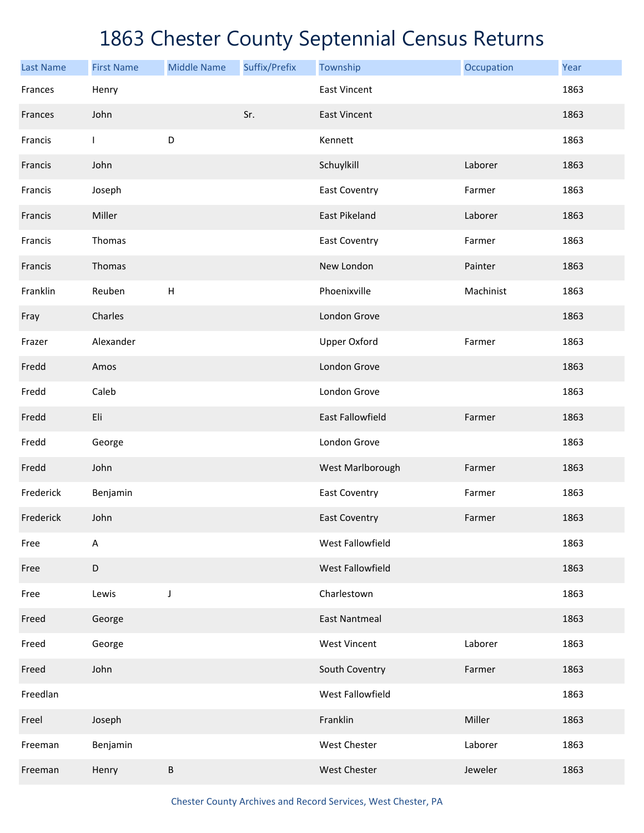| <b>Last Name</b> | <b>First Name</b> | <b>Middle Name</b> | Suffix/Prefix | Township                | Occupation | Year |
|------------------|-------------------|--------------------|---------------|-------------------------|------------|------|
| Frances          | Henry             |                    |               | <b>East Vincent</b>     |            | 1863 |
| Frances          | John              |                    | Sr.           | <b>East Vincent</b>     |            | 1863 |
| Francis          | $\mathbf{I}$      | D                  |               | Kennett                 |            | 1863 |
| Francis          | John              |                    |               | Schuylkill              | Laborer    | 1863 |
| Francis          | Joseph            |                    |               | <b>East Coventry</b>    | Farmer     | 1863 |
| Francis          | Miller            |                    |               | <b>East Pikeland</b>    | Laborer    | 1863 |
| Francis          | Thomas            |                    |               | <b>East Coventry</b>    | Farmer     | 1863 |
| Francis          | Thomas            |                    |               | New London              | Painter    | 1863 |
| Franklin         | Reuben            | $\mathsf H$        |               | Phoenixville            | Machinist  | 1863 |
| Fray             | Charles           |                    |               | London Grove            |            | 1863 |
| Frazer           | Alexander         |                    |               | <b>Upper Oxford</b>     | Farmer     | 1863 |
| Fredd            | Amos              |                    |               | London Grove            |            | 1863 |
| Fredd            | Caleb             |                    |               | London Grove            |            | 1863 |
| Fredd            | Eli               |                    |               | <b>East Fallowfield</b> | Farmer     | 1863 |
| Fredd            | George            |                    |               | London Grove            |            | 1863 |
| Fredd            | John              |                    |               | West Marlborough        | Farmer     | 1863 |
| Frederick        | Benjamin          |                    |               | <b>East Coventry</b>    | Farmer     | 1863 |
| Frederick        | John              |                    |               | <b>East Coventry</b>    | Farmer     | 1863 |
| Free             | Α                 |                    |               | West Fallowfield        |            | 1863 |
| Free             | $\mathsf D$       |                    |               | West Fallowfield        |            | 1863 |
| Free             | Lewis             | J                  |               | Charlestown             |            | 1863 |
| Freed            | George            |                    |               | <b>East Nantmeal</b>    |            | 1863 |
| Freed            | George            |                    |               | West Vincent            | Laborer    | 1863 |
| Freed            | John              |                    |               | South Coventry          | Farmer     | 1863 |
| Freedlan         |                   |                    |               | West Fallowfield        |            | 1863 |
| Freel            | Joseph            |                    |               | Franklin                | Miller     | 1863 |
| Freeman          | Benjamin          |                    |               | <b>West Chester</b>     | Laborer    | 1863 |
| Freeman          | Henry             | $\sf B$            |               | West Chester            | Jeweler    | 1863 |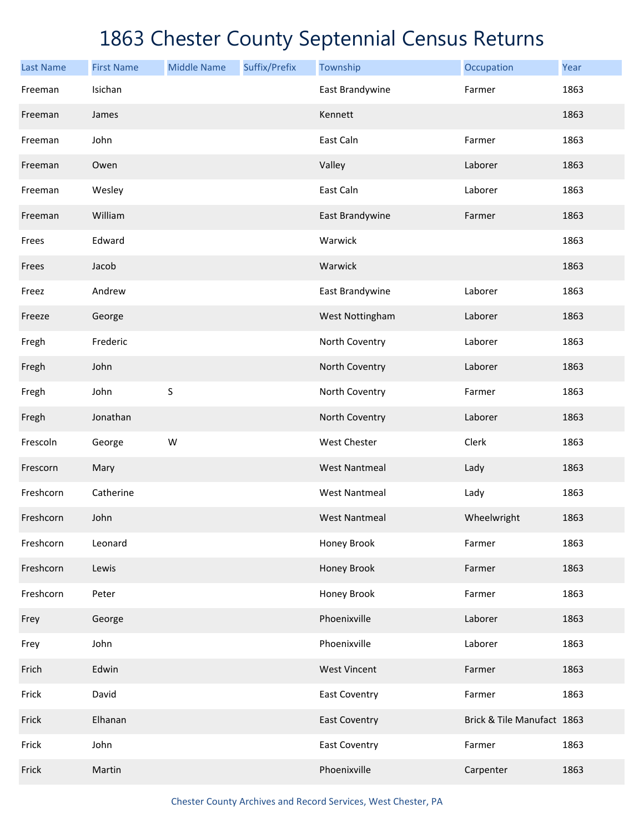| <b>Last Name</b> | <b>First Name</b> | <b>Middle Name</b> | Suffix/Prefix | Township             | Occupation                 | Year |
|------------------|-------------------|--------------------|---------------|----------------------|----------------------------|------|
| Freeman          | Isichan           |                    |               | East Brandywine      | Farmer                     | 1863 |
| Freeman          | James             |                    |               | Kennett              |                            | 1863 |
| Freeman          | John              |                    |               | East Caln            | Farmer                     | 1863 |
| Freeman          | Owen              |                    |               | Valley               | Laborer                    | 1863 |
| Freeman          | Wesley            |                    |               | East Caln            | Laborer                    | 1863 |
| Freeman          | William           |                    |               | East Brandywine      | Farmer                     | 1863 |
| Frees            | Edward            |                    |               | Warwick              |                            | 1863 |
| Frees            | Jacob             |                    |               | Warwick              |                            | 1863 |
| Freez            | Andrew            |                    |               | East Brandywine      | Laborer                    | 1863 |
| Freeze           | George            |                    |               | West Nottingham      | Laborer                    | 1863 |
| Fregh            | Frederic          |                    |               | North Coventry       | Laborer                    | 1863 |
| Fregh            | John              |                    |               | North Coventry       | Laborer                    | 1863 |
| Fregh            | John              | $\sf S$            |               | North Coventry       | Farmer                     | 1863 |
| Fregh            | Jonathan          |                    |               | North Coventry       | Laborer                    | 1863 |
| Frescoln         | George            | ${\sf W}$          |               | West Chester         | Clerk                      | 1863 |
| Frescorn         | Mary              |                    |               | <b>West Nantmeal</b> | Lady                       | 1863 |
| Freshcorn        | Catherine         |                    |               | <b>West Nantmeal</b> | Lady                       | 1863 |
| Freshcorn        | John              |                    |               | <b>West Nantmeal</b> | Wheelwright                | 1863 |
| Freshcorn        | Leonard           |                    |               | Honey Brook          | Farmer                     | 1863 |
| Freshcorn        | Lewis             |                    |               | Honey Brook          | Farmer                     | 1863 |
| Freshcorn        | Peter             |                    |               | Honey Brook          | Farmer                     | 1863 |
| Frey             | George            |                    |               | Phoenixville         | Laborer                    | 1863 |
| Frey             | John              |                    |               | Phoenixville         | Laborer                    | 1863 |
| Frich            | Edwin             |                    |               | <b>West Vincent</b>  | Farmer                     | 1863 |
| Frick            | David             |                    |               | <b>East Coventry</b> | Farmer                     | 1863 |
| Frick            | Elhanan           |                    |               | <b>East Coventry</b> | Brick & Tile Manufact 1863 |      |
| Frick            | John              |                    |               | <b>East Coventry</b> | Farmer                     | 1863 |
| Frick            | Martin            |                    |               | Phoenixville         | Carpenter                  | 1863 |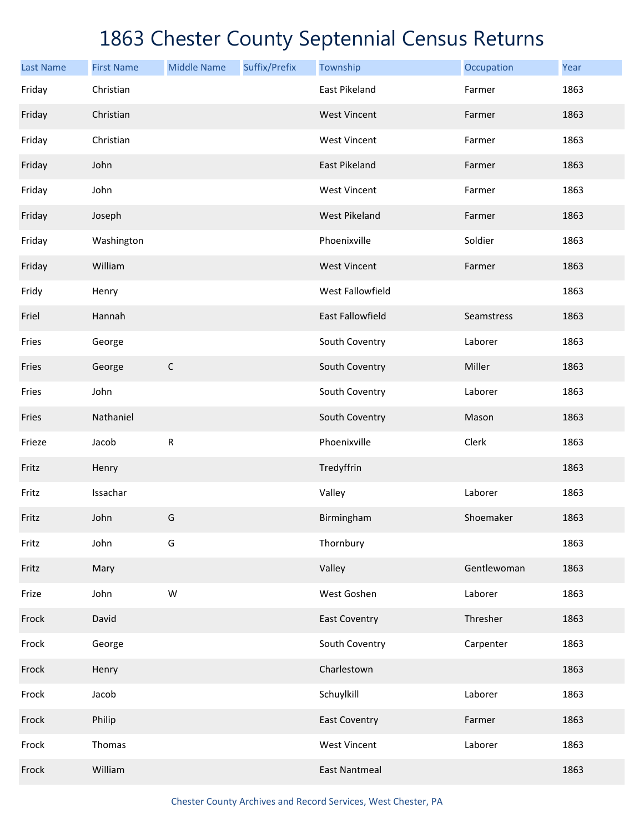| <b>Last Name</b> | <b>First Name</b> | <b>Middle Name</b> | Suffix/Prefix | Township             | Occupation  | Year |
|------------------|-------------------|--------------------|---------------|----------------------|-------------|------|
| Friday           | Christian         |                    |               | East Pikeland        | Farmer      | 1863 |
| Friday           | Christian         |                    |               | <b>West Vincent</b>  | Farmer      | 1863 |
| Friday           | Christian         |                    |               | <b>West Vincent</b>  | Farmer      | 1863 |
| Friday           | John              |                    |               | East Pikeland        | Farmer      | 1863 |
| Friday           | John              |                    |               | <b>West Vincent</b>  | Farmer      | 1863 |
| Friday           | Joseph            |                    |               | <b>West Pikeland</b> | Farmer      | 1863 |
| Friday           | Washington        |                    |               | Phoenixville         | Soldier     | 1863 |
| Friday           | William           |                    |               | <b>West Vincent</b>  | Farmer      | 1863 |
| Fridy            | Henry             |                    |               | West Fallowfield     |             | 1863 |
| Friel            | Hannah            |                    |               | East Fallowfield     | Seamstress  | 1863 |
| Fries            | George            |                    |               | South Coventry       | Laborer     | 1863 |
| Fries            | George            | $\mathsf C$        |               | South Coventry       | Miller      | 1863 |
| Fries            | John              |                    |               | South Coventry       | Laborer     | 1863 |
| Fries            | Nathaniel         |                    |               | South Coventry       | Mason       | 1863 |
| Frieze           | Jacob             | R                  |               | Phoenixville         | Clerk       | 1863 |
| Fritz            | Henry             |                    |               | Tredyffrin           |             | 1863 |
| Fritz            | Issachar          |                    |               | Valley               | Laborer     | 1863 |
| Fritz            | John              | G                  |               | Birmingham           | Shoemaker   | 1863 |
| Fritz            | John              | G                  |               | Thornbury            |             | 1863 |
| Fritz            | Mary              |                    |               | Valley               | Gentlewoman | 1863 |
| Frize            | John              | W                  |               | West Goshen          | Laborer     | 1863 |
| Frock            | David             |                    |               | <b>East Coventry</b> | Thresher    | 1863 |
| Frock            | George            |                    |               | South Coventry       | Carpenter   | 1863 |
| Frock            | Henry             |                    |               | Charlestown          |             | 1863 |
| Frock            | Jacob             |                    |               | Schuylkill           | Laborer     | 1863 |
| Frock            | Philip            |                    |               | <b>East Coventry</b> | Farmer      | 1863 |
| Frock            | Thomas            |                    |               | <b>West Vincent</b>  | Laborer     | 1863 |
| Frock            | William           |                    |               | <b>East Nantmeal</b> |             | 1863 |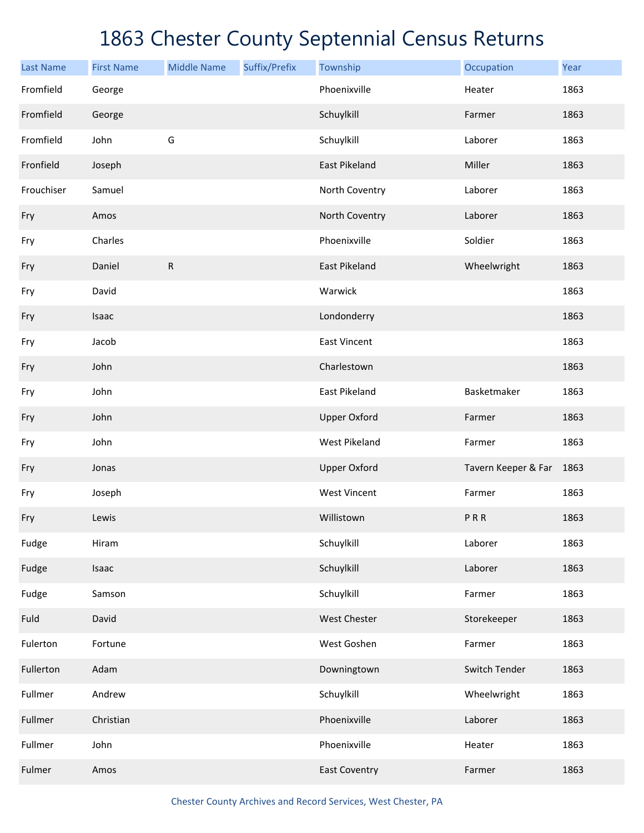| <b>Last Name</b> | <b>First Name</b> | <b>Middle Name</b> | Suffix/Prefix | Township             | Occupation          | Year |
|------------------|-------------------|--------------------|---------------|----------------------|---------------------|------|
| Fromfield        | George            |                    |               | Phoenixville         | Heater              | 1863 |
| Fromfield        | George            |                    |               | Schuylkill           | Farmer              | 1863 |
| Fromfield        | John              | G                  |               | Schuylkill           | Laborer             | 1863 |
| Fronfield        | Joseph            |                    |               | <b>East Pikeland</b> | Miller              | 1863 |
| Frouchiser       | Samuel            |                    |               | North Coventry       | Laborer             | 1863 |
| Fry              | Amos              |                    |               | North Coventry       | Laborer             | 1863 |
| Fry              | Charles           |                    |               | Phoenixville         | Soldier             | 1863 |
| Fry              | Daniel            | $\mathsf{R}$       |               | <b>East Pikeland</b> | Wheelwright         | 1863 |
| Fry              | David             |                    |               | Warwick              |                     | 1863 |
| Fry              | Isaac             |                    |               | Londonderry          |                     | 1863 |
| Fry              | Jacob             |                    |               | <b>East Vincent</b>  |                     | 1863 |
| Fry              | John              |                    |               | Charlestown          |                     | 1863 |
| Fry              | John              |                    |               | East Pikeland        | Basketmaker         | 1863 |
| Fry              | John              |                    |               | <b>Upper Oxford</b>  | Farmer              | 1863 |
| Fry              | John              |                    |               | <b>West Pikeland</b> | Farmer              | 1863 |
| Fry              | Jonas             |                    |               | <b>Upper Oxford</b>  | Tavern Keeper & Far | 1863 |
| Fry              | Joseph            |                    |               | <b>West Vincent</b>  | Farmer              | 1863 |
| Fry              | Lewis             |                    |               | Willistown           | PRR                 | 1863 |
| Fudge            | Hiram             |                    |               | Schuylkill           | Laborer             | 1863 |
| Fudge            | Isaac             |                    |               | Schuylkill           | Laborer             | 1863 |
| Fudge            | Samson            |                    |               | Schuylkill           | Farmer              | 1863 |
| Fuld             | David             |                    |               | West Chester         | Storekeeper         | 1863 |
| Fulerton         | Fortune           |                    |               | West Goshen          | Farmer              | 1863 |
| Fullerton        | Adam              |                    |               | Downingtown          | Switch Tender       | 1863 |
| Fullmer          | Andrew            |                    |               | Schuylkill           | Wheelwright         | 1863 |
| Fullmer          | Christian         |                    |               | Phoenixville         | Laborer             | 1863 |
| Fullmer          | John              |                    |               | Phoenixville         | Heater              | 1863 |
| Fulmer           | Amos              |                    |               | <b>East Coventry</b> | Farmer              | 1863 |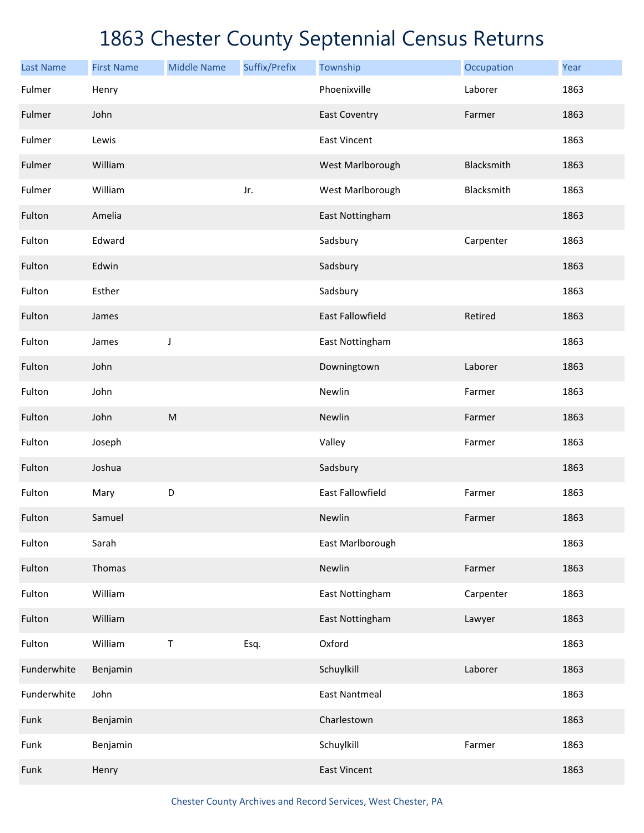| <b>Last Name</b> | <b>First Name</b> | <b>Middle Name</b> | Suffix/Prefix | Township                | Occupation | Year |
|------------------|-------------------|--------------------|---------------|-------------------------|------------|------|
| Fulmer           | Henry             |                    |               | Phoenixville            | Laborer    | 1863 |
| Fulmer           | John              |                    |               | <b>East Coventry</b>    | Farmer     | 1863 |
| Fulmer           | Lewis             |                    |               | <b>East Vincent</b>     |            | 1863 |
| Fulmer           | William           |                    |               | West Marlborough        | Blacksmith | 1863 |
| Fulmer           | William           |                    | Jr.           | West Marlborough        | Blacksmith | 1863 |
| Fulton           | Amelia            |                    |               | East Nottingham         |            | 1863 |
| Fulton           | Edward            |                    |               | Sadsbury                | Carpenter  | 1863 |
| Fulton           | Edwin             |                    |               | Sadsbury                |            | 1863 |
| Fulton           | Esther            |                    |               | Sadsbury                |            | 1863 |
| Fulton           | James             |                    |               | <b>East Fallowfield</b> | Retired    | 1863 |
| Fulton           | James             | J                  |               | East Nottingham         |            | 1863 |
| Fulton           | John              |                    |               | Downingtown             | Laborer    | 1863 |
| Fulton           | John              |                    |               | Newlin                  | Farmer     | 1863 |
| Fulton           | John              | ${\sf M}$          |               | Newlin                  | Farmer     | 1863 |
| Fulton           | Joseph            |                    |               | Valley                  | Farmer     | 1863 |
| Fulton           | Joshua            |                    |               | Sadsbury                |            | 1863 |
| Fulton           | Mary              | $\mathsf D$        |               | <b>East Fallowfield</b> | Farmer     | 1863 |
| Fulton           | Samuel            |                    |               | Newlin                  | Farmer     | 1863 |
| Fulton           | Sarah             |                    |               | East Marlborough        |            | 1863 |
| Fulton           | Thomas            |                    |               | Newlin                  | Farmer     | 1863 |
| Fulton           | William           |                    |               | East Nottingham         | Carpenter  | 1863 |
| Fulton           | William           |                    |               | East Nottingham         | Lawyer     | 1863 |
| Fulton           | William           | $\mathsf T$        | Esq.          | Oxford                  |            | 1863 |
| Funderwhite      | Benjamin          |                    |               | Schuylkill              | Laborer    | 1863 |
| Funderwhite      | John              |                    |               | <b>East Nantmeal</b>    |            | 1863 |
| Funk             | Benjamin          |                    |               | Charlestown             |            | 1863 |
| Funk             | Benjamin          |                    |               | Schuylkill              | Farmer     | 1863 |
| Funk             | Henry             |                    |               | <b>East Vincent</b>     |            | 1863 |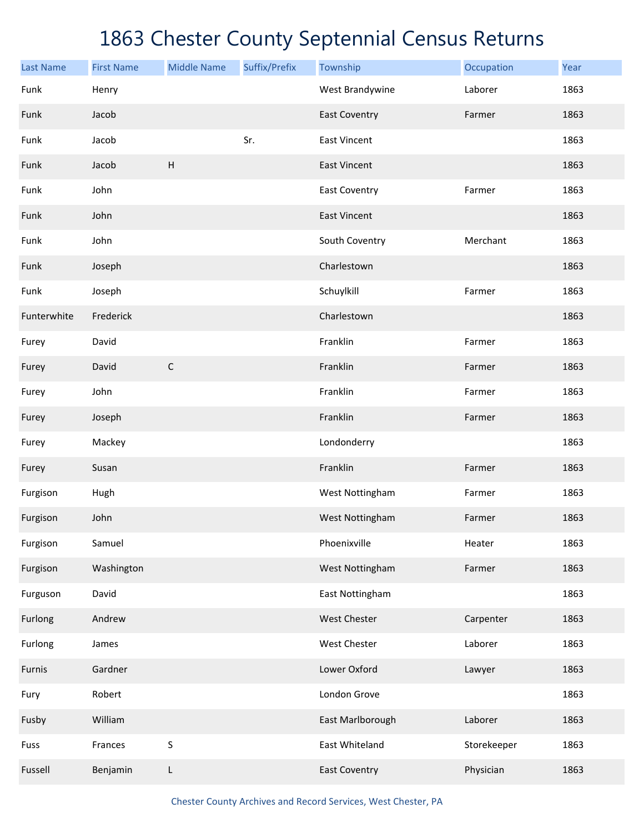| <b>Last Name</b> | <b>First Name</b> | <b>Middle Name</b>        | Suffix/Prefix | Township             | Occupation  | Year |
|------------------|-------------------|---------------------------|---------------|----------------------|-------------|------|
| Funk             | Henry             |                           |               | West Brandywine      | Laborer     | 1863 |
| Funk             | Jacob             |                           |               | <b>East Coventry</b> | Farmer      | 1863 |
| Funk             | Jacob             |                           | Sr.           | <b>East Vincent</b>  |             | 1863 |
| Funk             | Jacob             | $\boldsymbol{\mathsf{H}}$ |               | <b>East Vincent</b>  |             | 1863 |
| Funk             | John              |                           |               | <b>East Coventry</b> | Farmer      | 1863 |
| Funk             | John              |                           |               | <b>East Vincent</b>  |             | 1863 |
| Funk             | John              |                           |               | South Coventry       | Merchant    | 1863 |
| Funk             | Joseph            |                           |               | Charlestown          |             | 1863 |
| Funk             | Joseph            |                           |               | Schuylkill           | Farmer      | 1863 |
| Funterwhite      | Frederick         |                           |               | Charlestown          |             | 1863 |
| Furey            | David             |                           |               | Franklin             | Farmer      | 1863 |
| Furey            | David             | $\mathsf C$               |               | Franklin             | Farmer      | 1863 |
| Furey            | John              |                           |               | Franklin             | Farmer      | 1863 |
| Furey            | Joseph            |                           |               | Franklin             | Farmer      | 1863 |
| Furey            | Mackey            |                           |               | Londonderry          |             | 1863 |
| Furey            | Susan             |                           |               | Franklin             | Farmer      | 1863 |
| Furgison         | Hugh              |                           |               | West Nottingham      | Farmer      | 1863 |
| Furgison         | John              |                           |               | West Nottingham      | Farmer      | 1863 |
| Furgison         | Samuel            |                           |               | Phoenixville         | Heater      | 1863 |
| Furgison         | Washington        |                           |               | West Nottingham      | Farmer      | 1863 |
| Furguson         | David             |                           |               | East Nottingham      |             | 1863 |
| Furlong          | Andrew            |                           |               | West Chester         | Carpenter   | 1863 |
| Furlong          | James             |                           |               | West Chester         | Laborer     | 1863 |
| Furnis           | Gardner           |                           |               | Lower Oxford         | Lawyer      | 1863 |
| Fury             | Robert            |                           |               | London Grove         |             | 1863 |
| Fusby            | William           |                           |               | East Marlborough     | Laborer     | 1863 |
| Fuss             | Frances           | $\sf S$                   |               | East Whiteland       | Storekeeper | 1863 |
| Fussell          | Benjamin          | L                         |               | <b>East Coventry</b> | Physician   | 1863 |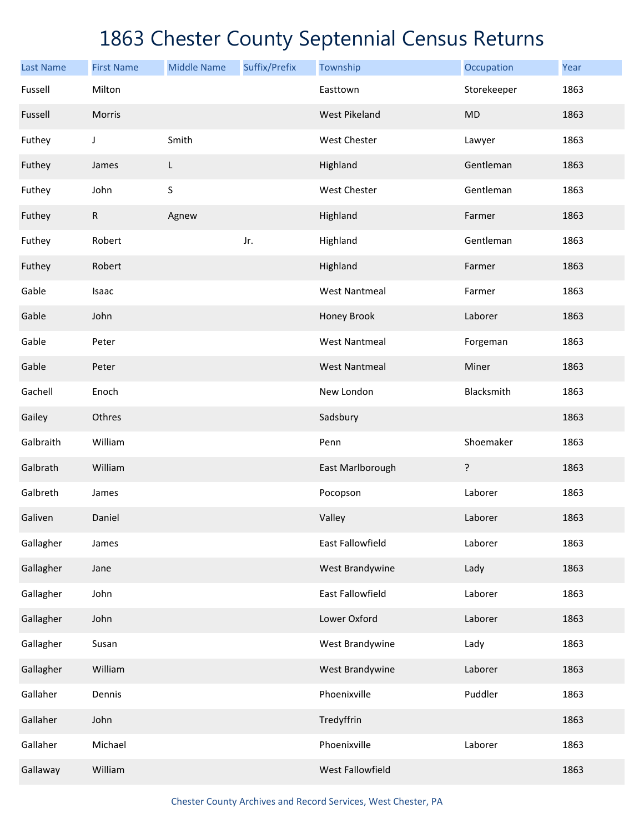| <b>Last Name</b> | <b>First Name</b> | <b>Middle Name</b> | Suffix/Prefix | Township             | Occupation  | Year |
|------------------|-------------------|--------------------|---------------|----------------------|-------------|------|
| Fussell          | Milton            |                    |               | Easttown             | Storekeeper | 1863 |
| Fussell          | Morris            |                    |               | West Pikeland        | <b>MD</b>   | 1863 |
| Futhey           | J                 | Smith              |               | West Chester         | Lawyer      | 1863 |
| Futhey           | James             | L.                 |               | Highland             | Gentleman   | 1863 |
| Futhey           | John              | S                  |               | West Chester         | Gentleman   | 1863 |
| Futhey           | $\mathsf{R}$      | Agnew              |               | Highland             | Farmer      | 1863 |
| Futhey           | Robert            |                    | Jr.           | Highland             | Gentleman   | 1863 |
| Futhey           | Robert            |                    |               | Highland             | Farmer      | 1863 |
| Gable            | Isaac             |                    |               | <b>West Nantmeal</b> | Farmer      | 1863 |
| Gable            | John              |                    |               | <b>Honey Brook</b>   | Laborer     | 1863 |
| Gable            | Peter             |                    |               | <b>West Nantmeal</b> | Forgeman    | 1863 |
| Gable            | Peter             |                    |               | <b>West Nantmeal</b> | Miner       | 1863 |
| Gachell          | Enoch             |                    |               | New London           | Blacksmith  | 1863 |
| Gailey           | Othres            |                    |               | Sadsbury             |             | 1863 |
| Galbraith        | William           |                    |               | Penn                 | Shoemaker   | 1863 |
| Galbrath         | William           |                    |               | East Marlborough     | ?           | 1863 |
| Galbreth         | James             |                    |               | Pocopson             | Laborer     | 1863 |
| Galiven          | Daniel            |                    |               | Valley               | Laborer     | 1863 |
| Gallagher        | James             |                    |               | East Fallowfield     | Laborer     | 1863 |
| Gallagher        | Jane              |                    |               | West Brandywine      | Lady        | 1863 |
| Gallagher        | John              |                    |               | East Fallowfield     | Laborer     | 1863 |
| Gallagher        | John              |                    |               | Lower Oxford         | Laborer     | 1863 |
| Gallagher        | Susan             |                    |               | West Brandywine      | Lady        | 1863 |
| Gallagher        | William           |                    |               | West Brandywine      | Laborer     | 1863 |
| Gallaher         | Dennis            |                    |               | Phoenixville         | Puddler     | 1863 |
| Gallaher         | John              |                    |               | Tredyffrin           |             | 1863 |
| Gallaher         | Michael           |                    |               | Phoenixville         | Laborer     | 1863 |
| Gallaway         | William           |                    |               | West Fallowfield     |             | 1863 |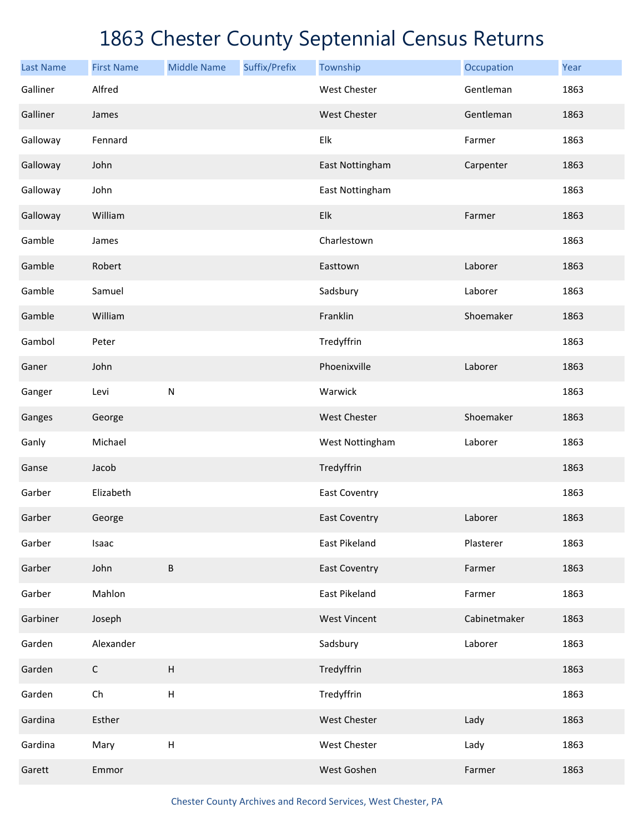| <b>Last Name</b> | <b>First Name</b> | <b>Middle Name</b>        | Suffix/Prefix | Township             | Occupation   | Year |
|------------------|-------------------|---------------------------|---------------|----------------------|--------------|------|
| Galliner         | Alfred            |                           |               | <b>West Chester</b>  | Gentleman    | 1863 |
| Galliner         | James             |                           |               | <b>West Chester</b>  | Gentleman    | 1863 |
| Galloway         | Fennard           |                           |               | Elk                  | Farmer       | 1863 |
| Galloway         | John              |                           |               | East Nottingham      | Carpenter    | 1863 |
| Galloway         | John              |                           |               | East Nottingham      |              | 1863 |
| Galloway         | William           |                           |               | Elk                  | Farmer       | 1863 |
| Gamble           | James             |                           |               | Charlestown          |              | 1863 |
| Gamble           | Robert            |                           |               | Easttown             | Laborer      | 1863 |
| Gamble           | Samuel            |                           |               | Sadsbury             | Laborer      | 1863 |
| Gamble           | William           |                           |               | Franklin             | Shoemaker    | 1863 |
| Gambol           | Peter             |                           |               | Tredyffrin           |              | 1863 |
| Ganer            | John              |                           |               | Phoenixville         | Laborer      | 1863 |
| Ganger           | Levi              | ${\sf N}$                 |               | Warwick              |              | 1863 |
| Ganges           | George            |                           |               | <b>West Chester</b>  | Shoemaker    | 1863 |
| Ganly            | Michael           |                           |               | West Nottingham      | Laborer      | 1863 |
| Ganse            | Jacob             |                           |               | Tredyffrin           |              | 1863 |
| Garber           | Elizabeth         |                           |               | <b>East Coventry</b> |              | 1863 |
| Garber           | George            |                           |               | <b>East Coventry</b> | Laborer      | 1863 |
| Garber           | Isaac             |                           |               | East Pikeland        | Plasterer    | 1863 |
| Garber           | John              | $\sf B$                   |               | <b>East Coventry</b> | Farmer       | 1863 |
| Garber           | Mahlon            |                           |               | East Pikeland        | Farmer       | 1863 |
| Garbiner         | Joseph            |                           |               | <b>West Vincent</b>  | Cabinetmaker | 1863 |
| Garden           | Alexander         |                           |               | Sadsbury             | Laborer      | 1863 |
| Garden           | $\mathsf C$       | $\boldsymbol{\mathsf{H}}$ |               | Tredyffrin           |              | 1863 |
| Garden           | Ch                | $\sf H$                   |               | Tredyffrin           |              | 1863 |
| Gardina          | Esther            |                           |               | West Chester         | Lady         | 1863 |
| Gardina          | Mary              | $\boldsymbol{\mathsf{H}}$ |               | West Chester         | Lady         | 1863 |
| Garett           | Emmor             |                           |               | West Goshen          | Farmer       | 1863 |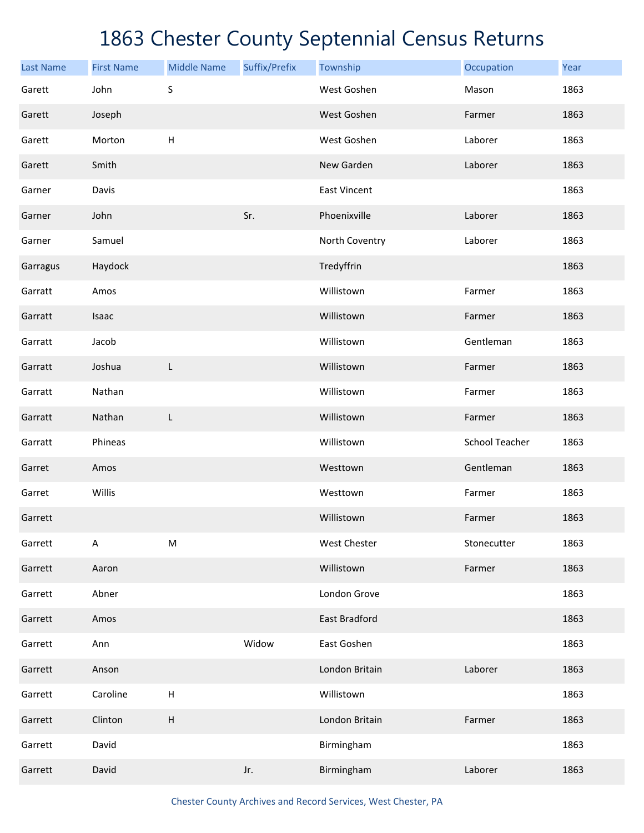| <b>Last Name</b> | <b>First Name</b> | <b>Middle Name</b>        | Suffix/Prefix | Township            | Occupation            | Year |
|------------------|-------------------|---------------------------|---------------|---------------------|-----------------------|------|
| Garett           | John              | $\sf S$                   |               | West Goshen         | Mason                 | 1863 |
| Garett           | Joseph            |                           |               | West Goshen         | Farmer                | 1863 |
| Garett           | Morton            | $\boldsymbol{\mathsf{H}}$ |               | West Goshen         | Laborer               | 1863 |
| Garett           | Smith             |                           |               | New Garden          | Laborer               | 1863 |
| Garner           | Davis             |                           |               | <b>East Vincent</b> |                       | 1863 |
| Garner           | John              |                           | Sr.           | Phoenixville        | Laborer               | 1863 |
| Garner           | Samuel            |                           |               | North Coventry      | Laborer               | 1863 |
| Garragus         | Haydock           |                           |               | Tredyffrin          |                       | 1863 |
| Garratt          | Amos              |                           |               | Willistown          | Farmer                | 1863 |
| Garratt          | Isaac             |                           |               | Willistown          | Farmer                | 1863 |
| Garratt          | Jacob             |                           |               | Willistown          | Gentleman             | 1863 |
| Garratt          | Joshua            | L                         |               | Willistown          | Farmer                | 1863 |
| Garratt          | Nathan            |                           |               | Willistown          | Farmer                | 1863 |
| Garratt          | Nathan            | L                         |               | Willistown          | Farmer                | 1863 |
| Garratt          | Phineas           |                           |               | Willistown          | <b>School Teacher</b> | 1863 |
| Garret           | Amos              |                           |               | Westtown            | Gentleman             | 1863 |
| Garret           | Willis            |                           |               | Westtown            | Farmer                | 1863 |
| Garrett          |                   |                           |               | Willistown          | Farmer                | 1863 |
| Garrett          | $\sf A$           | ${\sf M}$                 |               | <b>West Chester</b> | Stonecutter           | 1863 |
| Garrett          | Aaron             |                           |               | Willistown          | Farmer                | 1863 |
| Garrett          | Abner             |                           |               | London Grove        |                       | 1863 |
| Garrett          | Amos              |                           |               | East Bradford       |                       | 1863 |
| Garrett          | Ann               |                           | Widow         | East Goshen         |                       | 1863 |
| Garrett          | Anson             |                           |               | London Britain      | Laborer               | 1863 |
| Garrett          | Caroline          | $\boldsymbol{\mathsf{H}}$ |               | Willistown          |                       | 1863 |
| Garrett          | Clinton           | $\sf H$                   |               | London Britain      | Farmer                | 1863 |
| Garrett          | David             |                           |               | Birmingham          |                       | 1863 |
| Garrett          | David             |                           | Jr.           | Birmingham          | Laborer               | 1863 |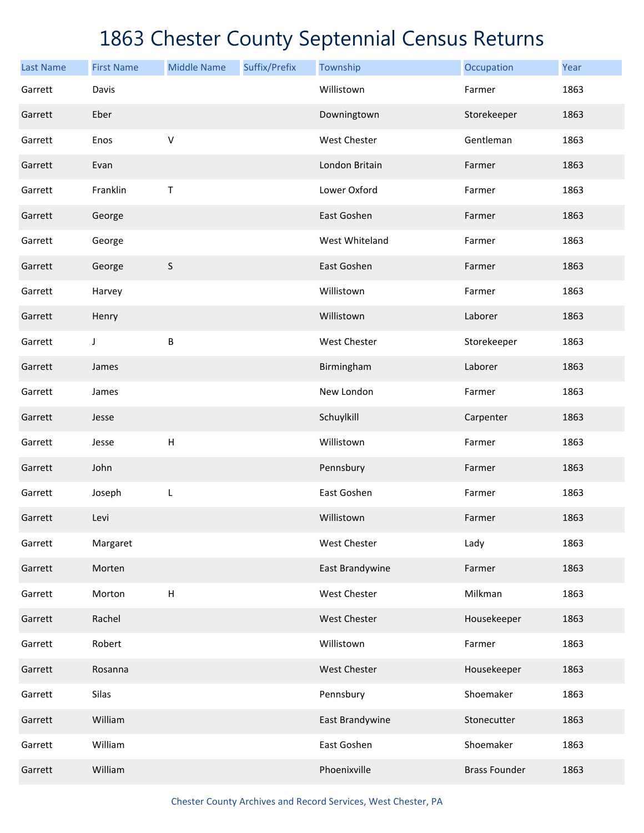| <b>Last Name</b> | <b>First Name</b> | <b>Middle Name</b>        | Suffix/Prefix | Township            | Occupation           | Year |
|------------------|-------------------|---------------------------|---------------|---------------------|----------------------|------|
| Garrett          | Davis             |                           |               | Willistown          | Farmer               | 1863 |
| Garrett          | Eber              |                           |               | Downingtown         | Storekeeper          | 1863 |
| Garrett          | Enos              | $\vee$                    |               | <b>West Chester</b> | Gentleman            | 1863 |
| Garrett          | Evan              |                           |               | London Britain      | Farmer               | 1863 |
| Garrett          | Franklin          | Τ                         |               | Lower Oxford        | Farmer               | 1863 |
| Garrett          | George            |                           |               | East Goshen         | Farmer               | 1863 |
| Garrett          | George            |                           |               | West Whiteland      | Farmer               | 1863 |
| Garrett          | George            | $\sf S$                   |               | East Goshen         | Farmer               | 1863 |
| Garrett          | Harvey            |                           |               | Willistown          | Farmer               | 1863 |
| Garrett          | Henry             |                           |               | Willistown          | Laborer              | 1863 |
| Garrett          | J                 | B                         |               | West Chester        | Storekeeper          | 1863 |
| Garrett          | James             |                           |               | Birmingham          | Laborer              | 1863 |
| Garrett          | James             |                           |               | New London          | Farmer               | 1863 |
| Garrett          | Jesse             |                           |               | Schuylkill          | Carpenter            | 1863 |
| Garrett          | Jesse             | $\boldsymbol{\mathsf{H}}$ |               | Willistown          | Farmer               | 1863 |
| Garrett          | John              |                           |               | Pennsbury           | Farmer               | 1863 |
| Garrett          | Joseph            | L                         |               | East Goshen         | Farmer               | 1863 |
| Garrett          | Levi              |                           |               | Willistown          | Farmer               | 1863 |
| Garrett          | Margaret          |                           |               | <b>West Chester</b> | Lady                 | 1863 |
| Garrett          | Morten            |                           |               | East Brandywine     | Farmer               | 1863 |
| Garrett          | Morton            | $\sf H$                   |               | West Chester        | Milkman              | 1863 |
| Garrett          | Rachel            |                           |               | West Chester        | Housekeeper          | 1863 |
| Garrett          | Robert            |                           |               | Willistown          | Farmer               | 1863 |
| Garrett          | Rosanna           |                           |               | West Chester        | Housekeeper          | 1863 |
| Garrett          | Silas             |                           |               | Pennsbury           | Shoemaker            | 1863 |
| Garrett          | William           |                           |               | East Brandywine     | Stonecutter          | 1863 |
| Garrett          | William           |                           |               | East Goshen         | Shoemaker            | 1863 |
| Garrett          | William           |                           |               | Phoenixville        | <b>Brass Founder</b> | 1863 |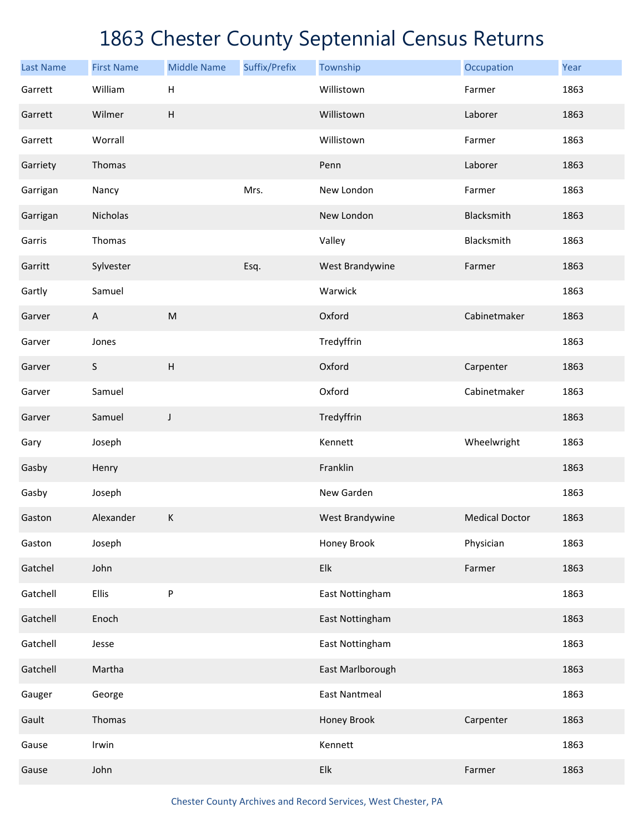| <b>Last Name</b> | <b>First Name</b>         | <b>Middle Name</b>        | Suffix/Prefix | Township             | Occupation            | Year |
|------------------|---------------------------|---------------------------|---------------|----------------------|-----------------------|------|
| Garrett          | William                   | Н                         |               | Willistown           | Farmer                | 1863 |
| Garrett          | Wilmer                    | $\boldsymbol{\mathsf{H}}$ |               | Willistown           | Laborer               | 1863 |
| Garrett          | Worrall                   |                           |               | Willistown           | Farmer                | 1863 |
| Garriety         | Thomas                    |                           |               | Penn                 | Laborer               | 1863 |
| Garrigan         | Nancy                     |                           | Mrs.          | New London           | Farmer                | 1863 |
| Garrigan         | Nicholas                  |                           |               | New London           | Blacksmith            | 1863 |
| Garris           | Thomas                    |                           |               | Valley               | Blacksmith            | 1863 |
| Garritt          | Sylvester                 |                           | Esq.          | West Brandywine      | Farmer                | 1863 |
| Gartly           | Samuel                    |                           |               | Warwick              |                       | 1863 |
| Garver           | $\boldsymbol{\mathsf{A}}$ | ${\sf M}$                 |               | Oxford               | Cabinetmaker          | 1863 |
| Garver           | Jones                     |                           |               | Tredyffrin           |                       | 1863 |
| Garver           | $\mathsf S$               | $\sf H$                   |               | Oxford               | Carpenter             | 1863 |
| Garver           | Samuel                    |                           |               | Oxford               | Cabinetmaker          | 1863 |
| Garver           | Samuel                    | J                         |               | Tredyffrin           |                       | 1863 |
| Gary             | Joseph                    |                           |               | Kennett              | Wheelwright           | 1863 |
| Gasby            | Henry                     |                           |               | Franklin             |                       | 1863 |
| Gasby            | Joseph                    |                           |               | New Garden           |                       | 1863 |
| Gaston           | Alexander                 | К                         |               | West Brandywine      | <b>Medical Doctor</b> | 1863 |
| Gaston           | Joseph                    |                           |               | Honey Brook          | Physician             | 1863 |
| Gatchel          | John                      |                           |               | Elk                  | Farmer                | 1863 |
| Gatchell         | <b>Ellis</b>              | P                         |               | East Nottingham      |                       | 1863 |
| Gatchell         | Enoch                     |                           |               | East Nottingham      |                       | 1863 |
| Gatchell         | Jesse                     |                           |               | East Nottingham      |                       | 1863 |
| Gatchell         | Martha                    |                           |               | East Marlborough     |                       | 1863 |
| Gauger           | George                    |                           |               | <b>East Nantmeal</b> |                       | 1863 |
| Gault            | Thomas                    |                           |               | Honey Brook          | Carpenter             | 1863 |
| Gause            | Irwin                     |                           |               | Kennett              |                       | 1863 |
| Gause            | John                      |                           |               | Elk                  | Farmer                | 1863 |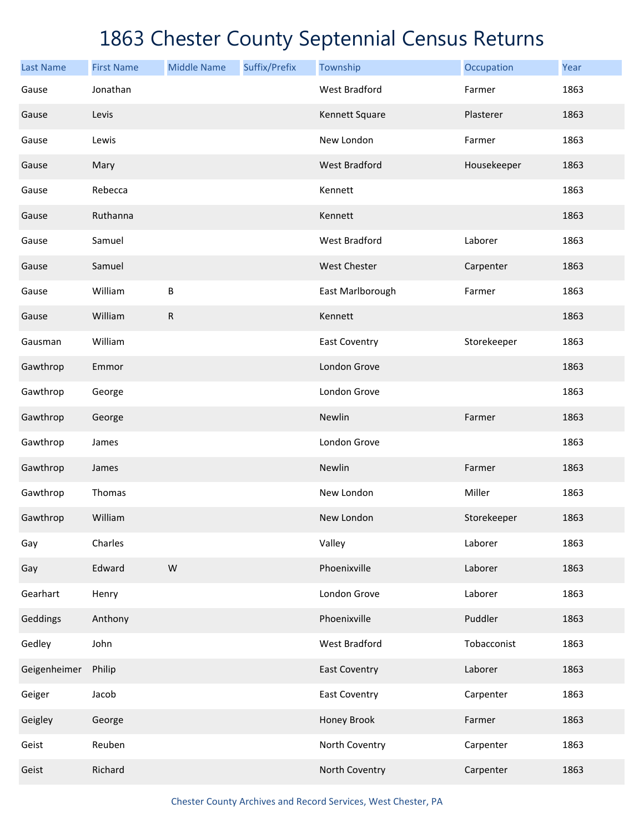| <b>Last Name</b> | <b>First Name</b> | <b>Middle Name</b> | Suffix/Prefix | Township             | Occupation  | Year |
|------------------|-------------------|--------------------|---------------|----------------------|-------------|------|
| Gause            | Jonathan          |                    |               | <b>West Bradford</b> | Farmer      | 1863 |
| Gause            | Levis             |                    |               | Kennett Square       | Plasterer   | 1863 |
| Gause            | Lewis             |                    |               | New London           | Farmer      | 1863 |
| Gause            | Mary              |                    |               | <b>West Bradford</b> | Housekeeper | 1863 |
| Gause            | Rebecca           |                    |               | Kennett              |             | 1863 |
| Gause            | Ruthanna          |                    |               | Kennett              |             | 1863 |
| Gause            | Samuel            |                    |               | <b>West Bradford</b> | Laborer     | 1863 |
| Gause            | Samuel            |                    |               | <b>West Chester</b>  | Carpenter   | 1863 |
| Gause            | William           | B                  |               | East Marlborough     | Farmer      | 1863 |
| Gause            | William           | ${\sf R}$          |               | Kennett              |             | 1863 |
| Gausman          | William           |                    |               | East Coventry        | Storekeeper | 1863 |
| Gawthrop         | Emmor             |                    |               | London Grove         |             | 1863 |
| Gawthrop         | George            |                    |               | London Grove         |             | 1863 |
| Gawthrop         | George            |                    |               | Newlin               | Farmer      | 1863 |
| Gawthrop         | James             |                    |               | London Grove         |             | 1863 |
| Gawthrop         | James             |                    |               | Newlin               | Farmer      | 1863 |
| Gawthrop         | Thomas            |                    |               | New London           | Miller      | 1863 |
| Gawthrop         | William           |                    |               | New London           | Storekeeper | 1863 |
| Gay              | Charles           |                    |               | Valley               | Laborer     | 1863 |
| Gay              | Edward            | ${\sf W}$          |               | Phoenixville         | Laborer     | 1863 |
| Gearhart         | Henry             |                    |               | London Grove         | Laborer     | 1863 |
| Geddings         | Anthony           |                    |               | Phoenixville         | Puddler     | 1863 |
| Gedley           | John              |                    |               | West Bradford        | Tobacconist | 1863 |
| Geigenheimer     | Philip            |                    |               | <b>East Coventry</b> | Laborer     | 1863 |
| Geiger           | Jacob             |                    |               | <b>East Coventry</b> | Carpenter   | 1863 |
| Geigley          | George            |                    |               | Honey Brook          | Farmer      | 1863 |
| Geist            | Reuben            |                    |               | North Coventry       | Carpenter   | 1863 |
| Geist            | Richard           |                    |               | North Coventry       | Carpenter   | 1863 |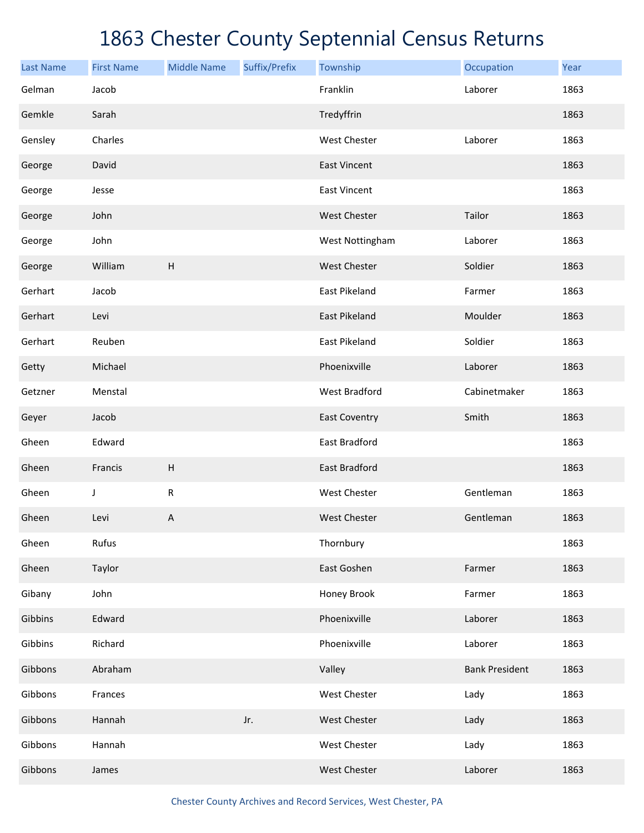| <b>Last Name</b> | <b>First Name</b> | <b>Middle Name</b>        | Suffix/Prefix | Township             | Occupation            | Year |
|------------------|-------------------|---------------------------|---------------|----------------------|-----------------------|------|
| Gelman           | Jacob             |                           |               | Franklin             | Laborer               | 1863 |
| Gemkle           | Sarah             |                           |               | Tredyffrin           |                       | 1863 |
| Gensley          | Charles           |                           |               | <b>West Chester</b>  | Laborer               | 1863 |
| George           | David             |                           |               | <b>East Vincent</b>  |                       | 1863 |
| George           | Jesse             |                           |               | <b>East Vincent</b>  |                       | 1863 |
| George           | John              |                           |               | West Chester         | Tailor                | 1863 |
| George           | John              |                           |               | West Nottingham      | Laborer               | 1863 |
| George           | William           | H                         |               | West Chester         | Soldier               | 1863 |
| Gerhart          | Jacob             |                           |               | East Pikeland        | Farmer                | 1863 |
| Gerhart          | Levi              |                           |               | <b>East Pikeland</b> | Moulder               | 1863 |
| Gerhart          | Reuben            |                           |               | East Pikeland        | Soldier               | 1863 |
| Getty            | Michael           |                           |               | Phoenixville         | Laborer               | 1863 |
| Getzner          | Menstal           |                           |               | West Bradford        | Cabinetmaker          | 1863 |
| Geyer            | Jacob             |                           |               | <b>East Coventry</b> | Smith                 | 1863 |
| Gheen            | Edward            |                           |               | East Bradford        |                       | 1863 |
| Gheen            | Francis           | $\boldsymbol{\mathsf{H}}$ |               | East Bradford        |                       | 1863 |
| Gheen            | J                 | ${\sf R}$                 |               | West Chester         | Gentleman             | 1863 |
| Gheen            | Levi              | $\mathsf{A}$              |               | <b>West Chester</b>  | Gentleman             | 1863 |
| Gheen            | Rufus             |                           |               | Thornbury            |                       | 1863 |
| Gheen            | Taylor            |                           |               | East Goshen          | Farmer                | 1863 |
| Gibany           | John              |                           |               | Honey Brook          | Farmer                | 1863 |
| Gibbins          | Edward            |                           |               | Phoenixville         | Laborer               | 1863 |
| Gibbins          | Richard           |                           |               | Phoenixville         | Laborer               | 1863 |
| Gibbons          | Abraham           |                           |               | Valley               | <b>Bank President</b> | 1863 |
| Gibbons          | Frances           |                           |               | West Chester         | Lady                  | 1863 |
| Gibbons          | Hannah            |                           | Jr.           | West Chester         | Lady                  | 1863 |
| Gibbons          | Hannah            |                           |               | West Chester         | Lady                  | 1863 |
| Gibbons          | James             |                           |               | West Chester         | Laborer               | 1863 |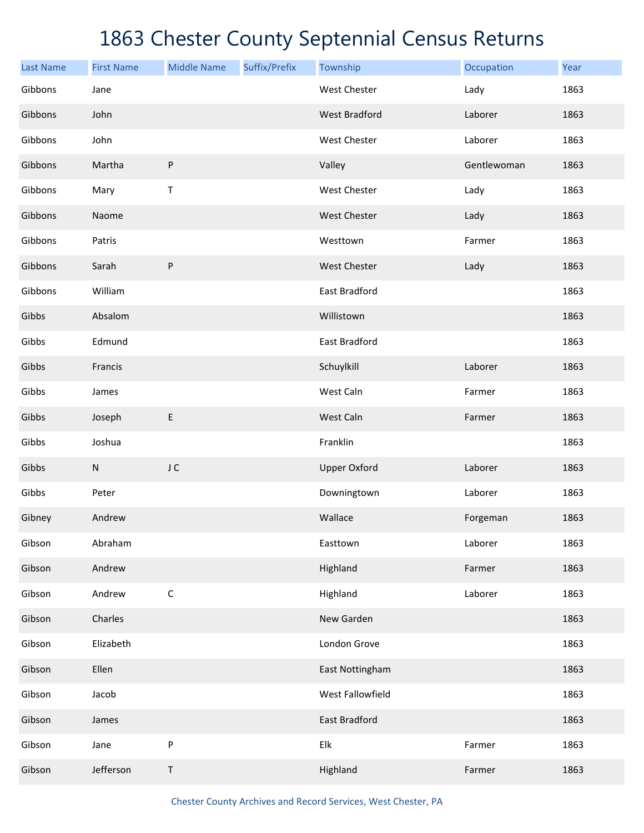| <b>Last Name</b> | <b>First Name</b> | <b>Middle Name</b> | Suffix/Prefix | Township             | Occupation  | Year |
|------------------|-------------------|--------------------|---------------|----------------------|-------------|------|
| Gibbons          | Jane              |                    |               | <b>West Chester</b>  | Lady        | 1863 |
| Gibbons          | John              |                    |               | <b>West Bradford</b> | Laborer     | 1863 |
| Gibbons          | John              |                    |               | West Chester         | Laborer     | 1863 |
| Gibbons          | Martha            | ${\sf P}$          |               | Valley               | Gentlewoman | 1863 |
| Gibbons          | Mary              | Τ                  |               | West Chester         | Lady        | 1863 |
| Gibbons          | Naome             |                    |               | <b>West Chester</b>  | Lady        | 1863 |
| Gibbons          | Patris            |                    |               | Westtown             | Farmer      | 1863 |
| Gibbons          | Sarah             | ${\sf P}$          |               | <b>West Chester</b>  | Lady        | 1863 |
| Gibbons          | William           |                    |               | East Bradford        |             | 1863 |
| Gibbs            | Absalom           |                    |               | Willistown           |             | 1863 |
| Gibbs            | Edmund            |                    |               | East Bradford        |             | 1863 |
| Gibbs            | Francis           |                    |               | Schuylkill           | Laborer     | 1863 |
| Gibbs            | James             |                    |               | West Caln            | Farmer      | 1863 |
| Gibbs            | Joseph            | E                  |               | West Caln            | Farmer      | 1863 |
| Gibbs            | Joshua            |                    |               | Franklin             |             | 1863 |
| Gibbs            | $\mathsf{N}$      | J C                |               | <b>Upper Oxford</b>  | Laborer     | 1863 |
| Gibbs            | Peter             |                    |               | Downingtown          | Laborer     | 1863 |
| Gibney           | Andrew            |                    |               | Wallace              | Forgeman    | 1863 |
| Gibson           | Abraham           |                    |               | Easttown             | Laborer     | 1863 |
| Gibson           | Andrew            |                    |               | Highland             | Farmer      | 1863 |
| Gibson           | Andrew            | $\mathsf C$        |               | Highland             | Laborer     | 1863 |
| Gibson           | Charles           |                    |               | New Garden           |             | 1863 |
| Gibson           | Elizabeth         |                    |               | London Grove         |             | 1863 |
| Gibson           | Ellen             |                    |               | East Nottingham      |             | 1863 |
| Gibson           | Jacob             |                    |               | West Fallowfield     |             | 1863 |
| Gibson           | James             |                    |               | East Bradford        |             | 1863 |
| Gibson           | Jane              | ${\sf P}$          |               | Elk                  | Farmer      | 1863 |
| Gibson           | Jefferson         | Τ                  |               | Highland             | Farmer      | 1863 |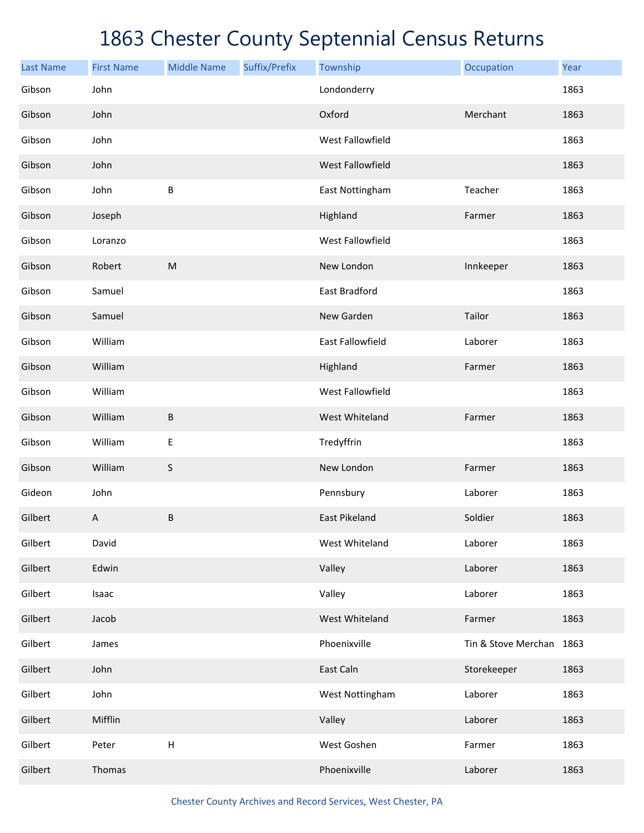| <b>Last Name</b> | <b>First Name</b> | <b>Middle Name</b>        | Suffix/Prefix | Township             | Occupation               | Year |
|------------------|-------------------|---------------------------|---------------|----------------------|--------------------------|------|
| Gibson           | John              |                           |               | Londonderry          |                          | 1863 |
| Gibson           | John              |                           |               | Oxford               | Merchant                 | 1863 |
| Gibson           | John              |                           |               | West Fallowfield     |                          | 1863 |
| Gibson           | John              |                           |               | West Fallowfield     |                          | 1863 |
| Gibson           | John              | B                         |               | East Nottingham      | Teacher                  | 1863 |
| Gibson           | Joseph            |                           |               | Highland             | Farmer                   | 1863 |
| Gibson           | Loranzo           |                           |               | West Fallowfield     |                          | 1863 |
| Gibson           | Robert            | ${\sf M}$                 |               | New London           | Innkeeper                | 1863 |
| Gibson           | Samuel            |                           |               | East Bradford        |                          | 1863 |
| Gibson           | Samuel            |                           |               | New Garden           | Tailor                   | 1863 |
| Gibson           | William           |                           |               | East Fallowfield     | Laborer                  | 1863 |
| Gibson           | William           |                           |               | Highland             | Farmer                   | 1863 |
| Gibson           | William           |                           |               | West Fallowfield     |                          | 1863 |
| Gibson           | William           | $\sf B$                   |               | West Whiteland       | Farmer                   | 1863 |
| Gibson           | William           | $\mathsf E$               |               | Tredyffrin           |                          | 1863 |
| Gibson           | William           | $\sf S$                   |               | New London           | Farmer                   | 1863 |
| Gideon           | John              |                           |               | Pennsbury            | Laborer                  | 1863 |
| Gilbert          | $\overline{A}$    | $\sf B$                   |               | <b>East Pikeland</b> | Soldier                  | 1863 |
| Gilbert          | David             |                           |               | West Whiteland       | Laborer                  | 1863 |
| Gilbert          | Edwin             |                           |               | Valley               | Laborer                  | 1863 |
| Gilbert          | Isaac             |                           |               | Valley               | Laborer                  | 1863 |
| Gilbert          | Jacob             |                           |               | West Whiteland       | Farmer                   | 1863 |
| Gilbert          | James             |                           |               | Phoenixville         | Tin & Stove Merchan 1863 |      |
| Gilbert          | John              |                           |               | East Caln            | Storekeeper              | 1863 |
| Gilbert          | John              |                           |               | West Nottingham      | Laborer                  | 1863 |
| Gilbert          | Mifflin           |                           |               | Valley               | Laborer                  | 1863 |
| Gilbert          | Peter             | $\boldsymbol{\mathsf{H}}$ |               | West Goshen          | Farmer                   | 1863 |
| Gilbert          | Thomas            |                           |               | Phoenixville         | Laborer                  | 1863 |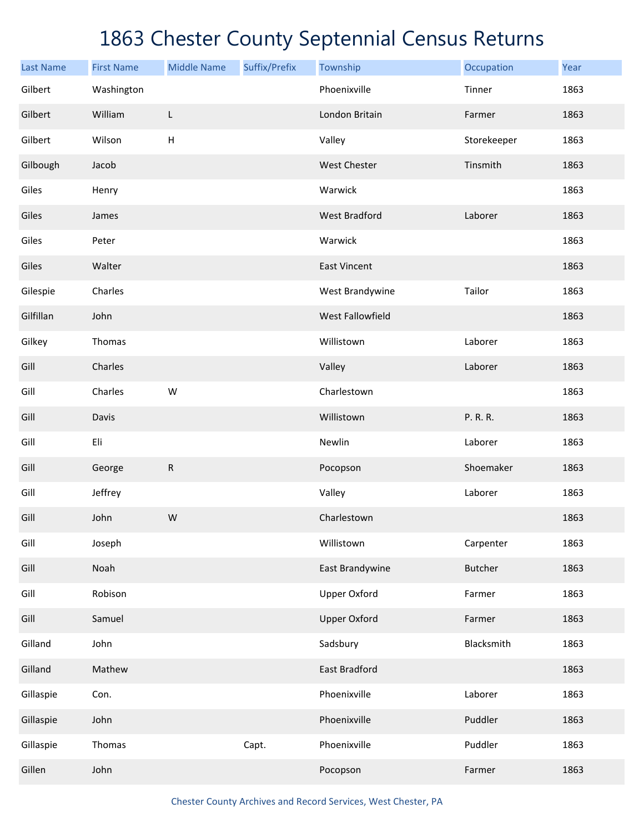| <b>Last Name</b> | <b>First Name</b> | <b>Middle Name</b>        | Suffix/Prefix | Township                | Occupation     | Year |
|------------------|-------------------|---------------------------|---------------|-------------------------|----------------|------|
| Gilbert          | Washington        |                           |               | Phoenixville            | Tinner         | 1863 |
| Gilbert          | William           | L                         |               | London Britain          | Farmer         | 1863 |
| Gilbert          | Wilson            | $\boldsymbol{\mathsf{H}}$ |               | Valley                  | Storekeeper    | 1863 |
| Gilbough         | Jacob             |                           |               | West Chester            | Tinsmith       | 1863 |
| Giles            | Henry             |                           |               | Warwick                 |                | 1863 |
| Giles            | James             |                           |               | <b>West Bradford</b>    | Laborer        | 1863 |
| Giles            | Peter             |                           |               | Warwick                 |                | 1863 |
| Giles            | Walter            |                           |               | <b>East Vincent</b>     |                | 1863 |
| Gilespie         | Charles           |                           |               | West Brandywine         | Tailor         | 1863 |
| Gilfillan        | John              |                           |               | <b>West Fallowfield</b> |                | 1863 |
| Gilkey           | Thomas            |                           |               | Willistown              | Laborer        | 1863 |
| Gill             | Charles           |                           |               | Valley                  | Laborer        | 1863 |
| Gill             | Charles           | W                         |               | Charlestown             |                | 1863 |
| Gill             | Davis             |                           |               | Willistown              | P. R. R.       | 1863 |
| Gill             | Eli               |                           |               | Newlin                  | Laborer        | 1863 |
| Gill             | George            | ${\sf R}$                 |               | Pocopson                | Shoemaker      | 1863 |
| Gill             | Jeffrey           |                           |               | Valley                  | Laborer        | 1863 |
| Gill             | John              | ${\sf W}$                 |               | Charlestown             |                | 1863 |
| Gill             | Joseph            |                           |               | Willistown              | Carpenter      | 1863 |
| Gill             | Noah              |                           |               | East Brandywine         | <b>Butcher</b> | 1863 |
| Gill             | Robison           |                           |               | <b>Upper Oxford</b>     | Farmer         | 1863 |
| Gill             | Samuel            |                           |               | <b>Upper Oxford</b>     | Farmer         | 1863 |
| Gilland          | John              |                           |               | Sadsbury                | Blacksmith     | 1863 |
| Gilland          | Mathew            |                           |               | East Bradford           |                | 1863 |
| Gillaspie        | Con.              |                           |               | Phoenixville            | Laborer        | 1863 |
| Gillaspie        | John              |                           |               | Phoenixville            | Puddler        | 1863 |
| Gillaspie        | Thomas            |                           | Capt.         | Phoenixville            | Puddler        | 1863 |
| Gillen           | John              |                           |               | Pocopson                | Farmer         | 1863 |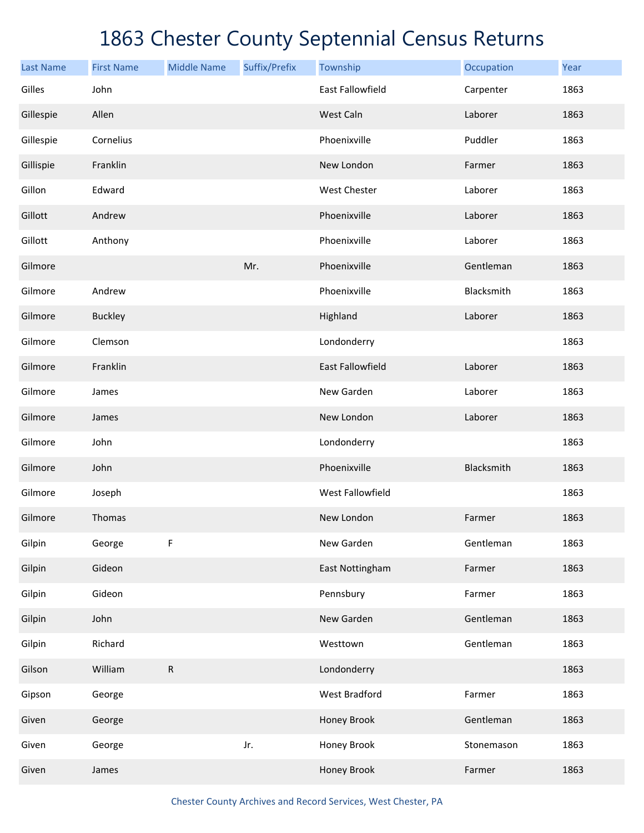| <b>Last Name</b> | <b>First Name</b> | <b>Middle Name</b> | Suffix/Prefix | Township                | Occupation | Year |
|------------------|-------------------|--------------------|---------------|-------------------------|------------|------|
| Gilles           | John              |                    |               | <b>East Fallowfield</b> | Carpenter  | 1863 |
| Gillespie        | Allen             |                    |               | West Caln               | Laborer    | 1863 |
| Gillespie        | Cornelius         |                    |               | Phoenixville            | Puddler    | 1863 |
| Gillispie        | Franklin          |                    |               | New London              | Farmer     | 1863 |
| Gillon           | Edward            |                    |               | West Chester            | Laborer    | 1863 |
| Gillott          | Andrew            |                    |               | Phoenixville            | Laborer    | 1863 |
| Gillott          | Anthony           |                    |               | Phoenixville            | Laborer    | 1863 |
| Gilmore          |                   |                    | Mr.           | Phoenixville            | Gentleman  | 1863 |
| Gilmore          | Andrew            |                    |               | Phoenixville            | Blacksmith | 1863 |
| Gilmore          | <b>Buckley</b>    |                    |               | Highland                | Laborer    | 1863 |
| Gilmore          | Clemson           |                    |               | Londonderry             |            | 1863 |
| Gilmore          | Franklin          |                    |               | <b>East Fallowfield</b> | Laborer    | 1863 |
| Gilmore          | James             |                    |               | New Garden              | Laborer    | 1863 |
| Gilmore          | James             |                    |               | New London              | Laborer    | 1863 |
| Gilmore          | John              |                    |               | Londonderry             |            | 1863 |
| Gilmore          | John              |                    |               | Phoenixville            | Blacksmith | 1863 |
| Gilmore          | Joseph            |                    |               | West Fallowfield        |            | 1863 |
| Gilmore          | Thomas            |                    |               | New London              | Farmer     | 1863 |
| Gilpin           | George            | F                  |               | New Garden              | Gentleman  | 1863 |
| Gilpin           | Gideon            |                    |               | East Nottingham         | Farmer     | 1863 |
| Gilpin           | Gideon            |                    |               | Pennsbury               | Farmer     | 1863 |
| Gilpin           | John              |                    |               | New Garden              | Gentleman  | 1863 |
| Gilpin           | Richard           |                    |               | Westtown                | Gentleman  | 1863 |
| Gilson           | William           | ${\sf R}$          |               | Londonderry             |            | 1863 |
| Gipson           | George            |                    |               | West Bradford           | Farmer     | 1863 |
| Given            | George            |                    |               | Honey Brook             | Gentleman  | 1863 |
| Given            | George            |                    | Jr.           | Honey Brook             | Stonemason | 1863 |
| Given            | James             |                    |               | Honey Brook             | Farmer     | 1863 |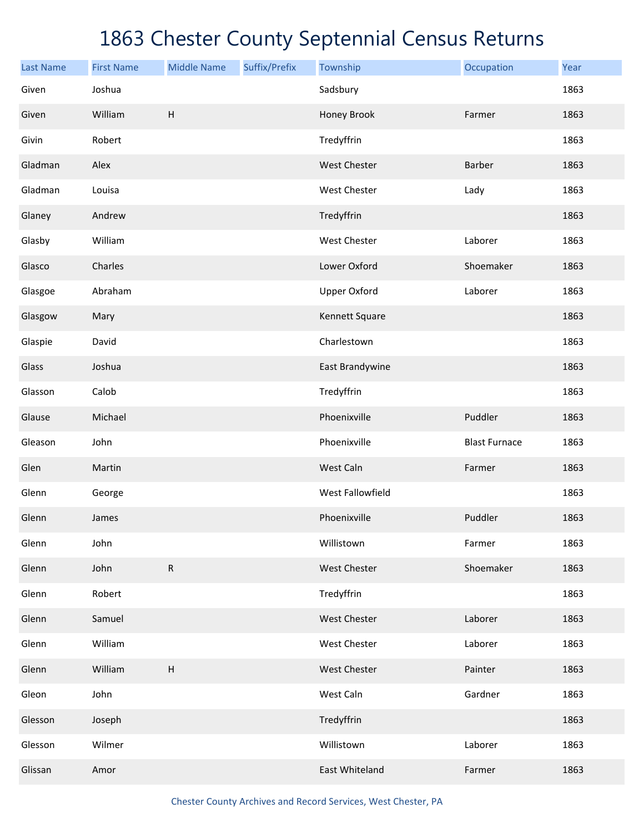| <b>Last Name</b> | <b>First Name</b> | <b>Middle Name</b>        | Suffix/Prefix | Township            | Occupation           | Year |
|------------------|-------------------|---------------------------|---------------|---------------------|----------------------|------|
| Given            | Joshua            |                           |               | Sadsbury            |                      | 1863 |
| Given            | William           | $\sf H$                   |               | Honey Brook         | Farmer               | 1863 |
| Givin            | Robert            |                           |               | Tredyffrin          |                      | 1863 |
| Gladman          | Alex              |                           |               | West Chester        | Barber               | 1863 |
| Gladman          | Louisa            |                           |               | West Chester        | Lady                 | 1863 |
| Glaney           | Andrew            |                           |               | Tredyffrin          |                      | 1863 |
| Glasby           | William           |                           |               | West Chester        | Laborer              | 1863 |
| Glasco           | Charles           |                           |               | Lower Oxford        | Shoemaker            | 1863 |
| Glasgoe          | Abraham           |                           |               | <b>Upper Oxford</b> | Laborer              | 1863 |
| Glasgow          | Mary              |                           |               | Kennett Square      |                      | 1863 |
| Glaspie          | David             |                           |               | Charlestown         |                      | 1863 |
| Glass            | Joshua            |                           |               | East Brandywine     |                      | 1863 |
| Glasson          | Calob             |                           |               | Tredyffrin          |                      | 1863 |
| Glause           | Michael           |                           |               | Phoenixville        | Puddler              | 1863 |
| Gleason          | John              |                           |               | Phoenixville        | <b>Blast Furnace</b> | 1863 |
| Glen             | Martin            |                           |               | West Caln           | Farmer               | 1863 |
| Glenn            | George            |                           |               | West Fallowfield    |                      | 1863 |
| Glenn            | James             |                           |               | Phoenixville        | Puddler              | 1863 |
| Glenn            | John              |                           |               | Willistown          | Farmer               | 1863 |
| Glenn            | John              | ${\sf R}$                 |               | West Chester        | Shoemaker            | 1863 |
| Glenn            | Robert            |                           |               | Tredyffrin          |                      | 1863 |
| Glenn            | Samuel            |                           |               | West Chester        | Laborer              | 1863 |
| Glenn            | William           |                           |               | West Chester        | Laborer              | 1863 |
| Glenn            | William           | $\boldsymbol{\mathsf{H}}$ |               | West Chester        | Painter              | 1863 |
| Gleon            | John              |                           |               | West Caln           | Gardner              | 1863 |
| Glesson          | Joseph            |                           |               | Tredyffrin          |                      | 1863 |
| Glesson          | Wilmer            |                           |               | Willistown          | Laborer              | 1863 |
| Glissan          | Amor              |                           |               | East Whiteland      | Farmer               | 1863 |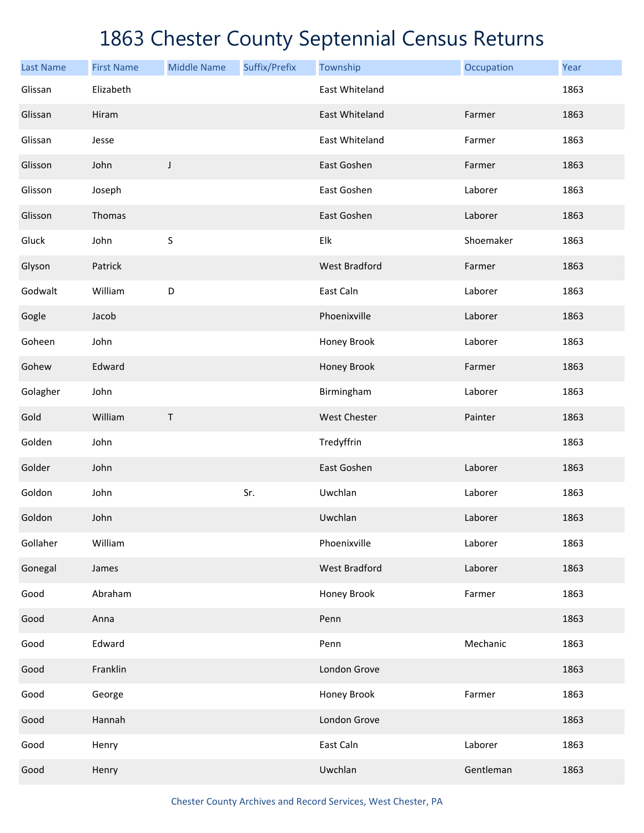| <b>Last Name</b> | <b>First Name</b> | <b>Middle Name</b> | Suffix/Prefix | Township             | Occupation | Year |
|------------------|-------------------|--------------------|---------------|----------------------|------------|------|
| Glissan          | Elizabeth         |                    |               | East Whiteland       |            | 1863 |
| Glissan          | Hiram             |                    |               | East Whiteland       | Farmer     | 1863 |
| Glissan          | Jesse             |                    |               | East Whiteland       | Farmer     | 1863 |
| Glisson          | John              | J                  |               | East Goshen          | Farmer     | 1863 |
| Glisson          | Joseph            |                    |               | East Goshen          | Laborer    | 1863 |
| Glisson          | Thomas            |                    |               | East Goshen          | Laborer    | 1863 |
| Gluck            | John              | $\sf S$            |               | Elk                  | Shoemaker  | 1863 |
| Glyson           | Patrick           |                    |               | <b>West Bradford</b> | Farmer     | 1863 |
| Godwalt          | William           | D                  |               | East Caln            | Laborer    | 1863 |
| Gogle            | Jacob             |                    |               | Phoenixville         | Laborer    | 1863 |
| Goheen           | John              |                    |               | Honey Brook          | Laborer    | 1863 |
| Gohew            | Edward            |                    |               | Honey Brook          | Farmer     | 1863 |
| Golagher         | John              |                    |               | Birmingham           | Laborer    | 1863 |
| Gold             | William           | T                  |               | <b>West Chester</b>  | Painter    | 1863 |
| Golden           | John              |                    |               | Tredyffrin           |            | 1863 |
| Golder           | John              |                    |               | East Goshen          | Laborer    | 1863 |
| Goldon           | John              |                    | Sr.           | Uwchlan              | Laborer    | 1863 |
| Goldon           | John              |                    |               | Uwchlan              | Laborer    | 1863 |
| Gollaher         | William           |                    |               | Phoenixville         | Laborer    | 1863 |
| Gonegal          | James             |                    |               | <b>West Bradford</b> | Laborer    | 1863 |
| Good             | Abraham           |                    |               | Honey Brook          | Farmer     | 1863 |
| Good             | Anna              |                    |               | Penn                 |            | 1863 |
| Good             | Edward            |                    |               | Penn                 | Mechanic   | 1863 |
| Good             | Franklin          |                    |               | London Grove         |            | 1863 |
| Good             | George            |                    |               | Honey Brook          | Farmer     | 1863 |
| Good             | Hannah            |                    |               | London Grove         |            | 1863 |
| Good             | Henry             |                    |               | East Caln            | Laborer    | 1863 |
| Good             | Henry             |                    |               | Uwchlan              | Gentleman  | 1863 |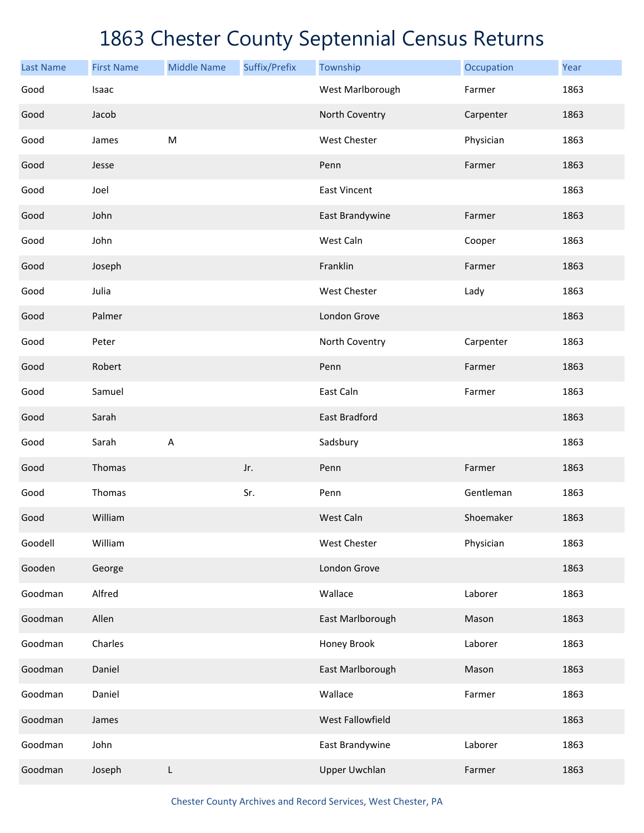| <b>Last Name</b> | <b>First Name</b> | <b>Middle Name</b> | Suffix/Prefix | Township             | Occupation | Year |
|------------------|-------------------|--------------------|---------------|----------------------|------------|------|
| Good             | Isaac             |                    |               | West Marlborough     | Farmer     | 1863 |
| Good             | Jacob             |                    |               | North Coventry       | Carpenter  | 1863 |
| Good             | James             | ${\sf M}$          |               | West Chester         | Physician  | 1863 |
| Good             | Jesse             |                    |               | Penn                 | Farmer     | 1863 |
| Good             | Joel              |                    |               | <b>East Vincent</b>  |            | 1863 |
| Good             | John              |                    |               | East Brandywine      | Farmer     | 1863 |
| Good             | John              |                    |               | West Caln            | Cooper     | 1863 |
| Good             | Joseph            |                    |               | Franklin             | Farmer     | 1863 |
| Good             | Julia             |                    |               | West Chester         | Lady       | 1863 |
| Good             | Palmer            |                    |               | London Grove         |            | 1863 |
| Good             | Peter             |                    |               | North Coventry       | Carpenter  | 1863 |
| Good             | Robert            |                    |               | Penn                 | Farmer     | 1863 |
| Good             | Samuel            |                    |               | East Caln            | Farmer     | 1863 |
| Good             | Sarah             |                    |               | East Bradford        |            | 1863 |
| Good             | Sarah             | A                  |               | Sadsbury             |            | 1863 |
| Good             | Thomas            |                    | Jr.           | Penn                 | Farmer     | 1863 |
| Good             | Thomas            |                    | Sr.           | Penn                 | Gentleman  | 1863 |
| Good             | William           |                    |               | West Caln            | Shoemaker  | 1863 |
| Goodell          | William           |                    |               | West Chester         | Physician  | 1863 |
| Gooden           | George            |                    |               | London Grove         |            | 1863 |
| Goodman          | Alfred            |                    |               | Wallace              | Laborer    | 1863 |
| Goodman          | Allen             |                    |               | East Marlborough     | Mason      | 1863 |
| Goodman          | Charles           |                    |               | Honey Brook          | Laborer    | 1863 |
| Goodman          | Daniel            |                    |               | East Marlborough     | Mason      | 1863 |
| Goodman          | Daniel            |                    |               | Wallace              | Farmer     | 1863 |
| Goodman          | James             |                    |               | West Fallowfield     |            | 1863 |
| Goodman          | John              |                    |               | East Brandywine      | Laborer    | 1863 |
| Goodman          | Joseph            | L                  |               | <b>Upper Uwchlan</b> | Farmer     | 1863 |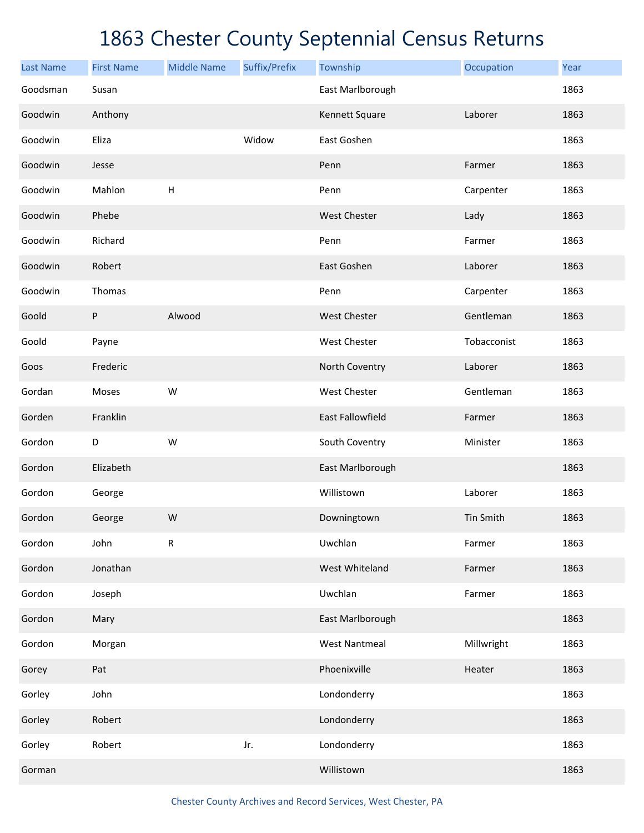| <b>Last Name</b> | <b>First Name</b> | <b>Middle Name</b>        | Suffix/Prefix | Township                | Occupation  | Year |
|------------------|-------------------|---------------------------|---------------|-------------------------|-------------|------|
| Goodsman         | Susan             |                           |               | East Marlborough        |             | 1863 |
| Goodwin          | Anthony           |                           |               | Kennett Square          | Laborer     | 1863 |
| Goodwin          | Eliza             |                           | Widow         | East Goshen             |             | 1863 |
| Goodwin          | Jesse             |                           |               | Penn                    | Farmer      | 1863 |
| Goodwin          | Mahlon            | $\boldsymbol{\mathsf{H}}$ |               | Penn                    | Carpenter   | 1863 |
| Goodwin          | Phebe             |                           |               | West Chester            | Lady        | 1863 |
| Goodwin          | Richard           |                           |               | Penn                    | Farmer      | 1863 |
| Goodwin          | Robert            |                           |               | East Goshen             | Laborer     | 1863 |
| Goodwin          | Thomas            |                           |               | Penn                    | Carpenter   | 1863 |
| Goold            | P                 | Alwood                    |               | West Chester            | Gentleman   | 1863 |
| Goold            | Payne             |                           |               | West Chester            | Tobacconist | 1863 |
| Goos             | Frederic          |                           |               | North Coventry          | Laborer     | 1863 |
| Gordan           | Moses             | W                         |               | <b>West Chester</b>     | Gentleman   | 1863 |
| Gorden           | Franklin          |                           |               | <b>East Fallowfield</b> | Farmer      | 1863 |
| Gordon           | D                 | W                         |               | South Coventry          | Minister    | 1863 |
| Gordon           | Elizabeth         |                           |               | East Marlborough        |             | 1863 |
| Gordon           | George            |                           |               | Willistown              | Laborer     | 1863 |
| Gordon           | George            | W                         |               | Downingtown             | Tin Smith   | 1863 |
| Gordon           | John              | ${\sf R}$                 |               | Uwchlan                 | Farmer      | 1863 |
| Gordon           | Jonathan          |                           |               | West Whiteland          | Farmer      | 1863 |
| Gordon           | Joseph            |                           |               | Uwchlan                 | Farmer      | 1863 |
| Gordon           | Mary              |                           |               | East Marlborough        |             | 1863 |
| Gordon           | Morgan            |                           |               | <b>West Nantmeal</b>    | Millwright  | 1863 |
| Gorey            | Pat               |                           |               | Phoenixville            | Heater      | 1863 |
| Gorley           | John              |                           |               | Londonderry             |             | 1863 |
| Gorley           | Robert            |                           |               | Londonderry             |             | 1863 |
| Gorley           | Robert            |                           | Jr.           | Londonderry             |             | 1863 |
| Gorman           |                   |                           |               | Willistown              |             | 1863 |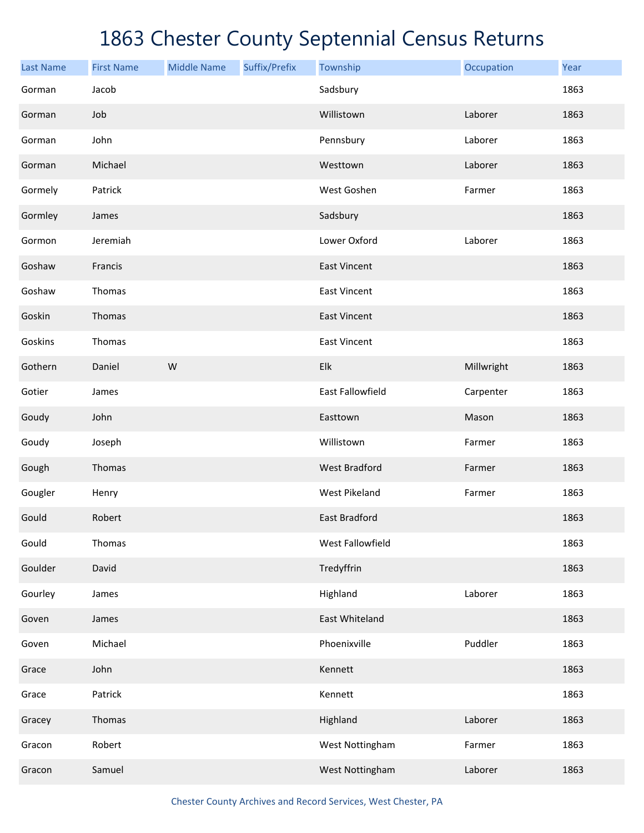| <b>Last Name</b> | <b>First Name</b> | <b>Middle Name</b> | Suffix/Prefix | Township                | Occupation | Year |
|------------------|-------------------|--------------------|---------------|-------------------------|------------|------|
| Gorman           | Jacob             |                    |               | Sadsbury                |            | 1863 |
| Gorman           | Job               |                    |               | Willistown              | Laborer    | 1863 |
| Gorman           | John              |                    |               | Pennsbury               | Laborer    | 1863 |
| Gorman           | Michael           |                    |               | Westtown                | Laborer    | 1863 |
| Gormely          | Patrick           |                    |               | West Goshen             | Farmer     | 1863 |
| Gormley          | James             |                    |               | Sadsbury                |            | 1863 |
| Gormon           | Jeremiah          |                    |               | Lower Oxford            | Laborer    | 1863 |
| Goshaw           | Francis           |                    |               | <b>East Vincent</b>     |            | 1863 |
| Goshaw           | Thomas            |                    |               | <b>East Vincent</b>     |            | 1863 |
| Goskin           | Thomas            |                    |               | <b>East Vincent</b>     |            | 1863 |
| Goskins          | Thomas            |                    |               | <b>East Vincent</b>     |            | 1863 |
| Gothern          | Daniel            | W                  |               | Elk                     | Millwright | 1863 |
| Gotier           | James             |                    |               | <b>East Fallowfield</b> | Carpenter  | 1863 |
| Goudy            | John              |                    |               | Easttown                | Mason      | 1863 |
| Goudy            | Joseph            |                    |               | Willistown              | Farmer     | 1863 |
| Gough            | Thomas            |                    |               | <b>West Bradford</b>    | Farmer     | 1863 |
| Gougler          | Henry             |                    |               | <b>West Pikeland</b>    | Farmer     | 1863 |
| Gould            | Robert            |                    |               | <b>East Bradford</b>    |            | 1863 |
| Gould            | Thomas            |                    |               | West Fallowfield        |            | 1863 |
| Goulder          | David             |                    |               | Tredyffrin              |            | 1863 |
| Gourley          | James             |                    |               | Highland                | Laborer    | 1863 |
| Goven            | James             |                    |               | East Whiteland          |            | 1863 |
| Goven            | Michael           |                    |               | Phoenixville            | Puddler    | 1863 |
| Grace            | John              |                    |               | Kennett                 |            | 1863 |
| Grace            | Patrick           |                    |               | Kennett                 |            | 1863 |
| Gracey           | Thomas            |                    |               | Highland                | Laborer    | 1863 |
| Gracon           | Robert            |                    |               | West Nottingham         | Farmer     | 1863 |
| Gracon           | Samuel            |                    |               | West Nottingham         | Laborer    | 1863 |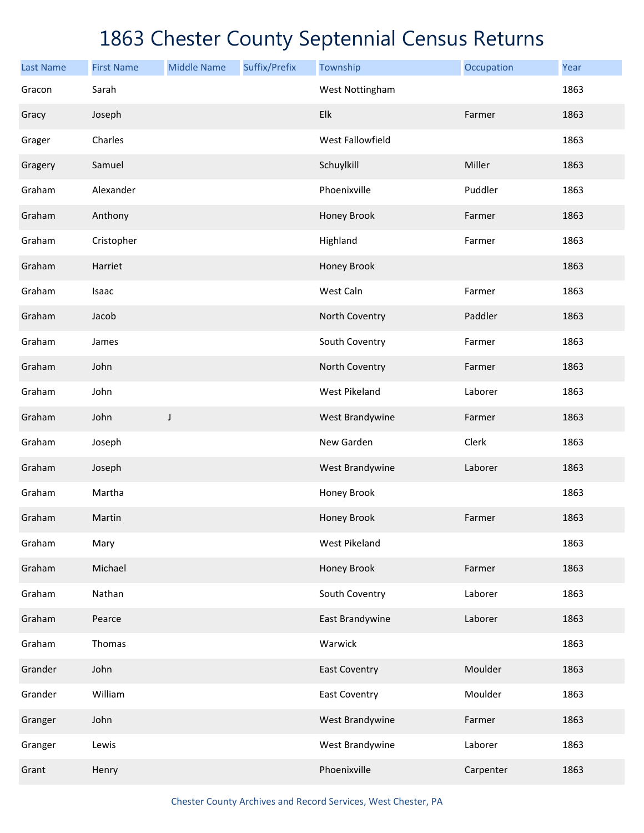| <b>Last Name</b> | <b>First Name</b> | <b>Middle Name</b> | Suffix/Prefix | Township             | Occupation | Year |
|------------------|-------------------|--------------------|---------------|----------------------|------------|------|
| Gracon           | Sarah             |                    |               | West Nottingham      |            | 1863 |
| Gracy            | Joseph            |                    |               | Elk                  | Farmer     | 1863 |
| Grager           | Charles           |                    |               | West Fallowfield     |            | 1863 |
| Gragery          | Samuel            |                    |               | Schuylkill           | Miller     | 1863 |
| Graham           | Alexander         |                    |               | Phoenixville         | Puddler    | 1863 |
| Graham           | Anthony           |                    |               | Honey Brook          | Farmer     | 1863 |
| Graham           | Cristopher        |                    |               | Highland             | Farmer     | 1863 |
| Graham           | Harriet           |                    |               | Honey Brook          |            | 1863 |
| Graham           | Isaac             |                    |               | West Caln            | Farmer     | 1863 |
| Graham           | Jacob             |                    |               | North Coventry       | Paddler    | 1863 |
| Graham           | James             |                    |               | South Coventry       | Farmer     | 1863 |
| Graham           | John              |                    |               | North Coventry       | Farmer     | 1863 |
| Graham           | John              |                    |               | <b>West Pikeland</b> | Laborer    | 1863 |
| Graham           | John              | J                  |               | West Brandywine      | Farmer     | 1863 |
| Graham           | Joseph            |                    |               | New Garden           | Clerk      | 1863 |
| Graham           | Joseph            |                    |               | West Brandywine      | Laborer    | 1863 |
| Graham           | Martha            |                    |               | Honey Brook          |            | 1863 |
| Graham           | Martin            |                    |               | Honey Brook          | Farmer     | 1863 |
| Graham           | Mary              |                    |               | <b>West Pikeland</b> |            | 1863 |
| Graham           | Michael           |                    |               | Honey Brook          | Farmer     | 1863 |
| Graham           | Nathan            |                    |               | South Coventry       | Laborer    | 1863 |
| Graham           | Pearce            |                    |               | East Brandywine      | Laborer    | 1863 |
| Graham           | Thomas            |                    |               | Warwick              |            | 1863 |
| Grander          | John              |                    |               | <b>East Coventry</b> | Moulder    | 1863 |
| Grander          | William           |                    |               | <b>East Coventry</b> | Moulder    | 1863 |
| Granger          | John              |                    |               | West Brandywine      | Farmer     | 1863 |
| Granger          | Lewis             |                    |               | West Brandywine      | Laborer    | 1863 |
| Grant            | Henry             |                    |               | Phoenixville         | Carpenter  | 1863 |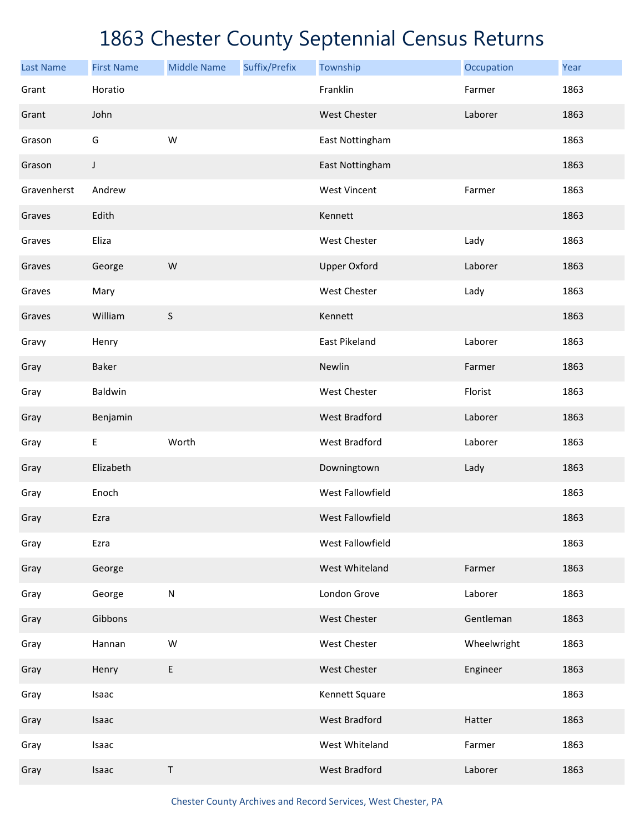| <b>Last Name</b> | <b>First Name</b> | <b>Middle Name</b> | Suffix/Prefix | Township             | Occupation  | Year |
|------------------|-------------------|--------------------|---------------|----------------------|-------------|------|
| Grant            | Horatio           |                    |               | Franklin             | Farmer      | 1863 |
| Grant            | John              |                    |               | West Chester         | Laborer     | 1863 |
| Grason           | G                 | W                  |               | East Nottingham      |             | 1863 |
| Grason           | J                 |                    |               | East Nottingham      |             | 1863 |
| Gravenherst      | Andrew            |                    |               | <b>West Vincent</b>  | Farmer      | 1863 |
| Graves           | Edith             |                    |               | Kennett              |             | 1863 |
| Graves           | Eliza             |                    |               | West Chester         | Lady        | 1863 |
| Graves           | George            | ${\sf W}$          |               | <b>Upper Oxford</b>  | Laborer     | 1863 |
| Graves           | Mary              |                    |               | West Chester         | Lady        | 1863 |
| Graves           | William           | $\sf S$            |               | Kennett              |             | 1863 |
| Gravy            | Henry             |                    |               | East Pikeland        | Laborer     | 1863 |
| Gray             | <b>Baker</b>      |                    |               | Newlin               | Farmer      | 1863 |
| Gray             | Baldwin           |                    |               | West Chester         | Florist     | 1863 |
| Gray             | Benjamin          |                    |               | <b>West Bradford</b> | Laborer     | 1863 |
| Gray             | $\sf E$           | Worth              |               | West Bradford        | Laborer     | 1863 |
| Gray             | Elizabeth         |                    |               | Downingtown          | Lady        | 1863 |
| Gray             | Enoch             |                    |               | West Fallowfield     |             | 1863 |
| Gray             | Ezra              |                    |               | West Fallowfield     |             | 1863 |
| Gray             | Ezra              |                    |               | West Fallowfield     |             | 1863 |
| Gray             | George            |                    |               | West Whiteland       | Farmer      | 1863 |
| Gray             | George            | ${\sf N}$          |               | London Grove         | Laborer     | 1863 |
| Gray             | Gibbons           |                    |               | West Chester         | Gentleman   | 1863 |
| Gray             | Hannan            | ${\sf W}$          |               | West Chester         | Wheelwright | 1863 |
| Gray             | Henry             | E                  |               | West Chester         | Engineer    | 1863 |
| Gray             | Isaac             |                    |               | Kennett Square       |             | 1863 |
| Gray             | Isaac             |                    |               | <b>West Bradford</b> | Hatter      | 1863 |
| Gray             | Isaac             |                    |               | West Whiteland       | Farmer      | 1863 |
| Gray             | Isaac             | T                  |               | <b>West Bradford</b> | Laborer     | 1863 |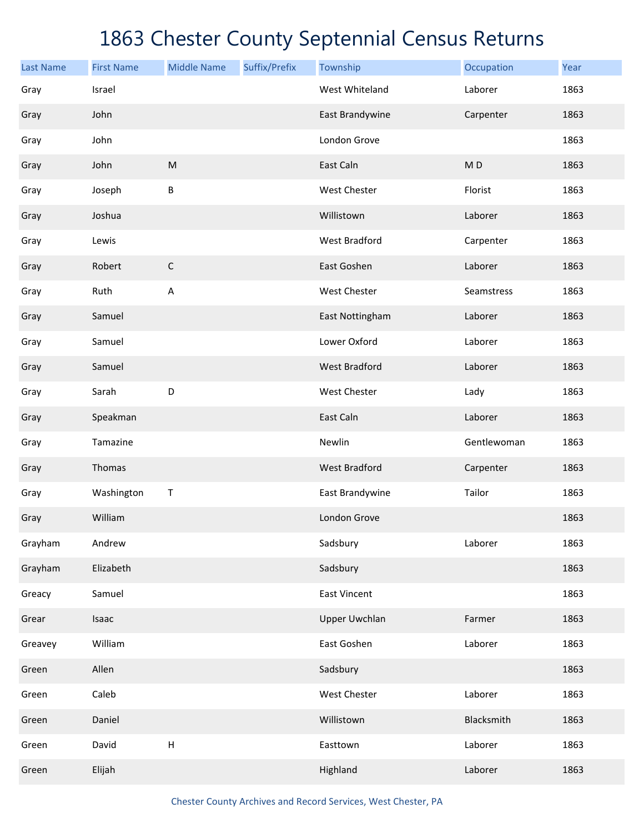| <b>Last Name</b> | <b>First Name</b> | <b>Middle Name</b> | Suffix/Prefix | Township             | Occupation  | Year |
|------------------|-------------------|--------------------|---------------|----------------------|-------------|------|
| Gray             | Israel            |                    |               | West Whiteland       | Laborer     | 1863 |
| Gray             | John              |                    |               | East Brandywine      | Carpenter   | 1863 |
| Gray             | John              |                    |               | London Grove         |             | 1863 |
| Gray             | John              | ${\sf M}$          |               | East Caln            | MD          | 1863 |
| Gray             | Joseph            | B                  |               | West Chester         | Florist     | 1863 |
| Gray             | Joshua            |                    |               | Willistown           | Laborer     | 1863 |
| Gray             | Lewis             |                    |               | <b>West Bradford</b> | Carpenter   | 1863 |
| Gray             | Robert            | $\mathsf C$        |               | East Goshen          | Laborer     | 1863 |
| Gray             | Ruth              | A                  |               | West Chester         | Seamstress  | 1863 |
| Gray             | Samuel            |                    |               | East Nottingham      | Laborer     | 1863 |
| Gray             | Samuel            |                    |               | Lower Oxford         | Laborer     | 1863 |
| Gray             | Samuel            |                    |               | <b>West Bradford</b> | Laborer     | 1863 |
| Gray             | Sarah             | D                  |               | West Chester         | Lady        | 1863 |
| Gray             | Speakman          |                    |               | East Caln            | Laborer     | 1863 |
| Gray             | Tamazine          |                    |               | Newlin               | Gentlewoman | 1863 |
| Gray             | Thomas            |                    |               | <b>West Bradford</b> | Carpenter   | 1863 |
| Gray             | Washington        | $\mathsf T$        |               | East Brandywine      | Tailor      | 1863 |
| Gray             | William           |                    |               | London Grove         |             | 1863 |
| Grayham          | Andrew            |                    |               | Sadsbury             | Laborer     | 1863 |
| Grayham          | Elizabeth         |                    |               | Sadsbury             |             | 1863 |
| Greacy           | Samuel            |                    |               | <b>East Vincent</b>  |             | 1863 |
| Grear            | Isaac             |                    |               | <b>Upper Uwchlan</b> | Farmer      | 1863 |
| Greavey          | William           |                    |               | East Goshen          | Laborer     | 1863 |
| Green            | Allen             |                    |               | Sadsbury             |             | 1863 |
| Green            | Caleb             |                    |               | West Chester         | Laborer     | 1863 |
| Green            | Daniel            |                    |               | Willistown           | Blacksmith  | 1863 |
| Green            | David             | $\sf H$            |               | Easttown             | Laborer     | 1863 |
| Green            | Elijah            |                    |               | Highland             | Laborer     | 1863 |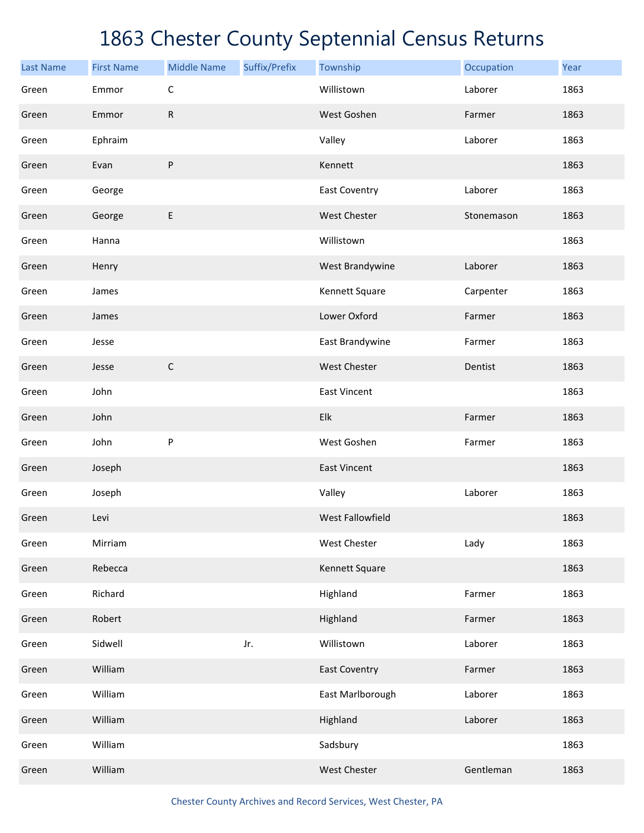| <b>Last Name</b> | <b>First Name</b> | <b>Middle Name</b> | Suffix/Prefix | Township             | Occupation | Year |
|------------------|-------------------|--------------------|---------------|----------------------|------------|------|
| Green            | Emmor             | $\mathsf C$        |               | Willistown           | Laborer    | 1863 |
| Green            | Emmor             | ${\sf R}$          |               | West Goshen          | Farmer     | 1863 |
| Green            | Ephraim           |                    |               | Valley               | Laborer    | 1863 |
| Green            | Evan              | ${\sf P}$          |               | Kennett              |            | 1863 |
| Green            | George            |                    |               | <b>East Coventry</b> | Laborer    | 1863 |
| Green            | George            | E                  |               | West Chester         | Stonemason | 1863 |
| Green            | Hanna             |                    |               | Willistown           |            | 1863 |
| Green            | Henry             |                    |               | West Brandywine      | Laborer    | 1863 |
| Green            | James             |                    |               | Kennett Square       | Carpenter  | 1863 |
| Green            | James             |                    |               | Lower Oxford         | Farmer     | 1863 |
| Green            | Jesse             |                    |               | East Brandywine      | Farmer     | 1863 |
| Green            | Jesse             | $\mathsf C$        |               | <b>West Chester</b>  | Dentist    | 1863 |
| Green            | John              |                    |               | East Vincent         |            | 1863 |
| Green            | John              |                    |               | Elk                  | Farmer     | 1863 |
| Green            | John              | P                  |               | West Goshen          | Farmer     | 1863 |
| Green            | Joseph            |                    |               | <b>East Vincent</b>  |            | 1863 |
| Green            | Joseph            |                    |               | Valley               | Laborer    | 1863 |
| Green            | Levi              |                    |               | West Fallowfield     |            | 1863 |
| Green            | Mirriam           |                    |               | West Chester         | Lady       | 1863 |
| Green            | Rebecca           |                    |               | Kennett Square       |            | 1863 |
| Green            | Richard           |                    |               | Highland             | Farmer     | 1863 |
| Green            | Robert            |                    |               | Highland             | Farmer     | 1863 |
| Green            | Sidwell           |                    | Jr.           | Willistown           | Laborer    | 1863 |
| Green            | William           |                    |               | <b>East Coventry</b> | Farmer     | 1863 |
| Green            | William           |                    |               | East Marlborough     | Laborer    | 1863 |
| Green            | William           |                    |               | Highland             | Laborer    | 1863 |
| Green            | William           |                    |               | Sadsbury             |            | 1863 |
| Green            | William           |                    |               | West Chester         | Gentleman  | 1863 |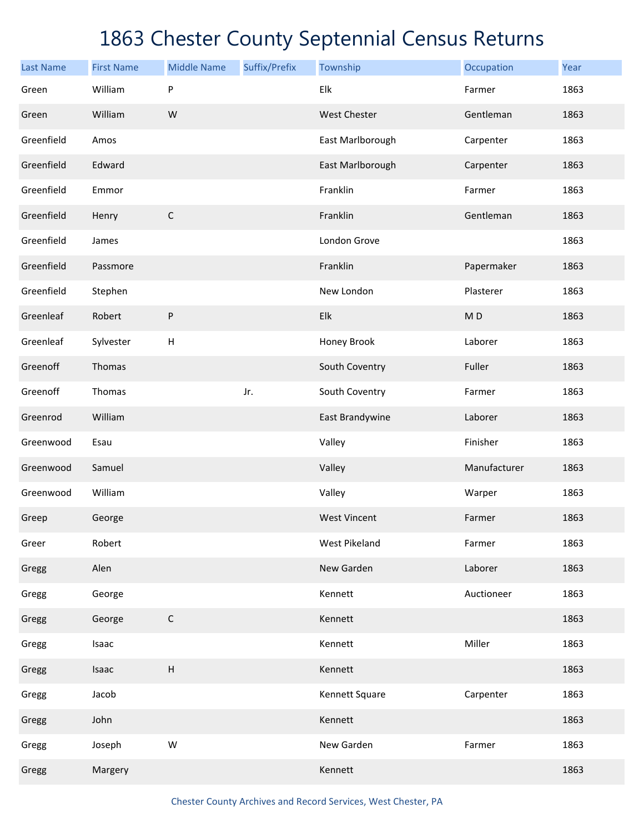| <b>Last Name</b> | <b>First Name</b> | <b>Middle Name</b>        | Suffix/Prefix | Township             | Occupation     | Year |
|------------------|-------------------|---------------------------|---------------|----------------------|----------------|------|
| Green            | William           | P                         |               | Elk                  | Farmer         | 1863 |
| Green            | William           | W                         |               | West Chester         | Gentleman      | 1863 |
| Greenfield       | Amos              |                           |               | East Marlborough     | Carpenter      | 1863 |
| Greenfield       | Edward            |                           |               | East Marlborough     | Carpenter      | 1863 |
| Greenfield       | Emmor             |                           |               | Franklin             | Farmer         | 1863 |
| Greenfield       | Henry             | $\mathsf C$               |               | Franklin             | Gentleman      | 1863 |
| Greenfield       | James             |                           |               | London Grove         |                | 1863 |
| Greenfield       | Passmore          |                           |               | Franklin             | Papermaker     | 1863 |
| Greenfield       | Stephen           |                           |               | New London           | Plasterer      | 1863 |
| Greenleaf        | Robert            | ${\sf P}$                 |               | Elk                  | M <sub>D</sub> | 1863 |
| Greenleaf        | Sylvester         | Н                         |               | Honey Brook          | Laborer        | 1863 |
| Greenoff         | Thomas            |                           |               | South Coventry       | Fuller         | 1863 |
| Greenoff         | Thomas            |                           | Jr.           | South Coventry       | Farmer         | 1863 |
| Greenrod         | William           |                           |               | East Brandywine      | Laborer        | 1863 |
| Greenwood        | Esau              |                           |               | Valley               | Finisher       | 1863 |
| Greenwood        | Samuel            |                           |               | Valley               | Manufacturer   | 1863 |
| Greenwood        | William           |                           |               | Valley               | Warper         | 1863 |
| Greep            | George            |                           |               | <b>West Vincent</b>  | Farmer         | 1863 |
| Greer            | Robert            |                           |               | <b>West Pikeland</b> | Farmer         | 1863 |
| Gregg            | Alen              |                           |               | New Garden           | Laborer        | 1863 |
| Gregg            | George            |                           |               | Kennett              | Auctioneer     | 1863 |
| Gregg            | George            | $\mathsf C$               |               | Kennett              |                | 1863 |
| Gregg            | Isaac             |                           |               | Kennett              | Miller         | 1863 |
| Gregg            | Isaac             | $\boldsymbol{\mathsf{H}}$ |               | Kennett              |                | 1863 |
| Gregg            | Jacob             |                           |               | Kennett Square       | Carpenter      | 1863 |
| Gregg            | John              |                           |               | Kennett              |                | 1863 |
| Gregg            | Joseph            | ${\sf W}$                 |               | New Garden           | Farmer         | 1863 |
| Gregg            | Margery           |                           |               | Kennett              |                | 1863 |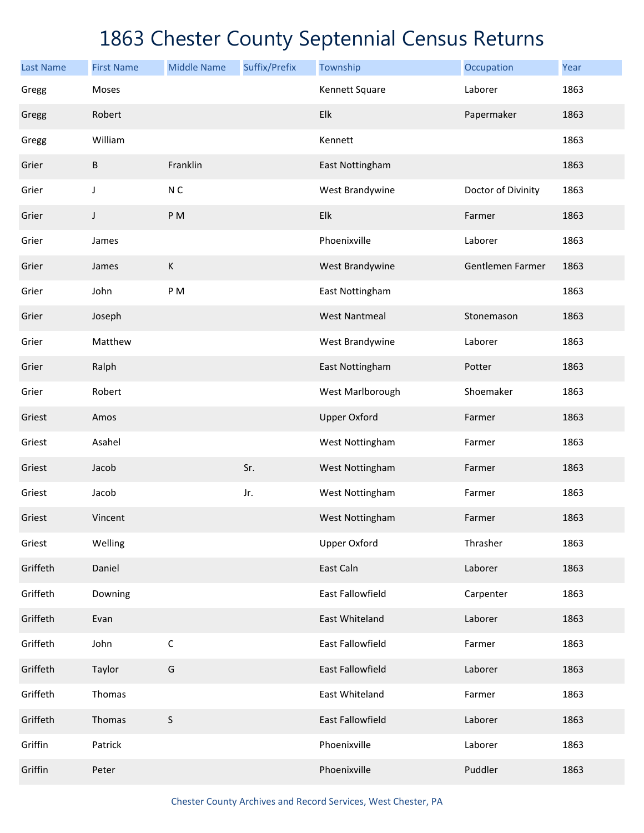| <b>Last Name</b> | <b>First Name</b> | <b>Middle Name</b> | Suffix/Prefix | Township                | Occupation         | Year |
|------------------|-------------------|--------------------|---------------|-------------------------|--------------------|------|
| Gregg            | Moses             |                    |               | Kennett Square          | Laborer            | 1863 |
| Gregg            | Robert            |                    |               | Elk                     | Papermaker         | 1863 |
| Gregg            | William           |                    |               | Kennett                 |                    | 1863 |
| Grier            | B                 | Franklin           |               | East Nottingham         |                    | 1863 |
| Grier            | J                 | N <sub>C</sub>     |               | West Brandywine         | Doctor of Divinity | 1863 |
| Grier            | J                 | PM                 |               | Elk                     | Farmer             | 1863 |
| Grier            | James             |                    |               | Phoenixville            | Laborer            | 1863 |
| Grier            | James             | К                  |               | West Brandywine         | Gentlemen Farmer   | 1863 |
| Grier            | John              | PM                 |               | East Nottingham         |                    | 1863 |
| Grier            | Joseph            |                    |               | <b>West Nantmeal</b>    | Stonemason         | 1863 |
| Grier            | Matthew           |                    |               | West Brandywine         | Laborer            | 1863 |
| Grier            | Ralph             |                    |               | East Nottingham         | Potter             | 1863 |
| Grier            | Robert            |                    |               | West Marlborough        | Shoemaker          | 1863 |
| Griest           | Amos              |                    |               | <b>Upper Oxford</b>     | Farmer             | 1863 |
| Griest           | Asahel            |                    |               | West Nottingham         | Farmer             | 1863 |
| Griest           | Jacob             |                    | Sr.           | West Nottingham         | Farmer             | 1863 |
| Griest           | Jacob             |                    | Jr.           | West Nottingham         | Farmer             | 1863 |
| Griest           | Vincent           |                    |               | West Nottingham         | Farmer             | 1863 |
| Griest           | Welling           |                    |               | <b>Upper Oxford</b>     | Thrasher           | 1863 |
| Griffeth         | Daniel            |                    |               | East Caln               | Laborer            | 1863 |
| Griffeth         | Downing           |                    |               | East Fallowfield        | Carpenter          | 1863 |
| Griffeth         | Evan              |                    |               | East Whiteland          | Laborer            | 1863 |
| Griffeth         | John              | $\mathsf C$        |               | East Fallowfield        | Farmer             | 1863 |
| Griffeth         | Taylor            | G                  |               | <b>East Fallowfield</b> | Laborer            | 1863 |
| Griffeth         | Thomas            |                    |               | East Whiteland          | Farmer             | 1863 |
| Griffeth         | Thomas            | S                  |               | <b>East Fallowfield</b> | Laborer            | 1863 |
| Griffin          | Patrick           |                    |               | Phoenixville            | Laborer            | 1863 |
| Griffin          | Peter             |                    |               | Phoenixville            | Puddler            | 1863 |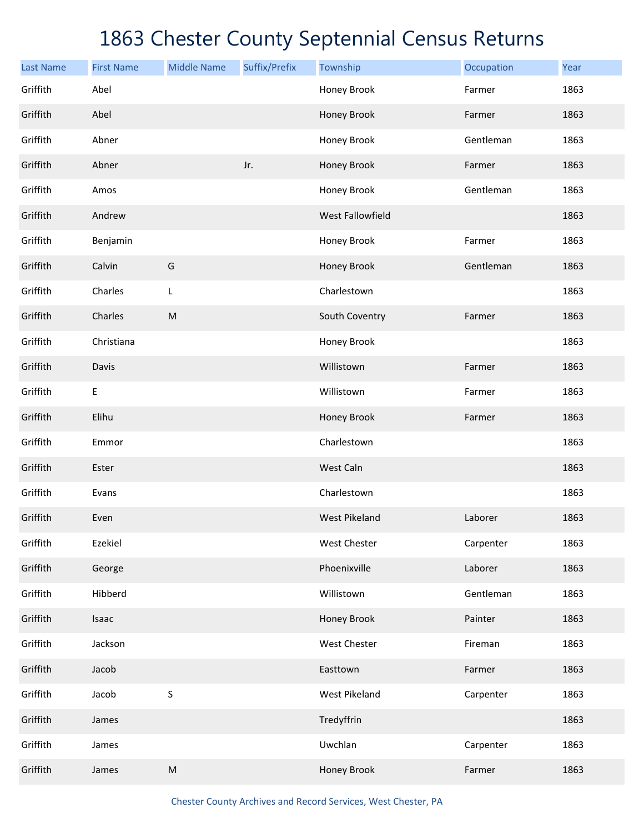| <b>Last Name</b> | <b>First Name</b> | <b>Middle Name</b> | Suffix/Prefix | Township             | Occupation | Year |
|------------------|-------------------|--------------------|---------------|----------------------|------------|------|
| Griffith         | Abel              |                    |               | Honey Brook          | Farmer     | 1863 |
| Griffith         | Abel              |                    |               | Honey Brook          | Farmer     | 1863 |
| Griffith         | Abner             |                    |               | Honey Brook          | Gentleman  | 1863 |
| Griffith         | Abner             |                    | Jr.           | Honey Brook          | Farmer     | 1863 |
| Griffith         | Amos              |                    |               | Honey Brook          | Gentleman  | 1863 |
| Griffith         | Andrew            |                    |               | West Fallowfield     |            | 1863 |
| Griffith         | Benjamin          |                    |               | Honey Brook          | Farmer     | 1863 |
| Griffith         | Calvin            | G                  |               | Honey Brook          | Gentleman  | 1863 |
| Griffith         | Charles           | L                  |               | Charlestown          |            | 1863 |
| Griffith         | Charles           | ${\sf M}$          |               | South Coventry       | Farmer     | 1863 |
| Griffith         | Christiana        |                    |               | Honey Brook          |            | 1863 |
| Griffith         | Davis             |                    |               | Willistown           | Farmer     | 1863 |
| Griffith         | $\mathsf E$       |                    |               | Willistown           | Farmer     | 1863 |
| Griffith         | Elihu             |                    |               | Honey Brook          | Farmer     | 1863 |
| Griffith         | Emmor             |                    |               | Charlestown          |            | 1863 |
| Griffith         | Ester             |                    |               | West Caln            |            | 1863 |
| Griffith         | Evans             |                    |               | Charlestown          |            | 1863 |
| Griffith         | Even              |                    |               | <b>West Pikeland</b> | Laborer    | 1863 |
| Griffith         | Ezekiel           |                    |               | <b>West Chester</b>  | Carpenter  | 1863 |
| Griffith         | George            |                    |               | Phoenixville         | Laborer    | 1863 |
| Griffith         | Hibberd           |                    |               | Willistown           | Gentleman  | 1863 |
| Griffith         | Isaac             |                    |               | Honey Brook          | Painter    | 1863 |
| Griffith         | Jackson           |                    |               | West Chester         | Fireman    | 1863 |
| Griffith         | Jacob             |                    |               | Easttown             | Farmer     | 1863 |
| Griffith         | Jacob             | S                  |               | <b>West Pikeland</b> | Carpenter  | 1863 |
| Griffith         | James             |                    |               | Tredyffrin           |            | 1863 |
| Griffith         | James             |                    |               | Uwchlan              | Carpenter  | 1863 |
| Griffith         | James             | ${\sf M}$          |               | Honey Brook          | Farmer     | 1863 |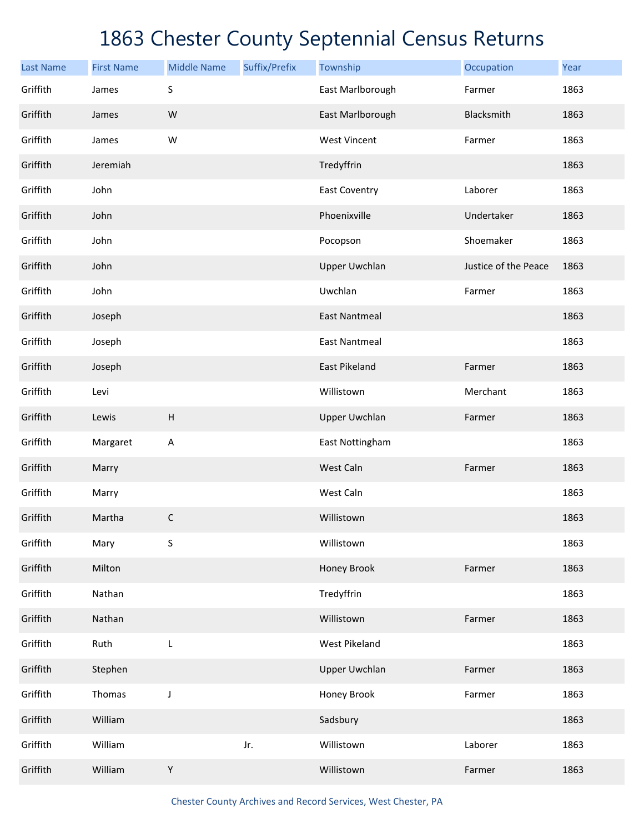| <b>Last Name</b> | <b>First Name</b> | <b>Middle Name</b> | Suffix/Prefix | Township             | Occupation           | Year |
|------------------|-------------------|--------------------|---------------|----------------------|----------------------|------|
| Griffith         | James             | S                  |               | East Marlborough     | Farmer               | 1863 |
| Griffith         | James             | ${\sf W}$          |               | East Marlborough     | Blacksmith           | 1863 |
| Griffith         | James             | W                  |               | <b>West Vincent</b>  | Farmer               | 1863 |
| Griffith         | Jeremiah          |                    |               | Tredyffrin           |                      | 1863 |
| Griffith         | John              |                    |               | <b>East Coventry</b> | Laborer              | 1863 |
| Griffith         | John              |                    |               | Phoenixville         | Undertaker           | 1863 |
| Griffith         | John              |                    |               | Pocopson             | Shoemaker            | 1863 |
| Griffith         | John              |                    |               | <b>Upper Uwchlan</b> | Justice of the Peace | 1863 |
| Griffith         | John              |                    |               | Uwchlan              | Farmer               | 1863 |
| Griffith         | Joseph            |                    |               | <b>East Nantmeal</b> |                      | 1863 |
| Griffith         | Joseph            |                    |               | <b>East Nantmeal</b> |                      | 1863 |
| Griffith         | Joseph            |                    |               | East Pikeland        | Farmer               | 1863 |
| Griffith         | Levi              |                    |               | Willistown           | Merchant             | 1863 |
| Griffith         | Lewis             | $\sf H$            |               | <b>Upper Uwchlan</b> | Farmer               | 1863 |
| Griffith         | Margaret          | A                  |               | East Nottingham      |                      | 1863 |
| Griffith         | Marry             |                    |               | West Caln            | Farmer               | 1863 |
| Griffith         | Marry             |                    |               | West Caln            |                      | 1863 |
| Griffith         | Martha            | $\mathsf C$        |               | Willistown           |                      | 1863 |
| Griffith         | Mary              | S                  |               | Willistown           |                      | 1863 |
| Griffith         | Milton            |                    |               | Honey Brook          | Farmer               | 1863 |
| Griffith         | Nathan            |                    |               | Tredyffrin           |                      | 1863 |
| Griffith         | Nathan            |                    |               | Willistown           | Farmer               | 1863 |
| Griffith         | Ruth              | L                  |               | West Pikeland        |                      | 1863 |
| Griffith         | Stephen           |                    |               | <b>Upper Uwchlan</b> | Farmer               | 1863 |
| Griffith         | Thomas            | J                  |               | Honey Brook          | Farmer               | 1863 |
| Griffith         | William           |                    |               | Sadsbury             |                      | 1863 |
| Griffith         | William           |                    | Jr.           | Willistown           | Laborer              | 1863 |
| Griffith         | William           | Y                  |               | Willistown           | Farmer               | 1863 |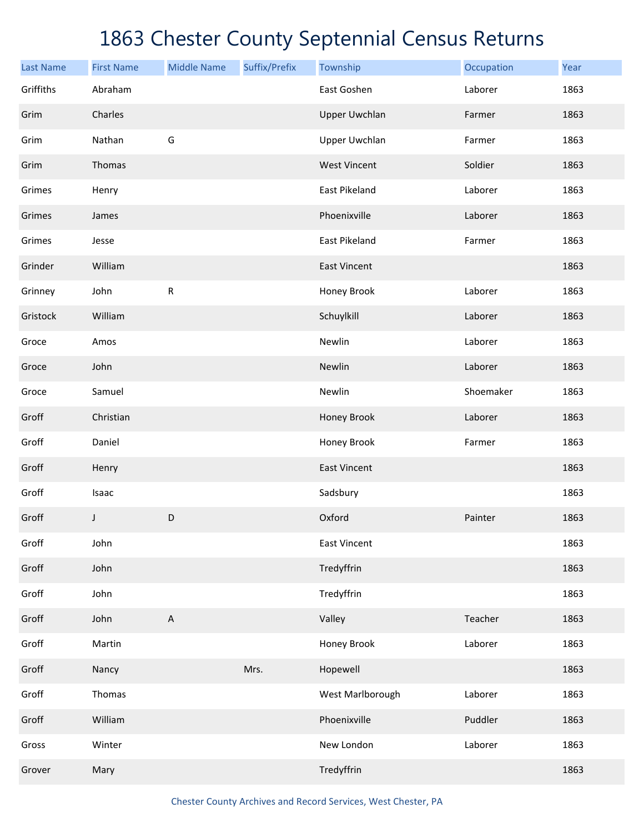| <b>Last Name</b> | <b>First Name</b> | <b>Middle Name</b>        | Suffix/Prefix | Township             | Occupation | Year |
|------------------|-------------------|---------------------------|---------------|----------------------|------------|------|
| Griffiths        | Abraham           |                           |               | East Goshen          | Laborer    | 1863 |
| Grim             | Charles           |                           |               | <b>Upper Uwchlan</b> | Farmer     | 1863 |
| Grim             | Nathan            | G                         |               | <b>Upper Uwchlan</b> | Farmer     | 1863 |
| Grim             | Thomas            |                           |               | <b>West Vincent</b>  | Soldier    | 1863 |
| Grimes           | Henry             |                           |               | East Pikeland        | Laborer    | 1863 |
| Grimes           | James             |                           |               | Phoenixville         | Laborer    | 1863 |
| Grimes           | Jesse             |                           |               | East Pikeland        | Farmer     | 1863 |
| Grinder          | William           |                           |               | <b>East Vincent</b>  |            | 1863 |
| Grinney          | John              | ${\sf R}$                 |               | Honey Brook          | Laborer    | 1863 |
| Gristock         | William           |                           |               | Schuylkill           | Laborer    | 1863 |
| Groce            | Amos              |                           |               | Newlin               | Laborer    | 1863 |
| Groce            | John              |                           |               | Newlin               | Laborer    | 1863 |
| Groce            | Samuel            |                           |               | Newlin               | Shoemaker  | 1863 |
| Groff            | Christian         |                           |               | Honey Brook          | Laborer    | 1863 |
| Groff            | Daniel            |                           |               | Honey Brook          | Farmer     | 1863 |
| Groff            | Henry             |                           |               | <b>East Vincent</b>  |            | 1863 |
| Groff            | Isaac             |                           |               | Sadsbury             |            | 1863 |
| Groff            | J                 | D                         |               | Oxford               | Painter    | 1863 |
| Groff            | John              |                           |               | East Vincent         |            | 1863 |
| Groff            | John              |                           |               | Tredyffrin           |            | 1863 |
| Groff            | John              |                           |               | Tredyffrin           |            | 1863 |
| Groff            | John              | $\boldsymbol{\mathsf{A}}$ |               | Valley               | Teacher    | 1863 |
| Groff            | Martin            |                           |               | Honey Brook          | Laborer    | 1863 |
| Groff            | Nancy             |                           | Mrs.          | Hopewell             |            | 1863 |
| Groff            | Thomas            |                           |               | West Marlborough     | Laborer    | 1863 |
| Groff            | William           |                           |               | Phoenixville         | Puddler    | 1863 |
| Gross            | Winter            |                           |               | New London           | Laborer    | 1863 |
| Grover           | Mary              |                           |               | Tredyffrin           |            | 1863 |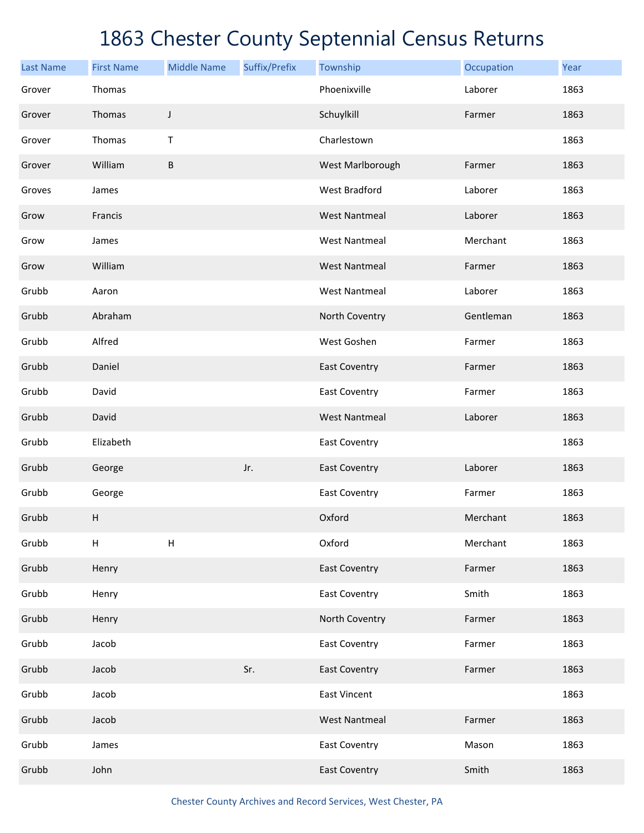| <b>Last Name</b> | <b>First Name</b>         | <b>Middle Name</b> | Suffix/Prefix | Township             | Occupation | Year |
|------------------|---------------------------|--------------------|---------------|----------------------|------------|------|
| Grover           | Thomas                    |                    |               | Phoenixville         | Laborer    | 1863 |
| Grover           | Thomas                    | J                  |               | Schuylkill           | Farmer     | 1863 |
| Grover           | Thomas                    | $\mathsf T$        |               | Charlestown          |            | 1863 |
| Grover           | William                   | B                  |               | West Marlborough     | Farmer     | 1863 |
| Groves           | James                     |                    |               | West Bradford        | Laborer    | 1863 |
| Grow             | Francis                   |                    |               | <b>West Nantmeal</b> | Laborer    | 1863 |
| Grow             | James                     |                    |               | <b>West Nantmeal</b> | Merchant   | 1863 |
| Grow             | William                   |                    |               | <b>West Nantmeal</b> | Farmer     | 1863 |
| Grubb            | Aaron                     |                    |               | <b>West Nantmeal</b> | Laborer    | 1863 |
| Grubb            | Abraham                   |                    |               | North Coventry       | Gentleman  | 1863 |
| Grubb            | Alfred                    |                    |               | West Goshen          | Farmer     | 1863 |
| Grubb            | Daniel                    |                    |               | <b>East Coventry</b> | Farmer     | 1863 |
| Grubb            | David                     |                    |               | <b>East Coventry</b> | Farmer     | 1863 |
| Grubb            | David                     |                    |               | <b>West Nantmeal</b> | Laborer    | 1863 |
| Grubb            | Elizabeth                 |                    |               | East Coventry        |            | 1863 |
| Grubb            | George                    |                    | Jr.           | <b>East Coventry</b> | Laborer    | 1863 |
| Grubb            | George                    |                    |               | <b>East Coventry</b> | Farmer     | 1863 |
| Grubb            | $\boldsymbol{\mathsf{H}}$ |                    |               | Oxford               | Merchant   | 1863 |
| Grubb            | $\boldsymbol{\mathsf{H}}$ | Н                  |               | Oxford               | Merchant   | 1863 |
| Grubb            | Henry                     |                    |               | <b>East Coventry</b> | Farmer     | 1863 |
| Grubb            | Henry                     |                    |               | <b>East Coventry</b> | Smith      | 1863 |
| Grubb            | Henry                     |                    |               | North Coventry       | Farmer     | 1863 |
| Grubb            | Jacob                     |                    |               | <b>East Coventry</b> | Farmer     | 1863 |
| Grubb            | Jacob                     |                    | Sr.           | <b>East Coventry</b> | Farmer     | 1863 |
| Grubb            | Jacob                     |                    |               | <b>East Vincent</b>  |            | 1863 |
| Grubb            | Jacob                     |                    |               | <b>West Nantmeal</b> | Farmer     | 1863 |
| Grubb            | James                     |                    |               | <b>East Coventry</b> | Mason      | 1863 |
| Grubb            | John                      |                    |               | <b>East Coventry</b> | Smith      | 1863 |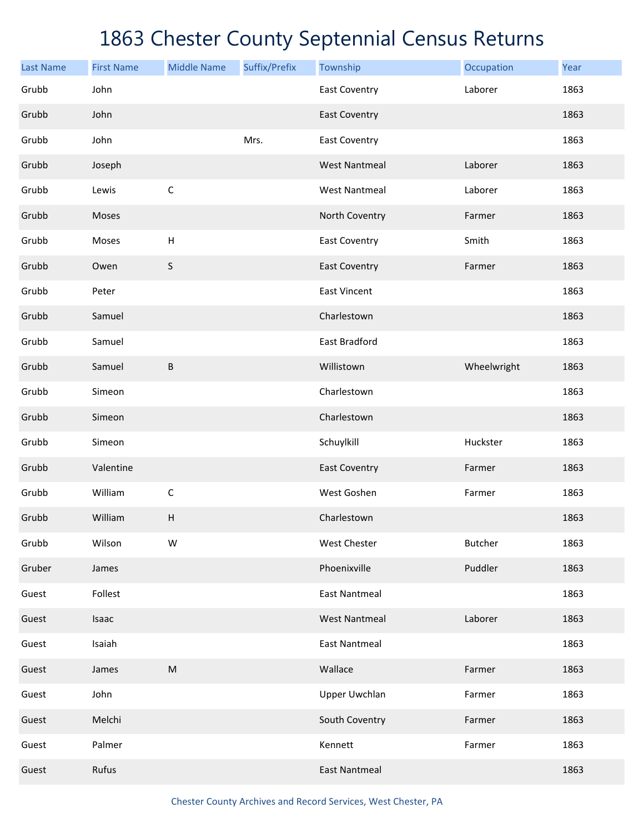| <b>Last Name</b> | <b>First Name</b> | <b>Middle Name</b>        | Suffix/Prefix | Township             | Occupation     | Year |
|------------------|-------------------|---------------------------|---------------|----------------------|----------------|------|
| Grubb            | John              |                           |               | <b>East Coventry</b> | Laborer        | 1863 |
| Grubb            | John              |                           |               | <b>East Coventry</b> |                | 1863 |
| Grubb            | John              |                           | Mrs.          | <b>East Coventry</b> |                | 1863 |
| Grubb            | Joseph            |                           |               | <b>West Nantmeal</b> | Laborer        | 1863 |
| Grubb            | Lewis             | $\mathsf C$               |               | <b>West Nantmeal</b> | Laborer        | 1863 |
| Grubb            | Moses             |                           |               | North Coventry       | Farmer         | 1863 |
| Grubb            | Moses             | $\boldsymbol{\mathsf{H}}$ |               | <b>East Coventry</b> | Smith          | 1863 |
| Grubb            | Owen              | $\sf S$                   |               | <b>East Coventry</b> | Farmer         | 1863 |
| Grubb            | Peter             |                           |               | <b>East Vincent</b>  |                | 1863 |
| Grubb            | Samuel            |                           |               | Charlestown          |                | 1863 |
| Grubb            | Samuel            |                           |               | East Bradford        |                | 1863 |
| Grubb            | Samuel            | $\sf B$                   |               | Willistown           | Wheelwright    | 1863 |
| Grubb            | Simeon            |                           |               | Charlestown          |                | 1863 |
| Grubb            | Simeon            |                           |               | Charlestown          |                | 1863 |
| Grubb            | Simeon            |                           |               | Schuylkill           | Huckster       | 1863 |
| Grubb            | Valentine         |                           |               | <b>East Coventry</b> | Farmer         | 1863 |
| Grubb            | William           | C                         |               | West Goshen          | Farmer         | 1863 |
| Grubb            | William           | H                         |               | Charlestown          |                | 1863 |
| Grubb            | Wilson            | W                         |               | <b>West Chester</b>  | <b>Butcher</b> | 1863 |
| Gruber           | James             |                           |               | Phoenixville         | Puddler        | 1863 |
| Guest            | Follest           |                           |               | <b>East Nantmeal</b> |                | 1863 |
| Guest            | Isaac             |                           |               | <b>West Nantmeal</b> | Laborer        | 1863 |
| Guest            | Isaiah            |                           |               | <b>East Nantmeal</b> |                | 1863 |
| Guest            | James             | ${\sf M}$                 |               | Wallace              | Farmer         | 1863 |
| Guest            | John              |                           |               | <b>Upper Uwchlan</b> | Farmer         | 1863 |
| Guest            | Melchi            |                           |               | South Coventry       | Farmer         | 1863 |
| Guest            | Palmer            |                           |               | Kennett              | Farmer         | 1863 |
| Guest            | Rufus             |                           |               | <b>East Nantmeal</b> |                | 1863 |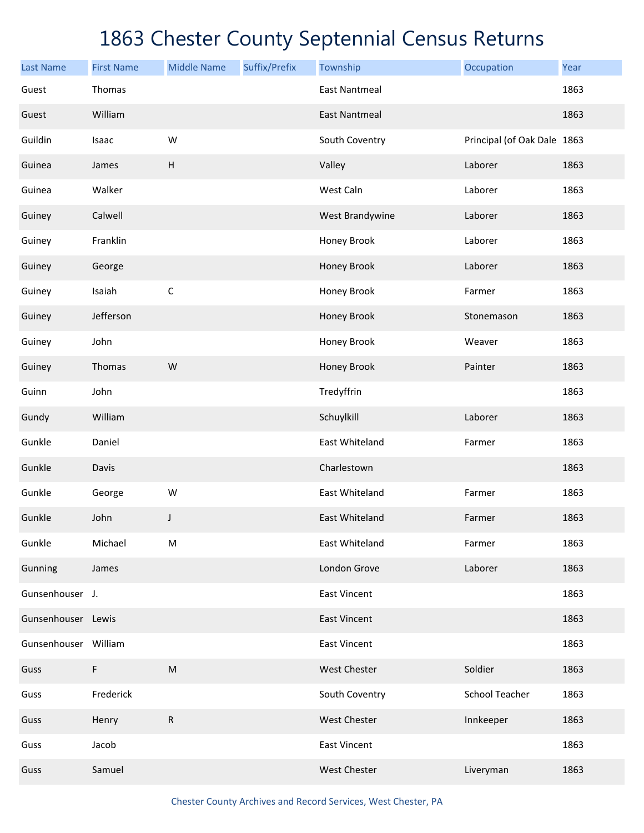| <b>Last Name</b>     | <b>First Name</b> | <b>Middle Name</b>        | Suffix/Prefix | Township             | Occupation                  | Year |
|----------------------|-------------------|---------------------------|---------------|----------------------|-----------------------------|------|
| Guest                | Thomas            |                           |               | <b>East Nantmeal</b> |                             | 1863 |
| Guest                | William           |                           |               | <b>East Nantmeal</b> |                             | 1863 |
| Guildin              | Isaac             | W                         |               | South Coventry       | Principal (of Oak Dale 1863 |      |
| Guinea               | James             | $\boldsymbol{\mathsf{H}}$ |               | Valley               | Laborer                     | 1863 |
| Guinea               | Walker            |                           |               | West Caln            | Laborer                     | 1863 |
| Guiney               | Calwell           |                           |               | West Brandywine      | Laborer                     | 1863 |
| Guiney               | Franklin          |                           |               | Honey Brook          | Laborer                     | 1863 |
| Guiney               | George            |                           |               | Honey Brook          | Laborer                     | 1863 |
| Guiney               | Isaiah            | $\mathsf C$               |               | Honey Brook          | Farmer                      | 1863 |
| Guiney               | Jefferson         |                           |               | Honey Brook          | Stonemason                  | 1863 |
| Guiney               | John              |                           |               | Honey Brook          | Weaver                      | 1863 |
| Guiney               | Thomas            | W                         |               | Honey Brook          | Painter                     | 1863 |
| Guinn                | John              |                           |               | Tredyffrin           |                             | 1863 |
| Gundy                | William           |                           |               | Schuylkill           | Laborer                     | 1863 |
| Gunkle               | Daniel            |                           |               | East Whiteland       | Farmer                      | 1863 |
| Gunkle               | Davis             |                           |               | Charlestown          |                             | 1863 |
| Gunkle               | George            | W                         |               | East Whiteland       | Farmer                      | 1863 |
| Gunkle               | John              | J                         |               | East Whiteland       | Farmer                      | 1863 |
| Gunkle               | Michael           | M                         |               | East Whiteland       | Farmer                      | 1863 |
| Gunning              | James             |                           |               | London Grove         | Laborer                     | 1863 |
| Gunsenhouser J.      |                   |                           |               | <b>East Vincent</b>  |                             | 1863 |
| Gunsenhouser Lewis   |                   |                           |               | <b>East Vincent</b>  |                             | 1863 |
| Gunsenhouser William |                   |                           |               | <b>East Vincent</b>  |                             | 1863 |
| Guss                 | F                 | ${\sf M}$                 |               | West Chester         | Soldier                     | 1863 |
| Guss                 | Frederick         |                           |               | South Coventry       | <b>School Teacher</b>       | 1863 |
| Guss                 | Henry             | ${\sf R}$                 |               | West Chester         | Innkeeper                   | 1863 |
| Guss                 | Jacob             |                           |               | <b>East Vincent</b>  |                             | 1863 |
| Guss                 | Samuel            |                           |               | West Chester         | Liveryman                   | 1863 |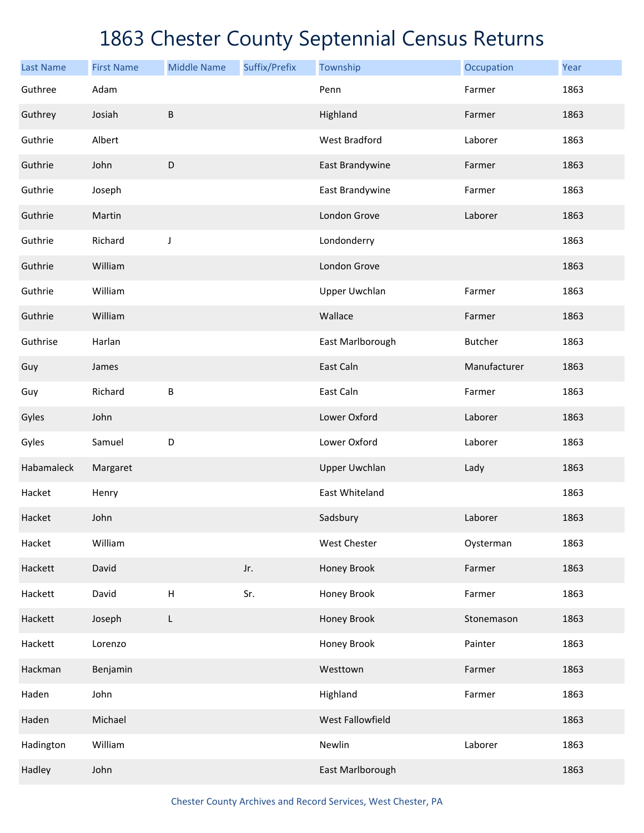| <b>Last Name</b> | <b>First Name</b> | <b>Middle Name</b> | Suffix/Prefix | Township             | Occupation     | Year |
|------------------|-------------------|--------------------|---------------|----------------------|----------------|------|
| Guthree          | Adam              |                    |               | Penn                 | Farmer         | 1863 |
| Guthrey          | Josiah            | $\sf B$            |               | Highland             | Farmer         | 1863 |
| Guthrie          | Albert            |                    |               | <b>West Bradford</b> | Laborer        | 1863 |
| Guthrie          | John              | D                  |               | East Brandywine      | Farmer         | 1863 |
| Guthrie          | Joseph            |                    |               | East Brandywine      | Farmer         | 1863 |
| Guthrie          | Martin            |                    |               | London Grove         | Laborer        | 1863 |
| Guthrie          | Richard           | J                  |               | Londonderry          |                | 1863 |
| Guthrie          | William           |                    |               | London Grove         |                | 1863 |
| Guthrie          | William           |                    |               | <b>Upper Uwchlan</b> | Farmer         | 1863 |
| Guthrie          | William           |                    |               | Wallace              | Farmer         | 1863 |
| Guthrise         | Harlan            |                    |               | East Marlborough     | <b>Butcher</b> | 1863 |
| Guy              | James             |                    |               | East Caln            | Manufacturer   | 1863 |
| Guy              | Richard           | B                  |               | East Caln            | Farmer         | 1863 |
| Gyles            | John              |                    |               | Lower Oxford         | Laborer        | 1863 |
| Gyles            | Samuel            | D                  |               | Lower Oxford         | Laborer        | 1863 |
| Habamaleck       | Margaret          |                    |               | <b>Upper Uwchlan</b> | Lady           | 1863 |
| Hacket           | Henry             |                    |               | East Whiteland       |                | 1863 |
| Hacket           | John              |                    |               | Sadsbury             | Laborer        | 1863 |
| Hacket           | William           |                    |               | West Chester         | Oysterman      | 1863 |
| Hackett          | David             |                    | Jr.           | Honey Brook          | Farmer         | 1863 |
| Hackett          | David             | $\sf H$            | Sr.           | Honey Brook          | Farmer         | 1863 |
| Hackett          | Joseph            | L                  |               | Honey Brook          | Stonemason     | 1863 |
| Hackett          | Lorenzo           |                    |               | Honey Brook          | Painter        | 1863 |
| Hackman          | Benjamin          |                    |               | Westtown             | Farmer         | 1863 |
| Haden            | John              |                    |               | Highland             | Farmer         | 1863 |
| Haden            | Michael           |                    |               | West Fallowfield     |                | 1863 |
| Hadington        | William           |                    |               | Newlin               | Laborer        | 1863 |
| Hadley           | John              |                    |               | East Marlborough     |                | 1863 |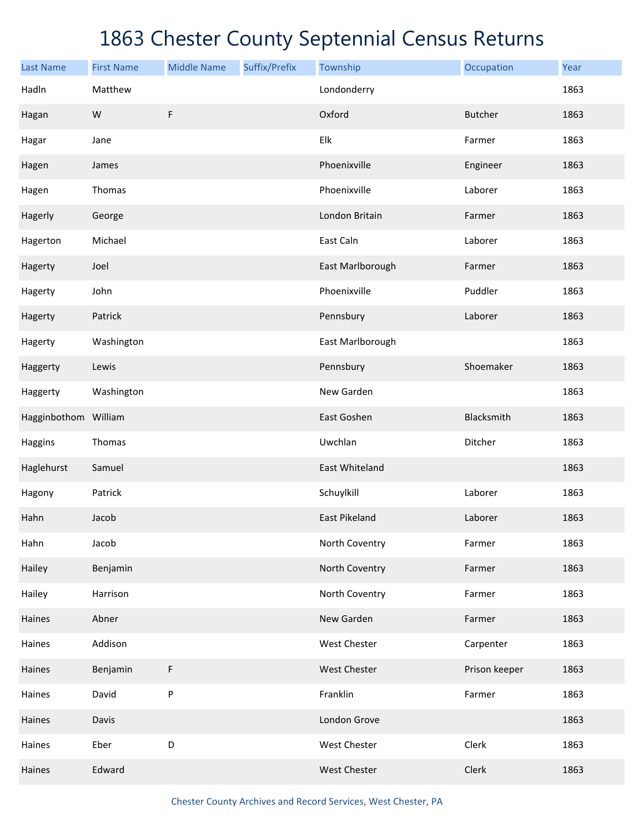| <b>Last Name</b>     | <b>First Name</b> | <b>Middle Name</b> | Suffix/Prefix | Township             | Occupation     | Year |
|----------------------|-------------------|--------------------|---------------|----------------------|----------------|------|
| Hadln                | Matthew           |                    |               | Londonderry          |                | 1863 |
| Hagan                | W                 | F                  |               | Oxford               | <b>Butcher</b> | 1863 |
| Hagar                | Jane              |                    |               | Elk                  | Farmer         | 1863 |
| Hagen                | James             |                    |               | Phoenixville         | Engineer       | 1863 |
| Hagen                | Thomas            |                    |               | Phoenixville         | Laborer        | 1863 |
| Hagerly              | George            |                    |               | London Britain       | Farmer         | 1863 |
| Hagerton             | Michael           |                    |               | East Caln            | Laborer        | 1863 |
| Hagerty              | Joel              |                    |               | East Marlborough     | Farmer         | 1863 |
| Hagerty              | John              |                    |               | Phoenixville         | Puddler        | 1863 |
| Hagerty              | Patrick           |                    |               | Pennsbury            | Laborer        | 1863 |
| Hagerty              | Washington        |                    |               | East Marlborough     |                | 1863 |
| Haggerty             | Lewis             |                    |               | Pennsbury            | Shoemaker      | 1863 |
| Haggerty             | Washington        |                    |               | New Garden           |                | 1863 |
| Hagginbothom William |                   |                    |               | East Goshen          | Blacksmith     | 1863 |
| Haggins              | Thomas            |                    |               | Uwchlan              | Ditcher        | 1863 |
| Haglehurst           | Samuel            |                    |               | East Whiteland       |                | 1863 |
| Hagony               | Patrick           |                    |               | Schuylkill           | Laborer        | 1863 |
| Hahn                 | Jacob             |                    |               | <b>East Pikeland</b> | Laborer        | 1863 |
| Hahn                 | Jacob             |                    |               | North Coventry       | Farmer         | 1863 |
| Hailey               | Benjamin          |                    |               | North Coventry       | Farmer         | 1863 |
| Hailey               | Harrison          |                    |               | North Coventry       | Farmer         | 1863 |
| Haines               | Abner             |                    |               | New Garden           | Farmer         | 1863 |
| Haines               | Addison           |                    |               | West Chester         | Carpenter      | 1863 |
| Haines               | Benjamin          | F                  |               | <b>West Chester</b>  | Prison keeper  | 1863 |
| Haines               | David             | ${\sf P}$          |               | Franklin             | Farmer         | 1863 |
| Haines               | Davis             |                    |               | London Grove         |                | 1863 |
| Haines               | Eber              | D                  |               | <b>West Chester</b>  | Clerk          | 1863 |
| Haines               | Edward            |                    |               | <b>West Chester</b>  | Clerk          | 1863 |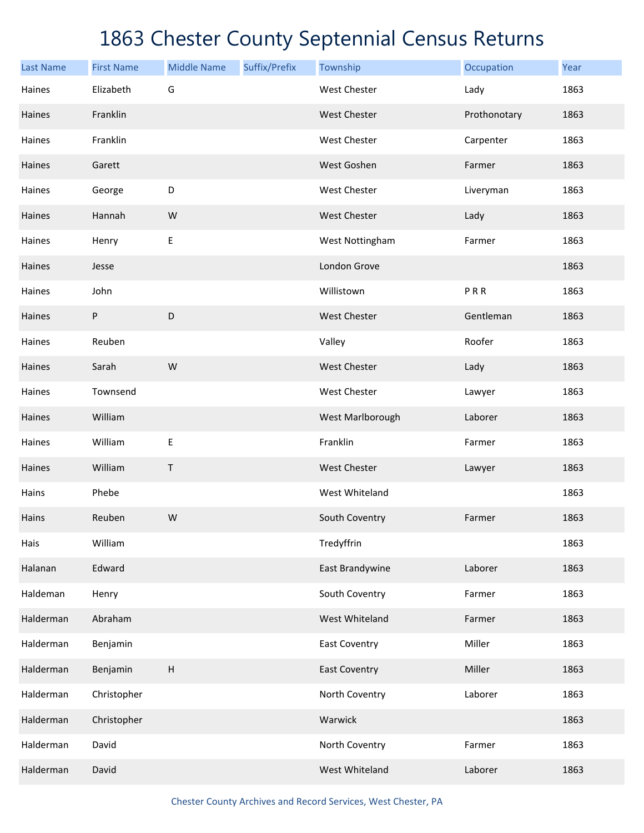| <b>Last Name</b> | <b>First Name</b> | <b>Middle Name</b>        | Suffix/Prefix | Township             | Occupation   | Year |
|------------------|-------------------|---------------------------|---------------|----------------------|--------------|------|
| Haines           | Elizabeth         | G                         |               | <b>West Chester</b>  | Lady         | 1863 |
| Haines           | Franklin          |                           |               | West Chester         | Prothonotary | 1863 |
| Haines           | Franklin          |                           |               | West Chester         | Carpenter    | 1863 |
| Haines           | Garett            |                           |               | West Goshen          | Farmer       | 1863 |
| Haines           | George            | D                         |               | West Chester         | Liveryman    | 1863 |
| Haines           | Hannah            | W                         |               | West Chester         | Lady         | 1863 |
| Haines           | Henry             | $\mathsf E$               |               | West Nottingham      | Farmer       | 1863 |
| Haines           | Jesse             |                           |               | London Grove         |              | 1863 |
| Haines           | John              |                           |               | Willistown           | PRR          | 1863 |
| Haines           | P                 | D                         |               | <b>West Chester</b>  | Gentleman    | 1863 |
| Haines           | Reuben            |                           |               | Valley               | Roofer       | 1863 |
| Haines           | Sarah             | W                         |               | <b>West Chester</b>  | Lady         | 1863 |
| Haines           | Townsend          |                           |               | West Chester         | Lawyer       | 1863 |
| Haines           | William           |                           |               | West Marlborough     | Laborer      | 1863 |
| Haines           | William           | $\sf E$                   |               | Franklin             | Farmer       | 1863 |
| Haines           | William           | Τ                         |               | <b>West Chester</b>  | Lawyer       | 1863 |
| Hains            | Phebe             |                           |               | West Whiteland       |              | 1863 |
| Hains            | Reuben            | W                         |               | South Coventry       | Farmer       | 1863 |
| Hais             | William           |                           |               | Tredyffrin           |              | 1863 |
| Halanan          | Edward            |                           |               | East Brandywine      | Laborer      | 1863 |
| Haldeman         | Henry             |                           |               | South Coventry       | Farmer       | 1863 |
| Halderman        | Abraham           |                           |               | West Whiteland       | Farmer       | 1863 |
| Halderman        | Benjamin          |                           |               | <b>East Coventry</b> | Miller       | 1863 |
| Halderman        | Benjamin          | $\boldsymbol{\mathsf{H}}$ |               | <b>East Coventry</b> | Miller       | 1863 |
| Halderman        | Christopher       |                           |               | North Coventry       | Laborer      | 1863 |
| Halderman        | Christopher       |                           |               | Warwick              |              | 1863 |
| Halderman        | David             |                           |               | North Coventry       | Farmer       | 1863 |
| Halderman        | David             |                           |               | West Whiteland       | Laborer      | 1863 |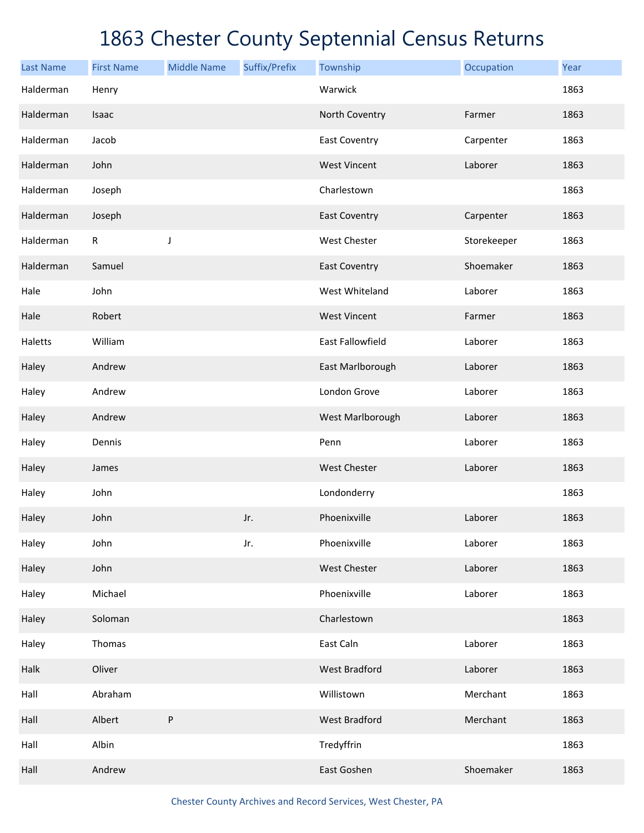| <b>Last Name</b> | <b>First Name</b> | <b>Middle Name</b> | Suffix/Prefix | Township                | Occupation  | Year |
|------------------|-------------------|--------------------|---------------|-------------------------|-------------|------|
| Halderman        | Henry             |                    |               | Warwick                 |             | 1863 |
| Halderman        | Isaac             |                    |               | North Coventry          | Farmer      | 1863 |
| Halderman        | Jacob             |                    |               | <b>East Coventry</b>    | Carpenter   | 1863 |
| Halderman        | John              |                    |               | <b>West Vincent</b>     | Laborer     | 1863 |
| Halderman        | Joseph            |                    |               | Charlestown             |             | 1863 |
| Halderman        | Joseph            |                    |               | <b>East Coventry</b>    | Carpenter   | 1863 |
| Halderman        | $\mathsf R$       | J                  |               | <b>West Chester</b>     | Storekeeper | 1863 |
| Halderman        | Samuel            |                    |               | <b>East Coventry</b>    | Shoemaker   | 1863 |
| Hale             | John              |                    |               | West Whiteland          | Laborer     | 1863 |
| Hale             | Robert            |                    |               | <b>West Vincent</b>     | Farmer      | 1863 |
| Haletts          | William           |                    |               | <b>East Fallowfield</b> | Laborer     | 1863 |
| Haley            | Andrew            |                    |               | East Marlborough        | Laborer     | 1863 |
| Haley            | Andrew            |                    |               | London Grove            | Laborer     | 1863 |
| Haley            | Andrew            |                    |               | West Marlborough        | Laborer     | 1863 |
| Haley            | Dennis            |                    |               | Penn                    | Laborer     | 1863 |
| Haley            | James             |                    |               | <b>West Chester</b>     | Laborer     | 1863 |
| Haley            | John              |                    |               | Londonderry             |             | 1863 |
| Haley            | John              |                    | Jr.           | Phoenixville            | Laborer     | 1863 |
| Haley            | John              |                    | Jr.           | Phoenixville            | Laborer     | 1863 |
| Haley            | John              |                    |               | West Chester            | Laborer     | 1863 |
| Haley            | Michael           |                    |               | Phoenixville            | Laborer     | 1863 |
| Haley            | Soloman           |                    |               | Charlestown             |             | 1863 |
| Haley            | Thomas            |                    |               | East Caln               | Laborer     | 1863 |
| Halk             | Oliver            |                    |               | <b>West Bradford</b>    | Laborer     | 1863 |
| Hall             | Abraham           |                    |               | Willistown              | Merchant    | 1863 |
| Hall             | Albert            | $\sf P$            |               | <b>West Bradford</b>    | Merchant    | 1863 |
| Hall             | Albin             |                    |               | Tredyffrin              |             | 1863 |
| Hall             | Andrew            |                    |               | East Goshen             | Shoemaker   | 1863 |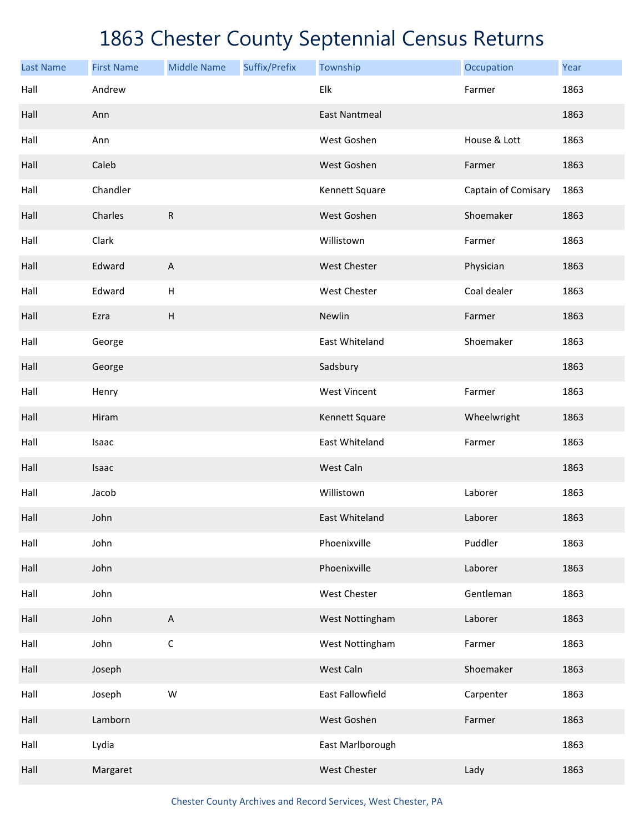| <b>Last Name</b> | <b>First Name</b> | <b>Middle Name</b>        | Suffix/Prefix | Township             | Occupation          | Year |
|------------------|-------------------|---------------------------|---------------|----------------------|---------------------|------|
| Hall             | Andrew            |                           |               | Elk                  | Farmer              | 1863 |
| Hall             | Ann               |                           |               | <b>East Nantmeal</b> |                     | 1863 |
| Hall             | Ann               |                           |               | West Goshen          | House & Lott        | 1863 |
| Hall             | Caleb             |                           |               | West Goshen          | Farmer              | 1863 |
| Hall             | Chandler          |                           |               | Kennett Square       | Captain of Comisary | 1863 |
| Hall             | Charles           | ${\sf R}$                 |               | West Goshen          | Shoemaker           | 1863 |
| Hall             | Clark             |                           |               | Willistown           | Farmer              | 1863 |
| Hall             | Edward            | $\boldsymbol{\mathsf{A}}$ |               | West Chester         | Physician           | 1863 |
| Hall             | Edward            | H                         |               | West Chester         | Coal dealer         | 1863 |
| Hall             | Ezra              | $\boldsymbol{\mathsf{H}}$ |               | Newlin               | Farmer              | 1863 |
| Hall             | George            |                           |               | East Whiteland       | Shoemaker           | 1863 |
| Hall             | George            |                           |               | Sadsbury             |                     | 1863 |
| Hall             | Henry             |                           |               | <b>West Vincent</b>  | Farmer              | 1863 |
| Hall             | Hiram             |                           |               | Kennett Square       | Wheelwright         | 1863 |
| Hall             | Isaac             |                           |               | East Whiteland       | Farmer              | 1863 |
| Hall             | Isaac             |                           |               | West Caln            |                     | 1863 |
| Hall             | Jacob             |                           |               | Willistown           | Laborer             | 1863 |
| Hall             | John              |                           |               | East Whiteland       | Laborer             | 1863 |
| Hall             | John              |                           |               | Phoenixville         | Puddler             | 1863 |
| Hall             | John              |                           |               | Phoenixville         | Laborer             | 1863 |
| Hall             | John              |                           |               | West Chester         | Gentleman           | 1863 |
| Hall             | John              | $\boldsymbol{\mathsf{A}}$ |               | West Nottingham      | Laborer             | 1863 |
| Hall             | John              | $\mathsf C$               |               | West Nottingham      | Farmer              | 1863 |
| Hall             | Joseph            |                           |               | West Caln            | Shoemaker           | 1863 |
| Hall             | Joseph            | W                         |               | East Fallowfield     | Carpenter           | 1863 |
| Hall             | Lamborn           |                           |               | West Goshen          | Farmer              | 1863 |
| Hall             | Lydia             |                           |               | East Marlborough     |                     | 1863 |
| Hall             | Margaret          |                           |               | West Chester         | Lady                | 1863 |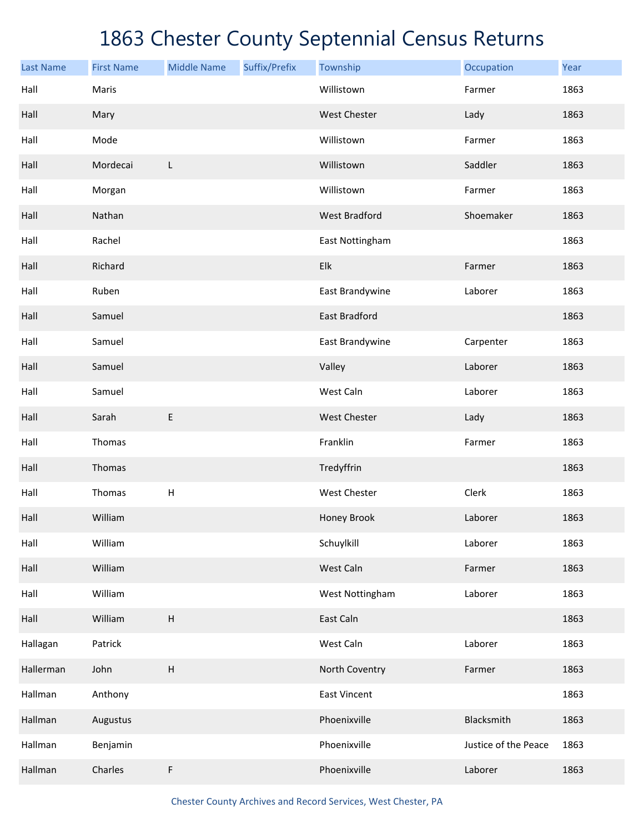| <b>Last Name</b> | <b>First Name</b> | <b>Middle Name</b>        | Suffix/Prefix | Township             | Occupation           | Year |
|------------------|-------------------|---------------------------|---------------|----------------------|----------------------|------|
| Hall             | Maris             |                           |               | Willistown           | Farmer               | 1863 |
| Hall             | Mary              |                           |               | <b>West Chester</b>  | Lady                 | 1863 |
| Hall             | Mode              |                           |               | Willistown           | Farmer               | 1863 |
| Hall             | Mordecai          | L                         |               | Willistown           | Saddler              | 1863 |
| Hall             | Morgan            |                           |               | Willistown           | Farmer               | 1863 |
| Hall             | Nathan            |                           |               | <b>West Bradford</b> | Shoemaker            | 1863 |
| Hall             | Rachel            |                           |               | East Nottingham      |                      | 1863 |
| Hall             | Richard           |                           |               | Elk                  | Farmer               | 1863 |
| Hall             | Ruben             |                           |               | East Brandywine      | Laborer              | 1863 |
| Hall             | Samuel            |                           |               | East Bradford        |                      | 1863 |
| Hall             | Samuel            |                           |               | East Brandywine      | Carpenter            | 1863 |
| Hall             | Samuel            |                           |               | Valley               | Laborer              | 1863 |
| Hall             | Samuel            |                           |               | West Caln            | Laborer              | 1863 |
| Hall             | Sarah             | E                         |               | <b>West Chester</b>  | Lady                 | 1863 |
| Hall             | Thomas            |                           |               | Franklin             | Farmer               | 1863 |
| Hall             | Thomas            |                           |               | Tredyffrin           |                      | 1863 |
| Hall             | Thomas            | $\sf H$                   |               | West Chester         | Clerk                | 1863 |
| Hall             | William           |                           |               | Honey Brook          | Laborer              | 1863 |
| Hall             | William           |                           |               | Schuylkill           | Laborer              | 1863 |
| Hall             | William           |                           |               | West Caln            | Farmer               | 1863 |
| Hall             | William           |                           |               | West Nottingham      | Laborer              | 1863 |
| Hall             | William           | $\boldsymbol{\mathsf{H}}$ |               | East Caln            |                      | 1863 |
| Hallagan         | Patrick           |                           |               | West Caln            | Laborer              | 1863 |
| Hallerman        | John              | $\boldsymbol{\mathsf{H}}$ |               | North Coventry       | Farmer               | 1863 |
| Hallman          | Anthony           |                           |               | <b>East Vincent</b>  |                      | 1863 |
| Hallman          | Augustus          |                           |               | Phoenixville         | Blacksmith           | 1863 |
| Hallman          | Benjamin          |                           |               | Phoenixville         | Justice of the Peace | 1863 |
| Hallman          | Charles           | F                         |               | Phoenixville         | Laborer              | 1863 |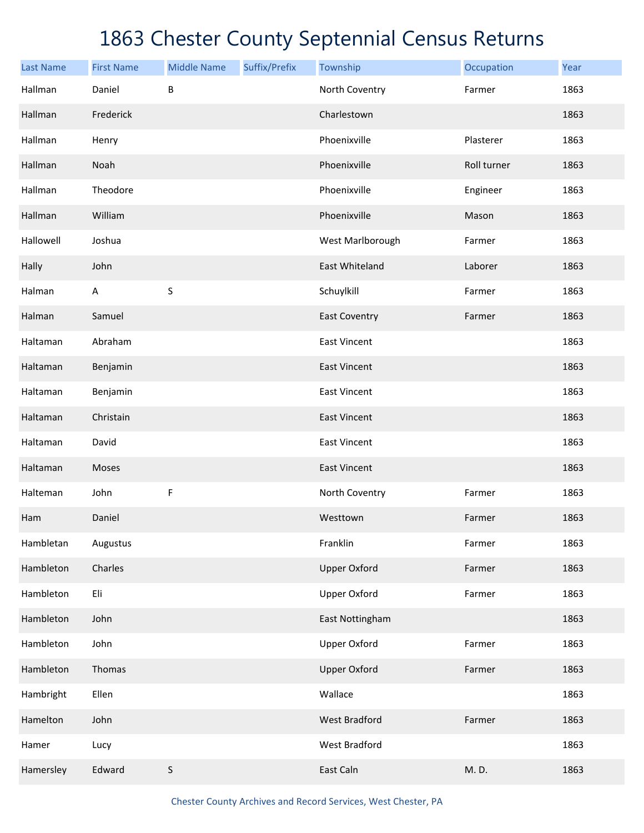| <b>Last Name</b> | <b>First Name</b> | <b>Middle Name</b> | Suffix/Prefix | Township             | Occupation  | Year |
|------------------|-------------------|--------------------|---------------|----------------------|-------------|------|
| Hallman          | Daniel            | B                  |               | North Coventry       | Farmer      | 1863 |
| Hallman          | Frederick         |                    |               | Charlestown          |             | 1863 |
| Hallman          | Henry             |                    |               | Phoenixville         | Plasterer   | 1863 |
| Hallman          | Noah              |                    |               | Phoenixville         | Roll turner | 1863 |
| Hallman          | Theodore          |                    |               | Phoenixville         | Engineer    | 1863 |
| Hallman          | William           |                    |               | Phoenixville         | Mason       | 1863 |
| Hallowell        | Joshua            |                    |               | West Marlborough     | Farmer      | 1863 |
| Hally            | John              |                    |               | East Whiteland       | Laborer     | 1863 |
| Halman           | $\mathsf A$       | $\sf S$            |               | Schuylkill           | Farmer      | 1863 |
| Halman           | Samuel            |                    |               | <b>East Coventry</b> | Farmer      | 1863 |
| Haltaman         | Abraham           |                    |               | <b>East Vincent</b>  |             | 1863 |
| Haltaman         | Benjamin          |                    |               | <b>East Vincent</b>  |             | 1863 |
| Haltaman         | Benjamin          |                    |               | <b>East Vincent</b>  |             | 1863 |
| Haltaman         | Christain         |                    |               | <b>East Vincent</b>  |             | 1863 |
| Haltaman         | David             |                    |               | <b>East Vincent</b>  |             | 1863 |
| Haltaman         | Moses             |                    |               | <b>East Vincent</b>  |             | 1863 |
| Halteman         | John              | F                  |               | North Coventry       | Farmer      | 1863 |
| Ham              | Daniel            |                    |               | Westtown             | Farmer      | 1863 |
| Hambletan        | Augustus          |                    |               | Franklin             | Farmer      | 1863 |
| Hambleton        | Charles           |                    |               | <b>Upper Oxford</b>  | Farmer      | 1863 |
| Hambleton        | Eli               |                    |               | <b>Upper Oxford</b>  | Farmer      | 1863 |
| Hambleton        | John              |                    |               | East Nottingham      |             | 1863 |
| Hambleton        | John              |                    |               | <b>Upper Oxford</b>  | Farmer      | 1863 |
| Hambleton        | Thomas            |                    |               | <b>Upper Oxford</b>  | Farmer      | 1863 |
| Hambright        | Ellen             |                    |               | Wallace              |             | 1863 |
| Hamelton         | John              |                    |               | <b>West Bradford</b> | Farmer      | 1863 |
| Hamer            | Lucy              |                    |               | West Bradford        |             | 1863 |
| Hamersley        | Edward            | S                  |               | East Caln            | M. D.       | 1863 |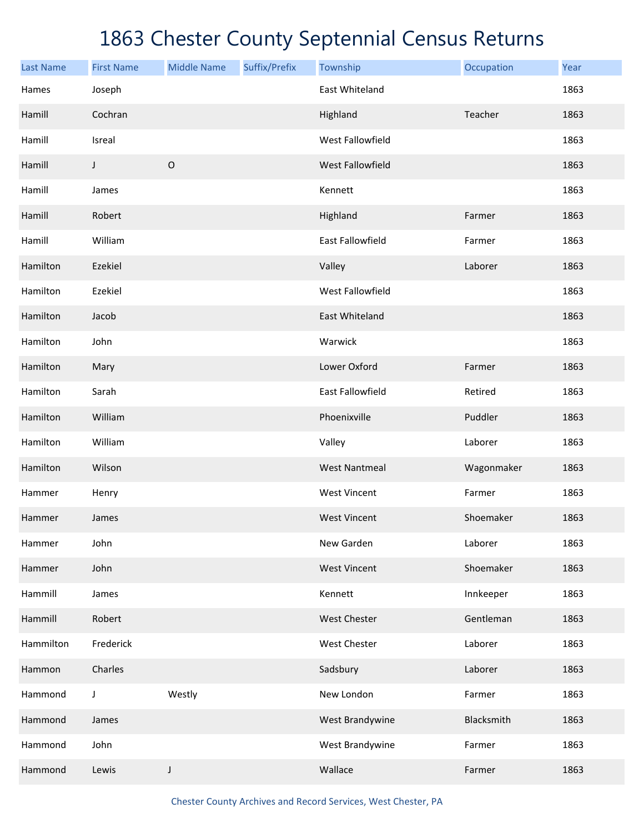| <b>Last Name</b> | <b>First Name</b> | <b>Middle Name</b> | Suffix/Prefix | Township                | Occupation | Year |
|------------------|-------------------|--------------------|---------------|-------------------------|------------|------|
| Hames            | Joseph            |                    |               | East Whiteland          |            | 1863 |
| Hamill           | Cochran           |                    |               | Highland                | Teacher    | 1863 |
| Hamill           | Isreal            |                    |               | West Fallowfield        |            | 1863 |
| Hamill           | J                 | $\mathsf O$        |               | <b>West Fallowfield</b> |            | 1863 |
| Hamill           | James             |                    |               | Kennett                 |            | 1863 |
| Hamill           | Robert            |                    |               | Highland                | Farmer     | 1863 |
| Hamill           | William           |                    |               | <b>East Fallowfield</b> | Farmer     | 1863 |
| Hamilton         | Ezekiel           |                    |               | Valley                  | Laborer    | 1863 |
| Hamilton         | Ezekiel           |                    |               | West Fallowfield        |            | 1863 |
| Hamilton         | Jacob             |                    |               | <b>East Whiteland</b>   |            | 1863 |
| Hamilton         | John              |                    |               | Warwick                 |            | 1863 |
| Hamilton         | Mary              |                    |               | Lower Oxford            | Farmer     | 1863 |
| Hamilton         | Sarah             |                    |               | <b>East Fallowfield</b> | Retired    | 1863 |
| Hamilton         | William           |                    |               | Phoenixville            | Puddler    | 1863 |
| Hamilton         | William           |                    |               | Valley                  | Laborer    | 1863 |
| Hamilton         | Wilson            |                    |               | <b>West Nantmeal</b>    | Wagonmaker | 1863 |
| Hammer           | Henry             |                    |               | <b>West Vincent</b>     | Farmer     | 1863 |
| Hammer           | James             |                    |               | <b>West Vincent</b>     | Shoemaker  | 1863 |
| Hammer           | John              |                    |               | New Garden              | Laborer    | 1863 |
| Hammer           | John              |                    |               | <b>West Vincent</b>     | Shoemaker  | 1863 |
| Hammill          | James             |                    |               | Kennett                 | Innkeeper  | 1863 |
| Hammill          | Robert            |                    |               | <b>West Chester</b>     | Gentleman  | 1863 |
| Hammilton        | Frederick         |                    |               | <b>West Chester</b>     | Laborer    | 1863 |
| Hammon           | Charles           |                    |               | Sadsbury                | Laborer    | 1863 |
| Hammond          | J                 | Westly             |               | New London              | Farmer     | 1863 |
| Hammond          | James             |                    |               | West Brandywine         | Blacksmith | 1863 |
| Hammond          | John              |                    |               | West Brandywine         | Farmer     | 1863 |
| Hammond          | Lewis             | J                  |               | Wallace                 | Farmer     | 1863 |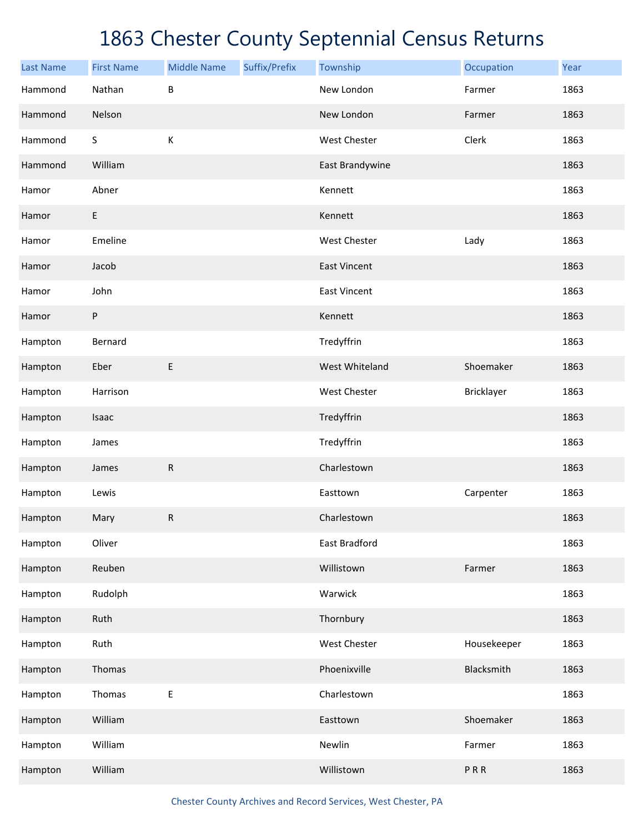| <b>Last Name</b> | <b>First Name</b> | <b>Middle Name</b> | Suffix/Prefix | Township             | Occupation  | Year |
|------------------|-------------------|--------------------|---------------|----------------------|-------------|------|
| Hammond          | Nathan            | $\sf B$            |               | New London           | Farmer      | 1863 |
| Hammond          | Nelson            |                    |               | New London           | Farmer      | 1863 |
| Hammond          | $\mathsf S$       | $\mathsf K$        |               | <b>West Chester</b>  | Clerk       | 1863 |
| Hammond          | William           |                    |               | East Brandywine      |             | 1863 |
| Hamor            | Abner             |                    |               | Kennett              |             | 1863 |
| Hamor            | E                 |                    |               | Kennett              |             | 1863 |
| Hamor            | Emeline           |                    |               | <b>West Chester</b>  | Lady        | 1863 |
| Hamor            | Jacob             |                    |               | <b>East Vincent</b>  |             | 1863 |
| Hamor            | John              |                    |               | <b>East Vincent</b>  |             | 1863 |
| Hamor            | P                 |                    |               | Kennett              |             | 1863 |
| Hampton          | Bernard           |                    |               | Tredyffrin           |             | 1863 |
| Hampton          | Eber              | $\sf E$            |               | West Whiteland       | Shoemaker   | 1863 |
| Hampton          | Harrison          |                    |               | <b>West Chester</b>  | Bricklayer  | 1863 |
| Hampton          | Isaac             |                    |               | Tredyffrin           |             | 1863 |
| Hampton          | James             |                    |               | Tredyffrin           |             | 1863 |
| Hampton          | James             | ${\sf R}$          |               | Charlestown          |             | 1863 |
| Hampton          | Lewis             |                    |               | Easttown             | Carpenter   | 1863 |
| Hampton          | Mary              | ${\sf R}$          |               | Charlestown          |             | 1863 |
| Hampton          | Oliver            |                    |               | <b>East Bradford</b> |             | 1863 |
| Hampton          | Reuben            |                    |               | Willistown           | Farmer      | 1863 |
| Hampton          | Rudolph           |                    |               | Warwick              |             | 1863 |
| Hampton          | Ruth              |                    |               | Thornbury            |             | 1863 |
| Hampton          | Ruth              |                    |               | West Chester         | Housekeeper | 1863 |
| Hampton          | Thomas            |                    |               | Phoenixville         | Blacksmith  | 1863 |
| Hampton          | Thomas            | $\sf E$            |               | Charlestown          |             | 1863 |
| Hampton          | William           |                    |               | Easttown             | Shoemaker   | 1863 |
| Hampton          | William           |                    |               | Newlin               | Farmer      | 1863 |
| Hampton          | William           |                    |               | Willistown           | PRR         | 1863 |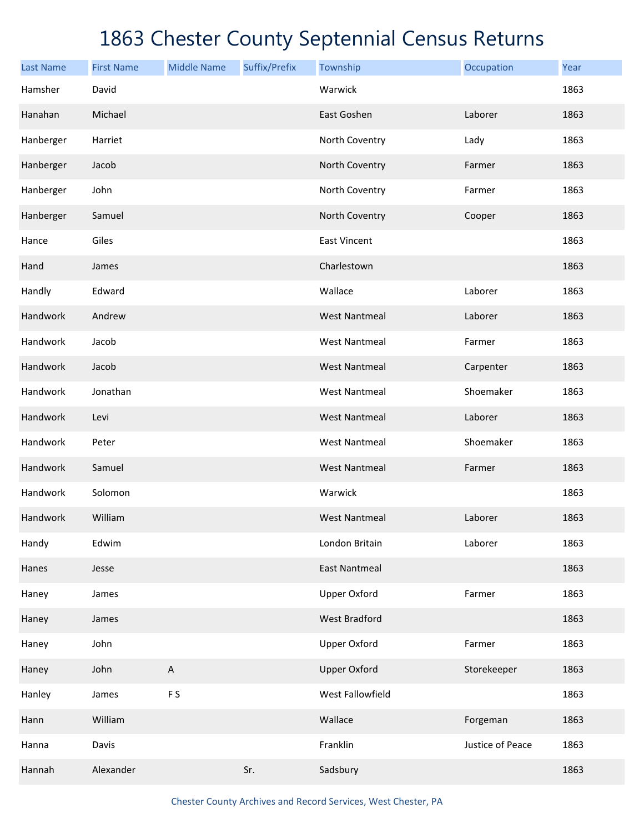| <b>Last Name</b> | <b>First Name</b> | <b>Middle Name</b> | Suffix/Prefix | Township             | Occupation       | Year |
|------------------|-------------------|--------------------|---------------|----------------------|------------------|------|
| Hamsher          | David             |                    |               | Warwick              |                  | 1863 |
| Hanahan          | Michael           |                    |               | East Goshen          | Laborer          | 1863 |
| Hanberger        | Harriet           |                    |               | North Coventry       | Lady             | 1863 |
| Hanberger        | Jacob             |                    |               | North Coventry       | Farmer           | 1863 |
| Hanberger        | John              |                    |               | North Coventry       | Farmer           | 1863 |
| Hanberger        | Samuel            |                    |               | North Coventry       | Cooper           | 1863 |
| Hance            | Giles             |                    |               | <b>East Vincent</b>  |                  | 1863 |
| Hand             | James             |                    |               | Charlestown          |                  | 1863 |
| Handly           | Edward            |                    |               | Wallace              | Laborer          | 1863 |
| Handwork         | Andrew            |                    |               | <b>West Nantmeal</b> | Laborer          | 1863 |
| Handwork         | Jacob             |                    |               | <b>West Nantmeal</b> | Farmer           | 1863 |
| Handwork         | Jacob             |                    |               | <b>West Nantmeal</b> | Carpenter        | 1863 |
| Handwork         | Jonathan          |                    |               | <b>West Nantmeal</b> | Shoemaker        | 1863 |
| Handwork         | Levi              |                    |               | <b>West Nantmeal</b> | Laborer          | 1863 |
| Handwork         | Peter             |                    |               | <b>West Nantmeal</b> | Shoemaker        | 1863 |
| Handwork         | Samuel            |                    |               | <b>West Nantmeal</b> | Farmer           | 1863 |
| Handwork         | Solomon           |                    |               | Warwick              |                  | 1863 |
| Handwork         | William           |                    |               | <b>West Nantmeal</b> | Laborer          | 1863 |
| Handy            | Edwim             |                    |               | London Britain       | Laborer          | 1863 |
| Hanes            | Jesse             |                    |               | <b>East Nantmeal</b> |                  | 1863 |
| Haney            | James             |                    |               | <b>Upper Oxford</b>  | Farmer           | 1863 |
| Haney            | James             |                    |               | <b>West Bradford</b> |                  | 1863 |
| Haney            | John              |                    |               | <b>Upper Oxford</b>  | Farmer           | 1863 |
| Haney            | John              | A                  |               | <b>Upper Oxford</b>  | Storekeeper      | 1863 |
| Hanley           | James             | F <sub>S</sub>     |               | West Fallowfield     |                  | 1863 |
| Hann             | William           |                    |               | Wallace              | Forgeman         | 1863 |
| Hanna            | Davis             |                    |               | Franklin             | Justice of Peace | 1863 |
| Hannah           | Alexander         |                    | Sr.           | Sadsbury             |                  | 1863 |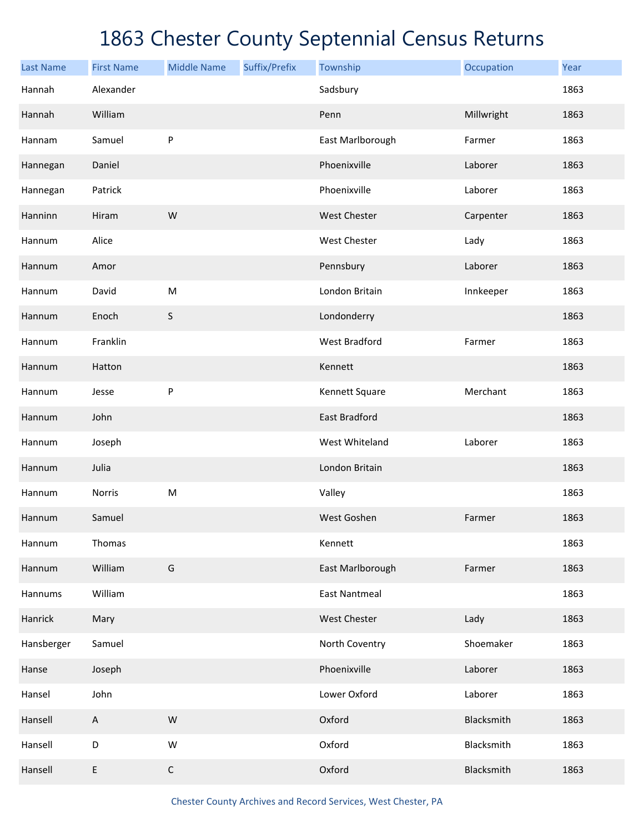| <b>Last Name</b> | <b>First Name</b> | <b>Middle Name</b> | Suffix/Prefix | Township             | Occupation | Year |
|------------------|-------------------|--------------------|---------------|----------------------|------------|------|
| Hannah           | Alexander         |                    |               | Sadsbury             |            | 1863 |
| Hannah           | William           |                    |               | Penn                 | Millwright | 1863 |
| Hannam           | Samuel            | P                  |               | East Marlborough     | Farmer     | 1863 |
| Hannegan         | Daniel            |                    |               | Phoenixville         | Laborer    | 1863 |
| Hannegan         | Patrick           |                    |               | Phoenixville         | Laborer    | 1863 |
| Hanninn          | Hiram             | W                  |               | <b>West Chester</b>  | Carpenter  | 1863 |
| Hannum           | Alice             |                    |               | <b>West Chester</b>  | Lady       | 1863 |
| Hannum           | Amor              |                    |               | Pennsbury            | Laborer    | 1863 |
| Hannum           | David             | M                  |               | London Britain       | Innkeeper  | 1863 |
| Hannum           | Enoch             | $\sf S$            |               | Londonderry          |            | 1863 |
| Hannum           | Franklin          |                    |               | West Bradford        | Farmer     | 1863 |
| Hannum           | Hatton            |                    |               | Kennett              |            | 1863 |
| Hannum           | Jesse             | ${\sf P}$          |               | Kennett Square       | Merchant   | 1863 |
| Hannum           | John              |                    |               | <b>East Bradford</b> |            | 1863 |
| Hannum           | Joseph            |                    |               | West Whiteland       | Laborer    | 1863 |
| Hannum           | Julia             |                    |               | London Britain       |            | 1863 |
| Hannum           | <b>Norris</b>     | ${\sf M}$          |               | Valley               |            | 1863 |
| Hannum           | Samuel            |                    |               | West Goshen          | Farmer     | 1863 |
| Hannum           | Thomas            |                    |               | Kennett              |            | 1863 |
| Hannum           | William           | G                  |               | East Marlborough     | Farmer     | 1863 |
| Hannums          | William           |                    |               | <b>East Nantmeal</b> |            | 1863 |
| Hanrick          | Mary              |                    |               | West Chester         | Lady       | 1863 |
| Hansberger       | Samuel            |                    |               | North Coventry       | Shoemaker  | 1863 |
| Hanse            | Joseph            |                    |               | Phoenixville         | Laborer    | 1863 |
| Hansel           | John              |                    |               | Lower Oxford         | Laborer    | 1863 |
| Hansell          | $\mathsf A$       | ${\sf W}$          |               | Oxford               | Blacksmith | 1863 |
| Hansell          | D                 | ${\sf W}$          |               | Oxford               | Blacksmith | 1863 |
| Hansell          | E                 | $\mathsf C$        |               | Oxford               | Blacksmith | 1863 |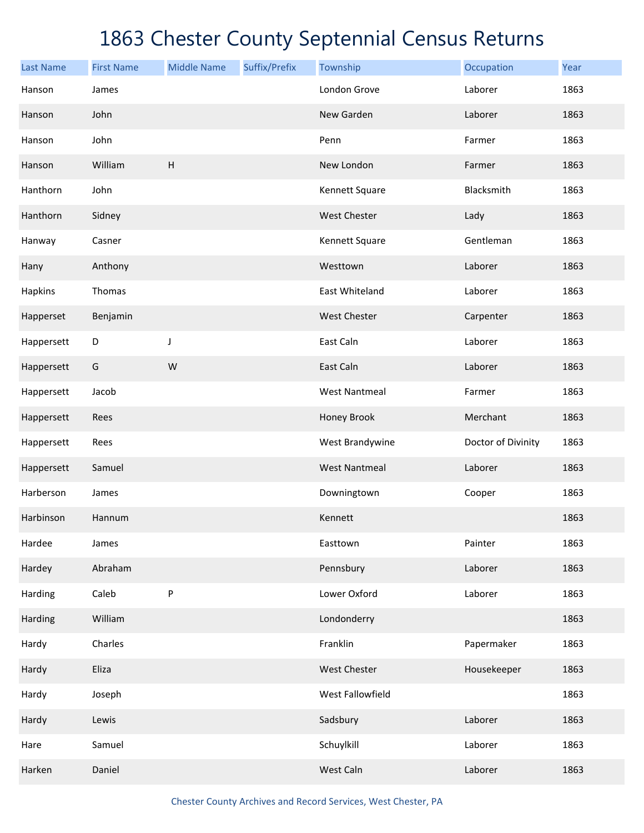| <b>Last Name</b> | <b>First Name</b> | <b>Middle Name</b>        | Suffix/Prefix | Township             | Occupation         | Year |
|------------------|-------------------|---------------------------|---------------|----------------------|--------------------|------|
| Hanson           | James             |                           |               | London Grove         | Laborer            | 1863 |
| Hanson           | John              |                           |               | New Garden           | Laborer            | 1863 |
| Hanson           | John              |                           |               | Penn                 | Farmer             | 1863 |
| Hanson           | William           | $\boldsymbol{\mathsf{H}}$ |               | New London           | Farmer             | 1863 |
| Hanthorn         | John              |                           |               | Kennett Square       | Blacksmith         | 1863 |
| Hanthorn         | Sidney            |                           |               | West Chester         | Lady               | 1863 |
| Hanway           | Casner            |                           |               | Kennett Square       | Gentleman          | 1863 |
| Hany             | Anthony           |                           |               | Westtown             | Laborer            | 1863 |
| Hapkins          | Thomas            |                           |               | East Whiteland       | Laborer            | 1863 |
| Happerset        | Benjamin          |                           |               | West Chester         | Carpenter          | 1863 |
| Happersett       | D                 | J                         |               | East Caln            | Laborer            | 1863 |
| Happersett       | G                 | W                         |               | East Caln            | Laborer            | 1863 |
| Happersett       | Jacob             |                           |               | <b>West Nantmeal</b> | Farmer             | 1863 |
| Happersett       | Rees              |                           |               | Honey Brook          | Merchant           | 1863 |
| Happersett       | Rees              |                           |               | West Brandywine      | Doctor of Divinity | 1863 |
| Happersett       | Samuel            |                           |               | <b>West Nantmeal</b> | Laborer            | 1863 |
| Harberson        | James             |                           |               | Downingtown          | Cooper             | 1863 |
| Harbinson        | Hannum            |                           |               | Kennett              |                    | 1863 |
| Hardee           | James             |                           |               | Easttown             | Painter            | 1863 |
| Hardey           | Abraham           |                           |               | Pennsbury            | Laborer            | 1863 |
| Harding          | Caleb             | P                         |               | Lower Oxford         | Laborer            | 1863 |
| Harding          | William           |                           |               | Londonderry          |                    | 1863 |
| Hardy            | Charles           |                           |               | Franklin             | Papermaker         | 1863 |
| Hardy            | Eliza             |                           |               | West Chester         | Housekeeper        | 1863 |
| Hardy            | Joseph            |                           |               | West Fallowfield     |                    | 1863 |
| Hardy            | Lewis             |                           |               | Sadsbury             | Laborer            | 1863 |
| Hare             | Samuel            |                           |               | Schuylkill           | Laborer            | 1863 |
| Harken           | Daniel            |                           |               | West Caln            | Laborer            | 1863 |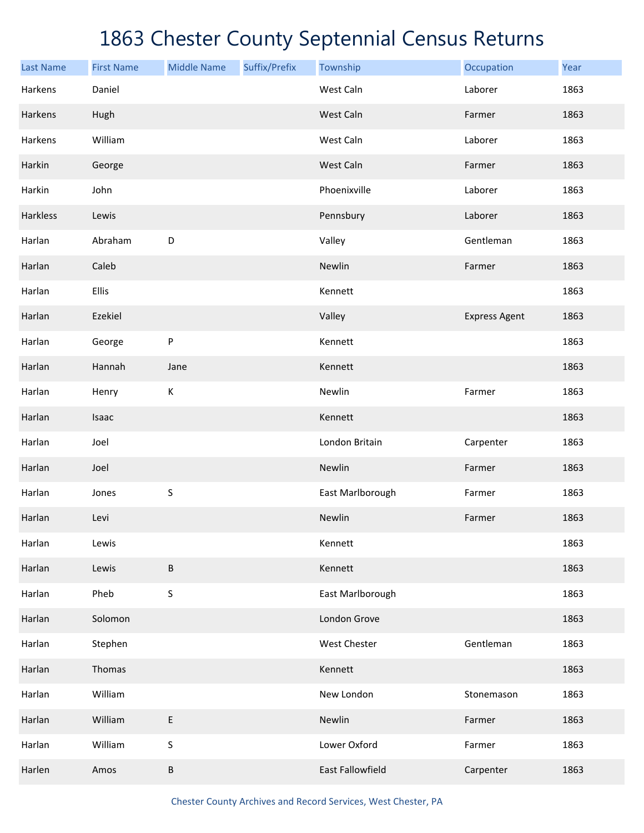| <b>Last Name</b> | <b>First Name</b> | <b>Middle Name</b> | Suffix/Prefix | Township         | Occupation           | Year |
|------------------|-------------------|--------------------|---------------|------------------|----------------------|------|
| Harkens          | Daniel            |                    |               | West Caln        | Laborer              | 1863 |
| Harkens          | Hugh              |                    |               | West Caln        | Farmer               | 1863 |
| Harkens          | William           |                    |               | West Caln        | Laborer              | 1863 |
| Harkin           | George            |                    |               | West Caln        | Farmer               | 1863 |
| Harkin           | John              |                    |               | Phoenixville     | Laborer              | 1863 |
| Harkless         | Lewis             |                    |               | Pennsbury        | Laborer              | 1863 |
| Harlan           | Abraham           | $\mathsf D$        |               | Valley           | Gentleman            | 1863 |
| Harlan           | Caleb             |                    |               | Newlin           | Farmer               | 1863 |
| Harlan           | Ellis             |                    |               | Kennett          |                      | 1863 |
| Harlan           | Ezekiel           |                    |               | Valley           | <b>Express Agent</b> | 1863 |
| Harlan           | George            | P                  |               | Kennett          |                      | 1863 |
| Harlan           | Hannah            | Jane               |               | Kennett          |                      | 1863 |
| Harlan           | Henry             | К                  |               | Newlin           | Farmer               | 1863 |
| Harlan           | Isaac             |                    |               | Kennett          |                      | 1863 |
| Harlan           | Joel              |                    |               | London Britain   | Carpenter            | 1863 |
| Harlan           | Joel              |                    |               | Newlin           | Farmer               | 1863 |
| Harlan           | Jones             | $\sf S$            |               | East Marlborough | Farmer               | 1863 |
| Harlan           | Levi              |                    |               | Newlin           | Farmer               | 1863 |
| Harlan           | Lewis             |                    |               | Kennett          |                      | 1863 |
| Harlan           | Lewis             | $\sf B$            |               | Kennett          |                      | 1863 |
| Harlan           | Pheb              | $\sf S$            |               | East Marlborough |                      | 1863 |
| Harlan           | Solomon           |                    |               | London Grove     |                      | 1863 |
| Harlan           | Stephen           |                    |               | West Chester     | Gentleman            | 1863 |
| Harlan           | Thomas            |                    |               | Kennett          |                      | 1863 |
| Harlan           | William           |                    |               | New London       | Stonemason           | 1863 |
| Harlan           | William           | E                  |               | Newlin           | Farmer               | 1863 |
| Harlan           | William           | S                  |               | Lower Oxford     | Farmer               | 1863 |
| Harlen           | Amos              | $\sf B$            |               | East Fallowfield | Carpenter            | 1863 |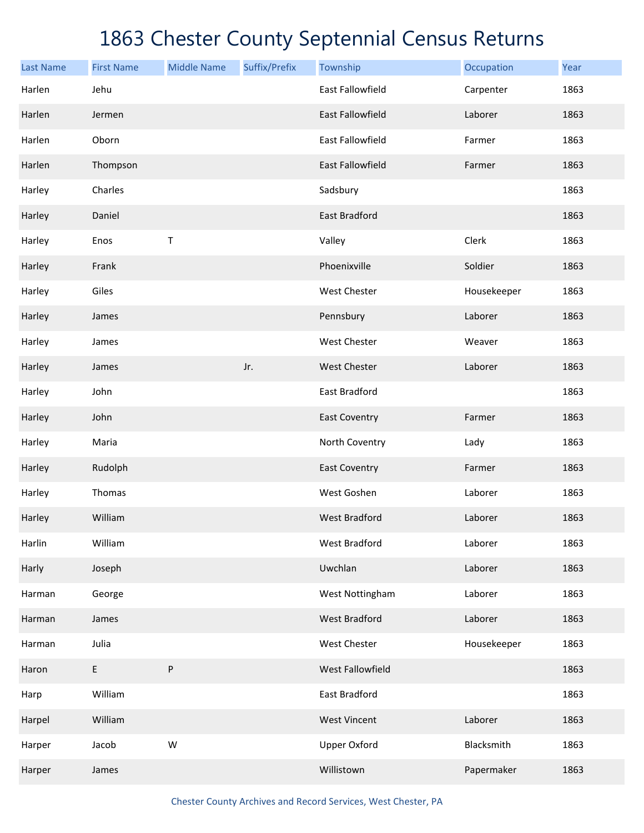| <b>Last Name</b> | <b>First Name</b> | <b>Middle Name</b> | Suffix/Prefix | Township                | Occupation  | Year |
|------------------|-------------------|--------------------|---------------|-------------------------|-------------|------|
| Harlen           | Jehu              |                    |               | <b>East Fallowfield</b> | Carpenter   | 1863 |
| Harlen           | Jermen            |                    |               | <b>East Fallowfield</b> | Laborer     | 1863 |
| Harlen           | Oborn             |                    |               | East Fallowfield        | Farmer      | 1863 |
| Harlen           | Thompson          |                    |               | <b>East Fallowfield</b> | Farmer      | 1863 |
| Harley           | Charles           |                    |               | Sadsbury                |             | 1863 |
| Harley           | Daniel            |                    |               | <b>East Bradford</b>    |             | 1863 |
| Harley           | Enos              | Τ                  |               | Valley                  | Clerk       | 1863 |
| Harley           | Frank             |                    |               | Phoenixville            | Soldier     | 1863 |
| Harley           | Giles             |                    |               | West Chester            | Housekeeper | 1863 |
| Harley           | James             |                    |               | Pennsbury               | Laborer     | 1863 |
| Harley           | James             |                    |               | <b>West Chester</b>     | Weaver      | 1863 |
| Harley           | James             |                    | Jr.           | <b>West Chester</b>     | Laborer     | 1863 |
| Harley           | John              |                    |               | East Bradford           |             | 1863 |
| Harley           | John              |                    |               | <b>East Coventry</b>    | Farmer      | 1863 |
| Harley           | Maria             |                    |               | North Coventry          | Lady        | 1863 |
| Harley           | Rudolph           |                    |               | <b>East Coventry</b>    | Farmer      | 1863 |
| Harley           | Thomas            |                    |               | West Goshen             | Laborer     | 1863 |
| Harley           | William           |                    |               | <b>West Bradford</b>    | Laborer     | 1863 |
| Harlin           | William           |                    |               | West Bradford           | Laborer     | 1863 |
| Harly            | Joseph            |                    |               | Uwchlan                 | Laborer     | 1863 |
| Harman           | George            |                    |               | West Nottingham         | Laborer     | 1863 |
| Harman           | James             |                    |               | West Bradford           | Laborer     | 1863 |
| Harman           | Julia             |                    |               | West Chester            | Housekeeper | 1863 |
| Haron            | E                 | P                  |               | West Fallowfield        |             | 1863 |
| Harp             | William           |                    |               | East Bradford           |             | 1863 |
| Harpel           | William           |                    |               | <b>West Vincent</b>     | Laborer     | 1863 |
| Harper           | Jacob             | ${\sf W}$          |               | <b>Upper Oxford</b>     | Blacksmith  | 1863 |
| Harper           | James             |                    |               | Willistown              | Papermaker  | 1863 |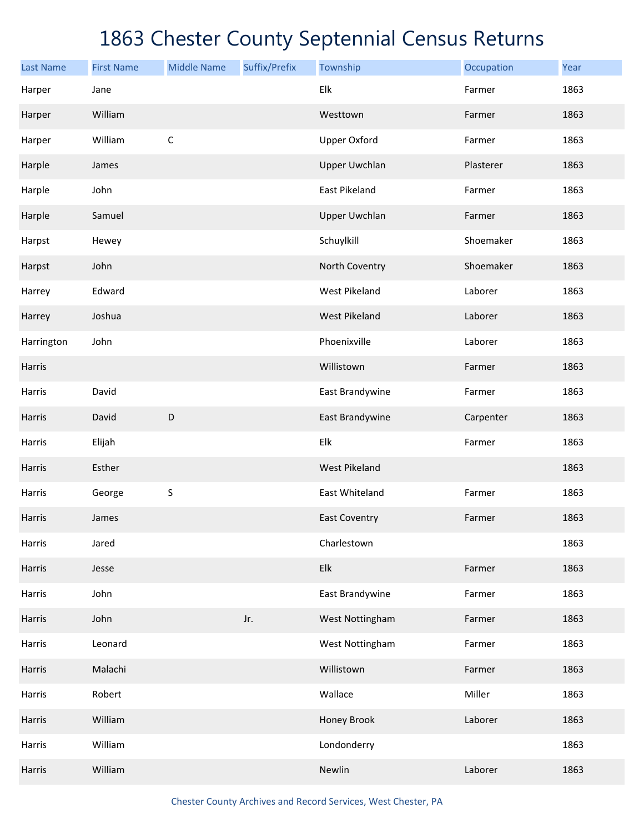| <b>Last Name</b> | <b>First Name</b> | <b>Middle Name</b> | Suffix/Prefix | Township                  | Occupation | Year |
|------------------|-------------------|--------------------|---------------|---------------------------|------------|------|
| Harper           | Jane              |                    |               | Elk                       | Farmer     | 1863 |
| Harper           | William           |                    |               | Westtown                  | Farmer     | 1863 |
| Harper           | William           | $\mathsf C$        |               | <b>Upper Oxford</b>       | Farmer     | 1863 |
| Harple           | James             |                    |               | <b>Upper Uwchlan</b>      | Plasterer  | 1863 |
| Harple           | John              |                    |               | East Pikeland             | Farmer     | 1863 |
| Harple           | Samuel            |                    |               | <b>Upper Uwchlan</b>      | Farmer     | 1863 |
| Harpst           | Hewey             |                    |               | Schuylkill                | Shoemaker  | 1863 |
| Harpst           | John              |                    |               | North Coventry            | Shoemaker  | 1863 |
| Harrey           | Edward            |                    |               | <b>West Pikeland</b>      | Laborer    | 1863 |
| Harrey           | Joshua            |                    |               | <b>West Pikeland</b>      | Laborer    | 1863 |
| Harrington       | John              |                    |               | Phoenixville              | Laborer    | 1863 |
| Harris           |                   |                    |               | Willistown                | Farmer     | 1863 |
| Harris           | David             |                    |               | East Brandywine           | Farmer     | 1863 |
| Harris           | David             | D                  |               | East Brandywine           | Carpenter  | 1863 |
| Harris           | Elijah            |                    |               | Elk                       | Farmer     | 1863 |
| Harris           | Esther            |                    |               | <b>West Pikeland</b>      |            | 1863 |
| Harris           | George            | $\sf S$            |               | East Whiteland            | Farmer     | 1863 |
| Harris           | James             |                    |               | <b>East Coventry</b>      | Farmer     | 1863 |
| Harris           | Jared             |                    |               | Charlestown               |            | 1863 |
| Harris           | Jesse             |                    |               | ${\sf E} {\sf I} {\sf k}$ | Farmer     | 1863 |
| Harris           | John              |                    |               | East Brandywine           | Farmer     | 1863 |
| Harris           | John              |                    | Jr.           | West Nottingham           | Farmer     | 1863 |
| Harris           | Leonard           |                    |               | West Nottingham           | Farmer     | 1863 |
| Harris           | Malachi           |                    |               | Willistown                | Farmer     | 1863 |
| Harris           | Robert            |                    |               | Wallace                   | Miller     | 1863 |
| Harris           | William           |                    |               | Honey Brook               | Laborer    | 1863 |
| Harris           | William           |                    |               | Londonderry               |            | 1863 |
| Harris           | William           |                    |               | Newlin                    | Laborer    | 1863 |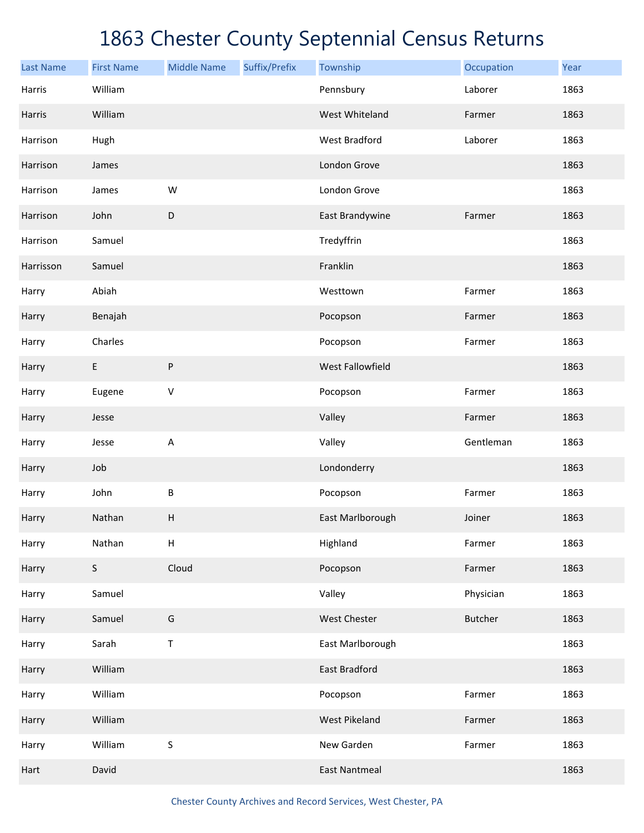| <b>Last Name</b> | <b>First Name</b> | <b>Middle Name</b>        | Suffix/Prefix | Township             | Occupation     | Year |
|------------------|-------------------|---------------------------|---------------|----------------------|----------------|------|
| Harris           | William           |                           |               | Pennsbury            | Laborer        | 1863 |
| Harris           | William           |                           |               | West Whiteland       | Farmer         | 1863 |
| Harrison         | Hugh              |                           |               | <b>West Bradford</b> | Laborer        | 1863 |
| Harrison         | James             |                           |               | London Grove         |                | 1863 |
| Harrison         | James             | W                         |               | London Grove         |                | 1863 |
| Harrison         | John              | $\mathsf D$               |               | East Brandywine      | Farmer         | 1863 |
| Harrison         | Samuel            |                           |               | Tredyffrin           |                | 1863 |
| Harrisson        | Samuel            |                           |               | Franklin             |                | 1863 |
| Harry            | Abiah             |                           |               | Westtown             | Farmer         | 1863 |
| Harry            | Benajah           |                           |               | Pocopson             | Farmer         | 1863 |
| Harry            | Charles           |                           |               | Pocopson             | Farmer         | 1863 |
| Harry            | E                 | ${\sf P}$                 |               | West Fallowfield     |                | 1863 |
| Harry            | Eugene            | $\mathsf V$               |               | Pocopson             | Farmer         | 1863 |
| Harry            | Jesse             |                           |               | Valley               | Farmer         | 1863 |
| Harry            | Jesse             | $\sf A$                   |               | Valley               | Gentleman      | 1863 |
| Harry            | Job               |                           |               | Londonderry          |                | 1863 |
| Harry            | John              | B                         |               | Pocopson             | Farmer         | 1863 |
| Harry            | Nathan            | $\boldsymbol{\mathsf{H}}$ |               | East Marlborough     | Joiner         | 1863 |
| Harry            | Nathan            | Н                         |               | Highland             | Farmer         | 1863 |
| Harry            | $\mathsf S$       | Cloud                     |               | Pocopson             | Farmer         | 1863 |
| Harry            | Samuel            |                           |               | Valley               | Physician      | 1863 |
| Harry            | Samuel            | G                         |               | West Chester         | <b>Butcher</b> | 1863 |
| Harry            | Sarah             | $\mathsf T$               |               | East Marlborough     |                | 1863 |
| Harry            | William           |                           |               | East Bradford        |                | 1863 |
| Harry            | William           |                           |               | Pocopson             | Farmer         | 1863 |
| Harry            | William           |                           |               | West Pikeland        | Farmer         | 1863 |
| Harry            | William           | $\sf S$                   |               | New Garden           | Farmer         | 1863 |
| Hart             | David             |                           |               | <b>East Nantmeal</b> |                | 1863 |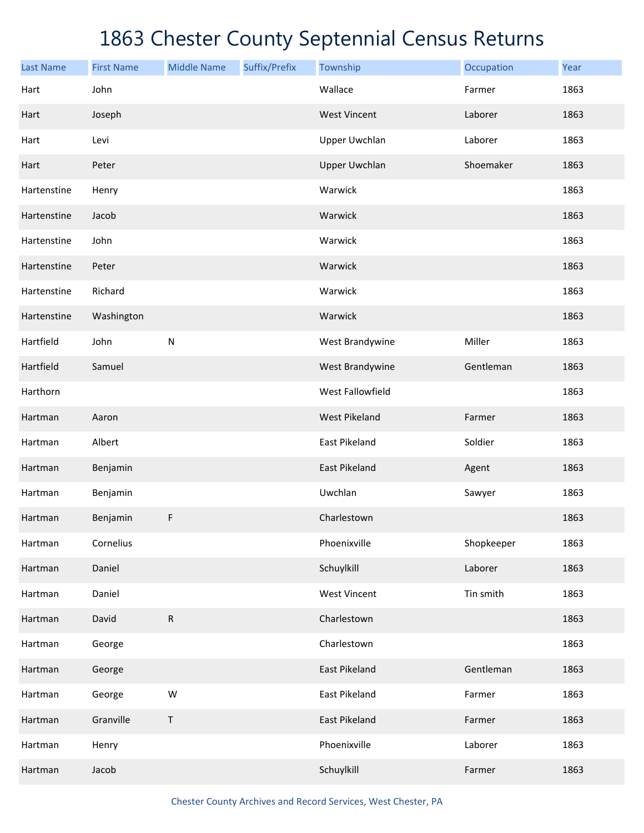| <b>Last Name</b> | <b>First Name</b> | <b>Middle Name</b> | Suffix/Prefix | Township             | Occupation | Year |
|------------------|-------------------|--------------------|---------------|----------------------|------------|------|
| Hart             | John              |                    |               | Wallace              | Farmer     | 1863 |
| Hart             | Joseph            |                    |               | <b>West Vincent</b>  | Laborer    | 1863 |
| Hart             | Levi              |                    |               | <b>Upper Uwchlan</b> | Laborer    | 1863 |
| Hart             | Peter             |                    |               | <b>Upper Uwchlan</b> | Shoemaker  | 1863 |
| Hartenstine      | Henry             |                    |               | Warwick              |            | 1863 |
| Hartenstine      | Jacob             |                    |               | Warwick              |            | 1863 |
| Hartenstine      | John              |                    |               | Warwick              |            | 1863 |
| Hartenstine      | Peter             |                    |               | Warwick              |            | 1863 |
| Hartenstine      | Richard           |                    |               | Warwick              |            | 1863 |
| Hartenstine      | Washington        |                    |               | Warwick              |            | 1863 |
| Hartfield        | John              | ${\sf N}$          |               | West Brandywine      | Miller     | 1863 |
| Hartfield        | Samuel            |                    |               | West Brandywine      | Gentleman  | 1863 |
| Harthorn         |                   |                    |               | West Fallowfield     |            | 1863 |
| Hartman          | Aaron             |                    |               | <b>West Pikeland</b> | Farmer     | 1863 |
| Hartman          | Albert            |                    |               | East Pikeland        | Soldier    | 1863 |
| Hartman          | Benjamin          |                    |               | East Pikeland        | Agent      | 1863 |
| Hartman          | Benjamin          |                    |               | Uwchlan              | Sawyer     | 1863 |
| Hartman          | Benjamin          | F                  |               | Charlestown          |            | 1863 |
| Hartman          | Cornelius         |                    |               | Phoenixville         | Shopkeeper | 1863 |
| Hartman          | Daniel            |                    |               | Schuylkill           | Laborer    | 1863 |
| Hartman          | Daniel            |                    |               | <b>West Vincent</b>  | Tin smith  | 1863 |
| Hartman          | David             | ${\sf R}$          |               | Charlestown          |            | 1863 |
| Hartman          | George            |                    |               | Charlestown          |            | 1863 |
| Hartman          | George            |                    |               | East Pikeland        | Gentleman  | 1863 |
| Hartman          | George            | ${\sf W}$          |               | East Pikeland        | Farmer     | 1863 |
| Hartman          | Granville         | $\mathsf T$        |               | East Pikeland        | Farmer     | 1863 |
| Hartman          | Henry             |                    |               | Phoenixville         | Laborer    | 1863 |
| Hartman          | Jacob             |                    |               | Schuylkill           | Farmer     | 1863 |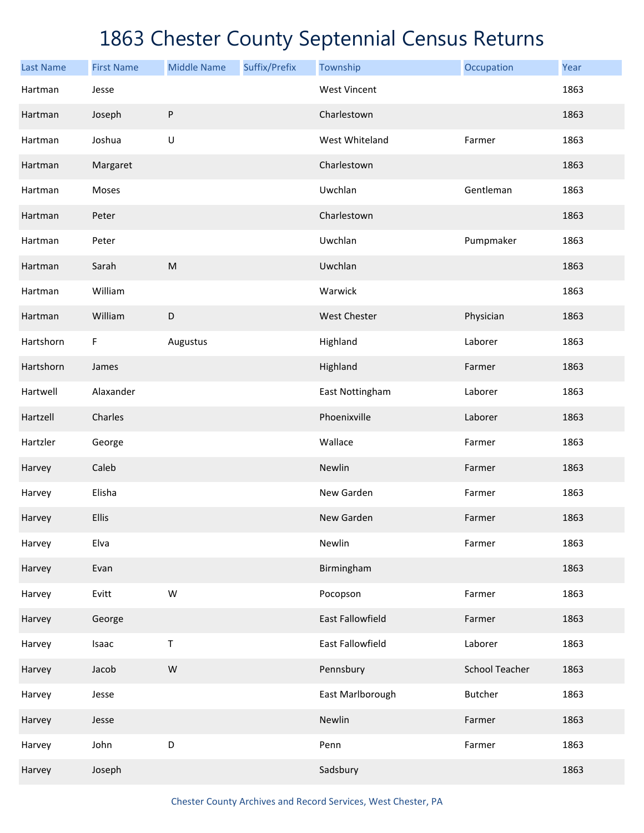| <b>Last Name</b> | <b>First Name</b> | <b>Middle Name</b> | Suffix/Prefix | Township            | Occupation            | Year |
|------------------|-------------------|--------------------|---------------|---------------------|-----------------------|------|
| Hartman          | Jesse             |                    |               | <b>West Vincent</b> |                       | 1863 |
| Hartman          | Joseph            | $\sf P$            |               | Charlestown         |                       | 1863 |
| Hartman          | Joshua            | $\sf U$            |               | West Whiteland      | Farmer                | 1863 |
| Hartman          | Margaret          |                    |               | Charlestown         |                       | 1863 |
| Hartman          | Moses             |                    |               | Uwchlan             | Gentleman             | 1863 |
| Hartman          | Peter             |                    |               | Charlestown         |                       | 1863 |
| Hartman          | Peter             |                    |               | Uwchlan             | Pumpmaker             | 1863 |
| Hartman          | Sarah             | ${\sf M}$          |               | Uwchlan             |                       | 1863 |
| Hartman          | William           |                    |               | Warwick             |                       | 1863 |
| Hartman          | William           | $\mathsf D$        |               | <b>West Chester</b> | Physician             | 1863 |
| Hartshorn        | F                 | Augustus           |               | Highland            | Laborer               | 1863 |
| Hartshorn        | James             |                    |               | Highland            | Farmer                | 1863 |
| Hartwell         | Alaxander         |                    |               | East Nottingham     | Laborer               | 1863 |
| Hartzell         | Charles           |                    |               | Phoenixville        | Laborer               | 1863 |
| Hartzler         | George            |                    |               | Wallace             | Farmer                | 1863 |
| Harvey           | Caleb             |                    |               | Newlin              | Farmer                | 1863 |
| Harvey           | Elisha            |                    |               | New Garden          | Farmer                | 1863 |
| Harvey           | Ellis             |                    |               | New Garden          | Farmer                | 1863 |
| Harvey           | Elva              |                    |               | Newlin              | Farmer                | 1863 |
| Harvey           | Evan              |                    |               | Birmingham          |                       | 1863 |
| Harvey           | Evitt             | ${\sf W}$          |               | Pocopson            | Farmer                | 1863 |
| Harvey           | George            |                    |               | East Fallowfield    | Farmer                | 1863 |
| Harvey           | Isaac             | $\sf T$            |               | East Fallowfield    | Laborer               | 1863 |
| Harvey           | Jacob             | ${\sf W}$          |               | Pennsbury           | <b>School Teacher</b> | 1863 |
| Harvey           | Jesse             |                    |               | East Marlborough    | Butcher               | 1863 |
| Harvey           | Jesse             |                    |               | Newlin              | Farmer                | 1863 |
| Harvey           | John              | $\mathsf D$        |               | Penn                | Farmer                | 1863 |
| Harvey           | Joseph            |                    |               | Sadsbury            |                       | 1863 |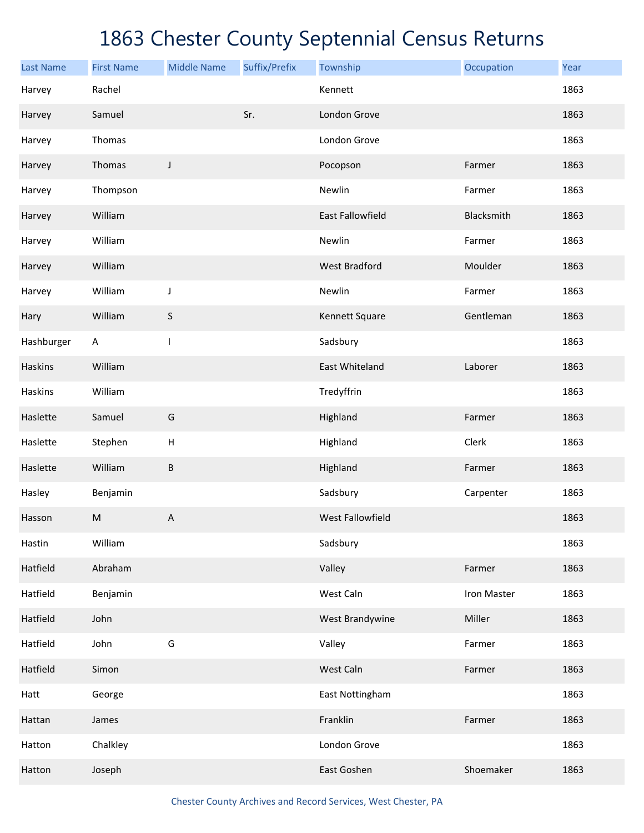| <b>Last Name</b> | <b>First Name</b> | <b>Middle Name</b>        | Suffix/Prefix | Township                | Occupation  | Year |
|------------------|-------------------|---------------------------|---------------|-------------------------|-------------|------|
| Harvey           | Rachel            |                           |               | Kennett                 |             | 1863 |
| Harvey           | Samuel            |                           | Sr.           | London Grove            |             | 1863 |
| Harvey           | Thomas            |                           |               | London Grove            |             | 1863 |
| Harvey           | Thomas            | J                         |               | Pocopson                | Farmer      | 1863 |
| Harvey           | Thompson          |                           |               | Newlin                  | Farmer      | 1863 |
| Harvey           | William           |                           |               | East Fallowfield        | Blacksmith  | 1863 |
| Harvey           | William           |                           |               | Newlin                  | Farmer      | 1863 |
| Harvey           | William           |                           |               | <b>West Bradford</b>    | Moulder     | 1863 |
| Harvey           | William           | J                         |               | Newlin                  | Farmer      | 1863 |
| Hary             | William           | S                         |               | Kennett Square          | Gentleman   | 1863 |
| Hashburger       | Α                 | $\mathbf{I}$              |               | Sadsbury                |             | 1863 |
| Haskins          | William           |                           |               | East Whiteland          | Laborer     | 1863 |
| <b>Haskins</b>   | William           |                           |               | Tredyffrin              |             | 1863 |
| Haslette         | Samuel            | G                         |               | Highland                | Farmer      | 1863 |
| Haslette         | Stephen           | $\boldsymbol{\mathsf{H}}$ |               | Highland                | Clerk       | 1863 |
| Haslette         | William           | $\sf B$                   |               | Highland                | Farmer      | 1863 |
| Hasley           | Benjamin          |                           |               | Sadsbury                | Carpenter   | 1863 |
| Hasson           | M                 | A                         |               | <b>West Fallowfield</b> |             | 1863 |
| Hastin           | William           |                           |               | Sadsbury                |             | 1863 |
| Hatfield         | Abraham           |                           |               | Valley                  | Farmer      | 1863 |
| Hatfield         | Benjamin          |                           |               | West Caln               | Iron Master | 1863 |
| Hatfield         | John              |                           |               | West Brandywine         | Miller      | 1863 |
| Hatfield         | John              | G                         |               | Valley                  | Farmer      | 1863 |
| Hatfield         | Simon             |                           |               | West Caln               | Farmer      | 1863 |
| Hatt             | George            |                           |               | East Nottingham         |             | 1863 |
| Hattan           | James             |                           |               | Franklin                | Farmer      | 1863 |
| Hatton           | Chalkley          |                           |               | London Grove            |             | 1863 |
| Hatton           | Joseph            |                           |               | East Goshen             | Shoemaker   | 1863 |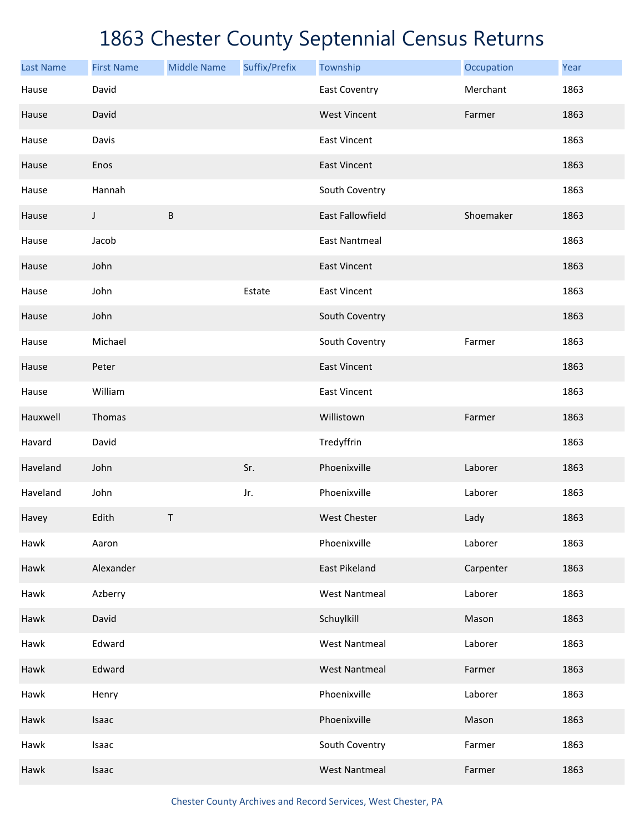| <b>Last Name</b> | <b>First Name</b> | <b>Middle Name</b> | Suffix/Prefix | Township             | Occupation | Year |
|------------------|-------------------|--------------------|---------------|----------------------|------------|------|
| Hause            | David             |                    |               | <b>East Coventry</b> | Merchant   | 1863 |
| Hause            | David             |                    |               | <b>West Vincent</b>  | Farmer     | 1863 |
| Hause            | Davis             |                    |               | <b>East Vincent</b>  |            | 1863 |
| Hause            | Enos              |                    |               | <b>East Vincent</b>  |            | 1863 |
| Hause            | Hannah            |                    |               | South Coventry       |            | 1863 |
| Hause            | J                 | B                  |               | East Fallowfield     | Shoemaker  | 1863 |
| Hause            | Jacob             |                    |               | <b>East Nantmeal</b> |            | 1863 |
| Hause            | John              |                    |               | <b>East Vincent</b>  |            | 1863 |
| Hause            | John              |                    | Estate        | <b>East Vincent</b>  |            | 1863 |
| Hause            | John              |                    |               | South Coventry       |            | 1863 |
| Hause            | Michael           |                    |               | South Coventry       | Farmer     | 1863 |
| Hause            | Peter             |                    |               | <b>East Vincent</b>  |            | 1863 |
| Hause            | William           |                    |               | <b>East Vincent</b>  |            | 1863 |
| Hauxwell         | Thomas            |                    |               | Willistown           | Farmer     | 1863 |
| Havard           | David             |                    |               | Tredyffrin           |            | 1863 |
| Haveland         | John              |                    | Sr.           | Phoenixville         | Laborer    | 1863 |
| Haveland         | John              |                    | Jr.           | Phoenixville         | Laborer    | 1863 |
| Havey            | Edith             | Τ                  |               | <b>West Chester</b>  | Lady       | 1863 |
| Hawk             | Aaron             |                    |               | Phoenixville         | Laborer    | 1863 |
| Hawk             | Alexander         |                    |               | East Pikeland        | Carpenter  | 1863 |
| Hawk             | Azberry           |                    |               | <b>West Nantmeal</b> | Laborer    | 1863 |
| Hawk             | David             |                    |               | Schuylkill           | Mason      | 1863 |
| Hawk             | Edward            |                    |               | <b>West Nantmeal</b> | Laborer    | 1863 |
| Hawk             | Edward            |                    |               | <b>West Nantmeal</b> | Farmer     | 1863 |
| Hawk             | Henry             |                    |               | Phoenixville         | Laborer    | 1863 |
| Hawk             | Isaac             |                    |               | Phoenixville         | Mason      | 1863 |
| Hawk             | Isaac             |                    |               | South Coventry       | Farmer     | 1863 |
| Hawk             | Isaac             |                    |               | <b>West Nantmeal</b> | Farmer     | 1863 |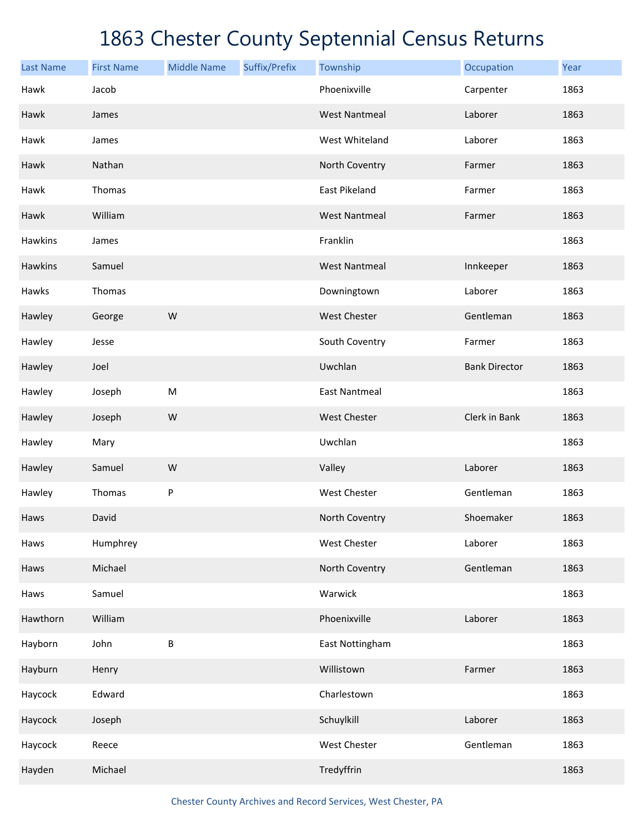| <b>Last Name</b> | <b>First Name</b> | <b>Middle Name</b> | Suffix/Prefix | Township             | Occupation           | Year |
|------------------|-------------------|--------------------|---------------|----------------------|----------------------|------|
| Hawk             | Jacob             |                    |               | Phoenixville         | Carpenter            | 1863 |
| Hawk             | James             |                    |               | <b>West Nantmeal</b> | Laborer              | 1863 |
| Hawk             | James             |                    |               | West Whiteland       | Laborer              | 1863 |
| Hawk             | Nathan            |                    |               | North Coventry       | Farmer               | 1863 |
| Hawk             | Thomas            |                    |               | East Pikeland        | Farmer               | 1863 |
| Hawk             | William           |                    |               | <b>West Nantmeal</b> | Farmer               | 1863 |
| Hawkins          | James             |                    |               | Franklin             |                      | 1863 |
| Hawkins          | Samuel            |                    |               | <b>West Nantmeal</b> | Innkeeper            | 1863 |
| Hawks            | Thomas            |                    |               | Downingtown          | Laborer              | 1863 |
| Hawley           | George            | ${\sf W}$          |               | West Chester         | Gentleman            | 1863 |
| Hawley           | Jesse             |                    |               | South Coventry       | Farmer               | 1863 |
| Hawley           | Joel              |                    |               | Uwchlan              | <b>Bank Director</b> | 1863 |
| Hawley           | Joseph            | ${\sf M}$          |               | <b>East Nantmeal</b> |                      | 1863 |
| Hawley           | Joseph            | W                  |               | West Chester         | Clerk in Bank        | 1863 |
| Hawley           | Mary              |                    |               | Uwchlan              |                      | 1863 |
| Hawley           | Samuel            | W                  |               | Valley               | Laborer              | 1863 |
| Hawley           | Thomas            | ${\sf P}$          |               | West Chester         | Gentleman            | 1863 |
| Haws             | David             |                    |               | North Coventry       | Shoemaker            | 1863 |
| Haws             | Humphrey          |                    |               | West Chester         | Laborer              | 1863 |
| Haws             | Michael           |                    |               | North Coventry       | Gentleman            | 1863 |
| Haws             | Samuel            |                    |               | Warwick              |                      | 1863 |
| Hawthorn         | William           |                    |               | Phoenixville         | Laborer              | 1863 |
| Hayborn          | John              | B                  |               | East Nottingham      |                      | 1863 |
| Hayburn          | Henry             |                    |               | Willistown           | Farmer               | 1863 |
| Haycock          | Edward            |                    |               | Charlestown          |                      | 1863 |
| Haycock          | Joseph            |                    |               | Schuylkill           | Laborer              | 1863 |
| Haycock          | Reece             |                    |               | West Chester         | Gentleman            | 1863 |
| Hayden           | Michael           |                    |               | Tredyffrin           |                      | 1863 |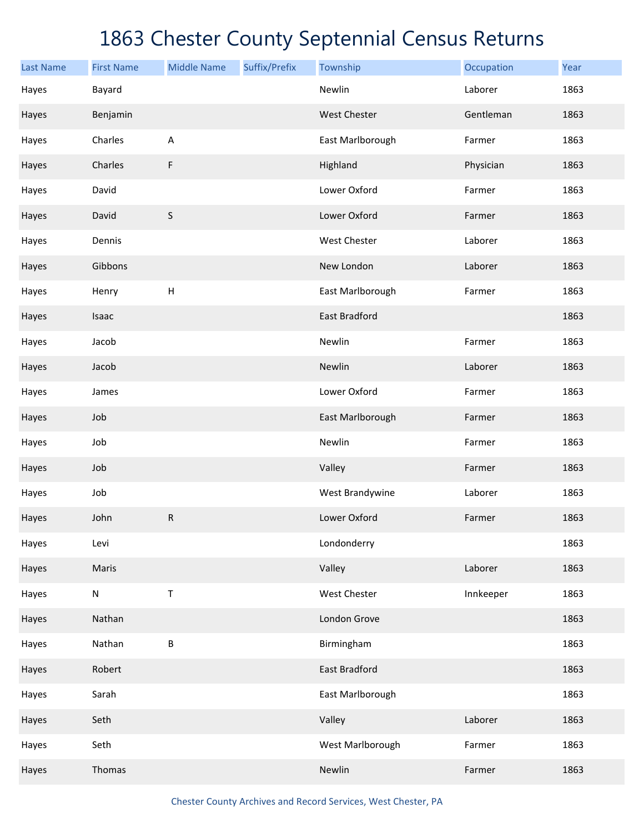| <b>Last Name</b> | <b>First Name</b> | <b>Middle Name</b> | Suffix/Prefix | Township         | Occupation | Year |
|------------------|-------------------|--------------------|---------------|------------------|------------|------|
| Hayes            | Bayard            |                    |               | Newlin           | Laborer    | 1863 |
| Hayes            | Benjamin          |                    |               | West Chester     | Gentleman  | 1863 |
| Hayes            | Charles           | A                  |               | East Marlborough | Farmer     | 1863 |
| Hayes            | Charles           | F                  |               | Highland         | Physician  | 1863 |
| Hayes            | David             |                    |               | Lower Oxford     | Farmer     | 1863 |
| Hayes            | David             | $\sf S$            |               | Lower Oxford     | Farmer     | 1863 |
| Hayes            | Dennis            |                    |               | West Chester     | Laborer    | 1863 |
| Hayes            | Gibbons           |                    |               | New London       | Laborer    | 1863 |
| Hayes            | Henry             | Н                  |               | East Marlborough | Farmer     | 1863 |
| Hayes            | Isaac             |                    |               | East Bradford    |            | 1863 |
| Hayes            | Jacob             |                    |               | Newlin           | Farmer     | 1863 |
| Hayes            | Jacob             |                    |               | Newlin           | Laborer    | 1863 |
| Hayes            | James             |                    |               | Lower Oxford     | Farmer     | 1863 |
| Hayes            | Job               |                    |               | East Marlborough | Farmer     | 1863 |
| Hayes            | Job               |                    |               | Newlin           | Farmer     | 1863 |
| Hayes            | Job               |                    |               | Valley           | Farmer     | 1863 |
| Hayes            | Job               |                    |               | West Brandywine  | Laborer    | 1863 |
| Hayes            | John              | R                  |               | Lower Oxford     | Farmer     | 1863 |
| Hayes            | Levi              |                    |               | Londonderry      |            | 1863 |
| Hayes            | Maris             |                    |               | Valley           | Laborer    | 1863 |
| Hayes            | ${\sf N}$         | Τ                  |               | West Chester     | Innkeeper  | 1863 |
| Hayes            | Nathan            |                    |               | London Grove     |            | 1863 |
| Hayes            | Nathan            | B                  |               | Birmingham       |            | 1863 |
| Hayes            | Robert            |                    |               | East Bradford    |            | 1863 |
| Hayes            | Sarah             |                    |               | East Marlborough |            | 1863 |
| Hayes            | Seth              |                    |               | Valley           | Laborer    | 1863 |
| Hayes            | Seth              |                    |               | West Marlborough | Farmer     | 1863 |
| Hayes            | Thomas            |                    |               | Newlin           | Farmer     | 1863 |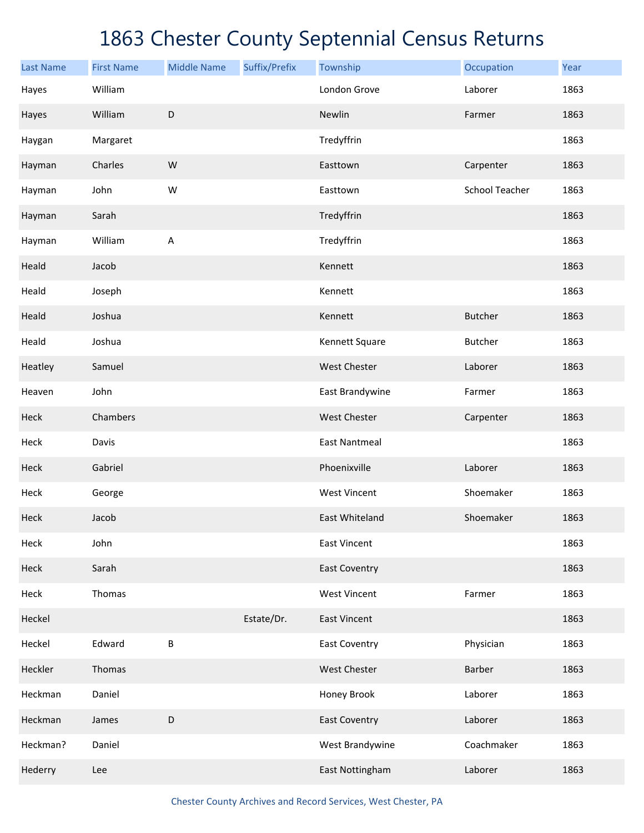| <b>Last Name</b> | <b>First Name</b> | <b>Middle Name</b> | Suffix/Prefix | Township             | Occupation            | Year |
|------------------|-------------------|--------------------|---------------|----------------------|-----------------------|------|
| Hayes            | William           |                    |               | London Grove         | Laborer               | 1863 |
| Hayes            | William           | $\mathsf D$        |               | Newlin               | Farmer                | 1863 |
| Haygan           | Margaret          |                    |               | Tredyffrin           |                       | 1863 |
| Hayman           | Charles           | ${\sf W}$          |               | Easttown             | Carpenter             | 1863 |
| Hayman           | John              | W                  |               | Easttown             | <b>School Teacher</b> | 1863 |
| Hayman           | Sarah             |                    |               | Tredyffrin           |                       | 1863 |
| Hayman           | William           | A                  |               | Tredyffrin           |                       | 1863 |
| Heald            | Jacob             |                    |               | Kennett              |                       | 1863 |
| Heald            | Joseph            |                    |               | Kennett              |                       | 1863 |
| Heald            | Joshua            |                    |               | Kennett              | <b>Butcher</b>        | 1863 |
| Heald            | Joshua            |                    |               | Kennett Square       | <b>Butcher</b>        | 1863 |
| Heatley          | Samuel            |                    |               | West Chester         | Laborer               | 1863 |
| Heaven           | John              |                    |               | East Brandywine      | Farmer                | 1863 |
| Heck             | Chambers          |                    |               | <b>West Chester</b>  | Carpenter             | 1863 |
| Heck             | Davis             |                    |               | <b>East Nantmeal</b> |                       | 1863 |
| Heck             | Gabriel           |                    |               | Phoenixville         | Laborer               | 1863 |
| Heck             | George            |                    |               | <b>West Vincent</b>  | Shoemaker             | 1863 |
| Heck             | Jacob             |                    |               | East Whiteland       | Shoemaker             | 1863 |
| Heck             | John              |                    |               | <b>East Vincent</b>  |                       | 1863 |
| Heck             | Sarah             |                    |               | <b>East Coventry</b> |                       | 1863 |
| Heck             | Thomas            |                    |               | <b>West Vincent</b>  | Farmer                | 1863 |
| Heckel           |                   |                    | Estate/Dr.    | <b>East Vincent</b>  |                       | 1863 |
| Heckel           | Edward            | $\sf B$            |               | <b>East Coventry</b> | Physician             | 1863 |
| Heckler          | Thomas            |                    |               | West Chester         | Barber                | 1863 |
| Heckman          | Daniel            |                    |               | Honey Brook          | Laborer               | 1863 |
| Heckman          | James             | $\mathsf D$        |               | <b>East Coventry</b> | Laborer               | 1863 |
| Heckman?         | Daniel            |                    |               | West Brandywine      | Coachmaker            | 1863 |
| Hederry          | Lee               |                    |               | East Nottingham      | Laborer               | 1863 |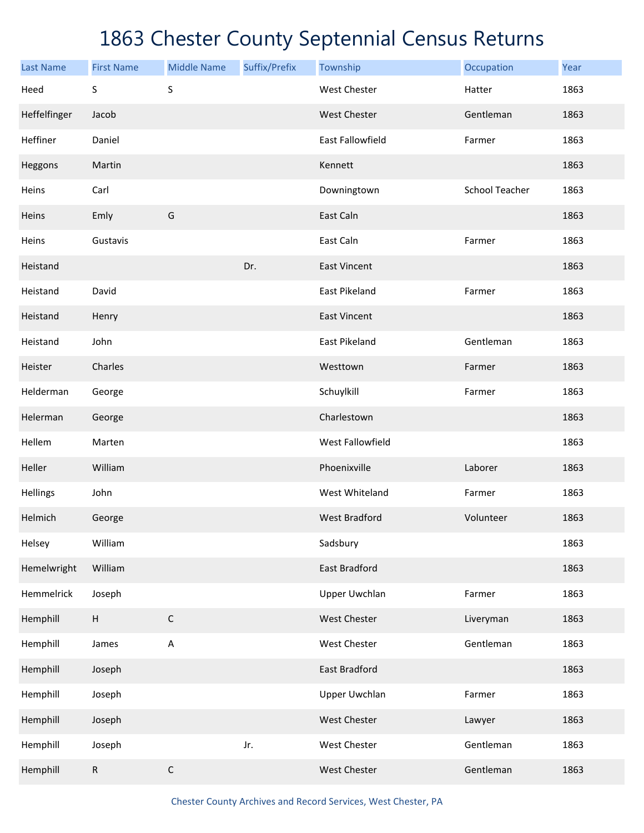| <b>Last Name</b> | <b>First Name</b>                                   | <b>Middle Name</b> | Suffix/Prefix | Township                | Occupation            | Year |
|------------------|-----------------------------------------------------|--------------------|---------------|-------------------------|-----------------------|------|
| Heed             | S                                                   | S                  |               | <b>West Chester</b>     | Hatter                | 1863 |
| Heffelfinger     | Jacob                                               |                    |               | West Chester            | Gentleman             | 1863 |
| Heffiner         | Daniel                                              |                    |               | <b>East Fallowfield</b> | Farmer                | 1863 |
| Heggons          | Martin                                              |                    |               | Kennett                 |                       | 1863 |
| Heins            | Carl                                                |                    |               | Downingtown             | <b>School Teacher</b> | 1863 |
| Heins            | Emly                                                | G                  |               | East Caln               |                       | 1863 |
| Heins            | Gustavis                                            |                    |               | East Caln               | Farmer                | 1863 |
| Heistand         |                                                     |                    | Dr.           | <b>East Vincent</b>     |                       | 1863 |
| Heistand         | David                                               |                    |               | <b>East Pikeland</b>    | Farmer                | 1863 |
| Heistand         | Henry                                               |                    |               | <b>East Vincent</b>     |                       | 1863 |
| Heistand         | John                                                |                    |               | <b>East Pikeland</b>    | Gentleman             | 1863 |
| Heister          | Charles                                             |                    |               | Westtown                | Farmer                | 1863 |
| Helderman        | George                                              |                    |               | Schuylkill              | Farmer                | 1863 |
| Helerman         | George                                              |                    |               | Charlestown             |                       | 1863 |
| Hellem           | Marten                                              |                    |               | West Fallowfield        |                       | 1863 |
| Heller           | William                                             |                    |               | Phoenixville            | Laborer               | 1863 |
| Hellings         | John                                                |                    |               | West Whiteland          | Farmer                | 1863 |
| Helmich          | George                                              |                    |               | <b>West Bradford</b>    | Volunteer             | 1863 |
| Helsey           | William                                             |                    |               | Sadsbury                |                       | 1863 |
| Hemelwright      | William                                             |                    |               | East Bradford           |                       | 1863 |
| Hemmelrick       | Joseph                                              |                    |               | <b>Upper Uwchlan</b>    | Farmer                | 1863 |
| Hemphill         | $\mathsf{H}% _{\mathsf{H}}^{\ast}(\mathcal{M}_{0})$ | $\mathsf C$        |               | West Chester            | Liveryman             | 1863 |
| Hemphill         | James                                               | A                  |               | West Chester            | Gentleman             | 1863 |
| Hemphill         | Joseph                                              |                    |               | East Bradford           |                       | 1863 |
| Hemphill         | Joseph                                              |                    |               | <b>Upper Uwchlan</b>    | Farmer                | 1863 |
| Hemphill         | Joseph                                              |                    |               | West Chester            | Lawyer                | 1863 |
| Hemphill         | Joseph                                              |                    | Jr.           | West Chester            | Gentleman             | 1863 |
| Hemphill         | ${\sf R}$                                           | $\mathsf C$        |               | West Chester            | Gentleman             | 1863 |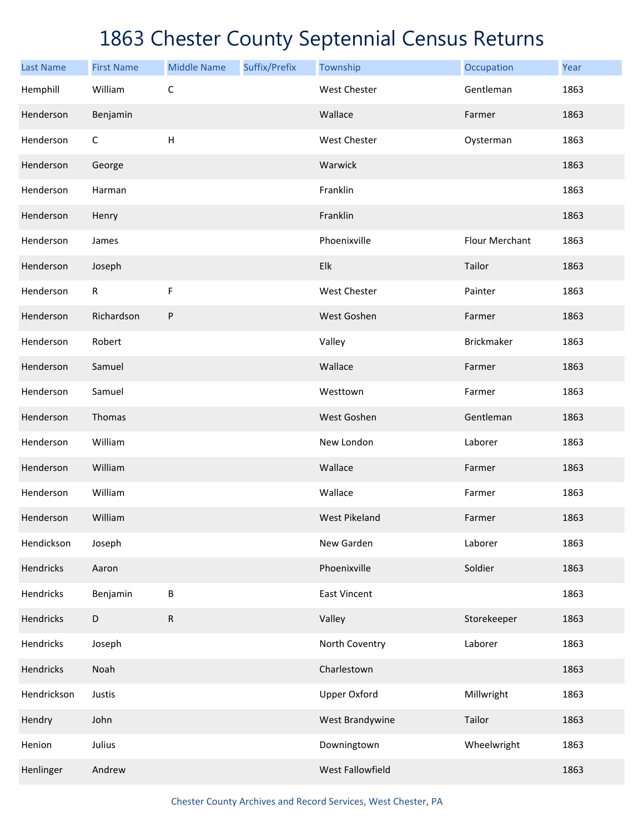| <b>Last Name</b> | <b>First Name</b> | <b>Middle Name</b>        | Suffix/Prefix | Township             | Occupation     | Year |
|------------------|-------------------|---------------------------|---------------|----------------------|----------------|------|
| Hemphill         | William           | $\mathsf C$               |               | <b>West Chester</b>  | Gentleman      | 1863 |
| Henderson        | Benjamin          |                           |               | Wallace              | Farmer         | 1863 |
| Henderson        | С                 | $\boldsymbol{\mathsf{H}}$ |               | West Chester         | Oysterman      | 1863 |
| Henderson        | George            |                           |               | Warwick              |                | 1863 |
| Henderson        | Harman            |                           |               | Franklin             |                | 1863 |
| Henderson        | Henry             |                           |               | Franklin             |                | 1863 |
| Henderson        | James             |                           |               | Phoenixville         | Flour Merchant | 1863 |
| Henderson        | Joseph            |                           |               | Elk                  | Tailor         | 1863 |
| Henderson        | $\mathsf{R}$      | F                         |               | West Chester         | Painter        | 1863 |
| Henderson        | Richardson        | ${\sf P}$                 |               | West Goshen          | Farmer         | 1863 |
| Henderson        | Robert            |                           |               | Valley               | Brickmaker     | 1863 |
| Henderson        | Samuel            |                           |               | Wallace              | Farmer         | 1863 |
| Henderson        | Samuel            |                           |               | Westtown             | Farmer         | 1863 |
| Henderson        | Thomas            |                           |               | West Goshen          | Gentleman      | 1863 |
| Henderson        | William           |                           |               | New London           | Laborer        | 1863 |
| Henderson        | William           |                           |               | Wallace              | Farmer         | 1863 |
| Henderson        | William           |                           |               | Wallace              | Farmer         | 1863 |
| Henderson        | William           |                           |               | <b>West Pikeland</b> | Farmer         | 1863 |
| Hendickson       | Joseph            |                           |               | New Garden           | Laborer        | 1863 |
| Hendricks        | Aaron             |                           |               | Phoenixville         | Soldier        | 1863 |
| Hendricks        | Benjamin          | $\sf B$                   |               | <b>East Vincent</b>  |                | 1863 |
| Hendricks        | $\mathsf D$       | ${\sf R}$                 |               | Valley               | Storekeeper    | 1863 |
| Hendricks        | Joseph            |                           |               | North Coventry       | Laborer        | 1863 |
| Hendricks        | Noah              |                           |               | Charlestown          |                | 1863 |
| Hendrickson      | Justis            |                           |               | <b>Upper Oxford</b>  | Millwright     | 1863 |
| Hendry           | John              |                           |               | West Brandywine      | Tailor         | 1863 |
| Henion           | Julius            |                           |               | Downingtown          | Wheelwright    | 1863 |
| Henlinger        | Andrew            |                           |               | West Fallowfield     |                | 1863 |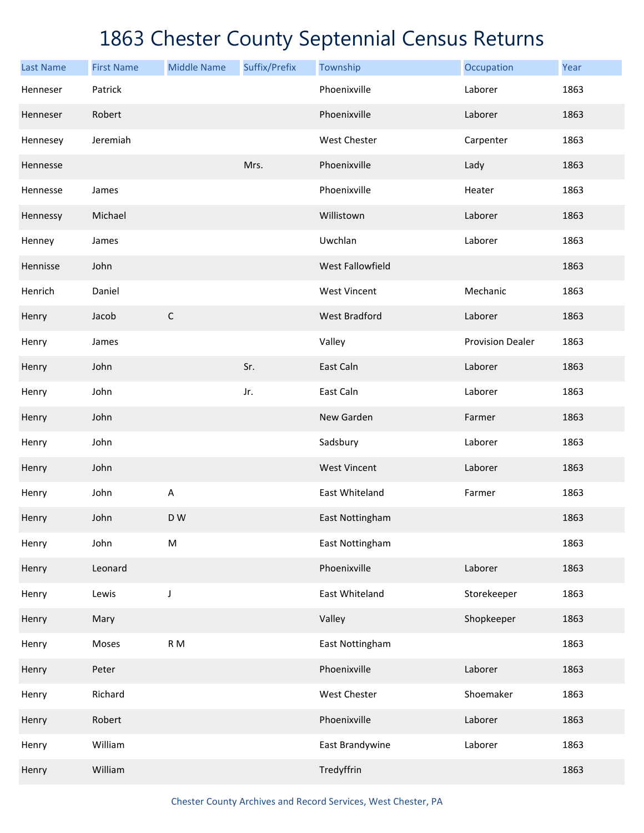| <b>Last Name</b> | <b>First Name</b> | <b>Middle Name</b> | Suffix/Prefix | Township             | Occupation              | Year |
|------------------|-------------------|--------------------|---------------|----------------------|-------------------------|------|
| Henneser         | Patrick           |                    |               | Phoenixville         | Laborer                 | 1863 |
| Henneser         | Robert            |                    |               | Phoenixville         | Laborer                 | 1863 |
| Hennesey         | Jeremiah          |                    |               | West Chester         | Carpenter               | 1863 |
| Hennesse         |                   |                    | Mrs.          | Phoenixville         | Lady                    | 1863 |
| Hennesse         | James             |                    |               | Phoenixville         | Heater                  | 1863 |
| Hennessy         | Michael           |                    |               | Willistown           | Laborer                 | 1863 |
| Henney           | James             |                    |               | Uwchlan              | Laborer                 | 1863 |
| Hennisse         | John              |                    |               | West Fallowfield     |                         | 1863 |
| Henrich          | Daniel            |                    |               | <b>West Vincent</b>  | Mechanic                | 1863 |
| Henry            | Jacob             | $\mathsf C$        |               | <b>West Bradford</b> | Laborer                 | 1863 |
| Henry            | James             |                    |               | Valley               | <b>Provision Dealer</b> | 1863 |
| Henry            | John              |                    | Sr.           | East Caln            | Laborer                 | 1863 |
| Henry            | John              |                    | Jr.           | East Caln            | Laborer                 | 1863 |
| Henry            | John              |                    |               | New Garden           | Farmer                  | 1863 |
| Henry            | John              |                    |               | Sadsbury             | Laborer                 | 1863 |
| Henry            | John              |                    |               | <b>West Vincent</b>  | Laborer                 | 1863 |
| Henry            | John              | A                  |               | East Whiteland       | Farmer                  | 1863 |
| Henry            | John              | D W                |               | East Nottingham      |                         | 1863 |
| Henry            | John              | ${\sf M}$          |               | East Nottingham      |                         | 1863 |
| Henry            | Leonard           |                    |               | Phoenixville         | Laborer                 | 1863 |
| Henry            | Lewis             | J                  |               | East Whiteland       | Storekeeper             | 1863 |
| Henry            | Mary              |                    |               | Valley               | Shopkeeper              | 1863 |
| Henry            | Moses             | R M                |               | East Nottingham      |                         | 1863 |
| Henry            | Peter             |                    |               | Phoenixville         | Laborer                 | 1863 |
| Henry            | Richard           |                    |               | West Chester         | Shoemaker               | 1863 |
| Henry            | Robert            |                    |               | Phoenixville         | Laborer                 | 1863 |
| Henry            | William           |                    |               | East Brandywine      | Laborer                 | 1863 |
| Henry            | William           |                    |               | Tredyffrin           |                         | 1863 |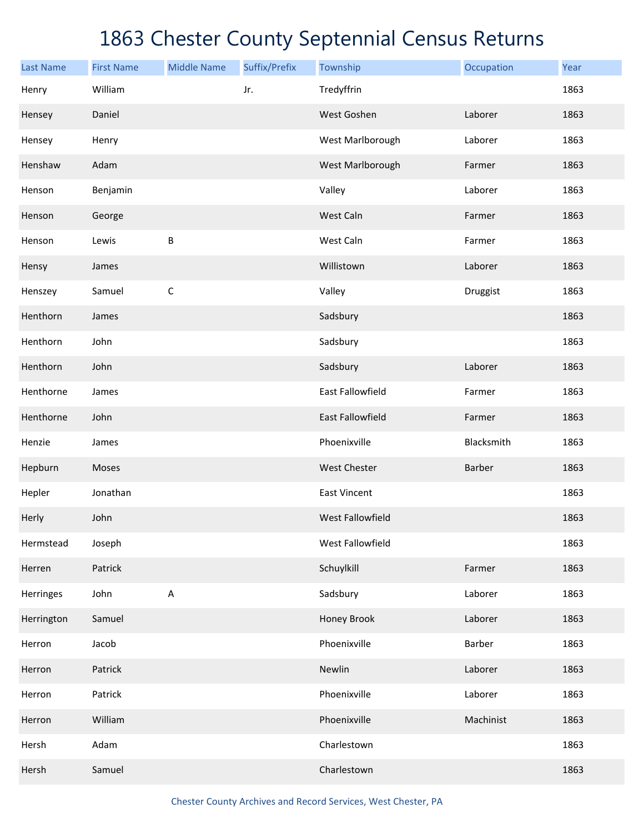| <b>Last Name</b> | <b>First Name</b> | <b>Middle Name</b> | Suffix/Prefix | Township                | Occupation | Year |
|------------------|-------------------|--------------------|---------------|-------------------------|------------|------|
| Henry            | William           |                    | Jr.           | Tredyffrin              |            | 1863 |
| Hensey           | Daniel            |                    |               | West Goshen             | Laborer    | 1863 |
| Hensey           | Henry             |                    |               | West Marlborough        | Laborer    | 1863 |
| Henshaw          | Adam              |                    |               | West Marlborough        | Farmer     | 1863 |
| Henson           | Benjamin          |                    |               | Valley                  | Laborer    | 1863 |
| Henson           | George            |                    |               | West Caln               | Farmer     | 1863 |
| Henson           | Lewis             | B                  |               | West Caln               | Farmer     | 1863 |
| Hensy            | James             |                    |               | Willistown              | Laborer    | 1863 |
| Henszey          | Samuel            | $\mathsf C$        |               | Valley                  | Druggist   | 1863 |
| Henthorn         | James             |                    |               | Sadsbury                |            | 1863 |
| Henthorn         | John              |                    |               | Sadsbury                |            | 1863 |
| Henthorn         | John              |                    |               | Sadsbury                | Laborer    | 1863 |
| Henthorne        | James             |                    |               | <b>East Fallowfield</b> | Farmer     | 1863 |
| Henthorne        | John              |                    |               | <b>East Fallowfield</b> | Farmer     | 1863 |
| Henzie           | James             |                    |               | Phoenixville            | Blacksmith | 1863 |
| Hepburn          | Moses             |                    |               | West Chester            | Barber     | 1863 |
| Hepler           | Jonathan          |                    |               | <b>East Vincent</b>     |            | 1863 |
| Herly            | John              |                    |               | West Fallowfield        |            | 1863 |
| Hermstead        | Joseph            |                    |               | West Fallowfield        |            | 1863 |
| Herren           | Patrick           |                    |               | Schuylkill              | Farmer     | 1863 |
| Herringes        | John              | $\sf A$            |               | Sadsbury                | Laborer    | 1863 |
| Herrington       | Samuel            |                    |               | Honey Brook             | Laborer    | 1863 |
| Herron           | Jacob             |                    |               | Phoenixville            | Barber     | 1863 |
| Herron           | Patrick           |                    |               | Newlin                  | Laborer    | 1863 |
| Herron           | Patrick           |                    |               | Phoenixville            | Laborer    | 1863 |
| Herron           | William           |                    |               | Phoenixville            | Machinist  | 1863 |
| Hersh            | Adam              |                    |               | Charlestown             |            | 1863 |
| Hersh            | Samuel            |                    |               | Charlestown             |            | 1863 |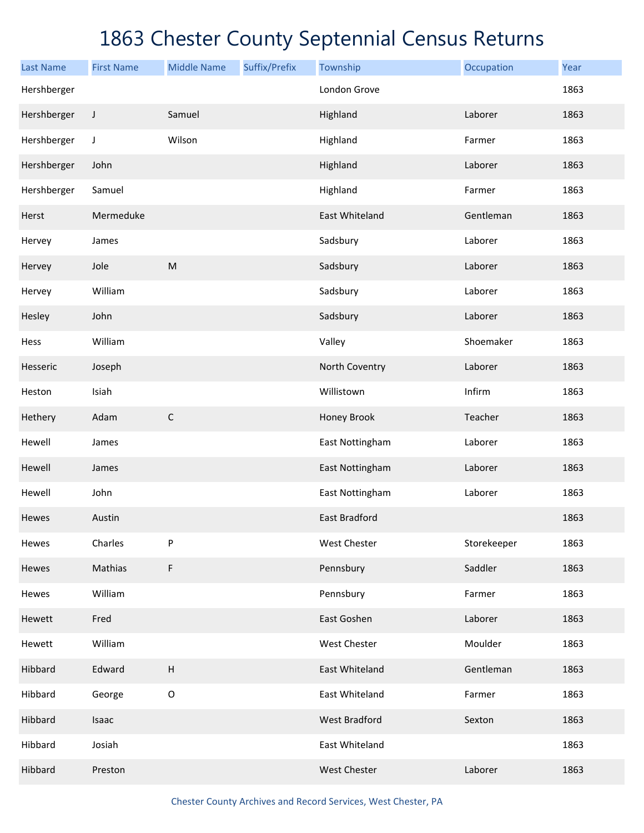| <b>Last Name</b> | <b>First Name</b> | <b>Middle Name</b>        | Suffix/Prefix | Township             | Occupation  | Year |
|------------------|-------------------|---------------------------|---------------|----------------------|-------------|------|
| Hershberger      |                   |                           |               | London Grove         |             | 1863 |
| Hershberger      | $\mathsf J$       | Samuel                    |               | Highland             | Laborer     | 1863 |
| Hershberger      | J                 | Wilson                    |               | Highland             | Farmer      | 1863 |
| Hershberger      | John              |                           |               | Highland             | Laborer     | 1863 |
| Hershberger      | Samuel            |                           |               | Highland             | Farmer      | 1863 |
| Herst            | Mermeduke         |                           |               | East Whiteland       | Gentleman   | 1863 |
| Hervey           | James             |                           |               | Sadsbury             | Laborer     | 1863 |
| Hervey           | Jole              | M                         |               | Sadsbury             | Laborer     | 1863 |
| Hervey           | William           |                           |               | Sadsbury             | Laborer     | 1863 |
| Hesley           | John              |                           |               | Sadsbury             | Laborer     | 1863 |
| Hess             | William           |                           |               | Valley               | Shoemaker   | 1863 |
| Hesseric         | Joseph            |                           |               | North Coventry       | Laborer     | 1863 |
| Heston           | Isiah             |                           |               | Willistown           | Infirm      | 1863 |
| Hethery          | Adam              | $\mathsf C$               |               | Honey Brook          | Teacher     | 1863 |
| Hewell           | James             |                           |               | East Nottingham      | Laborer     | 1863 |
| Hewell           | James             |                           |               | East Nottingham      | Laborer     | 1863 |
| Hewell           | John              |                           |               | East Nottingham      | Laborer     | 1863 |
| Hewes            | Austin            |                           |               | <b>East Bradford</b> |             | 1863 |
| Hewes            | Charles           | P                         |               | <b>West Chester</b>  | Storekeeper | 1863 |
| Hewes            | Mathias           | F                         |               | Pennsbury            | Saddler     | 1863 |
| Hewes            | William           |                           |               | Pennsbury            | Farmer      | 1863 |
| Hewett           | Fred              |                           |               | East Goshen          | Laborer     | 1863 |
| Hewett           | William           |                           |               | West Chester         | Moulder     | 1863 |
| Hibbard          | Edward            | $\boldsymbol{\mathsf{H}}$ |               | East Whiteland       | Gentleman   | 1863 |
| Hibbard          | George            | $\mathsf O$               |               | East Whiteland       | Farmer      | 1863 |
| Hibbard          | Isaac             |                           |               | <b>West Bradford</b> | Sexton      | 1863 |
| Hibbard          | Josiah            |                           |               | East Whiteland       |             | 1863 |
| Hibbard          | Preston           |                           |               | West Chester         | Laborer     | 1863 |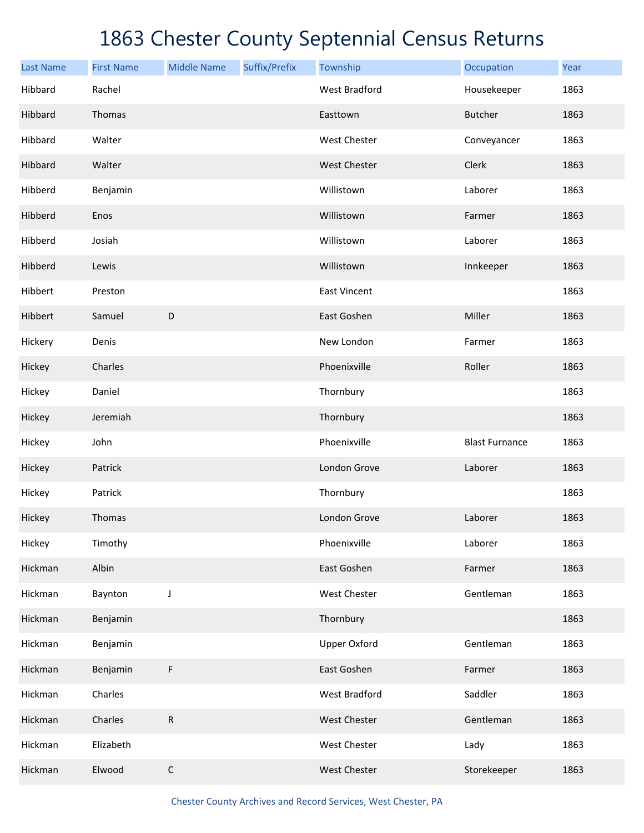| <b>Last Name</b> | <b>First Name</b> | <b>Middle Name</b> | Suffix/Prefix | Township             | Occupation            | Year |
|------------------|-------------------|--------------------|---------------|----------------------|-----------------------|------|
| Hibbard          | Rachel            |                    |               | <b>West Bradford</b> | Housekeeper           | 1863 |
| Hibbard          | Thomas            |                    |               | Easttown             | <b>Butcher</b>        | 1863 |
| Hibbard          | Walter            |                    |               | West Chester         | Conveyancer           | 1863 |
| Hibbard          | Walter            |                    |               | West Chester         | Clerk                 | 1863 |
| Hibberd          | Benjamin          |                    |               | Willistown           | Laborer               | 1863 |
| Hibberd          | Enos              |                    |               | Willistown           | Farmer                | 1863 |
| Hibberd          | Josiah            |                    |               | Willistown           | Laborer               | 1863 |
| Hibberd          | Lewis             |                    |               | Willistown           | Innkeeper             | 1863 |
| Hibbert          | Preston           |                    |               | <b>East Vincent</b>  |                       | 1863 |
| Hibbert          | Samuel            | $\mathsf D$        |               | East Goshen          | Miller                | 1863 |
| Hickery          | Denis             |                    |               | New London           | Farmer                | 1863 |
| Hickey           | Charles           |                    |               | Phoenixville         | Roller                | 1863 |
| Hickey           | Daniel            |                    |               | Thornbury            |                       | 1863 |
| Hickey           | Jeremiah          |                    |               | Thornbury            |                       | 1863 |
| Hickey           | John              |                    |               | Phoenixville         | <b>Blast Furnance</b> | 1863 |
| Hickey           | Patrick           |                    |               | London Grove         | Laborer               | 1863 |
| Hickey           | Patrick           |                    |               | Thornbury            |                       | 1863 |
| Hickey           | Thomas            |                    |               | London Grove         | Laborer               | 1863 |
| Hickey           | Timothy           |                    |               | Phoenixville         | Laborer               | 1863 |
| Hickman          | Albin             |                    |               | East Goshen          | Farmer                | 1863 |
| Hickman          | Baynton           | J                  |               | West Chester         | Gentleman             | 1863 |
| Hickman          | Benjamin          |                    |               | Thornbury            |                       | 1863 |
| Hickman          | Benjamin          |                    |               | <b>Upper Oxford</b>  | Gentleman             | 1863 |
| Hickman          | Benjamin          | F                  |               | East Goshen          | Farmer                | 1863 |
| Hickman          | Charles           |                    |               | West Bradford        | Saddler               | 1863 |
| Hickman          | Charles           | ${\sf R}$          |               | West Chester         | Gentleman             | 1863 |
| Hickman          | Elizabeth         |                    |               | West Chester         | Lady                  | 1863 |
| Hickman          | Elwood            | $\mathsf C$        |               | West Chester         | Storekeeper           | 1863 |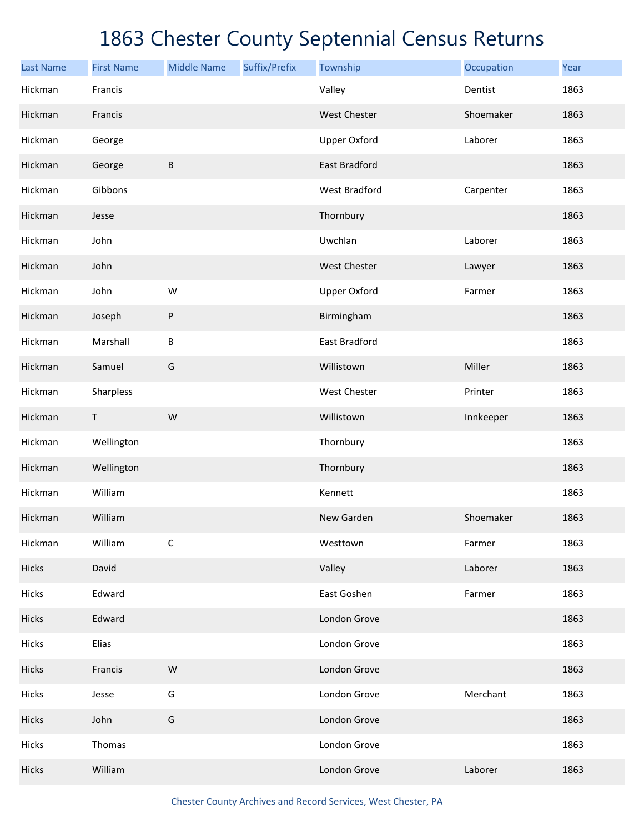| <b>Last Name</b> | <b>First Name</b> | <b>Middle Name</b> | Suffix/Prefix | Township             | Occupation | Year |
|------------------|-------------------|--------------------|---------------|----------------------|------------|------|
| Hickman          | Francis           |                    |               | Valley               | Dentist    | 1863 |
| Hickman          | Francis           |                    |               | <b>West Chester</b>  | Shoemaker  | 1863 |
| Hickman          | George            |                    |               | <b>Upper Oxford</b>  | Laborer    | 1863 |
| Hickman          | George            | $\sf B$            |               | <b>East Bradford</b> |            | 1863 |
| Hickman          | Gibbons           |                    |               | West Bradford        | Carpenter  | 1863 |
| Hickman          | Jesse             |                    |               | Thornbury            |            | 1863 |
| Hickman          | John              |                    |               | Uwchlan              | Laborer    | 1863 |
| Hickman          | John              |                    |               | <b>West Chester</b>  | Lawyer     | 1863 |
| Hickman          | John              | W                  |               | <b>Upper Oxford</b>  | Farmer     | 1863 |
| Hickman          | Joseph            | $\sf P$            |               | Birmingham           |            | 1863 |
| Hickman          | Marshall          | $\sf B$            |               | East Bradford        |            | 1863 |
| Hickman          | Samuel            | G                  |               | Willistown           | Miller     | 1863 |
| Hickman          | Sharpless         |                    |               | West Chester         | Printer    | 1863 |
| Hickman          | T                 | ${\sf W}$          |               | Willistown           | Innkeeper  | 1863 |
| Hickman          | Wellington        |                    |               | Thornbury            |            | 1863 |
| Hickman          | Wellington        |                    |               | Thornbury            |            | 1863 |
| Hickman          | William           |                    |               | Kennett              |            | 1863 |
| Hickman          | William           |                    |               | New Garden           | Shoemaker  | 1863 |
| Hickman          | William           | $\mathsf C$        |               | Westtown             | Farmer     | 1863 |
| Hicks            | David             |                    |               | Valley               | Laborer    | 1863 |
| Hicks            | Edward            |                    |               | East Goshen          | Farmer     | 1863 |
| Hicks            | Edward            |                    |               | London Grove         |            | 1863 |
| Hicks            | Elias             |                    |               | London Grove         |            | 1863 |
| Hicks            | Francis           | ${\sf W}$          |               | London Grove         |            | 1863 |
| Hicks            | Jesse             | G                  |               | London Grove         | Merchant   | 1863 |
| Hicks            | John              | G                  |               | London Grove         |            | 1863 |
| Hicks            | Thomas            |                    |               | London Grove         |            | 1863 |
| Hicks            | William           |                    |               | London Grove         | Laborer    | 1863 |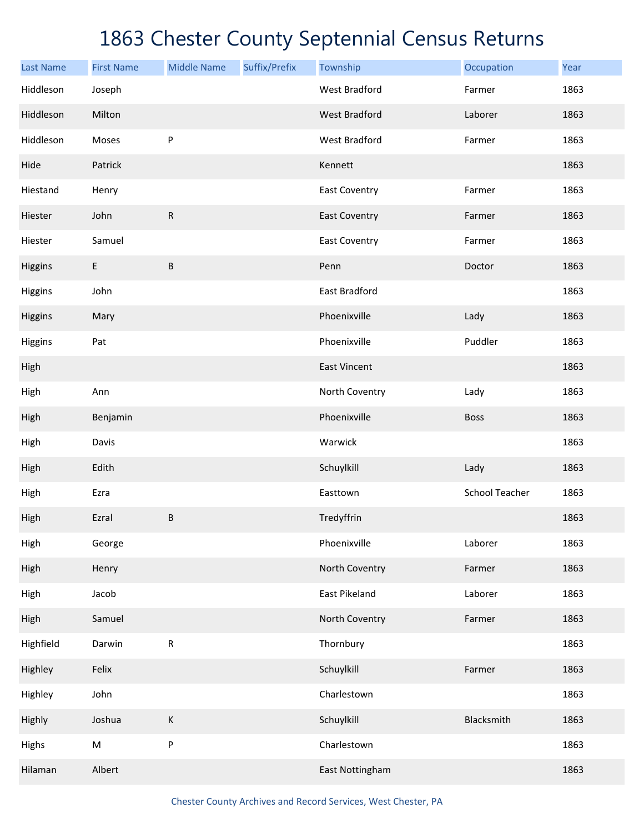| <b>Last Name</b> | <b>First Name</b> | <b>Middle Name</b> | Suffix/Prefix | Township             | Occupation            | Year |
|------------------|-------------------|--------------------|---------------|----------------------|-----------------------|------|
| Hiddleson        | Joseph            |                    |               | <b>West Bradford</b> | Farmer                | 1863 |
| Hiddleson        | Milton            |                    |               | <b>West Bradford</b> | Laborer               | 1863 |
| Hiddleson        | Moses             | ${\sf P}$          |               | West Bradford        | Farmer                | 1863 |
| Hide             | Patrick           |                    |               | Kennett              |                       | 1863 |
| Hiestand         | Henry             |                    |               | <b>East Coventry</b> | Farmer                | 1863 |
| Hiester          | John              | ${\sf R}$          |               | <b>East Coventry</b> | Farmer                | 1863 |
| Hiester          | Samuel            |                    |               | <b>East Coventry</b> | Farmer                | 1863 |
| Higgins          | $\mathsf E$       | $\sf B$            |               | Penn                 | Doctor                | 1863 |
| Higgins          | John              |                    |               | East Bradford        |                       | 1863 |
| Higgins          | Mary              |                    |               | Phoenixville         | Lady                  | 1863 |
| Higgins          | Pat               |                    |               | Phoenixville         | Puddler               | 1863 |
| High             |                   |                    |               | <b>East Vincent</b>  |                       | 1863 |
| High             | Ann               |                    |               | North Coventry       | Lady                  | 1863 |
| High             | Benjamin          |                    |               | Phoenixville         | <b>Boss</b>           | 1863 |
| High             | Davis             |                    |               | Warwick              |                       | 1863 |
| High             | Edith             |                    |               | Schuylkill           | Lady                  | 1863 |
| High             | Ezra              |                    |               | Easttown             | <b>School Teacher</b> | 1863 |
| High             | Ezral             | $\sf B$            |               | Tredyffrin           |                       | 1863 |
| High             | George            |                    |               | Phoenixville         | Laborer               | 1863 |
| High             | Henry             |                    |               | North Coventry       | Farmer                | 1863 |
| High             | Jacob             |                    |               | East Pikeland        | Laborer               | 1863 |
| High             | Samuel            |                    |               | North Coventry       | Farmer                | 1863 |
| Highfield        | Darwin            | ${\sf R}$          |               | Thornbury            |                       | 1863 |
| Highley          | Felix             |                    |               | Schuylkill           | Farmer                | 1863 |
| Highley          | John              |                    |               | Charlestown          |                       | 1863 |
| Highly           | Joshua            | $\sf K$            |               | Schuylkill           | Blacksmith            | 1863 |
| Highs            | ${\sf M}$         | P                  |               | Charlestown          |                       | 1863 |
| Hilaman          | Albert            |                    |               | East Nottingham      |                       | 1863 |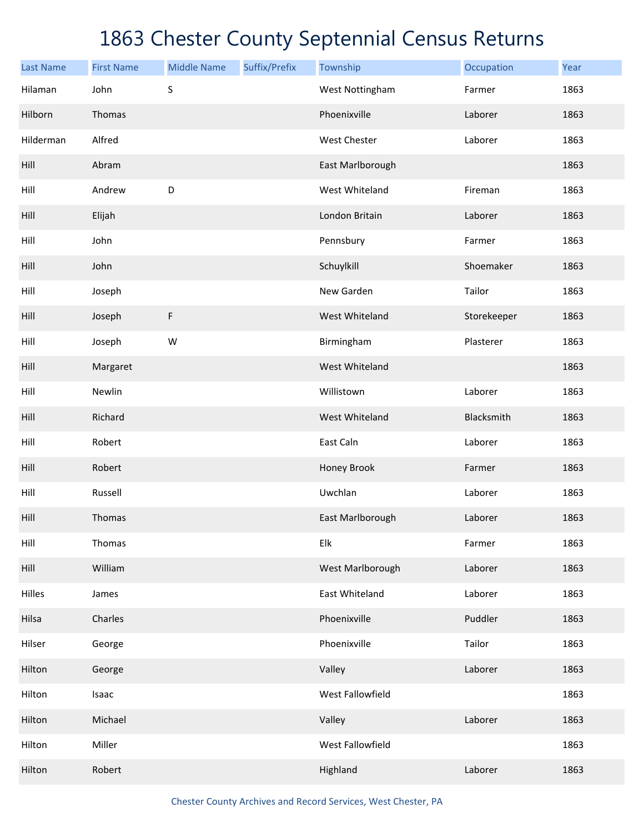| <b>Last Name</b> | <b>First Name</b> | <b>Middle Name</b> | Suffix/Prefix | Township         | Occupation  | Year |
|------------------|-------------------|--------------------|---------------|------------------|-------------|------|
| Hilaman          | John              | S                  |               | West Nottingham  | Farmer      | 1863 |
| Hilborn          | Thomas            |                    |               | Phoenixville     | Laborer     | 1863 |
| Hilderman        | Alfred            |                    |               | West Chester     | Laborer     | 1863 |
| Hill             | Abram             |                    |               | East Marlborough |             | 1863 |
| Hill             | Andrew            | D                  |               | West Whiteland   | Fireman     | 1863 |
| Hill             | Elijah            |                    |               | London Britain   | Laborer     | 1863 |
| Hill             | John              |                    |               | Pennsbury        | Farmer      | 1863 |
| Hill             | John              |                    |               | Schuylkill       | Shoemaker   | 1863 |
| Hill             | Joseph            |                    |               | New Garden       | Tailor      | 1863 |
| Hill             | Joseph            | F                  |               | West Whiteland   | Storekeeper | 1863 |
| Hill             | Joseph            | W                  |               | Birmingham       | Plasterer   | 1863 |
| Hill             | Margaret          |                    |               | West Whiteland   |             | 1863 |
| Hill             | Newlin            |                    |               | Willistown       | Laborer     | 1863 |
| Hill             | Richard           |                    |               | West Whiteland   | Blacksmith  | 1863 |
| Hill             | Robert            |                    |               | East Caln        | Laborer     | 1863 |
| Hill             | Robert            |                    |               | Honey Brook      | Farmer      | 1863 |
| Hill             | Russell           |                    |               | Uwchlan          | Laborer     | 1863 |
| Hill             | Thomas            |                    |               | East Marlborough | Laborer     | 1863 |
| Hill             | Thomas            |                    |               | Elk              | Farmer      | 1863 |
| Hill             | William           |                    |               | West Marlborough | Laborer     | 1863 |
| Hilles           | James             |                    |               | East Whiteland   | Laborer     | 1863 |
| Hilsa            | Charles           |                    |               | Phoenixville     | Puddler     | 1863 |
| Hilser           | George            |                    |               | Phoenixville     | Tailor      | 1863 |
| Hilton           | George            |                    |               | Valley           | Laborer     | 1863 |
| Hilton           | Isaac             |                    |               | West Fallowfield |             | 1863 |
| Hilton           | Michael           |                    |               | Valley           | Laborer     | 1863 |
| Hilton           | Miller            |                    |               | West Fallowfield |             | 1863 |
| Hilton           | Robert            |                    |               | Highland         | Laborer     | 1863 |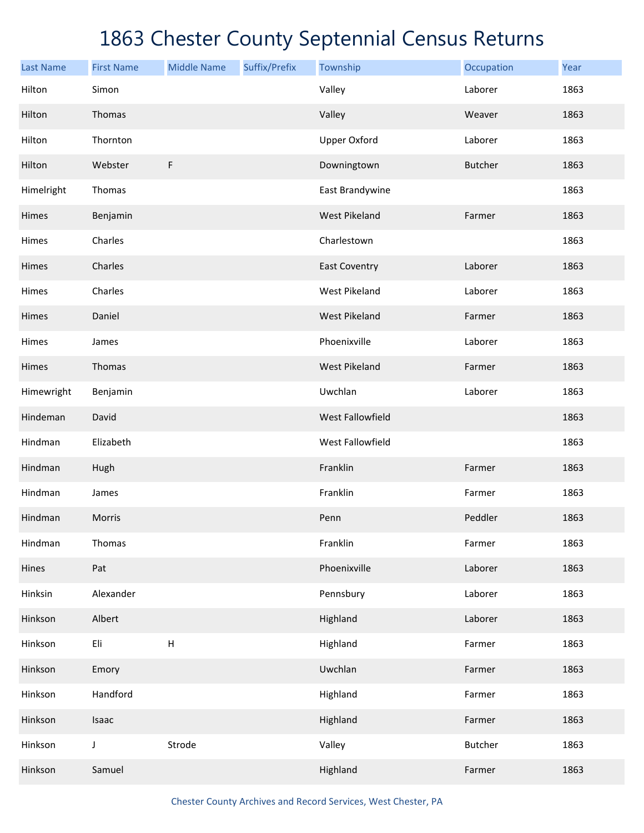| <b>Last Name</b> | <b>First Name</b> | <b>Middle Name</b> | Suffix/Prefix | Township             | Occupation     | Year |
|------------------|-------------------|--------------------|---------------|----------------------|----------------|------|
| Hilton           | Simon             |                    |               | Valley               | Laborer        | 1863 |
| Hilton           | Thomas            |                    |               | Valley               | Weaver         | 1863 |
| Hilton           | Thornton          |                    |               | <b>Upper Oxford</b>  | Laborer        | 1863 |
| Hilton           | Webster           | F                  |               | Downingtown          | <b>Butcher</b> | 1863 |
| Himelright       | Thomas            |                    |               | East Brandywine      |                | 1863 |
| Himes            | Benjamin          |                    |               | <b>West Pikeland</b> | Farmer         | 1863 |
| Himes            | Charles           |                    |               | Charlestown          |                | 1863 |
| Himes            | Charles           |                    |               | <b>East Coventry</b> | Laborer        | 1863 |
| Himes            | Charles           |                    |               | <b>West Pikeland</b> | Laborer        | 1863 |
| Himes            | Daniel            |                    |               | <b>West Pikeland</b> | Farmer         | 1863 |
| Himes            | James             |                    |               | Phoenixville         | Laborer        | 1863 |
| Himes            | Thomas            |                    |               | <b>West Pikeland</b> | Farmer         | 1863 |
| Himewright       | Benjamin          |                    |               | Uwchlan              | Laborer        | 1863 |
| Hindeman         | David             |                    |               | West Fallowfield     |                | 1863 |
| Hindman          | Elizabeth         |                    |               | West Fallowfield     |                | 1863 |
| Hindman          | Hugh              |                    |               | Franklin             | Farmer         | 1863 |
| Hindman          | James             |                    |               | Franklin             | Farmer         | 1863 |
| Hindman          | Morris            |                    |               | Penn                 | Peddler        | 1863 |
| Hindman          | Thomas            |                    |               | Franklin             | Farmer         | 1863 |
| Hines            | Pat               |                    |               | Phoenixville         | Laborer        | 1863 |
| Hinksin          | Alexander         |                    |               | Pennsbury            | Laborer        | 1863 |
| Hinkson          | Albert            |                    |               | Highland             | Laborer        | 1863 |
| Hinkson          | Eli               | $\sf H$            |               | Highland             | Farmer         | 1863 |
| Hinkson          | Emory             |                    |               | Uwchlan              | Farmer         | 1863 |
| Hinkson          | Handford          |                    |               | Highland             | Farmer         | 1863 |
| Hinkson          | Isaac             |                    |               | Highland             | Farmer         | 1863 |
| Hinkson          | $\mathsf J$       | Strode             |               | Valley               | <b>Butcher</b> | 1863 |
| Hinkson          | Samuel            |                    |               | Highland             | Farmer         | 1863 |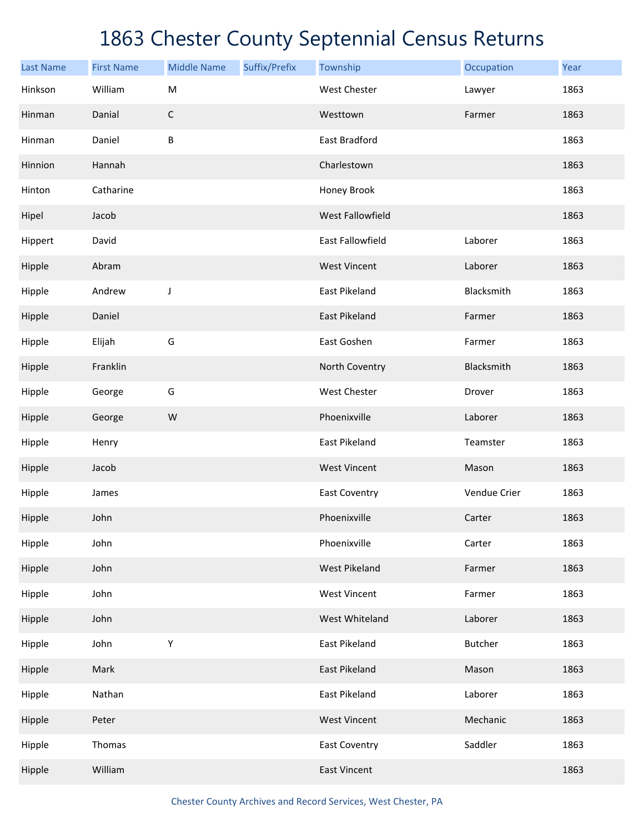|                             | <b>First Name</b> | <b>Middle Name</b> | Suffix/Prefix | Township                | Occupation     | Year |
|-----------------------------|-------------------|--------------------|---------------|-------------------------|----------------|------|
| <b>Last Name</b><br>Hinkson | William           | M                  |               | <b>West Chester</b>     | Lawyer         | 1863 |
| Hinman                      | Danial            | $\mathsf C$        |               | Westtown                | Farmer         | 1863 |
| Hinman                      | Daniel            | $\sf B$            |               | East Bradford           |                | 1863 |
|                             |                   |                    |               |                         |                |      |
| Hinnion                     | Hannah            |                    |               | Charlestown             |                | 1863 |
| Hinton                      | Catharine         |                    |               | Honey Brook             |                | 1863 |
| Hipel                       | Jacob             |                    |               | West Fallowfield        |                | 1863 |
| Hippert                     | David             |                    |               | <b>East Fallowfield</b> | Laborer        | 1863 |
| Hipple                      | Abram             |                    |               | <b>West Vincent</b>     | Laborer        | 1863 |
| Hipple                      | Andrew            | J                  |               | East Pikeland           | Blacksmith     | 1863 |
| Hipple                      | Daniel            |                    |               | East Pikeland           | Farmer         | 1863 |
| Hipple                      | Elijah            | G                  |               | East Goshen             | Farmer         | 1863 |
| Hipple                      | Franklin          |                    |               | North Coventry          | Blacksmith     | 1863 |
| Hipple                      | George            | G                  |               | <b>West Chester</b>     | Drover         | 1863 |
| Hipple                      | George            | W                  |               | Phoenixville            | Laborer        | 1863 |
| Hipple                      | Henry             |                    |               | <b>East Pikeland</b>    | Teamster       | 1863 |
| Hipple                      | Jacob             |                    |               | <b>West Vincent</b>     | Mason          | 1863 |
| Hipple                      | James             |                    |               | <b>East Coventry</b>    | Vendue Crier   | 1863 |
| Hipple                      | John              |                    |               | Phoenixville            | Carter         | 1863 |
| Hipple                      | John              |                    |               | Phoenixville            | Carter         | 1863 |
| Hipple                      | John              |                    |               | West Pikeland           | Farmer         | 1863 |
| Hipple                      | John              |                    |               | <b>West Vincent</b>     | Farmer         | 1863 |
| Hipple                      | John              |                    |               | West Whiteland          | Laborer        | 1863 |
| Hipple                      | John              | Υ                  |               | East Pikeland           | <b>Butcher</b> | 1863 |
| Hipple                      | Mark              |                    |               | East Pikeland           | Mason          | 1863 |
| Hipple                      | Nathan            |                    |               | East Pikeland           | Laborer        | 1863 |
| Hipple                      | Peter             |                    |               | <b>West Vincent</b>     | Mechanic       | 1863 |
| Hipple                      | Thomas            |                    |               | <b>East Coventry</b>    | Saddler        | 1863 |
| Hipple                      | William           |                    |               | <b>East Vincent</b>     |                | 1863 |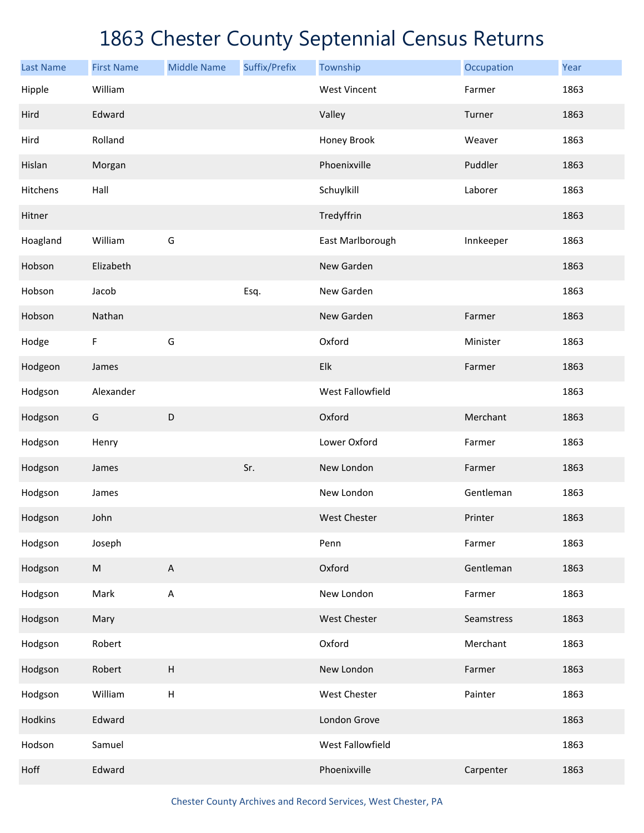| <b>Last Name</b> | <b>First Name</b> | <b>Middle Name</b>        | Suffix/Prefix | Township            | Occupation | Year |
|------------------|-------------------|---------------------------|---------------|---------------------|------------|------|
| Hipple           | William           |                           |               | <b>West Vincent</b> | Farmer     | 1863 |
| Hird             | Edward            |                           |               | Valley              | Turner     | 1863 |
| Hird             | Rolland           |                           |               | Honey Brook         | Weaver     | 1863 |
| Hislan           | Morgan            |                           |               | Phoenixville        | Puddler    | 1863 |
| Hitchens         | Hall              |                           |               | Schuylkill          | Laborer    | 1863 |
| Hitner           |                   |                           |               | Tredyffrin          |            | 1863 |
| Hoagland         | William           | G                         |               | East Marlborough    | Innkeeper  | 1863 |
| Hobson           | Elizabeth         |                           |               | New Garden          |            | 1863 |
| Hobson           | Jacob             |                           | Esq.          | New Garden          |            | 1863 |
| Hobson           | Nathan            |                           |               | New Garden          | Farmer     | 1863 |
| Hodge            | $\mathsf F$       | G                         |               | Oxford              | Minister   | 1863 |
| Hodgeon          | James             |                           |               | Elk                 | Farmer     | 1863 |
| Hodgson          | Alexander         |                           |               | West Fallowfield    |            | 1863 |
| Hodgson          | G                 | $\mathsf D$               |               | Oxford              | Merchant   | 1863 |
| Hodgson          | Henry             |                           |               | Lower Oxford        | Farmer     | 1863 |
| Hodgson          | James             |                           | Sr.           | New London          | Farmer     | 1863 |
| Hodgson          | James             |                           |               | New London          | Gentleman  | 1863 |
| Hodgson          | John              |                           |               | <b>West Chester</b> | Printer    | 1863 |
| Hodgson          | Joseph            |                           |               | Penn                | Farmer     | 1863 |
| Hodgson          | ${\sf M}$         | $\mathsf A$               |               | Oxford              | Gentleman  | 1863 |
| Hodgson          | Mark              | $\mathsf A$               |               | New London          | Farmer     | 1863 |
| Hodgson          | Mary              |                           |               | <b>West Chester</b> | Seamstress | 1863 |
| Hodgson          | Robert            |                           |               | Oxford              | Merchant   | 1863 |
| Hodgson          | Robert            | $\boldsymbol{\mathsf{H}}$ |               | New London          | Farmer     | 1863 |
| Hodgson          | William           | $\sf H$                   |               | West Chester        | Painter    | 1863 |
| Hodkins          | Edward            |                           |               | London Grove        |            | 1863 |
| Hodson           | Samuel            |                           |               | West Fallowfield    |            | 1863 |
| Hoff             | Edward            |                           |               | Phoenixville        | Carpenter  | 1863 |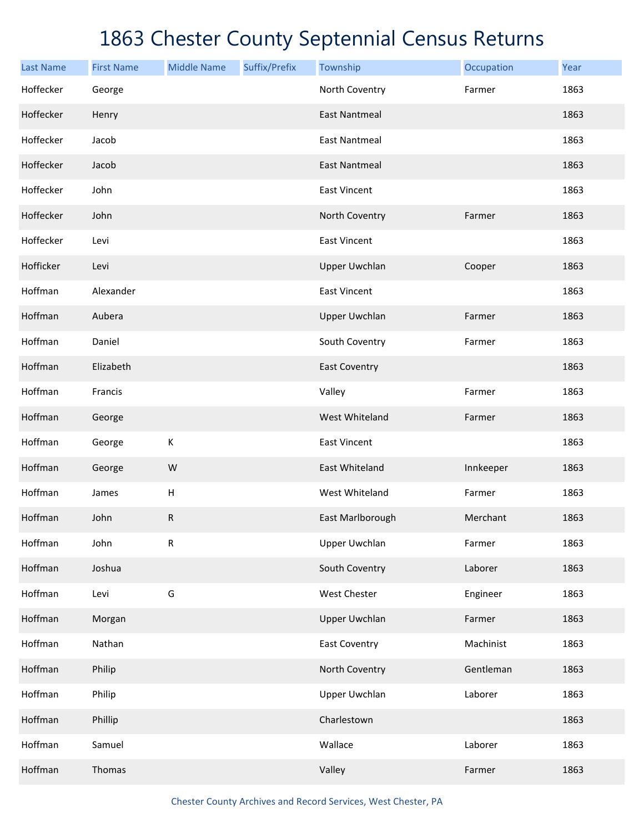| <b>Last Name</b> | <b>First Name</b> | <b>Middle Name</b> | Suffix/Prefix | Township             | Occupation | Year |
|------------------|-------------------|--------------------|---------------|----------------------|------------|------|
| Hoffecker        | George            |                    |               | North Coventry       | Farmer     | 1863 |
| Hoffecker        | Henry             |                    |               | <b>East Nantmeal</b> |            | 1863 |
| Hoffecker        | Jacob             |                    |               | <b>East Nantmeal</b> |            | 1863 |
| Hoffecker        | Jacob             |                    |               | <b>East Nantmeal</b> |            | 1863 |
| Hoffecker        | John              |                    |               | <b>East Vincent</b>  |            | 1863 |
| Hoffecker        | John              |                    |               | North Coventry       | Farmer     | 1863 |
| Hoffecker        | Levi              |                    |               | <b>East Vincent</b>  |            | 1863 |
| Hofficker        | Levi              |                    |               | <b>Upper Uwchlan</b> | Cooper     | 1863 |
| Hoffman          | Alexander         |                    |               | <b>East Vincent</b>  |            | 1863 |
| Hoffman          | Aubera            |                    |               | <b>Upper Uwchlan</b> | Farmer     | 1863 |
| Hoffman          | Daniel            |                    |               | South Coventry       | Farmer     | 1863 |
| Hoffman          | Elizabeth         |                    |               | <b>East Coventry</b> |            | 1863 |
| Hoffman          | Francis           |                    |               | Valley               | Farmer     | 1863 |
| Hoffman          | George            |                    |               | West Whiteland       | Farmer     | 1863 |
| Hoffman          | George            | K                  |               | <b>East Vincent</b>  |            | 1863 |
| Hoffman          | George            | W                  |               | East Whiteland       | Innkeeper  | 1863 |
| Hoffman          | James             | H                  |               | West Whiteland       | Farmer     | 1863 |
| Hoffman          | John              | ${\sf R}$          |               | East Marlborough     | Merchant   | 1863 |
| Hoffman          | John              | ${\sf R}$          |               | <b>Upper Uwchlan</b> | Farmer     | 1863 |
| Hoffman          | Joshua            |                    |               | South Coventry       | Laborer    | 1863 |
| Hoffman          | Levi              | G                  |               | <b>West Chester</b>  | Engineer   | 1863 |
| Hoffman          | Morgan            |                    |               | <b>Upper Uwchlan</b> | Farmer     | 1863 |
| Hoffman          | Nathan            |                    |               | <b>East Coventry</b> | Machinist  | 1863 |
| Hoffman          | Philip            |                    |               | North Coventry       | Gentleman  | 1863 |
| Hoffman          | Philip            |                    |               | <b>Upper Uwchlan</b> | Laborer    | 1863 |
| Hoffman          | Phillip           |                    |               | Charlestown          |            | 1863 |
| Hoffman          | Samuel            |                    |               | Wallace              | Laborer    | 1863 |
| Hoffman          | Thomas            |                    |               | Valley               | Farmer     | 1863 |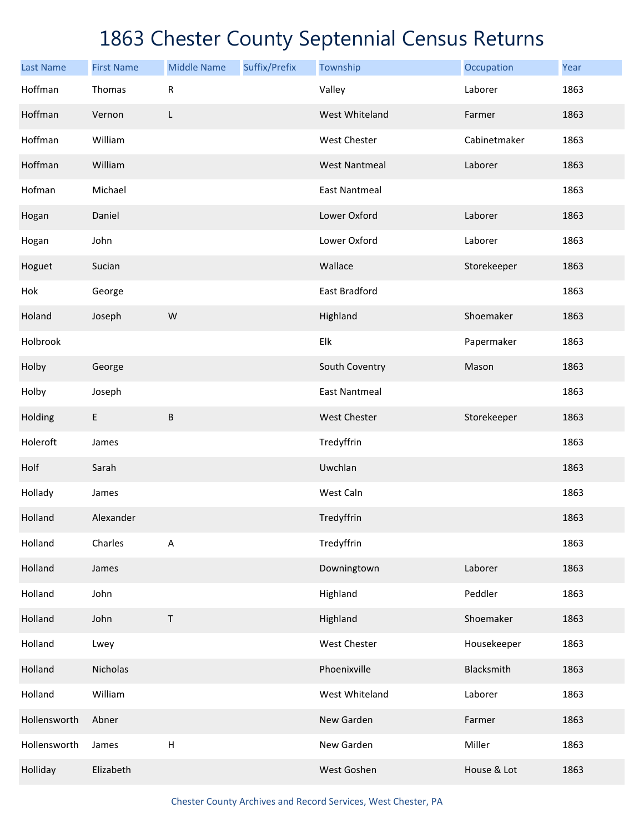| <b>Last Name</b> | <b>First Name</b> | <b>Middle Name</b> | Suffix/Prefix | Township             | Occupation   | Year |
|------------------|-------------------|--------------------|---------------|----------------------|--------------|------|
| Hoffman          | Thomas            | R                  |               | Valley               | Laborer      | 1863 |
| Hoffman          | Vernon            | L                  |               | West Whiteland       | Farmer       | 1863 |
| Hoffman          | William           |                    |               | West Chester         | Cabinetmaker | 1863 |
| Hoffman          | William           |                    |               | <b>West Nantmeal</b> | Laborer      | 1863 |
| Hofman           | Michael           |                    |               | <b>East Nantmeal</b> |              | 1863 |
| Hogan            | Daniel            |                    |               | Lower Oxford         | Laborer      | 1863 |
| Hogan            | John              |                    |               | Lower Oxford         | Laborer      | 1863 |
| Hoguet           | Sucian            |                    |               | Wallace              | Storekeeper  | 1863 |
| Hok              | George            |                    |               | East Bradford        |              | 1863 |
| Holand           | Joseph            | W                  |               | Highland             | Shoemaker    | 1863 |
| Holbrook         |                   |                    |               | Elk                  | Papermaker   | 1863 |
| Holby            | George            |                    |               | South Coventry       | Mason        | 1863 |
| Holby            | Joseph            |                    |               | <b>East Nantmeal</b> |              | 1863 |
| Holding          | E                 | $\sf B$            |               | West Chester         | Storekeeper  | 1863 |
| Holeroft         | James             |                    |               | Tredyffrin           |              | 1863 |
| Holf             | Sarah             |                    |               | Uwchlan              |              | 1863 |
| Hollady          | James             |                    |               | West Caln            |              | 1863 |
| Holland          | Alexander         |                    |               | Tredyffrin           |              | 1863 |
| Holland          | Charles           | A                  |               | Tredyffrin           |              | 1863 |
| Holland          | James             |                    |               | Downingtown          | Laborer      | 1863 |
| Holland          | John              |                    |               | Highland             | Peddler      | 1863 |
| Holland          | John              | Τ                  |               | Highland             | Shoemaker    | 1863 |
| Holland          | Lwey              |                    |               | West Chester         | Housekeeper  | 1863 |
| Holland          | Nicholas          |                    |               | Phoenixville         | Blacksmith   | 1863 |
| Holland          | William           |                    |               | West Whiteland       | Laborer      | 1863 |
| Hollensworth     | Abner             |                    |               | New Garden           | Farmer       | 1863 |
| Hollensworth     | James             | $\sf H$            |               | New Garden           | Miller       | 1863 |
| Holliday         | Elizabeth         |                    |               | West Goshen          | House & Lot  | 1863 |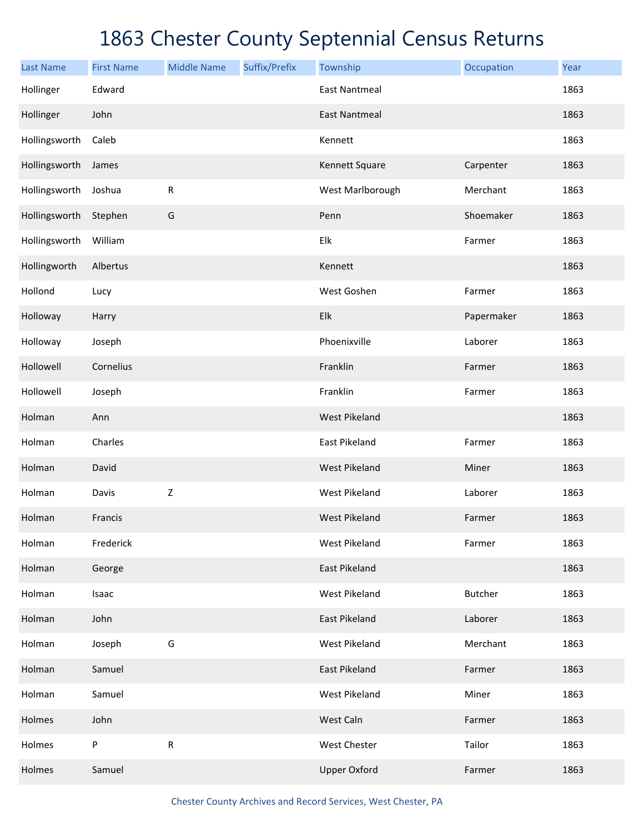| <b>Last Name</b> | <b>First Name</b> | <b>Middle Name</b> | Suffix/Prefix | Township             | Occupation     | Year |
|------------------|-------------------|--------------------|---------------|----------------------|----------------|------|
| Hollinger        | Edward            |                    |               | <b>East Nantmeal</b> |                | 1863 |
| Hollinger        | John              |                    |               | <b>East Nantmeal</b> |                | 1863 |
| Hollingsworth    | Caleb             |                    |               | Kennett              |                | 1863 |
| Hollingsworth    | James             |                    |               | Kennett Square       | Carpenter      | 1863 |
| Hollingsworth    | Joshua            | ${\sf R}$          |               | West Marlborough     | Merchant       | 1863 |
| Hollingsworth    | Stephen           | G                  |               | Penn                 | Shoemaker      | 1863 |
| Hollingsworth    | William           |                    |               | Elk                  | Farmer         | 1863 |
| Hollingworth     | Albertus          |                    |               | Kennett              |                | 1863 |
| Hollond          | Lucy              |                    |               | West Goshen          | Farmer         | 1863 |
| Holloway         | Harry             |                    |               | Elk                  | Papermaker     | 1863 |
| Holloway         | Joseph            |                    |               | Phoenixville         | Laborer        | 1863 |
| Hollowell        | Cornelius         |                    |               | Franklin             | Farmer         | 1863 |
| Hollowell        | Joseph            |                    |               | Franklin             | Farmer         | 1863 |
| Holman           | Ann               |                    |               | West Pikeland        |                | 1863 |
| Holman           | Charles           |                    |               | East Pikeland        | Farmer         | 1863 |
| Holman           | David             |                    |               | West Pikeland        | Miner          | 1863 |
| Holman           | Davis             | $\mathsf Z$        |               | West Pikeland        | Laborer        | 1863 |
| Holman           | Francis           |                    |               | West Pikeland        | Farmer         | 1863 |
| Holman           | Frederick         |                    |               | <b>West Pikeland</b> | Farmer         | 1863 |
| Holman           | George            |                    |               | East Pikeland        |                | 1863 |
| Holman           | Isaac             |                    |               | West Pikeland        | <b>Butcher</b> | 1863 |
| Holman           | John              |                    |               | East Pikeland        | Laborer        | 1863 |
| Holman           | Joseph            | G                  |               | West Pikeland        | Merchant       | 1863 |
| Holman           | Samuel            |                    |               | East Pikeland        | Farmer         | 1863 |
| Holman           | Samuel            |                    |               | West Pikeland        | Miner          | 1863 |
| Holmes           | John              |                    |               | West Caln            | Farmer         | 1863 |
| Holmes           | P                 | ${\sf R}$          |               | West Chester         | Tailor         | 1863 |
| Holmes           | Samuel            |                    |               | <b>Upper Oxford</b>  | Farmer         | 1863 |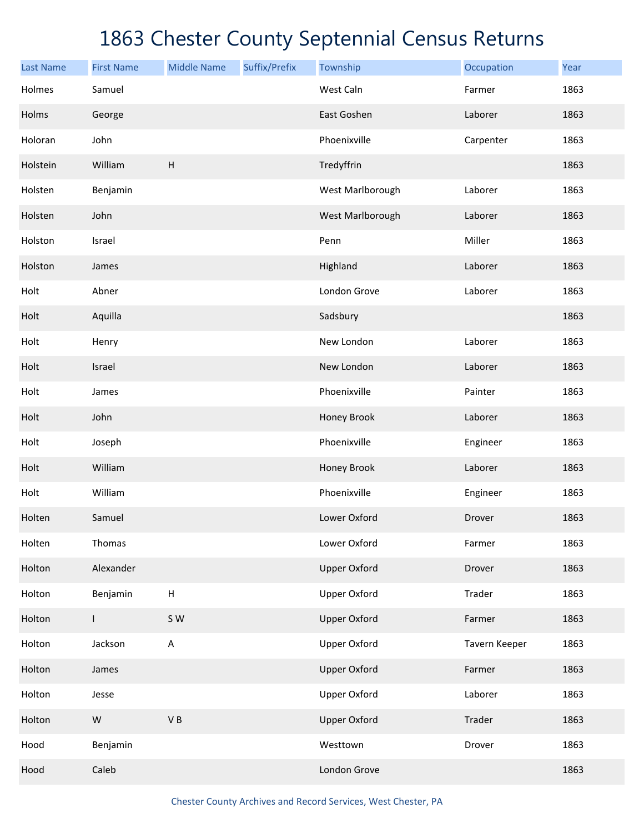| <b>Last Name</b> | <b>First Name</b> | <b>Middle Name</b>        | Suffix/Prefix | Township            | Occupation    | Year |
|------------------|-------------------|---------------------------|---------------|---------------------|---------------|------|
| Holmes           | Samuel            |                           |               | West Caln           | Farmer        | 1863 |
| Holms            | George            |                           |               | East Goshen         | Laborer       | 1863 |
| Holoran          | John              |                           |               | Phoenixville        | Carpenter     | 1863 |
| Holstein         | William           | $\boldsymbol{\mathsf{H}}$ |               | Tredyffrin          |               | 1863 |
| Holsten          | Benjamin          |                           |               | West Marlborough    | Laborer       | 1863 |
| Holsten          | John              |                           |               | West Marlborough    | Laborer       | 1863 |
| Holston          | Israel            |                           |               | Penn                | Miller        | 1863 |
| Holston          | James             |                           |               | Highland            | Laborer       | 1863 |
| Holt             | Abner             |                           |               | London Grove        | Laborer       | 1863 |
| Holt             | Aquilla           |                           |               | Sadsbury            |               | 1863 |
| Holt             | Henry             |                           |               | New London          | Laborer       | 1863 |
| Holt             | Israel            |                           |               | New London          | Laborer       | 1863 |
| Holt             | James             |                           |               | Phoenixville        | Painter       | 1863 |
| Holt             | John              |                           |               | Honey Brook         | Laborer       | 1863 |
| Holt             | Joseph            |                           |               | Phoenixville        | Engineer      | 1863 |
| Holt             | William           |                           |               | Honey Brook         | Laborer       | 1863 |
| Holt             | William           |                           |               | Phoenixville        | Engineer      | 1863 |
| Holten           | Samuel            |                           |               | Lower Oxford        | Drover        | 1863 |
| Holten           | Thomas            |                           |               | Lower Oxford        | Farmer        | 1863 |
| Holton           | Alexander         |                           |               | <b>Upper Oxford</b> | Drover        | 1863 |
| Holton           | Benjamin          | $\sf H$                   |               | <b>Upper Oxford</b> | Trader        | 1863 |
| Holton           | $\mathsf{L}$      | S W                       |               | <b>Upper Oxford</b> | Farmer        | 1863 |
| Holton           | Jackson           | A                         |               | <b>Upper Oxford</b> | Tavern Keeper | 1863 |
| Holton           | James             |                           |               | <b>Upper Oxford</b> | Farmer        | 1863 |
| Holton           | Jesse             |                           |               | <b>Upper Oxford</b> | Laborer       | 1863 |
| Holton           | ${\sf W}$         | $\mathsf V$ B             |               | <b>Upper Oxford</b> | Trader        | 1863 |
| Hood             | Benjamin          |                           |               | Westtown            | Drover        | 1863 |
| Hood             | Caleb             |                           |               | London Grove        |               | 1863 |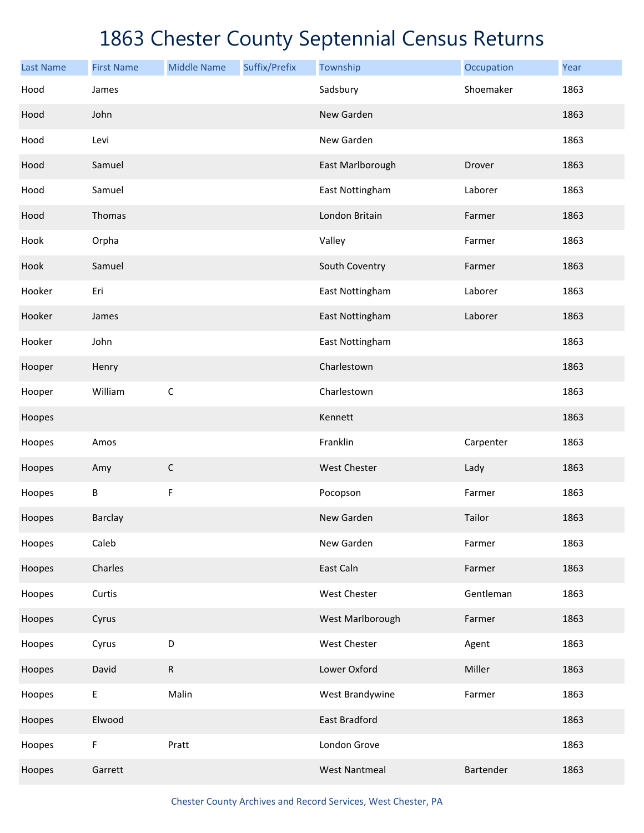| <b>Last Name</b> | <b>First Name</b> | <b>Middle Name</b> | Suffix/Prefix | Township             | Occupation | Year |
|------------------|-------------------|--------------------|---------------|----------------------|------------|------|
| Hood             | James             |                    |               | Sadsbury             | Shoemaker  | 1863 |
| Hood             | John              |                    |               | New Garden           |            | 1863 |
| Hood             | Levi              |                    |               | New Garden           |            | 1863 |
| Hood             | Samuel            |                    |               | East Marlborough     | Drover     | 1863 |
| Hood             | Samuel            |                    |               | East Nottingham      | Laborer    | 1863 |
| Hood             | Thomas            |                    |               | London Britain       | Farmer     | 1863 |
| Hook             | Orpha             |                    |               | Valley               | Farmer     | 1863 |
| Hook             | Samuel            |                    |               | South Coventry       | Farmer     | 1863 |
| Hooker           | Eri               |                    |               | East Nottingham      | Laborer    | 1863 |
| Hooker           | James             |                    |               | East Nottingham      | Laborer    | 1863 |
| Hooker           | John              |                    |               | East Nottingham      |            | 1863 |
| Hooper           | Henry             |                    |               | Charlestown          |            | 1863 |
| Hooper           | William           | $\mathsf C$        |               | Charlestown          |            | 1863 |
| Hoopes           |                   |                    |               | Kennett              |            | 1863 |
| Hoopes           | Amos              |                    |               | Franklin             | Carpenter  | 1863 |
| Hoopes           | Amy               | $\mathsf C$        |               | West Chester         | Lady       | 1863 |
| Hoopes           | В                 | F                  |               | Pocopson             | Farmer     | 1863 |
| Hoopes           | <b>Barclay</b>    |                    |               | New Garden           | Tailor     | 1863 |
| Hoopes           | Caleb             |                    |               | New Garden           | Farmer     | 1863 |
| Hoopes           | Charles           |                    |               | East Caln            | Farmer     | 1863 |
| Hoopes           | Curtis            |                    |               | West Chester         | Gentleman  | 1863 |
| Hoopes           | Cyrus             |                    |               | West Marlborough     | Farmer     | 1863 |
| Hoopes           | Cyrus             | D                  |               | West Chester         | Agent      | 1863 |
| Hoopes           | David             | ${\sf R}$          |               | Lower Oxford         | Miller     | 1863 |
| Hoopes           | E                 | Malin              |               | West Brandywine      | Farmer     | 1863 |
| Hoopes           | Elwood            |                    |               | East Bradford        |            | 1863 |
| Hoopes           | F                 | Pratt              |               | London Grove         |            | 1863 |
| Hoopes           | Garrett           |                    |               | <b>West Nantmeal</b> | Bartender  | 1863 |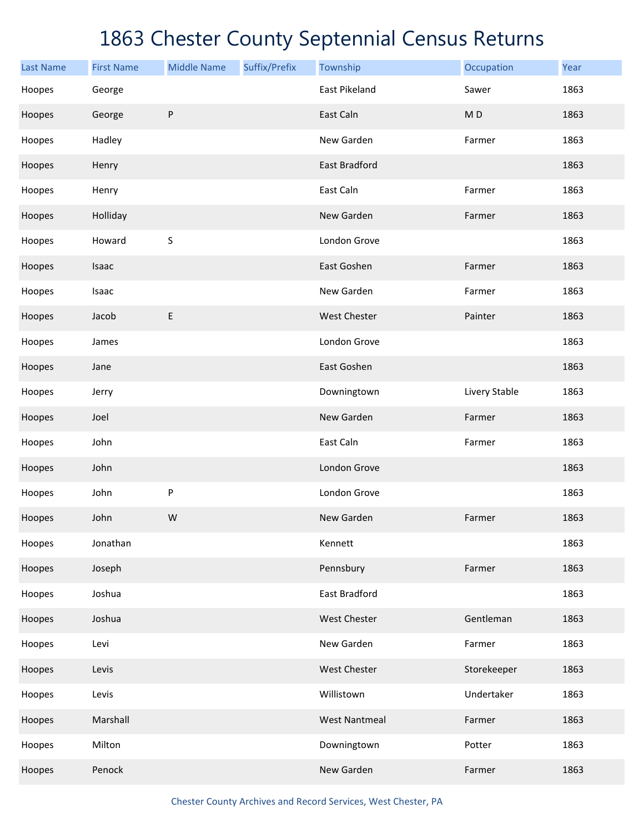| <b>Last Name</b> | <b>First Name</b> | <b>Middle Name</b> | Suffix/Prefix | Township             | Occupation     | Year |
|------------------|-------------------|--------------------|---------------|----------------------|----------------|------|
| Hoopes           | George            |                    |               | East Pikeland        | Sawer          | 1863 |
| Hoopes           | George            | ${\sf P}$          |               | East Caln            | M <sub>D</sub> | 1863 |
| Hoopes           | Hadley            |                    |               | New Garden           | Farmer         | 1863 |
| Hoopes           | Henry             |                    |               | East Bradford        |                | 1863 |
| Hoopes           | Henry             |                    |               | East Caln            | Farmer         | 1863 |
| Hoopes           | Holliday          |                    |               | New Garden           | Farmer         | 1863 |
| Hoopes           | Howard            | $\sf S$            |               | London Grove         |                | 1863 |
| Hoopes           | Isaac             |                    |               | East Goshen          | Farmer         | 1863 |
| Hoopes           | Isaac             |                    |               | New Garden           | Farmer         | 1863 |
| Hoopes           | Jacob             | E                  |               | West Chester         | Painter        | 1863 |
| Hoopes           | James             |                    |               | London Grove         |                | 1863 |
| Hoopes           | Jane              |                    |               | East Goshen          |                | 1863 |
| Hoopes           | Jerry             |                    |               | Downingtown          | Livery Stable  | 1863 |
| Hoopes           | Joel              |                    |               | New Garden           | Farmer         | 1863 |
| Hoopes           | John              |                    |               | East Caln            | Farmer         | 1863 |
| Hoopes           | John              |                    |               | London Grove         |                | 1863 |
| Hoopes           | John              | P                  |               | London Grove         |                | 1863 |
| Hoopes           | John              | W                  |               | New Garden           | Farmer         | 1863 |
| Hoopes           | Jonathan          |                    |               | Kennett              |                | 1863 |
| Hoopes           | Joseph            |                    |               | Pennsbury            | Farmer         | 1863 |
| Hoopes           | Joshua            |                    |               | East Bradford        |                | 1863 |
| Hoopes           | Joshua            |                    |               | West Chester         | Gentleman      | 1863 |
| Hoopes           | Levi              |                    |               | New Garden           | Farmer         | 1863 |
| Hoopes           | Levis             |                    |               | West Chester         | Storekeeper    | 1863 |
| Hoopes           | Levis             |                    |               | Willistown           | Undertaker     | 1863 |
| Hoopes           | Marshall          |                    |               | <b>West Nantmeal</b> | Farmer         | 1863 |
| Hoopes           | Milton            |                    |               | Downingtown          | Potter         | 1863 |
| Hoopes           | Penock            |                    |               | New Garden           | Farmer         | 1863 |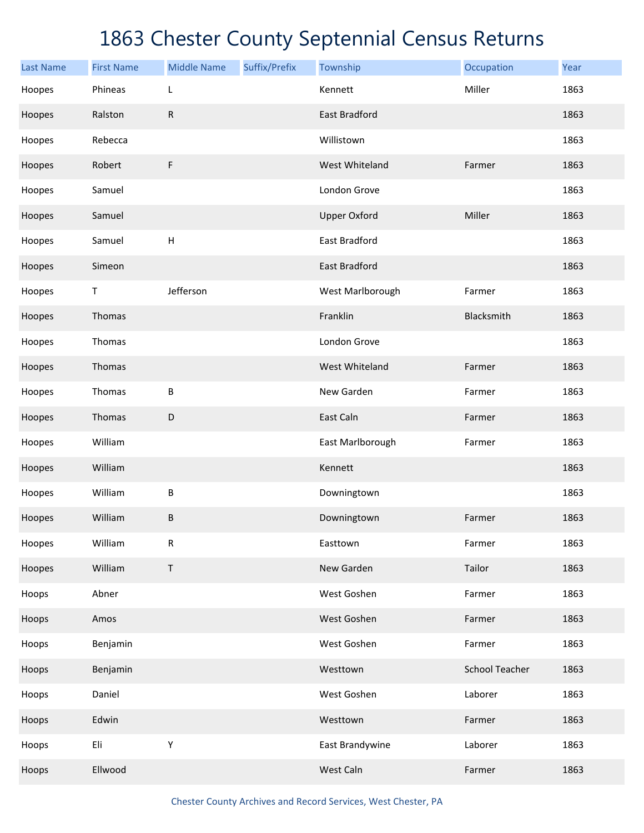| <b>Last Name</b> | <b>First Name</b> | <b>Middle Name</b> | Suffix/Prefix | Township             | Occupation            | Year |
|------------------|-------------------|--------------------|---------------|----------------------|-----------------------|------|
| Hoopes           | Phineas           | L                  |               | Kennett              | Miller                | 1863 |
| Hoopes           | Ralston           | ${\sf R}$          |               | <b>East Bradford</b> |                       | 1863 |
| Hoopes           | Rebecca           |                    |               | Willistown           |                       | 1863 |
| Hoopes           | Robert            | $\mathsf F$        |               | West Whiteland       | Farmer                | 1863 |
| Hoopes           | Samuel            |                    |               | London Grove         |                       | 1863 |
| Hoopes           | Samuel            |                    |               | <b>Upper Oxford</b>  | Miller                | 1863 |
| Hoopes           | Samuel            | H                  |               | East Bradford        |                       | 1863 |
| Hoopes           | Simeon            |                    |               | <b>East Bradford</b> |                       | 1863 |
| Hoopes           | $\mathsf T$       | Jefferson          |               | West Marlborough     | Farmer                | 1863 |
| Hoopes           | Thomas            |                    |               | Franklin             | Blacksmith            | 1863 |
| Hoopes           | Thomas            |                    |               | London Grove         |                       | 1863 |
| Hoopes           | Thomas            |                    |               | West Whiteland       | Farmer                | 1863 |
| Hoopes           | Thomas            | $\sf B$            |               | New Garden           | Farmer                | 1863 |
| Hoopes           | Thomas            | $\mathsf D$        |               | East Caln            | Farmer                | 1863 |
| Hoopes           | William           |                    |               | East Marlborough     | Farmer                | 1863 |
| Hoopes           | William           |                    |               | Kennett              |                       | 1863 |
| Hoopes           | William           | $\sf B$            |               | Downingtown          |                       | 1863 |
| Hoopes           | William           | $\sf B$            |               | Downingtown          | Farmer                | 1863 |
| Hoopes           | William           | ${\sf R}$          |               | Easttown             | Farmer                | 1863 |
| Hoopes           | William           | $\sf T$            |               | New Garden           | Tailor                | 1863 |
| Hoops            | Abner             |                    |               | West Goshen          | Farmer                | 1863 |
| Hoops            | Amos              |                    |               | West Goshen          | Farmer                | 1863 |
| Hoops            | Benjamin          |                    |               | West Goshen          | Farmer                | 1863 |
| Hoops            | Benjamin          |                    |               | Westtown             | <b>School Teacher</b> | 1863 |
| Hoops            | Daniel            |                    |               | West Goshen          | Laborer               | 1863 |
| Hoops            | Edwin             |                    |               | Westtown             | Farmer                | 1863 |
| Hoops            | Eli               | Υ                  |               | East Brandywine      | Laborer               | 1863 |
| Hoops            | Ellwood           |                    |               | West Caln            | Farmer                | 1863 |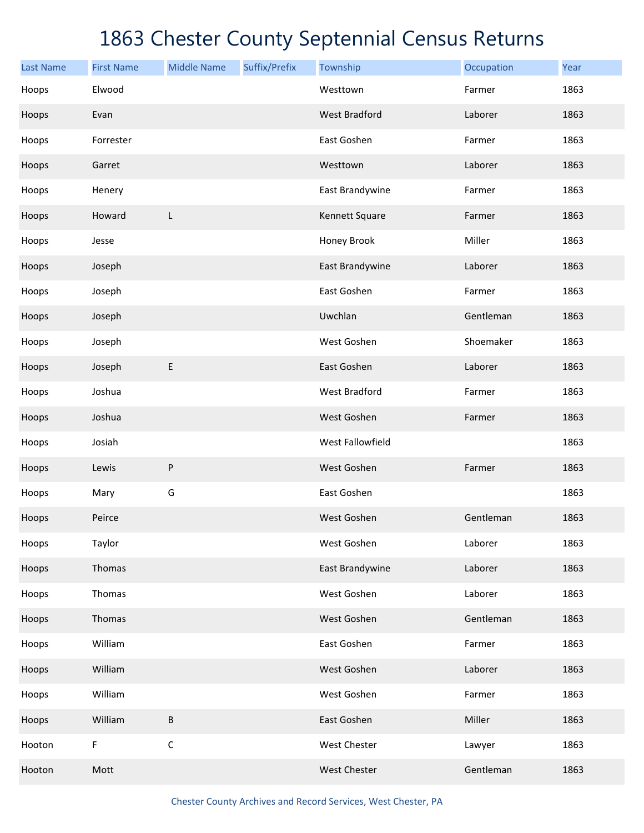| <b>Last Name</b> | <b>First Name</b> | <b>Middle Name</b> | Suffix/Prefix | Township             | Occupation | Year |
|------------------|-------------------|--------------------|---------------|----------------------|------------|------|
| Hoops            | Elwood            |                    |               | Westtown             | Farmer     | 1863 |
| Hoops            | Evan              |                    |               | <b>West Bradford</b> | Laborer    | 1863 |
| Hoops            | Forrester         |                    |               | East Goshen          | Farmer     | 1863 |
| Hoops            | Garret            |                    |               | Westtown             | Laborer    | 1863 |
| Hoops            | Henery            |                    |               | East Brandywine      | Farmer     | 1863 |
| Hoops            | Howard            | L                  |               | Kennett Square       | Farmer     | 1863 |
| Hoops            | Jesse             |                    |               | Honey Brook          | Miller     | 1863 |
| Hoops            | Joseph            |                    |               | East Brandywine      | Laborer    | 1863 |
| Hoops            | Joseph            |                    |               | East Goshen          | Farmer     | 1863 |
| Hoops            | Joseph            |                    |               | Uwchlan              | Gentleman  | 1863 |
| Hoops            | Joseph            |                    |               | West Goshen          | Shoemaker  | 1863 |
| Hoops            | Joseph            | E                  |               | East Goshen          | Laborer    | 1863 |
| Hoops            | Joshua            |                    |               | <b>West Bradford</b> | Farmer     | 1863 |
| Hoops            | Joshua            |                    |               | West Goshen          | Farmer     | 1863 |
| Hoops            | Josiah            |                    |               | West Fallowfield     |            | 1863 |
| Hoops            | Lewis             | ${\sf P}$          |               | West Goshen          | Farmer     | 1863 |
| Hoops            | Mary              | G                  |               | East Goshen          |            | 1863 |
| Hoops            | Peirce            |                    |               | West Goshen          | Gentleman  | 1863 |
| Hoops            | Taylor            |                    |               | West Goshen          | Laborer    | 1863 |
| Hoops            | Thomas            |                    |               | East Brandywine      | Laborer    | 1863 |
| Hoops            | Thomas            |                    |               | West Goshen          | Laborer    | 1863 |
| Hoops            | Thomas            |                    |               | West Goshen          | Gentleman  | 1863 |
| Hoops            | William           |                    |               | East Goshen          | Farmer     | 1863 |
| Hoops            | William           |                    |               | West Goshen          | Laborer    | 1863 |
| Hoops            | William           |                    |               | West Goshen          | Farmer     | 1863 |
| Hoops            | William           | В                  |               | East Goshen          | Miller     | 1863 |
| Hooton           | F                 | $\mathsf C$        |               | West Chester         | Lawyer     | 1863 |
| Hooton           | Mott              |                    |               | West Chester         | Gentleman  | 1863 |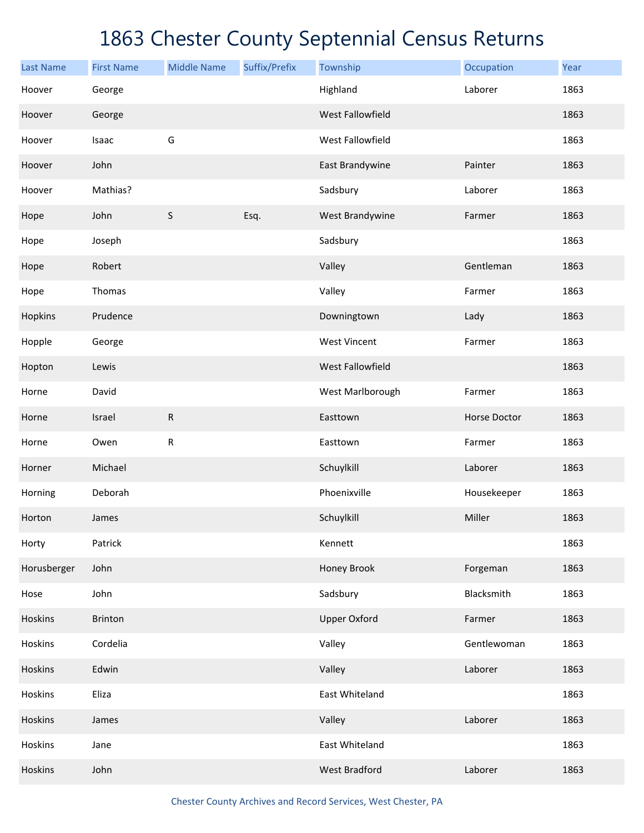| <b>Last Name</b> | <b>First Name</b> | <b>Middle Name</b> | Suffix/Prefix | Township                | Occupation   | Year |
|------------------|-------------------|--------------------|---------------|-------------------------|--------------|------|
| Hoover           | George            |                    |               | Highland                | Laborer      | 1863 |
| Hoover           | George            |                    |               | <b>West Fallowfield</b> |              | 1863 |
| Hoover           | Isaac             | G                  |               | West Fallowfield        |              | 1863 |
| Hoover           | John              |                    |               | East Brandywine         | Painter      | 1863 |
| Hoover           | Mathias?          |                    |               | Sadsbury                | Laborer      | 1863 |
| Hope             | John              | $\sf S$            | Esq.          | West Brandywine         | Farmer       | 1863 |
| Hope             | Joseph            |                    |               | Sadsbury                |              | 1863 |
| Hope             | Robert            |                    |               | Valley                  | Gentleman    | 1863 |
| Hope             | Thomas            |                    |               | Valley                  | Farmer       | 1863 |
| Hopkins          | Prudence          |                    |               | Downingtown             | Lady         | 1863 |
| Hopple           | George            |                    |               | <b>West Vincent</b>     | Farmer       | 1863 |
| Hopton           | Lewis             |                    |               | West Fallowfield        |              | 1863 |
| Horne            | David             |                    |               | West Marlborough        | Farmer       | 1863 |
| Horne            | Israel            | ${\sf R}$          |               | Easttown                | Horse Doctor | 1863 |
| Horne            | Owen              | ${\sf R}$          |               | Easttown                | Farmer       | 1863 |
| Horner           | Michael           |                    |               | Schuylkill              | Laborer      | 1863 |
| Horning          | Deborah           |                    |               | Phoenixville            | Housekeeper  | 1863 |
| Horton           | James             |                    |               | Schuylkill              | Miller       | 1863 |
| Horty            | Patrick           |                    |               | Kennett                 |              | 1863 |
| Horusberger      | John              |                    |               | Honey Brook             | Forgeman     | 1863 |
| Hose             | John              |                    |               | Sadsbury                | Blacksmith   | 1863 |
| Hoskins          | <b>Brinton</b>    |                    |               | <b>Upper Oxford</b>     | Farmer       | 1863 |
| Hoskins          | Cordelia          |                    |               | Valley                  | Gentlewoman  | 1863 |
| Hoskins          | Edwin             |                    |               | Valley                  | Laborer      | 1863 |
| Hoskins          | Eliza             |                    |               | East Whiteland          |              | 1863 |
| Hoskins          | James             |                    |               | Valley                  | Laborer      | 1863 |
| Hoskins          | Jane              |                    |               | East Whiteland          |              | 1863 |
| Hoskins          | John              |                    |               | West Bradford           | Laborer      | 1863 |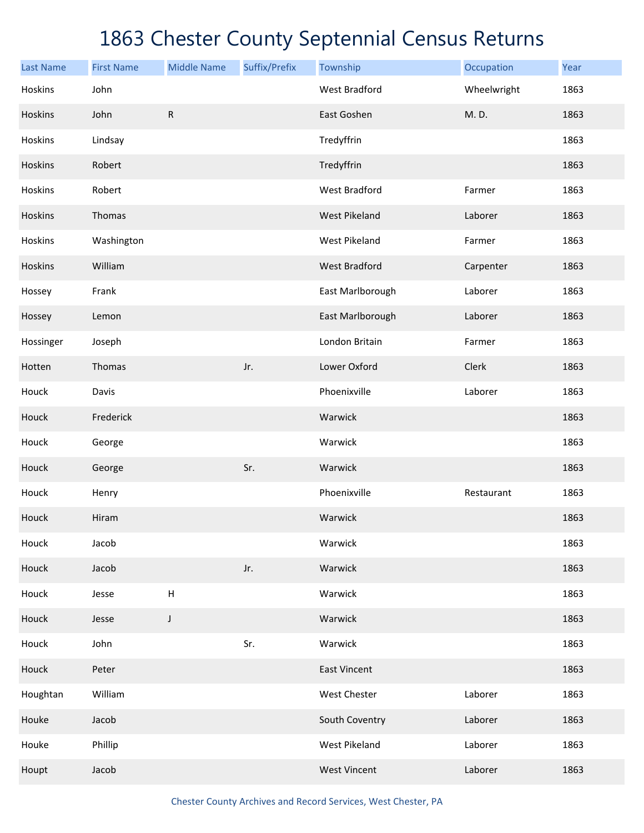| <b>Last Name</b> | <b>First Name</b> | <b>Middle Name</b>        | Suffix/Prefix | Township             | Occupation  | Year |
|------------------|-------------------|---------------------------|---------------|----------------------|-------------|------|
| Hoskins          | John              |                           |               | <b>West Bradford</b> | Wheelwright | 1863 |
| Hoskins          | John              | $\mathsf{R}$              |               | East Goshen          | M.D.        | 1863 |
| Hoskins          | Lindsay           |                           |               | Tredyffrin           |             | 1863 |
| Hoskins          | Robert            |                           |               | Tredyffrin           |             | 1863 |
| Hoskins          | Robert            |                           |               | <b>West Bradford</b> | Farmer      | 1863 |
| Hoskins          | Thomas            |                           |               | <b>West Pikeland</b> | Laborer     | 1863 |
| Hoskins          | Washington        |                           |               | <b>West Pikeland</b> | Farmer      | 1863 |
| Hoskins          | William           |                           |               | <b>West Bradford</b> | Carpenter   | 1863 |
| Hossey           | Frank             |                           |               | East Marlborough     | Laborer     | 1863 |
| Hossey           | Lemon             |                           |               | East Marlborough     | Laborer     | 1863 |
| Hossinger        | Joseph            |                           |               | London Britain       | Farmer      | 1863 |
| Hotten           | Thomas            |                           | Jr.           | Lower Oxford         | Clerk       | 1863 |
| Houck            | Davis             |                           |               | Phoenixville         | Laborer     | 1863 |
| Houck            | Frederick         |                           |               | Warwick              |             | 1863 |
| Houck            | George            |                           |               | Warwick              |             | 1863 |
| Houck            | George            |                           | Sr.           | Warwick              |             | 1863 |
| Houck            | Henry             |                           |               | Phoenixville         | Restaurant  | 1863 |
| Houck            | Hiram             |                           |               | Warwick              |             | 1863 |
| Houck            | Jacob             |                           |               | Warwick              |             | 1863 |
| Houck            | Jacob             |                           | Jr.           | Warwick              |             | 1863 |
| Houck            | Jesse             | $\boldsymbol{\mathsf{H}}$ |               | Warwick              |             | 1863 |
| Houck            | Jesse             | J                         |               | Warwick              |             | 1863 |
| Houck            | John              |                           | Sr.           | Warwick              |             | 1863 |
| Houck            | Peter             |                           |               | <b>East Vincent</b>  |             | 1863 |
| Houghtan         | William           |                           |               | West Chester         | Laborer     | 1863 |
| Houke            | Jacob             |                           |               | South Coventry       | Laborer     | 1863 |
| Houke            | Phillip           |                           |               | <b>West Pikeland</b> | Laborer     | 1863 |
| Houpt            | Jacob             |                           |               | <b>West Vincent</b>  | Laborer     | 1863 |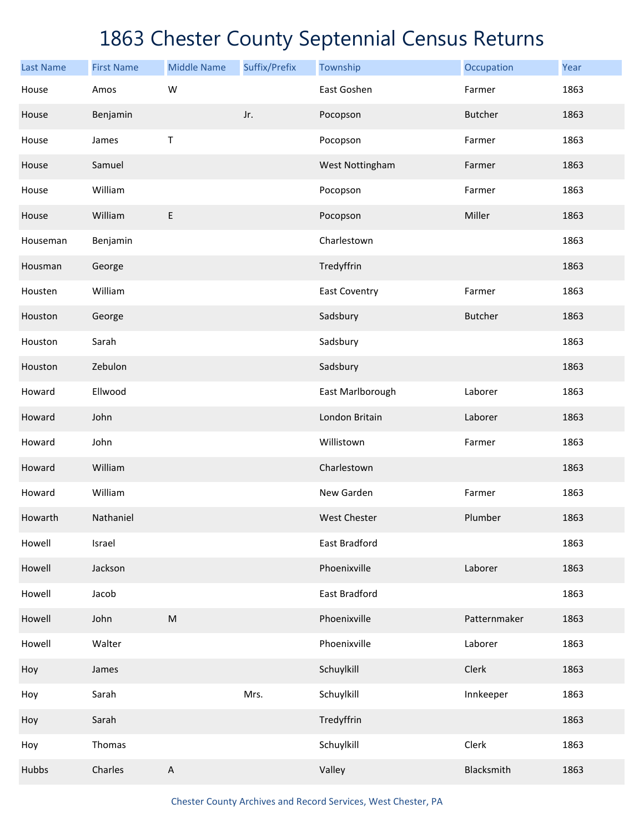| <b>Last Name</b> | <b>First Name</b> | <b>Middle Name</b>                                                                                         | Suffix/Prefix | Township             | Occupation     | Year |
|------------------|-------------------|------------------------------------------------------------------------------------------------------------|---------------|----------------------|----------------|------|
| House            | Amos              | W                                                                                                          |               | East Goshen          | Farmer         | 1863 |
| House            | Benjamin          |                                                                                                            | Jr.           | Pocopson             | <b>Butcher</b> | 1863 |
| House            | James             | Τ                                                                                                          |               | Pocopson             | Farmer         | 1863 |
| House            | Samuel            |                                                                                                            |               | West Nottingham      | Farmer         | 1863 |
| House            | William           |                                                                                                            |               | Pocopson             | Farmer         | 1863 |
| House            | William           | $\mathsf E$                                                                                                |               | Pocopson             | Miller         | 1863 |
| Houseman         | Benjamin          |                                                                                                            |               | Charlestown          |                | 1863 |
| Housman          | George            |                                                                                                            |               | Tredyffrin           |                | 1863 |
| Housten          | William           |                                                                                                            |               | <b>East Coventry</b> | Farmer         | 1863 |
| Houston          | George            |                                                                                                            |               | Sadsbury             | <b>Butcher</b> | 1863 |
| Houston          | Sarah             |                                                                                                            |               | Sadsbury             |                | 1863 |
| Houston          | Zebulon           |                                                                                                            |               | Sadsbury             |                | 1863 |
| Howard           | Ellwood           |                                                                                                            |               | East Marlborough     | Laborer        | 1863 |
| Howard           | John              |                                                                                                            |               | London Britain       | Laborer        | 1863 |
| Howard           | John              |                                                                                                            |               | Willistown           | Farmer         | 1863 |
| Howard           | William           |                                                                                                            |               | Charlestown          |                | 1863 |
| Howard           | William           |                                                                                                            |               | New Garden           | Farmer         | 1863 |
| Howarth          | Nathaniel         |                                                                                                            |               | <b>West Chester</b>  | Plumber        | 1863 |
| Howell           | Israel            |                                                                                                            |               | East Bradford        |                | 1863 |
| Howell           | Jackson           |                                                                                                            |               | Phoenixville         | Laborer        | 1863 |
| Howell           | Jacob             |                                                                                                            |               | East Bradford        |                | 1863 |
| Howell           | John              | $\mathsf{M}% _{T}=\mathsf{M}_{T}\!\left( a,b\right) ,\ \mathsf{M}_{T}=\mathsf{M}_{T}\!\left( a,b\right) ,$ |               | Phoenixville         | Patternmaker   | 1863 |
| Howell           | Walter            |                                                                                                            |               | Phoenixville         | Laborer        | 1863 |
| Hoy              | James             |                                                                                                            |               | Schuylkill           | Clerk          | 1863 |
| Hoy              | Sarah             |                                                                                                            | Mrs.          | Schuylkill           | Innkeeper      | 1863 |
| Hoy              | Sarah             |                                                                                                            |               | Tredyffrin           |                | 1863 |
| Hoy              | Thomas            |                                                                                                            |               | Schuylkill           | Clerk          | 1863 |
| Hubbs            | Charles           | $\mathsf A$                                                                                                |               | Valley               | Blacksmith     | 1863 |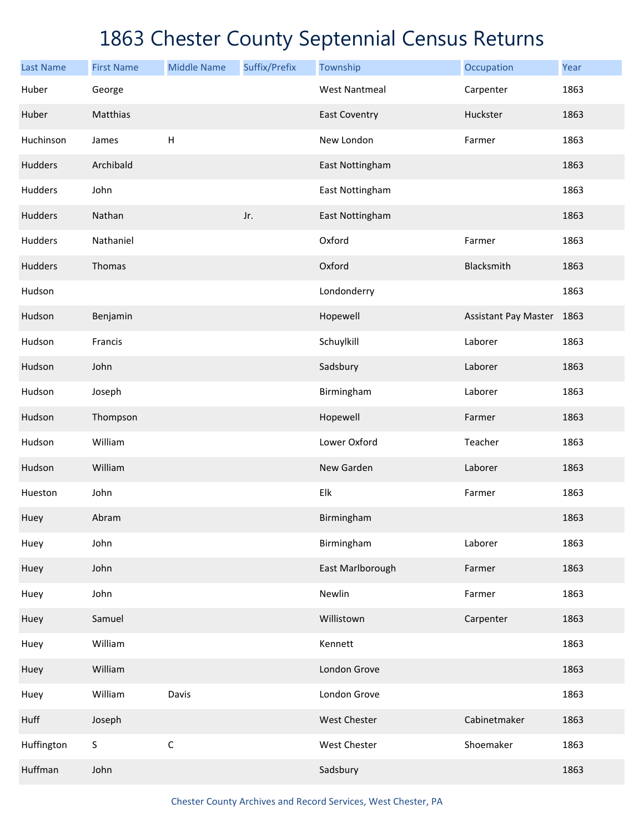| <b>Last Name</b> | <b>First Name</b> | <b>Middle Name</b> | Suffix/Prefix | Township             | Occupation                | Year |
|------------------|-------------------|--------------------|---------------|----------------------|---------------------------|------|
| Huber            | George            |                    |               | <b>West Nantmeal</b> | Carpenter                 | 1863 |
| Huber            | Matthias          |                    |               | <b>East Coventry</b> | Huckster                  | 1863 |
| Huchinson        | James             | $\mathsf H$        |               | New London           | Farmer                    | 1863 |
| Hudders          | Archibald         |                    |               | East Nottingham      |                           | 1863 |
| Hudders          | John              |                    |               | East Nottingham      |                           | 1863 |
| Hudders          | Nathan            |                    | Jr.           | East Nottingham      |                           | 1863 |
| Hudders          | Nathaniel         |                    |               | Oxford               | Farmer                    | 1863 |
| Hudders          | Thomas            |                    |               | Oxford               | Blacksmith                | 1863 |
| Hudson           |                   |                    |               | Londonderry          |                           | 1863 |
| Hudson           | Benjamin          |                    |               | Hopewell             | Assistant Pay Master 1863 |      |
| Hudson           | Francis           |                    |               | Schuylkill           | Laborer                   | 1863 |
| Hudson           | John              |                    |               | Sadsbury             | Laborer                   | 1863 |
| Hudson           | Joseph            |                    |               | Birmingham           | Laborer                   | 1863 |
| Hudson           | Thompson          |                    |               | Hopewell             | Farmer                    | 1863 |
| Hudson           | William           |                    |               | Lower Oxford         | Teacher                   | 1863 |
| Hudson           | William           |                    |               | New Garden           | Laborer                   | 1863 |
| Hueston          | John              |                    |               | Elk                  | Farmer                    | 1863 |
| Huey             | Abram             |                    |               | Birmingham           |                           | 1863 |
| Huey             | John              |                    |               | Birmingham           | Laborer                   | 1863 |
| Huey             | John              |                    |               | East Marlborough     | Farmer                    | 1863 |
| Huey             | John              |                    |               | Newlin               | Farmer                    | 1863 |
| Huey             | Samuel            |                    |               | Willistown           | Carpenter                 | 1863 |
| Huey             | William           |                    |               | Kennett              |                           | 1863 |
| Huey             | William           |                    |               | London Grove         |                           | 1863 |
| Huey             | William           | Davis              |               | London Grove         |                           | 1863 |
| Huff             | Joseph            |                    |               | West Chester         | Cabinetmaker              | 1863 |
| Huffington       | $\mathsf S$       | $\mathsf C$        |               | West Chester         | Shoemaker                 | 1863 |
| Huffman          | John              |                    |               | Sadsbury             |                           | 1863 |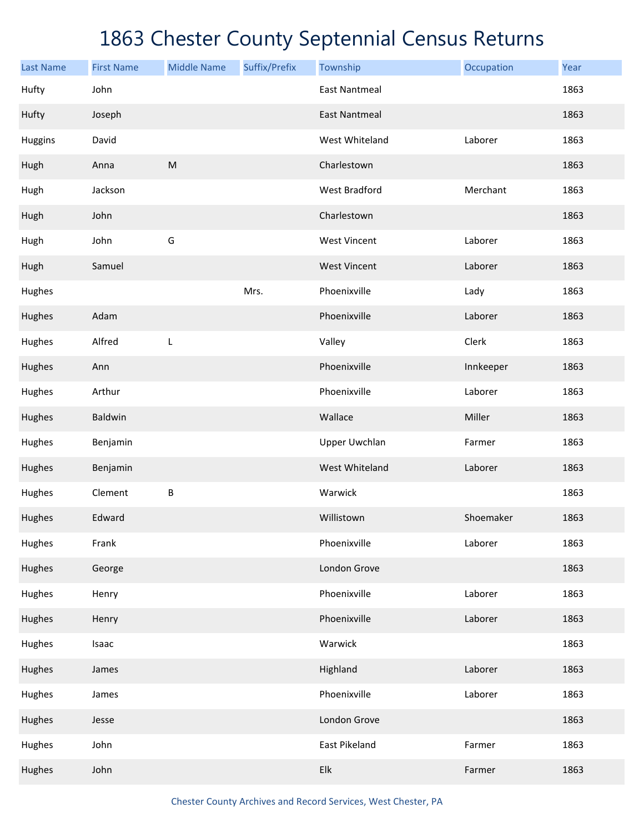| <b>Last Name</b> | <b>First Name</b> | <b>Middle Name</b> | Suffix/Prefix | Township             | Occupation | Year |
|------------------|-------------------|--------------------|---------------|----------------------|------------|------|
| Hufty            | John              |                    |               | <b>East Nantmeal</b> |            | 1863 |
| Hufty            | Joseph            |                    |               | <b>East Nantmeal</b> |            | 1863 |
| <b>Huggins</b>   | David             |                    |               | West Whiteland       | Laborer    | 1863 |
| Hugh             | Anna              | ${\sf M}$          |               | Charlestown          |            | 1863 |
| Hugh             | Jackson           |                    |               | <b>West Bradford</b> | Merchant   | 1863 |
| Hugh             | John              |                    |               | Charlestown          |            | 1863 |
| Hugh             | John              | G                  |               | <b>West Vincent</b>  | Laborer    | 1863 |
| Hugh             | Samuel            |                    |               | <b>West Vincent</b>  | Laborer    | 1863 |
| Hughes           |                   |                    | Mrs.          | Phoenixville         | Lady       | 1863 |
| Hughes           | Adam              |                    |               | Phoenixville         | Laborer    | 1863 |
| Hughes           | Alfred            | L                  |               | Valley               | Clerk      | 1863 |
| Hughes           | Ann               |                    |               | Phoenixville         | Innkeeper  | 1863 |
| Hughes           | Arthur            |                    |               | Phoenixville         | Laborer    | 1863 |
| Hughes           | <b>Baldwin</b>    |                    |               | Wallace              | Miller     | 1863 |
| Hughes           | Benjamin          |                    |               | <b>Upper Uwchlan</b> | Farmer     | 1863 |
| Hughes           | Benjamin          |                    |               | West Whiteland       | Laborer    | 1863 |
| Hughes           | Clement           | B                  |               | Warwick              |            | 1863 |
| Hughes           | Edward            |                    |               | Willistown           | Shoemaker  | 1863 |
| Hughes           | Frank             |                    |               | Phoenixville         | Laborer    | 1863 |
| Hughes           | George            |                    |               | London Grove         |            | 1863 |
| Hughes           | Henry             |                    |               | Phoenixville         | Laborer    | 1863 |
| Hughes           | Henry             |                    |               | Phoenixville         | Laborer    | 1863 |
| Hughes           | Isaac             |                    |               | Warwick              |            | 1863 |
| Hughes           | James             |                    |               | Highland             | Laborer    | 1863 |
| Hughes           | James             |                    |               | Phoenixville         | Laborer    | 1863 |
| Hughes           | Jesse             |                    |               | London Grove         |            | 1863 |
| Hughes           | John              |                    |               | East Pikeland        | Farmer     | 1863 |
| Hughes           | John              |                    |               | Elk                  | Farmer     | 1863 |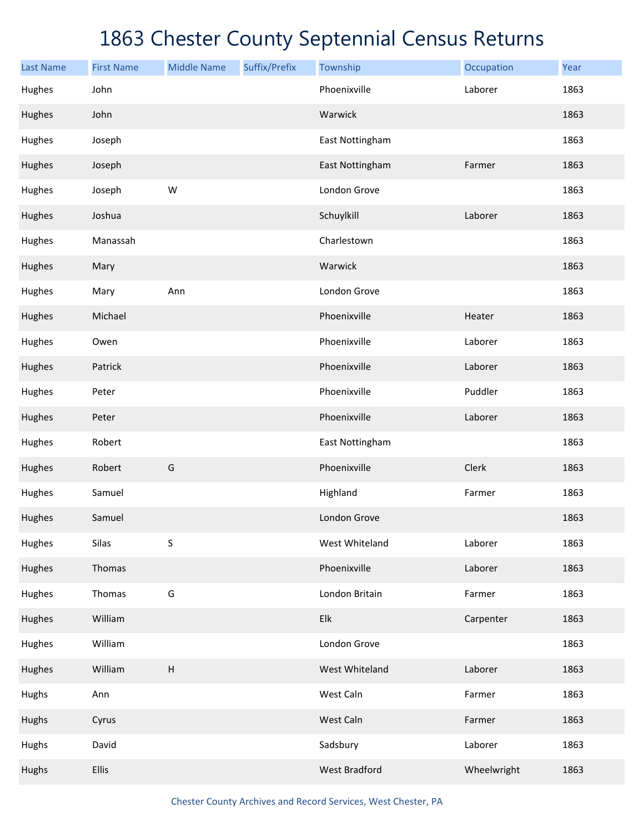| <b>Last Name</b> | <b>First Name</b> | <b>Middle Name</b>        | Suffix/Prefix | Township             | Occupation  | Year |
|------------------|-------------------|---------------------------|---------------|----------------------|-------------|------|
| Hughes           | John              |                           |               | Phoenixville         | Laborer     | 1863 |
| Hughes           | John              |                           |               | Warwick              |             | 1863 |
| Hughes           | Joseph            |                           |               | East Nottingham      |             | 1863 |
| Hughes           | Joseph            |                           |               | East Nottingham      | Farmer      | 1863 |
| Hughes           | Joseph            | ${\sf W}$                 |               | London Grove         |             | 1863 |
| Hughes           | Joshua            |                           |               | Schuylkill           | Laborer     | 1863 |
| Hughes           | Manassah          |                           |               | Charlestown          |             | 1863 |
| Hughes           | Mary              |                           |               | Warwick              |             | 1863 |
| Hughes           | Mary              | Ann                       |               | London Grove         |             | 1863 |
| Hughes           | Michael           |                           |               | Phoenixville         | Heater      | 1863 |
| Hughes           | Owen              |                           |               | Phoenixville         | Laborer     | 1863 |
| Hughes           | Patrick           |                           |               | Phoenixville         | Laborer     | 1863 |
| Hughes           | Peter             |                           |               | Phoenixville         | Puddler     | 1863 |
| Hughes           | Peter             |                           |               | Phoenixville         | Laborer     | 1863 |
| Hughes           | Robert            |                           |               | East Nottingham      |             | 1863 |
| Hughes           | Robert            | G                         |               | Phoenixville         | Clerk       | 1863 |
| Hughes           | Samuel            |                           |               | Highland             | Farmer      | 1863 |
| Hughes           | Samuel            |                           |               | London Grove         |             | 1863 |
| Hughes           | Silas             | $\sf S$                   |               | West Whiteland       | Laborer     | 1863 |
| Hughes           | Thomas            |                           |               | Phoenixville         | Laborer     | 1863 |
| Hughes           | Thomas            | G                         |               | London Britain       | Farmer      | 1863 |
| Hughes           | William           |                           |               | Elk                  | Carpenter   | 1863 |
| Hughes           | William           |                           |               | London Grove         |             | 1863 |
| Hughes           | William           | $\boldsymbol{\mathsf{H}}$ |               | West Whiteland       | Laborer     | 1863 |
| Hughs            | Ann               |                           |               | West Caln            | Farmer      | 1863 |
| Hughs            | Cyrus             |                           |               | West Caln            | Farmer      | 1863 |
| Hughs            | David             |                           |               | Sadsbury             | Laborer     | 1863 |
| Hughs            | <b>Ellis</b>      |                           |               | <b>West Bradford</b> | Wheelwright | 1863 |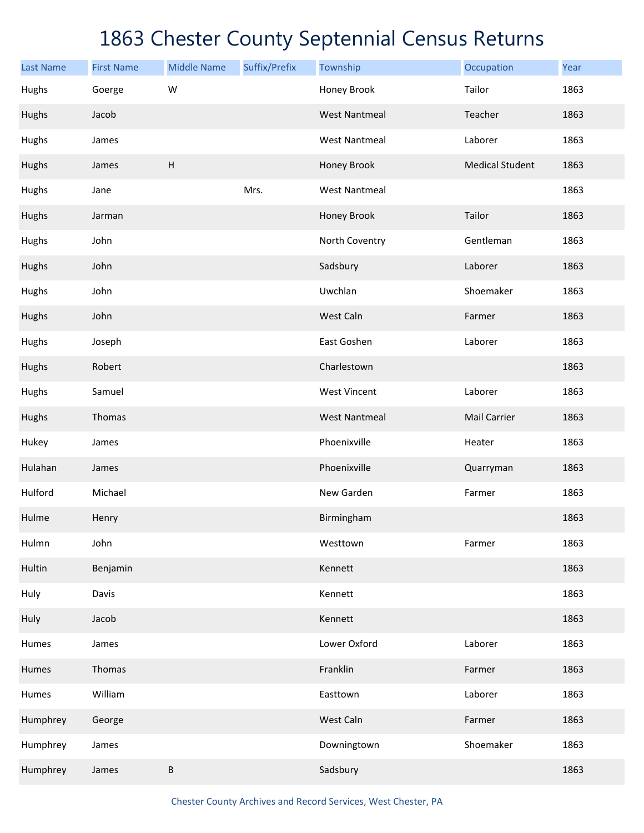| <b>Last Name</b> | <b>First Name</b> | <b>Middle Name</b>        | Suffix/Prefix | Township             | Occupation             | Year |
|------------------|-------------------|---------------------------|---------------|----------------------|------------------------|------|
| Hughs            | Goerge            | W                         |               | Honey Brook          | Tailor                 | 1863 |
| Hughs            | Jacob             |                           |               | <b>West Nantmeal</b> | Teacher                | 1863 |
| Hughs            | James             |                           |               | <b>West Nantmeal</b> | Laborer                | 1863 |
| Hughs            | James             | $\boldsymbol{\mathsf{H}}$ |               | Honey Brook          | <b>Medical Student</b> | 1863 |
| Hughs            | Jane              |                           | Mrs.          | <b>West Nantmeal</b> |                        | 1863 |
| Hughs            | Jarman            |                           |               | Honey Brook          | Tailor                 | 1863 |
| Hughs            | John              |                           |               | North Coventry       | Gentleman              | 1863 |
| Hughs            | John              |                           |               | Sadsbury             | Laborer                | 1863 |
| Hughs            | John              |                           |               | Uwchlan              | Shoemaker              | 1863 |
| Hughs            | John              |                           |               | West Caln            | Farmer                 | 1863 |
| Hughs            | Joseph            |                           |               | East Goshen          | Laborer                | 1863 |
| Hughs            | Robert            |                           |               | Charlestown          |                        | 1863 |
| Hughs            | Samuel            |                           |               | <b>West Vincent</b>  | Laborer                | 1863 |
| Hughs            | Thomas            |                           |               | <b>West Nantmeal</b> | <b>Mail Carrier</b>    | 1863 |
| Hukey            | James             |                           |               | Phoenixville         | Heater                 | 1863 |
| Hulahan          | James             |                           |               | Phoenixville         | Quarryman              | 1863 |
| Hulford          | Michael           |                           |               | New Garden           | Farmer                 | 1863 |
| Hulme            | Henry             |                           |               | Birmingham           |                        | 1863 |
| Hulmn            | John              |                           |               | Westtown             | Farmer                 | 1863 |
| Hultin           | Benjamin          |                           |               | Kennett              |                        | 1863 |
| Huly             | Davis             |                           |               | Kennett              |                        | 1863 |
| Huly             | Jacob             |                           |               | Kennett              |                        | 1863 |
| Humes            | James             |                           |               | Lower Oxford         | Laborer                | 1863 |
| Humes            | Thomas            |                           |               | Franklin             | Farmer                 | 1863 |
| Humes            | William           |                           |               | Easttown             | Laborer                | 1863 |
| Humphrey         | George            |                           |               | West Caln            | Farmer                 | 1863 |
| Humphrey         | James             |                           |               | Downingtown          | Shoemaker              | 1863 |
| Humphrey         | James             | $\sf B$                   |               | Sadsbury             |                        | 1863 |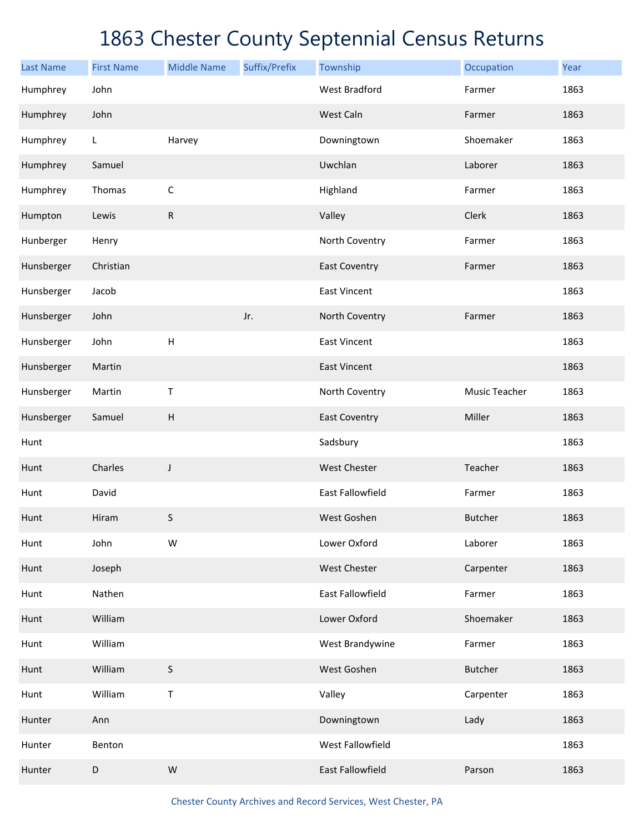| <b>Last Name</b> | <b>First Name</b> | <b>Middle Name</b>        | Suffix/Prefix | Township                | Occupation     | Year |
|------------------|-------------------|---------------------------|---------------|-------------------------|----------------|------|
| Humphrey         | John              |                           |               | <b>West Bradford</b>    | Farmer         | 1863 |
| Humphrey         | John              |                           |               | West Caln               | Farmer         | 1863 |
| Humphrey         | L                 | Harvey                    |               | Downingtown             | Shoemaker      | 1863 |
| Humphrey         | Samuel            |                           |               | Uwchlan                 | Laborer        | 1863 |
| Humphrey         | Thomas            | $\mathsf C$               |               | Highland                | Farmer         | 1863 |
| Humpton          | Lewis             | ${\sf R}$                 |               | Valley                  | Clerk          | 1863 |
| Hunberger        | Henry             |                           |               | North Coventry          | Farmer         | 1863 |
| Hunsberger       | Christian         |                           |               | <b>East Coventry</b>    | Farmer         | 1863 |
| Hunsberger       | Jacob             |                           |               | <b>East Vincent</b>     |                | 1863 |
| Hunsberger       | John              |                           | Jr.           | North Coventry          | Farmer         | 1863 |
| Hunsberger       | John              | H                         |               | <b>East Vincent</b>     |                | 1863 |
| Hunsberger       | Martin            |                           |               | <b>East Vincent</b>     |                | 1863 |
| Hunsberger       | Martin            | Τ                         |               | North Coventry          | Music Teacher  | 1863 |
| Hunsberger       | Samuel            | $\boldsymbol{\mathsf{H}}$ |               | <b>East Coventry</b>    | Miller         | 1863 |
| Hunt             |                   |                           |               | Sadsbury                |                | 1863 |
| Hunt             | Charles           | J                         |               | <b>West Chester</b>     | Teacher        | 1863 |
| Hunt             | David             |                           |               | <b>East Fallowfield</b> | Farmer         | 1863 |
| Hunt             | Hiram             | $\sf S$                   |               | West Goshen             | <b>Butcher</b> | 1863 |
| Hunt             | John              | W                         |               | Lower Oxford            | Laborer        | 1863 |
| Hunt             | Joseph            |                           |               | West Chester            | Carpenter      | 1863 |
| Hunt             | Nathen            |                           |               | East Fallowfield        | Farmer         | 1863 |
| Hunt             | William           |                           |               | Lower Oxford            | Shoemaker      | 1863 |
| Hunt             | William           |                           |               | West Brandywine         | Farmer         | 1863 |
| Hunt             | William           | $\sf S$                   |               | West Goshen             | <b>Butcher</b> | 1863 |
| Hunt             | William           | $\sf T$                   |               | Valley                  | Carpenter      | 1863 |
| Hunter           | Ann               |                           |               | Downingtown             | Lady           | 1863 |
| Hunter           | Benton            |                           |               | West Fallowfield        |                | 1863 |
| Hunter           | $\mathsf D$       | ${\sf W}$                 |               | East Fallowfield        | Parson         | 1863 |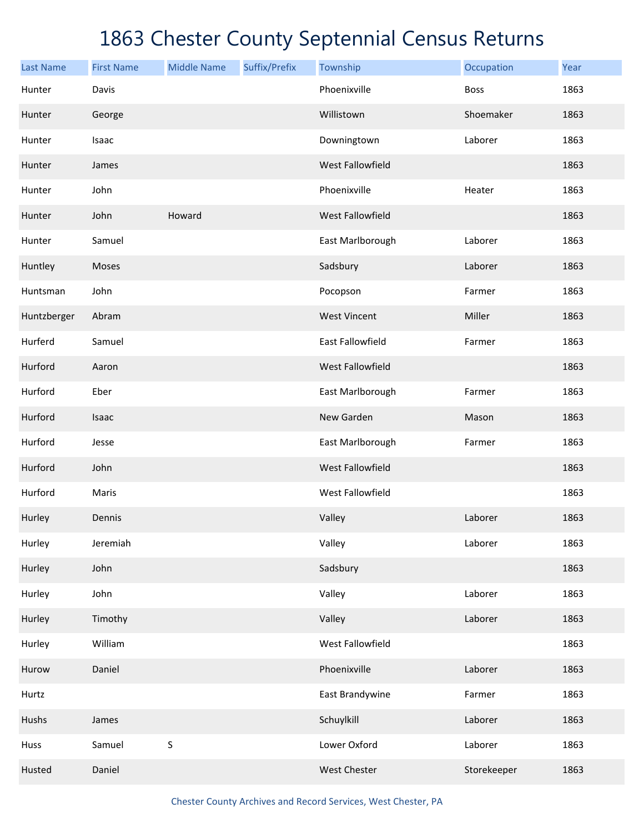| <b>Last Name</b> | <b>First Name</b> | <b>Middle Name</b> | Suffix/Prefix | Township                | Occupation  | Year |
|------------------|-------------------|--------------------|---------------|-------------------------|-------------|------|
| Hunter           | Davis             |                    |               | Phoenixville            | <b>Boss</b> | 1863 |
| Hunter           | George            |                    |               | Willistown              | Shoemaker   | 1863 |
| Hunter           | Isaac             |                    |               | Downingtown             | Laborer     | 1863 |
| Hunter           | James             |                    |               | West Fallowfield        |             | 1863 |
| Hunter           | John              |                    |               | Phoenixville            | Heater      | 1863 |
| Hunter           | John              | Howard             |               | West Fallowfield        |             | 1863 |
| Hunter           | Samuel            |                    |               | East Marlborough        | Laborer     | 1863 |
| Huntley          | Moses             |                    |               | Sadsbury                | Laborer     | 1863 |
| Huntsman         | John              |                    |               | Pocopson                | Farmer      | 1863 |
| Huntzberger      | Abram             |                    |               | <b>West Vincent</b>     | Miller      | 1863 |
| Hurferd          | Samuel            |                    |               | <b>East Fallowfield</b> | Farmer      | 1863 |
| Hurford          | Aaron             |                    |               | West Fallowfield        |             | 1863 |
| Hurford          | Eber              |                    |               | East Marlborough        | Farmer      | 1863 |
| Hurford          | Isaac             |                    |               | New Garden              | Mason       | 1863 |
| Hurford          | Jesse             |                    |               | East Marlborough        | Farmer      | 1863 |
| Hurford          | John              |                    |               | West Fallowfield        |             | 1863 |
| Hurford          | Maris             |                    |               | <b>West Fallowfield</b> |             | 1863 |
| Hurley           | Dennis            |                    |               | Valley                  | Laborer     | 1863 |
| Hurley           | Jeremiah          |                    |               | Valley                  | Laborer     | 1863 |
| Hurley           | John              |                    |               | Sadsbury                |             | 1863 |
| Hurley           | John              |                    |               | Valley                  | Laborer     | 1863 |
| Hurley           | Timothy           |                    |               | Valley                  | Laborer     | 1863 |
| Hurley           | William           |                    |               | West Fallowfield        |             | 1863 |
| Hurow            | Daniel            |                    |               | Phoenixville            | Laborer     | 1863 |
| Hurtz            |                   |                    |               | East Brandywine         | Farmer      | 1863 |
| Hushs            | James             |                    |               | Schuylkill              | Laborer     | 1863 |
| Huss             | Samuel            | $\sf S$            |               | Lower Oxford            | Laborer     | 1863 |
| Husted           | Daniel            |                    |               | West Chester            | Storekeeper | 1863 |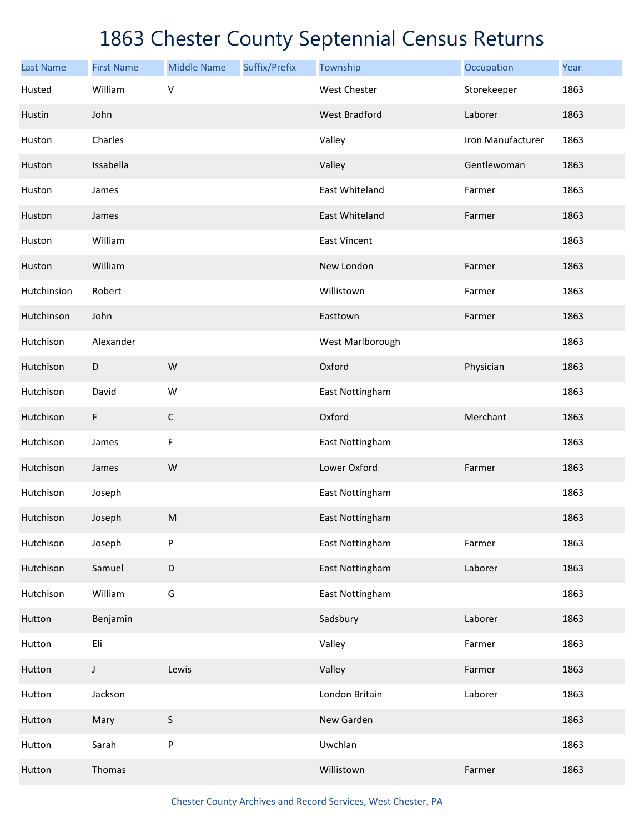| <b>Last Name</b> | <b>First Name</b> | <b>Middle Name</b> | Suffix/Prefix | Township             | Occupation        | Year |
|------------------|-------------------|--------------------|---------------|----------------------|-------------------|------|
| Husted           | William           | $\sf V$            |               | <b>West Chester</b>  | Storekeeper       | 1863 |
| Hustin           | John              |                    |               | <b>West Bradford</b> | Laborer           | 1863 |
| Huston           | Charles           |                    |               | Valley               | Iron Manufacturer | 1863 |
| Huston           | Issabella         |                    |               | Valley               | Gentlewoman       | 1863 |
| Huston           | James             |                    |               | East Whiteland       | Farmer            | 1863 |
| Huston           | James             |                    |               | East Whiteland       | Farmer            | 1863 |
| Huston           | William           |                    |               | <b>East Vincent</b>  |                   | 1863 |
| Huston           | William           |                    |               | New London           | Farmer            | 1863 |
| Hutchinsion      | Robert            |                    |               | Willistown           | Farmer            | 1863 |
| Hutchinson       | John              |                    |               | Easttown             | Farmer            | 1863 |
| Hutchison        | Alexander         |                    |               | West Marlborough     |                   | 1863 |
| Hutchison        | D                 | W                  |               | Oxford               | Physician         | 1863 |
| Hutchison        | David             | W                  |               | East Nottingham      |                   | 1863 |
| Hutchison        | F                 | $\mathsf C$        |               | Oxford               | Merchant          | 1863 |
| Hutchison        | James             | F                  |               | East Nottingham      |                   | 1863 |
| Hutchison        | James             | ${\sf W}$          |               | Lower Oxford         | Farmer            | 1863 |
| Hutchison        | Joseph            |                    |               | East Nottingham      |                   | 1863 |
| Hutchison        | Joseph            | ${\sf M}$          |               | East Nottingham      |                   | 1863 |
| Hutchison        | Joseph            | P                  |               | East Nottingham      | Farmer            | 1863 |
| Hutchison        | Samuel            | $\mathsf D$        |               | East Nottingham      | Laborer           | 1863 |
| Hutchison        | William           | G                  |               | East Nottingham      |                   | 1863 |
| Hutton           | Benjamin          |                    |               | Sadsbury             | Laborer           | 1863 |
| Hutton           | Eli               |                    |               | Valley               | Farmer            | 1863 |
| Hutton           | $\mathsf J$       | Lewis              |               | Valley               | Farmer            | 1863 |
| Hutton           | Jackson           |                    |               | London Britain       | Laborer           | 1863 |
| Hutton           | Mary              | S                  |               | New Garden           |                   | 1863 |
| Hutton           | Sarah             | ${\sf P}$          |               | Uwchlan              |                   | 1863 |
| Hutton           | Thomas            |                    |               | Willistown           | Farmer            | 1863 |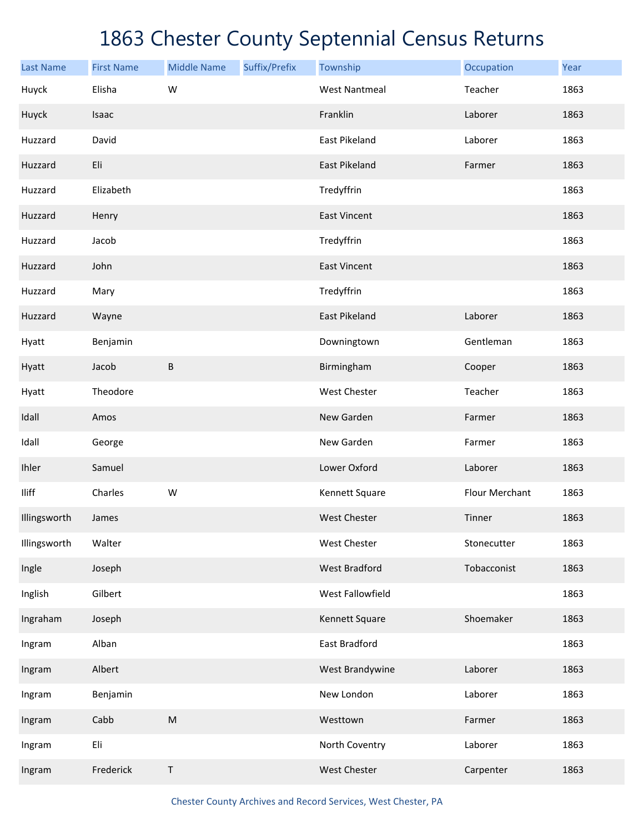| <b>Last Name</b> | <b>First Name</b> | <b>Middle Name</b> | Suffix/Prefix | Township             | Occupation     | Year |
|------------------|-------------------|--------------------|---------------|----------------------|----------------|------|
| Huyck            | Elisha            | W                  |               | <b>West Nantmeal</b> | Teacher        | 1863 |
| Huyck            | Isaac             |                    |               | Franklin             | Laborer        | 1863 |
| Huzzard          | David             |                    |               | East Pikeland        | Laborer        | 1863 |
| Huzzard          | Eli               |                    |               | <b>East Pikeland</b> | Farmer         | 1863 |
| Huzzard          | Elizabeth         |                    |               | Tredyffrin           |                | 1863 |
| Huzzard          | Henry             |                    |               | <b>East Vincent</b>  |                | 1863 |
| Huzzard          | Jacob             |                    |               | Tredyffrin           |                | 1863 |
| Huzzard          | John              |                    |               | <b>East Vincent</b>  |                | 1863 |
| Huzzard          | Mary              |                    |               | Tredyffrin           |                | 1863 |
| Huzzard          | Wayne             |                    |               | East Pikeland        | Laborer        | 1863 |
| Hyatt            | Benjamin          |                    |               | Downingtown          | Gentleman      | 1863 |
| Hyatt            | Jacob             | B                  |               | Birmingham           | Cooper         | 1863 |
| Hyatt            | Theodore          |                    |               | <b>West Chester</b>  | Teacher        | 1863 |
| Idall            | Amos              |                    |               | New Garden           | Farmer         | 1863 |
| Idall            | George            |                    |               | New Garden           | Farmer         | 1863 |
| Ihler            | Samuel            |                    |               | Lower Oxford         | Laborer        | 1863 |
| <b>Iliff</b>     | Charles           | W                  |               | Kennett Square       | Flour Merchant | 1863 |
| Illingsworth     | James             |                    |               | <b>West Chester</b>  | Tinner         | 1863 |
| Illingsworth     | Walter            |                    |               | West Chester         | Stonecutter    | 1863 |
| Ingle            | Joseph            |                    |               | <b>West Bradford</b> | Tobacconist    | 1863 |
| Inglish          | Gilbert           |                    |               | West Fallowfield     |                | 1863 |
| Ingraham         | Joseph            |                    |               | Kennett Square       | Shoemaker      | 1863 |
| Ingram           | Alban             |                    |               | East Bradford        |                | 1863 |
| Ingram           | Albert            |                    |               | West Brandywine      | Laborer        | 1863 |
| Ingram           | Benjamin          |                    |               | New London           | Laborer        | 1863 |
| Ingram           | Cabb              | ${\sf M}$          |               | Westtown             | Farmer         | 1863 |
| Ingram           | Eli               |                    |               | North Coventry       | Laborer        | 1863 |
| Ingram           | Frederick         | Τ                  |               | West Chester         | Carpenter      | 1863 |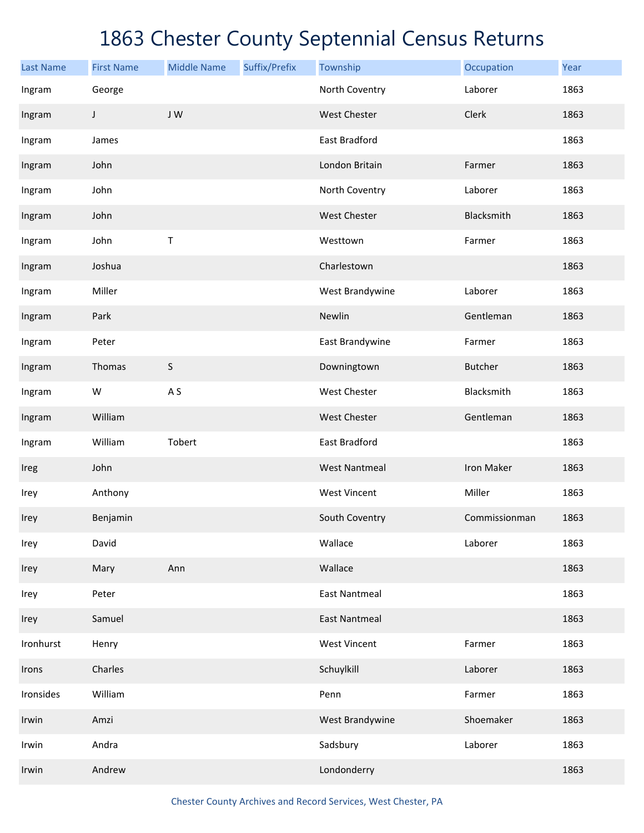| <b>Last Name</b> | <b>First Name</b> | <b>Middle Name</b> | Suffix/Prefix | Township             | Occupation     | Year |
|------------------|-------------------|--------------------|---------------|----------------------|----------------|------|
| Ingram           | George            |                    |               | North Coventry       | Laborer        | 1863 |
| Ingram           | J                 | JW                 |               | <b>West Chester</b>  | Clerk          | 1863 |
| Ingram           | James             |                    |               | East Bradford        |                | 1863 |
| Ingram           | John              |                    |               | London Britain       | Farmer         | 1863 |
| Ingram           | John              |                    |               | North Coventry       | Laborer        | 1863 |
| Ingram           | John              |                    |               | West Chester         | Blacksmith     | 1863 |
| Ingram           | John              | Т                  |               | Westtown             | Farmer         | 1863 |
| Ingram           | Joshua            |                    |               | Charlestown          |                | 1863 |
| Ingram           | Miller            |                    |               | West Brandywine      | Laborer        | 1863 |
| Ingram           | Park              |                    |               | Newlin               | Gentleman      | 1863 |
| Ingram           | Peter             |                    |               | East Brandywine      | Farmer         | 1863 |
| Ingram           | Thomas            | $\sf S$            |               | Downingtown          | <b>Butcher</b> | 1863 |
| Ingram           | W                 | A <sub>S</sub>     |               | West Chester         | Blacksmith     | 1863 |
| Ingram           | William           |                    |               | West Chester         | Gentleman      | 1863 |
| Ingram           | William           | Tobert             |               | East Bradford        |                | 1863 |
| Ireg             | John              |                    |               | <b>West Nantmeal</b> | Iron Maker     | 1863 |
| Irey             | Anthony           |                    |               | <b>West Vincent</b>  | Miller         | 1863 |
| Irey             | Benjamin          |                    |               | South Coventry       | Commissionman  | 1863 |
| Irey             | David             |                    |               | Wallace              | Laborer        | 1863 |
| Irey             | Mary              | Ann                |               | Wallace              |                | 1863 |
| Irey             | Peter             |                    |               | <b>East Nantmeal</b> |                | 1863 |
| Irey             | Samuel            |                    |               | <b>East Nantmeal</b> |                | 1863 |
| Ironhurst        | Henry             |                    |               | <b>West Vincent</b>  | Farmer         | 1863 |
| Irons            | Charles           |                    |               | Schuylkill           | Laborer        | 1863 |
| Ironsides        | William           |                    |               | Penn                 | Farmer         | 1863 |
| Irwin            | Amzi              |                    |               | West Brandywine      | Shoemaker      | 1863 |
| Irwin            | Andra             |                    |               | Sadsbury             | Laborer        | 1863 |
| Irwin            | Andrew            |                    |               | Londonderry          |                | 1863 |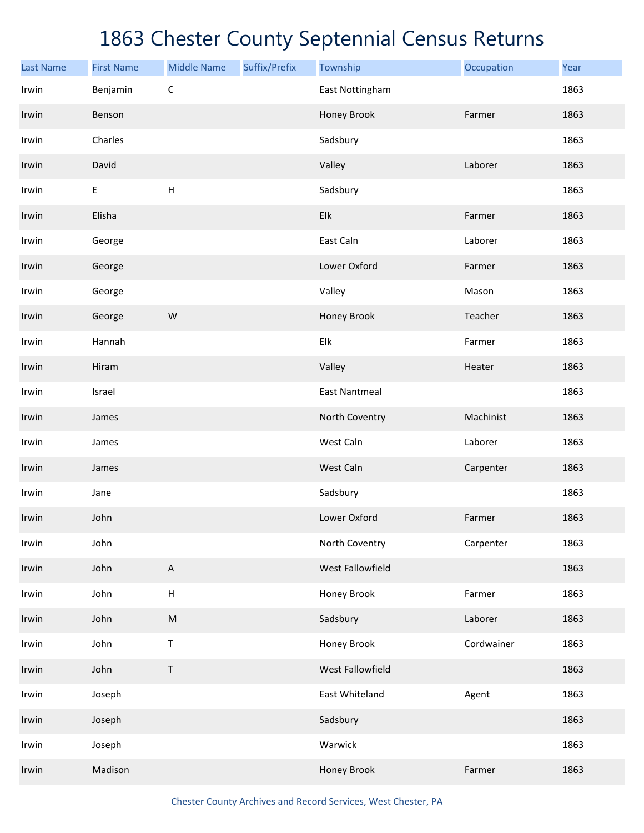## 1863 Chester County Septennial Census Returns

| <b>Last Name</b> | <b>First Name</b> | <b>Middle Name</b>        | Suffix/Prefix | Township                  | Occupation | Year |
|------------------|-------------------|---------------------------|---------------|---------------------------|------------|------|
| Irwin            | Benjamin          | $\mathsf C$               |               | East Nottingham           |            | 1863 |
| Irwin            | Benson            |                           |               | Honey Brook               | Farmer     | 1863 |
| Irwin            | Charles           |                           |               | Sadsbury                  |            | 1863 |
| Irwin            | David             |                           |               | Valley                    | Laborer    | 1863 |
| Irwin            | E                 | $\sf H$                   |               | Sadsbury                  |            | 1863 |
| Irwin            | Elisha            |                           |               | Elk                       | Farmer     | 1863 |
| Irwin            | George            |                           |               | East Caln                 | Laborer    | 1863 |
| Irwin            | George            |                           |               | Lower Oxford              | Farmer     | 1863 |
| Irwin            | George            |                           |               | Valley                    | Mason      | 1863 |
| Irwin            | George            | W                         |               | Honey Brook               | Teacher    | 1863 |
| Irwin            | Hannah            |                           |               | ${\sf E} {\sf I} {\sf k}$ | Farmer     | 1863 |
| Irwin            | Hiram             |                           |               | Valley                    | Heater     | 1863 |
| Irwin            | Israel            |                           |               | <b>East Nantmeal</b>      |            | 1863 |
| Irwin            | James             |                           |               | North Coventry            | Machinist  | 1863 |
| Irwin            | James             |                           |               | West Caln                 | Laborer    | 1863 |
| Irwin            | James             |                           |               | West Caln                 | Carpenter  | 1863 |
| Irwin            | Jane              |                           |               | Sadsbury                  |            | 1863 |
| Irwin            | John              |                           |               | Lower Oxford              | Farmer     | 1863 |
| Irwin            | John              |                           |               | North Coventry            | Carpenter  | 1863 |
| Irwin            | John              | $\boldsymbol{\mathsf{A}}$ |               | West Fallowfield          |            | 1863 |
| Irwin            | John              | $\sf H$                   |               | Honey Brook               | Farmer     | 1863 |
| Irwin            | John              | ${\sf M}$                 |               | Sadsbury                  | Laborer    | 1863 |
| Irwin            | John              | $\sf T$                   |               | Honey Brook               | Cordwainer | 1863 |
| Irwin            | John              | T                         |               | West Fallowfield          |            | 1863 |
| Irwin            | Joseph            |                           |               | East Whiteland            | Agent      | 1863 |
| Irwin            | Joseph            |                           |               | Sadsbury                  |            | 1863 |
| Irwin            | Joseph            |                           |               | Warwick                   |            | 1863 |
| Irwin            | Madison           |                           |               | Honey Brook               | Farmer     | 1863 |